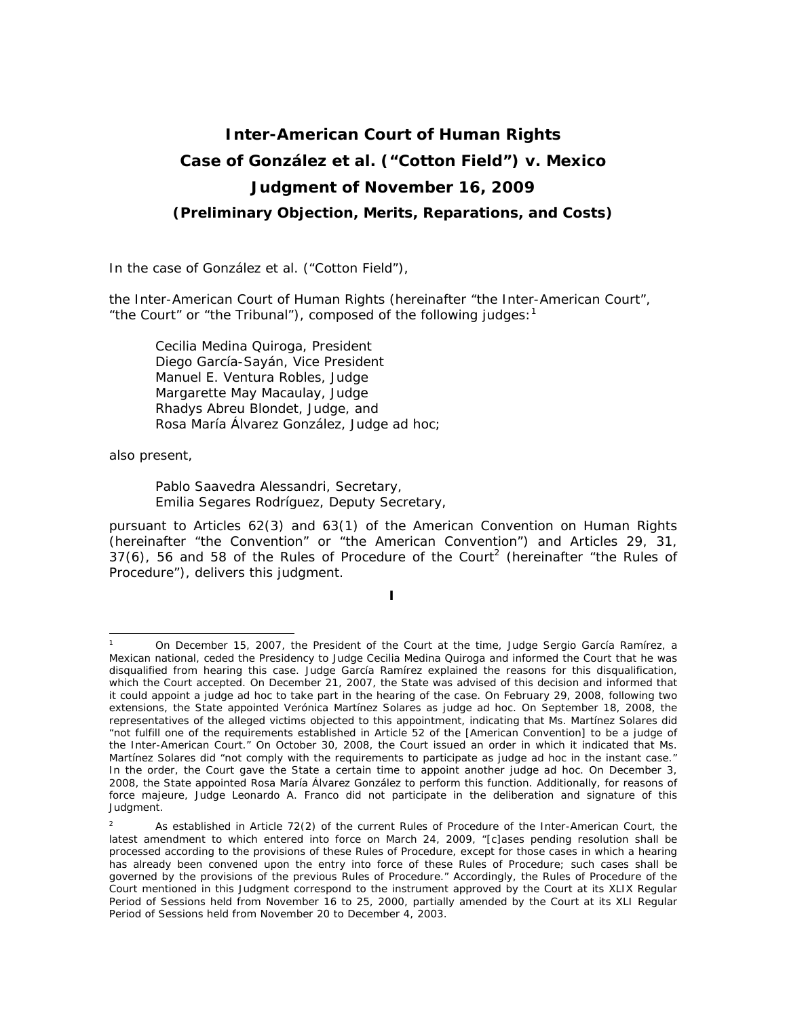# **Inter-American Court of Human Rights Case of González** *et al.* **("***Cotton Field***")** *v***. Mexico Judgment of November 16, 2009**  *(Preliminary Objection, Merits, Reparations, and Costs)*

In the case of *González et al. ("Cotton Field")*,

the Inter-American Court of Human Rights (hereinafter "the Inter-American Court", "the Court" or "the Tribunal"), composed of the following judges: $<sup>1</sup>$ </sup>

 Cecilia Medina Quiroga, President Diego García-Sayán, Vice President Manuel E. Ventura Robles, Judge Margarette May Macaulay, Judge Rhadys Abreu Blondet, Judge, and Rosa María Álvarez González, Judge *ad hoc;*

also present,

Pablo Saavedra Alessandri, Secretary, Emilia Segares Rodríguez, Deputy Secretary,

pursuant to Articles 62(3) and 63(1) of the American Convention on Human Rights (hereinafter "the Convention" or "the American Convention") and Articles 29, 31,  $37(6)$ , 56 and 58 of the Rules of Procedure of the Court<sup>2</sup> (hereinafter "the Rules of Procedure"), delivers this judgment.

**I** 

<sup>-</sup>1 On December 15, 2007, the President of the Court at the time, Judge Sergio García Ramírez, a Mexican national, ceded the Presidency to Judge Cecilia Medina Quiroga and informed the Court that he was disqualified from hearing this case. Judge García Ramírez explained the reasons for this disqualification, which the Court accepted. On December 21, 2007, the State was advised of this decision and informed that it could appoint a judge *ad hoc* to take part in the hearing of the case. On February 29, 2008, following two extensions, the State appointed Verónica Martínez Solares as judge *ad hoc*. On September 18, 2008, the representatives of the alleged victims objected to this appointment, indicating that Ms. Martínez Solares did "not fulfill one of the requirements established in Article 52 of the [American Convention] to be a judge of the Inter-American Court." On October 30, 2008, the Court issued an order in which it indicated that Ms. Martínez Solares did "not comply with the requirements to participate as judge *ad hoc* in the instant case." In the order, the Court gave the State a certain time to appoint another judge *ad hoc*. On December 3, 2008, the State appointed Rosa María Álvarez González to perform this function. Additionally, for reasons of *force majeure*, Judge Leonardo A. Franco did not participate in the deliberation and signature of this Judgment.

<sup>2</sup> As established in Article 72(2) of the current Rules of Procedure of the Inter-American Court, the latest amendment to which entered into force on March 24, 2009, "[c]ases pending resolution shall be processed according to the provisions of these Rules of Procedure, except for those cases in which a hearing has already been convened upon the entry into force of these Rules of Procedure; such cases shall be governed by the provisions of the previous Rules of Procedure." Accordingly, the Rules of Procedure of the Court mentioned in this Judgment correspond to the instrument approved by the Court at its XLIX Regular Period of Sessions held from November 16 to 25, 2000, partially amended by the Court at its XLI Regular Period of Sessions held from November 20 to December 4, 2003.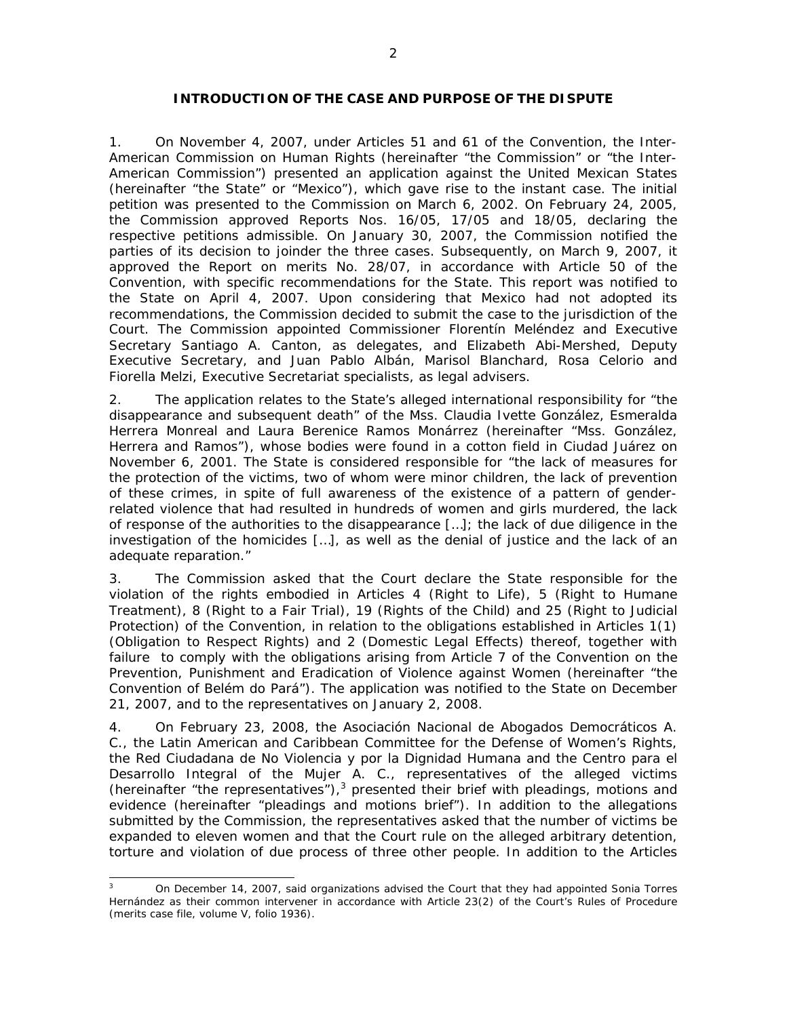#### **INTRODUCTION OF THE CASE AND PURPOSE OF THE DISPUTE**

1. On November 4, 2007, under Articles 51 and 61 of the Convention, the Inter-American Commission on Human Rights (hereinafter "the Commission" or "the Inter-American Commission") presented an application against the United Mexican States (hereinafter "the State" or "Mexico"), which gave rise to the instant case. The initial petition was presented to the Commission on March 6, 2002. On February 24, 2005, the Commission approved Reports Nos. 16/05, 17/05 and 18/05, declaring the respective petitions admissible. On January 30, 2007, the Commission notified the parties of its decision to joinder the three cases. Subsequently, on March 9, 2007, it approved the Report on merits No. 28/07, in accordance with Article 50 of the Convention, with specific recommendations for the State. This report was notified to the State on April 4, 2007. Upon considering that Mexico had not adopted its recommendations, the Commission decided to submit the case to the jurisdiction of the Court. The Commission appointed Commissioner Florentín Meléndez and Executive Secretary Santiago A. Canton, as delegates, and Elizabeth Abi-Mershed, Deputy Executive Secretary, and Juan Pablo Albán, Marisol Blanchard, Rosa Celorio and Fiorella Melzi, Executive Secretariat specialists, as legal advisers.

2. The application relates to the State's alleged international responsibility for "the disappearance and subsequent death" of the Mss. Claudia Ivette González, Esmeralda Herrera Monreal and Laura Berenice Ramos Monárrez (hereinafter "Mss. González, Herrera and Ramos"), whose bodies were found in a cotton field in Ciudad Juárez on November 6, 2001. The State is considered responsible for "the lack of measures for the protection of the victims, two of whom were minor children, the lack of prevention of these crimes, in spite of full awareness of the existence of a pattern of genderrelated violence that had resulted in hundreds of women and girls murdered, the lack of response of the authorities to the disappearance […]; the lack of due diligence in the investigation of the homicides […], as well as the denial of justice and the lack of an adequate reparation."

3. The Commission asked that the Court declare the State responsible for the violation of the rights embodied in Articles 4 (Right to Life), 5 (Right to Humane Treatment), 8 (Right to a Fair Trial), 19 (Rights of the Child) and 25 (Right to Judicial Protection) of the Convention, in relation to the obligations established in Articles 1(1) (Obligation to Respect Rights) and 2 (Domestic Legal Effects) thereof, together with failure to comply with the obligations arising from Article 7 of the Convention on the Prevention, Punishment and Eradication of Violence against Women (hereinafter "the Convention of Belém do Pará"). The application was notified to the State on December 21, 2007, and to the representatives on January 2, 2008.

4. On February 23, 2008, the *Asociación Nacional de Abogados Democráticos A. C.,* the Latin American and Caribbean Committee for the Defense of Women's Rights*,*  the *Red Ciudadana de No Violencia y por la Dignidad Humana* and the *Centro para el Desarrollo Integral of the Mujer A. C.,* representatives of the alleged victims (hereinafter "the representatives"), $3$  presented their brief with pleadings, motions and evidence (hereinafter "pleadings and motions brief"). In addition to the allegations submitted by the Commission, the representatives asked that the number of victims be expanded to eleven women and that the Court rule on the alleged arbitrary detention, torture and violation of due process of three other people. In addition to the Articles

<sup>-</sup>3 On December 14, 2007, said organizations advised the Court that they had appointed Sonia Torres Hernández as their common intervener in accordance with Article 23(2) of the Court's Rules of Procedure (merits case file, volume V, folio 1936).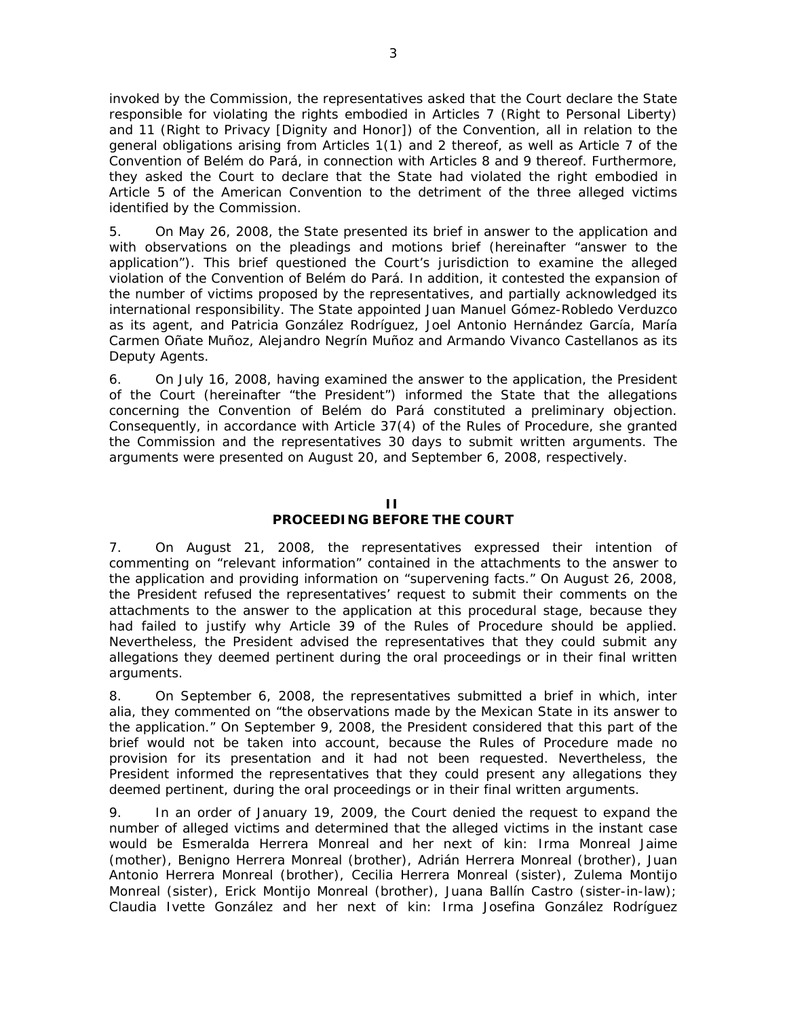invoked by the Commission, the representatives asked that the Court declare the State responsible for violating the rights embodied in Articles 7 (Right to Personal Liberty) and 11 (Right to Privacy [Dignity and Honor]) of the Convention, all in relation to the general obligations arising from Articles 1(1) and 2 thereof, as well as Article 7 of the Convention of Belém do Pará, in connection with Articles 8 and 9 thereof. Furthermore, they asked the Court to declare that the State had violated the right embodied in Article 5 of the American Convention to the detriment of the three alleged victims identified by the Commission.

5. On May 26, 2008, the State presented its brief in answer to the application and with observations on the pleadings and motions brief (hereinafter "answer to the application"). This brief questioned the Court's jurisdiction to examine the alleged violation of the Convention of Belém do Pará. In addition, it contested the expansion of the number of victims proposed by the representatives, and partially acknowledged its international responsibility. The State appointed Juan Manuel Gómez-Robledo Verduzco as its agent, and Patricia González Rodríguez, Joel Antonio Hernández García, María Carmen Oñate Muñoz, Alejandro Negrín Muñoz and Armando Vivanco Castellanos as its Deputy Agents.

6. On July 16, 2008, having examined the answer to the application, the President of the Court (hereinafter "the President") informed the State that the allegations concerning the Convention of Belém do Pará constituted a preliminary objection. Consequently, in accordance with Article 37(4) of the Rules of Procedure, she granted the Commission and the representatives 30 days to submit written arguments. The arguments were presented on August 20, and September 6, 2008, respectively.

#### **II PROCEEDING BEFORE THE COURT**

7. On August 21, 2008, the representatives expressed their intention of commenting on "relevant information" contained in the attachments to the answer to the application and providing information on "supervening facts." On August 26, 2008, the President refused the representatives' request to submit their comments on the attachments to the answer to the application at this procedural stage, because they had failed to justify why Article 39 of the Rules of Procedure should be applied. Nevertheless, the President advised the representatives that they could submit any allegations they deemed pertinent during the oral proceedings or in their final written arguments.

8. On September 6, 2008, the representatives submitted a brief in which, *inter alia,* they commented on "the observations made by the Mexican State in its answer to the application." On September 9, 2008, the President considered that this part of the brief would not be taken into account, because the Rules of Procedure made no provision for its presentation and it had not been requested. Nevertheless, the President informed the representatives that they could present any allegations they deemed pertinent, during the oral proceedings or in their final written arguments.

9. In an order of January 19, 2009, the Court denied the request to expand the number of alleged victims and determined that the alleged victims in the instant case would be Esmeralda Herrera Monreal and her next of kin: Irma Monreal Jaime (mother), Benigno Herrera Monreal (brother), Adrián Herrera Monreal (brother), Juan Antonio Herrera Monreal (brother), Cecilia Herrera Monreal (sister), Zulema Montijo Monreal (sister), Erick Montijo Monreal (brother), Juana Ballín Castro (sister-in-law); Claudia Ivette González and her next of kin: Irma Josefina González Rodríguez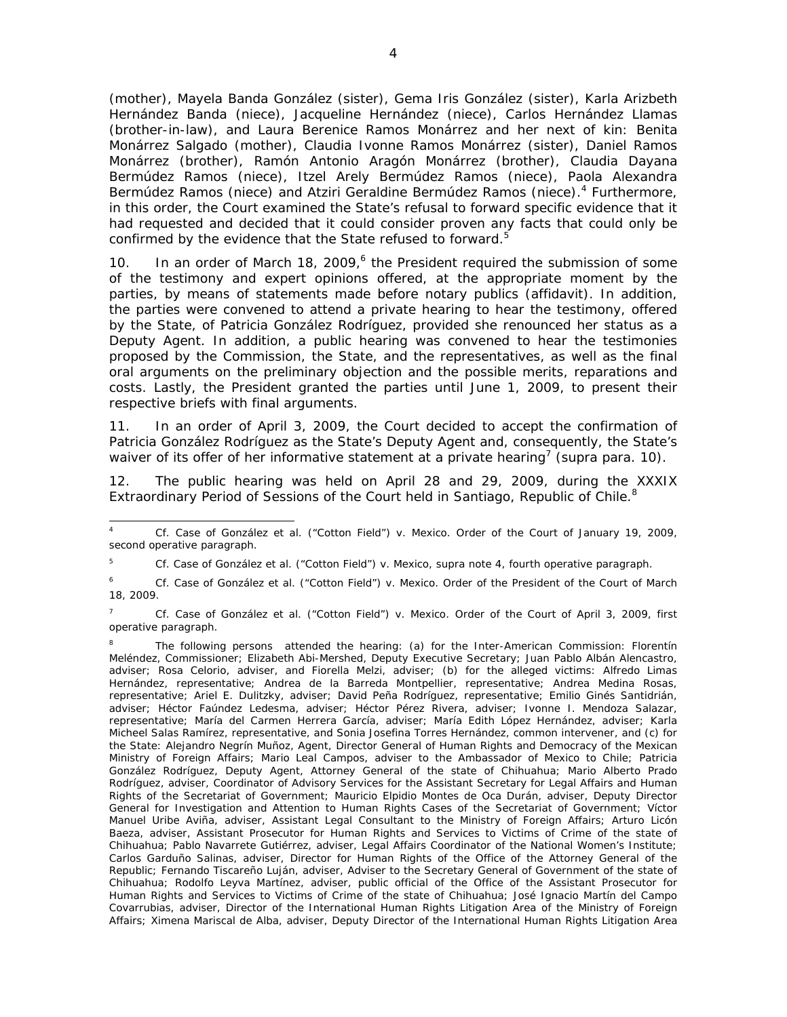(mother), Mayela Banda González (sister), Gema Iris González (sister), Karla Arizbeth Hernández Banda (niece), Jacqueline Hernández (niece), Carlos Hernández Llamas (brother-in-law), and Laura Berenice Ramos Monárrez and her next of kin: Benita Monárrez Salgado (mother), Claudia Ivonne Ramos Monárrez (sister), Daniel Ramos Monárrez (brother), Ramón Antonio Aragón Monárrez (brother), Claudia Dayana Bermúdez Ramos (niece), Itzel Arely Bermúdez Ramos (niece), Paola Alexandra Bermúdez Ramos (niece) and Atziri Geraldine Bermúdez Ramos (niece).<sup>4</sup> Furthermore, in this order, the Court examined the State's refusal to forward specific evidence that it had requested and decided that it could consider proven any facts that could only be confirmed by the evidence that the State refused to forward.<sup>5</sup>

10. In an order of March 18, 2009,<sup>6</sup> the President required the submission of some of the testimony and expert opinions offered, at the appropriate moment by the parties, by means of statements made before notary publics (affidavit). In addition, the parties were convened to attend a private hearing to hear the testimony, offered by the State, of Patricia González Rodríguez, provided she renounced her status as a Deputy Agent. In addition, a public hearing was convened to hear the testimonies proposed by the Commission, the State, and the representatives, as well as the final oral arguments on the preliminary objection and the possible merits, reparations and costs. Lastly, the President granted the parties until June 1, 2009, to present their respective briefs with final arguments.

11. In an order of April 3, 2009, the Court decided to accept the confirmation of Patricia González Rodríguez as the State's Deputy Agent and, consequently, the State's waiver of its offer of her informative statement at a private hearing<sup>7</sup> (supra para. 10).

12. The public hearing was held on April 28 and 29, 2009, during the XXXIX Extraordinary Period of Sessions of the Court held in Santiago, Republic of Chile.<sup>8</sup>

-

<sup>4</sup> *Cf. Case of González et al. ("Cotton Field") v. Mexico*. Order of the Court of January 19, 2009, second operative paragraph.

<sup>5</sup> *Cf. Case of González et al. ("Cotton Field") v. Mexico*, *supra* note 4, fourth operative paragraph.

<sup>6</sup> *Cf. Case of González et al. ("Cotton Field") v. Mexico*. Order of the President of the Court of March 18, 2009.

<sup>7</sup> *Cf. Case of González et al. ("Cotton Field") v. Mexico*. Order of the Court of April 3, 2009, first operative paragraph.

The following persons attended the hearing: (a) for the Inter-American Commission: Florentín Meléndez, Commissioner; Elizabeth Abi-Mershed, Deputy Executive Secretary; Juan Pablo Albán Alencastro, adviser; Rosa Celorio, adviser, and Fiorella Melzi, adviser; (b) for the alleged victims: Alfredo Limas Hernández, representative; Andrea de la Barreda Montpellier, representative; Andrea Medina Rosas, representative; Ariel E. Dulitzky, adviser; David Peña Rodríguez, representative; Emilio Ginés Santidrián, adviser; Héctor Faúndez Ledesma, adviser; Héctor Pérez Rivera, adviser; Ivonne I. Mendoza Salazar, representative; María del Carmen Herrera García, adviser; María Edith López Hernández, adviser; Karla Micheel Salas Ramírez, representative, and Sonia Josefina Torres Hernández, common intervener, and (c) for the State: Alejandro Negrín Muñoz, Agent, Director General of Human Rights and Democracy of the Mexican Ministry of Foreign Affairs; Mario Leal Campos, adviser to the Ambassador of Mexico to Chile; Patricia González Rodríguez, Deputy Agent, Attorney General of the state of Chihuahua; Mario Alberto Prado Rodríguez, adviser, Coordinator of Advisory Services for the Assistant Secretary for Legal Affairs and Human Rights of the Secretariat of Government; Mauricio Elpidio Montes de Oca Durán, adviser, Deputy Director General for Investigation and Attention to Human Rights Cases of the Secretariat of Government; Víctor Manuel Uribe Aviña, adviser, Assistant Legal Consultant to the Ministry of Foreign Affairs; Arturo Licón Baeza, adviser, Assistant Prosecutor for Human Rights and Services to Victims of Crime of the state of Chihuahua; Pablo Navarrete Gutiérrez, adviser, Legal Affairs Coordinator of the National Women's Institute; Carlos Garduño Salinas, adviser, Director for Human Rights of the Office of the Attorney General of the Republic; Fernando Tiscareño Luján, adviser, Adviser to the Secretary General of Government of the state of Chihuahua; Rodolfo Leyva Martínez, adviser, public official of the Office of the Assistant Prosecutor for Human Rights and Services to Victims of Crime of the state of Chihuahua; José Ignacio Martín del Campo Covarrubias, adviser, Director of the International Human Rights Litigation Area of the Ministry of Foreign Affairs; Ximena Mariscal de Alba, adviser, Deputy Director of the International Human Rights Litigation Area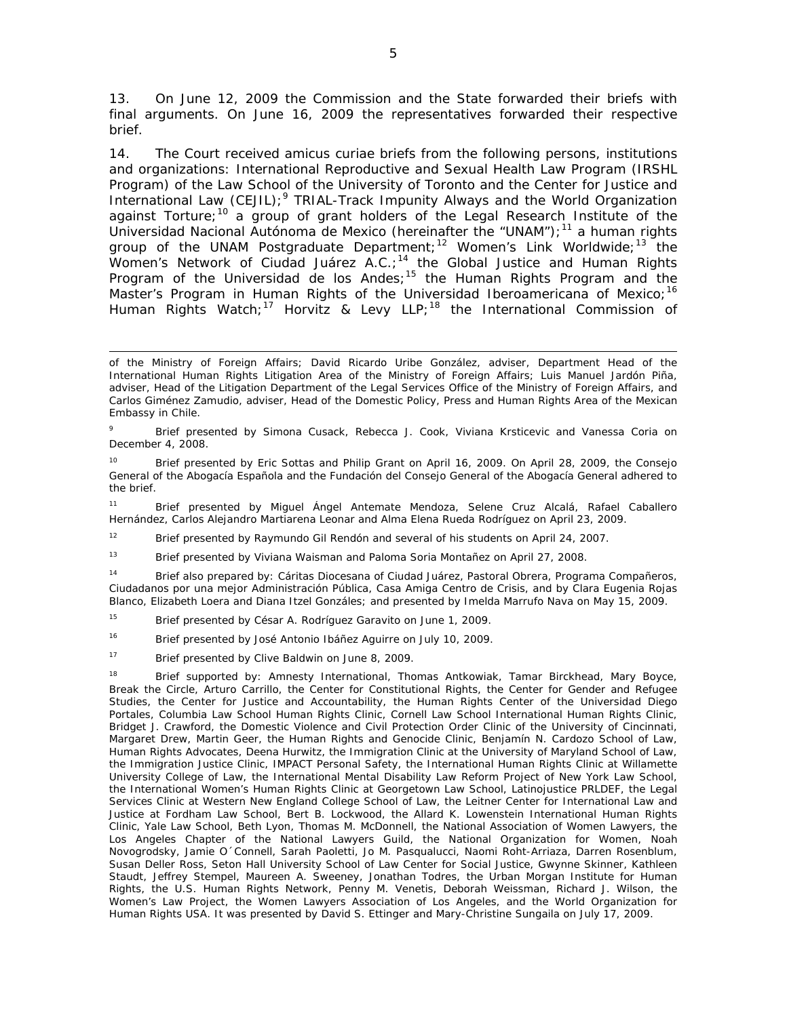13. On June 12, 2009 the Commission and the State forwarded their briefs with final arguments. On June 16, 2009 the representatives forwarded their respective brief.

14. The Court received *amicus curiae* briefs from the following persons, institutions and organizations: International Reproductive and Sexual Health Law Program (IRSHL Program) of the Law School of the University of Toronto and the Center for Justice and International Law (CEJIL);<sup>9</sup> TRIAL-Track Impunity Always and the World Organization against Torture;<sup>10</sup> a group of grant holders of the Legal Research Institute of the Universidad Nacional Autónoma de Mexico (hereinafter the "UNAM");<sup>11</sup> a human rights group of the UNAM Postgraduate Department;<sup>12</sup> Women's Link Worldwide;<sup>13</sup> the Women's Network of Ciudad Juárez A.C.;<sup>14</sup> the Global Justice and Human Rights Program of the Universidad de los Andes;<sup>15</sup> the Human Rights Program and the Master's Program in Human Rights of the Universidad Iberoamericana of Mexico;<sup>16</sup> Human Rights Watch;<sup>17</sup> Horvitz & Levy LLP;<sup>18</sup> the International Commission of

10 Brief presented by Eric Sottas and Philip Grant on April 16, 2009. On April 28, 2009, the *Consejo General of the Abogacía Española* and the *Fundación del Consejo General of the Abogacía General* adhered to the brief.

11 Brief presented by Miguel Ángel Antemate Mendoza, Selene Cruz Alcalá, Rafael Caballero Hernández, Carlos Alejandro Martiarena Leonar and Alma Elena Rueda Rodríguez on April 23, 2009.

<sup>12</sup> Brief presented by Raymundo Gil Rendón and several of his students on April 24, 2007.

13 Brief presented by Viviana Waisman and Paloma Soria Montañez on April 27, 2008.

14 Brief also prepared by: *Cáritas Diocesana* of Ciudad Juárez, *Pastoral Obrera, Programa Compañeros, Ciudadanos por una mejor Administración Pública, Casa Amiga Centro de Crisis*, and by Clara Eugenia Rojas Blanco, Elizabeth Loera and Diana Itzel Gonzáles; and presented by Imelda Marrufo Nava on May 15, 2009.

- 15 Brief presented by César A. Rodríguez Garavito on June 1, 2009.
- 16 Brief presented by José Antonio Ibáñez Aguirre on July 10, 2009.
- 17 Brief presented by Clive Baldwin on June 8, 2009.

j

18 Brief supported by: Amnesty International, Thomas Antkowiak, Tamar Birckhead, Mary Boyce, Break the Circle, Arturo Carrillo, the Center for Constitutional Rights, the Center for Gender and Refugee Studies, the Center for Justice and Accountability, the Human Rights Center of the Universidad Diego Portales, Columbia Law School Human Rights Clinic, Cornell Law School International Human Rights Clinic, Bridget J. Crawford, the Domestic Violence and Civil Protection Order Clinic of the University of Cincinnati, Margaret Drew, Martin Geer, the Human Rights and Genocide Clinic, Benjamín N. Cardozo School of Law, Human Rights Advocates, Deena Hurwitz, the Immigration Clinic at the University of Maryland School of Law, the Immigration Justice Clinic, IMPACT Personal Safety, the International Human Rights Clinic at Willamette University College of Law, the International Mental Disability Law Reform Project of New York Law School, the International Women's Human Rights Clinic at Georgetown Law School, Latinojustice PRLDEF, the Legal Services Clinic at Western New England College School of Law, the Leitner Center for International Law and Justice at Fordham Law School, Bert B. Lockwood, the Allard K. Lowenstein International Human Rights Clinic, Yale Law School, Beth Lyon, Thomas M. McDonnell, the National Association of Women Lawyers, the Los Angeles Chapter of the National Lawyers Guild, the National Organization for Women, Noah Novogrodsky, Jamie O´Connell, Sarah Paoletti, Jo M. Pasqualucci, Naomi Roht-Arriaza, Darren Rosenblum, Susan Deller Ross, Seton Hall University School of Law Center for Social Justice, Gwynne Skinner, Kathleen Staudt, Jeffrey Stempel, Maureen A. Sweeney, Jonathan Todres, the Urban Morgan Institute for Human Rights, the U.S. Human Rights Network, Penny M. Venetis, Deborah Weissman, Richard J. Wilson, the Women's Law Project, the Women Lawyers Association of Los Angeles, and the World Organization for Human Rights USA. It was presented by David S. Ettinger and Mary-Christine Sungaila on July 17, 2009.

of the Ministry of Foreign Affairs; David Ricardo Uribe González, adviser, Department Head of the International Human Rights Litigation Area of the Ministry of Foreign Affairs; Luis Manuel Jardón Piña, adviser, Head of the Litigation Department of the Legal Services Office of the Ministry of Foreign Affairs, and Carlos Giménez Zamudio, adviser, Head of the Domestic Policy, Press and Human Rights Area of the Mexican Embassy in Chile.

<sup>9</sup> Brief presented by Simona Cusack, Rebecca J. Cook, Viviana Krsticevic and Vanessa Coria on December 4, 2008.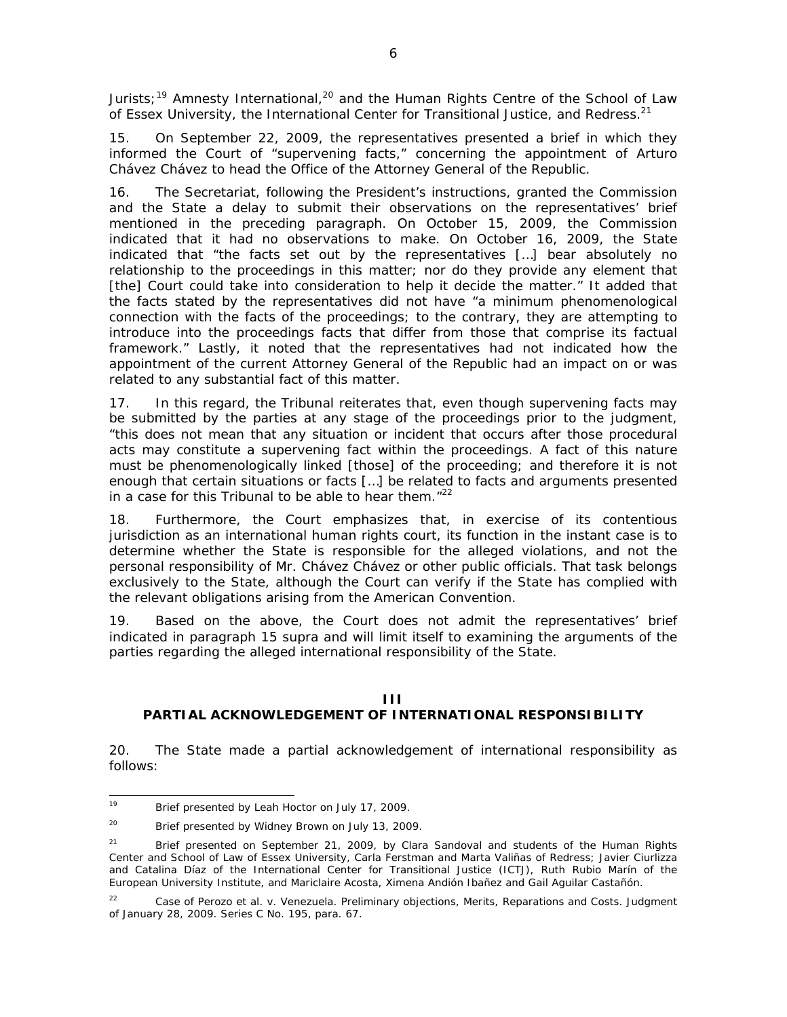Jurists;<sup>19</sup> Amnesty International,<sup>20</sup> and the Human Rights Centre of the School of Law of Essex University, the International Center for Transitional Justice, and Redress.<sup>21</sup>

15. On September 22, 2009, the representatives presented a brief in which they informed the Court of "supervening facts," concerning the appointment of Arturo Chávez Chávez to head the Office of the Attorney General of the Republic.

16. The Secretariat, following the President's instructions, granted the Commission and the State a delay to submit their observations on the representatives' brief mentioned in the preceding paragraph. On October 15, 2009, the Commission indicated that it had no observations to make. On October 16, 2009, the State indicated that "the facts set out by the representatives […] bear absolutely no relationship to the proceedings in this matter; nor do they provide any element that [the] Court could take into consideration to help it decide the matter." It added that the facts stated by the representatives did not have "a minimum phenomenological connection with the facts of the proceedings; to the contrary, they are attempting to introduce into the proceedings facts that differ from those that comprise its factual framework." Lastly, it noted that the representatives had not indicated how the appointment of the current Attorney General of the Republic had an impact on or was related to any substantial fact of this matter.

17. In this regard, the Tribunal reiterates that, even though supervening facts may be submitted by the parties at any stage of the proceedings prior to the judgment, "this does not mean that any situation or incident that occurs after those procedural acts may constitute a supervening fact within the proceedings. A fact of this nature must be phenomenologically linked [those] of the proceeding; and therefore it is not enough that certain situations or facts […] be related to facts and arguments presented in a case for this Tribunal to be able to hear them. $12^2$ 

18. Furthermore, the Court emphasizes that, in exercise of its contentious jurisdiction as an international human rights court, its function in the instant case is to determine whether the State is responsible for the alleged violations, and not the personal responsibility of Mr. Chávez Chávez or other public officials. That task belongs exclusively to the State, although the Court can verify if the State has complied with the relevant obligations arising from the American Convention.

19. Based on the above, the Court does not admit the representatives' brief indicated in paragraph 15 *supra* and will limit itself to examining the arguments of the parties regarding the alleged international responsibility of the State.

# **III**

# **PARTIAL ACKNOWLEDGEMENT OF INTERNATIONAL RESPONSIBILITY**

20. The State made a partial acknowledgement of international responsibility as follows:

<sup>19</sup> Brief presented by Leah Hoctor on July 17, 2009.

<sup>20</sup> Brief presented by Widney Brown on July 13, 2009.

<sup>&</sup>lt;sup>21</sup> Brief presented on September 21, 2009, by Clara Sandoval and students of the Human Rights Center and School of Law of Essex University, Carla Ferstman and Marta Valiñas of Redress; Javier Ciurlizza and Catalina Díaz of the International Center for Transitional Justice (ICTJ), Ruth Rubio Marín of the European University Institute, and Mariclaire Acosta, Ximena Andión Ibañez and Gail Aguilar Castañón.

<sup>22</sup> *Case of Perozo et al. v. Venezuela. Preliminary objections, Merits, Reparations and Costs.* Judgment of January 28, 2009. Series C No. 195, para. 67.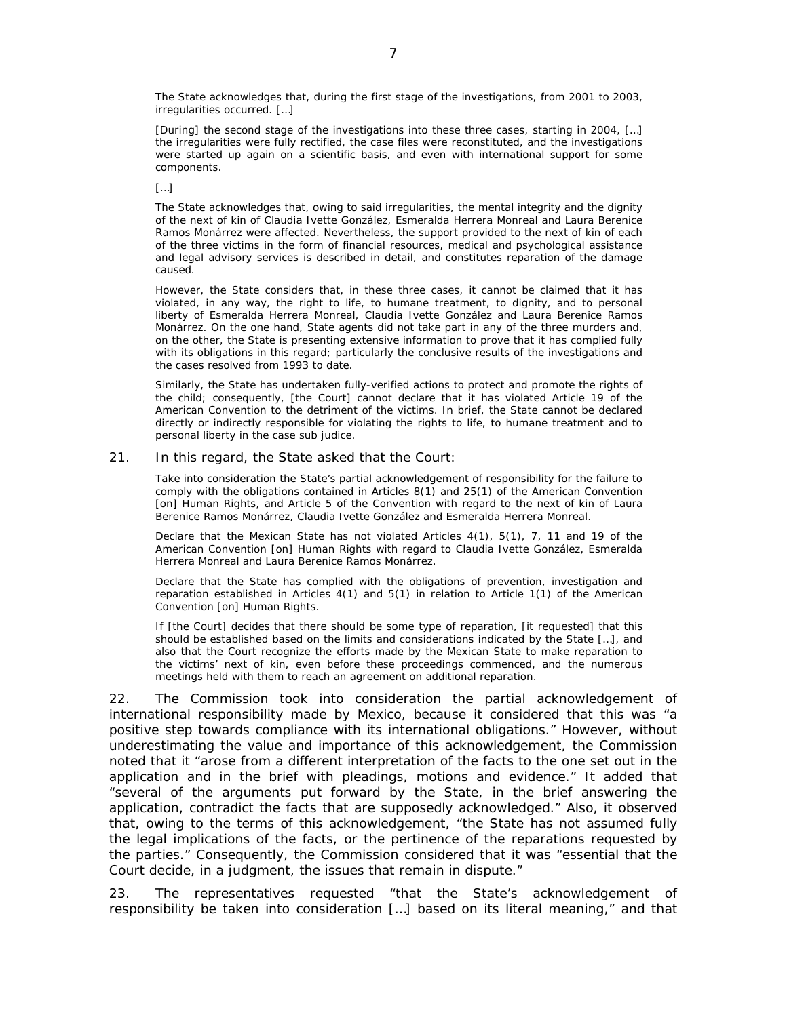The State acknowledges that, during the first stage of the investigations, from 2001 to 2003, irregularities occurred. […]

[During] the second stage of the investigations into these three cases, starting in 2004, […] the irregularities were fully rectified, the case files were reconstituted, and the investigations were started up again on a scientific basis, and even with international support for some components.

#### […]

The State acknowledges that, owing to said irregularities, the mental integrity and the dignity of the next of kin of Claudia Ivette González, Esmeralda Herrera Monreal and Laura Berenice Ramos Monárrez were affected. Nevertheless, the support provided to the next of kin of each of the three victims in the form of financial resources, medical and psychological assistance and legal advisory services is described in detail, and constitutes reparation of the damage caused.

However, the State considers that, in these three cases, it cannot be claimed that it has violated, in any way, the right to life, to humane treatment, to dignity, and to personal liberty of Esmeralda Herrera Monreal, Claudia Ivette González and Laura Berenice Ramos Monárrez. On the one hand, State agents did not take part in any of the three murders and, on the other, the State is presenting extensive information to prove that it has complied fully with its obligations in this regard; particularly the conclusive results of the investigations and the cases resolved from 1993 to date.

Similarly, the State has undertaken fully-verified actions to protect and promote the rights of the child; consequently, [the Court] cannot declare that it has violated Article 19 of the American Convention to the detriment of the victims. In brief, the State cannot be declared directly or indirectly responsible for violating the rights to life, to humane treatment and to personal liberty in the case *sub judice*.

#### 21. In this regard, the State asked that the Court:

Take into consideration the State's partial acknowledgement of responsibility for the failure to comply with the obligations contained in Articles 8(1) and 25(1) of the American Convention [on] Human Rights, and Article 5 of the Convention with regard to the next of kin of Laura Berenice Ramos Monárrez, Claudia Ivette González and Esmeralda Herrera Monreal.

Declare that the Mexican State has not violated Articles 4(1), 5(1), 7, 11 and 19 of the American Convention [on] Human Rights with regard to Claudia Ivette González, Esmeralda Herrera Monreal and Laura Berenice Ramos Monárrez.

Declare that the State has complied with the obligations of prevention, investigation and reparation established in Articles 4(1) and 5(1) in relation to Article 1(1) of the American Convention [on] Human Rights.

If [the Court] decides that there should be some type of reparation, [it requested] that this should be established based on the limits and considerations indicated by the State […], and also that the Court recognize the efforts made by the Mexican State to make reparation to the victims' next of kin, even before these proceedings commenced, and the numerous meetings held with them to reach an agreement on additional reparation.

22. The Commission took into consideration the partial acknowledgement of international responsibility made by Mexico, because it considered that this was "a positive step towards compliance with its international obligations." However, without underestimating the value and importance of this acknowledgement, the Commission noted that it "arose from a different interpretation of the facts to the one set out in the application and in the brief with pleadings, motions and evidence." It added that "several of the arguments put forward by the State, in the brief answering the application, contradict the facts that are supposedly acknowledged." Also, it observed that, owing to the terms of this acknowledgement, "the State has not assumed fully the legal implications of the facts, or the pertinence of the reparations requested by the parties." Consequently, the Commission considered that it was "essential that the Court decide, in a judgment, the issues that remain in dispute."

23. The representatives requested "that the State's acknowledgement of responsibility be taken into consideration […] based on its literal meaning," and that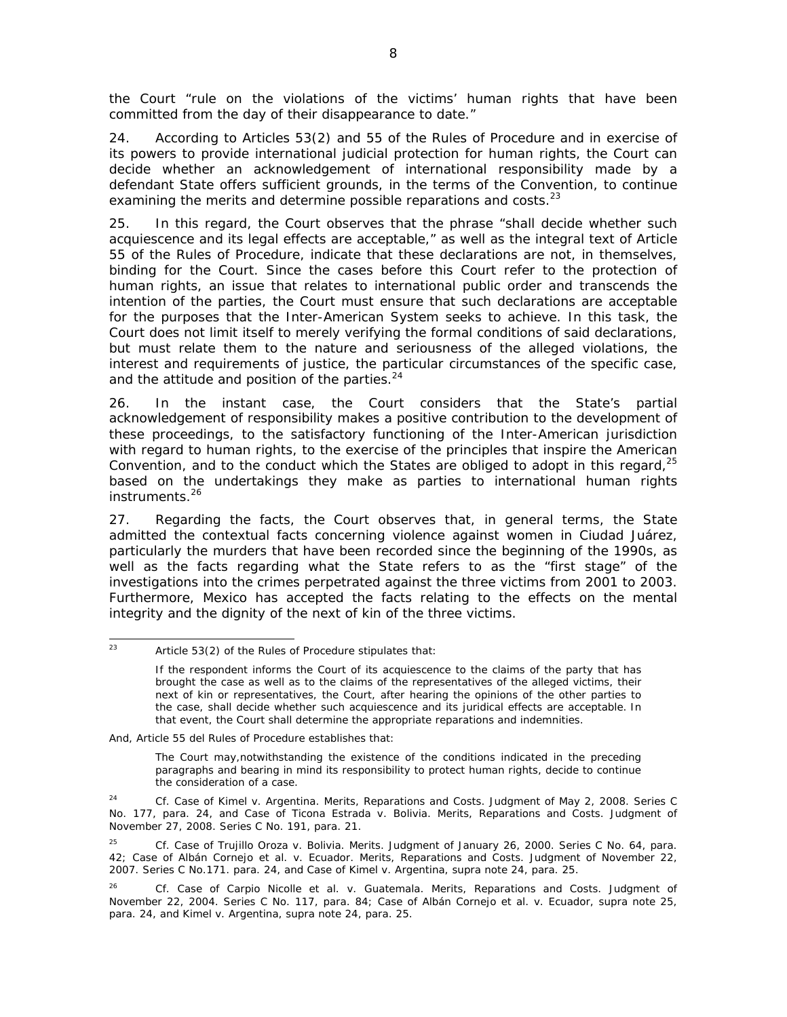the Court "rule on the violations of the victims' human rights that have been committed from the day of their disappearance to date."

24. According to Articles 53(2) and 55 of the Rules of Procedure and in exercise of its powers to provide international judicial protection for human rights, the Court can decide whether an acknowledgement of international responsibility made by a defendant State offers sufficient grounds, in the terms of the Convention, to continue examining the merits and determine possible reparations and costs.<sup>23</sup>

25. In this regard, the Court observes that the phrase "shall decide whether such acquiescence and its legal effects are acceptable," as well as the integral text of Article 55 of the Rules of Procedure, indicate that these declarations are not, in themselves, binding for the Court. Since the cases before this Court refer to the protection of human rights, an issue that relates to international public order and transcends the intention of the parties, the Court must ensure that such declarations are acceptable for the purposes that the Inter-American System seeks to achieve. In this task, the Court does not limit itself to merely verifying the formal conditions of said declarations, but must relate them to the nature and seriousness of the alleged violations, the interest and requirements of justice, the particular circumstances of the specific case, and the attitude and position of the parties. $24$ 

26. In the instant case, the Court considers that the State's partial acknowledgement of responsibility makes a positive contribution to the development of these proceedings, to the satisfactory functioning of the Inter-American jurisdiction with regard to human rights, to the exercise of the principles that inspire the American Convention, and to the conduct which the States are obliged to adopt in this regard, $^{25}$ based on the undertakings they make as parties to international human rights instruments.<sup>26</sup>

27. Regarding the facts, the Court observes that, in general terms, the State admitted the contextual facts concerning violence against women in Ciudad Juárez, particularly the murders that have been recorded since the beginning of the 1990s, as well as the facts regarding what the State refers to as the "first stage" of the investigations into the crimes perpetrated against the three victims from 2001 to 2003. Furthermore, Mexico has accepted the facts relating to the effects on the mental integrity and the dignity of the next of kin of the three victims.

And, Article 55 del Rules of Procedure establishes that:

 $23$ Article 53(2) of the Rules of Procedure stipulates that:

If the respondent informs the Court of its acquiescence to the claims of the party that has brought the case as well as to the claims of the representatives of the alleged victims, their next of kin or representatives, the Court, after hearing the opinions of the other parties to the case, shall decide whether such acquiescence and its juridical effects are acceptable. In that event, the Court shall determine the appropriate reparations and indemnities.

The Court may,notwithstanding the existence of the conditions indicated in the preceding paragraphs and bearing in mind its responsibility to protect human rights, decide to continue the consideration of a case.

<sup>24</sup> *Cf. Case of Kimel v. Argentina*. *Merits, Reparations and Costs*. Judgment of May 2, 2008. Series C No. 177, para. 24, and *Case of Ticona Estrada v. Bolivia. Merits, Reparations and Costs.* Judgment of November 27, 2008. Series C No. 191, para. 21.

<sup>25</sup> *Cf. Case of Trujillo Oroza v. Bolivia*. *Merits*. Judgment of January 26, 2000. Series C No. 64, para. 42; *Case of Albán Cornejo et al. v. Ecuador*. *Merits, Reparations and Costs*. Judgment of November 22, 2007. Series C No.171. para. 24, and *Case of Kimel v. Argentina*, *supra* note 24, para. 25.

<sup>26</sup> *Cf. Case of Carpio Nicolle et al. v. Guatemala*. *Merits, Reparations and Costs*. Judgment of November 22, 2004. Series C No. 117, para. 84; *Case of Albán Cornejo et al. v. Ecuador*, *supra* note 25, para. 24, and *Kimel v. Argentina*, *supra* note 24, para. 25.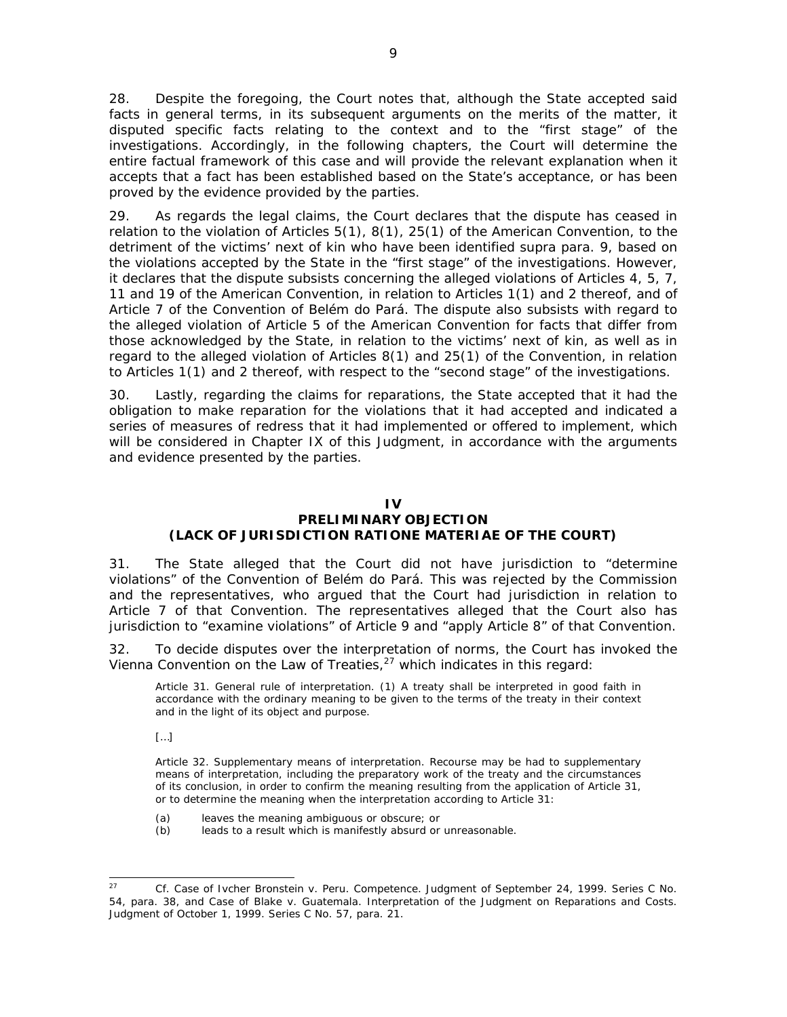28. Despite the foregoing, the Court notes that, although the State accepted said facts in general terms, in its subsequent arguments on the merits of the matter, it disputed specific facts relating to the context and to the "first stage" of the investigations. Accordingly, in the following chapters, the Court will determine the entire factual framework of this case and will provide the relevant explanation when it accepts that a fact has been established based on the State's acceptance, or has been proved by the evidence provided by the parties.

29. As regards the legal claims, the Court declares that the dispute has ceased in relation to the violation of Articles 5(1), 8(1), 25(1) of the American Convention, to the detriment of the victims' next of kin who have been identified *supra* para. 9, based on the violations accepted by the State in the "first stage" of the investigations. However, it declares that the dispute subsists concerning the alleged violations of Articles 4, 5, 7, 11 and 19 of the American Convention, in relation to Articles 1(1) and 2 thereof, and of Article 7 of the Convention of Belém do Pará. The dispute also subsists with regard to the alleged violation of Article 5 of the American Convention for facts that differ from those acknowledged by the State, in relation to the victims' next of kin, as well as in regard to the alleged violation of Articles 8(1) and 25(1) of the Convention, in relation to Articles 1(1) and 2 thereof, with respect to the "second stage" of the investigations.

30. Lastly, regarding the claims for reparations, the State accepted that it had the obligation to make reparation for the violations that it had accepted and indicated a series of measures of redress that it had implemented or offered to implement, which will be considered in Chapter IX of this Judgment, in accordance with the arguments and evidence presented by the parties.

#### **IV**

#### **PRELIMINARY OBJECTION (LACK OF JURISDICTION** *RATIONE MATERIAE* **OF THE COURT)**

31. The State alleged that the Court did not have jurisdiction to "determine violations" of the Convention of Belém do Pará. This was rejected by the Commission and the representatives, who argued that the Court had jurisdiction in relation to Article 7 of that Convention. The representatives alleged that the Court also has jurisdiction to "examine violations" of Article 9 and "apply Article 8" of that Convention.

32. To decide disputes over the interpretation of norms, the Court has invoked the Vienna Convention on the Law of Treaties, $^{27}$  which indicates in this regard:

Article 31. General rule of interpretation. (1) A treaty shall be interpreted in good faith in accordance with the ordinary meaning to be given to the terms of the treaty in their context and in the light of its object and purpose.

[…]

Article 32. Supplementary means of interpretation. Recourse may be had to supplementary means of interpretation, including the preparatory work of the treaty and the circumstances of its conclusion, in order to confirm the meaning resulting from the application of Article 31, or to determine the meaning when the interpretation according to Article 31:

- (a) leaves the meaning ambiguous or obscure; or
- (b) leads to a result which is manifestly absurd or unreasonable.

 $27$ 27 *Cf. Case of Ivcher Bronstein v. Peru. Competence.* Judgment of September 24, 1999. Series C No. 54, para. 38, and *Case of Blake v. Guatemala. Interpretation of the Judgment on Reparations and Costs.* Judgment of October 1, 1999. Series C No. 57, para. 21.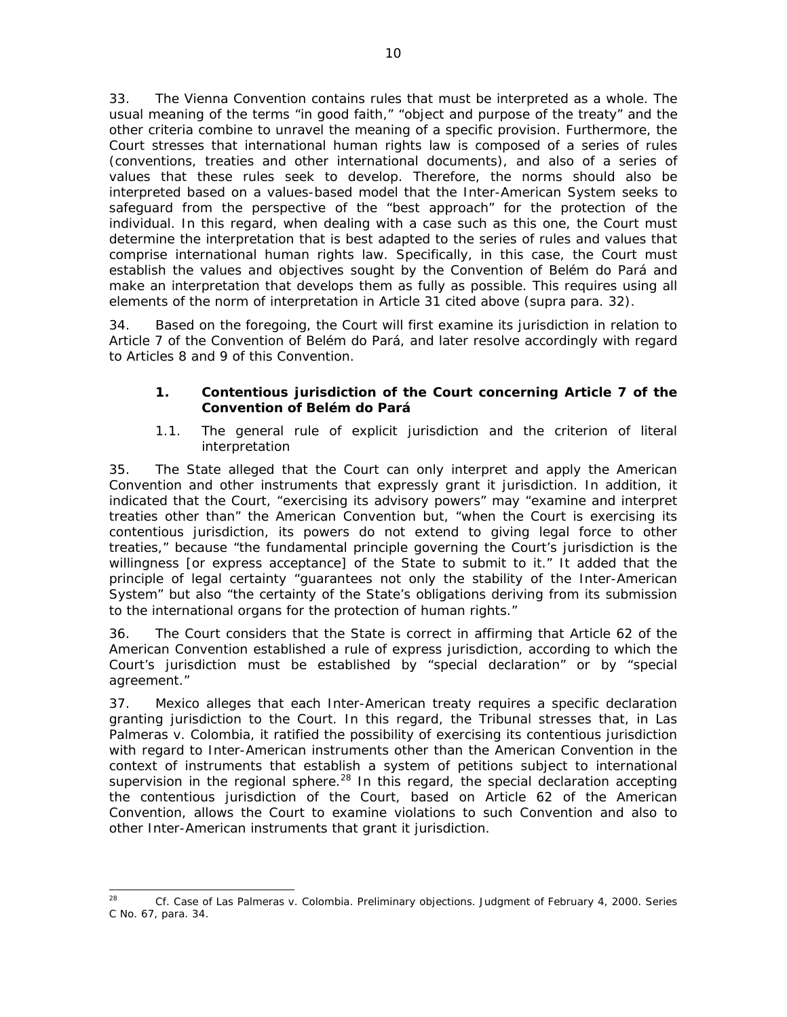33. The Vienna Convention contains rules that must be interpreted as a whole. The usual meaning of the terms "in good faith," "object and purpose of the treaty" and the other criteria combine to unravel the meaning of a specific provision. Furthermore, the Court stresses that international human rights law is composed of a series of rules (conventions, treaties and other international documents), and also of a series of values that these rules seek to develop. Therefore, the norms should also be interpreted based on a values-based model that the Inter-American System seeks to safeguard from the perspective of the "best approach" for the protection of the individual. In this regard, when dealing with a case such as this one, the Court must determine the interpretation that is best adapted to the series of rules and values that comprise international human rights law. Specifically, in this case, the Court must establish the values and objectives sought by the Convention of Belém do Pará and make an interpretation that develops them as fully as possible. This requires using all elements of the norm of interpretation in Article 31 cited above (*supra* para. 32).

34. Based on the foregoing, the Court will first examine its jurisdiction in relation to Article 7 of the Convention of Belém do Pará, and later resolve accordingly with regard to Articles 8 and 9 of this Convention.

# *1. Contentious jurisdiction of the Court concerning Article 7 of the Convention of Belém do Pará*

# 1.1. The general rule of explicit jurisdiction and the criterion of literal *interpretation*

35. The State alleged that the Court can only interpret and apply the American Convention and other instruments that expressly grant it jurisdiction. In addition, it indicated that the Court, "exercising its advisory powers" may "examine and interpret treaties other than" the American Convention but, "when the Court is exercising its contentious jurisdiction, its powers do not extend to giving legal force to other treaties," because "the fundamental principle governing the Court's jurisdiction is the willingness [or express acceptance] of the State to submit to it." It added that the principle of legal certainty "guarantees not only the stability of the Inter-American System" but also "the certainty of the State's obligations deriving from its submission to the international organs for the protection of human rights."

36. The Court considers that the State is correct in affirming that Article 62 of the American Convention established a rule of express jurisdiction, according to which the Court's jurisdiction must be established by "special declaration" or by "special agreement."

37. Mexico alleges that each Inter-American treaty requires a specific declaration granting jurisdiction to the Court. In this regard, the Tribunal stresses that, in *Las Palmeras v. Colombia,* it ratified the possibility of exercising its contentious jurisdiction with regard to Inter-American instruments other than the American Convention in the context of instruments that establish a system of petitions subject to international supervision in the regional sphere.<sup>28</sup> In this regard, the special declaration accepting the contentious jurisdiction of the Court, based on Article 62 of the American Convention, allows the Court to examine violations to such Convention and also to other Inter-American instruments that grant it jurisdiction.

 $28$ 28 *Cf. Case of Las Palmeras v. Colombia. Preliminary objections.* Judgment of February 4, 2000. Series C No. 67, para. 34.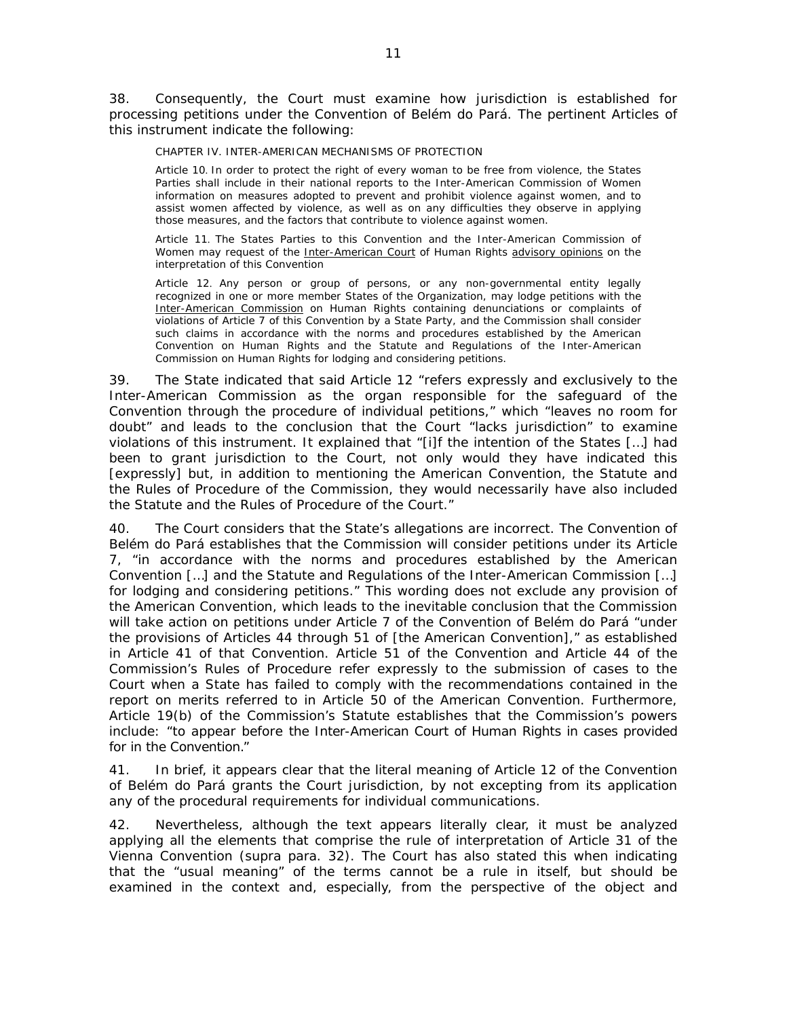38. Consequently, the Court must examine how jurisdiction is established for processing petitions under the Convention of Belém do Pará. The pertinent Articles of this instrument indicate the following:

CHAPTER IV. INTER-AMERICAN MECHANISMS OF PROTECTION

Article 10. In order to protect the right of every woman to be free from violence, the States Parties shall include in their national reports to the Inter-American Commission of Women information on measures adopted to prevent and prohibit violence against women, and to assist women affected by violence, as well as on any difficulties they observe in applying those measures, and the factors that contribute to violence against women.

Article 11. The States Parties to this Convention and the Inter-American Commission of Women may request of the *Inter-American Court* of Human Rights advisory opinions on the interpretation of this Convention

Article 12. Any person or group of persons, or any non-governmental entity legally recognized in one or more member States of the Organization, may lodge petitions with the Inter-American Commission on Human Rights containing denunciations or complaints of violations of Article 7 of this Convention by a State Party, and the Commission shall consider such claims in accordance with the norms and procedures established by the American Convention on Human Rights and the Statute and Regulations of the Inter-American Commission on Human Rights for lodging and considering petitions.

39. The State indicated that said Article 12 "refers expressly and exclusively to the Inter-American Commission as the organ responsible for the safeguard of the Convention through the procedure of individual petitions," which "leaves no room for doubt" and leads to the conclusion that the Court "lacks jurisdiction" to examine violations of this instrument. It explained that "[i]f the intention of the States […] had been to grant jurisdiction to the Court, not only would they have indicated this [expressly] but, in addition to mentioning the American Convention, the Statute and the Rules of Procedure of the Commission, they would necessarily have also included the Statute and the Rules of Procedure of the Court."

40. The Court considers that the State's allegations are incorrect. The Convention of Belém do Pará establishes that the Commission will consider petitions under its Article 7, "in accordance with the norms and procedures established by the American Convention […] and the Statute and Regulations of the Inter-American Commission […] for lodging and considering petitions." This wording does not exclude any provision of the American Convention, which leads to the inevitable conclusion that the Commission will take action on petitions under Article 7 of the Convention of Belém do Pará "under the provisions of Articles 44 through 51 of [the American Convention]," as established in Article 41 of that Convention. Article 51 of the Convention and Article 44 of the Commission's Rules of Procedure refer expressly to the submission of cases to the Court when a State has failed to comply with the recommendations contained in the report on merits referred to in Article 50 of the American Convention. Furthermore, Article 19(b) of the Commission's Statute establishes that the Commission's powers include: "to appear before the Inter-American Court of Human Rights in cases provided for in the Convention."

41. In brief, it appears clear that the literal meaning of Article 12 of the Convention of Belém do Pará grants the Court jurisdiction, by not excepting from its application any of the procedural requirements for individual communications.

42. Nevertheless, although the text appears literally clear, it must be analyzed applying all the elements that comprise the rule of interpretation of Article 31 of the Vienna Convention (*supra* para. 32). The Court has also stated this when indicating that the "usual meaning" of the terms cannot be a rule in itself, but should be examined in the context and, especially, from the perspective of the object and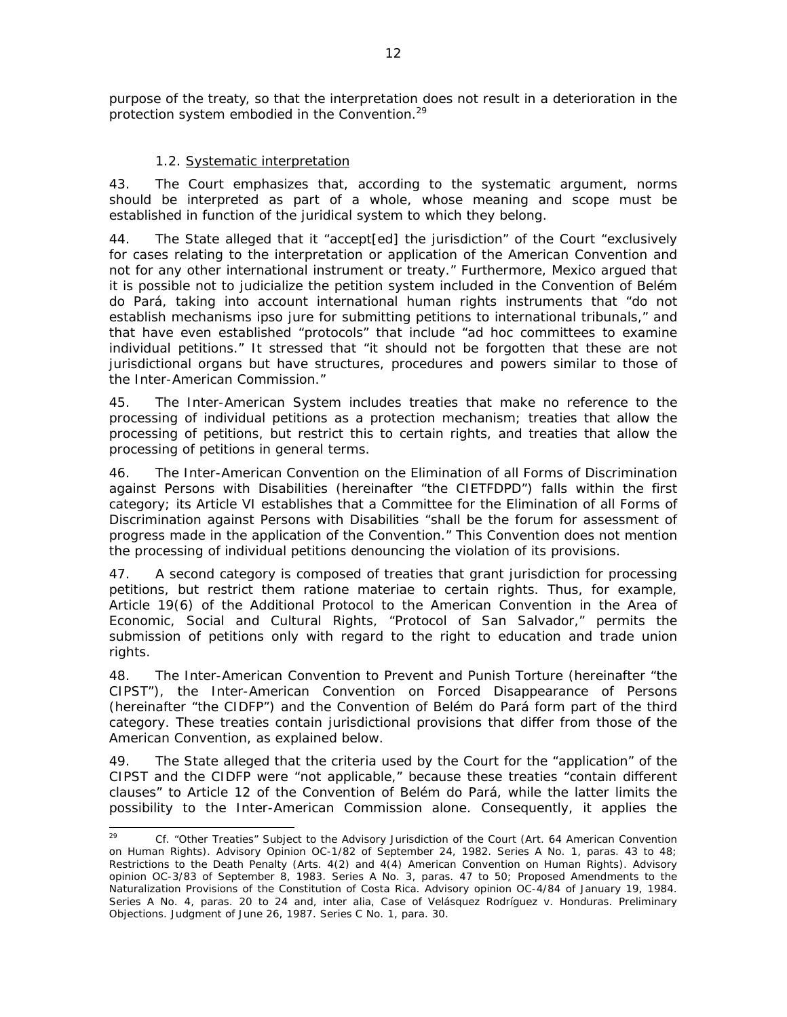purpose of the treaty, so that the interpretation does not result in a deterioration in the protection system embodied in the Convention.<sup>29</sup>

# *1.2. Systematic interpretation*

-

43. The Court emphasizes that, according to the systematic argument, norms should be interpreted as part of a whole, whose meaning and scope must be established in function of the juridical system to which they belong.

44. The State alleged that it "accept[ed] the jurisdiction" of the Court "exclusively for cases relating to the interpretation or application of the American Convention and not for any other international instrument or treaty." Furthermore, Mexico argued that it is possible not to judicialize the petition system included in the Convention of Belém do Pará, taking into account international human rights instruments that "do not establish mechanisms *ipso jure* for submitting petitions to international tribunals," and that have even established "protocols" that include "*ad hoc* committees to examine individual petitions." It stressed that "it should not be forgotten that these are not jurisdictional organs but have structures, procedures and powers similar to those of the Inter-American Commission."

45. The Inter-American System includes treaties that make no reference to the processing of individual petitions as a protection mechanism; treaties that allow the processing of petitions, but restrict this to certain rights, and treaties that allow the processing of petitions in general terms.

46. The Inter-American Convention on the Elimination of all Forms of Discrimination against Persons with Disabilities (hereinafter "the CIETFDPD") falls within the first category; its Article VI establishes that a Committee for the Elimination of all Forms of Discrimination against Persons with Disabilities "shall be the forum for assessment of progress made in the application of the Convention." This Convention does not mention the processing of individual petitions denouncing the violation of its provisions.

47. A second category is composed of treaties that grant jurisdiction for processing petitions, but restrict them *ratione materiae* to certain rights. Thus, for example, Article 19(6) of the Additional Protocol to the American Convention in the Area of Economic, Social and Cultural Rights, "Protocol of San Salvador," permits the submission of petitions only with regard to the right to education and trade union rights.

48. The Inter-American Convention to Prevent and Punish Torture (hereinafter "the CIPST"), the Inter-American Convention on Forced Disappearance of Persons (hereinafter "the CIDFP") and the Convention of Belém do Pará form part of the third category. These treaties contain jurisdictional provisions that differ from those of the American Convention, as explained below.

49. The State alleged that the criteria used by the Court for the "application" of the CIPST and the CIDFP were "not applicable," because these treaties "contain different clauses" to Article 12 of the Convention of Belém do Pará, while the latter limits the possibility to the Inter-American Commission alone. Consequently, it applies the

<sup>29</sup> *Cf. "Other Treaties" Subject to the Advisory Jurisdiction of the Court* (Art. 64 American Convention on Human Rights)*.* Advisory Opinion OC-1/82 of September 24, 1982. Series A No. 1, paras. 43 to 48; *Restrictions to the Death Penalty* (Arts. 4(2) and 4(4) American Convention on Human Rights)*.* Advisory opinion OC-3/83 of September 8, 1983. Series A No. 3, paras. 47 to 50; *Proposed Amendments to the Naturalization Provisions of the Constitution of Costa Rica.* Advisory opinion OC-4/84 of January 19, 1984. Series A No. 4, paras. 20 to 24 and, *inter alia, Case of Velásquez Rodríguez v. Honduras. Preliminary Objections.* Judgment of June 26, 1987. Series C No. 1, para. 30.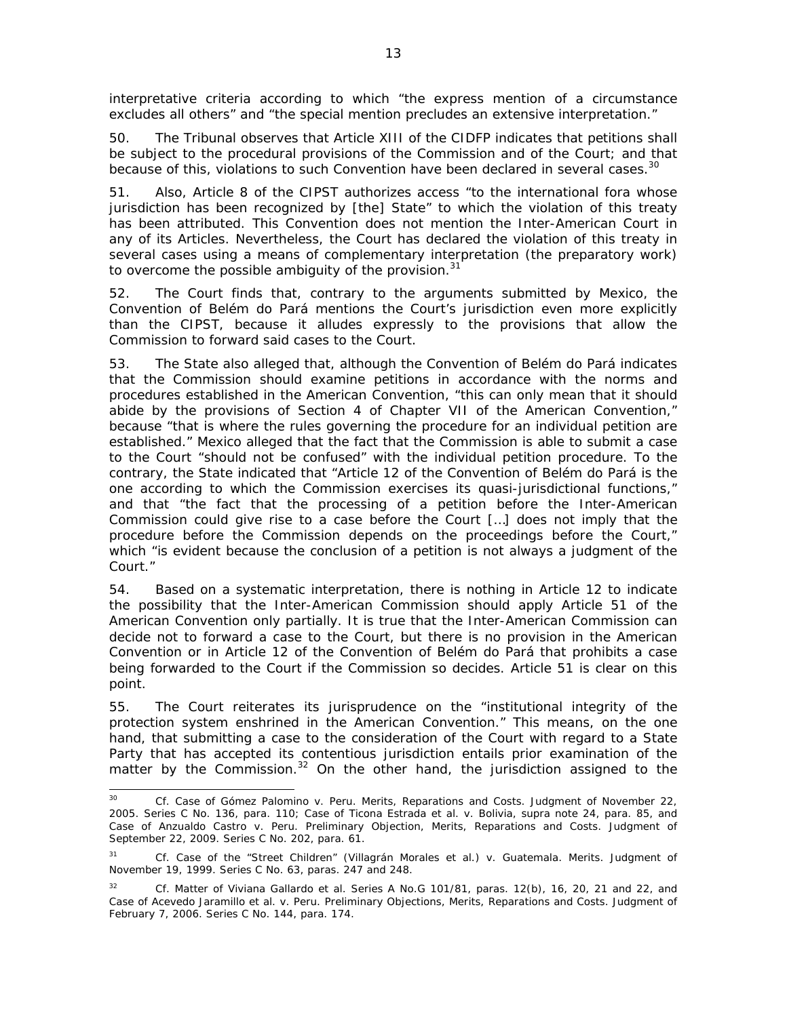interpretative criteria according to which "the express mention of a circumstance excludes all others" and "the special mention precludes an extensive interpretation."

50. The Tribunal observes that Article XIII of the CIDFP indicates that petitions shall be subject to the procedural provisions of the Commission and of the Court; and that because of this, violations to such Convention have been declared in several cases.<sup>30</sup>

51. Also, Article 8 of the CIPST authorizes access "to the international fora whose jurisdiction has been recognized by [the] State" to which the violation of this treaty has been attributed. This Convention does not mention the Inter-American Court in any of its Articles. Nevertheless, the Court has declared the violation of this treaty in several cases using a means of complementary interpretation (the preparatory work) to overcome the possible ambiguity of the provision. $31$ 

52. The Court finds that, contrary to the arguments submitted by Mexico, the Convention of Belém do Pará mentions the Court's jurisdiction even more explicitly than the CIPST, because it alludes expressly to the provisions that allow the Commission to forward said cases to the Court.

53. The State also alleged that, although the Convention of Belém do Pará indicates that the Commission should examine petitions in accordance with the norms and procedures established in the American Convention, "this can only mean that it should abide by the provisions of Section 4 of Chapter VII of the American Convention," because "that is where the rules governing the procedure for an individual petition are established." Mexico alleged that the fact that the Commission is able to submit a case to the Court "should not be confused" with the individual petition procedure. To the contrary, the State indicated that "Article 12 of the Convention of Belém do Pará is the one according to which the Commission exercises its quasi-jurisdictional functions," and that "the fact that the processing of a petition before the Inter-American Commission could give rise to a case before the Court […] does not imply that the procedure before the Commission depends on the proceedings before the Court," which "is evident because the conclusion of a petition is not always a judgment of the Court."

54. Based on a systematic interpretation, there is nothing in Article 12 to indicate the possibility that the Inter-American Commission should apply Article 51 of the American Convention only partially. It is true that the Inter-American Commission can decide not to forward a case to the Court, but there is no provision in the American Convention or in Article 12 of the Convention of Belém do Pará that prohibits a case being forwarded to the Court if the Commission so decides. Article 51 is clear on this point.

55. The Court reiterates its jurisprudence on the "institutional integrity of the protection system enshrined in the American Convention." This means, on the one hand, that submitting a case to the consideration of the Court with regard to a State Party that has accepted its contentious jurisdiction entails prior examination of the matter by the Commission.<sup>32</sup> On the other hand, the jurisdiction assigned to the

 $\mathfrak{g}_0$ <sup>30</sup> *Cf. Case of Gómez Palomino v. Peru. Merits, Reparations and Costs.* Judgment of November 22, 2005. Series C No. 136, para. 110; *Case of Ticona Estrada et al. v. Bolivia, supra* note 24, para. 85, and *Case of Anzualdo Castro v. Peru. Preliminary Objection, Merits, Reparations and Costs.* Judgment of September 22, 2009. Series C No. 202, para. 61.

<sup>31</sup> *Cf. Case of the "Street Children" (Villagrán Morales et al.) v. Guatemala. Merits.* Judgment of November 19, 1999. Series C No. 63, paras. 247 and 248.

<sup>32</sup> *Cf. Matter of Viviana Gallardo et al.* Series A No.G 101/81, paras. 12(b), 16, 20, 21 and 22, and *Case of Acevedo Jaramillo et al. v. Peru. Preliminary Objections, Merits, Reparations and Costs.* Judgment of February 7, 2006. Series C No. 144, para. 174.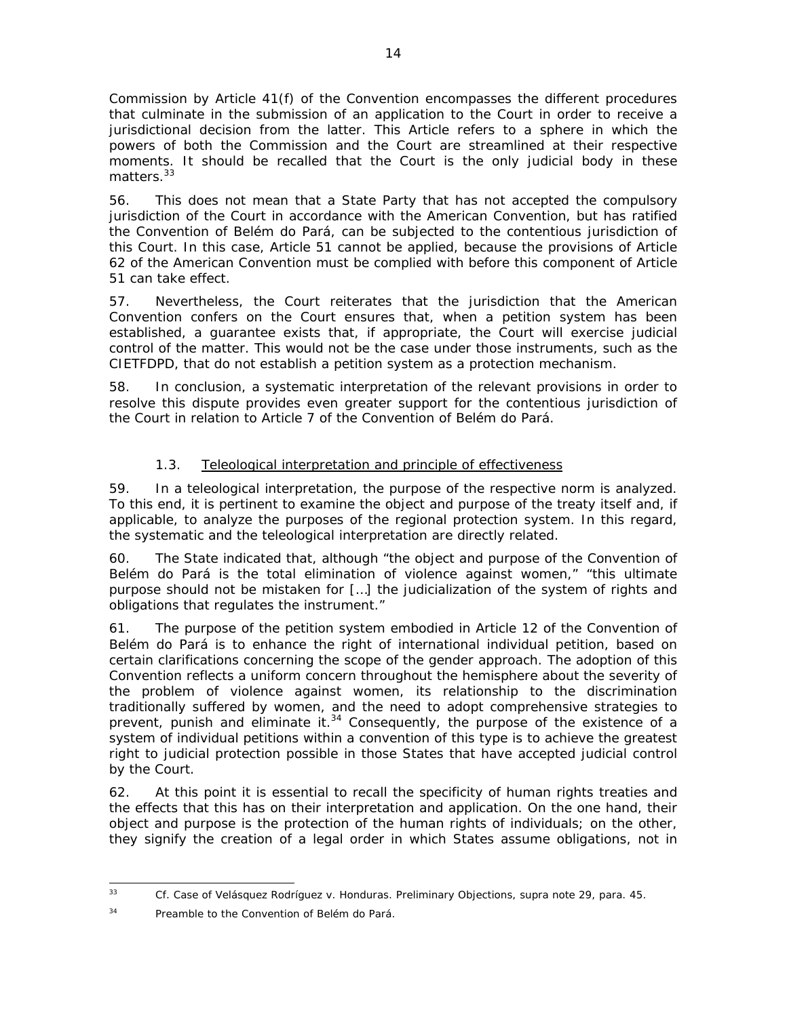Commission by Article 41(f) of the Convention encompasses the different procedures that culminate in the submission of an application to the Court in order to receive a jurisdictional decision from the latter. This Article refers to a sphere in which the powers of both the Commission and the Court are streamlined at their respective moments. It should be recalled that the Court is the only judicial body in these matters.<sup>33</sup>

56. This does not mean that a State Party that has not accepted the compulsory jurisdiction of the Court in accordance with the American Convention, but has ratified the Convention of Belém do Pará, can be subjected to the contentious jurisdiction of this Court. In this case, Article 51 cannot be applied, because the provisions of Article 62 of the American Convention must be complied with before this component of Article 51 can take effect.

57. Nevertheless, the Court reiterates that the jurisdiction that the American Convention confers on the Court ensures that, when a petition system has been established, a guarantee exists that, if appropriate, the Court will exercise judicial control of the matter. This would not be the case under those instruments, such as the CIETFDPD, that do not establish a petition system as a protection mechanism.

58. In conclusion, a systematic interpretation of the relevant provisions in order to resolve this dispute provides even greater support for the contentious jurisdiction of the Court in relation to Article 7 of the Convention of Belém do Pará.

# *1.3. Teleological interpretation and principle of effectiveness*

59. In a teleological interpretation, the purpose of the respective norm is analyzed. To this end, it is pertinent to examine the object and purpose of the treaty itself and, if applicable, to analyze the purposes of the regional protection system. In this regard, the systematic and the teleological interpretation are directly related.

60. The State indicated that, although "the object and purpose of the Convention of Belém do Pará is the total elimination of violence against women," "this ultimate purpose should not be mistaken for […] the judicialization of the system of rights and obligations that regulates the instrument."

61. The purpose of the petition system embodied in Article 12 of the Convention of Belém do Pará is to enhance the right of international individual petition, based on certain clarifications concerning the scope of the gender approach. The adoption of this Convention reflects a uniform concern throughout the hemisphere about the severity of the problem of violence against women, its relationship to the discrimination traditionally suffered by women, and the need to adopt comprehensive strategies to prevent, punish and eliminate it.<sup>34</sup> Consequently, the purpose of the existence of a system of individual petitions within a convention of this type is to achieve the greatest right to judicial protection possible in those States that have accepted judicial control by the Court.

62. At this point it is essential to recall the specificity of human rights treaties and the effects that this has on their interpretation and application. On the one hand, their object and purpose is the protection of the human rights of individuals; on the other, they signify the creation of a legal order in which States assume obligations, not in

<sup>33</sup> 33 *Cf. Case of Velásquez Rodríguez v. Honduras. Preliminary Objections, supra* note 29, para. 45.

<sup>34</sup> Preamble to the Convention of Belém do Pará.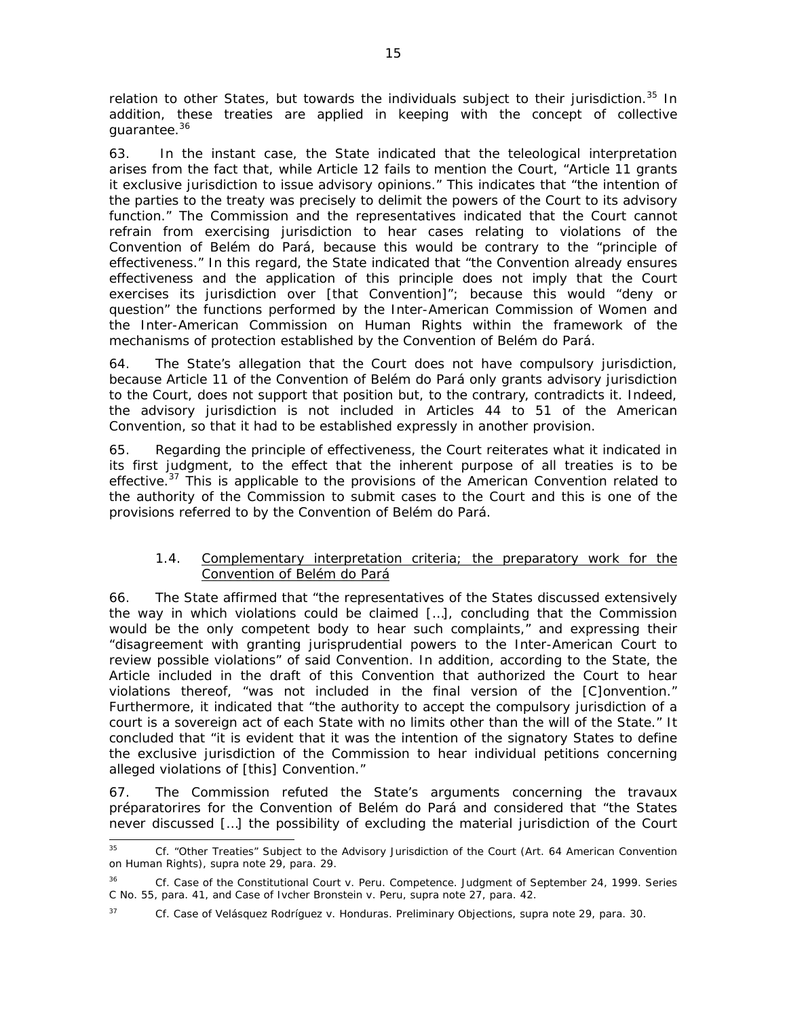relation to other States, but towards the individuals subject to their jurisdiction.<sup>35</sup> In addition, these treaties are applied in keeping with the concept of collective guarantee.36

63. In the instant case, the State indicated that the teleological interpretation arises from the fact that, while Article 12 fails to mention the Court, "Article 11 grants it exclusive jurisdiction to issue advisory opinions." This indicates that "the intention of the parties to the treaty was precisely to delimit the powers of the Court to its advisory function." The Commission and the representatives indicated that the Court cannot refrain from exercising jurisdiction to hear cases relating to violations of the Convention of Belém do Pará, because this would be contrary to the "principle of effectiveness." In this regard, the State indicated that "the Convention already ensures effectiveness and the application of this principle does not imply that the Court exercises its jurisdiction over [that Convention]"; because this would "deny or question" the functions performed by the Inter-American Commission of Women and the Inter-American Commission on Human Rights within the framework of the mechanisms of protection established by the Convention of Belém do Pará.

64. The State's allegation that the Court does not have compulsory jurisdiction, because Article 11 of the Convention of Belém do Pará only grants advisory jurisdiction to the Court, does not support that position but, to the contrary, contradicts it. Indeed, the advisory jurisdiction is not included in Articles 44 to 51 of the American Convention, so that it had to be established expressly in another provision.

65. Regarding the principle of effectiveness, the Court reiterates what it indicated in its first judgment, to the effect that the inherent purpose of all treaties is to be effective.<sup>37</sup> This is applicable to the provisions of the American Convention related to the authority of the Commission to submit cases to the Court and this is one of the provisions referred to by the Convention of Belém do Pará.

# *1.4. Complementary interpretation criteria; the preparatory work for the Convention of Belém do Pará*

66. The State affirmed that "the representatives of the States discussed extensively the way in which violations could be claimed […], concluding that the Commission would be the only competent body to hear such complaints," and expressing their "disagreement with granting jurisprudential powers to the Inter-American Court to review possible violations" of said Convention. In addition, according to the State, the Article included in the draft of this Convention that authorized the Court to hear violations thereof, "was not included in the final version of the [C]onvention." Furthermore, it indicated that "the authority to accept the compulsory jurisdiction of a court is a sovereign act of each State with no limits other than the will of the State." It concluded that "it is evident that it was the intention of the signatory States to define the exclusive jurisdiction of the Commission to hear individual petitions concerning alleged violations of [this] Convention."

67. The Commission refuted the State's arguments concerning the *travaux préparatorires* for the Convention of Belém do Pará and considered that "the States never discussed […] the possibility of excluding the material jurisdiction of the Court

 $35$ 35 *Cf. "Other Treaties" Subject to the Advisory Jurisdiction of the Court* (Art. 64 American Convention on Human Rights)*, supra* note 29, para. 29.

<sup>36</sup> *Cf. Case of the Constitutional Court v. Peru. Competence*. Judgment of September 24, 1999. Series C No. 55, para. 41, and *Case of Ivcher Bronstein v. Peru, supra* note 27, para. 42.

<sup>37</sup> *Cf. Case of Velásquez Rodríguez v. Honduras. Preliminary Objections, supra* note 29, para. 30.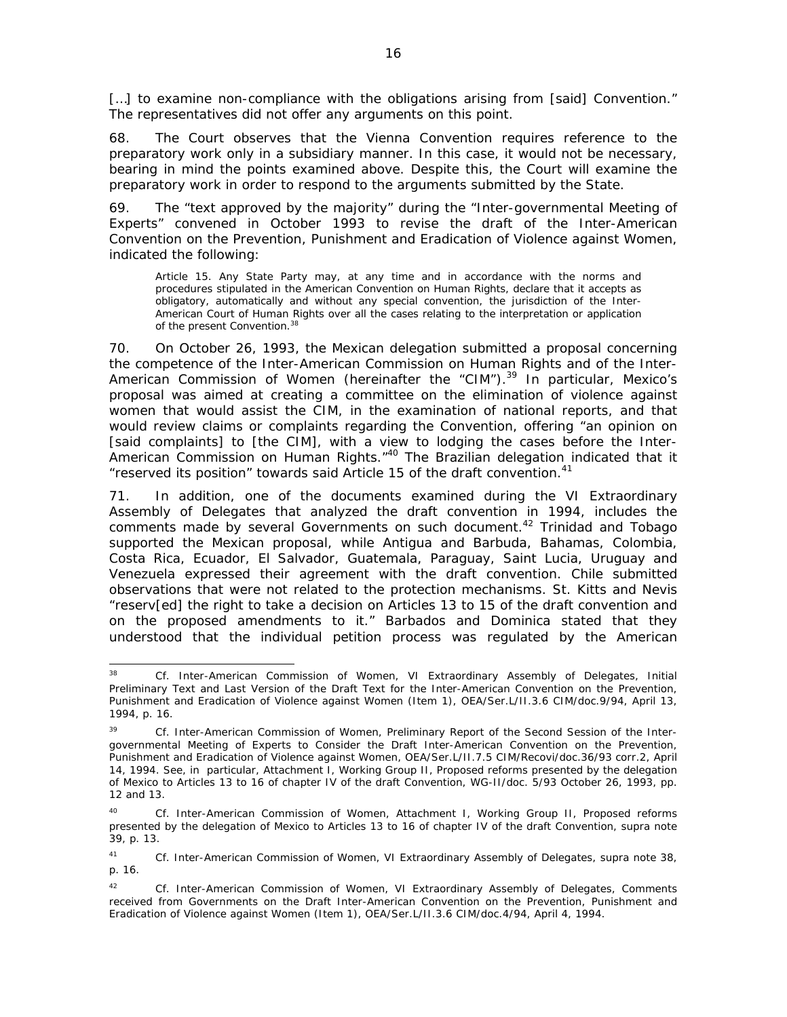[...] to examine non-compliance with the obligations arising from [said] Convention." The representatives did not offer any arguments on this point.

68. The Court observes that the Vienna Convention requires reference to the preparatory work only in a subsidiary manner. In this case, it would not be necessary, bearing in mind the points examined above. Despite this, the Court will examine the preparatory work in order to respond to the arguments submitted by the State.

69. The "text approved by the majority" during the "Inter-governmental Meeting of Experts" convened in October 1993 to revise the draft of the Inter-American Convention on the Prevention, Punishment and Eradication of Violence against Women, indicated the following:

Article 15. Any State Party may, at any time and in accordance with the norms and procedures stipulated in the American Convention on Human Rights, declare that it accepts as obligatory, automatically and without any special convention, the jurisdiction of the Inter-American Court of Human Rights over all the cases relating to the interpretation or application of the present Convention.<sup>38</sup>

70. On October 26, 1993, the Mexican delegation submitted a proposal concerning the competence of the Inter-American Commission on Human Rights and of the Inter-American Commission of Women (hereinafter the "CIM").<sup>39</sup> In particular, Mexico's proposal was aimed at creating a committee on the elimination of violence against women that would assist the CIM, in the examination of national reports, and that would review claims or complaints regarding the Convention, offering "an opinion on [said complaints] to [the CIM], with a view to lodging the cases before the Inter-American Commission on Human Rights.<sup>"40</sup> The Brazilian delegation indicated that it "reserved its position" towards said Article 15 of the draft convention.<sup>41</sup>

71. In addition, one of the documents examined during the VI Extraordinary Assembly of Delegates that analyzed the draft convention in 1994, includes the comments made by several Governments on such document.<sup>42</sup> Trinidad and Tobago supported the Mexican proposal, while Antigua and Barbuda, Bahamas, Colombia, Costa Rica, Ecuador, El Salvador, Guatemala, Paraguay, Saint Lucia, Uruguay and Venezuela expressed their agreement with the draft convention. Chile submitted observations that were not related to the protection mechanisms. St. Kitts and Nevis "reserv[ed] the right to take a decision on Articles 13 to 15 of the draft convention and on the proposed amendments to it." Barbados and Dominica stated that they understood that the individual petition process was regulated by the American

<sup>38</sup> <sup>38</sup> *Cf.* Inter-American Commission of Women, VI Extraordinary Assembly of Delegates, *Initial Preliminary Text and Last Version of the Draft Text for the Inter-American Convention on the Prevention, Punishment and Eradication of Violence against Women* (Item 1), OEA/Ser.L/II.3.6 CIM/doc.9/94, April 13, 1994, p. 16.

<sup>39</sup> *Cf.* Inter-American Commission of Women, *Preliminary Report of the Second Session of the Intergovernmental Meeting of Experts to Consider the Draft Inter-American Convention on the Prevention, Punishment and Eradication of Violence against Women*, OEA/Ser.L/II.7.5 CIM/Recovi/doc.36/93 corr.2, April 14, 1994. See, in particular, Attachment I, Working Group II, *Proposed reforms presented by the delegation of Mexico to Articles 13 to 16 of chapter IV of the draft Convention*, WG-II/doc. 5/93 October 26, 1993, pp. 12 and 13.

<sup>40</sup> *Cf.* Inter-American Commission of Women, Attachment I, Working Group II, *Proposed reforms presented by the delegation of Mexico to Articles 13 to 16 of chapter IV of the draft Convention*, *supra* note 39, p. 13.

<sup>41</sup> *Cf.* Inter-American Commission of Women, VI Extraordinary Assembly of Delegates, *supra* note 38, p. 16.

<sup>42</sup> *Cf.* Inter-American Commission of Women, VI Extraordinary Assembly of Delegates, C*omments received from Governments on the Draft Inter-American Convention on the Prevention, Punishment and Eradication of Violence against Women* (Item 1)*,* OEA/Ser.L/II.3.6 CIM/doc.4/94, April 4, 1994.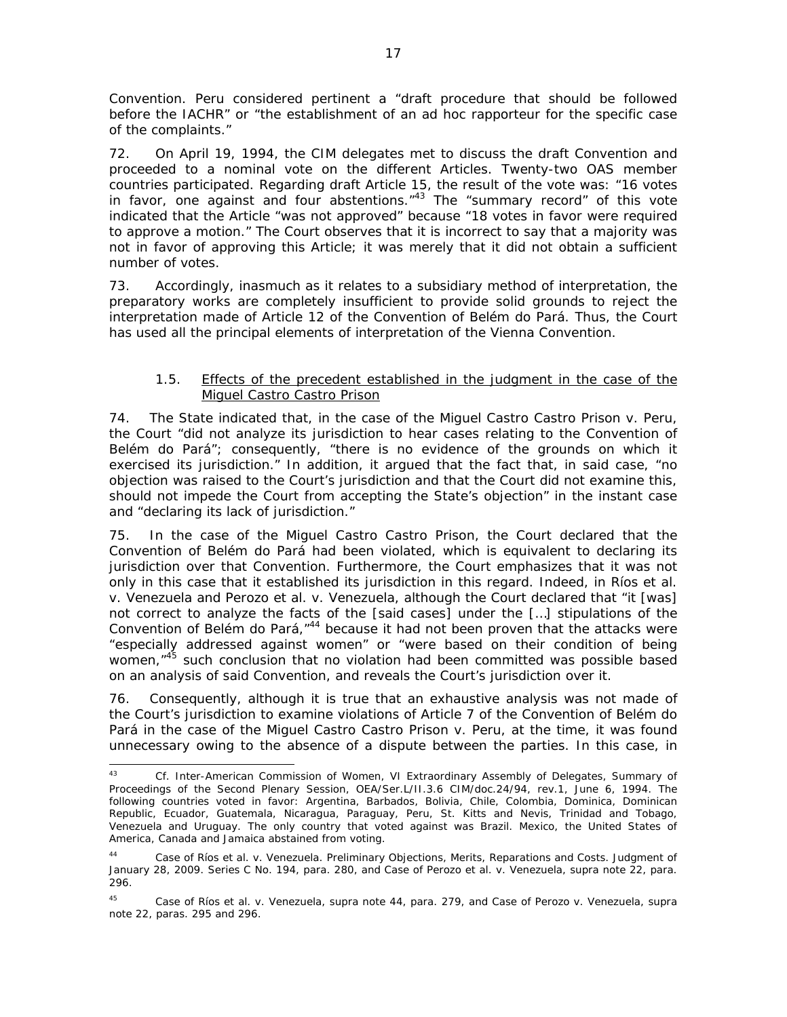Convention. Peru considered pertinent a "draft procedure that should be followed before the IACHR" or "the establishment of an *ad hoc* rapporteur for the specific case of the complaints."

72. On April 19, 1994, the CIM delegates met to discuss the draft Convention and proceeded to a nominal vote on the different Articles. Twenty-two OAS member countries participated. Regarding draft Article 15, the result of the vote was: "16 votes in favor, one against and four abstentions."<sup>43</sup> The "summary record" of this vote indicated that the Article "was not approved" because "18 votes in favor were required to approve a motion." The Court observes that it is incorrect to say that a majority was not in favor of approving this Article; it was merely that it did not obtain a sufficient number of votes.

73. Accordingly, inasmuch as it relates to a subsidiary method of interpretation, the preparatory works are completely insufficient to provide solid grounds to reject the interpretation made of Article 12 of the Convention of Belém do Pará. Thus, the Court has used all the principal elements of interpretation of the Vienna Convention.

#### *1.5. Effects of the precedent established in the judgment in the case of the Miguel Castro Castro Prison*

74. The State indicated that, in the case of the *Miguel Castro Castro Prison v. Peru,*  the Court "did not analyze its jurisdiction to hear cases relating to the Convention of Belém do Pará"; consequently, "there is no evidence of the grounds on which it exercised its jurisdiction." In addition, it argued that the fact that, in said case, "no objection was raised to the Court's jurisdiction and that the Court did not examine this, should not impede the Court from accepting the State's objection" in the instant case and "declaring its lack of jurisdiction."

75. In the case of the *Miguel Castro Castro Prison,* the Court declared that the Convention of Belém do Pará had been violated, which is equivalent to declaring its jurisdiction over that Convention. Furthermore, the Court emphasizes that it was not only in this case that it established its jurisdiction in this regard. Indeed, in *Ríos et al. v. Venezuela* and *Perozo et al. v. Venezuela*, although the Court declared that "it [was] not correct to analyze the facts of the [said cases] under the […] stipulations of the Convention of Belém do Pará, "44 because it had not been proven that the attacks were "especially addressed against women" or "were based on their condition of being women,<sup>"45</sup> such conclusion that no violation had been committed was possible based on an analysis of said Convention, and reveals the Court's jurisdiction over it.

76. Consequently, although it is true that an exhaustive analysis was not made of the Court's jurisdiction to examine violations of Article 7 of the Convention of Belém do Pará in the case of the *Miguel Castro Castro Prison v. Peru,* at the time, it was found unnecessary owing to the absence of a dispute between the parties. In this case, in

 $43$ 43 *Cf.* Inter-American Commission of Women, VI Extraordinary Assembly of Delegates, *Summary of Proceedings of the Second Plenary Session,* OEA/Ser.L/II.3.6 CIM/doc.24/94, rev.1, June 6, 1994. The following countries voted in favor: Argentina, Barbados, Bolivia, Chile, Colombia, Dominica, Dominican Republic, Ecuador, Guatemala, Nicaragua, Paraguay, Peru, St. Kitts and Nevis, Trinidad and Tobago, Venezuela and Uruguay. The only country that voted against was Brazil. Mexico, the United States of America, Canada and Jamaica abstained from voting.

<sup>44</sup> *Case of Ríos et al. v. Venezuela. Preliminary Objections, Merits, Reparations and Costs.* Judgment of January 28, 2009. Series C No. 194, para. 280, and *Case of Perozo et al. v. Venezuela*, *supra* note 22, para. 296.

<sup>45</sup> *Case of Ríos et al. v. Venezuela, supra* note 44, para. 279, and *Case of Perozo v. Venezuela, supra* note 22, paras. 295 and 296.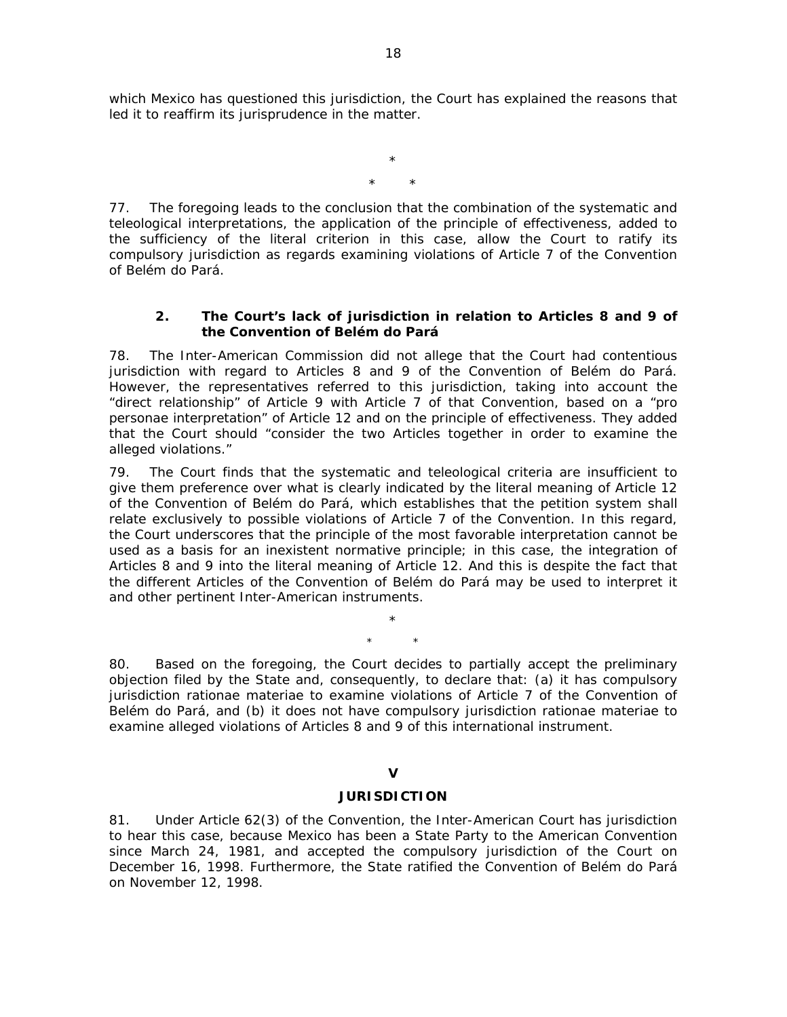which Mexico has questioned this jurisdiction, the Court has explained the reasons that led it to reaffirm its jurisprudence in the matter.

> \* \* \*

77. The foregoing leads to the conclusion that the combination of the systematic and teleological interpretations, the application of the principle of effectiveness, added to the sufficiency of the literal criterion in this case, allow the Court to ratify its compulsory jurisdiction as regards examining violations of Article 7 of the Convention of Belém do Pará.

#### *2. The Court's lack of jurisdiction in relation to Articles 8 and 9 of the Convention of Belém do Pará*

78. The Inter-American Commission did not allege that the Court had contentious jurisdiction with regard to Articles 8 and 9 of the Convention of Belém do Pará. However, the representatives referred to this jurisdiction, taking into account the "direct relationship" of Article 9 with Article 7 of that Convention, based on a "*pro personae* interpretation" of Article 12 and on the principle of effectiveness. They added that the Court should "consider the two Articles together in order to examine the alleged violations."

79. The Court finds that the systematic and teleological criteria are insufficient to give them preference over what is clearly indicated by the literal meaning of Article 12 of the Convention of Belém do Pará, which establishes that the petition system shall relate exclusively to possible violations of Article 7 of the Convention. In this regard, the Court underscores that the principle of the most favorable interpretation cannot be used as a basis for an inexistent normative principle; in this case, the integration of Articles 8 and 9 into the literal meaning of Article 12. And this is despite the fact that the different Articles of the Convention of Belém do Pará may be used to interpret it and other pertinent Inter-American instruments.

80. Based on the foregoing, the Court decides to partially accept the preliminary objection filed by the State and, consequently, to declare that: (a) it has compulsory jurisdiction *rationae materiae* to examine violations of Article 7 of the Convention of Belém do Pará, and (b) it does not have compulsory jurisdiction *rationae materiae* to examine alleged violations of Articles 8 and 9 of this international instrument.

\* \* \*

#### **V**

#### **JURISDICTION**

81. Under Article 62(3) of the Convention, the Inter-American Court has jurisdiction to hear this case, because Mexico has been a State Party to the American Convention since March 24, 1981, and accepted the compulsory jurisdiction of the Court on December 16, 1998. Furthermore, the State ratified the Convention of Belém do Pará on November 12, 1998.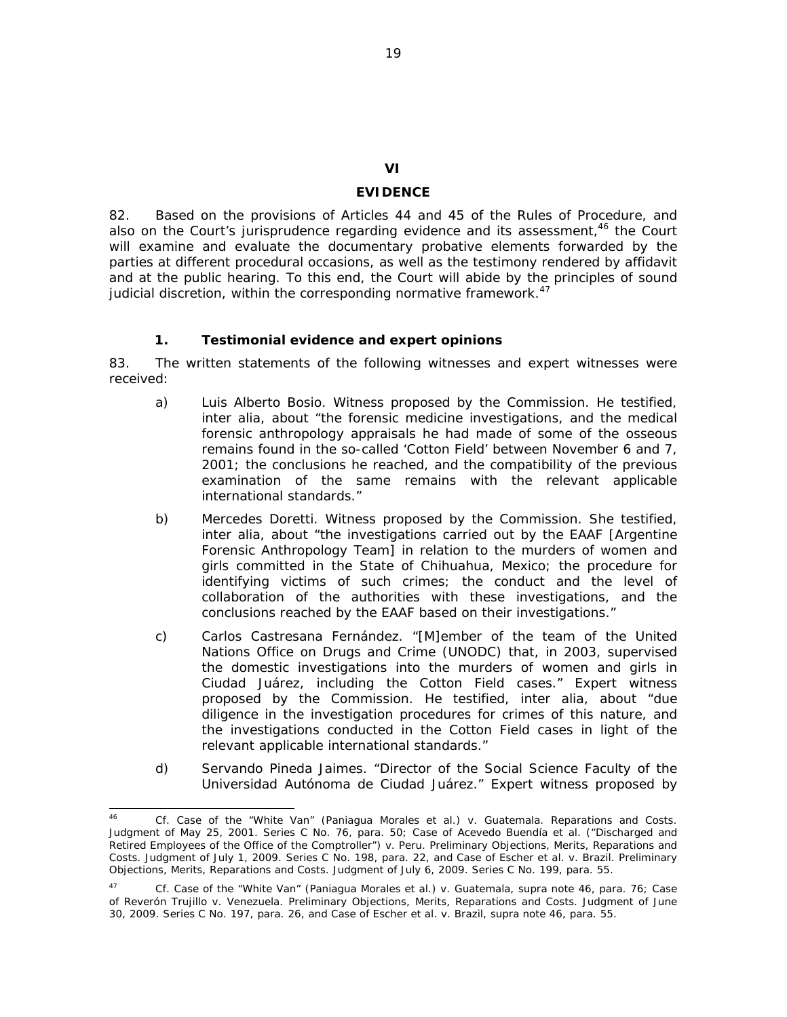# **VI EVIDENCE**

82. Based on the provisions of Articles 44 and 45 of the Rules of Procedure, and also on the Court's jurisprudence regarding evidence and its assessment,<sup>46</sup> the Court will examine and evaluate the documentary probative elements forwarded by the parties at different procedural occasions, as well as the testimony rendered by affidavit and at the public hearing. To this end, the Court will abide by the principles of sound judicial discretion, within the corresponding normative framework.<sup>47</sup>

#### *1. Testimonial evidence and expert opinions*

83. The written statements of the following witnesses and expert witnesses were received:

- a) *Luis Alberto Bosio*. Witness proposed by the Commission. He testified, *inter alia,* about "the forensic medicine investigations, and the medical forensic anthropology appraisals he had made of some of the osseous remains found in the so-called 'Cotton Field' between November 6 and 7, 2001; the conclusions he reached, and the compatibility of the previous examination of the same remains with the relevant applicable international standards."
- b) *Mercedes Doretti*. Witness proposed by the Commission. She testified, *inter alia,* about "the investigations carried out by the EAAF [Argentine Forensic Anthropology Team] in relation to the murders of women and girls committed in the State of Chihuahua, Mexico; the procedure for identifying victims of such crimes; the conduct and the level of collaboration of the authorities with these investigations, and the conclusions reached by the EAAF based on their investigations."
- c) *Carlos Castresana Fernández*. "[M]ember of the team of the United Nations Office on Drugs and Crime (UNODC) that, in 2003, supervised the domestic investigations into the murders of women and girls in Ciudad Juárez, including the Cotton Field cases." Expert witness proposed by the Commission. He testified, *inter alia,* about "due diligence in the investigation procedures for crimes of this nature, and the investigations conducted in the *Cotton Field cases* in light of the relevant applicable international standards."
- d) *Servando Pineda Jaimes.* "Director of the Social Science Faculty of the Universidad Autónoma de Ciudad Juárez." Expert witness proposed by

-

<sup>46</sup> *Cf. Case of the "White Van" (Paniagua Morales et al.) v. Guatemala. Reparations and Costs.* Judgment of May 25, 2001. Series C No. 76, para. 50; *Case of Acevedo Buendía et al. ("Discharged and Retired Employees of the Office of the Comptroller") v. Peru. Preliminary Objections, Merits, Reparations and Costs.* Judgment of July 1, 2009. Series C No. 198, para. 22, and *Case of Escher et al. v. Brazil. Preliminary Objections, Merits, Reparations and Costs.* Judgment of July 6, 2009. Series C No. 199, para. 55.

<sup>47</sup> *Cf. Case of the "White Van" (Paniagua Morales et al.) v. Guatemala*, *supra* note 46, para. 76; *Case of Reverón Trujillo v. Venezuela. Preliminary Objections, Merits, Reparations and Costs.* Judgment of June 30, 2009. Series C No. 197, para. 26, and *Case of Escher et al. v. Brazil, supra* note 46, para. 55.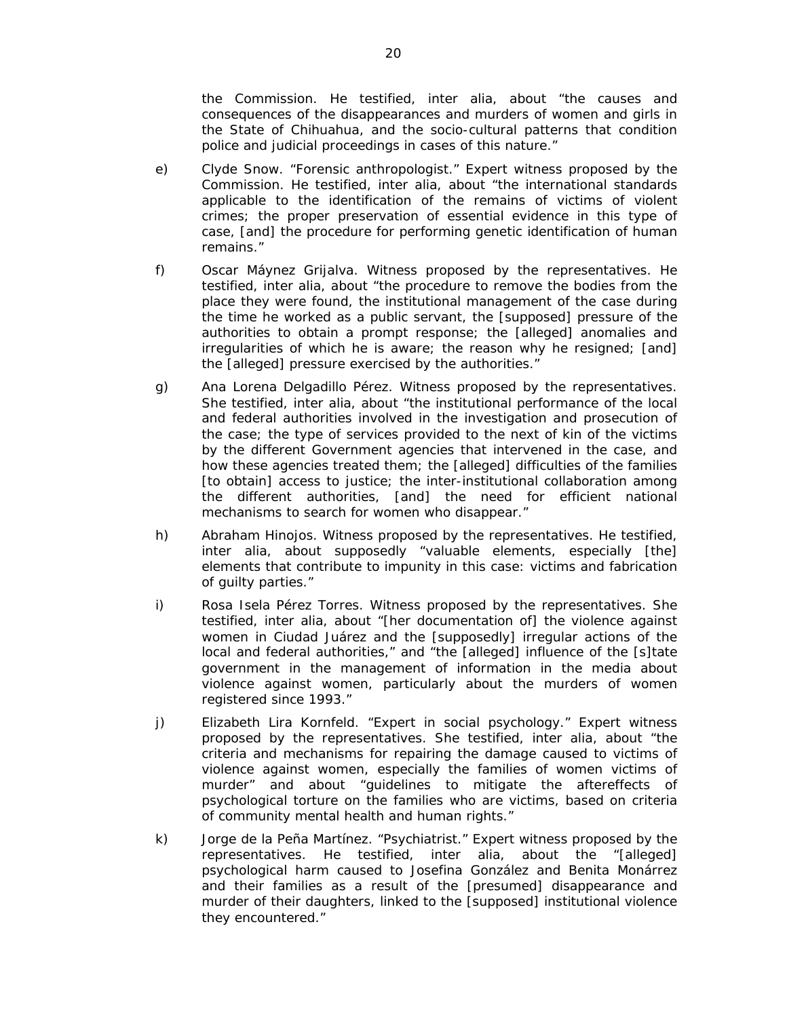the Commission. He testified, *inter alia,* about "the causes and consequences of the disappearances and murders of women and girls in the State of Chihuahua, and the socio-cultural patterns that condition police and judicial proceedings in cases of this nature."

- e) *Clyde Snow. "*Forensic anthropologist." Expert witness proposed by the Commission. He testified, *inter alia,* about "the international standards applicable to the identification of the remains of victims of violent crimes; the proper preservation of essential evidence in this type of case, [and] the procedure for performing genetic identification of human remains."
- f) *Oscar Máynez Grijalva.* Witness proposed by the representatives. He testified, *inter alia,* about "the procedure to remove the bodies from the place they were found, the institutional management of the case during the time he worked as a public servant, the [supposed] pressure of the authorities to obtain a prompt response; the [alleged] anomalies and irregularities of which he is aware; the reason why he resigned; [and] the [alleged] pressure exercised by the authorities."
- g) *Ana Lorena Delgadillo Pérez.* Witness proposed by the representatives. She testified, *inter alia,* about "the institutional performance of the local and federal authorities involved in the investigation and prosecution of the case; the type of services provided to the next of kin of the victims by the different Government agencies that intervened in the case, and how these agencies treated them; the [alleged] difficulties of the families [to obtain] access to justice; the inter-institutional collaboration among the different authorities, [and] the need for efficient national mechanisms to search for women who disappear."
- h) *Abraham Hinojos.* Witness proposed by the representatives. He testified, *inter alia,* about supposedly "valuable elements, especially [the] elements that contribute to impunity in this case: victims and fabrication of guilty parties."
- i) *Rosa Isela Pérez Torres.* Witness proposed by the representatives. She testified, *inter alia,* about "[her documentation of] the violence against women in Ciudad Juárez and the [supposedly] irregular actions of the local and federal authorities," and "the [alleged] influence of the [s]tate government in the management of information in the media about violence against women, particularly about the murders of women registered since 1993."
- j) *Elizabeth Lira Kornfeld. "*Expert in social psychology." Expert witness proposed by the representatives. She testified, *inter alia,* about "the criteria and mechanisms for repairing the damage caused to victims of violence against women, especially the families of women victims of murder" and about "guidelines to mitigate the aftereffects of psychological torture on the families who are victims, based on criteria of community mental health and human rights."
- k) *Jorge de la Peña Martínez*. "Psychiatrist." Expert witness proposed by the representatives. He testified, *inter alia,* about the "[alleged] psychological harm caused to Josefina González and Benita Monárrez and their families as a result of the [presumed] disappearance and murder of their daughters, linked to the [supposed] institutional violence they encountered."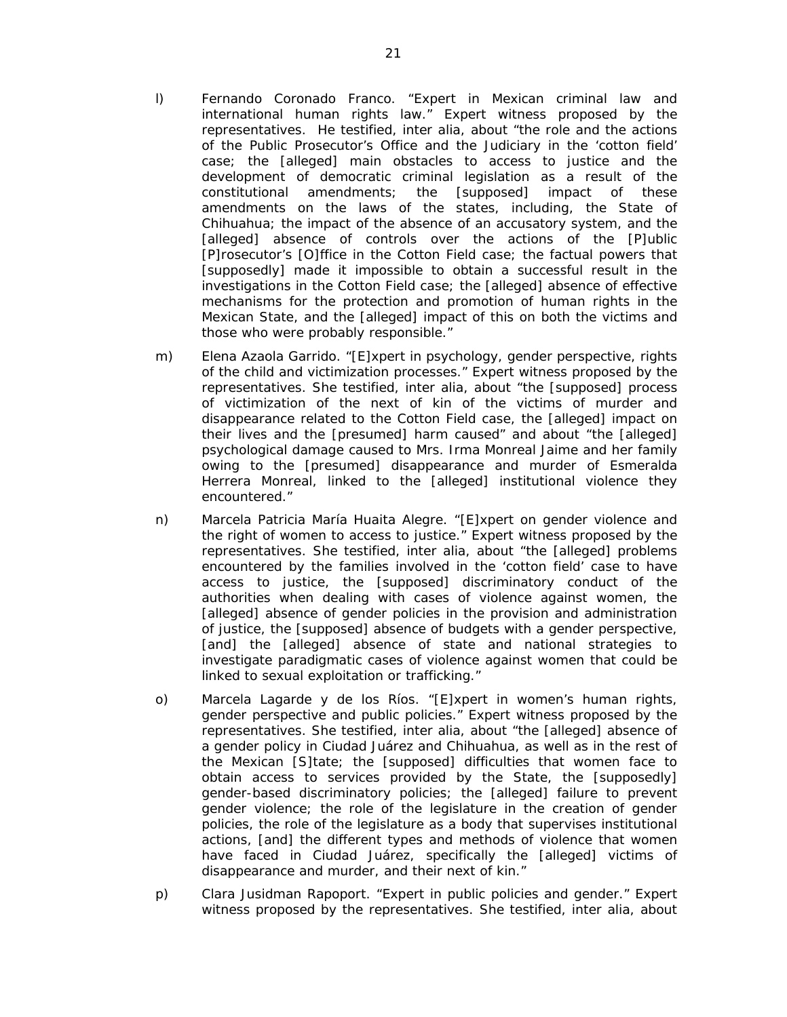- l) *Fernando Coronado Franco*. "Expert in Mexican criminal law and international human rights law." Expert witness proposed by the representatives. He testified, *inter alia,* about "the role and the actions of the Public Prosecutor's Office and the Judiciary in the 'cotton field' case; the [alleged] main obstacles to access to justice and the development of democratic criminal legislation as a result of the constitutional amendments; the [supposed] impact of these amendments on the laws of the states, including, the State of Chihuahua; the impact of the absence of an accusatory system, and the [alleged] absence of controls over the actions of the [P]ublic [P]rosecutor's [O]ffice in the Cotton Field case; the factual powers that [supposedly] made it impossible to obtain a successful result in the investigations in the Cotton Field case; the [alleged] absence of effective mechanisms for the protection and promotion of human rights in the Mexican State, and the [alleged] impact of this on both the victims and those who were probably responsible."
- m) *Elena Azaola Garrido.* "[E]xpert in psychology, gender perspective, rights of the child and victimization processes." Expert witness proposed by the representatives. She testified, *inter alia,* about "the [supposed] process of victimization of the next of kin of the victims of murder and disappearance related to the Cotton Field case, the [alleged] impact on their lives and the [presumed] harm caused" and about "the [alleged] psychological damage caused to Mrs. Irma Monreal Jaime and her family owing to the [presumed] disappearance and murder of Esmeralda Herrera Monreal, linked to the [alleged] institutional violence they encountered."
- n) *Marcela Patricia María Huaita Alegre.* "[E]xpert on gender violence and the right of women to access to justice." Expert witness proposed by the representatives. She testified, *inter alia,* about "the [alleged] problems encountered by the families involved in the 'cotton field' case to have access to justice, the [supposed] discriminatory conduct of the authorities when dealing with cases of violence against women, the [alleged] absence of gender policies in the provision and administration of justice, the [supposed] absence of budgets with a gender perspective, [and] the [alleged] absence of state and national strategies to investigate paradigmatic cases of violence against women that could be linked to sexual exploitation or trafficking."
- o) *Marcela Lagarde y de los Ríos. "*[E]xpert in women's human rights, gender perspective and public policies." Expert witness proposed by the representatives. She testified, *inter alia,* about "the [alleged] absence of a gender policy in Ciudad Juárez and Chihuahua, as well as in the rest of the Mexican [S]tate; the [supposed] difficulties that women face to obtain access to services provided by the State, the [supposedly] gender-based discriminatory policies; the [alleged] failure to prevent gender violence; the role of the legislature in the creation of gender policies, the role of the legislature as a body that supervises institutional actions, [and] the different types and methods of violence that women have faced in Ciudad Juárez, specifically the [alleged] victims of disappearance and murder, and their next of kin."
- p) *Clara Jusidman Rapoport. "*Expert in public policies and gender." Expert witness proposed by the representatives. She testified, *inter alia,* about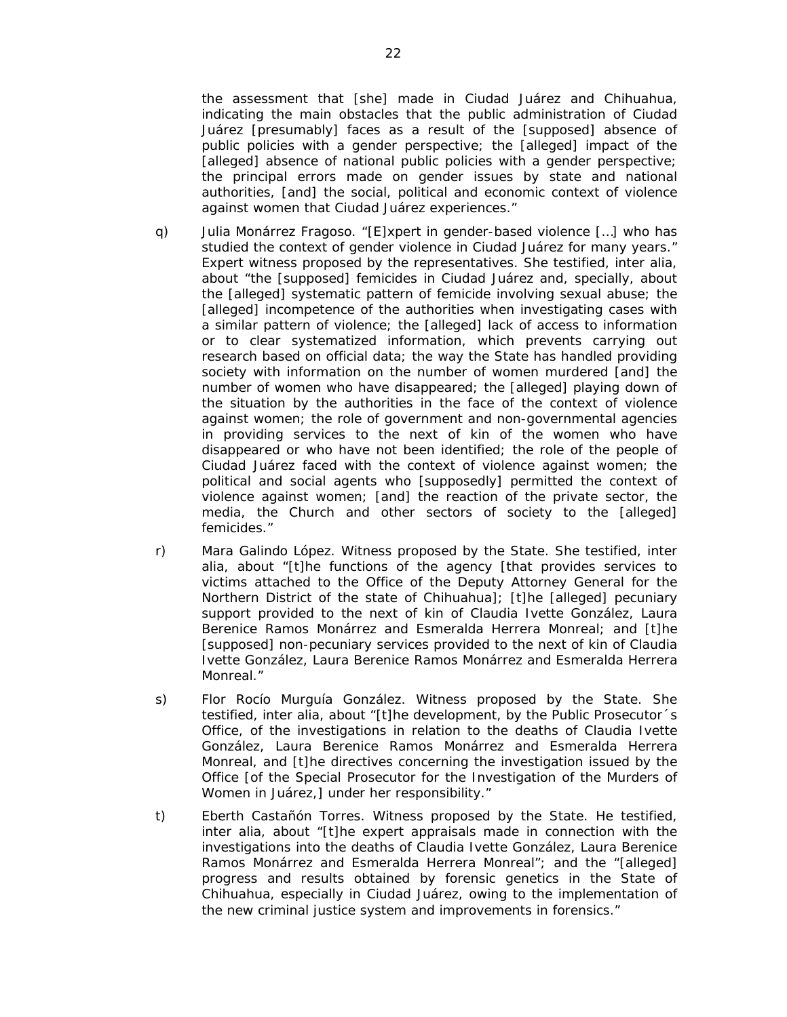the assessment that [she] made in Ciudad Juárez and Chihuahua, indicating the main obstacles that the public administration of Ciudad Juárez [presumably] faces as a result of the [supposed] absence of public policies with a gender perspective; the [alleged] impact of the [alleged] absence of national public policies with a gender perspective; the principal errors made on gender issues by state and national authorities, [and] the social, political and economic context of violence against women that Ciudad Juárez experiences."

- q) *Julia Monárrez Fragoso*. "[E]xpert in gender-based violence […] who has studied the context of gender violence in Ciudad Juárez for many years." Expert witness proposed by the representatives. She testified, *inter alia,* about "the [supposed] femicides in Ciudad Juárez and, specially, about the [alleged] systematic pattern of femicide involving sexual abuse; the [alleged] incompetence of the authorities when investigating cases with a similar pattern of violence; the [alleged] lack of access to information or to clear systematized information, which prevents carrying out research based on official data; the way the State has handled providing society with information on the number of women murdered [and] the number of women who have disappeared; the [alleged] playing down of the situation by the authorities in the face of the context of violence against women; the role of government and non-governmental agencies in providing services to the next of kin of the women who have disappeared or who have not been identified; the role of the people of Ciudad Juárez faced with the context of violence against women; the political and social agents who [supposedly] permitted the context of violence against women; [and] the reaction of the private sector, the media, the Church and other sectors of society to the [alleged] femicides."
- r) *Mara Galindo López*. Witness proposed by the State. She testified, *inter alia,* about "[t]he functions of the agency [that provides services to victims attached to the Office of the Deputy Attorney General for the Northern District of the state of Chihuahua]; [t]he [alleged] pecuniary support provided to the next of kin of Claudia Ivette González, Laura Berenice Ramos Monárrez and Esmeralda Herrera Monreal; and [t]he [supposed] non-pecuniary services provided to the next of kin of Claudia Ivette González, Laura Berenice Ramos Monárrez and Esmeralda Herrera Monreal."
- s) *Flor Rocío Murguía González*. Witness proposed by the State. She testified, *inter alia,* about "[t]he development, by the Public Prosecutor´s Office, of the investigations in relation to the deaths of Claudia Ivette González, Laura Berenice Ramos Monárrez and Esmeralda Herrera Monreal, and [t]he directives concerning the investigation issued by the Office [of the Special Prosecutor for the Investigation of the Murders of Women in Juárez,] under her responsibility."
- t) *Eberth Castañón Torres.* Witness proposed by the State. He testified, *inter alia,* about "[t]he expert appraisals made in connection with the investigations into the deaths of Claudia Ivette González, Laura Berenice Ramos Monárrez and Esmeralda Herrera Monreal"; and the "[alleged] progress and results obtained by forensic genetics in the State of Chihuahua, especially in Ciudad Juárez, owing to the implementation of the new criminal justice system and improvements in forensics."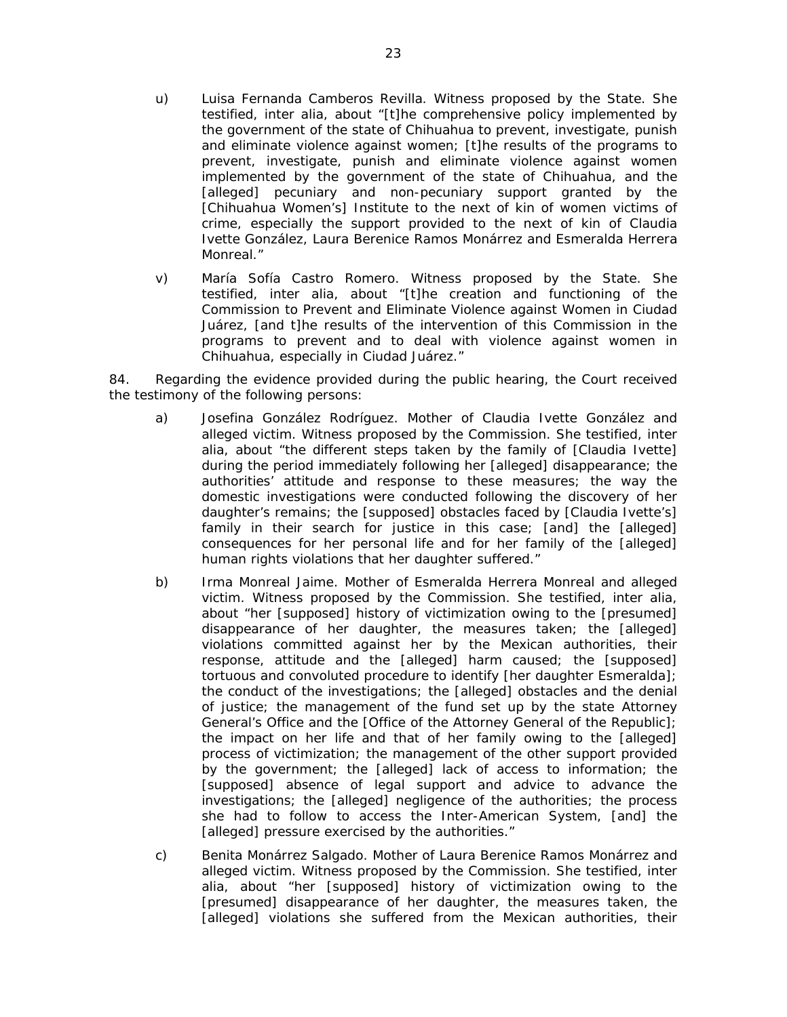- u) *Luisa Fernanda Camberos Revilla*. Witness proposed by the State. She testified, *inter alia,* about "[t]he comprehensive policy implemented by the government of the state of Chihuahua to prevent, investigate, punish and eliminate violence against women; [t]he results of the programs to prevent, investigate, punish and eliminate violence against women implemented by the government of the state of Chihuahua, and the [alleged] pecuniary and non-pecuniary support granted by the [Chihuahua Women's] Institute to the next of kin of women victims of crime, especially the support provided to the next of kin of Claudia Ivette González, Laura Berenice Ramos Monárrez and Esmeralda Herrera Monreal."
- v) *María Sofía Castro Romero.* Witness proposed by the State. She testified, *inter alia,* about "[t]he creation and functioning of the Commission to Prevent and Eliminate Violence against Women in Ciudad Juárez, [and t]he results of the intervention of this Commission in the programs to prevent and to deal with violence against women in Chihuahua, especially in Ciudad Juárez."

84. Regarding the evidence provided during the public hearing, the Court received the testimony of the following persons:

- a) *Josefina González Rodríguez*. Mother of Claudia Ivette González and alleged victim. Witness proposed by the Commission. She testified, *inter alia,* about "the different steps taken by the family of [Claudia Ivette] during the period immediately following her [alleged] disappearance; the authorities' attitude and response to these measures; the way the domestic investigations were conducted following the discovery of her daughter's remains; the [supposed] obstacles faced by [Claudia Ivette's] family in their search for justice in this case; [and] the [alleged] consequences for her personal life and for her family of the [alleged] human rights violations that her daughter suffered."
- b) *Irma Monreal Jaime.* Mother of Esmeralda Herrera Monreal and alleged victim. Witness proposed by the Commission. She testified, *inter alia,* about "her [supposed] history of victimization owing to the [presumed] disappearance of her daughter, the measures taken; the [alleged] violations committed against her by the Mexican authorities, their response, attitude and the [alleged] harm caused; the [supposed] tortuous and convoluted procedure to identify [her daughter Esmeralda]; the conduct of the investigations; the [alleged] obstacles and the denial of justice; the management of the fund set up by the state Attorney General's Office and the [Office of the Attorney General of the Republic]; the impact on her life and that of her family owing to the [alleged] process of victimization; the management of the other support provided by the government; the [alleged] lack of access to information; the [supposed] absence of legal support and advice to advance the investigations; the [alleged] negligence of the authorities; the process she had to follow to access the Inter-American System, [and] the [alleged] pressure exercised by the authorities."
- c) *Benita Monárrez Salgado.* Mother of Laura Berenice Ramos Monárrez and alleged victim. Witness proposed by the Commission. She testified, *inter alia,* about "her [supposed] history of victimization owing to the [presumed] disappearance of her daughter, the measures taken, the [alleged] violations she suffered from the Mexican authorities, their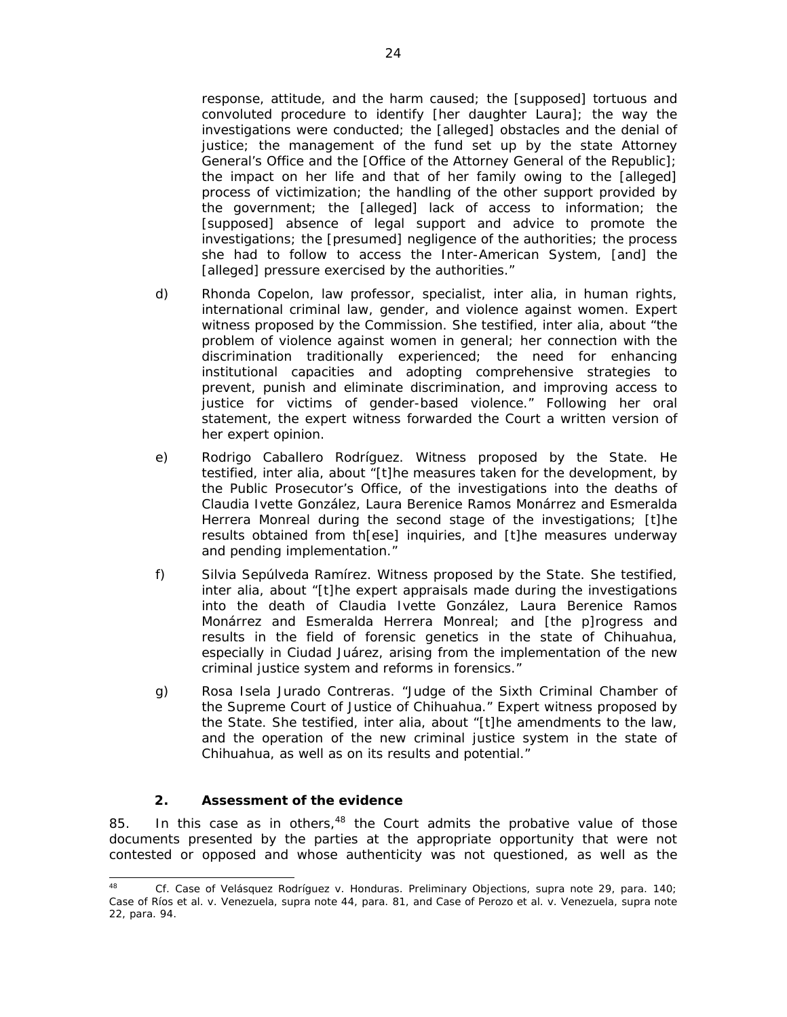response, attitude, and the harm caused; the [supposed] tortuous and convoluted procedure to identify [her daughter Laura]; the way the investigations were conducted; the [alleged] obstacles and the denial of justice; the management of the fund set up by the state Attorney General's Office and the [Office of the Attorney General of the Republic]; the impact on her life and that of her family owing to the [alleged] process of victimization; the handling of the other support provided by the government; the [alleged] lack of access to information; the [supposed] absence of legal support and advice to promote the investigations; the [presumed] negligence of the authorities; the process she had to follow to access the Inter-American System, [and] the [alleged] pressure exercised by the authorities."

- d) *Rhonda Copelon,* law professor, specialist, *inter alia,* in human rights, international criminal law, gender, and violence against women. Expert witness proposed by the Commission. She testified, *inter alia,* about "the problem of violence against women in general; her connection with the discrimination traditionally experienced; the need for enhancing institutional capacities and adopting comprehensive strategies to prevent, punish and eliminate discrimination, and improving access to justice for victims of gender-based violence." Following her oral statement, the expert witness forwarded the Court a written version of her expert opinion.
- e) *Rodrigo Caballero Rodríguez*. Witness proposed by the State. He testified, *inter alia,* about "[t]he measures taken for the development, by the Public Prosecutor's Office, of the investigations into the deaths of Claudia Ivette González, Laura Berenice Ramos Monárrez and Esmeralda Herrera Monreal during the second stage of the investigations; [t]he results obtained from th[ese] inquiries, and [t]he measures underway and pending implementation."
- f) *Silvia Sepúlveda Ramírez*. Witness proposed by the State. She testified, *inter alia,* about "[t]he expert appraisals made during the investigations into the death of Claudia Ivette González, Laura Berenice Ramos Monárrez and Esmeralda Herrera Monreal; and [the p]rogress and results in the field of forensic genetics in the state of Chihuahua, especially in Ciudad Juárez, arising from the implementation of the new criminal justice system and reforms in forensics."
- g) *Rosa Isela Jurado Contreras. "*Judge of the Sixth Criminal Chamber of the Supreme Court of Justice of Chihuahua." Expert witness proposed by the State. She testified, *inter alia,* about "[t]he amendments to the law, and the operation of the new criminal justice system in the state of Chihuahua, as well as on its results and potential."

# *2. Assessment of the evidence*

85. In this case as in others,  $48$  the Court admits the probative value of those documents presented by the parties at the appropriate opportunity that were not contested or opposed and whose authenticity was not questioned, as well as the

<sup>48</sup> <sup>48</sup> *Cf. Case of Velásquez Rodríguez v. Honduras. Preliminary Objections*, *supra* note 29, para. 140; *Case of Ríos et al. v. Venezuela*, *supra* note 44, para. 81, and *Case of Perozo et al. v. Venezuela, supra* note 22, para. 94.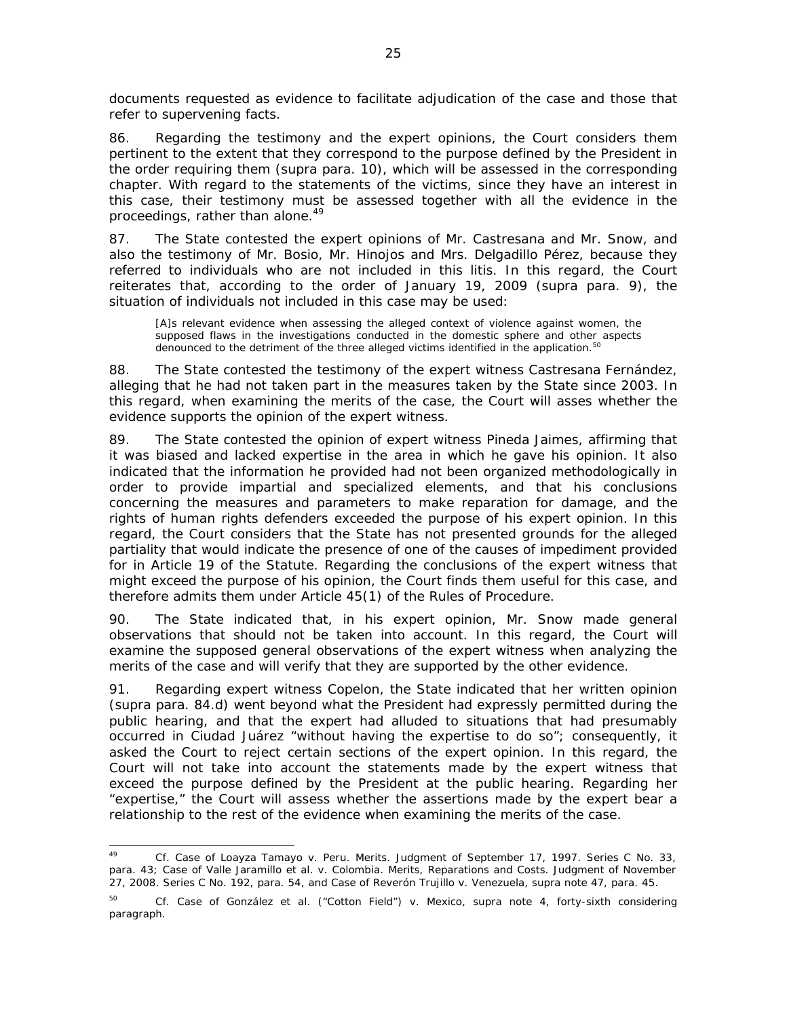documents requested as evidence to facilitate adjudication of the case and those that refer to supervening facts.

86. Regarding the testimony and the expert opinions, the Court considers them pertinent to the extent that they correspond to the purpose defined by the President in the order requiring them (*supra* para. 10), which will be assessed in the corresponding chapter. With regard to the statements of the victims, since they have an interest in this case, their testimony must be assessed together with all the evidence in the proceedings, rather than alone.<sup>49</sup>

87. The State contested the expert opinions of Mr. Castresana and Mr. Snow, and also the testimony of Mr. Bosio, Mr. Hinojos and Mrs. Delgadillo Pérez, because they referred to individuals who are not included in this *litis*. In this regard, the Court reiterates that, according to the order of January 19, 2009 (*supra* para. 9), the situation of individuals not included in this case may be used:

[A]s relevant evidence when assessing the alleged context of violence against women, the supposed flaws in the investigations conducted in the domestic sphere and other aspects denounced to the detriment of the three alleged victims identified in the application.<sup>50</sup>

88. The State contested the testimony of the expert witness Castresana Fernández, alleging that he had not taken part in the measures taken by the State since 2003. In this regard, when examining the merits of the case, the Court will asses whether the evidence supports the opinion of the expert witness.

89. The State contested the opinion of expert witness Pineda Jaimes, affirming that it was biased and lacked expertise in the area in which he gave his opinion. It also indicated that the information he provided had not been organized methodologically in order to provide impartial and specialized elements, and that his conclusions concerning the measures and parameters to make reparation for damage, and the rights of human rights defenders exceeded the purpose of his expert opinion. In this regard, the Court considers that the State has not presented grounds for the alleged partiality that would indicate the presence of one of the causes of impediment provided for in Article 19 of the Statute. Regarding the conclusions of the expert witness that might exceed the purpose of his opinion, the Court finds them useful for this case, and therefore admits them under Article 45(1) of the Rules of Procedure.

90. The State indicated that, in his expert opinion, Mr. Snow made general observations that should not be taken into account. In this regard, the Court will examine the supposed general observations of the expert witness when analyzing the merits of the case and will verify that they are supported by the other evidence.

91. Regarding expert witness Copelon, the State indicated that her written opinion (*supra* para. 84.d) went beyond what the President had expressly permitted during the public hearing, and that the expert had alluded to situations that had presumably occurred in Ciudad Juárez "without having the expertise to do so"; consequently, it asked the Court to reject certain sections of the expert opinion. In this regard, the Court will not take into account the statements made by the expert witness that exceed the purpose defined by the President at the public hearing. Regarding her "expertise," the Court will assess whether the assertions made by the expert bear a relationship to the rest of the evidence when examining the merits of the case.

<sup>49</sup> 49 *Cf. Case of Loayza Tamayo v. Peru. Merits.* Judgment of September 17, 1997. Series C No. 33, para. 43; *Case of Valle Jaramillo et al. v. Colombia. Merits, Reparations and Costs.* Judgment of November 27, 2008. Series C No. 192, para. 54, and *Case of Reverón Trujillo v. Venezuela, supra* note 47*,* para. 45.

<sup>50</sup> *Cf. Case of González et al. ("Cotton Field") v. Mexico, supra* note 4, forty-sixth considering paragraph.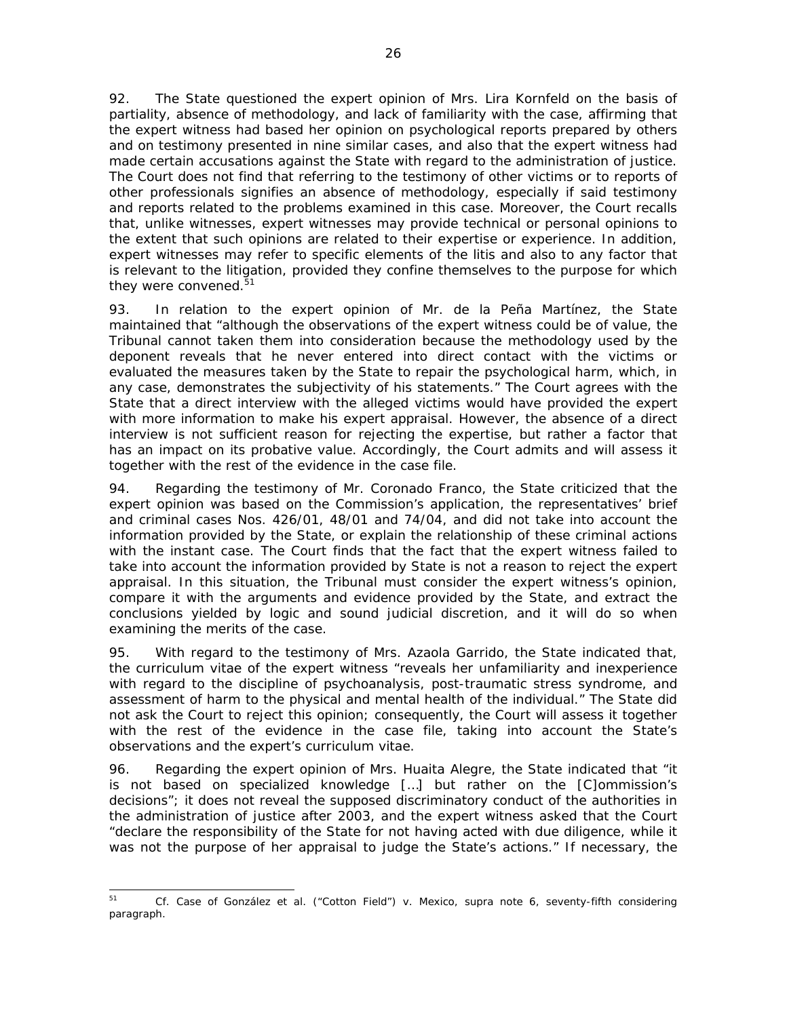92. The State questioned the expert opinion of Mrs. Lira Kornfeld on the basis of partiality, absence of methodology, and lack of familiarity with the case, affirming that the expert witness had based her opinion on psychological reports prepared by others and on testimony presented in nine similar cases, and also that the expert witness had made certain accusations against the State with regard to the administration of justice. The Court does not find that referring to the testimony of other victims or to reports of other professionals signifies an absence of methodology, especially if said testimony and reports related to the problems examined in this case. Moreover, the Court recalls that, unlike witnesses, expert witnesses may provide technical or personal opinions to the extent that such opinions are related to their expertise or experience. In addition, expert witnesses may refer to specific elements of the *litis* and also to any factor that is relevant to the litigation, provided they confine themselves to the purpose for which they were convened.<sup>51</sup>

93. In relation to the expert opinion of Mr. de la Peña Martínez, the State maintained that "although the observations of the expert witness could be of value, the Tribunal cannot taken them into consideration because the methodology used by the deponent reveals that he never entered into direct contact with the victims or evaluated the measures taken by the State to repair the psychological harm, which, in any case, demonstrates the subjectivity of his statements." The Court agrees with the State that a direct interview with the alleged victims would have provided the expert with more information to make his expert appraisal. However, the absence of a direct interview is not sufficient reason for rejecting the expertise, but rather a factor that has an impact on its probative value. Accordingly, the Court admits and will assess it together with the rest of the evidence in the case file.

94. Regarding the testimony of Mr. Coronado Franco, the State criticized that the expert opinion was based on the Commission's application, the representatives' brief and criminal cases Nos. 426/01, 48/01 and 74/04, and did not take into account the information provided by the State, or explain the relationship of these criminal actions with the instant case. The Court finds that the fact that the expert witness failed to take into account the information provided by State is not a reason to reject the expert appraisal. In this situation, the Tribunal must consider the expert witness's opinion, compare it with the arguments and evidence provided by the State, and extract the conclusions yielded by logic and sound judicial discretion, and it will do so when examining the merits of the case.

95. With regard to the testimony of Mrs. Azaola Garrido, the State indicated that, the curriculum vitae of the expert witness "reveals her unfamiliarity and inexperience with regard to the discipline of psychoanalysis, post-traumatic stress syndrome, and assessment of harm to the physical and mental health of the individual." The State did not ask the Court to reject this opinion; consequently, the Court will assess it together with the rest of the evidence in the case file, taking into account the State's observations and the expert's curriculum vitae.

96. Regarding the expert opinion of Mrs. Huaita Alegre, the State indicated that "it is not based on specialized knowledge […] but rather on the [C]ommission's decisions"; it does not reveal the supposed discriminatory conduct of the authorities in the administration of justice after 2003, and the expert witness asked that the Court "declare the responsibility of the State for not having acted with due diligence, while it was not the purpose of her appraisal to judge the State's actions." If necessary, the

 $51$ 51 *Cf. Case of González et al. ("Cotton Field") v. Mexico*, *supra* note 6, seventy-fifth considering paragraph.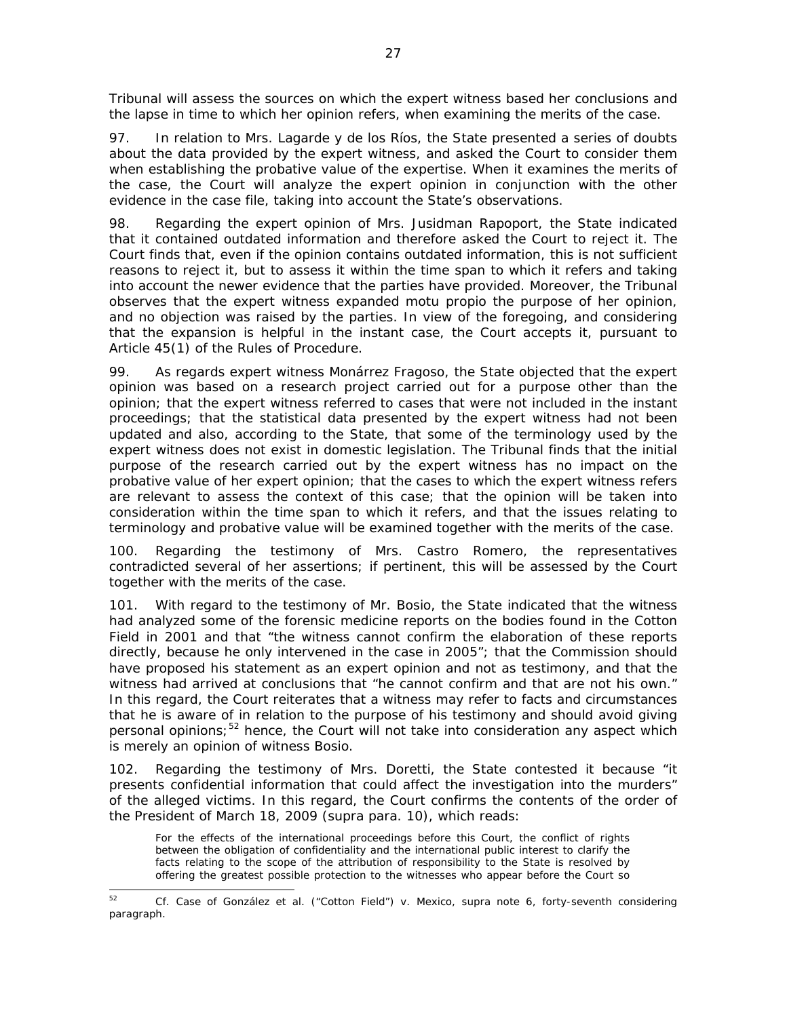Tribunal will assess the sources on which the expert witness based her conclusions and the lapse in time to which her opinion refers, when examining the merits of the case.

97. In relation to Mrs. Lagarde y de los Ríos, the State presented a series of doubts about the data provided by the expert witness, and asked the Court to consider them when establishing the probative value of the expertise. When it examines the merits of the case, the Court will analyze the expert opinion in conjunction with the other evidence in the case file, taking into account the State's observations.

98. Regarding the expert opinion of Mrs. Jusidman Rapoport, the State indicated that it contained outdated information and therefore asked the Court to reject it. The Court finds that, even if the opinion contains outdated information, this is not sufficient reasons to reject it, but to assess it within the time span to which it refers and taking into account the newer evidence that the parties have provided. Moreover, the Tribunal observes that the expert witness expanded *motu propio* the purpose of her opinion, and no objection was raised by the parties. In view of the foregoing, and considering that the expansion is helpful in the instant case, the Court accepts it, pursuant to Article 45(1) of the Rules of Procedure.

99. As regards expert witness Monárrez Fragoso, the State objected that the expert opinion was based on a research project carried out for a purpose other than the opinion; that the expert witness referred to cases that were not included in the instant proceedings; that the statistical data presented by the expert witness had not been updated and also, according to the State, that some of the terminology used by the expert witness does not exist in domestic legislation. The Tribunal finds that the initial purpose of the research carried out by the expert witness has no impact on the probative value of her expert opinion; that the cases to which the expert witness refers are relevant to assess the context of this case; that the opinion will be taken into consideration within the time span to which it refers, and that the issues relating to terminology and probative value will be examined together with the merits of the case.

100. Regarding the testimony of Mrs. Castro Romero, the representatives contradicted several of her assertions; if pertinent, this will be assessed by the Court together with the merits of the case.

101. With regard to the testimony of Mr. Bosio, the State indicated that the witness had analyzed some of the forensic medicine reports on the bodies found in the Cotton Field in 2001 and that "the witness cannot confirm the elaboration of these reports directly, because he only intervened in the case in 2005"; that the Commission should have proposed his statement as an expert opinion and not as testimony, and that the witness had arrived at conclusions that "he cannot confirm and that are not his own." In this regard, the Court reiterates that a witness may refer to facts and circumstances that he is aware of in relation to the purpose of his testimony and should avoid giving personal opinions;<sup>52</sup> hence, the Court will not take into consideration any aspect which is merely an opinion of witness Bosio.

102. Regarding the testimony of Mrs. Doretti, the State contested it because "it presents confidential information that could affect the investigation into the murders" of the alleged victims. In this regard, the Court confirms the contents of the order of the President of March 18, 2009 (*supra* para. 10), which reads:

For the effects of the international proceedings before this Court, the conflict of rights between the obligation of confidentiality and the international public interest to clarify the facts relating to the scope of the attribution of responsibility to the State is resolved by offering the greatest possible protection to the witnesses who appear before the Court so

 $52$ 52 *Cf. Case of González et al. ("Cotton Field") v. Mexico, supra* note 6, forty-seventh considering paragraph.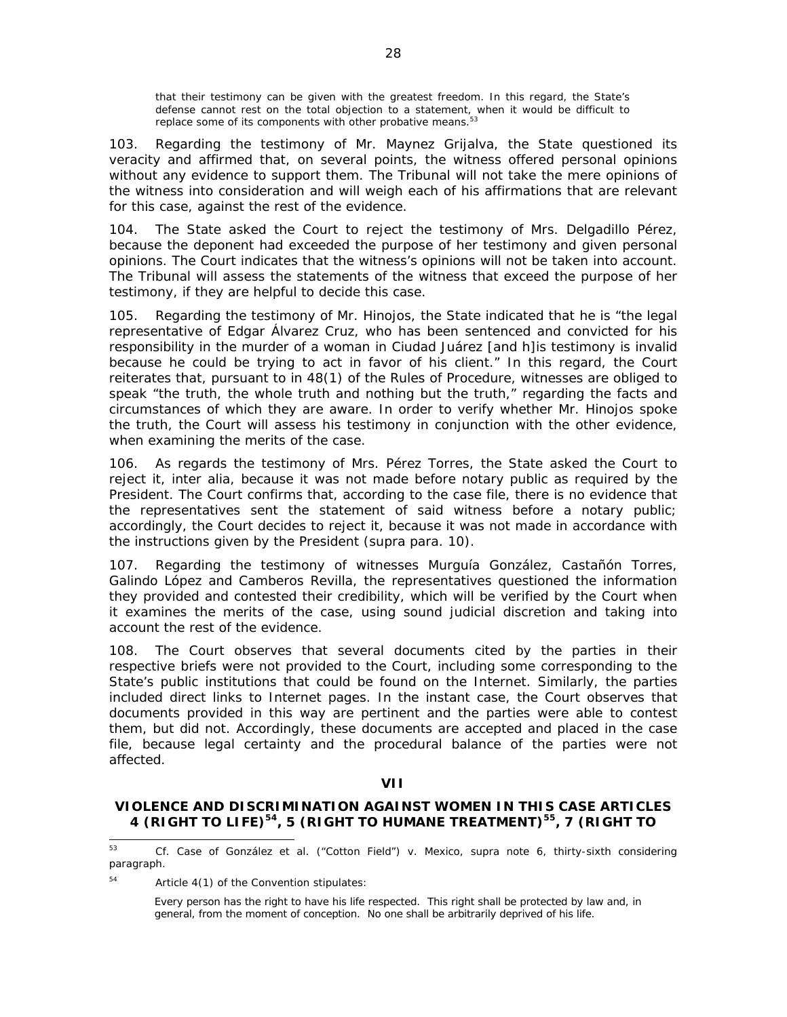that their testimony can be given with the greatest freedom. In this regard, the State's defense cannot rest on the total objection to a statement, when it would be difficult to replace some of its components with other probative means.

103. Regarding the testimony of Mr. Maynez Grijalva, the State questioned its veracity and affirmed that, on several points, the witness offered personal opinions without any evidence to support them. The Tribunal will not take the mere opinions of the witness into consideration and will weigh each of his affirmations that are relevant for this case, against the rest of the evidence.

104. The State asked the Court to reject the testimony of Mrs. Delgadillo Pérez, because the deponent had exceeded the purpose of her testimony and given personal opinions. The Court indicates that the witness's opinions will not be taken into account. The Tribunal will assess the statements of the witness that exceed the purpose of her testimony, if they are helpful to decide this case.

105. Regarding the testimony of Mr. Hinojos, the State indicated that he is "the legal representative of Edgar Álvarez Cruz, who has been sentenced and convicted for his responsibility in the murder of a woman in Ciudad Juárez [and h]is testimony is invalid because he could be trying to act in favor of his client." In this regard, the Court reiterates that, pursuant to in 48(1) of the Rules of Procedure, witnesses are obliged to speak "the truth, the whole truth and nothing but the truth," regarding the facts and circumstances of which they are aware. In order to verify whether Mr. Hinojos spoke the truth, the Court will assess his testimony in conjunction with the other evidence, when examining the merits of the case.

106. As regards the testimony of Mrs. Pérez Torres, the State asked the Court to reject it, *inter alia,* because it was not made before notary public as required by the President. The Court confirms that, according to the case file, there is no evidence that the representatives sent the statement of said witness before a notary public; accordingly, the Court decides to reject it, because it was not made in accordance with the instructions given by the President (*supra* para. 10).

107. Regarding the testimony of witnesses Murguía González, Castañón Torres, Galindo López and Camberos Revilla, the representatives questioned the information they provided and contested their credibility, which will be verified by the Court when it examines the merits of the case, using sound judicial discretion and taking into account the rest of the evidence.

108. The Court observes that several documents cited by the parties in their respective briefs were not provided to the Court, including some corresponding to the State's public institutions that could be found on the Internet. Similarly, the parties included direct links to Internet pages. In the instant case, the Court observes that documents provided in this way are pertinent and the parties were able to contest them, but did not. Accordingly, these documents are accepted and placed in the case file, because legal certainty and the procedural balance of the parties were not affected.

#### **VII**

# **VIOLENCE AND DISCRIMINATION AGAINST WOMEN IN THIS CASE ARTICLES 4 (RIGHT TO LIFE)54, 5 (RIGHT TO HUMANE TREATMENT)55, 7 (RIGHT TO**

Every person has the right to have his life respected. This right shall be protected by law and, in general, from the moment of conception. No one shall be arbitrarily deprived of his life.

<sup>53</sup> 53 *Cf. Case of González et al. ("Cotton Field") v. Mexico, supra* note 6, thirty-sixth considering paragraph.

Article 4(1) of the Convention stipulates: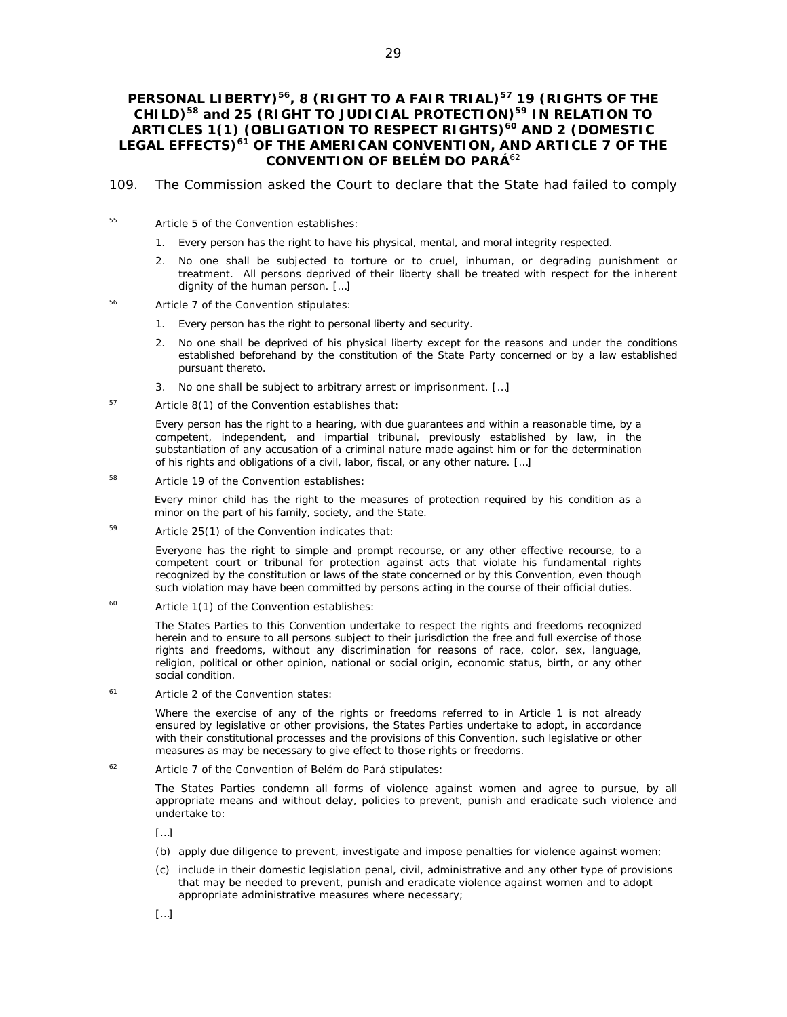# PERSONAL LIBERTY)<sup>56</sup>, 8 (RIGHT TO A FAIR TRIAL)<sup>57</sup> 19 (RIGHTS OF THE **CHILD)58 and 25 (RIGHT TO JUDICIAL PROTECTION)59 IN RELATION TO ARTICLES 1(1) (OBLIGATION TO RESPECT RIGHTS)60 AND 2 (DOMESTIC**  LEGAL EFFECTS)<sup>61</sup> OF THE AMERICAN CONVENTION, AND ARTICLE 7 OF THE **CONVENTION OF BELÉM DO PARÁ**62

109. The Commission asked the Court to declare that the State had failed to comply

- <sup>55</sup> Article 5 of the Convention establishes:
	- 1. Every person has the right to have his physical, mental, and moral integrity respected.
	- 2. No one shall be subjected to torture or to cruel, inhuman, or degrading punishment or treatment. All persons deprived of their liberty shall be treated with respect for the inherent dignity of the human person. […]
- 56 Article 7 of the Convention stipulates:
	- 1. Every person has the right to personal liberty and security.
	- 2. No one shall be deprived of his physical liberty except for the reasons and under the conditions established beforehand by the constitution of the State Party concerned or by a law established pursuant thereto.
	- 3. No one shall be subject to arbitrary arrest or imprisonment. […]
- 57 Article 8(1) of the Convention establishes that:

Every person has the right to a hearing, with due guarantees and within a reasonable time, by a competent, independent, and impartial tribunal, previously established by law, in the substantiation of any accusation of a criminal nature made against him or for the determination of his rights and obligations of a civil, labor, fiscal, or any other nature. […]

58 Article 19 of the Convention establishes:

Every minor child has the right to the measures of protection required by his condition as a minor on the part of his family, society, and the State.

59 Article 25(1) of the Convention indicates that:

Everyone has the right to simple and prompt recourse, or any other effective recourse, to a competent court or tribunal for protection against acts that violate his fundamental rights recognized by the constitution or laws of the state concerned or by this Convention, even though such violation may have been committed by persons acting in the course of their official duties.

 $60$  Article 1(1) of the Convention establishes:

The States Parties to this Convention undertake to respect the rights and freedoms recognized herein and to ensure to all persons subject to their jurisdiction the free and full exercise of those rights and freedoms, without any discrimination for reasons of race, color, sex, language, religion, political or other opinion, national or social origin, economic status, birth, or any other social condition.

61 Article 2 of the Convention states:

Where the exercise of any of the rights or freedoms referred to in Article 1 is not already ensured by legislative or other provisions, the States Parties undertake to adopt, in accordance with their constitutional processes and the provisions of this Convention, such legislative or other measures as may be necessary to give effect to those rights or freedoms.

62 Article 7 of the Convention of Belém do Pará stipulates:

The States Parties condemn all forms of violence against women and agree to pursue, by all appropriate means and without delay, policies to prevent, punish and eradicate such violence and undertake to:

 $\lceil$ ...

 $\lceil \dots \rceil$ 

- (b) apply due diligence to prevent, investigate and impose penalties for violence against women;
- (c) include in their domestic legislation penal, civil, administrative and any other type of provisions that may be needed to prevent, punish and eradicate violence against women and to adopt appropriate administrative measures where necessary;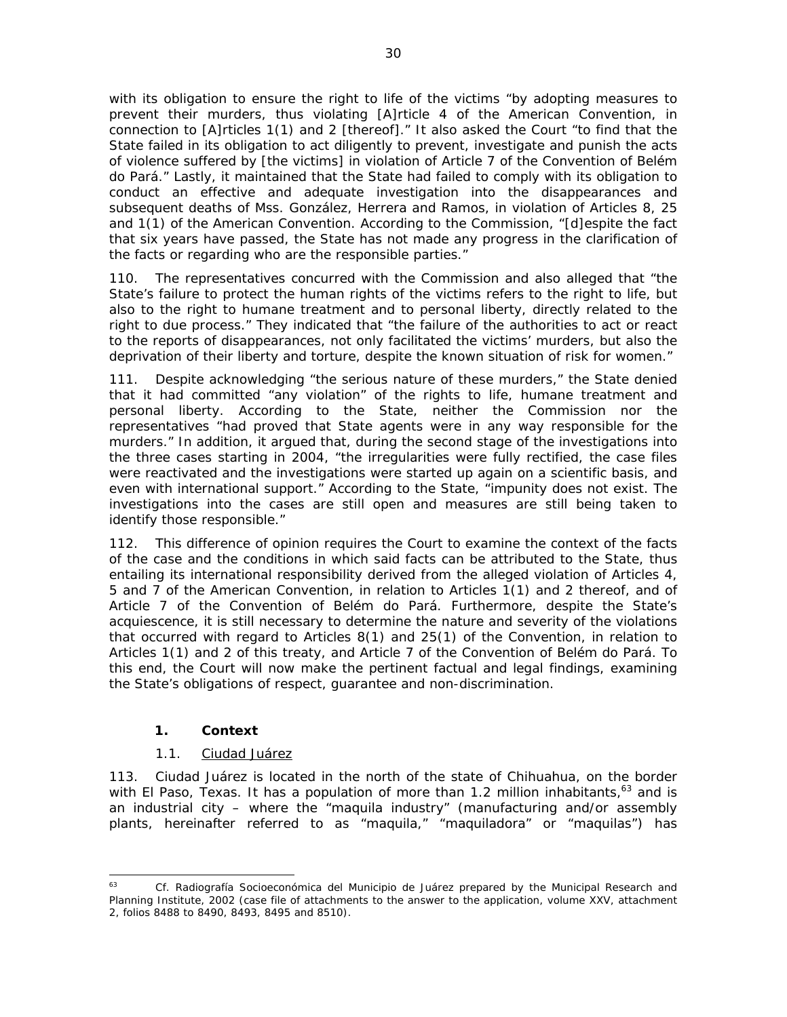with its obligation to ensure the right to life of the victims "by adopting measures to prevent their murders, thus violating [A]rticle 4 of the American Convention, in connection to [A]rticles 1(1) and 2 [thereof]." It also asked the Court "to find that the State failed in its obligation to act diligently to prevent, investigate and punish the acts of violence suffered by [the victims] in violation of Article 7 of the Convention of Belém do Pará." Lastly, it maintained that the State had failed to comply with its obligation to conduct an effective and adequate investigation into the disappearances and subsequent deaths of Mss. González, Herrera and Ramos, in violation of Articles 8, 25 and 1(1) of the American Convention. According to the Commission, "[d]espite the fact that six years have passed, the State has not made any progress in the clarification of the facts or regarding who are the responsible parties."

110. The representatives concurred with the Commission and also alleged that "the State's failure to protect the human rights of the victims refers to the right to life, but also to the right to humane treatment and to personal liberty, directly related to the right to due process." They indicated that "the failure of the authorities to act or react to the reports of disappearances, not only facilitated the victims' murders, but also the deprivation of their liberty and torture, despite the known situation of risk for women."

111. Despite acknowledging "the serious nature of these murders," the State denied that it had committed "any violation" of the rights to life, humane treatment and personal liberty. According to the State, neither the Commission nor the representatives "had proved that State agents were in any way responsible for the murders." In addition, it argued that, during the second stage of the investigations into the three cases starting in 2004, "the irregularities were fully rectified, the case files were reactivated and the investigations were started up again on a scientific basis, and even with international support." According to the State, "impunity does not exist. The investigations into the cases are still open and measures are still being taken to identify those responsible."

112. This difference of opinion requires the Court to examine the context of the facts of the case and the conditions in which said facts can be attributed to the State, thus entailing its international responsibility derived from the alleged violation of Articles 4, 5 and 7 of the American Convention, in relation to Articles 1(1) and 2 thereof, and of Article 7 of the Convention of Belém do Pará. Furthermore, despite the State's acquiescence, it is still necessary to determine the nature and severity of the violations that occurred with regard to Articles 8(1) and 25(1) of the Convention, in relation to Articles 1(1) and 2 of this treaty, and Article 7 of the Convention of Belém do Pará. To this end, the Court will now make the pertinent factual and legal findings*,* examining the State's obligations of respect, guarantee and non-discrimination.

# *1. Context*

-

# *1.1.* Ciudad Juárez

113. Ciudad Juárez is located in the north of the state of Chihuahua, on the border with El Paso, Texas. It has a population of more than 1.2 million inhabitants, $63$  and is an industrial city – where the "*maquila* industry" (manufacturing and/or assembly plants, hereinafter referred to as "*maquila*," "*maquiladora*" or "*maquilas*") has

<sup>63</sup> *Cf. Radiografía Socioeconómica del Municipio de Juárez* prepared by the Municipal Research and Planning Institute, 2002 (case file of attachments to the answer to the application, volume XXV, attachment 2, folios 8488 to 8490, 8493, 8495 and 8510).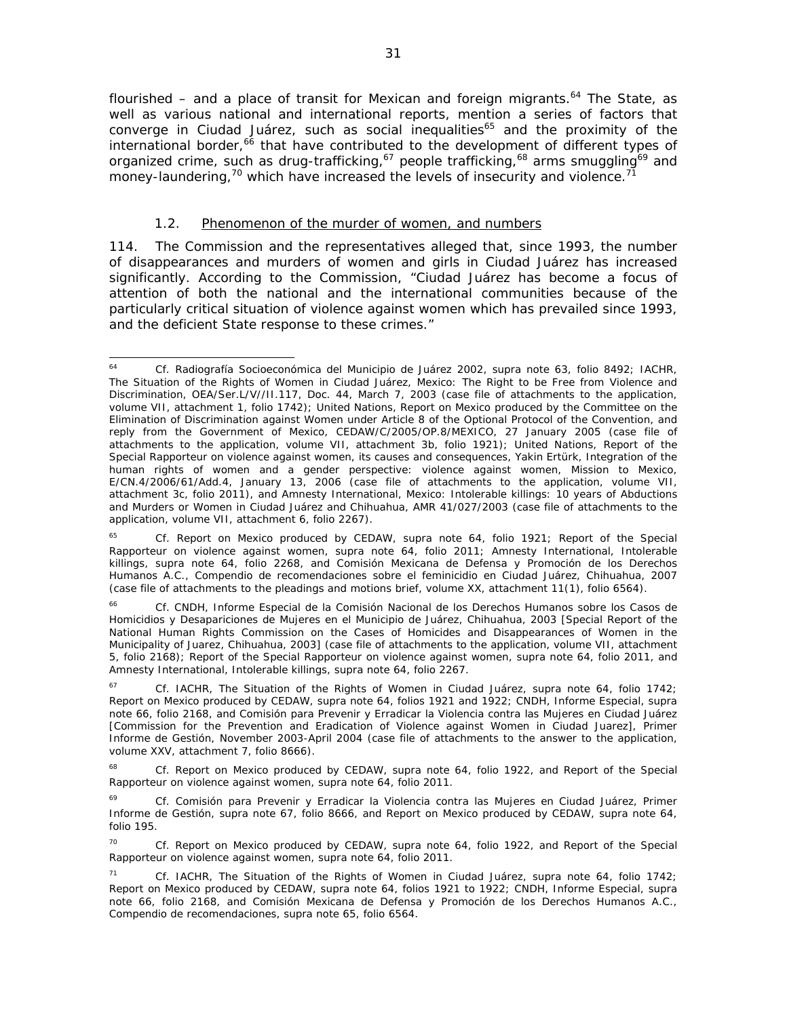flourished – and a place of transit for Mexican and foreign migrants. $64$  The State, as well as various national and international reports, mention a series of factors that converge in Ciudad Juárez, such as social inequalities<sup>65</sup> and the proximity of the international border,<sup>66</sup> that have contributed to the development of different types of organized crime, such as drug-trafficking,<sup>67</sup> people trafficking,<sup>68</sup> arms smuggling<sup>69</sup> and money-laundering,<sup>70</sup> which have increased the levels of insecurity and violence.<sup>71</sup>

# *1.2. Phenomenon of the murder of women, and numbers*

114. The Commission and the representatives alleged that, since 1993, the number of disappearances and murders of women and girls in Ciudad Juárez has increased significantly. According to the Commission, "Ciudad Juárez has become a focus of attention of both the national and the international communities because of the particularly critical situation of violence against women which has prevailed since 1993, and the deficient State response to these crimes."

<sup>64</sup> 64 *Cf. Radiografía Socioeconómica del Municipio de Juárez* 2002, *supra* note 63, folio 8492; IACHR, *The Situation of the Rights of Women in Ciudad Juárez, Mexico: The Right to be Free from Violence and Discrimination,* OEA/Ser.L/V//II.117, Doc. 44, March 7, 2003 (case file of attachments to the application, volume VII, attachment 1, folio 1742); United Nations, Report on Mexico produced by the Committee on the Elimination of Discrimination against Women under Article 8 of the Optional Protocol of the Convention, and reply from the Government of Mexico, CEDAW/C/2005/OP.8/MEXICO, 27 January 2005 (case file of attachments to the application, volume VII, attachment 3b, folio 1921); United Nations, Report of the Special Rapporteur on violence against women, its causes and consequences, Yakin Ertürk, *Integration of the human rights of women and a gender perspective: violence against women*, Mission to Mexico, E/CN.4/2006/61/Add.4, January 13, 2006 (case file of attachments to the application, volume VII, attachment 3c, folio 2011), and Amnesty International, Mexico: Intolerable killings: 10 years of Abductions and Murders or Women in Ciudad Juárez and Chihuahua*,* AMR 41/027/2003 (case file of attachments to the application, volume VII, attachment 6, folio 2267).

<sup>65</sup> *Cf.* Report on Mexico produced by CEDAW, *supra* note 64, folio 1921; Report of the Special Rapporteur on violence against women, *supra* note 64, folio 2011; Amnesty International, *Intolerable killings, supra* note 64, folio 2268, and *Comisión Mexicana de Defensa y Promoción de los Derechos Humanos A.C*., *Compendio de recomendaciones sobre el feminicidio en Ciudad Juárez, Chihuahua*, 2007 (case file of attachments to the pleadings and motions brief, volume XX, attachment 11(1), folio 6564).

<sup>66</sup> *Cf.* CNDH, *Informe Especial de la Comisión Nacional de los Derechos Humanos sobre los Casos de Homicidios y Desapariciones de Mujeres en el Municipio de Juárez, Chihuahua, 2003* [Special Report of the National Human Rights Commission on the Cases of Homicides and Disappearances of Women in the Municipality of Juarez, Chihuahua, 2003] (case file of attachments to the application, volume VII, attachment 5, folio 2168); Report of the Special Rapporteur on violence against women, supra note 64, folio 2011, and Amnesty International, *Intolerable killings*, supra note 64, folio 2267.

<sup>67</sup> *Cf.* IACHR, *The Situation of the Rights of Women in Ciudad Juárez, supra* note 64, folio 1742; Report on Mexico produced by CEDAW, *supra* note 64, folios 1921 and 1922; CNDH, *Informe Especial*, *supra*  note 66, folio 2168, and *Comisión para Prevenir y Erradicar la Violencia contra las Mujeres en Ciudad Juárez*  [Commission for the Prevention and Eradication of Violence against Women in Ciudad Juarez], *Primer Informe de Gestión,* November 2003-April 2004 (case file of attachments to the answer to the application, volume XXV, attachment 7, folio 8666).

<sup>68</sup> *Cf.* Report on Mexico produced by CEDAW, *supra* note 64, folio 1922, and Report of the Special Rapporteur on violence against women, *supra* note 64, folio 2011.

<sup>69</sup> *Cf. Comisión para Prevenir y Erradicar la Violencia contra las Mujeres en Ciudad Juárez*, *Primer Informe de Gestión, supra* note 67, folio 8666, and Report on Mexico produced by CEDAW, *supra* note 64, folio 195.

<sup>70</sup> *Cf.* Report on Mexico produced by CEDAW, *supra* note 64, folio 1922, and Report of the Special Rapporteur on violence against women, *supra* note 64, folio 2011.

<sup>71</sup> *Cf.* IACHR, *The Situation of the Rights of Women in Ciudad Juárez, supra* note 64, folio 1742; Report on Mexico produced by CEDAW, *supra* note 64, folios 1921 to 1922; CNDH, *Informe Especial, supra*  note 66, folio 2168, and *Comisión Mexicana de Defensa y Promoción de los Derechos Humanos A.C.*, *Compendio de recomendaciones*, *supra* note 65, folio 6564.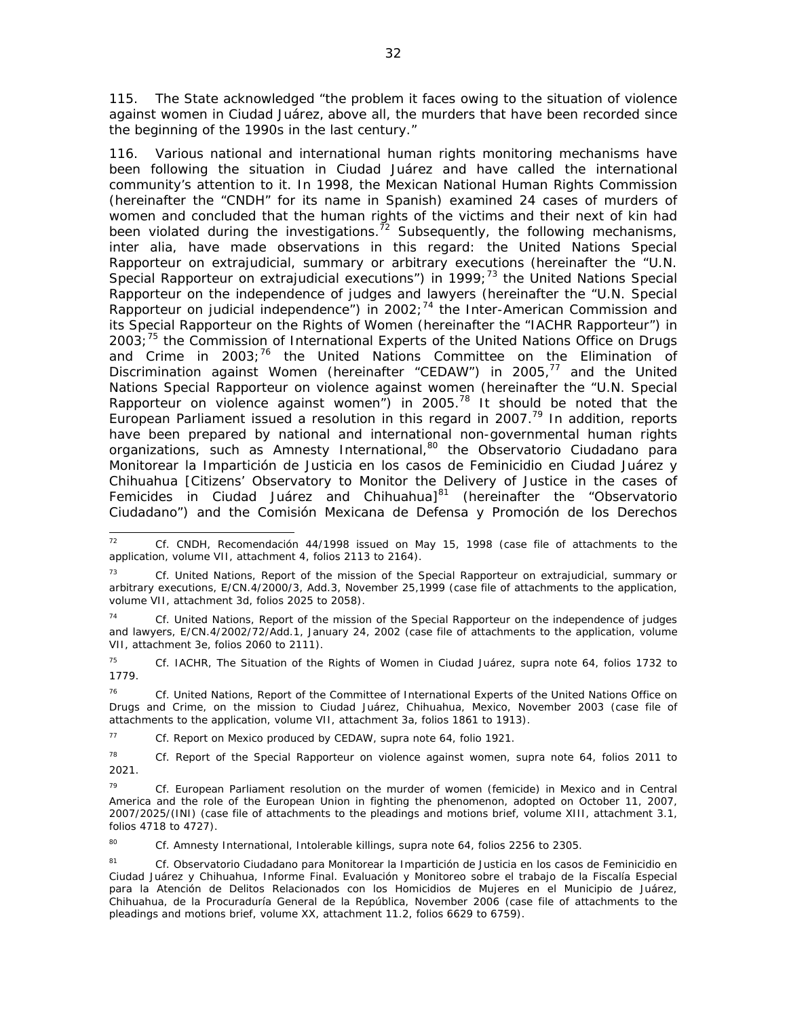115. The State acknowledged "the problem it faces owing to the situation of violence against women in Ciudad Juárez, above all, the murders that have been recorded since the beginning of the 1990s in the last century."

116. Various national and international human rights monitoring mechanisms have been following the situation in Ciudad Juárez and have called the international community's attention to it. In 1998, the Mexican National Human Rights Commission (hereinafter the "CNDH" for its name in Spanish) examined 24 cases of murders of women and concluded that the human rights of the victims and their next of kin had been violated during the investigations.<sup>72</sup> Subsequently, the following mechanisms, *inter alia,* have made observations in this regard: the United Nations Special Rapporteur on extrajudicial, summary or arbitrary executions (hereinafter the "U.N. Special Rapporteur on extrajudicial executions") in 1999;<sup>73</sup> the United Nations Special Rapporteur on the independence of judges and lawyers (hereinafter the "U.N. Special Rapporteur on judicial independence") in 2002;<sup>74</sup> the Inter-American Commission and its Special Rapporteur on the Rights of Women (hereinafter the "IACHR Rapporteur") in  $2003<sup>75</sup>$  the Commission of International Experts of the United Nations Office on Drugs and Crime in 2003; $^{76}$  the United Nations Committee on the Elimination of Discrimination against Women (hereinafter "CEDAW") in 2005,<sup>77</sup> and the United Nations Special Rapporteur on violence against women (hereinafter the "U.N. Special Rapporteur on violence against women") in 2005.<sup>78</sup> It should be noted that the European Parliament issued a resolution in this regard in 2007.<sup>79</sup> In addition, reports have been prepared by national and international non-governmental human rights organizations, such as Amnesty International,80 the *Observatorio Ciudadano para Monitorear la Impartición de Justicia en los casos de Feminicidio en Ciudad Juárez y Chihuahua* [Citizens' Observatory to Monitor the Delivery of Justice in the cases of Femicides in Ciudad Juárez and Chihuahua]81 (hereinafter the "*Observatorio Ciudadano*") and the *Comisión Mexicana de Defensa y Promoción de los Derechos* 

 $72$ 72 *Cf.* CNDH, *Recomendación 44/1998* issued on May 15, 1998 (case file of attachments to the application, volume VII, attachment 4, folios 2113 to 2164).

<sup>73</sup> *Cf.* United Nations, Report of the mission of the Special Rapporteur on extrajudicial, summary or arbitrary executions, E/CN.4/2000/3, Add.3, November 25,1999 (case file of attachments to the application, volume VII, attachment 3d, folios 2025 to 2058).

Cf. United Nations, Report of the mission of the Special Rapporteur on the independence of judges and lawyers, E/CN.4/2002/72/Add.1, January 24, 2002 (case file of attachments to the application, volume VII, attachment 3e, folios 2060 to 2111).

<sup>75</sup> *Cf.* IACHR, *The Situation of the Rights of Women in Ciudad Juárez, supra* note 64, folios 1732 to 1779.

<sup>76</sup> *Cf.* United Nations, Report of the Committee of International Experts of the United Nations Office on Drugs and Crime, on the mission to Ciudad Juárez, Chihuahua, Mexico, November 2003 (case file of attachments to the application, volume VII, attachment 3a, folios 1861 to 1913).

<sup>77</sup> *Cf.* Report on Mexico produced by CEDAW, *supra* note 64, folio 1921.

<sup>78</sup> *Cf.* Report of the Special Rapporteur on violence against women, *supra* note 64, folios 2011 to 2021.

<sup>79</sup> *Cf.* European Parliament resolution on the murder of women (femicide) in Mexico and in Central America and the role of the European Union in fighting the phenomenon, adopted on October 11, 2007, 2007/2025/(INI) (case file of attachments to the pleadings and motions brief, volume XIII, attachment 3.1, folios 4718 to 4727).

<sup>80</sup> *Cf.* Amnesty International, *Intolerable killings, supra* note 64, folios 2256 to 2305.

<sup>81</sup> *Cf. Observatorio Ciudadano para Monitorear la Impartición de Justicia en los casos de Feminicidio en Ciudad Juárez y Chihuahua*, *Informe Final. Evaluación y Monitoreo sobre el trabajo de la Fiscalía Especial para la Atención de Delitos Relacionados con los Homicidios de Mujeres en el Municipio de Juárez, Chihuahua, de la Procuraduría General de la República,* November 2006 (case file of attachments to the pleadings and motions brief, volume XX, attachment 11.2, folios 6629 to 6759).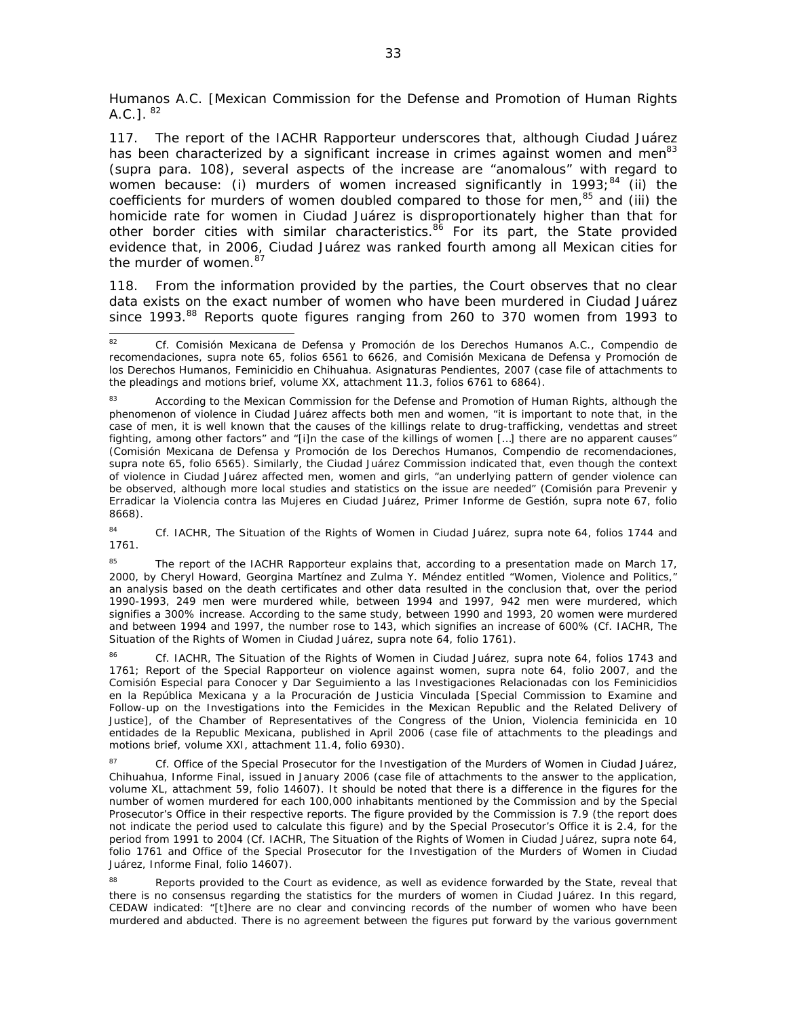*Humanos A.C.* [Mexican Commission for the Defense and Promotion of Human Rights A.C.]. *<sup>82</sup>*

117. The report of the IACHR Rapporteur underscores that, although Ciudad Juárez has been characterized by a significant increase in crimes against women and men<sup>83</sup> (*supra* para. 108), several aspects of the increase are "anomalous" with regard to women because: (i) murders of women increased significantly in 1993; $84$  (ii) the coefficients for murders of women doubled compared to those for men, $85$  and (iii) the homicide rate for women in Ciudad Juárez is disproportionately higher than that for other border cities with similar characteristics.<sup>86</sup> For its part, the State provided evidence that, in 2006, Ciudad Juárez was ranked fourth among all Mexican cities for the murder of women.<sup>87</sup>

118. From the information provided by the parties, the Court observes that no clear data exists on the exact number of women who have been murdered in Ciudad Juárez since 1993.<sup>88</sup> Reports quote figures ranging from 260 to 370 women from 1993 to

83 According to the Mexican Commission for the Defense and Promotion of Human Rights*,* although the phenomenon of violence in Ciudad Juárez affects both men and women, "it is important to note that, in the case of men, it is well known that the causes of the killings relate to drug-trafficking, vendettas and street fighting, among other factors" and "[i]n the case of the killings of women [...] there are no apparent causes" (*Comisión Mexicana de Defensa y Promoción de los Derechos Humanos, Compendio de recomendaciones*, *supra* note 65, folio 6565). Similarly, the Ciudad Juárez Commission indicated that, even though the context of violence in Ciudad Juárez affected men, women and girls, "an underlying pattern of gender violence can be observed, although more local studies and statistics on the issue are needed" (*Comisión para Prevenir y Erradicar la Violencia contra las Mujeres en Ciudad Juárez, Primer Informe de Gestión*, *supra* note 67, folio 8668).

84 *Cf.* IACHR, *The Situation of the Rights of Women in Ciudad Juárez, supra* note 64, folios 1744 and 1761.

<sup>85</sup> The report of the IACHR Rapporteur explains that, according to a presentation made on March 17, 2000, by Cheryl Howard, Georgina Martínez and Zulma Y. Méndez entitled "Women, Violence and Politics," an analysis based on the death certificates and other data resulted in the conclusion that, over the period 1990-1993, 249 men were murdered while, between 1994 and 1997, 942 men were murdered, which signifies a 300% increase. According to the same study, between 1990 and 1993, 20 women were murdered and between 1994 and 1997, the number rose to 143, which signifies an increase of 600% (*Cf.* IACHR, *The*  Situation of the Rights of Women in Ciudad Juárez, supra note 64, folio 1761).

86 *Cf.* IACHR, *The Situation of the Rights of Women in Ciudad Juárez, supra* note 64, folios 1743 and 1761; Report of the Special Rapporteur on violence against women, *supra* note 64, folio 2007, and the *Comisión Especial para Conocer y Dar Seguimiento a las Investigaciones Relacionadas con los Feminicidios en la República Mexicana y a la Procuración de Justicia Vinculada* [Special Commission to Examine and Follow-up on the Investigations into the Femicides in the Mexican Republic and the Related Delivery of Justice], of the Chamber of Representatives of the Congress of the Union, *Violencia feminicida en 10 entidades de la Republic Mexicana,* published in April 2006 (case file of attachments to the pleadings and motions brief, volume XXI, attachment 11.4, folio 6930).

87 *Cf.* Office of the Special Prosecutor for the Investigation of the Murders of Women in Ciudad Juárez, Chihuahua, *Informe Final*, issued in January 2006 (case file of attachments to the answer to the application, volume XL, attachment 59, folio 14607). It should be noted that there is a difference in the figures for the number of women murdered for each 100,000 inhabitants mentioned by the Commission and by the Special Prosecutor's Office in their respective reports. The figure provided by the Commission is 7.9 (the report does not indicate the period used to calculate this figure) and by the Special Prosecutor's Office it is 2.4, for the period from 1991 to 2004 (*Cf.* IACHR, *The Situation of the Rights of Women in Ciudad Juárez, supra* note 64, folio 1761 and Office of the Special Prosecutor for the Investigation of the Murders of Women in Ciudad Juárez, *Informe Final*, folio 14607).

Reports provided to the Court as evidence, as well as evidence forwarded by the State, reveal that there is no consensus regarding the statistics for the murders of women in Ciudad Juárez. In this regard, CEDAW indicated: "[t]here are no clear and convincing records of the number of women who have been murdered and abducted. There is no agreement between the figures put forward by the various government

<sup>82</sup> 82 *Cf. Comisión Mexicana de Defensa y Promoción de los Derechos Humanos A.C.*, *Compendio de recomendaciones*, *supra* note 65, folios 6561 to 6626, and *Comisión Mexicana de Defensa y Promoción de los Derechos Humanos*, *Feminicidio en Chihuahua. Asignaturas Pendientes*, 2007 (case file of attachments to the pleadings and motions brief, volume XX, attachment 11.3, folios 6761 to 6864).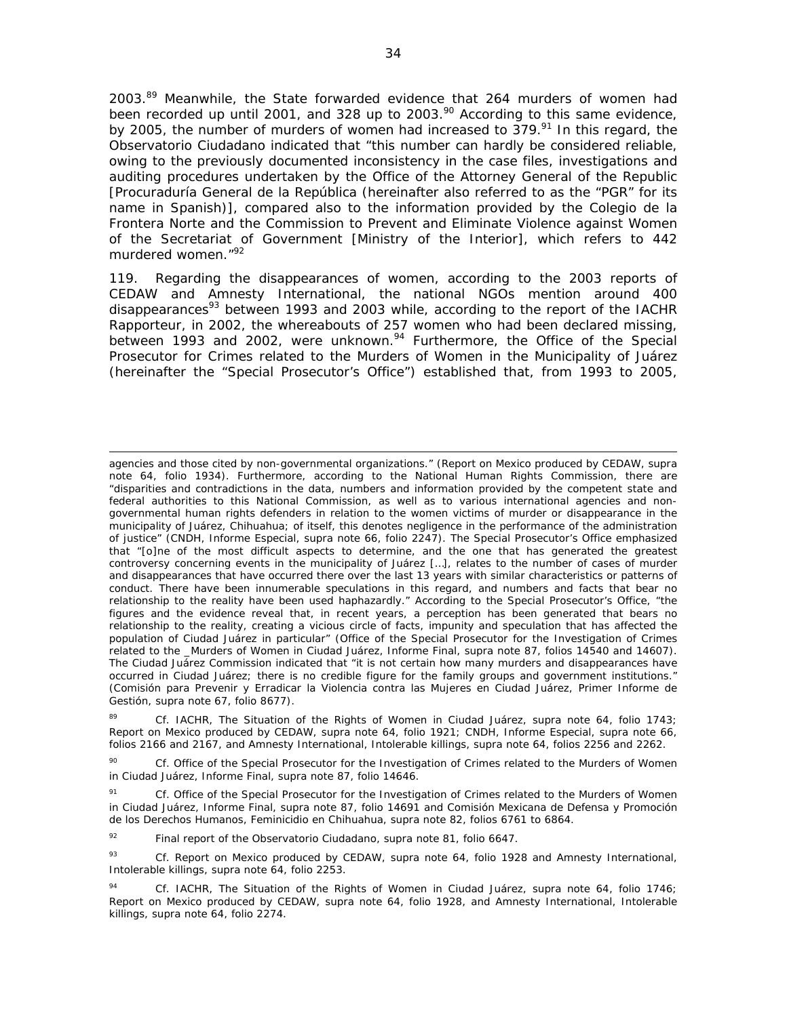2003.<sup>89</sup> Meanwhile, the State forwarded evidence that 264 murders of women had been recorded up until 2001, and 328 up to 2003.<sup>90</sup> According to this same evidence, by 2005, the number of murders of women had increased to  $379.91$  In this regard, the *Observatorio Ciudadano* indicated that "this number can hardly be considered reliable, owing to the previously documented inconsistency in the case files, investigations and auditing procedures undertaken by the Office of the Attorney General of the Republic [*Procuraduría General de la República* (hereinafter also referred to as the "PGR" for its name in Spanish)], compared also to the information provided by the *Colegio de la Frontera Norte* and the Commission to Prevent and Eliminate Violence against Women of the Secretariat of Government [Ministry of the Interior], which refers to 442 murdered women."92

119. Regarding the disappearances of women, according to the 2003 reports of CEDAW and Amnesty International, the national NGOs mention around 400 disappearances<sup>93</sup> between 1993 and 2003 while, according to the report of the IACHR Rapporteur, in 2002, the whereabouts of 257 women who had been declared missing, between 1993 and 2002, were unknown.<sup>94</sup> Furthermore, the Office of the Special Prosecutor for Crimes related to the Murders of Women in the Municipality of Juárez (hereinafter the "Special Prosecutor's Office") established that, from 1993 to 2005,

89 *Cf.* IACHR, *The Situation of the Rights of Women in Ciudad Juárez, supra* note 64, folio 1743; Report on Mexico produced by CEDAW, *supra* note 64, folio 1921; CNDH, *Informe Especial*, *supra* note 66, folios 2166 and 2167, and Amnesty International, *Intolerable killings, supra* note 64, folios 2256 and 2262.

<sup>90</sup> *Cf.* Office of the Special Prosecutor for the Investigation of Crimes related to the Murders of Women in Ciudad Juárez, *Informe Final*, *supra* note 87, folio 14646.

Cf. Office of the Special Prosecutor for the Investigation of Crimes related to the Murders of Women in Ciudad Juárez, *Informe Final*, *supra* note 87, folio 14691 and Comisión Mexicana de Defensa y Promoción de los Derechos Humanos, *Feminicidio en Chihuahua*, *supra* note 82, folios 6761 to 6864.

92 Final report of the *Observatorio Ciudadano, supra* note 81, folio 6647.

ł

93 *Cf.* Report on Mexico produced by CEDAW, *supra* note 64, folio 1928 and Amnesty International, *Intolerable killings, supra* note 64, folio 2253.

agencies and those cited by non-governmental organizations." (Report on Mexico produced by CEDAW, *supra*  note 64, folio 1934). Furthermore, according to the National Human Rights Commission, there are "disparities and contradictions in the data, numbers and information provided by the competent state and federal authorities to this National Commission, as well as to various international agencies and nongovernmental human rights defenders in relation to the women victims of murder or disappearance in the municipality of Juárez, Chihuahua; of itself, this denotes negligence in the performance of the administration of justice" (CNDH, *Informe Especial*, *supra* note 66, folio 2247). The Special Prosecutor's Office emphasized that "[o]ne of the most difficult aspects to determine, and the one that has generated the greatest controversy concerning events in the municipality of Juárez […], relates to the number of cases of murder and disappearances that have occurred there over the last 13 years with similar characteristics or patterns of conduct. There have been innumerable speculations in this regard, and numbers and facts that bear no relationship to the reality have been used haphazardly." According to the Special Prosecutor's Office, "the figures and the evidence reveal that, in recent years, a perception has been generated that bears no relationship to the reality, creating a vicious circle of facts, impunity and speculation that has affected the population of Ciudad Juárez in particular" (Office of the Special Prosecutor for the Investigation of Crimes related to the \_Murders of Women in Ciudad Juárez, *Informe Final, supra* note 87, folios 14540 and 14607). The Ciudad Juárez Commission indicated that "it is not certain how many murders and disappearances have occurred in Ciudad Juárez; there is no credible figure for the family groups and government institutions." (Comisión para Prevenir y Erradicar la Violencia contra las Mujeres en Ciudad Juárez, Primer Informe de Gestión, *supra* note 67, folio 8677).

<sup>94</sup> *Cf.* IACHR, *The Situation of the Rights of Women in Ciudad Juárez, supra* note 64, folio 1746; Report on Mexico produced by CEDAW, *supra* note 64, folio 1928, and Amnesty International, *Intolerable killings, supra* note 64, folio 2274.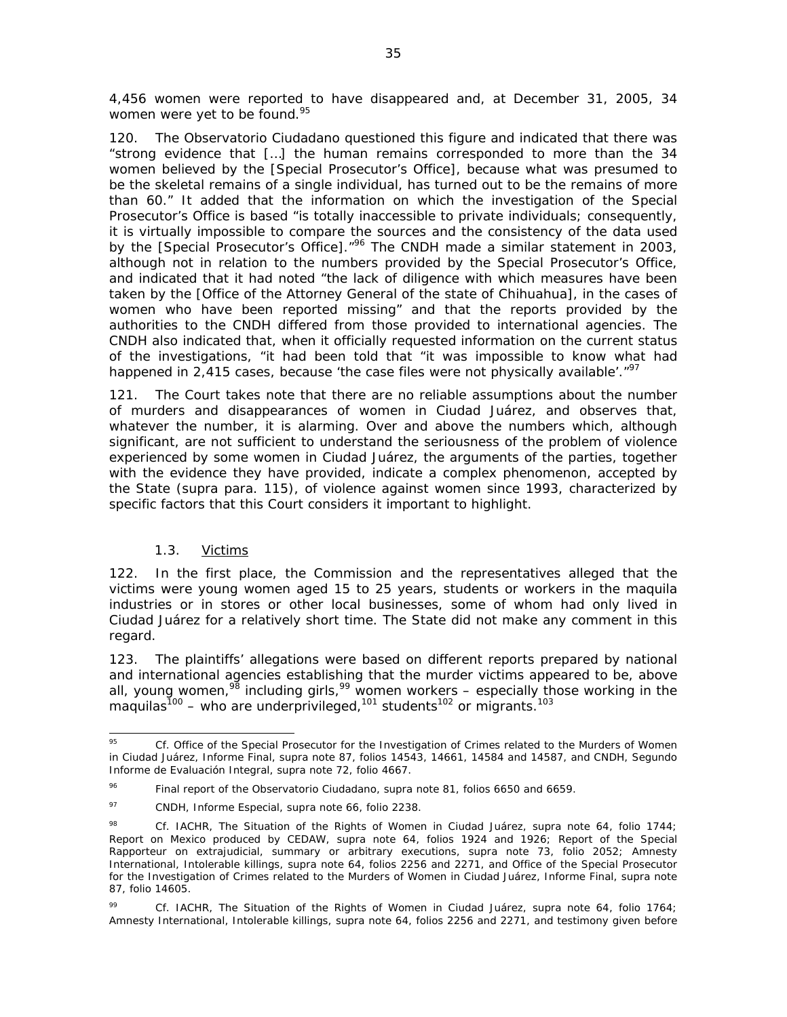4,456 women were reported to have disappeared and, at December 31, 2005, 34 women were yet to be found.<sup>95</sup>

120. The *Observatorio Ciudadano* questioned this figure and indicated that there was "strong evidence that […] the human remains corresponded to more than the 34 women believed by the [Special Prosecutor's Office], because what was presumed to be the skeletal remains of a single individual, has turned out to be the remains of more than 60." It added that the information on which the investigation of the Special Prosecutor's Office is based "is totally inaccessible to private individuals; consequently, it is virtually impossible to compare the sources and the consistency of the data used by the [Special Prosecutor's Office]. "<sup>96</sup> The CNDH made a similar statement in 2003, although not in relation to the numbers provided by the Special Prosecutor's Office, and indicated that it had noted "the lack of diligence with which measures have been taken by the [Office of the Attorney General of the state of Chihuahua], in the cases of women who have been reported missing" and that the reports provided by the authorities to the CNDH differed from those provided to international agencies. The CNDH also indicated that, when it officially requested information on the current status of the investigations, "it had been told that "it was impossible to know what had happened in 2,415 cases, because 'the case files were not physically available'. $1^{97}$ 

121. The Court takes note that there are no reliable assumptions about the number of murders and disappearances of women in Ciudad Juárez, and observes that, whatever the number, it is alarming. Over and above the numbers which, although significant, are not sufficient to understand the seriousness of the problem of violence experienced by some women in Ciudad Juárez, the arguments of the parties, together with the evidence they have provided, indicate a complex phenomenon, accepted by the State (*supra* para. 115), of violence against women since 1993, characterized by specific factors that this Court considers it important to highlight.

# *1.3. Victims*

122. In the first place, the Commission and the representatives alleged that the victims were young women aged 15 to 25 years, students or workers in the *maquila* industries or in stores or other local businesses, some of whom had only lived in Ciudad Juárez for a relatively short time. The State did not make any comment in this regard.

123. The plaintiffs' allegations were based on different reports prepared by national and international agencies establishing that the murder victims appeared to be, above all, young women,<sup>98</sup> including girls,<sup>99</sup> women workers – especially those working in the *maquilas*<sup>100</sup> – who are underprivileged,<sup>101</sup> students<sup>102</sup> or migrants.<sup>103</sup>

<sup>95</sup> 95 *Cf.* Office of the Special Prosecutor for the Investigation of Crimes related to the Murders of Women in Ciudad Juárez, *Informe Final*, *supra* note 87, folios 14543, 14661, 14584 and 14587, and CNDH, *Segundo Informe de Evaluación Integral*, *supra* note 72, folio 4667.

<sup>96</sup> Final report of the *Observatorio Ciudadano*, *supra* note 81, folios 6650 and 6659.

<sup>97</sup> CNDH, *Informe Especial*, *supra* note 66, folio 2238.

<sup>98</sup> *Cf.* IACHR, *The Situation of the Rights of Women in Ciudad Juárez, supra* note 64, folio 1744; Report on Mexico produced by CEDAW, *supra* note 64, folios 1924 and 1926; Report of the Special Rapporteur on extrajudicial, summary or arbitrary executions, *supra* note 73, folio 2052; Amnesty International, *Intolerable killings, supra* note 64, folios 2256 and 2271, and Office of the Special Prosecutor for the Investigation of Crimes related to the Murders of Women in Ciudad Juárez, *Informe Final*, *supra* note 87, folio 14605.

<sup>99</sup> *Cf.* IACHR, *The Situation of the Rights of Women in Ciudad Juárez, supra* note 64, folio 1764; Amnesty International, *Intolerable killings, supra* note 64, folios 2256 and 2271, and testimony given before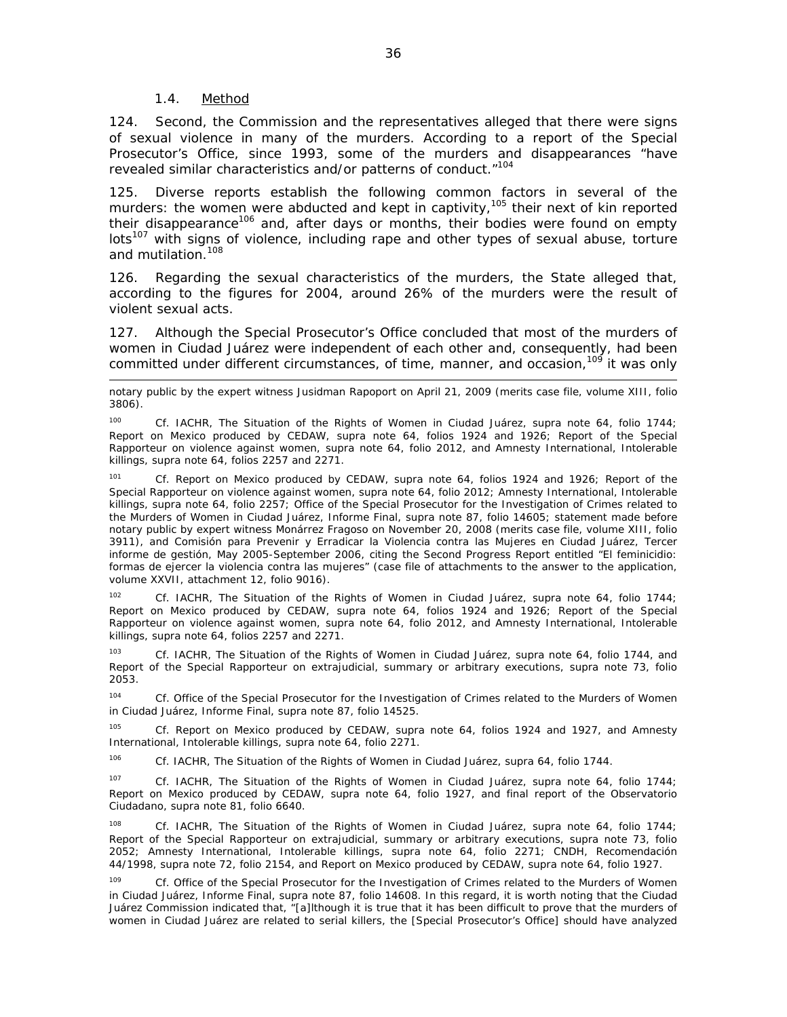#### *1.4. Method*

ł

124. Second, the Commission and the representatives alleged that there were signs of sexual violence in many of the murders. According to a report of the Special Prosecutor's Office, since 1993, some of the murders and disappearances "have revealed similar characteristics and/or patterns of conduct."104

125. Diverse reports establish the following common factors in several of the murders: the women were abducted and kept in captivity,<sup>105</sup> their next of kin reported their disappearance<sup>106</sup> and, after days or months, their bodies were found on empty lots<sup>107</sup> with signs of violence, including rape and other types of sexual abuse, torture and mutilation.<sup>108</sup>

126. Regarding the sexual characteristics of the murders, the State alleged that, according to the figures for 2004, around 26% of the murders were the result of violent sexual acts.

127. Although the Special Prosecutor's Office concluded that most of the murders of women in Ciudad Juárez were independent of each other and, consequently, had been committed under different circumstances, of time, manner, and occasion,<sup>109</sup> it was only

notary public by the expert witness Jusidman Rapoport on April 21, 2009 (merits case file, volume XIII, folio 3806).

100 *Cf.* IACHR, The Situation of the Rights of Women in Ciudad Juárez, supra note 64, folio 1744; Report on Mexico produced by CEDAW, *supra* note 64, folios 1924 and 1926; Report of the Special Rapporteur on violence against women, *supra* note 64, folio 2012, and Amnesty International, *Intolerable killings, supra* note 64, folios 2257 and 2271.

101 *Cf.* Report on Mexico produced by CEDAW, *supra* note 64, folios 1924 and 1926; Report of the Special Rapporteur on violence against women, *supra* note 64, folio 2012; Amnesty International, *Intolerable killings, supra* note 64, folio 2257; Office of the Special Prosecutor for the Investigation of Crimes related to the Murders of Women in Ciudad Juárez, *Informe Final*, *supra* note 87, folio 14605; statement made before notary public by expert witness Monárrez Fragoso on November 20, 2008 (merits case file, volume XIII, folio 3911), and *Comisión para Prevenir y Erradicar la Violencia contra las Mujeres en Ciudad Juárez, Tercer informe de gestión*, May 2005-September 2006, citing the Second Progress Report entitled "*El feminicidio: formas de ejercer la violencia contra las mujeres*" (case file of attachments to the answer to the application, volume XXVII, attachment 12, folio 9016).

102 *Cf.* IACHR, *The Situation of the Rights of Women in Ciudad Juárez, supra* note 64, folio 1744; Report on Mexico produced by CEDAW, *supra* note 64, folios 1924 and 1926; Report of the Special Rapporteur on violence against women, *supra* note 64, folio 2012, and Amnesty International, *Intolerable killings, supra* note 64, folios 2257 and 2271.

103 *Cf.* IACHR, *The Situation of the Rights of Women in Ciudad Juárez, supra* note 64, folio 1744, and Report of the Special Rapporteur on extrajudicial, summary or arbitrary executions, *supra* note 73, folio 2053.

104 *Cf.* Office of the Special Prosecutor for the Investigation of Crimes related to the Murders of Women in Ciudad Juárez, *Informe Final*, *supra* note 87, folio 14525.

105 *Cf.* Report on Mexico produced by CEDAW, *supra* note 64, folios 1924 and 1927, and Amnesty International, *Intolerable killings, supra* note 64, folio 2271.

<sup>106</sup> *Cf.* IACHR, *The Situation of the Rights of Women in Ciudad Juárez, supra 64, folio 1744.* 

107 *Cf.* IACHR, *The Situation of the Rights of Women in Ciudad Juárez, supra* note 64, folio 1744; Report on Mexico produced by CEDAW, *supra* note 64, folio 1927, and final report of the *Observatorio Ciudadano*, *supra* note 81, folio 6640.

108 *Cf.* IACHR, *The Situation of the Rights of Women in Ciudad Juárez, supra* note 64, folio 1744; Report of the Special Rapporteur on extrajudicial, summary or arbitrary executions, *supra* note 73, folio 2052; Amnesty International, *Intolerable killings, supra* note 64, folio 2271; CNDH, *Recomendación*  44/1998, *supra* note 72, folio 2154, and Report on Mexico produced by CEDAW, *supra* note 64, folio 1927.

<sup>109</sup> *Cf.* Office of the Special Prosecutor for the Investigation of Crimes related to the Murders of Women in Ciudad Juárez, *Informe Final*, *supra* note 87, folio 14608. In this regard, it is worth noting that the Ciudad Juárez Commission indicated that, "[a]lthough it is true that it has been difficult to prove that the murders of women in Ciudad Juárez are related to serial killers, the [Special Prosecutor's Office] should have analyzed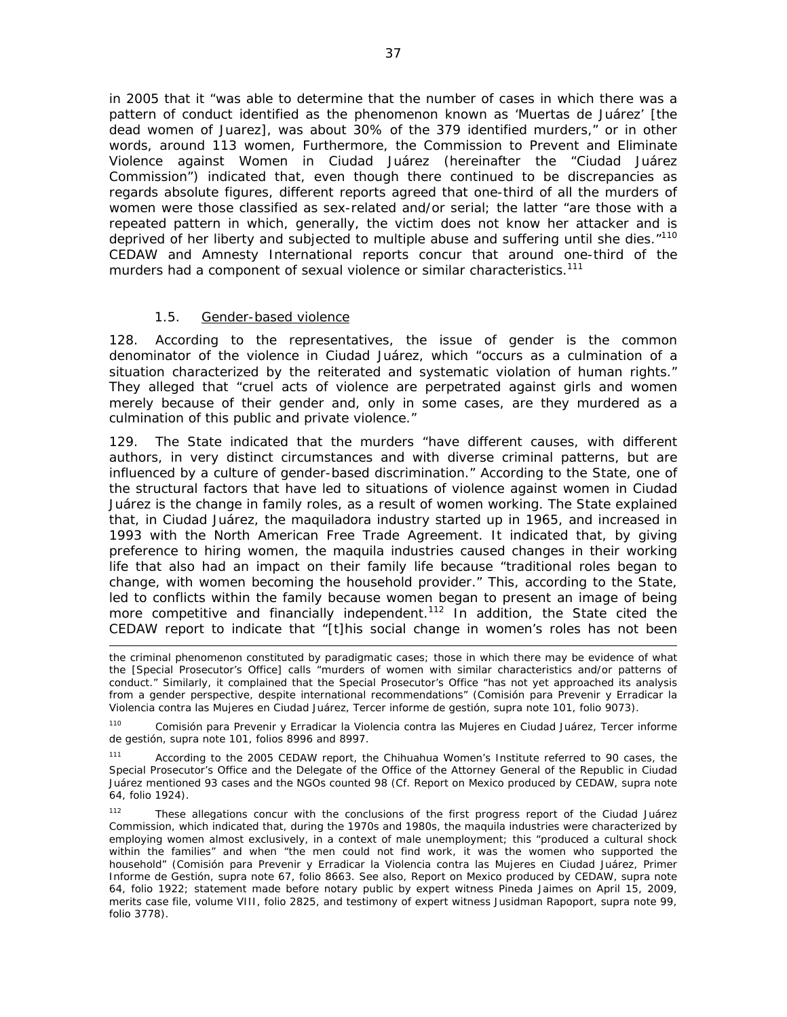in 2005 that it "was able to determine that the number of cases in which there was a pattern of conduct identified as the phenomenon known as '*Muertas de Juárez'* [the dead women of Juarez], was about 30% of the 379 identified murders," or in other words, around 113 women, Furthermore, the Commission to Prevent and Eliminate Violence against Women in Ciudad Juárez (hereinafter the "Ciudad Juárez Commission") indicated that, even though there continued to be discrepancies as regards absolute figures, different reports agreed that one-third of all the murders of women were those classified as sex-related and/or serial; the latter "are those with a repeated pattern in which, generally, the victim does not know her attacker and is deprived of her liberty and subjected to multiple abuse and suffering until she dies."<sup>110</sup> CEDAW and Amnesty International reports concur that around one-third of the murders had a component of sexual violence or similar characteristics.<sup>111</sup>

# *1.5. Gender-based violence*

ł

128. According to the representatives, the issue of gender is the common denominator of the violence in Ciudad Juárez, which "occurs as a culmination of a situation characterized by the reiterated and systematic violation of human rights." They alleged that "cruel acts of violence are perpetrated against girls and women merely because of their gender and, only in some cases, are they murdered as a culmination of this public and private violence."

129. The State indicated that the murders "have different causes, with different authors, in very distinct circumstances and with diverse criminal patterns, but are influenced by a culture of gender-based discrimination." According to the State, one of the structural factors that have led to situations of violence against women in Ciudad Juárez is the change in family roles, as a result of women working. The State explained that, in Ciudad Juárez, the *maquiladora* industry started up in 1965, and increased in 1993 with the North American Free Trade Agreement. It indicated that, by giving preference to hiring women, the *maquila* industries caused changes in their working life that also had an impact on their family life because "traditional roles began to change, with women becoming the household provider." This, according to the State, led to conflicts within the family because women began to present an image of being more competitive and financially independent.<sup>112</sup> In addition, the State cited the CEDAW report to indicate that "[t]his social change in women's roles has not been

110 *Comisión para Prevenir y Erradicar la Violencia contra las Mujeres en Ciudad Juárez, Tercer informe de gestión*, *supra* note 101, folios 8996 and 8997.

111 According to the 2005 CEDAW report, the Chihuahua Women's Institute referred to 90 cases, the Special Prosecutor's Office and the Delegate of the Office of the Attorney General of the Republic in Ciudad Juárez mentioned 93 cases and the NGOs counted 98 (*Cf.* Report on Mexico produced by CEDAW, *supra* note 64, folio 1924).

<sup>112</sup> These allegations concur with the conclusions of the first progress report of the Ciudad Juárez Commission, which indicated that, during the 1970s and 1980s, the *maquila* industries were characterized by employing women almost exclusively, in a context of male unemployment; this "produced a cultural shock within the families" and when "the men could not find work, it was the women who supported the household" (*Comisión para Prevenir y Erradicar la Violencia contra las Mujeres en Ciudad Juárez, Primer Informe de Gestión*, *supra* note 67, folio 8663. See also, Report on Mexico produced by CEDAW, *supra* note 64, folio 1922; statement made before notary public by expert witness Pineda Jaimes on April 15, 2009, merits case file, volume VIII, folio 2825, and testimony of expert witness Jusidman Rapoport, *supra* note 99, folio 3778).

the criminal phenomenon constituted by paradigmatic cases; those in which there may be evidence of what the [Special Prosecutor's Office] calls "murders of women with similar characteristics and/or patterns of conduct." Similarly, it complained that the Special Prosecutor's Office "has not yet approached its analysis from a gender perspective, despite international recommendations" (*Comisión para Prevenir y Erradicar la Violencia contra las Mujeres en Ciudad Juárez*, *Tercer informe de gestión, supra* note 101, folio 9073).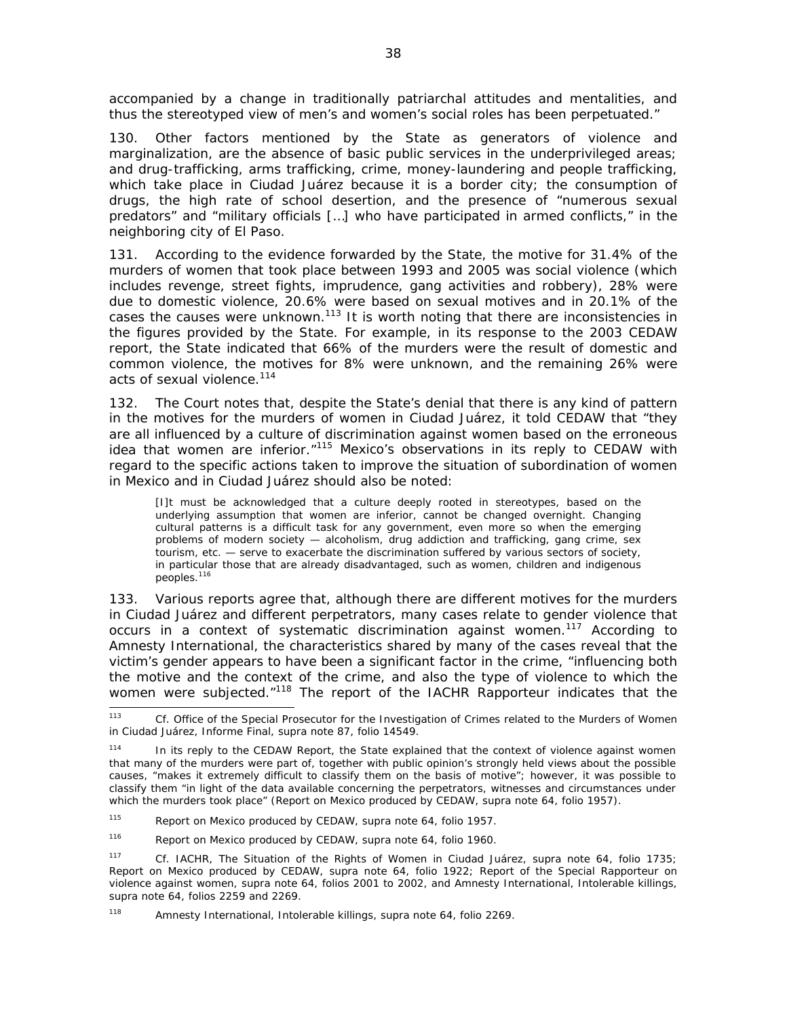accompanied by a change in traditionally patriarchal attitudes and mentalities, and thus the stereotyped view of men's and women's social roles has been perpetuated."

130. Other factors mentioned by the State as generators of violence and marginalization, are the absence of basic public services in the underprivileged areas; and drug-trafficking, arms trafficking, crime, money-laundering and people trafficking, which take place in Ciudad Juárez because it is a border city; the consumption of drugs, the high rate of school desertion, and the presence of "numerous sexual predators" and "military officials […] who have participated in armed conflicts," in the neighboring city of El Paso.

131. According to the evidence forwarded by the State, the motive for 31.4% of the murders of women that took place between 1993 and 2005 was social violence (which includes revenge, street fights, imprudence, gang activities and robbery), 28% were due to domestic violence, 20.6% were based on sexual motives and in 20.1% of the cases the causes were unknown.<sup>113</sup> It is worth noting that there are inconsistencies in the figures provided by the State. For example, in its response to the 2003 CEDAW report, the State indicated that 66% of the murders were the result of domestic and common violence, the motives for 8% were unknown, and the remaining 26% were acts of sexual violence.<sup>114</sup>

132. The Court notes that, despite the State's denial that there is any kind of pattern in the motives for the murders of women in Ciudad Juárez, it told CEDAW that "they are all influenced by a culture of discrimination against women based on the erroneous idea that women are inferior.<sup>"115</sup> Mexico's observations in its reply to CEDAW with regard to the specific actions taken to improve the situation of subordination of women in Mexico and in Ciudad Juárez should also be noted:

[I]t must be acknowledged that a culture deeply rooted in stereotypes, based on the underlying assumption that women are inferior, cannot be changed overnight. Changing cultural patterns is a difficult task for any government, even more so when the emerging problems of modern society — alcoholism, drug addiction and trafficking, gang crime, sex tourism, etc. — serve to exacerbate the discrimination suffered by various sectors of society, in particular those that are already disadvantaged, such as women, children and indigenous peoples.<sup>116</sup>

133. Various reports agree that, although there are different motives for the murders in Ciudad Juárez and different perpetrators, many cases relate to gender violence that occurs in a context of systematic discrimination against women.117 According to Amnesty International, the characteristics shared by many of the cases reveal that the victim's gender appears to have been a significant factor in the crime, "influencing both the motive and the context of the crime, and also the type of violence to which the women were subjected."<sup>118</sup> The report of the IACHR Rapporteur indicates that the

<sup>113</sup> Cf. Office of the Special Prosecutor for the Investigation of Crimes related to the Murders of Women in Ciudad Juárez, *Informe Final*, *supra* note 87, folio 14549.

<sup>114</sup> In its reply to the CEDAW Report, the State explained that the context of violence against women that many of the murders were part of, together with public opinion's strongly held views about the possible causes, "makes it extremely difficult to classify them on the basis of motive"; however, it was possible to classify them "in light of the data available concerning the perpetrators, witnesses and circumstances under which the murders took place" (Report on Mexico produced by CEDAW, *supra* note 64, folio 1957).

<sup>115</sup> Report on Mexico produced by CEDAW, *supra* note 64, folio 1957.

<sup>116</sup> Report on Mexico produced by CEDAW, *supra* note 64, folio 1960.

<sup>117</sup> *Cf.* IACHR, *The Situation of the Rights of Women in Ciudad Juárez, supra* note 64, folio 1735; Report on Mexico produced by CEDAW, *supra* note 64, folio 1922; Report of the Special Rapporteur on violence against women, *supra* note 64, folios 2001 to 2002, and Amnesty International, *Intolerable killings, supra* note 64, folios 2259 and 2269.

<sup>118</sup> Amnesty International, *Intolerable killings, supra* note 64, folio 2269.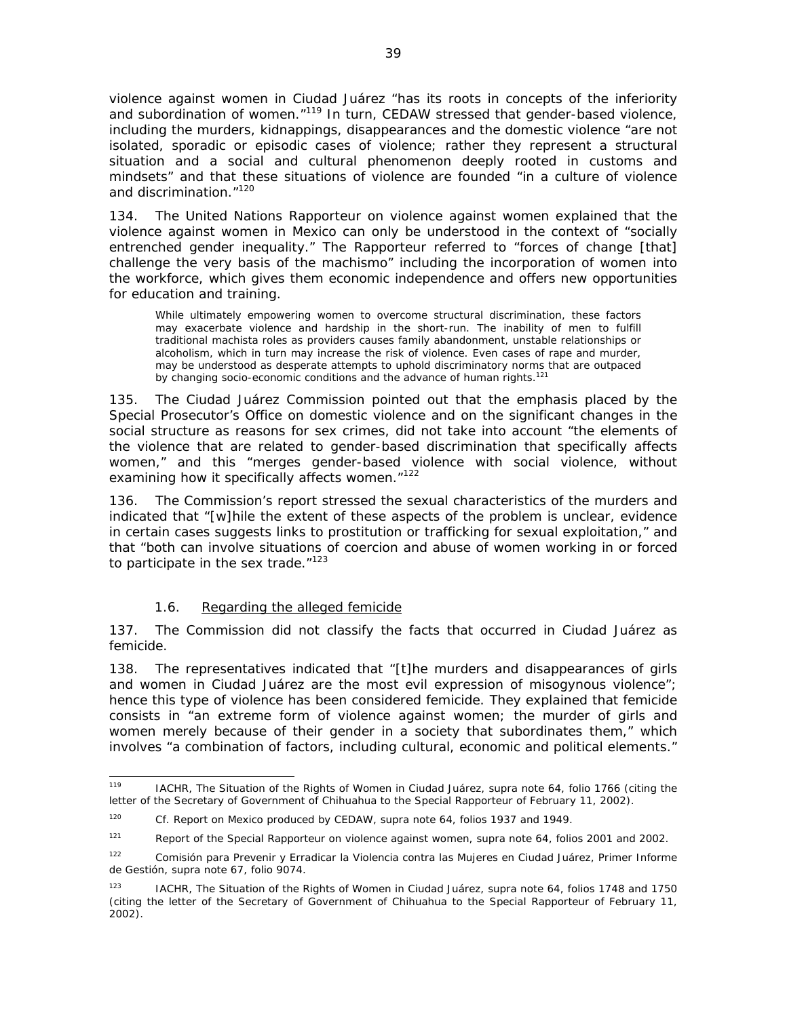violence against women in Ciudad Juárez "has its roots in concepts of the inferiority and subordination of women."<sup>119</sup> In turn, CEDAW stressed that gender-based violence, including the murders, kidnappings, disappearances and the domestic violence "are not isolated, sporadic or episodic cases of violence; rather they represent a structural situation and a social and cultural phenomenon deeply rooted in customs and mindsets" and that these situations of violence are founded "in a culture of violence and discrimination."120

134. The United Nations Rapporteur on violence against women explained that the violence against women in Mexico can only be understood in the context of "socially entrenched gender inequality." The Rapporteur referred to "forces of change [that] challenge the very basis of the *machismo*" including the incorporation of women into the workforce, which gives them economic independence and offers new opportunities for education and training.

While ultimately empowering women to overcome structural discrimination, these factors may exacerbate violence and hardship in the short-run. The inability of men to fulfill traditional *machista* roles as providers causes family abandonment, unstable relationships or alcoholism, which in turn may increase the risk of violence. Even cases of rape and murder, may be understood as desperate attempts to uphold discriminatory norms that are outpaced by changing socio-economic conditions and the advance of human rights.<sup>121</sup>

135. The Ciudad Juárez Commission pointed out that the emphasis placed by the Special Prosecutor's Office on domestic violence and on the significant changes in the social structure as reasons for sex crimes, did not take into account "the elements of the violence that are related to gender-based discrimination that specifically affects women," and this "merges gender-based violence with social violence, without examining how it specifically affects women."<sup>122</sup>

136. The Commission's report stressed the sexual characteristics of the murders and indicated that "[w]hile the extent of these aspects of the problem is unclear, evidence in certain cases suggests links to prostitution or trafficking for sexual exploitation," and that "both can involve situations of coercion and abuse of women working in or forced to participate in the sex trade. $"123$ 

# *1.6. Regarding the alleged femicide*

137. The Commission did not classify the facts that occurred in Ciudad Juárez as femicide.

138. The representatives indicated that "[t]he murders and disappearances of girls and women in Ciudad Juárez are the most evil expression of misogynous violence"; hence this type of violence has been considered femicide. They explained that femicide consists in "an extreme form of violence against women; the murder of girls and women merely because of their gender in a society that subordinates them," which involves "a combination of factors, including cultural, economic and political elements."

<sup>119</sup> 1ACHR, *The Situation of the Rights of Women in Ciudad Juárez, supra* note 64, folio 1766 (citing the letter of the Secretary of Government of Chihuahua to the Special Rapporteur of February 11, 2002).

<sup>120</sup> *Cf.* Report on Mexico produced by CEDAW, *supra* note 64, folios 1937 and 1949.

<sup>121</sup> Report of the Special Rapporteur on violence against women, *supra* note 64, folios 2001 and 2002.

<sup>122</sup> *Comisión para Prevenir y Erradicar la Violencia contra las Mujeres en Ciudad Juárez, Primer Informe de Gestión*, *supra* note 67, folio 9074.

<sup>&</sup>lt;sup>123</sup> IACHR, *The Situation of the Rights of Women in Ciudad Juárez, supra* note 64, folios 1748 and 1750 (citing the letter of the Secretary of Government of Chihuahua to the Special Rapporteur of February 11, 2002).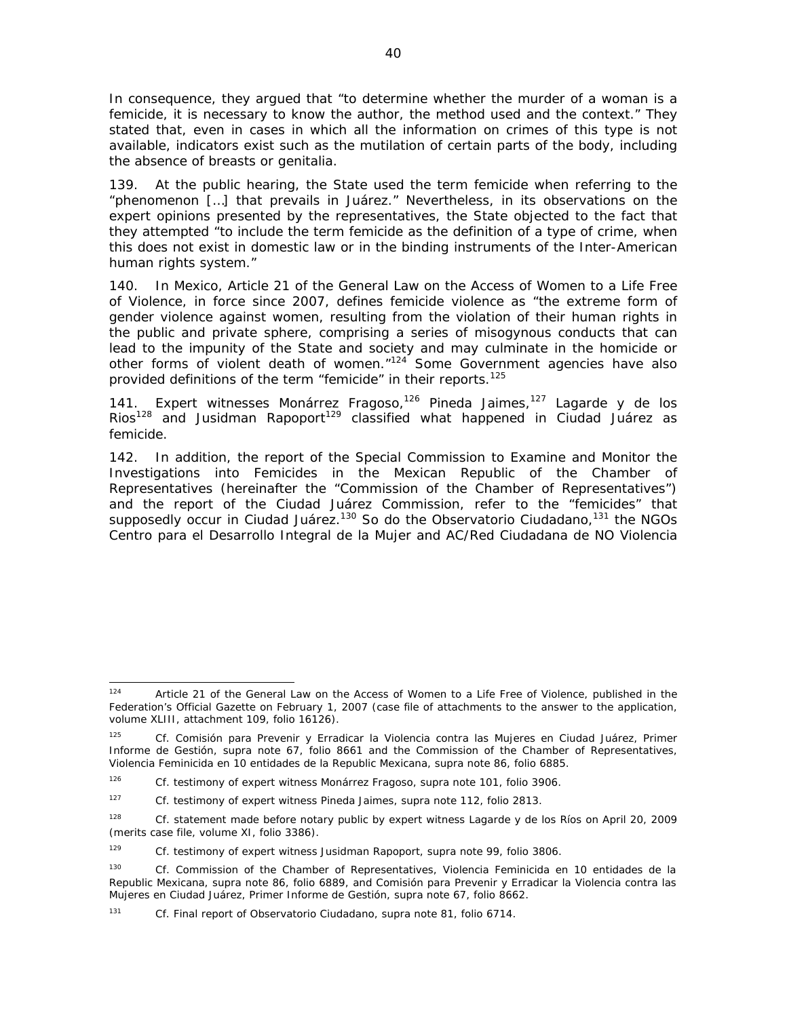In consequence, they argued that "to determine whether the murder of a woman is a femicide, it is necessary to know the author, the method used and the context." They stated that, even in cases in which all the information on crimes of this type is not available, indicators exist such as the mutilation of certain parts of the body, including the absence of breasts or genitalia.

139. At the public hearing, the State used the term femicide when referring to the "phenomenon […] that prevails in Juárez." Nevertheless, in its observations on the expert opinions presented by the representatives, the State objected to the fact that they attempted "to include the term femicide as the definition of a type of crime, when this does not exist in domestic law or in the binding instruments of the Inter-American human rights system."

140. In Mexico, Article 21 of the General Law on the Access of Women to a Life Free of Violence, in force since 2007, defines femicide violence as "the extreme form of gender violence against women, resulting from the violation of their human rights in the public and private sphere, comprising a series of misogynous conducts that can lead to the impunity of the State and society and may culminate in the homicide or other forms of violent death of women."124 Some Government agencies have also provided definitions of the term "femicide" in their reports.<sup>125</sup>

141. Expert witnesses Monárrez Fragoso,<sup>126</sup> Pineda Jaimes,<sup>127</sup> Lagarde y de los Rios<sup>128</sup> and Jusidman Rapoport<sup>129</sup> classified what happened in Ciudad Juárez as femicide.

142. In addition, the report of the Special Commission to Examine and Monitor the Investigations into Femicides in the Mexican Republic of the Chamber of Representatives (hereinafter the "Commission of the Chamber of Representatives") and the report of the Ciudad Juárez Commission, refer to the "femicides" that supposedly occur in Ciudad Juárez.130 So do the *Observatorio Ciudadano,*131 the NGOs *Centro para el Desarrollo Integral de la Mujer* and *AC/Red Ciudadana de NO Violencia* 

 $124$ Article 21 of the General Law on the Access of Women to a Life Free of Violence, published in the Federation's Official Gazette on February 1, 2007 (case file of attachments to the answer to the application, volume XLIII, attachment 109, folio 16126).

<sup>125</sup> *Cf. Comisión para Prevenir y Erradicar la Violencia contra las Mujeres en Ciudad Juárez, Primer Informe de Gestión*, *supra* note 67, folio 8661 and the Commission of the Chamber of Representatives, *Violencia Feminicida en 10 entidades de la Republic Mexicana*, *supra* note 86, folio 6885.

<sup>126</sup> *Cf.* testimony of expert witness Monárrez Fragoso, *supra* note 101, folio 3906.

<sup>127</sup> *Cf.* testimony of expert witness Pineda Jaimes, *supra* note 112, folio 2813.

<sup>128</sup> *Cf.* statement made before notary public by expert witness Lagarde y de los Ríos on April 20, 2009 (merits case file, volume XI, folio 3386).

<sup>129</sup> *Cf.* testimony of expert witness Jusidman Rapoport, *supra* note 99, folio 3806.

<sup>130</sup> *Cf.* Commission of the Chamber of Representatives, *Violencia Feminicida en 10 entidades de la Republic Mexicana*, *supra* note 86, folio 6889, and *Comisión para Prevenir y Erradicar la Violencia contra las Mujeres en Ciudad Juárez, Primer Informe de Gestión*, *supra* note 67, folio 8662.

<sup>131</sup> *Cf.* Final report of *Observatorio Ciudadano*, *supra* note 81, folio 6714.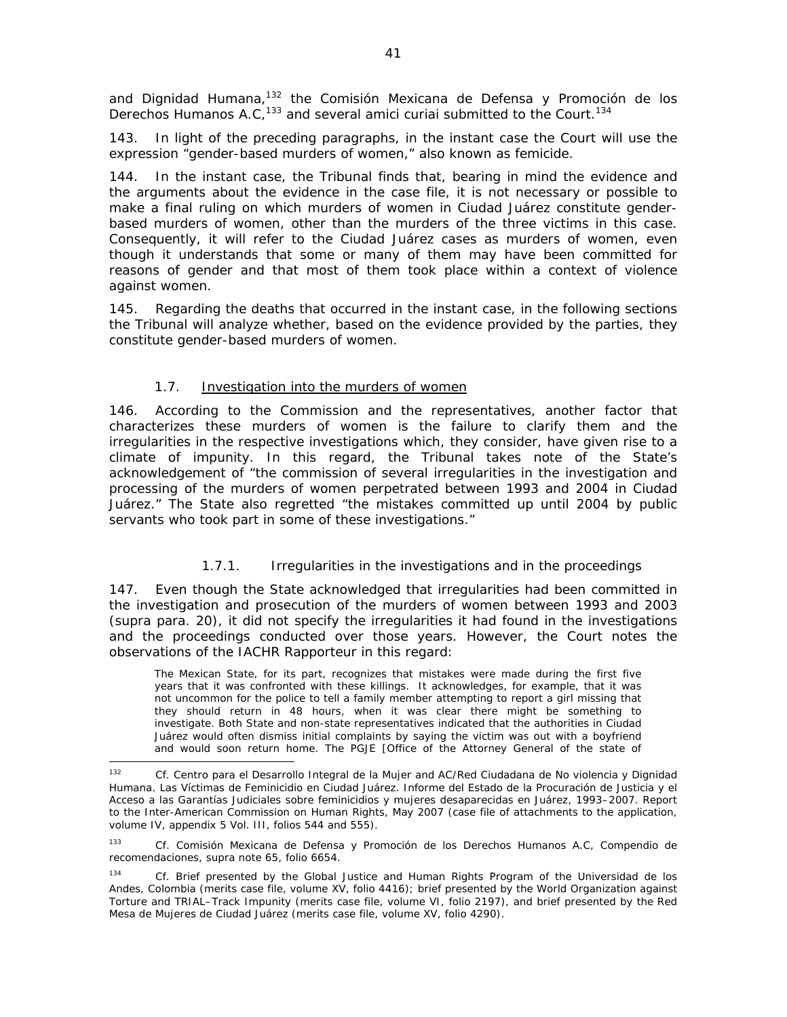and Dignidad Humana,<sup>132</sup> the *Comisión Mexicana de Defensa y Promoción de los Derechos Humanos A.C*,<sup>133</sup> and several *amici curiai* submitted to the Court.<sup>134</sup>

143. In light of the preceding paragraphs, in the instant case the Court will use the expression "gender-based murders of women," also known as femicide.

144. In the instant case, the Tribunal finds that, bearing in mind the evidence and the arguments about the evidence in the case file, it is not necessary or possible to make a final ruling on which murders of women in Ciudad Juárez constitute genderbased murders of women, other than the murders of the three victims in this case. Consequently, it will refer to the Ciudad Juárez cases as murders of women, even though it understands that some or many of them may have been committed for reasons of gender and that most of them took place within a context of violence against women.

145. Regarding the deaths that occurred in the instant case, in the following sections the Tribunal will analyze whether, based on the evidence provided by the parties, they constitute gender-based murders of women.

### *1.7. Investigation into the murders of women*

-

146. According to the Commission and the representatives, another factor that characterizes these murders of women is the failure to clarify them and the irregularities in the respective investigations which, they consider, have given rise to a climate of impunity. In this regard, the Tribunal takes note of the State's acknowledgement of "the commission of several irregularities in the investigation and processing of the murders of women perpetrated between 1993 and 2004 in Ciudad Juárez." The State also regretted "the mistakes committed up until 2004 by public servants who took part in some of these investigations."

### *1.7.1. Irregularities in the investigations and in the proceedings*

147. Even though the State acknowledged that irregularities had been committed in the investigation and prosecution of the murders of women between 1993 and 2003 (*supra* para. 20), it did not specify the irregularities it had found in the investigations and the proceedings conducted over those years. However, the Court notes the observations of the IACHR Rapporteur in this regard:

The Mexican State, for its part, recognizes that mistakes were made during the first five years that it was confronted with these killings. It acknowledges, for example, that it was not uncommon for the police to tell a family member attempting to report a girl missing that they should return in 48 hours, when it was clear there might be something to investigate. Both State and non-state representatives indicated that the authorities in Ciudad Juárez would often dismiss initial complaints by saying the victim was out with a boyfriend and would soon return home. The PGJE [Office of the Attorney General of the state of

<sup>132</sup> *Cf. Centro para el Desarrollo Integral de la Mujer and AC/Red Ciudadana de No violencia y Dignidad Humana. Las Víctimas de Feminicidio en Ciudad Juárez. Informe del Estado de la Procuración de Justicia y el Acceso a las Garantías Judiciales sobre feminicidios y mujeres desaparecidas en Juárez, 1993–2007*. Report to the Inter-American Commission on Human Rights, May 2007 (case file of attachments to the application, volume IV, appendix 5 Vol. III, folios 544 and 555).

<sup>133</sup> *Cf. Comisión Mexicana de Defensa y Promoción de los Derechos Humanos A.C*, *Compendio de recomendaciones*, *supra* note 65, folio 6654.

<sup>134</sup> *Cf.* Brief presented by the Global Justice and Human Rights Program of the Universidad de los Andes, Colombia (merits case file, volume XV, folio 4416); brief presented by the World Organization against Torture and TRIAL–Track Impunity (merits case file, volume VI, folio 2197), and brief presented by the *Red Mesa de Mujeres de Ciudad Juárez* (merits case file, volume XV, folio 4290).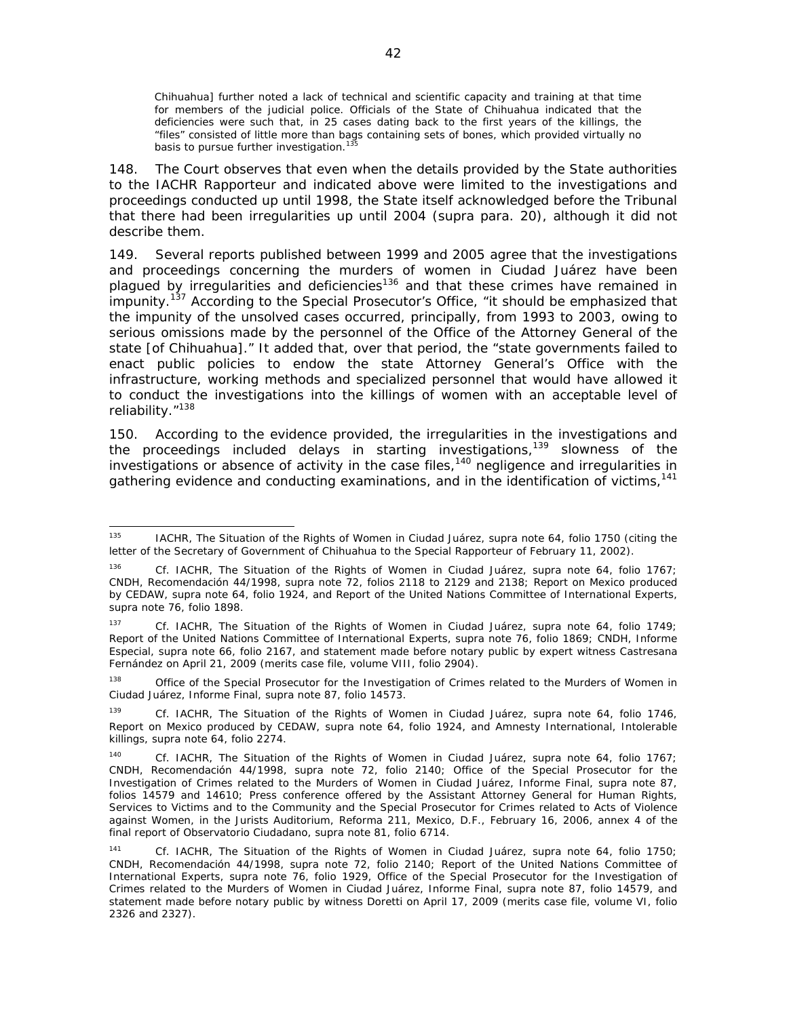Chihuahua] further noted a lack of technical and scientific capacity and training at that time for members of the judicial police. Officials of the State of Chihuahua indicated that the deficiencies were such that, in 25 cases dating back to the first years of the killings, the "files" consisted of little more than bags containing sets of bones, which provided virtually no basis to pursue further investigation.<sup>135</sup>

148. The Court observes that even when the details provided by the State authorities to the IACHR Rapporteur and indicated above were limited to the investigations and proceedings conducted up until 1998, the State itself acknowledged before the Tribunal that there had been irregularities up until 2004 (*supra* para. 20), although it did not describe them.

149. Several reports published between 1999 and 2005 agree that the investigations and proceedings concerning the murders of women in Ciudad Juárez have been plagued by irregularities and deficiencies<sup>136</sup> and that these crimes have remained in impunity.137 According to the Special Prosecutor's Office, "it should be emphasized that the impunity of the unsolved cases occurred, principally, from 1993 to 2003, owing to serious omissions made by the personnel of the Office of the Attorney General of the state [of Chihuahua]." It added that, over that period, the "state governments failed to enact public policies to endow the state Attorney General's Office with the infrastructure, working methods and specialized personnel that would have allowed it to conduct the investigations into the killings of women with an acceptable level of reliability."<sup>138</sup>

150. According to the evidence provided, the irregularities in the investigations and the proceedings included delays in starting investigations,<sup>139</sup> slowness of the investigations or absence of activity in the case files,  $140$  negligence and irregularities in gathering evidence and conducting examinations, and in the identification of victims,<sup>141</sup>

 $1.35$ 135 IACHR, *The Situation of the Rights of Women in Ciudad Juárez, supra* note 64, folio 1750 (citing the letter of the Secretary of Government of Chihuahua to the Special Rapporteur of February 11, 2002).

<sup>136</sup> *Cf.* IACHR, *The Situation of the Rights of Women in Ciudad Juárez, supra* note 64, folio 1767; CNDH, *Recomendación* 44/1998, *supra* note 72, folios 2118 to 2129 and 2138; Report on Mexico produced by CEDAW, *supra* note 64, folio 1924, and Report of the United Nations Committee of International Experts, *supra* note 76, folio 1898.

<sup>137</sup> *Cf.* IACHR, *The Situation of the Rights of Women in Ciudad Juárez, supra* note 64, folio 1749; Report of the United Nations Committee of International Experts, *supra* note 76, folio 1869; CNDH, *Informe Especial*, *supra* note 66, folio 2167, and statement made before notary public by expert witness Castresana Fernández on April 21, 2009 (merits case file, volume VIII, folio 2904).

<sup>138</sup> Office of the Special Prosecutor for the Investigation of Crimes related to the Murders of Women in Ciudad Juárez, *Informe Final*, *supra* note 87, folio 14573.

<sup>139</sup> *Cf.* IACHR, *The Situation of the Rights of Women in Ciudad Juárez, supra* note 64, folio 1746, Report on Mexico produced by CEDAW, *supra* note 64, folio 1924, and Amnesty International, *Intolerable killings, supra* note 64, folio 2274.

<sup>140</sup> *Cf.* IACHR, *The Situation of the Rights of Women in Ciudad Juárez, supra* note 64, folio 1767; CNDH, *Recomendación 44/1998, supra* note 72, folio 2140; Office of the Special Prosecutor for the Investigation of Crimes related to the Murders of Women in Ciudad Juárez, *Informe Final, supra* note 87, folios 14579 and 14610; Press conference offered by the Assistant Attorney General for Human Rights, Services to Victims and to the Community and the Special Prosecutor for Crimes related to Acts of Violence against Women, in the Jurists Auditorium, Reforma 211, Mexico, D.F., February 16, 2006, annex 4 of the final report of *Observatorio Ciudadano*, *supra* note 81, folio 6714.

<sup>141</sup> *Cf.* IACHR, *The Situation of the Rights of Women in Ciudad Juárez, supra* note 64, folio 1750; CNDH, *Recomendación 44/1998*, *supra* note 72, folio 2140; Report of the United Nations Committee of International Experts, *supra* note 76, folio 1929, Office of the Special Prosecutor for the Investigation of Crimes related to the Murders of Women in Ciudad Juárez, *Informe Final*, *supra* note 87, folio 14579, and statement made before notary public by witness Doretti on April 17, 2009 (merits case file, volume VI, folio 2326 and 2327).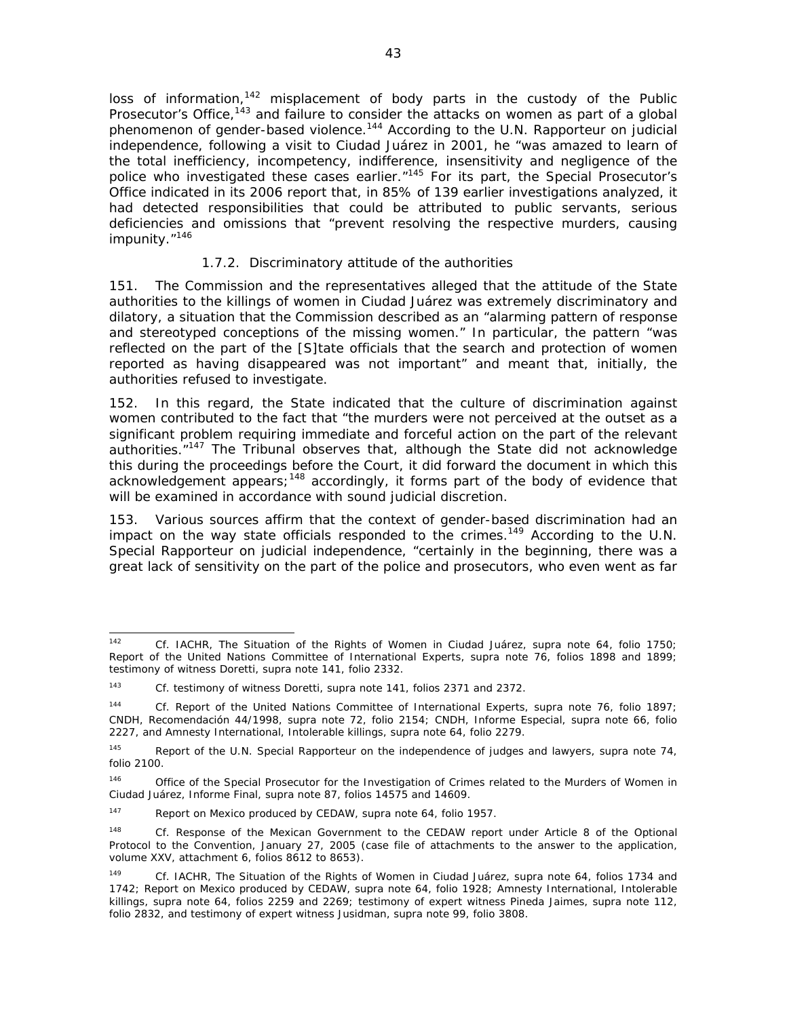loss of information,<sup>142</sup> misplacement of body parts in the custody of the Public Prosecutor's Office,<sup>143</sup> and failure to consider the attacks on women as part of a global phenomenon of gender-based violence.<sup>144</sup> According to the U.N. Rapporteur on judicial independence, following a visit to Ciudad Juárez in 2001, he "was amazed to learn of the total inefficiency, incompetency, indifference, insensitivity and negligence of the police who investigated these cases earlier.<sup>"145</sup> For its part, the Special Prosecutor's Office indicated in its 2006 report that, in 85% of 139 earlier investigations analyzed, it had detected responsibilities that could be attributed to public servants, serious deficiencies and omissions that "prevent resolving the respective murders, causing impunity."<sup>146</sup>

### *1.7.2. Discriminatory attitude of the authorities*

151. The Commission and the representatives alleged that the attitude of the State authorities to the killings of women in Ciudad Juárez was extremely discriminatory and dilatory, a situation that the Commission described as an "alarming pattern of response and stereotyped conceptions of the missing women." In particular, the pattern "was reflected on the part of the [S]tate officials that the search and protection of women reported as having disappeared was not important" and meant that, initially, the authorities refused to investigate.

152. In this regard, the State indicated that the culture of discrimination against women contributed to the fact that "the murders were not perceived at the outset as a significant problem requiring immediate and forceful action on the part of the relevant authorities. $147$  The Tribunal observes that, although the State did not acknowledge this during the proceedings before the Court, it did forward the document in which this acknowledgement appears;  $148$  accordingly, it forms part of the body of evidence that will be examined in accordance with sound judicial discretion.

153. Various sources affirm that the context of gender-based discrimination had an impact on the way state officials responded to the crimes.<sup>149</sup> According to the U.N. Special Rapporteur on judicial independence, "certainly in the beginning, there was a great lack of sensitivity on the part of the police and prosecutors, who even went as far

 $142$ 142 *Cf.* IACHR, *The Situation of the Rights of Women in Ciudad Juárez, supra* note 64, folio 1750; Report of the United Nations Committee of International Experts, *supra* note 76, folios 1898 and 1899; testimony of witness Doretti*, supra* note 141, folio 2332.

<sup>143</sup> *Cf.* testimony of witness Doretti, *supra* note 141, folios 2371 and 2372.

<sup>144</sup> *Cf.* Report of the United Nations Committee of International Experts, *supra* note 76, folio 1897; CNDH, *Recomendación 44/1998*, *supra* note 72, folio 2154; CNDH, *Informe Especial*, *supra* note 66, folio 2227, and Amnesty International, *Intolerable killings, supra* note 64, folio 2279.

<sup>145</sup> Report of the U.N. Special Rapporteur on the independence of judges and lawyers, *supra* note 74, folio 2100.

<sup>&</sup>lt;sup>146</sup> Office of the Special Prosecutor for the Investigation of Crimes related to the Murders of Women in Ciudad Juárez, *Informe Final*, *supra* note 87, folios 14575 and 14609.

<sup>147</sup> Report on Mexico produced by CEDAW, *supra* note 64, folio 1957.

<sup>148</sup> *Cf.* Response of the Mexican Government to the CEDAW report under Article 8 of the Optional Protocol to the Convention, January 27, 2005 (case file of attachments to the answer to the application, volume XXV, attachment 6, folios 8612 to 8653).

<sup>&</sup>lt;sup>149</sup> *Cf.* IACHR, *The Situation of the Rights of Women in Ciudad Juárez, supra* note 64, folios 1734 and 1742; Report on Mexico produced by CEDAW, *supra* note 64, folio 1928; Amnesty International, *Intolerable killings, supra* note 64, folios 2259 and 2269; testimony of expert witness Pineda Jaimes, *supra* note 112, folio 2832, and testimony of expert witness Jusidman, *supra* note 99, folio 3808.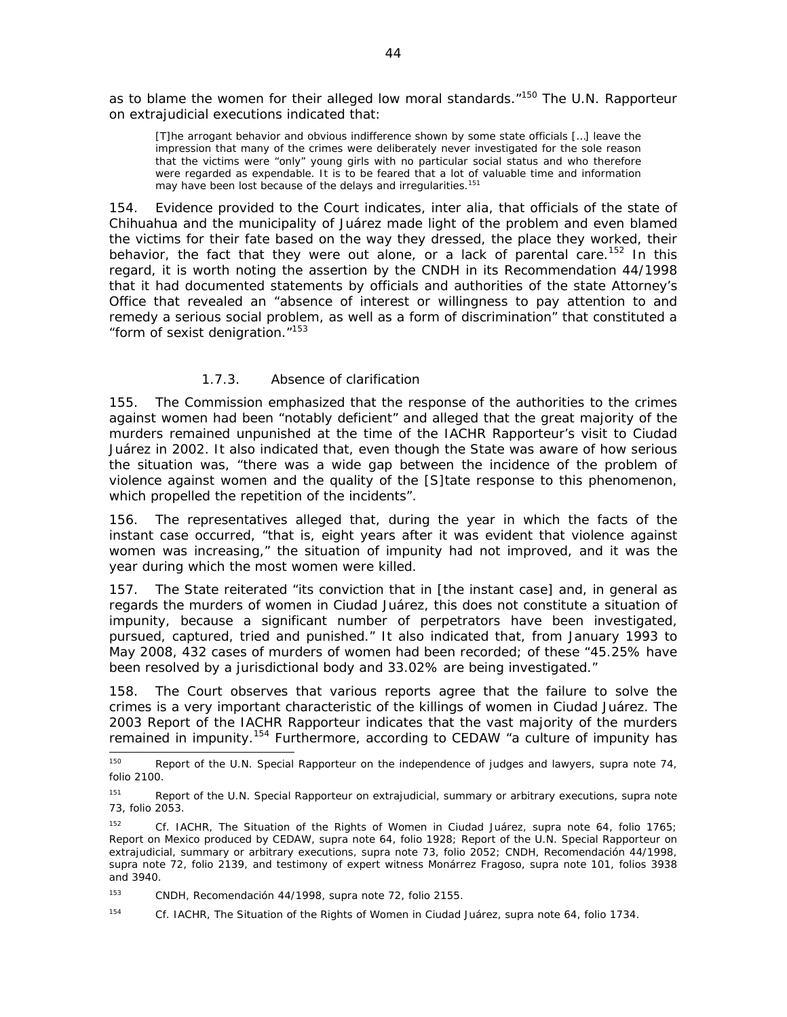as to blame the women for their alleged low moral standards."<sup>150</sup> The U.N. Rapporteur on extrajudicial executions indicated that:

[T]he arrogant behavior and obvious indifference shown by some state officials […] leave the impression that many of the crimes were deliberately never investigated for the sole reason that the victims were "only" young girls with no particular social status and who therefore were regarded as expendable. It is to be feared that a lot of valuable time and information may have been lost because of the delays and irregularities.<sup>151</sup>

154. Evidence provided to the Court indicates, *inter alia,* that officials of the state of Chihuahua and the municipality of Juárez made light of the problem and even blamed the victims for their fate based on the way they dressed, the place they worked, their behavior, the fact that they were out alone, or a lack of parental care.<sup>152</sup> In this regard, it is worth noting the assertion by the CNDH in its Recommendation 44/1998 that it had documented statements by officials and authorities of the state Attorney's Office that revealed an "absence of interest or willingness to pay attention to and remedy a serious social problem, as well as a form of discrimination" that constituted a "form of sexist denigration."153

#### *1.7.3. Absence of clarification*

155. The Commission emphasized that the response of the authorities to the crimes against women had been "notably deficient" and alleged that the great majority of the murders remained unpunished at the time of the IACHR Rapporteur's visit to Ciudad Juárez in 2002. It also indicated that, even though the State was aware of how serious the situation was, "there was a wide gap between the incidence of the problem of violence against women and the quality of the [S]tate response to this phenomenon, which propelled the repetition of the incidents".

156. The representatives alleged that, during the year in which the facts of the instant case occurred, "that is, eight years after it was evident that violence against women was increasing," the situation of impunity had not improved, and it was the year during which the most women were killed.

157. The State reiterated "its conviction that in [the instant case] and, in general as regards the murders of women in Ciudad Juárez, this does not constitute a situation of impunity, because a significant number of perpetrators have been investigated, pursued, captured, tried and punished." It also indicated that, from January 1993 to May 2008, 432 cases of murders of women had been recorded; of these "45.25% have been resolved by a jurisdictional body and 33.02% are being investigated."

158. The Court observes that various reports agree that the failure to solve the crimes is a very important characteristic of the killings of women in Ciudad Juárez. The 2003 Report of the IACHR Rapporteur indicates that the vast majority of the murders remained in impunity.<sup>154</sup> Furthermore, according to CEDAW "a culture of impunity has

<sup>150</sup> 150 Report of the U.N. Special Rapporteur on the independence of judges and lawyers, *supra* note 74, folio 2100.

<sup>151</sup> Report of the U.N. Special Rapporteur on extrajudicial, summary or arbitrary executions, *supra* note 73, folio 2053.

<sup>152</sup> *Cf.* IACHR, *The Situation of the Rights of Women in Ciudad Juárez, supra* note 64, folio 1765; Report on Mexico produced by CEDAW, *supra* note 64, folio 1928; Report of the U.N. Special Rapporteur on extrajudicial, summary or arbitrary executions, *supra* note 73, folio 2052; CNDH, *Recomendación 44/1998*, *supra* note 72, folio 2139, and testimony of expert witness Monárrez Fragoso, *supra* note 101, folios 3938 and 3940.

<sup>153</sup> CNDH, *Recomendación 44/1998*, *supra* note 72, folio 2155.

<sup>154</sup> *Cf.* IACHR, *The Situation of the Rights of Women in Ciudad Juárez, supra* note 64, folio 1734.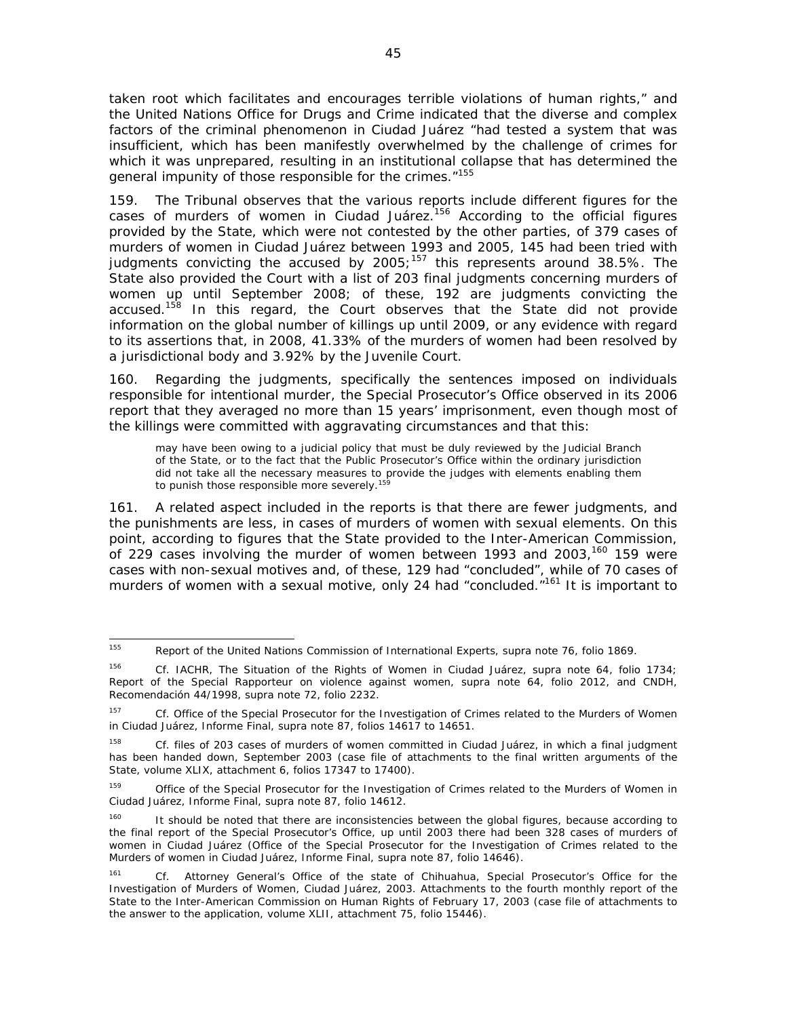taken root which facilitates and encourages terrible violations of human rights," and the United Nations Office for Drugs and Crime indicated that the diverse and complex factors of the criminal phenomenon in Ciudad Juárez "had tested a system that was insufficient, which has been manifestly overwhelmed by the challenge of crimes for which it was unprepared, resulting in an institutional collapse that has determined the general impunity of those responsible for the crimes."<sup>155</sup>

159. The Tribunal observes that the various reports include different figures for the cases of murders of women in Ciudad Juárez.<sup>156</sup> According to the official figures provided by the State, which were not contested by the other parties, of 379 cases of murders of women in Ciudad Juárez between 1993 and 2005, 145 had been tried with judgments convicting the accused by  $2005$ ;<sup>157</sup> this represents around 38.5%. The State also provided the Court with a list of 203 final judgments concerning murders of women up until September 2008; of these, 192 are judgments convicting the accused.158 In this regard, the Court observes that the State did not provide information on the global number of killings up until 2009, or any evidence with regard to its assertions that, in 2008, 41.33% of the murders of women had been resolved by a jurisdictional body and 3.92% by the Juvenile Court.

160. Regarding the judgments, specifically the sentences imposed on individuals responsible for intentional murder, the Special Prosecutor's Office observed in its 2006 report that they averaged no more than 15 years' imprisonment, even though most of the killings were committed with aggravating circumstances and that this:

may have been owing to a judicial policy that must be duly reviewed by the Judicial Branch of the State, or to the fact that the Public Prosecutor's Office within the ordinary jurisdiction did not take all the necessary measures to provide the judges with elements enabling them to punish those responsible more severely.<sup>159</sup>

161. A related aspect included in the reports is that there are fewer judgments, and the punishments are less, in cases of murders of women with sexual elements. On this point, according to figures that the State provided to the Inter-American Commission, of 229 cases involving the murder of women between 1993 and 2003, $160$  159 were cases with non-sexual motives and, of these, 129 had "concluded", while of 70 cases of murders of women with a sexual motive, only 24 had "concluded."<sup>161</sup> It is important to

<sup>155</sup> 155 Report of the United Nations Commission of International Experts*, supra* note 76, folio 1869.

<sup>156</sup> *Cf.* IACHR, *The Situation of the Rights of Women in Ciudad Juárez, supra* note 64, folio 1734; Report of the Special Rapporteur on violence against women, *supra* note 64, folio 2012, and CNDH, *Recomendación 44/1998*, *supra* note 72, folio 2232.

<sup>157</sup> *Cf.* Office of the Special Prosecutor for the Investigation of Crimes related to the Murders of Women in Ciudad Juárez, *Informe Final*, *supra* note 87, folios 14617 to 14651.

<sup>158</sup> *Cf.* files of 203 cases of murders of women committed in Ciudad Juárez, in which a final judgment has been handed down, September 2003 (case file of attachments to the final written arguments of the State, volume XLIX, attachment 6, folios 17347 to 17400).

<sup>&</sup>lt;sup>159</sup> Office of the Special Prosecutor for the Investigation of Crimes related to the Murders of Women in Ciudad Juárez, *Informe Final*, *supra* note 87, folio 14612.

<sup>&</sup>lt;sup>160</sup> It should be noted that there are inconsistencies between the global figures, because according to the final report of the Special Prosecutor's Office, up until 2003 there had been 328 cases of murders of women in Ciudad Juárez (Office of the Special Prosecutor for the Investigation of Crimes related to the Murders of women in Ciudad Juárez, *Informe Final*, *supra* note 87, folio 14646).

<sup>161</sup> *Cf.* Attorney General's Office of the state of Chihuahua, Special Prosecutor's Office for the Investigation of Murders of Women, Ciudad Juárez, 2003. Attachments to the fourth monthly report of the State to the Inter-American Commission on Human Rights of February 17, 2003 (case file of attachments to the answer to the application, volume XLII, attachment 75, folio 15446).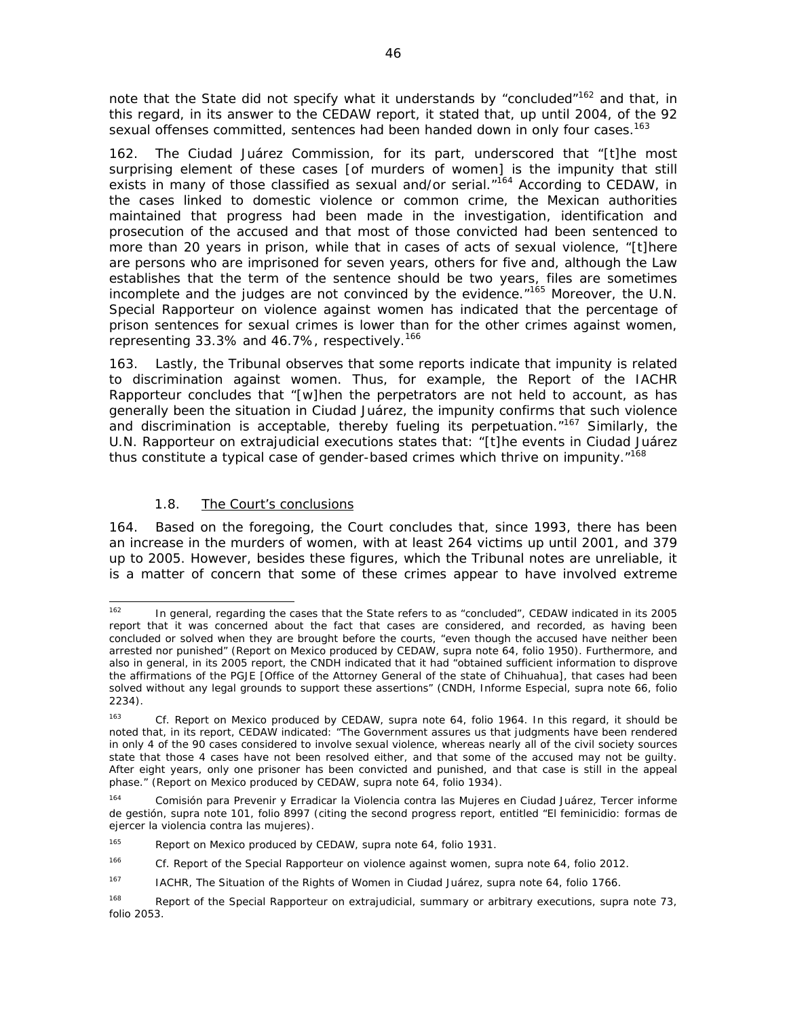note that the State did not specify what it understands by "concluded"<sup>162</sup> and that, in this regard, in its answer to the CEDAW report, it stated that, up until 2004, of the 92 sexual offenses committed, sentences had been handed down in only four cases.<sup>163</sup>

162. The Ciudad Juárez Commission, for its part, underscored that "[t]he most surprising element of these cases [of murders of women] is the impunity that still exists in many of those classified as sexual and/or serial."<sup>164</sup> According to CEDAW, in the cases linked to domestic violence or common crime, the Mexican authorities maintained that progress had been made in the investigation, identification and prosecution of the accused and that most of those convicted had been sentenced to more than 20 years in prison, while that in cases of acts of sexual violence, "[t]here are persons who are imprisoned for seven years, others for five and, although the Law establishes that the term of the sentence should be two years, files are sometimes incomplete and the judges are not convinced by the evidence.<sup>"165</sup> Moreover, the U.N. Special Rapporteur on violence against women has indicated that the percentage of prison sentences for sexual crimes is lower than for the other crimes against women, representing 33.3% and 46.7%, respectively.166

163. Lastly, the Tribunal observes that some reports indicate that impunity is related to discrimination against women. Thus, for example, the Report of the IACHR Rapporteur concludes that "[w]hen the perpetrators are not held to account, as has generally been the situation in Ciudad Juárez, the impunity confirms that such violence and discrimination is acceptable, thereby fueling its perpetuation."<sup>167</sup> Similarly, the U.N. Rapporteur on extrajudicial executions states that: "[t]he events in Ciudad Juárez thus constitute a typical case of gender-based crimes which thrive on impunity."<sup>168</sup>

### *1.8. The Court's conclusions*

164. Based on the foregoing, the Court concludes that, since 1993, there has been an increase in the murders of women, with at least 264 victims up until 2001, and 379 up to 2005. However, besides these figures, which the Tribunal notes are unreliable, it is a matter of concern that some of these crimes appear to have involved extreme

<sup>162</sup> 162 In general, regarding the cases that the State refers to as "concluded", CEDAW indicated in its 2005 report that it was concerned about the fact that cases are considered, and recorded, as having been concluded or solved when they are brought before the courts, "even though the accused have neither been arrested nor punished" (Report on Mexico produced by CEDAW, *supra* note 64, folio 1950). Furthermore, and also in general, in its 2005 report, the CNDH indicated that it had "obtained sufficient information to disprove the affirmations of the PGJE [Office of the Attorney General of the state of Chihuahua], that cases had been solved without any legal grounds to support these assertions" (CNDH, *Informe Especial*, *supra* note 66, folio 2234).

<sup>163</sup> *Cf.* Report on Mexico produced by CEDAW, *supra* note 64, folio 1964. In this regard, it should be noted that, in its report, CEDAW indicated: "The Government assures us that judgments have been rendered in only 4 of the 90 cases considered to involve sexual violence, whereas nearly all of the civil society sources state that those 4 cases have not been resolved either, and that some of the accused may not be guilty. After eight years, only one prisoner has been convicted and punished, and that case is still in the appeal phase." (Report on Mexico produced by CEDAW, *supra* note 64, folio 1934).

<sup>164</sup> *Comisión para Prevenir y Erradicar la Violencia contra las Mujeres en Ciudad Juárez, Tercer informe de gestión*, *supra* note 101, folio 8997 (citing the second progress report, entitled "*El feminicidio: formas de ejercer la violencia contra las mujeres*).

<sup>165</sup> Report on Mexico produced by CEDAW, *supra* note 64, folio 1931.

<sup>166</sup> *Cf.* Report of the Special Rapporteur on violence against women, *supra* note 64, folio 2012.

<sup>&</sup>lt;sup>167</sup> IACHR, *The Situation of the Rights of Women in Ciudad Juárez, supra* note 64, folio 1766.

<sup>168</sup> Report of the Special Rapporteur on extrajudicial, summary or arbitrary executions, *supra* note 73, folio 2053.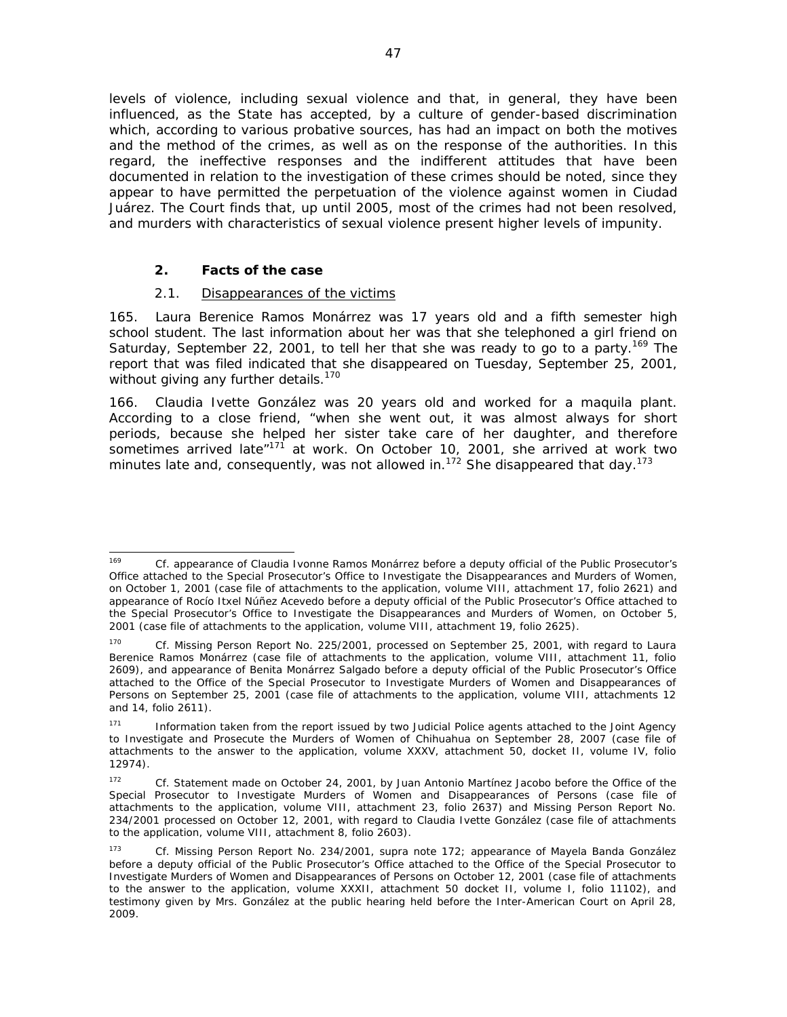levels of violence, including sexual violence and that, in general, they have been influenced, as the State has accepted, by a culture of gender-based discrimination which, according to various probative sources, has had an impact on both the motives and the method of the crimes, as well as on the response of the authorities. In this regard, the ineffective responses and the indifferent attitudes that have been documented in relation to the investigation of these crimes should be noted, since they appear to have permitted the perpetuation of the violence against women in Ciudad Juárez. The Court finds that, up until 2005, most of the crimes had not been resolved, and murders with characteristics of sexual violence present higher levels of impunity.

### *2. Facts of the case*

#### *2.1. Disappearances of the victims*

165. Laura Berenice Ramos Monárrez was 17 years old and a fifth semester high school student. The last information about her was that she telephoned a girl friend on Saturday, September 22, 2001, to tell her that she was ready to go to a party.<sup>169</sup> The report that was filed indicated that she disappeared on Tuesday, September 25, 2001, without giving any further details.<sup>170</sup>

166. Claudia Ivette González was 20 years old and worked for a *maquila* plant. According to a close friend, "when she went out, it was almost always for short periods, because she helped her sister take care of her daughter, and therefore sometimes arrived late $171$  at work. On October 10, 2001, she arrived at work two minutes late and, consequently, was not allowed in.<sup>172</sup> She disappeared that day.<sup>173</sup>

<sup>169</sup> Cf. appearance of Claudia Ivonne Ramos Monárrez before a deputy official of the Public Prosecutor's Office attached to the Special Prosecutor's Office to Investigate the Disappearances and Murders of Women, on October 1, 2001 (case file of attachments to the application, volume VIII, attachment 17, folio 2621) and appearance of Rocío Itxel Núñez Acevedo before a deputy official of the Public Prosecutor's Office attached to the Special Prosecutor's Office to Investigate the Disappearances and Murders of Women, on October 5, 2001 (case file of attachments to the application, volume VIII, attachment 19, folio 2625).

<sup>170</sup> *Cf.* Missing Person Report No. 225/2001, processed on September 25, 2001, with regard to Laura Berenice Ramos Monárrez (case file of attachments to the application, volume VIII, attachment 11, folio 2609), and appearance of Benita Monárrez Salgado before a deputy official of the Public Prosecutor's Office attached to the Office of the Special Prosecutor to Investigate Murders of Women and Disappearances of Persons on September 25, 2001 (case file of attachments to the application, volume VIII, attachments 12 and 14, folio 2611).

<sup>171</sup> Information taken from the report issued by two Judicial Police agents attached to the Joint Agency to Investigate and Prosecute the Murders of Women of Chihuahua on September 28, 2007 (case file of attachments to the answer to the application, volume XXXV, attachment 50, docket II, volume IV, folio 12974).

<sup>172</sup> *Cf.* Statement made on October 24, 2001, by Juan Antonio Martínez Jacobo before the Office of the Special Prosecutor to Investigate Murders of Women and Disappearances of Persons (case file of attachments to the application, volume VIII, attachment 23, folio 2637) and Missing Person Report No. 234/2001 processed on October 12, 2001, with regard to Claudia Ivette González (case file of attachments to the application, volume VIII, attachment 8, folio 2603).

<sup>173</sup> *Cf.* Missing Person Report No. 234/2001, *supra* note 172; appearance of Mayela Banda González before a deputy official of the Public Prosecutor's Office attached to the Office of the Special Prosecutor to Investigate Murders of Women and Disappearances of Persons on October 12, 2001 (case file of attachments to the answer to the application, volume XXXII, attachment 50 docket II, volume I, folio 11102), and testimony given by Mrs. González at the public hearing held before the Inter-American Court on April 28, 2009.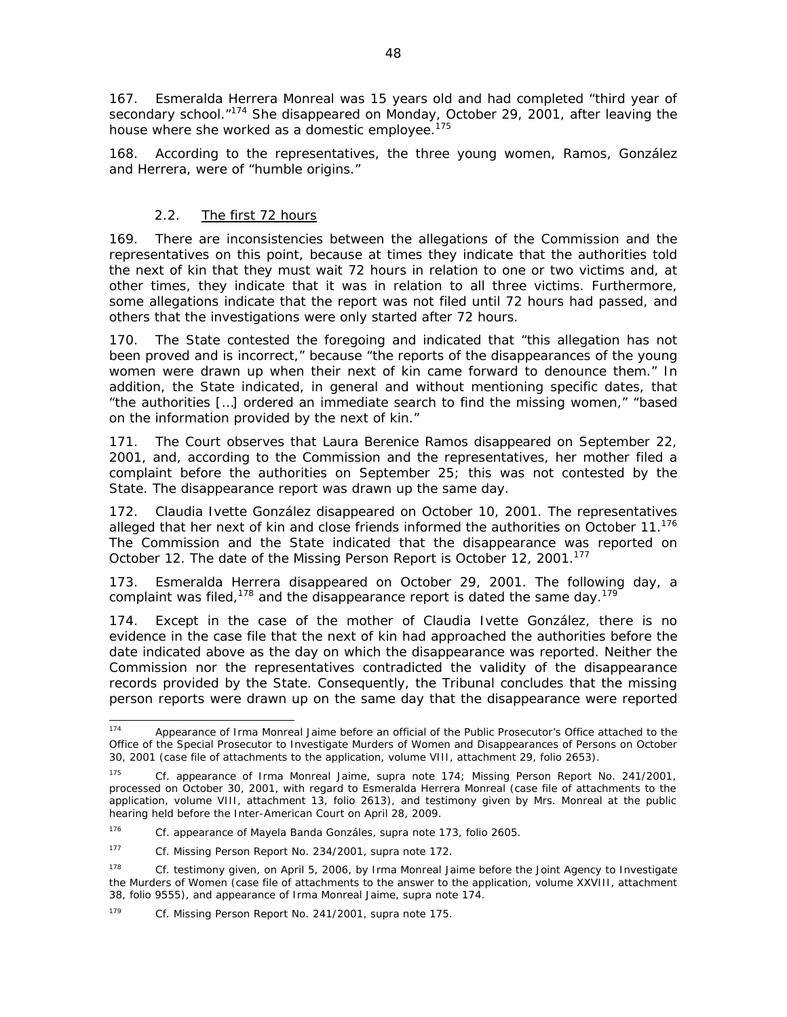167. Esmeralda Herrera Monreal was 15 years old and had completed "third year of secondary school."<sup>174</sup> She disappeared on Monday, October 29, 2001, after leaving the house where she worked as a domestic employee.<sup>175</sup>

168. According to the representatives, the three young women, Ramos, González and Herrera, were of "humble origins."

### *2.2. The first 72 hours*

169. There are inconsistencies between the allegations of the Commission and the representatives on this point, because at times they indicate that the authorities told the next of kin that they must wait 72 hours in relation to one or two victims and, at other times, they indicate that it was in relation to all three victims. Furthermore, some allegations indicate that the report was not filed until 72 hours had passed, and others that the investigations were only started after 72 hours.

170. The State contested the foregoing and indicated that "this allegation has not been proved and is incorrect," because "the reports of the disappearances of the young women were drawn up when their next of kin came forward to denounce them." In addition, the State indicated, in general and without mentioning specific dates, that "the authorities […] ordered an immediate search to find the missing women," "based on the information provided by the next of kin."

171. The Court observes that Laura Berenice Ramos disappeared on September 22, 2001, and, according to the Commission and the representatives, her mother filed a complaint before the authorities on September 25; this was not contested by the State. The disappearance report was drawn up the same day.

172. Claudia Ivette González disappeared on October 10, 2001. The representatives alleged that her next of kin and close friends informed the authorities on October 11.<sup>176</sup> The Commission and the State indicated that the disappearance was reported on October 12. The date of the Missing Person Report is October 12, 2001.<sup>177</sup>

173. Esmeralda Herrera disappeared on October 29, 2001. The following day, a complaint was filed,<sup>178</sup> and the disappearance report is dated the same day.<sup>179</sup>

174. Except in the case of the mother of Claudia Ivette González, there is no evidence in the case file that the next of kin had approached the authorities before the date indicated above as the day on which the disappearance was reported. Neither the Commission nor the representatives contradicted the validity of the disappearance records provided by the State. Consequently, the Tribunal concludes that the missing person reports were drawn up on the same day that the disappearance were reported

<sup>174</sup> Appearance of Irma Monreal Jaime before an official of the Public Prosecutor's Office attached to the Office of the Special Prosecutor to Investigate Murders of Women and Disappearances of Persons on October 30, 2001 (case file of attachments to the application, volume VIII, attachment 29, folio 2653).

<sup>175</sup> *Cf.* appearance of Irma Monreal Jaime, *supra* note 174; Missing Person Report No. 241/2001, processed on October 30, 2001, with regard to Esmeralda Herrera Monreal (case file of attachments to the application, volume VIII, attachment 13, folio 2613), and testimony given by Mrs. Monreal at the public hearing held before the Inter-American Court on April 28, 2009.

<sup>176</sup> *Cf.* appearance of Mayela Banda Gonzáles, *supra* note 173, folio 2605.

<sup>177</sup> *Cf.* Missing Person Report No. 234/2001, *supra* note 172.

<sup>178</sup> *Cf.* testimony given, on April 5, 2006, by Irma Monreal Jaime before the Joint Agency to Investigate the Murders of Women (case file of attachments to the answer to the application, volume XXVIII, attachment 38, folio 9555), and appearance of Irma Monreal Jaime, *supra* note 174.

<sup>179</sup> *Cf.* Missing Person Report No. 241/2001, *supra* note 175.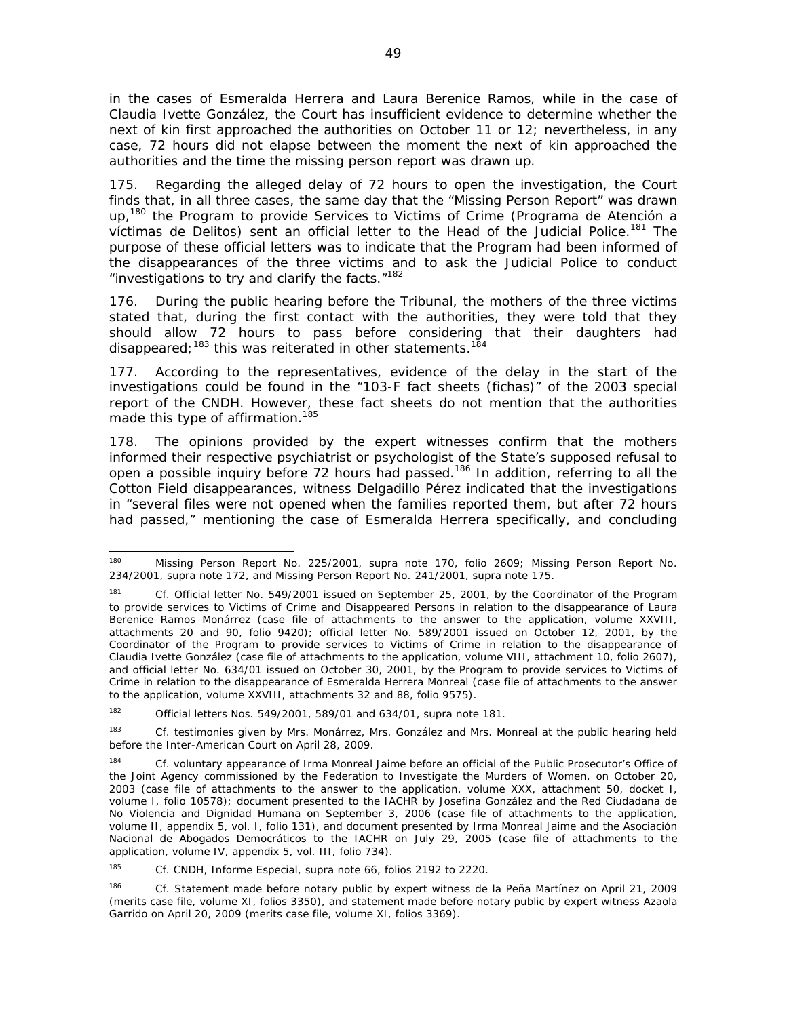in the cases of Esmeralda Herrera and Laura Berenice Ramos, while in the case of Claudia Ivette González, the Court has insufficient evidence to determine whether the next of kin first approached the authorities on October 11 or 12; nevertheless, in any case, 72 hours did not elapse between the moment the next of kin approached the authorities and the time the missing person report was drawn up.

175. Regarding the alleged delay of 72 hours to open the investigation, the Court finds that, in all three cases, the same day that the "Missing Person Report" was drawn up,180 the Program to provide Services to Victims of Crime (*Programa de Atención a víctimas de Delitos*) sent an official letter to the Head of the Judicial Police.<sup>181</sup> The purpose of these official letters was to indicate that the Program had been informed of the disappearances of the three victims and to ask the Judicial Police to conduct "investigations to try and clarify the facts. $182$ 

176. During the public hearing before the Tribunal, the mothers of the three victims stated that, during the first contact with the authorities, they were told that they should allow 72 hours to pass before considering that their daughters had disappeared;  $^{183}$  this was reiterated in other statements.  $^{184}$ 

177. According to the representatives, evidence of the delay in the start of the investigations could be found in the "103-F fact sheets (*fichas*)" of the 2003 special report of the CNDH. However, these fact sheets do not mention that the authorities made this type of affirmation.<sup>185</sup>

178. The opinions provided by the expert witnesses confirm that the mothers informed their respective psychiatrist or psychologist of the State's supposed refusal to open a possible inquiry before 72 hours had passed.<sup>186</sup> In addition, referring to all the Cotton Field disappearances, witness Delgadillo Pérez indicated that the investigations in "several files were not opened when the families reported them, but after 72 hours had passed," mentioning the case of Esmeralda Herrera specifically, and concluding

<sup>180</sup> 180 Missing Person Report No. 225/2001, *supra* note 170, folio 2609; Missing Person Report No. 234/2001, *supra* note 172, and Missing Person Report No. 241/2001, *supra* note 175.

<sup>181</sup> *Cf.* Official letter No. 549/2001 issued on September 25, 2001, by the Coordinator of the Program to provide services to Victims of Crime and Disappeared Persons in relation to the disappearance of Laura Berenice Ramos Monárrez (case file of attachments to the answer to the application, volume XXVIII, attachments 20 and 90, folio 9420); official letter No. 589/2001 issued on October 12, 2001, by the Coordinator of the Program to provide services to Victims of Crime in relation to the disappearance of Claudia Ivette González (case file of attachments to the application, volume VIII, attachment 10, folio 2607), and official letter No. 634/01 issued on October 30, 2001, by the Program to provide services to Victims of Crime in relation to the disappearance of Esmeralda Herrera Monreal (case file of attachments to the answer to the application, volume XXVIII, attachments 32 and 88, folio 9575).

<sup>182</sup> Official letters Nos. 549/2001, 589/01 and 634/01, *supra* note 181.

<sup>183</sup> *Cf.* testimonies given by Mrs. Monárrez, Mrs. González and Mrs. Monreal at the public hearing held before the Inter-American Court on April 28, 2009.

<sup>184</sup> *Cf.* voluntary appearance of Irma Monreal Jaime before an official of the Public Prosecutor's Office of the Joint Agency commissioned by the Federation to Investigate the Murders of Women, on October 20, 2003 (case file of attachments to the answer to the application, volume XXX, attachment 50, docket I, volume I, folio 10578); document presented to the IACHR by Josefina González and the *Red Ciudadana de No Violencia and Dignidad Humana* on September 3, 2006 (case file of attachments to the application, volume II, appendix 5, vol. I, folio 131), and document presented by Irma Monreal Jaime and the *Asociación Nacional de Abogados Democráticos* to the IACHR on July 29, 2005 (case file of attachments to the application, volume IV, appendix 5, vol. III, folio 734).

<sup>185</sup> *Cf.* CNDH, *Informe Especial*, *supra* note 66, folios 2192 to 2220.

<sup>186</sup> *Cf.* Statement made before notary public by expert witness de la Peña Martínez on April 21, 2009 (merits case file, volume XI, folios 3350), and statement made before notary public by expert witness Azaola Garrido on April 20, 2009 (merits case file, volume XI, folios 3369).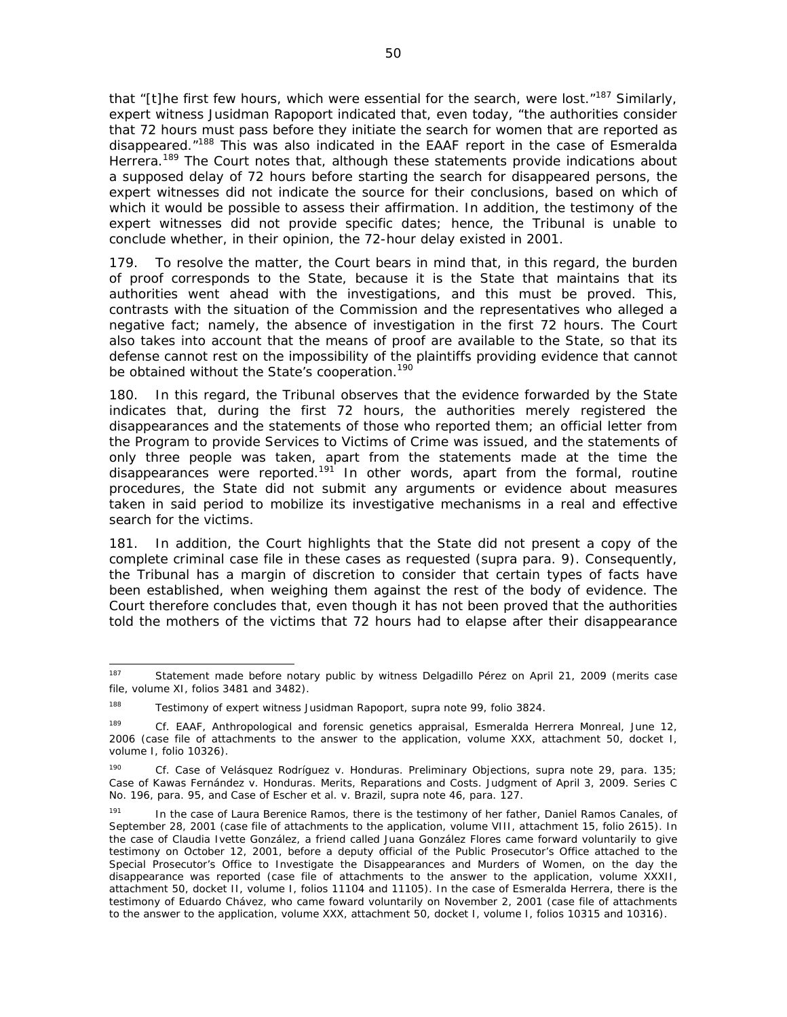that "[t]he first few hours, which were essential for the search, were lost."<sup>187</sup> Similarly, expert witness Jusidman Rapoport indicated that, even today, "the authorities consider that 72 hours must pass before they initiate the search for women that are reported as disappeared."188 This was also indicated in the EAAF report in the case of Esmeralda Herrera.<sup>189</sup> The Court notes that, although these statements provide indications about a supposed delay of 72 hours before starting the search for disappeared persons, the expert witnesses did not indicate the source for their conclusions, based on which of which it would be possible to assess their affirmation. In addition, the testimony of the expert witnesses did not provide specific dates; hence, the Tribunal is unable to conclude whether, in their opinion, the 72-hour delay existed in 2001.

179. To resolve the matter, the Court bears in mind that, in this regard, the burden of proof corresponds to the State, because it is the State that maintains that its authorities went ahead with the investigations, and this must be proved. This, contrasts with the situation of the Commission and the representatives who alleged a negative fact; namely, the absence of investigation in the first 72 hours. The Court also takes into account that the means of proof are available to the State, so that its defense cannot rest on the impossibility of the plaintiffs providing evidence that cannot be obtained without the State's cooperation.<sup>190</sup>

180. In this regard, the Tribunal observes that the evidence forwarded by the State indicates that, during the first 72 hours, the authorities merely registered the disappearances and the statements of those who reported them; an official letter from the Program to provide Services to Victims of Crime was issued, and the statements of only three people was taken, apart from the statements made at the time the disappearances were reported.<sup>191</sup> In other words, apart from the formal, routine procedures, the State did not submit any arguments or evidence about measures taken in said period to mobilize its investigative mechanisms in a real and effective search for the victims.

181. In addition, the Court highlights that the State did not present a copy of the complete criminal case file in these cases as requested (*supra* para. 9)*.* Consequently, the Tribunal has a margin of discretion to consider that certain types of facts have been established, when weighing them against the rest of the body of evidence. The Court therefore concludes that, even though it has not been proved that the authorities told the mothers of the victims that 72 hours had to elapse after their disappearance

<sup>187</sup> Statement made before notary public by witness Delgadillo Pérez on April 21, 2009 (merits case file, volume XI, folios 3481 and 3482).

<sup>188</sup> Testimony of expert witness Jusidman Rapoport, *supra* note 99, folio 3824.

<sup>&</sup>lt;sup>189</sup> *Cf.* EAAF, Anthropological and forensic genetics appraisal, Esmeralda Herrera Monreal, June 12, 2006 (case file of attachments to the answer to the application, volume XXX, attachment 50, docket I, volume I, folio 10326).

<sup>190</sup> *Cf. Case of Velásquez Rodríguez v. Honduras. Preliminary Objections*, *supra* note 29, para. 135; *Case of Kawas Fernández v. Honduras. Merits, Reparations and Costs.* Judgment of April 3, 2009. Series C No. 196, para. 95, and *Case of Escher et al. v. Brazil, supra* note 46, para. 127.

<sup>&</sup>lt;sup>191</sup> In the case of Laura Berenice Ramos, there is the testimony of her father, Daniel Ramos Canales, of September 28, 2001 (case file of attachments to the application, volume VIII, attachment 15, folio 2615). In the case of Claudia Ivette González, a friend called Juana González Flores came forward voluntarily to give testimony on October 12, 2001, before a deputy official of the Public Prosecutor's Office attached to the Special Prosecutor's Office to Investigate the Disappearances and Murders of Women, on the day the disappearance was reported (case file of attachments to the answer to the application, volume XXXII, attachment 50, docket II, volume I, folios 11104 and 11105). In the case of Esmeralda Herrera, there is the testimony of Eduardo Chávez, who came foward voluntarily on November 2, 2001 (case file of attachments to the answer to the application, volume XXX, attachment 50, docket I, volume I, folios 10315 and 10316).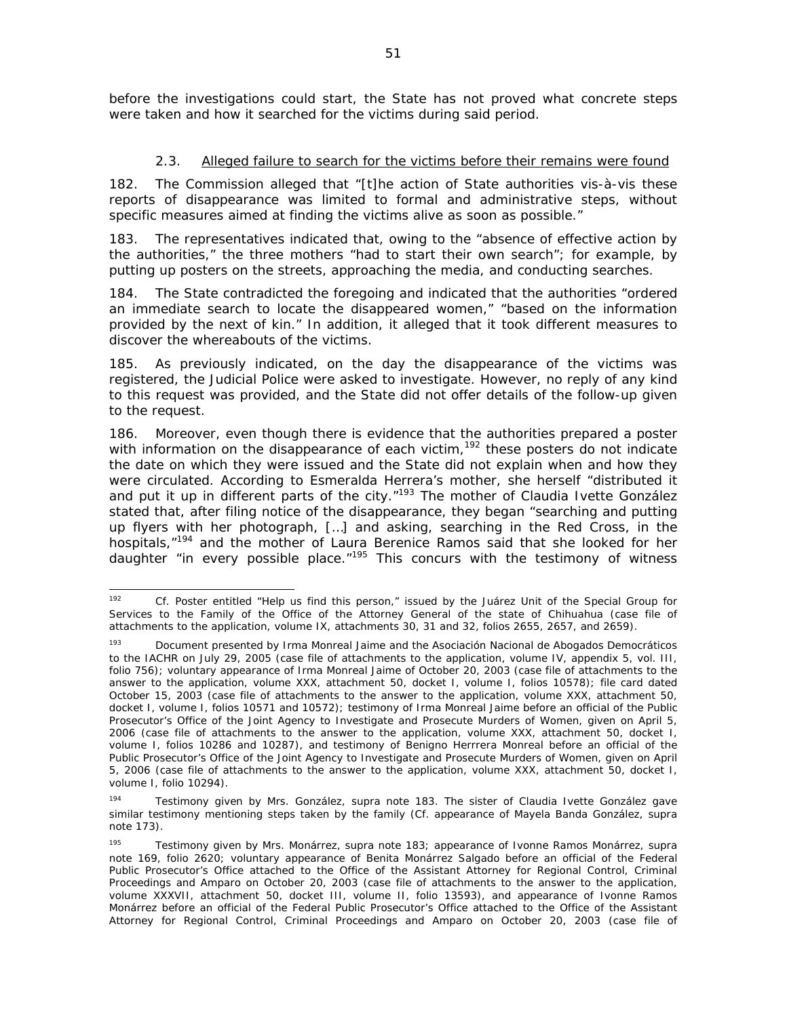before the investigations could start, the State has not proved what concrete steps were taken and how it searched for the victims during said period.

# *2.3. Alleged failure to search for the victims before their remains were found*

182. The Commission alleged that "[t]he action of State authorities vis-à-vis these reports of disappearance was limited to formal and administrative steps, without specific measures aimed at finding the victims alive as soon as possible."

183. The representatives indicated that, owing to the "absence of effective action by the authorities," the three mothers "had to start their own search"; for example, by putting up posters on the streets, approaching the media, and conducting searches.

184. The State contradicted the foregoing and indicated that the authorities "ordered an immediate search to locate the disappeared women," "based on the information provided by the next of kin." In addition, it alleged that it took different measures to discover the whereabouts of the victims.

185. As previously indicated, on the day the disappearance of the victims was registered, the Judicial Police were asked to investigate. However, no reply of any kind to this request was provided, and the State did not offer details of the follow-up given to the request.

186. Moreover, even though there is evidence that the authorities prepared a poster with information on the disappearance of each victim,<sup>192</sup> these posters do not indicate the date on which they were issued and the State did not explain when and how they were circulated. According to Esmeralda Herrera's mother, she herself "distributed it and put it up in different parts of the city."<sup>193</sup> The mother of Claudia Ivette González stated that, after filing notice of the disappearance, they began "searching and putting up flyers with her photograph, […] and asking, searching in the Red Cross, in the hospitals,"194 and the mother of Laura Berenice Ramos said that she looked for her daughter "in every possible place. $7^{195}$  This concurs with the testimony of witness

 $192$ 192 *Cf.* Poster entitled "Help us find this person," issued by the Juárez Unit of the Special Group for Services to the Family of the Office of the Attorney General of the state of Chihuahua (case file of attachments to the application, volume IX, attachments 30, 31 and 32, folios 2655, 2657, and 2659).

<sup>193</sup> Document presented by Irma Monreal Jaime and the *Asociación Nacional de Abogados Democráticos* to the IACHR on July 29, 2005 (case file of attachments to the application, volume IV, appendix 5, vol. III, folio 756); voluntary appearance of Irma Monreal Jaime of October 20, 2003 (case file of attachments to the answer to the application, volume XXX, attachment 50, docket I, volume I, folios 10578); file card dated October 15, 2003 (case file of attachments to the answer to the application, volume XXX, attachment 50, docket I, volume I, folios 10571 and 10572); testimony of Irma Monreal Jaime before an official of the Public Prosecutor's Office of the Joint Agency to Investigate and Prosecute Murders of Women, given on April 5, 2006 (case file of attachments to the answer to the application, volume XXX, attachment 50, docket I, volume I, folios 10286 and 10287), and testimony of Benigno Herrrera Monreal before an official of the Public Prosecutor's Office of the Joint Agency to Investigate and Prosecute Murders of Women, given on April 5, 2006 (case file of attachments to the answer to the application, volume XXX, attachment 50, docket I, volume I, folio 10294).

<sup>194</sup> Testimony given by Mrs. González, *supra* note 183. The sister of Claudia Ivette González gave similar testimony mentioning steps taken by the family (*Cf.* appearance of Mayela Banda González, *supra* note 173).

<sup>195</sup> Testimony given by Mrs. Monárrez, *supra* note 183; appearance of Ivonne Ramos Monárrez, *supra* note 169, folio 2620; voluntary appearance of Benita Monárrez Salgado before an official of the Federal Public Prosecutor's Office attached to the Office of the Assistant Attorney for Regional Control, Criminal Proceedings and Amparo on October 20, 2003 (case file of attachments to the answer to the application, volume XXXVII, attachment 50, docket III, volume II, folio 13593), and appearance of Ivonne Ramos Monárrez before an official of the Federal Public Prosecutor's Office attached to the Office of the Assistant Attorney for Regional Control, Criminal Proceedings and Amparo on October 20, 2003 (case file of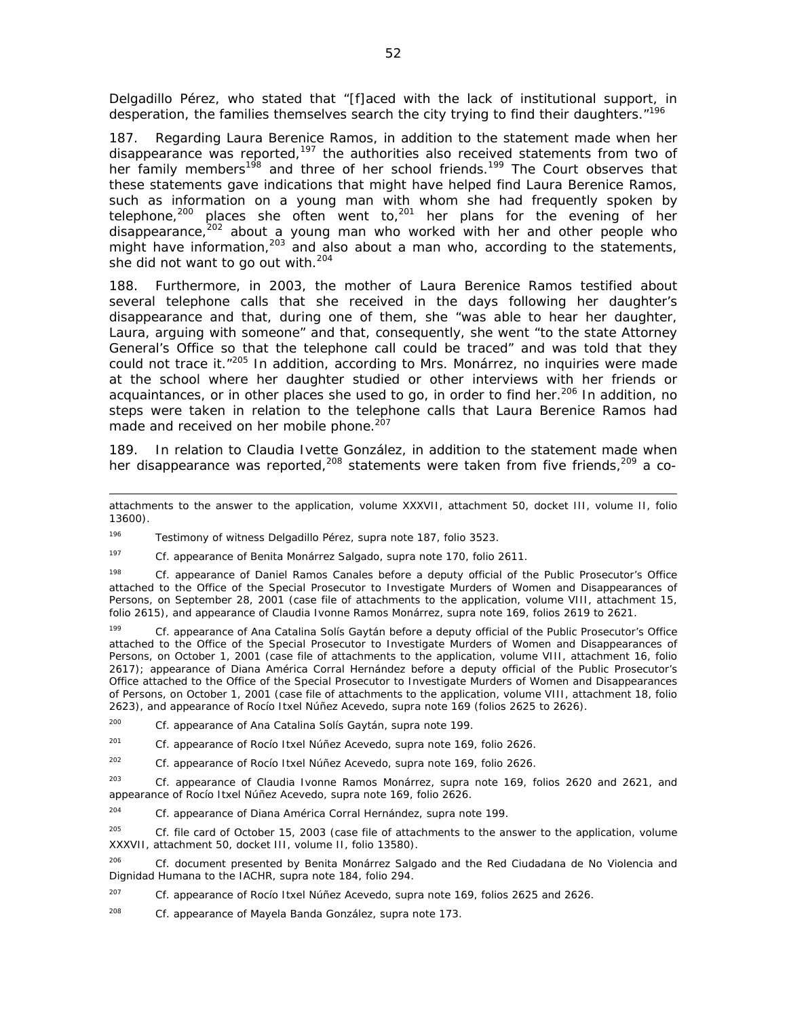Delgadillo Pérez, who stated that "[f]aced with the lack of institutional support, in desperation, the families themselves search the city trying to find their daughters."<sup>196</sup>

187. Regarding Laura Berenice Ramos, in addition to the statement made when her disappearance was reported,<sup>197</sup> the authorities also received statements from two of her family members<sup>198</sup> and three of her school friends.<sup>199</sup> The Court observes that these statements gave indications that might have helped find Laura Berenice Ramos, such as information on a young man with whom she had frequently spoken by telephone,<sup>200</sup> places she often went to,<sup>201</sup> her plans for the evening of her disappearance, $202$  about a young man who worked with her and other people who might have information,  $203$  and also about a man who, according to the statements, she did not want to go out with.<sup>204</sup>

188. Furthermore, in 2003, the mother of Laura Berenice Ramos testified about several telephone calls that she received in the days following her daughter's disappearance and that, during one of them, she "was able to hear her daughter, Laura, arguing with someone" and that, consequently, she went "to the state Attorney General's Office so that the telephone call could be traced" and was told that they could not trace it." $^{205}$  In addition, according to Mrs. Monárrez, no inquiries were made at the school where her daughter studied or other interviews with her friends or acquaintances, or in other places she used to go, in order to find her.<sup>206</sup> In addition, no steps were taken in relation to the telephone calls that Laura Berenice Ramos had made and received on her mobile phone.<sup>207</sup>

189. In relation to Claudia Ivette González, in addition to the statement made when her disappearance was reported,<sup>208</sup> statements were taken from five friends,<sup>209</sup> a co-

196 Testimony of witness Delgadillo Pérez, *supra* note 187, folio 3523.

j

197 *Cf.* appearance of Benita Monárrez Salgado, *supra* note 170, folio 2611.

198 *Cf.* appearance of Daniel Ramos Canales before a deputy official of the Public Prosecutor's Office attached to the Office of the Special Prosecutor to Investigate Murders of Women and Disappearances of Persons, on September 28, 2001 (case file of attachments to the application, volume VIII, attachment 15, folio 2615), and appearance of Claudia Ivonne Ramos Monárrez, *supra* note 169, folios 2619 to 2621.

199 *Cf.* appearance of Ana Catalina Solís Gaytán before a deputy official of the Public Prosecutor's Office attached to the Office of the Special Prosecutor to Investigate Murders of Women and Disappearances of Persons, on October 1, 2001 (case file of attachments to the application, volume VIII, attachment 16, folio 2617); appearance of Diana América Corral Hernández before a deputy official of the Public Prosecutor's Office attached to the Office of the Special Prosecutor to Investigate Murders of Women and Disappearances of Persons, on October 1, 2001 (case file of attachments to the application, volume VIII, attachment 18, folio 2623), and appearance of Rocío Itxel Núñez Acevedo, supra note 169 (folios 2625 to 2626).

200 *Cf.* appearance of Ana Catalina Solís Gaytán, *supra* note 199.

201 *Cf.* appearance of Rocío Itxel Núñez Acevedo, *supra* note 169, folio 2626.

202 *Cf.* appearance of Rocío Itxel Núñez Acevedo, *supra* note 169, folio 2626.

203 *Cf.* appearance of Claudia Ivonne Ramos Monárrez, *supra* note 169, folios 2620 and 2621, and appearance of Rocío Itxel Núñez Acevedo, *supra* note 169, folio 2626.

204 *Cf.* appearance of Diana América Corral Hernández, *supra* note 199.

205 *Cf.* file card of October 15, 2003 (case file of attachments to the answer to the application, volume XXXVII, attachment 50, docket III, volume II, folio 13580).

206 *Cf.* document presented by Benita Monárrez Salgado and the *Red Ciudadana de No Violencia and Dignidad Humana* to the IACHR, *supra* note 184, folio 294.

207 *Cf.* appearance of Rocío Itxel Núñez Acevedo, *supra* note 169, folios 2625 and 2626.

208 *Cf.* appearance of Mayela Banda González, *supra* note 173.

attachments to the answer to the application, volume XXXVII, attachment 50, docket III, volume II, folio 13600).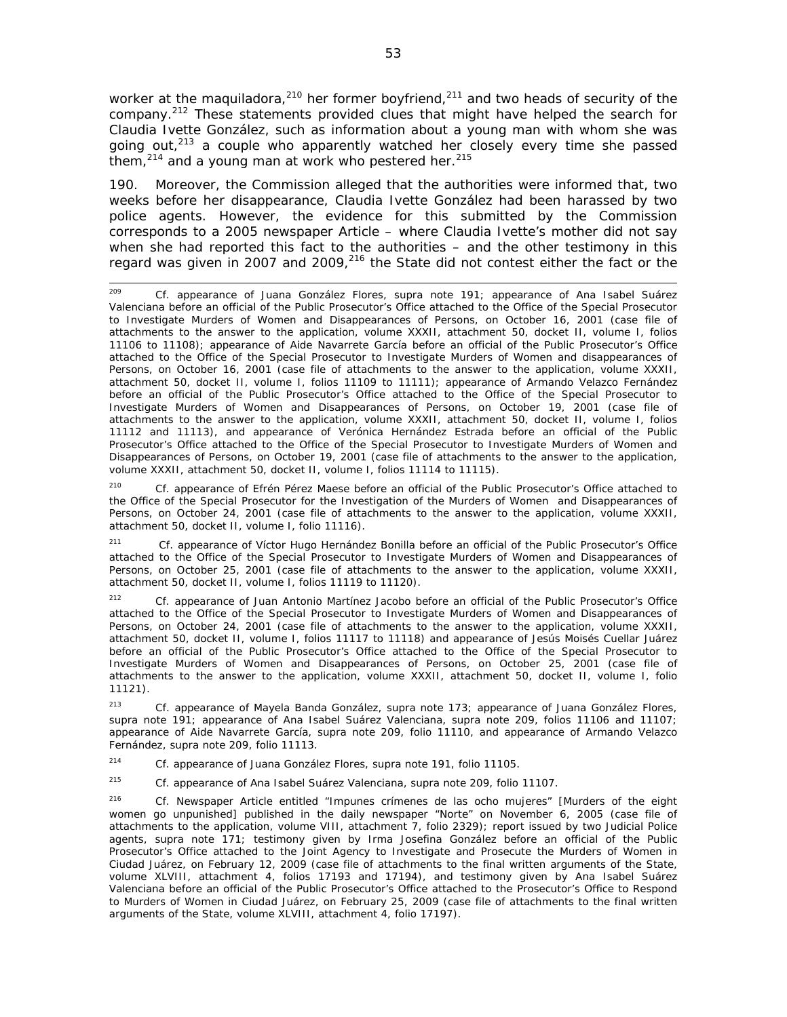worker at the *maquiladora*,<sup>210</sup> her former boyfriend,<sup>211</sup> and two heads of security of the company.212 These statements provided clues that might have helped the search for Claudia Ivette González, such as information about a young man with whom she was going out,<sup>213</sup> a couple who apparently watched her closely every time she passed them, $^{214}$  and a young man at work who pestered her. $^{215}$ 

190. Moreover, the Commission alleged that the authorities were informed that, two weeks before her disappearance, Claudia Ivette González had been harassed by two police agents. However, the evidence for this submitted by the Commission corresponds to a 2005 newspaper Article – where Claudia Ivette's mother did not say when she had reported this fact to the authorities – and the other testimony in this regard was given in 2007 and 2009, $216$  the State did not contest either the fact or the

210 *Cf.* appearance of Efrén Pérez Maese before an official of the Public Prosecutor's Office attached to the Office of the Special Prosecutor for the Investigation of the Murders of Women and Disappearances of Persons, on October 24, 2001 (case file of attachments to the answer to the application, volume XXXII, attachment 50, docket II, volume I, folio 11116).

211 *Cf.* appearance of Víctor Hugo Hernández Bonilla before an official of the Public Prosecutor's Office attached to the Office of the Special Prosecutor to Investigate Murders of Women and Disappearances of Persons, on October 25, 2001 (case file of attachments to the answer to the application, volume XXXII, attachment 50, docket II, volume I, folios 11119 to 11120).

212 *Cf.* appearance of Juan Antonio Martínez Jacobo before an official of the Public Prosecutor's Office attached to the Office of the Special Prosecutor to Investigate Murders of Women and Disappearances of Persons, on October 24, 2001 (case file of attachments to the answer to the application, volume XXXII, attachment 50, docket II, volume I, folios 11117 to 11118) and appearance of Jesús Moisés Cuellar Juárez before an official of the Public Prosecutor's Office attached to the Office of the Special Prosecutor to Investigate Murders of Women and Disappearances of Persons, on October 25, 2001 (case file of attachments to the answer to the application, volume XXXII, attachment 50, docket II, volume I, folio 11121).

213 *Cf.* appearance of Mayela Banda González, *supra* note 173; appearance of Juana González Flores, *supra* note 191; appearance of Ana Isabel Suárez Valenciana, *supra* note 209, folios 11106 and 11107; appearance of Aide Navarrete García, *supra* note 209, folio 11110, and appearance of Armando Velazco Fernández, *supra* note 209, folio 11113.

214 *Cf.* appearance of Juana González Flores, *supra* note 191, folio 11105.

215 *Cf.* appearance of Ana Isabel Suárez Valenciana, *supra* note 209, folio 11107.

216 *Cf*. Newspaper Article entitled *"Impunes crímenes de las ocho mujeres"* [Murders of the eight women go unpunished] published in the daily newspaper "*Norte*" on November 6, 2005 (case file of attachments to the application, volume VIII, attachment 7, folio 2329); report issued by two Judicial Police agents, *supra* note 171; testimony given by Irma Josefina González before an official of the Public Prosecutor's Office attached to the Joint Agency to Investigate and Prosecute the Murders of Women in Ciudad Juárez, on February 12, 2009 (case file of attachments to the final written arguments of the State, volume XLVIII, attachment 4, folios 17193 and 17194), and testimony given by Ana Isabel Suárez Valenciana before an official of the Public Prosecutor's Office attached to the Prosecutor's Office to Respond to Murders of Women in Ciudad Juárez, on February 25, 2009 (case file of attachments to the final written arguments of the State, volume XLVIII, attachment 4, folio 17197).

 <sup>209</sup> *Cf.* appearance of Juana González Flores, *supra* note 191; appearance of Ana Isabel Suárez Valenciana before an official of the Public Prosecutor's Office attached to the Office of the Special Prosecutor to Investigate Murders of Women and Disappearances of Persons, on October 16, 2001 (case file of attachments to the answer to the application, volume XXXII, attachment 50, docket II, volume I, folios 11106 to 11108); appearance of Aide Navarrete García before an official of the Public Prosecutor's Office attached to the Office of the Special Prosecutor to Investigate Murders of Women and disappearances of Persons, on October 16, 2001 (case file of attachments to the answer to the application, volume XXXII, attachment 50, docket II, volume I, folios 11109 to 11111); appearance of Armando Velazco Fernández before an official of the Public Prosecutor's Office attached to the Office of the Special Prosecutor to Investigate Murders of Women and Disappearances of Persons, on October 19, 2001 (case file of attachments to the answer to the application, volume XXXII, attachment 50, docket II, volume I, folios 11112 and 11113), and appearance of Verónica Hernández Estrada before an official of the Public Prosecutor's Office attached to the Office of the Special Prosecutor to Investigate Murders of Women and Disappearances of Persons, on October 19, 2001 (case file of attachments to the answer to the application, volume XXXII, attachment 50, docket II, volume I, folios 11114 to 11115).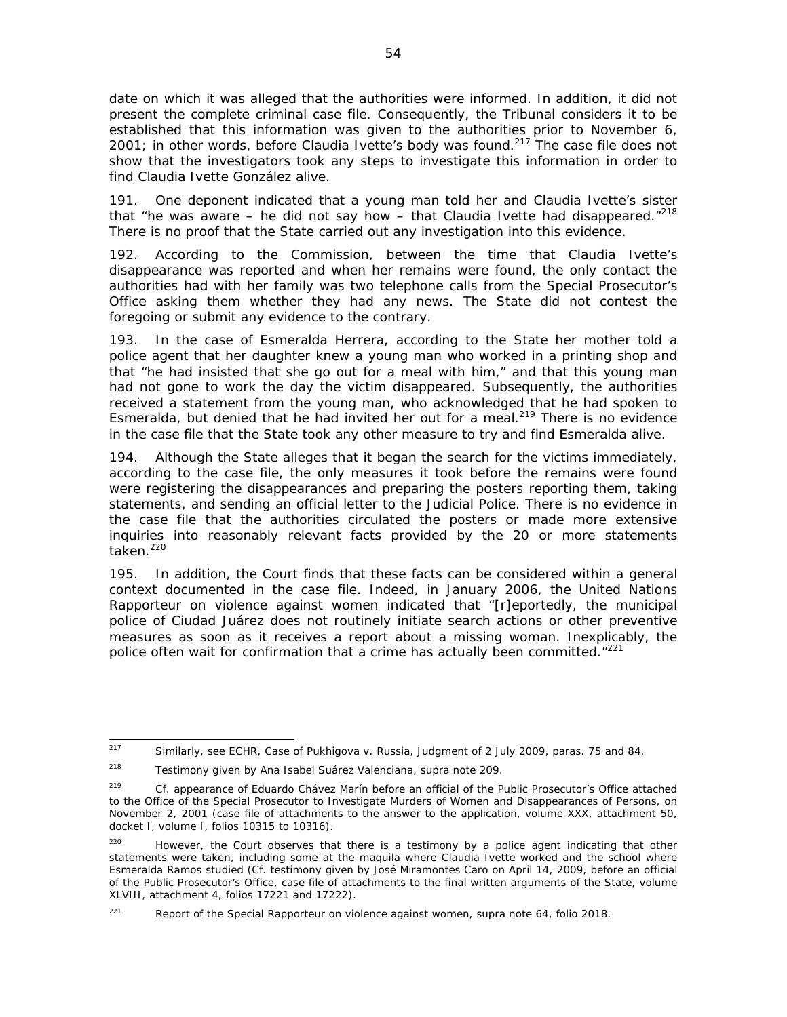date on which it was alleged that the authorities were informed. In addition, it did not present the complete criminal case file. Consequently, the Tribunal considers it to be established that this information was given to the authorities prior to November 6, 2001; in other words, before Claudia Ivette's body was found.<sup>217</sup> The case file does not show that the investigators took any steps to investigate this information in order to find Claudia Ivette González alive.

191. One deponent indicated that a young man told her and Claudia Ivette's sister that "he was aware – he did not say how – that Claudia Ivette had disappeared." $^{218}$ There is no proof that the State carried out any investigation into this evidence.

192. According to the Commission, between the time that Claudia Ivette's disappearance was reported and when her remains were found, the only contact the authorities had with her family was two telephone calls from the Special Prosecutor's Office asking them whether they had any news. The State did not contest the foregoing or submit any evidence to the contrary.

193. In the case of Esmeralda Herrera, according to the State her mother told a police agent that her daughter knew a young man who worked in a printing shop and that "he had insisted that she go out for a meal with him," and that this young man had not gone to work the day the victim disappeared. Subsequently, the authorities received a statement from the young man, who acknowledged that he had spoken to Esmeralda, but denied that he had invited her out for a meal.<sup>219</sup> There is no evidence in the case file that the State took any other measure to try and find Esmeralda alive.

194. Although the State alleges that it began the search for the victims immediately, according to the case file, the only measures it took before the remains were found were registering the disappearances and preparing the posters reporting them, taking statements, and sending an official letter to the Judicial Police. There is no evidence in the case file that the authorities circulated the posters or made more extensive inquiries into reasonably relevant facts provided by the 20 or more statements taken.<sup>220</sup>

195. In addition, the Court finds that these facts can be considered within a general context documented in the case file. Indeed, in January 2006, the United Nations Rapporteur on violence against women indicated that "[r]eportedly, the municipal police of Ciudad Juárez does not routinely initiate search actions or other preventive measures as soon as it receives a report about a missing woman. Inexplicably, the police often wait for confirmation that a crime has actually been committed. $1221$ 

<sup>217</sup> 217 Similarly, see ECHR, *Case of Pukhigova v. Russia*, Judgment of 2 July 2009, paras. 75 and 84.

<sup>218</sup> Testimony given by Ana Isabel Suárez Valenciana, *supra* note 209.

<sup>219</sup> *Cf.* appearance of Eduardo Chávez Marín before an official of the Public Prosecutor's Office attached to the Office of the Special Prosecutor to Investigate Murders of Women and Disappearances of Persons, on November 2, 2001 (case file of attachments to the answer to the application, volume XXX, attachment 50, docket I, volume I, folios 10315 to 10316).

<sup>&</sup>lt;sup>220</sup> However, the Court observes that there is a testimony by a police agent indicating that other statements were taken, including some at the *maquila* where Claudia Ivette worked and the school where Esmeralda Ramos studied (*Cf.* testimony given by José Miramontes Caro on April 14, 2009, before an official of the Public Prosecutor's Office, case file of attachments to the final written arguments of the State, volume XLVIII, attachment 4, folios 17221 and 17222).

<sup>221</sup> Report of the Special Rapporteur on violence against women, *supra* note 64, folio 2018.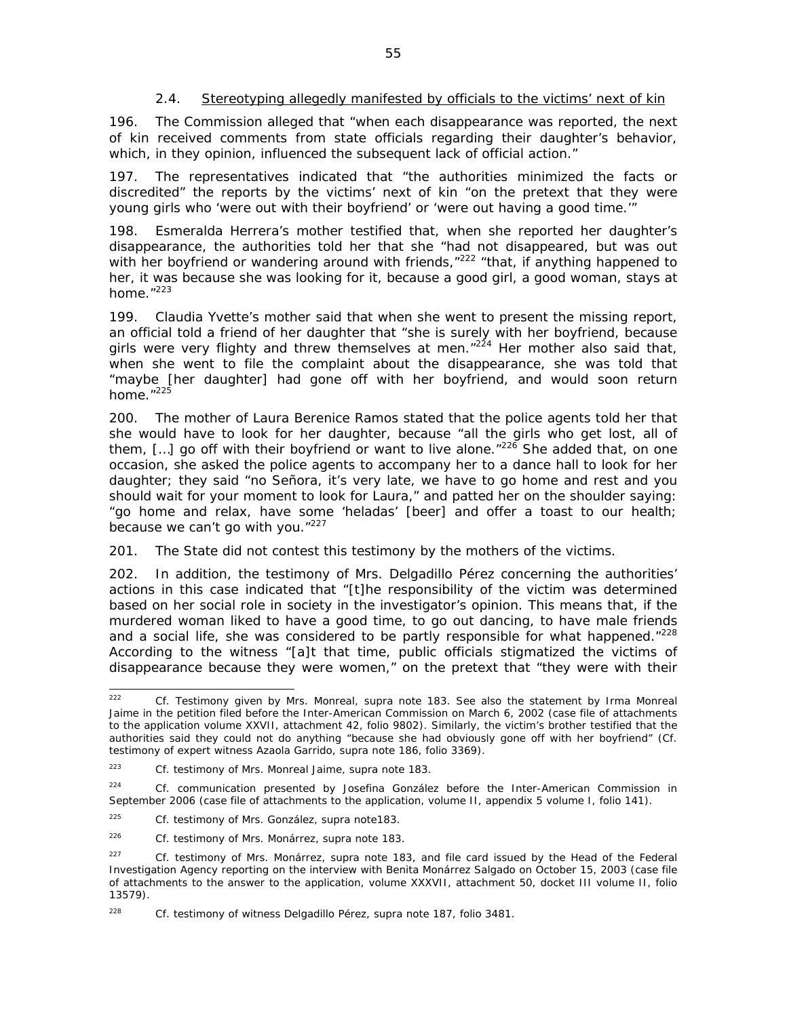### *2.4. Stereotyping allegedly manifested by officials to the victims' next of kin*

196. The Commission alleged that "when each disappearance was reported, the next of kin received comments from state officials regarding their daughter's behavior, which, in they opinion, influenced the subsequent lack of official action."

197. The representatives indicated that "the authorities minimized the facts or discredited" the reports by the victims' next of kin "on the pretext that they were young girls who 'were out with their boyfriend' or 'were out having a good time.'"

198. Esmeralda Herrera's mother testified that, when she reported her daughter's disappearance, the authorities told her that she "had not disappeared, but was out with her boyfriend or wandering around with friends,  $n^{222}$  "that, if anything happened to her, it was because she was looking for it, because a good girl, a good woman, stays at home."<sup>223</sup>

199. Claudia Yvette's mother said that when she went to present the missing report, an official told a friend of her daughter that "she is surely with her boyfriend, because girls were very flighty and threw themselves at men."<sup>224</sup> Her mother also said that, when she went to file the complaint about the disappearance, she was told that "maybe [her daughter] had gone off with her boyfriend, and would soon return home. $v^{225}$ 

200. The mother of Laura Berenice Ramos stated that the police agents told her that she would have to look for her daughter, because "all the girls who get lost, all of them,  $[...]$  go off with their boyfriend or want to live alone." $226$  She added that, on one occasion, she asked the police agents to accompany her to a dance hall to look for her daughter; they said "no Señora, it's very late, we have to go home and rest and you should wait for your moment to look for Laura," and patted her on the shoulder saying: "go home and relax, have some '*heladas*' [beer] and offer a toast to our health; because we can't go with you. $v^{227}$ 

201. The State did not contest this testimony by the mothers of the victims.

202. In addition, the testimony of Mrs. Delgadillo Pérez concerning the authorities' actions in this case indicated that "[t]he responsibility of the victim was determined based on her social role in society in the investigator's opinion. This means that, if the murdered woman liked to have a good time, to go out dancing, to have male friends and a social life, she was considered to be partly responsible for what happened."<sup>228</sup> According to the witness "[a]t that time, public officials stigmatized the victims of disappearance because they were women," on the pretext that "they were with their

 $222$ Cf. Testimony given by Mrs. Monreal, *supra* note 183. See also the statement by Irma Monreal Jaime in the petition filed before the Inter-American Commission on March 6, 2002 (case file of attachments to the application volume XXVII, attachment 42, folio 9802). Similarly, the victim's brother testified that the authorities said they could not do anything "because she had obviously gone off with her boyfriend" (*Cf.*  testimony of expert witness Azaola Garrido, *supra* note 186, folio 3369).

<sup>223</sup> *Cf.* testimony of Mrs. Monreal Jaime, *supra* note 183.

<sup>&</sup>lt;sup>224</sup> *Cf.* communication presented by Josefina González before the Inter-American Commission in September 2006 (case file of attachments to the application, volume II, appendix 5 volume I, folio 141).

<sup>225</sup> *Cf.* testimony of Mrs. González, *supra* note183.

<sup>226</sup> *Cf.* testimony of Mrs. Monárrez, *supra* note 183.

<sup>227</sup> *Cf.* testimony of Mrs. Monárrez, *supra* note 183, and file card issued by the Head of the Federal Investigation Agency reporting on the interview with Benita Monárrez Salgado on October 15, 2003 (case file of attachments to the answer to the application, volume XXXVII, attachment 50, docket III volume II, folio 13579).

<sup>228</sup> *Cf.* testimony of witness Delgadillo Pérez, *supra* note 187, folio 3481.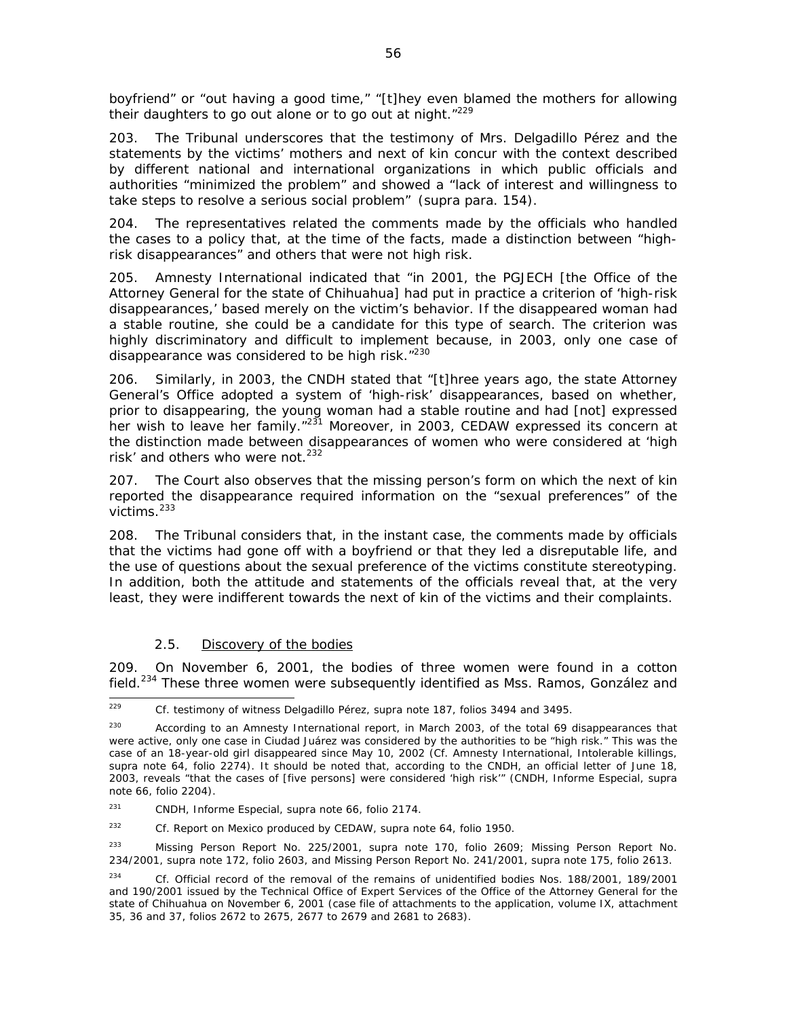boyfriend" or "out having a good time," "[t]hey even blamed the mothers for allowing their daughters to go out alone or to go out at night."<sup>229</sup>

203. The Tribunal underscores that the testimony of Mrs. Delgadillo Pérez and the statements by the victims' mothers and next of kin concur with the context described by different national and international organizations in which public officials and authorities "minimized the problem" and showed a "lack of interest and willingness to take steps to resolve a serious social problem" (*supra* para. 154).

204. The representatives related the comments made by the officials who handled the cases to a policy that, at the time of the facts, made a distinction between "highrisk disappearances" and others that were not high risk.

205. Amnesty International indicated that "in 2001, the PGJECH [the Office of the Attorney General for the state of Chihuahua] had put in practice a criterion of 'high-risk disappearances,' based merely on the victim's behavior. If the disappeared woman had a stable routine, she could be a candidate for this type of search. The criterion was highly discriminatory and difficult to implement because, in 2003, only one case of disappearance was considered to be high risk."<sup>230</sup>

206. Similarly, in 2003, the CNDH stated that "[t]hree years ago, the state Attorney General's Office adopted a system of 'high-risk' disappearances, based on whether, prior to disappearing, the young woman had a stable routine and had [not] expressed her wish to leave her family."231 Moreover, in 2003, CEDAW expressed its concern at the distinction made between disappearances of women who were considered at 'high risk' and others who were not.<sup>232</sup>

207. The Court also observes that the missing person's form on which the next of kin reported the disappearance required information on the "sexual preferences" of the victims $^{233}$ 

208. The Tribunal considers that, in the instant case, the comments made by officials that the victims had gone off with a boyfriend or that they led a disreputable life, and the use of questions about the sexual preference of the victims constitute stereotyping. In addition, both the attitude and statements of the officials reveal that, at the very least, they were indifferent towards the next of kin of the victims and their complaints.

### *2.5. Discovery of the bodies*

209. On November 6, 2001, the bodies of three women were found in a cotton field.<sup>234</sup> These three women were subsequently identified as Mss. Ramos, González and

232 *Cf.* Report on Mexico produced by CEDAW, *supra* note 64, folio 1950.

233 Missing Person Report No. 225/2001, *supra* note 170, folio 2609; Missing Person Report No. 234/2001, *supra* note 172, folio 2603, and Missing Person Report No. 241/2001, *supra* note 175, folio 2613.

<sup>229</sup> 229 *Cf.* testimony of witness Delgadillo Pérez, *supra* note 187, folios 3494 and 3495.

<sup>&</sup>lt;sup>230</sup> According to an Amnesty International report, in March 2003, of the total 69 disappearances that were active, only one case in Ciudad Juárez was considered by the authorities to be "high risk." This was the case of an 18-year-old girl disappeared since May 10, 2002 (*Cf.* Amnesty International, *Intolerable killings*, *supra* note 64, folio 2274). It should be noted that, according to the CNDH, an official letter of June 18, 2003, reveals "that the cases of [five persons] were considered 'high risk'" (CNDH, *Informe Especial, supra*  note 66, folio 2204).

<sup>231</sup> CNDH, *Informe Especial*, *supra* note 66, folio 2174.

<sup>234</sup> *Cf.* Official record of the removal of the remains of unidentified bodies Nos. 188/2001, 189/2001 and 190/2001 issued by the Technical Office of Expert Services of the Office of the Attorney General for the state of Chihuahua on November 6, 2001 (case file of attachments to the application, volume IX, attachment 35, 36 and 37, folios 2672 to 2675, 2677 to 2679 and 2681 to 2683).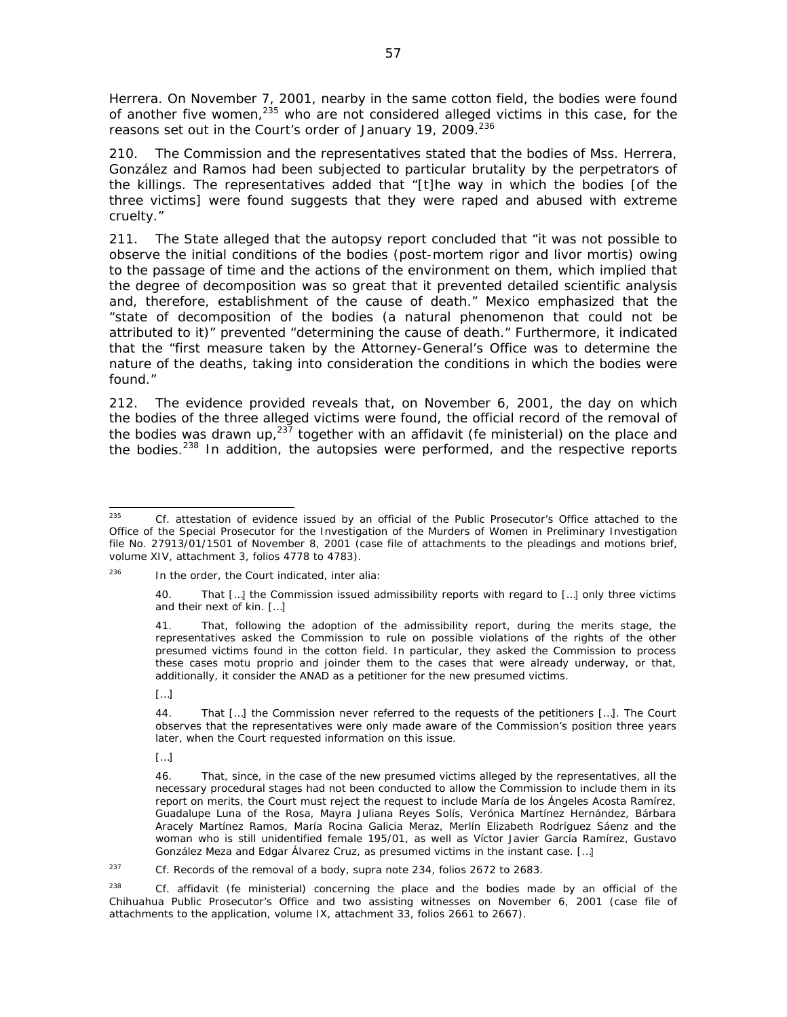Herrera. On November 7, 2001, nearby in the same cotton field, the bodies were found of another five women,<sup>235</sup> who are not considered alleged victims in this case, for the reasons set out in the Court's order of January 19, 2009.<sup>236</sup>

210. The Commission and the representatives stated that the bodies of Mss. Herrera, González and Ramos had been subjected to particular brutality by the perpetrators of the killings. The representatives added that "[t]he way in which the bodies [of the three victims] were found suggests that they were raped and abused with extreme cruelty."

211. The State alleged that the autopsy report concluded that "it was not possible to observe the initial conditions of the bodies (post-mortem rigor and livor mortis) owing to the passage of time and the actions of the environment on them, which implied that the degree of decomposition was so great that it prevented detailed scientific analysis and, therefore, establishment of the cause of death." Mexico emphasized that the "state of decomposition of the bodies (a natural phenomenon that could not be attributed to it)" prevented "determining the cause of death." Furthermore, it indicated that the "first measure taken by the Attorney-General's Office was to determine the nature of the deaths, taking into consideration the conditions in which the bodies were found."

212. The evidence provided reveals that, on November 6, 2001, the day on which the bodies of the three alleged victims were found, the official record of the removal of the bodies was drawn up,237 together with an affidavit (*fe ministerial*) on the place and the bodies.<sup>238</sup> In addition, the autopsies were performed, and the respective reports

 $\lceil \dots \rceil$ 

[…]

237 *Cf.* Records of the removal of a body, *supra* note 234, folios 2672 to 2683.

238 *Cf.* affidavit (*fe ministerial*) concerning the place and the bodies made by an official of the Chihuahua Public Prosecutor's Office and two assisting witnesses on November 6, 2001 (case file of attachments to the application, volume IX, attachment 33, folios 2661 to 2667).

<sup>235</sup> 235 *Cf.* attestation of evidence issued by an official of the Public Prosecutor's Office attached to the Office of the Special Prosecutor for the Investigation of the Murders of Women in Preliminary Investigation file No. 27913/01/1501 of November 8, 2001 (case file of attachments to the pleadings and motions brief, volume XIV, attachment 3, folios 4778 to 4783).

<sup>236</sup> In the order, the Court indicated, *inter alia*:

<sup>40.</sup> That […] the Commission issued admissibility reports with regard to […] only three victims and their next of kin. […]

<sup>41.</sup> That, following the adoption of the admissibility report, during the merits stage, the representatives asked the Commission to rule on possible violations of the rights of the other presumed victims found in the cotton field. In particular, they asked the Commission to process these cases *motu proprio* and joinder them to the cases that were already underway, or that, additionally, it consider the *ANAD* as a petitioner for the new presumed victims.

<sup>44.</sup> That […] the Commission never referred to the requests of the petitioners […]. The Court observes that the representatives were only made aware of the Commission's position three years later, when the Court requested information on this issue.

<sup>46.</sup> That, since, in the case of the new presumed victims alleged by the representatives, all the necessary procedural stages had not been conducted to allow the Commission to include them in its report on merits, the Court must reject the request to include María de los Ángeles Acosta Ramírez, Guadalupe Luna of the Rosa, Mayra Juliana Reyes Solís, Verónica Martínez Hernández, Bárbara Aracely Martínez Ramos, María Rocina Galicia Meraz, Merlín Elizabeth Rodríguez Sáenz and the woman who is still unidentified female 195/01, as well as Víctor Javier García Ramírez, Gustavo González Meza and Edgar Álvarez Cruz, as presumed victims in the instant case. […]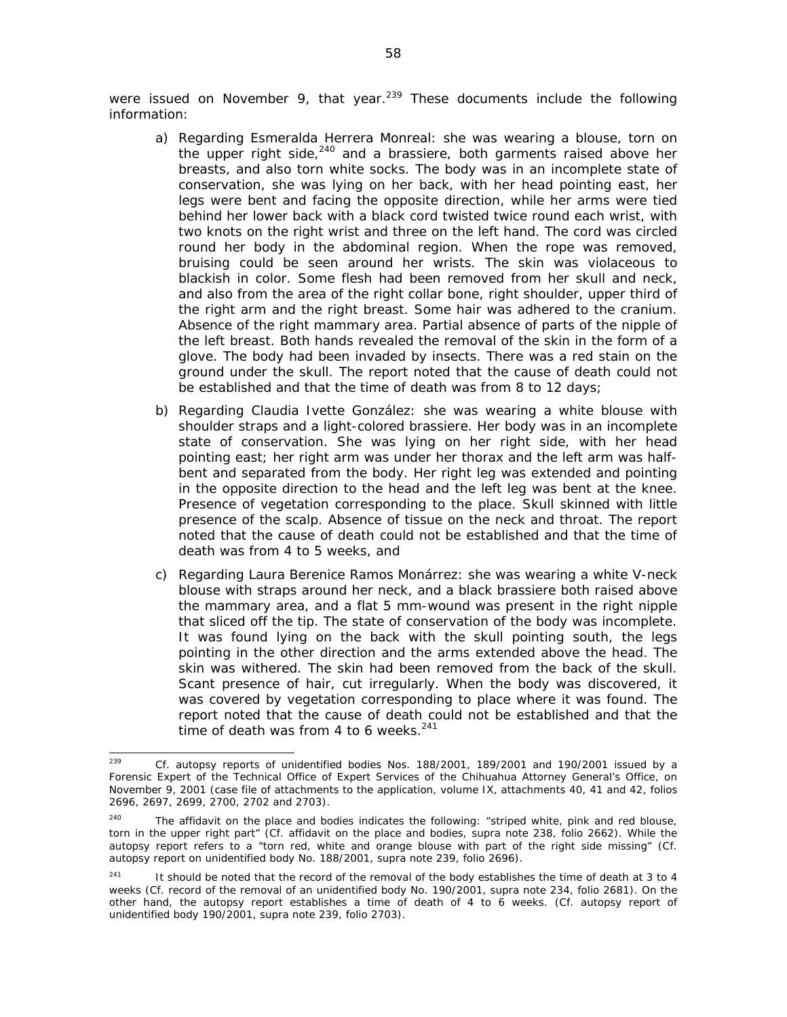were issued on November 9, that year. $239$  These documents include the following information:

- a) Regarding Esmeralda Herrera Monreal: she was wearing a blouse, torn on the upper right side,<sup>240</sup> and a brassiere, both garments raised above her breasts, and also torn white socks. The body was in an incomplete state of conservation, she was lying on her back, with her head pointing east, her legs were bent and facing the opposite direction, while her arms were tied behind her lower back with a black cord twisted twice round each wrist, with two knots on the right wrist and three on the left hand. The cord was circled round her body in the abdominal region. When the rope was removed, bruising could be seen around her wrists. The skin was violaceous to blackish in color. Some flesh had been removed from her skull and neck, and also from the area of the right collar bone, right shoulder, upper third of the right arm and the right breast. Some hair was adhered to the cranium. Absence of the right mammary area. Partial absence of parts of the nipple of the left breast. Both hands revealed the removal of the skin in the form of a glove. The body had been invaded by insects. There was a red stain on the ground under the skull. The report noted that the cause of death could not be established and that the time of death was from 8 to 12 days;
- b) Regarding Claudia Ivette González: she was wearing a white blouse with shoulder straps and a light-colored brassiere. Her body was in an incomplete state of conservation. She was lying on her right side, with her head pointing east; her right arm was under her thorax and the left arm was halfbent and separated from the body. Her right leg was extended and pointing in the opposite direction to the head and the left leg was bent at the knee. Presence of vegetation corresponding to the place. Skull skinned with little presence of the scalp. Absence of tissue on the neck and throat. The report noted that the cause of death could not be established and that the time of death was from 4 to 5 weeks, and
- c) Regarding Laura Berenice Ramos Monárrez: she was wearing a white V-neck blouse with straps around her neck, and a black brassiere both raised above the mammary area, and a flat 5 mm-wound was present in the right nipple that sliced off the tip. The state of conservation of the body was incomplete. It was found lying on the back with the skull pointing south, the legs pointing in the other direction and the arms extended above the head. The skin was withered. The skin had been removed from the back of the skull. Scant presence of hair, cut irregularly. When the body was discovered, it was covered by vegetation corresponding to place where it was found. The report noted that the cause of death could not be established and that the time of death was from 4 to 6 weeks. $241$

 $230$ 239 *Cf.* autopsy reports of unidentified bodies Nos. 188/2001, 189/2001 and 190/2001 issued by a Forensic Expert of the Technical Office of Expert Services of the Chihuahua Attorney General's Office, on November 9, 2001 (case file of attachments to the application, volume IX, attachments 40, 41 and 42, folios 2696, 2697, 2699, 2700, 2702 and 2703).

<sup>&</sup>lt;sup>240</sup> The affidavit on the place and bodies indicates the following: "striped white, pink and red blouse, torn in the upper right part" (*Cf.* affidavit on the place and bodies, *supra* note 238, folio 2662). While the autopsy report refers to a "torn red, white and orange blouse with part of the right side missing" (*Cf.* autopsy report on unidentified body No. 188/2001, *supra* note 239, folio 2696).

<sup>&</sup>lt;sup>241</sup> It should be noted that the record of the removal of the body establishes the time of death at 3 to 4 weeks (*Cf.* record of the removal of an unidentified body No. 190/2001, *supra* note 234, folio 2681). On the other hand, the autopsy report establishes a time of death of 4 to 6 weeks. (*Cf.* autopsy report of unidentified body 190/2001, *supra* note 239, folio 2703).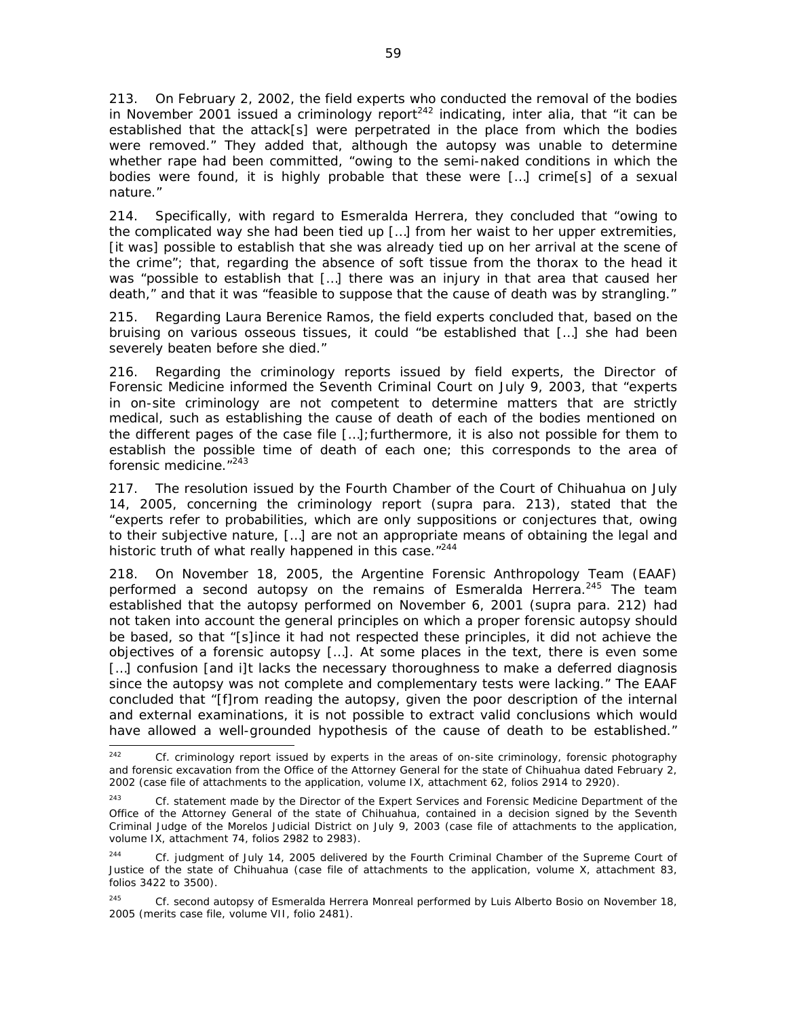213. On February 2, 2002, the field experts who conducted the removal of the bodies in November 2001 issued a criminology report<sup>242</sup> indicating, *inter alia*, that "it can be established that the attack[s] were perpetrated in the place from which the bodies were removed." They added that, although the autopsy was unable to determine whether rape had been committed, "owing to the semi-naked conditions in which the bodies were found, it is highly probable that these were […] crime[s] of a sexual nature."

214. Specifically, with regard to Esmeralda Herrera, they concluded that "owing to the complicated way she had been tied up […] from her waist to her upper extremities, [it was] possible to establish that she was already tied up on her arrival at the scene of the crime"; that, regarding the absence of soft tissue from the thorax to the head it was "possible to establish that […] there was an injury in that area that caused her death," and that it was "feasible to suppose that the cause of death was by strangling."

215. Regarding Laura Berenice Ramos, the field experts concluded that, based on the bruising on various osseous tissues, it could "be established that […] she had been severely beaten before she died."

216. Regarding the criminology reports issued by field experts, the Director of Forensic Medicine informed the Seventh Criminal Court on July 9, 2003, that "experts in on-site criminology are not competent to determine matters that are strictly medical, such as establishing the cause of death of each of the bodies mentioned on the different pages of the case file […];furthermore, it is also not possible for them to establish the possible time of death of each one; this corresponds to the area of forensic medicine."243

217. The resolution issued by the Fourth Chamber of the Court of Chihuahua on July 14, 2005, concerning the criminology report (*supra* para. 213), stated that the "experts refer to probabilities, which are only suppositions or conjectures that, owing to their subjective nature, […] are not an appropriate means of obtaining the legal and historic truth of what really happened in this case."<sup>244</sup>

218. On November 18, 2005, the Argentine Forensic Anthropology Team (EAAF) performed a second autopsy on the remains of Esmeralda Herrera.<sup>245</sup> The team established that the autopsy performed on November 6, 2001 (*supra* para. 212) had not taken into account the general principles on which a proper forensic autopsy should be based, so that "[s]ince it had not respected these principles, it did not achieve the objectives of a forensic autopsy […]. At some places in the text, there is even some [...] confusion [and i]t lacks the necessary thoroughness to make a deferred diagnosis since the autopsy was not complete and complementary tests were lacking." The EAAF concluded that "[f]rom reading the autopsy, given the poor description of the internal and external examinations, it is not possible to extract valid conclusions which would have allowed a well-grounded hypothesis of the cause of death to be established."

 $242$ Cf. criminology report issued by experts in the areas of on-site criminology, forensic photography and forensic excavation from the Office of the Attorney General for the state of Chihuahua dated February 2, 2002 (case file of attachments to the application, volume IX, attachment 62, folios 2914 to 2920).

<sup>243</sup> *Cf.* statement made by the Director of the Expert Services and Forensic Medicine Department of the Office of the Attorney General of the state of Chihuahua, contained in a decision signed by the Seventh Criminal Judge of the Morelos Judicial District on July 9, 2003 (case file of attachments to the application, volume IX, attachment 74, folios 2982 to 2983).

<sup>244</sup> *Cf.* judgment of July 14, 2005 delivered by the Fourth Criminal Chamber of the Supreme Court of Justice of the state of Chihuahua (case file of attachments to the application, volume X, attachment 83, folios 3422 to 3500).

<sup>&</sup>lt;sup>245</sup> *Cf.* second autopsy of Esmeralda Herrera Monreal performed by Luis Alberto Bosio on November 18, 2005 (merits case file, volume VII, folio 2481).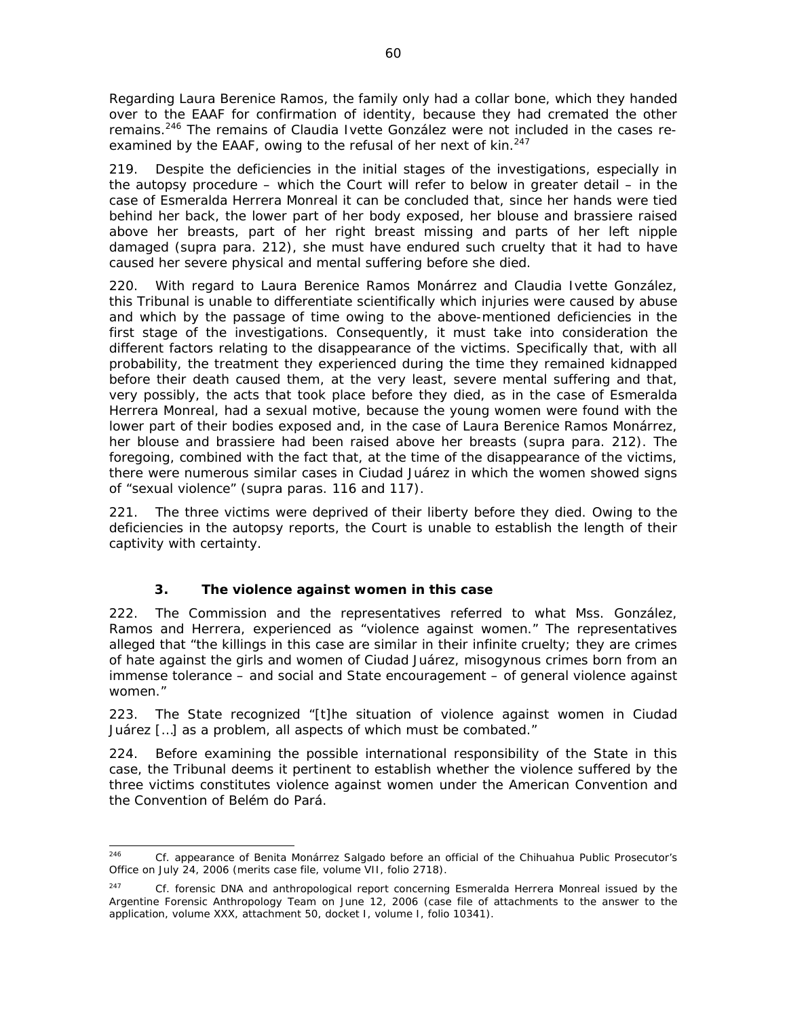Regarding Laura Berenice Ramos, the family only had a collar bone, which they handed over to the EAAF for confirmation of identity, because they had cremated the other remains.246 The remains of Claudia Ivette González were not included in the cases reexamined by the EAAF, owing to the refusal of her next of kin.<sup>247</sup>

219. Despite the deficiencies in the initial stages of the investigations, especially in the autopsy procedure – which the Court will refer to below in greater detail – in the case of Esmeralda Herrera Monreal it can be concluded that, since her hands were tied behind her back, the lower part of her body exposed, her blouse and brassiere raised above her breasts, part of her right breast missing and parts of her left nipple damaged (supra para. 212), she must have endured such cruelty that it had to have caused her severe physical and mental suffering before she died.

220. With regard to Laura Berenice Ramos Monárrez and Claudia Ivette González, this Tribunal is unable to differentiate scientifically which injuries were caused by abuse and which by the passage of time owing to the above-mentioned deficiencies in the first stage of the investigations. Consequently, it must take into consideration the different factors relating to the disappearance of the victims. Specifically that, with all probability, the treatment they experienced during the time they remained kidnapped before their death caused them, at the very least, severe mental suffering and that, very possibly, the acts that took place before they died, as in the case of Esmeralda Herrera Monreal, had a sexual motive, because the young women were found with the lower part of their bodies exposed and, in the case of Laura Berenice Ramos Monárrez, her blouse and brassiere had been raised above her breasts (*supra* para. 212). The foregoing, combined with the fact that, at the time of the disappearance of the victims, there were numerous similar cases in Ciudad Juárez in which the women showed signs of "sexual violence" (*supra* paras. 116 and 117).

221. The three victims were deprived of their liberty before they died. Owing to the deficiencies in the autopsy reports, the Court is unable to establish the length of their captivity with certainty.

# *3. The violence against women in this case*

222. The Commission and the representatives referred to what Mss. González, Ramos and Herrera, experienced as "violence against women." The representatives alleged that "the killings in this case are similar in their infinite cruelty; they are crimes of hate against the girls and women of Ciudad Juárez, misogynous crimes born from an immense tolerance – and social and State encouragement – of general violence against women."

223. The State recognized "[t]he situation of violence against women in Ciudad Juárez […] as a problem, all aspects of which must be combated."

224. Before examining the possible international responsibility of the State in this case, the Tribunal deems it pertinent to establish whether the violence suffered by the three victims constitutes violence against women under the American Convention and the Convention of Belém do Pará.

<sup>246</sup> 246 *Cf.* appearance of Benita Monárrez Salgado before an official of the Chihuahua Public Prosecutor's Office on July 24, 2006 (merits case file, volume VII, folio 2718).

Cf. forensic DNA and anthropological report concerning Esmeralda Herrera Monreal issued by the Argentine Forensic Anthropology Team on June 12, 2006 (case file of attachments to the answer to the application, volume XXX, attachment 50, docket I, volume I, folio 10341).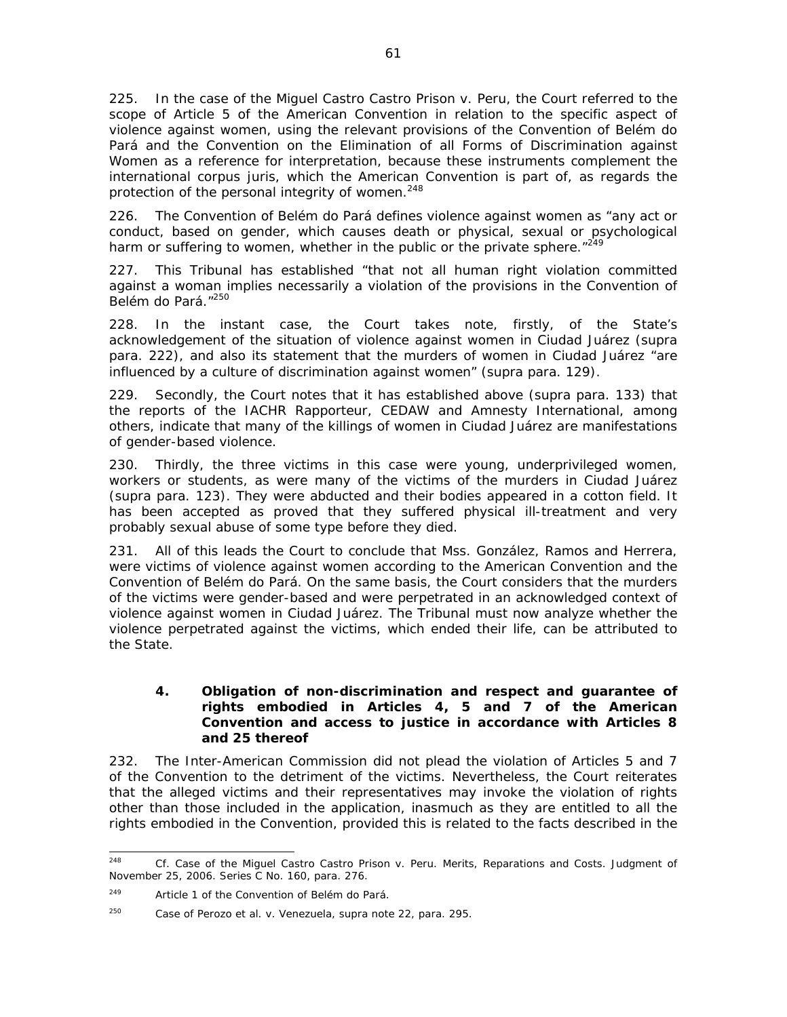225. In the case of the *Miguel Castro Castro Prison* v. *Peru*, the Court referred to the scope of Article 5 of the American Convention in relation to the specific aspect of violence against women, using the relevant provisions of the Convention of Belém do Pará and the Convention on the Elimination of all Forms of Discrimination against Women as a reference for interpretation, because these instruments complement the international *corpus juris*, which the American Convention is part of, as regards the protection of the personal integrity of women.<sup>248</sup>

226. The Convention of Belém do Pará defines violence against women as "any act or conduct, based on gender, which causes death or physical, sexual or psychological harm or suffering to women, whether in the public or the private sphere."<sup>249</sup>

227. This Tribunal has established "that not all human right violation committed against a woman implies necessarily a violation of the provisions in the Convention of Belém do Pará."250

228. In the instant case, the Court takes note, firstly, of the State's acknowledgement of the situation of violence against women in Ciudad Juárez (*supra*  para. 222), and also its statement that the murders of women in Ciudad Juárez "are influenced by a culture of discrimination against women" (*supra* para. 129).

229. Secondly, the Court notes that it has established above (*supra* para. 133) that the reports of the IACHR Rapporteur, CEDAW and Amnesty International, among others, indicate that many of the killings of women in Ciudad Juárez are manifestations of gender-based violence.

230. Thirdly, the three victims in this case were young, underprivileged women, workers or students, as were many of the victims of the murders in Ciudad Juárez (*supra* para. 123). They were abducted and their bodies appeared in a cotton field. It has been accepted as proved that they suffered physical ill-treatment and very probably sexual abuse of some type before they died.

231. All of this leads the Court to conclude that Mss. González, Ramos and Herrera, were victims of violence against women according to the American Convention and the Convention of Belém do Pará. On the same basis, the Court considers that the murders of the victims were gender-based and were perpetrated in an acknowledged context of violence against women in Ciudad Juárez. The Tribunal must now analyze whether the violence perpetrated against the victims, which ended their life, can be attributed to the State.

#### *4. Obligation of non-discrimination and respect and guarantee of rights embodied in Articles 4, 5 and 7 of the American Convention and access to justice in accordance with Articles 8 and 25 thereof*

232. The Inter-American Commission did not plead the violation of Articles 5 and 7 of the Convention to the detriment of the victims. Nevertheless, the Court reiterates that the alleged victims and their representatives may invoke the violation of rights other than those included in the application, inasmuch as they are entitled to all the rights embodied in the Convention, provided this is related to the facts described in the

<sup>248</sup> 248 *Cf. Case of the Miguel Castro Castro Prison v. Peru. Merits, Reparations and Costs*. Judgment of November 25, 2006. Series C No. 160, para. 276.

<sup>249</sup> Article 1 of the Convention of Belém do Pará.

<sup>250</sup> *Case of Perozo et al. v. Venezuela*, *supra* note 22, para. 295.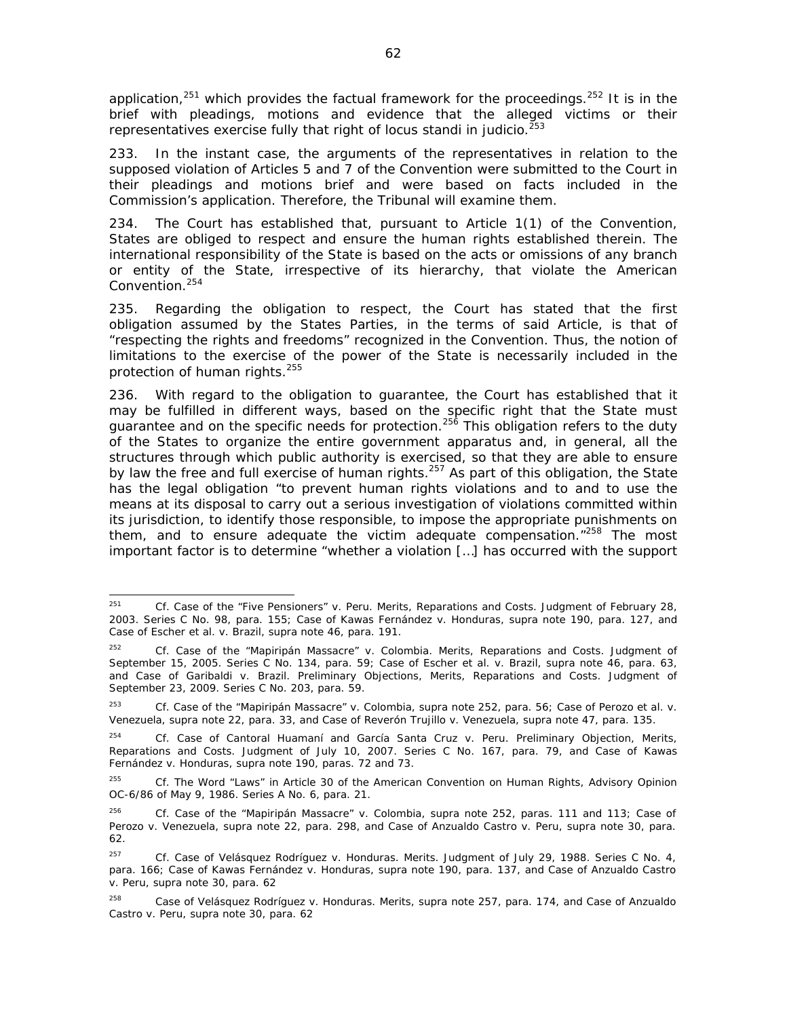application, $251$  which provides the factual framework for the proceedings. $252$  It is in the brief with pleadings, motions and evidence that the alleged victims or their representatives exercise fully that right of *locus standi in judicio*. 253

233. In the instant case, the arguments of the representatives in relation to the supposed violation of Articles 5 and 7 of the Convention were submitted to the Court in their pleadings and motions brief and were based on facts included in the Commission's application. Therefore, the Tribunal will examine them.

234. The Court has established that, pursuant to Article 1(1) of the Convention, States are obliged to respect and ensure the human rights established therein. The international responsibility of the State is based on the acts or omissions of any branch or entity of the State, irrespective of its hierarchy, that violate the American Convention.254

235. Regarding the obligation to respect, the Court has stated that the first obligation assumed by the States Parties, in the terms of said Article, is that of "respecting the rights and freedoms" recognized in the Convention. Thus, the notion of limitations to the exercise of the power of the State is necessarily included in the protection of human rights.<sup>255</sup>

236. With regard to the obligation to guarantee, the Court has established that it may be fulfilled in different ways, based on the specific right that the State must guarantee and on the specific needs for protection.<sup>256</sup> This obligation refers to the duty of the States to organize the entire government apparatus and, in general, all the structures through which public authority is exercised, so that they are able to ensure by law the free and full exercise of human rights. $257$  As part of this obligation, the State has the legal obligation "to prevent human rights violations and to and to use the means at its disposal to carry out a serious investigation of violations committed within its jurisdiction, to identify those responsible, to impose the appropriate punishments on them, and to ensure adequate the victim adequate compensation. $1258$  The most important factor is to determine "whether a violation […] has occurred with the support

<sup>251</sup> 251 *Cf. Case of the "Five Pensioners" v. Peru. Merits, Reparations and Costs.* Judgment of February 28, 2003. Series C No. 98, para. 155; *Case of Kawas Fernández v. Honduras, supra* note 190, para. 127, and *Case of Escher et al. v. Brazil, supra* note 46, para. 191.

<sup>252</sup> *Cf. Case of the "Mapiripán Massacre" v. Colombia*. *Merits, Reparations and Costs*. Judgment of September 15, 2005. Series C No. 134, para. 59; *Case of Escher et al. v. Brazil, supra* note 46, para. 63, and *Case of Garibaldi v. Brazil. Preliminary Objections, Merits, Reparations and Costs. Judgment of* September 23, 2009. Series C No. 203*,* para. 59.

<sup>253</sup> *Cf. Case of the "Mapiripán Massacre" v. Colombia*, *supra* note 252, para. 56; *Case of Perozo et al. v. Venezuela*, *supra* note 22, para. 33, and *Case of Reverón Trujillo v. Venezuela, supra* note 47*,* para. 135.

<sup>254</sup> *Cf. Case of Cantoral Huamaní and García Santa Cruz v. Peru. Preliminary Objection, Merits, Reparations and Costs.* Judgment of July 10, 2007. Series C No. 167, para. 79, and *Case of Kawas Fernández v. Honduras, supra* note 190, paras. 72 and 73.

<sup>255</sup> *Cf. The Word "Laws" in Article 30 of the American Convention on Human Rights,* Advisory Opinion OC-6/86 of May 9, 1986. Series A No. 6, para. 21.

<sup>256</sup> *Cf. Case of the "Mapiripán Massacre" v. Colombia, supra* note 252, paras. 111 and 113; *Case of Perozo v. Venezuela*, *supra* note 22, para. 298, and *Case of Anzualdo Castro v. Peru, supra* note 30, para. 62.

<sup>257</sup> *Cf. Case of Velásquez Rodríguez v. Honduras. Merits.* Judgment of July 29, 1988. Series C No. 4*,*  para. 166; *Case of Kawas Fernández v. Honduras, supra* note 190, para. 137, and *Case of Anzualdo Castro v. Peru, supra* note 30, para. 62

<sup>258</sup> *Case of Velásquez Rodríguez v. Honduras*. *Merits*, *supra* note 257, para. 174, and *Case of Anzualdo Castro v. Peru, supra* note 30, para. 62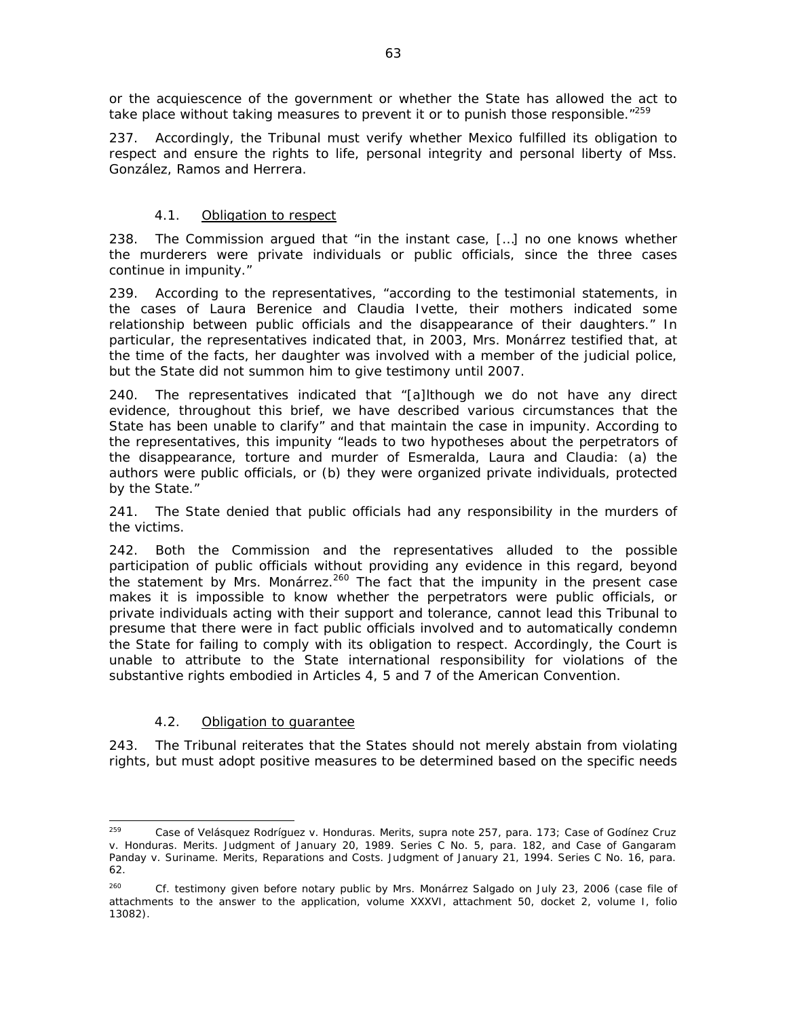or the acquiescence of the government or whether the State has allowed the act to take place without taking measures to prevent it or to punish those responsible.<sup>"259</sup>

237. Accordingly, the Tribunal must verify whether Mexico fulfilled its obligation to respect and ensure the rights to life, personal integrity and personal liberty of Mss. González, Ramos and Herrera.

### *4.1. Obligation to respect*

238. The Commission argued that "in the instant case, […] no one knows whether the murderers were private individuals or public officials, since the three cases continue in impunity."

239. According to the representatives, "according to the testimonial statements, in the cases of Laura Berenice and Claudia Ivette, their mothers indicated some relationship between public officials and the disappearance of their daughters." In particular, the representatives indicated that, in 2003, Mrs. Monárrez testified that, at the time of the facts, her daughter was involved with a member of the judicial police, but the State did not summon him to give testimony until 2007.

240. The representatives indicated that "[a]lthough we do not have any direct evidence, throughout this brief, we have described various circumstances that the State has been unable to clarify" and that maintain the case in impunity. According to the representatives, this impunity "leads to two hypotheses about the perpetrators of the disappearance, torture and murder of Esmeralda, Laura and Claudia: (a) the authors were public officials, or (b) they were organized private individuals, protected by the State."

241. The State denied that public officials had any responsibility in the murders of the victims.

242. Both the Commission and the representatives alluded to the possible participation of public officials without providing any evidence in this regard, beyond the statement by Mrs. Monárrez.<sup>260</sup> The fact that the impunity in the present case makes it is impossible to know whether the perpetrators were public officials, or private individuals acting with their support and tolerance, cannot lead this Tribunal to presume that there were in fact public officials involved and to automatically condemn the State for failing to comply with its obligation to respect. Accordingly, the Court is unable to attribute to the State international responsibility for violations of the substantive rights embodied in Articles 4, 5 and 7 of the American Convention.

### *4.2. Obligation to guarantee*

243. The Tribunal reiterates that the States should not merely abstain from violating rights, but must adopt positive measures to be determined based on the specific needs

<sup>259</sup> 259 *Case of Velásquez Rodríguez v. Honduras*. *Merits, supra* note 257, para. 173; *Case of Godínez Cruz v. Honduras*. *Merits*. Judgment of January 20, 1989. Series C No. 5, para. 182, and *Case of Gangaram Panday v. Suriname. Merits, Reparations and Costs.* Judgment of January 21, 1994. Series C No. 16, para. 62.

<sup>260</sup> *Cf.* testimony given before notary public by Mrs. Monárrez Salgado on July 23, 2006 (case file of attachments to the answer to the application, volume XXXVI, attachment 50, docket 2, volume I, folio 13082).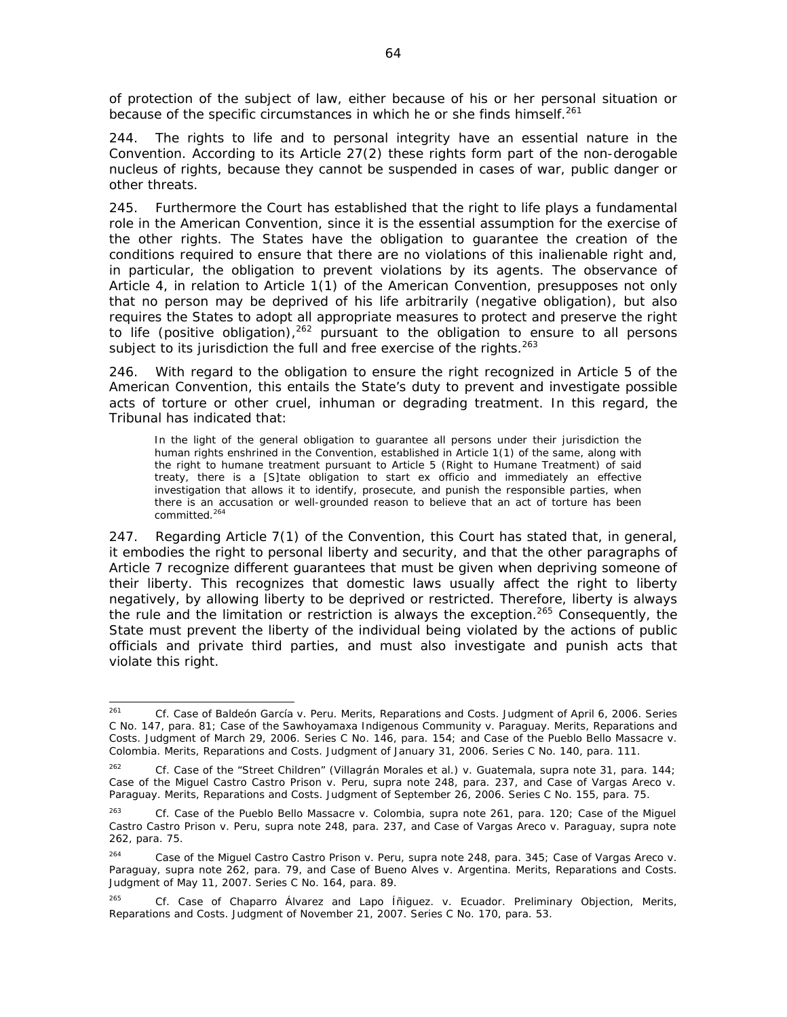of protection of the subject of law, either because of his or her personal situation or because of the specific circumstances in which he or she finds himself.<sup>261</sup>

244. The rights to life and to personal integrity have an essential nature in the Convention. According to its Article 27(2) these rights form part of the non-derogable nucleus of rights, because they cannot be suspended in cases of war, public danger or other threats.

245. Furthermore the Court has established that the right to life plays a fundamental role in the American Convention, since it is the essential assumption for the exercise of the other rights. The States have the obligation to guarantee the creation of the conditions required to ensure that there are no violations of this inalienable right and, in particular, the obligation to prevent violations by its agents. The observance of Article 4, in relation to Article 1(1) of the American Convention, presupposes not only that no person may be deprived of his life arbitrarily (negative obligation), but also requires the States to adopt all appropriate measures to protect and preserve the right to life (positive obligation),  $262$  pursuant to the obligation to ensure to all persons subject to its jurisdiction the full and free exercise of the rights.<sup>263</sup>

246. With regard to the obligation to ensure the right recognized in Article 5 of the American Convention, this entails the State's duty to prevent and investigate possible acts of torture or other cruel, inhuman or degrading treatment. In this regard, the Tribunal has indicated that:

In the light of the general obligation to guarantee all persons under their jurisdiction the human rights enshrined in the Convention, established in Article 1(1) of the same, along with the right to humane treatment pursuant to Article 5 (Right to Humane Treatment) of said treaty, there is a [S]tate obligation to start *ex officio* and immediately an effective investigation that allows it to identify, prosecute, and punish the responsible parties, when there is an accusation or well-grounded reason to believe that an act of torture has been committed.<sup>264</sup>

247. Regarding Article 7(1) of the Convention, this Court has stated that, in general, it embodies the right to personal liberty and security, and that the other paragraphs of Article 7 recognize different guarantees that must be given when depriving someone of their liberty. This recognizes that domestic laws usually affect the right to liberty negatively, by allowing liberty to be deprived or restricted. Therefore, liberty is always the rule and the limitation or restriction is always the exception.<sup>265</sup> Consequently, the State must prevent the liberty of the individual being violated by the actions of public officials and private third parties, and must also investigate and punish acts that violate this right.

<sup>261</sup> <sup>261</sup> *Cf. Case of Baldeón García v. Peru. Merits, Reparations and Costs.* Judgment of April 6, 2006. Series C No. 147*,* para. 81*; Case of the Sawhoyamaxa Indigenous Community v. Paraguay. Merits, Reparations and Costs*. Judgment of March 29, 2006. Series C No. 146, para. 154; and *Case of the Pueblo Bello Massacre v. Colombia*. *Merits, Reparations and Costs.* Judgment of January 31, 2006. Series C No. 140, para. 111.

<sup>262</sup> *Cf. Case of the "Street Children" (Villagrán Morales et al.) v. Guatemala*, *supra note* 31*,* para. 144; *Case of the Miguel Castro Castro Prison v. Peru*, *supra* note 248, para. 237, and *Case of Vargas Areco v. Paraguay. Merits, Reparations and Costs.* Judgment of September 26, 2006. Series C No. 155, para. 75.

<sup>263</sup> *Cf. Case of the Pueblo Bello Massacre v. Colombia*, *supra* note 261*,* para. 120; *Case of the Miguel Castro Castro Prison v. Peru*, *supra* note 248, para. 237, and *Case of Vargas Areco v. Paraguay, supra* note 262, para. 75.

<sup>264</sup> *Case of the Miguel Castro Castro Prison v. Peru, supra* note 248, para. 345; *Case of Vargas Areco v. Paraguay*, *supra* note 262, para. 79, and *Case of Bueno Alves v. Argentina*. *Merits, Reparations and Costs.* Judgment of May 11, 2007. Series C No. 164, para. 89.

<sup>265</sup> *Cf. Case of Chaparro Álvarez and Lapo Íñiguez. v. Ecuador. Preliminary Objection, Merits, Reparations and Costs*. Judgment of November 21, 2007. Series C No. 170, para. 53.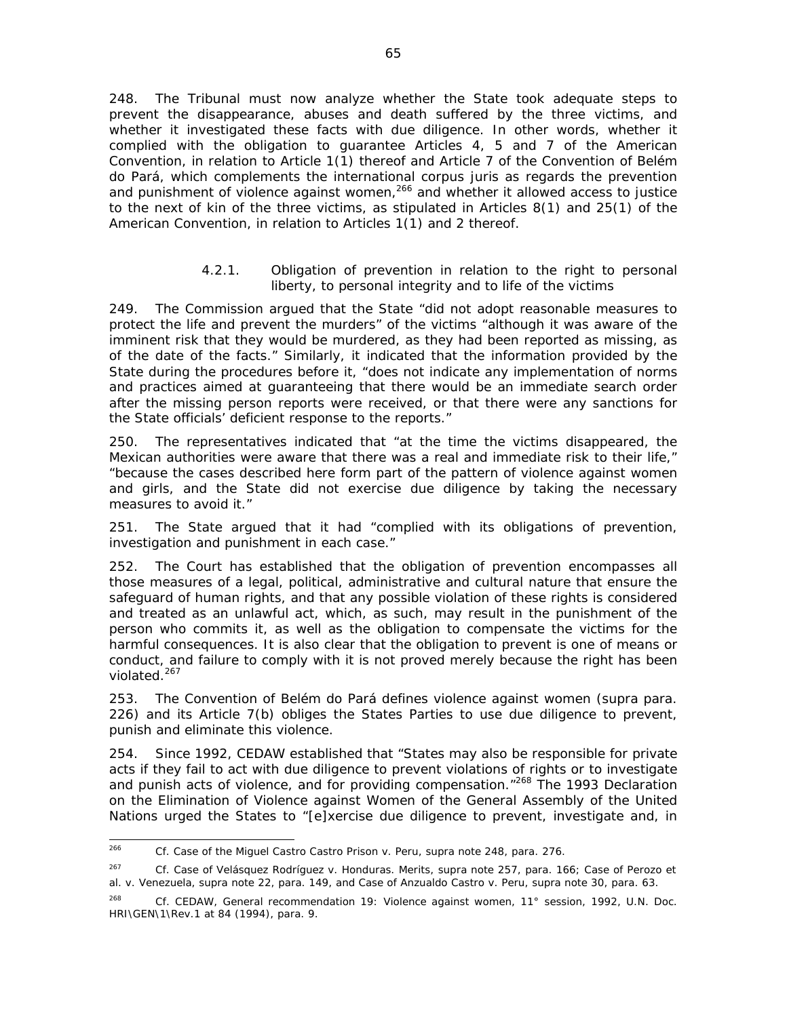248. The Tribunal must now analyze whether the State took adequate steps to prevent the disappearance, abuses and death suffered by the three victims, and whether it investigated these facts with due diligence. In other words, whether it complied with the obligation to guarantee Articles 4, 5 and 7 of the American Convention, in relation to Article 1(1) thereof and Article 7 of the Convention of Belém do Pará, which complements the international *corpus juris* as regards the prevention and punishment of violence against women,  $266$  and whether it allowed access to justice to the next of kin of the three victims, as stipulated in Articles 8(1) and 25(1) of the American Convention, in relation to Articles 1(1) and 2 thereof.

### *4.2.1. Obligation of prevention in relation to the right to personal liberty, to personal integrity and to life of the victims*

249. The Commission argued that the State "did not adopt reasonable measures to protect the life and prevent the murders" of the victims "although it was aware of the imminent risk that they would be murdered, as they had been reported as missing, as of the date of the facts." Similarly, it indicated that the information provided by the State during the procedures before it, "does not indicate any implementation of norms and practices aimed at guaranteeing that there would be an immediate search order after the missing person reports were received, or that there were any sanctions for the State officials' deficient response to the reports."

250. The representatives indicated that "at the time the victims disappeared, the Mexican authorities were aware that there was a real and immediate risk to their life," "because the cases described here form part of the pattern of violence against women and girls, and the State did not exercise due diligence by taking the necessary measures to avoid it."

251. The State argued that it had "complied with its obligations of prevention, investigation and punishment in each case."

252. The Court has established that the obligation of prevention encompasses all those measures of a legal, political, administrative and cultural nature that ensure the safeguard of human rights, and that any possible violation of these rights is considered and treated as an unlawful act, which, as such, may result in the punishment of the person who commits it, as well as the obligation to compensate the victims for the harmful consequences. It is also clear that the obligation to prevent is one of means or conduct, and failure to comply with it is not proved merely because the right has been violated. $267$ 

253. The Convention of Belém do Pará defines violence against women (*supra* para. 226) and its Article 7(b) obliges the States Parties to use due diligence to prevent, punish and eliminate this violence.

254. Since 1992, CEDAW established that "States may also be responsible for private acts if they fail to act with due diligence to prevent violations of rights or to investigate and punish acts of violence, and for providing compensation.<sup>"268</sup> The 1993 Declaration on the Elimination of Violence against Women of the General Assembly of the United Nations urged the States to "[e]xercise due diligence to prevent, investigate and, in

<sup>266</sup> 266 *Cf. Case of the Miguel Castro Castro Prison v. Peru, supra* note 248, para. 276.

<sup>267</sup> *Cf. Case of Velásquez Rodríguez v. Honduras. Merits, supra* note 257, para. 166; *Case of Perozo et al. v. Venezuela*, *supra* note 22, para. 149, and *Case of Anzualdo Castro v. Peru, supra* note 30, para. 63.

<sup>268</sup> *Cf.* CEDAW, General recommendation 19: Violence against women, 11° session, 1992, U.N. Doc. HRI\GEN\1\Rev.1 at 84 (1994), para. 9.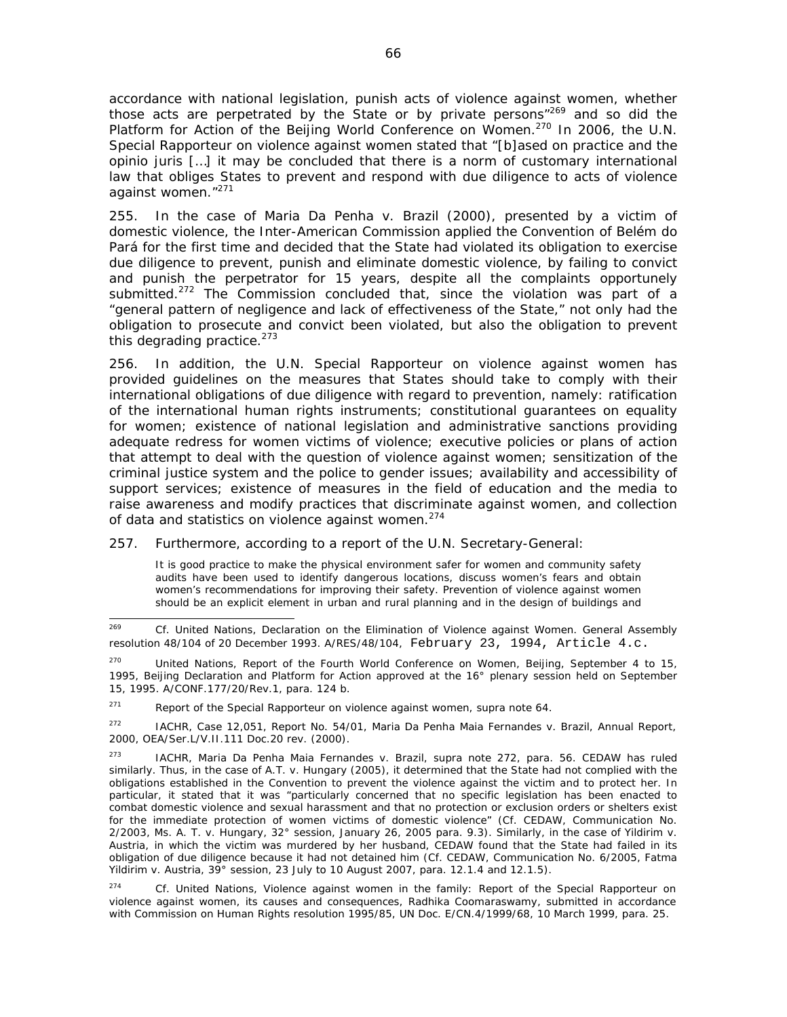accordance with national legislation, punish acts of violence against women, whether those acts are perpetrated by the State or by private persons"<sup>269</sup> and so did the Platform for Action of the Beijing World Conference on Women.<sup>270</sup> In 2006, the U.N. Special Rapporteur on violence against women stated that "[b]ased on practice and the *opinio juris* […] it may be concluded that there is a norm of customary international law that obliges States to prevent and respond with due diligence to acts of violence against women."<sup>271</sup>

255. In the case of *Maria Da Penha v. Brazil* (2000)*,* presented by a victim of domestic violence, the Inter-American Commission applied the Convention of Belém do Pará for the first time and decided that the State had violated its obligation to exercise due diligence to prevent, punish and eliminate domestic violence, by failing to convict and punish the perpetrator for 15 years, despite all the complaints opportunely submitted.<sup>272</sup> The Commission concluded that, since the violation was part of a "general pattern of negligence and lack of effectiveness of the State," not only had the obligation to prosecute and convict been violated, but also the obligation to prevent this degrading practice.<sup>273</sup>

256. In addition, the U.N. Special Rapporteur on violence against women has provided guidelines on the measures that States should take to comply with their international obligations of due diligence with regard to prevention, namely: ratification of the international human rights instruments; constitutional guarantees on equality for women; existence of national legislation and administrative sanctions providing adequate redress for women victims of violence; executive policies or plans of action that attempt to deal with the question of violence against women; sensitization of the criminal justice system and the police to gender issues; availability and accessibility of support services; existence of measures in the field of education and the media to raise awareness and modify practices that discriminate against women, and collection of data and statistics on violence against women. $274$ 

257. Furthermore, according to a report of the U.N. Secretary-General:

It is good practice to make the physical environment safer for women and community safety audits have been used to identify dangerous locations, discuss women's fears and obtain women's recommendations for improving their safety. Prevention of violence against women should be an explicit element in urban and rural planning and in the design of buildings and

271 Report of the Special Rapporteur on violence against women, *supra* note 64.

<sup>272</sup> IACHR, Case 12,051, Report No. 54/01, Maria Da Penha Maia Fernandes v. Brazil, Annual Report, 2000, OEA/Ser.L/V.II.111 Doc.20 rev. (2000).

Cf. United Nations, Violence against women in the family: Report of the Special Rapporteur on violence against women, its causes and consequences, Radhika Coomaraswamy, submitted in accordance with Commission on Human Rights resolution 1995/85, UN Doc. E/CN.4/1999/68, 10 March 1999, para. 25.

<sup>269</sup> Cf. United Nations, Declaration on the Elimination of Violence against Women. General Assembly resolution 48/104 of 20 December 1993. A/RES/48/104, February 23, 1994, Article 4.c.

<sup>&</sup>lt;sup>270</sup> United Nations, Report of the Fourth World Conference on Women, Beijing, September 4 to 15, 1995, Beijing Declaration and Platform for Action approved at the 16° plenary session held on September 15, 1995. A/CONF.177/20/Rev.1, para. 124 b.

<sup>273</sup> IACHR, Maria Da Penha Maia Fernandes v. Brazil, *supra* note 272, para. 56. CEDAW has ruled similarly. Thus, in the case of *A.T. v. Hungary* (2005), it determined that the State had not complied with the obligations established in the Convention to prevent the violence against the victim and to protect her. In particular, it stated that it was "particularly concerned that no specific legislation has been enacted to combat domestic violence and sexual harassment and that no protection or exclusion orders or shelters exist for the immediate protection of women victims of domestic violence" (*Cf.* CEDAW, Communication No. 2/2003, Ms. *A. T. v. Hungary,* 32° session, January 26, 2005 para. 9.3). Similarly, in the case of *Yildirim v. Austria*, in which the victim was murdered by her husband, CEDAW found that the State had failed in its obligation of due diligence because it had not detained him (*Cf.* CEDAW, Communication No. 6/2005, *Fatma Yildirim v. Austria,* 39° session, 23 July to 10 August 2007, para. 12.1.4 and 12.1.5).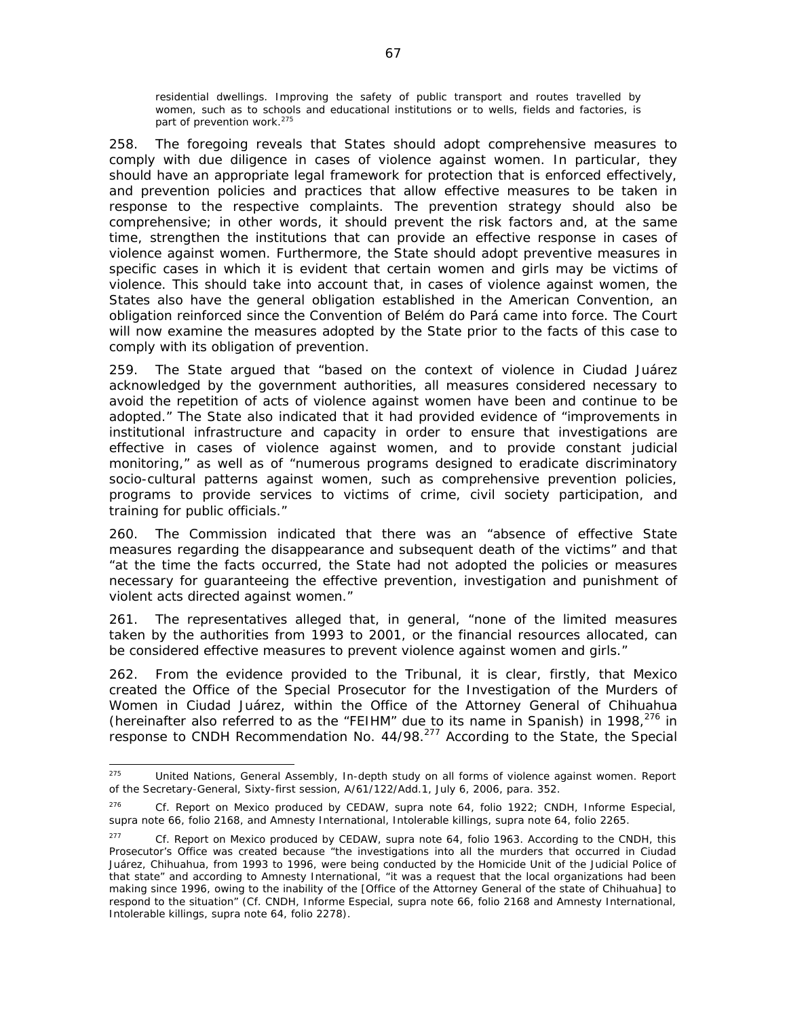residential dwellings. Improving the safety of public transport and routes travelled by women, such as to schools and educational institutions or to wells, fields and factories, is part of prevention work.<sup>275</sup>

258. The foregoing reveals that States should adopt comprehensive measures to comply with due diligence in cases of violence against women. In particular, they should have an appropriate legal framework for protection that is enforced effectively, and prevention policies and practices that allow effective measures to be taken in response to the respective complaints. The prevention strategy should also be comprehensive; in other words, it should prevent the risk factors and, at the same time, strengthen the institutions that can provide an effective response in cases of violence against women. Furthermore, the State should adopt preventive measures in specific cases in which it is evident that certain women and girls may be victims of violence. This should take into account that, in cases of violence against women, the States also have the general obligation established in the American Convention, an obligation reinforced since the Convention of Belém do Pará came into force. The Court will now examine the measures adopted by the State prior to the facts of this case to comply with its obligation of prevention.

259. The State argued that "based on the context of violence in Ciudad Juárez acknowledged by the government authorities, all measures considered necessary to avoid the repetition of acts of violence against women have been and continue to be adopted." The State also indicated that it had provided evidence of "improvements in institutional infrastructure and capacity in order to ensure that investigations are effective in cases of violence against women, and to provide constant judicial monitoring," as well as of "numerous programs designed to eradicate discriminatory socio-cultural patterns against women, such as comprehensive prevention policies, programs to provide services to victims of crime, civil society participation, and training for public officials."

260. The Commission indicated that there was an "absence of effective State measures regarding the disappearance and subsequent death of the victims" and that "at the time the facts occurred, the State had not adopted the policies or measures necessary for guaranteeing the effective prevention, investigation and punishment of violent acts directed against women."

261. The representatives alleged that, in general, "none of the limited measures taken by the authorities from 1993 to 2001, or the financial resources allocated, can be considered effective measures to prevent violence against women and girls."

262. From the evidence provided to the Tribunal, it is clear, firstly, that Mexico created the Office of the Special Prosecutor for the Investigation of the Murders of Women in Ciudad Juárez, within the Office of the Attorney General of Chihuahua (hereinafter also referred to as the "FEIHM" due to its name in Spanish) in 1998, $276$  in response to CNDH Recommendation No.  $44/98.<sup>277</sup>$  According to the State, the Special

<sup>275</sup> United Nations, General Assembly, In-depth study on all forms of violence against women. Report of the Secretary-General, Sixty-first session, A/61/122/Add.1, July 6, 2006, para. 352.

<sup>276</sup> *Cf.* Report on Mexico produced by CEDAW, *supra* note 64, folio 1922; CNDH, *Informe Especial, supra* note 66, folio 2168, and Amnesty International, *Intolerable killings, supra* note 64, folio 2265.

<sup>277</sup> *Cf.* Report on Mexico produced by CEDAW, *supra* note 64, folio 1963*.* According to the CNDH, this Prosecutor's Office was created because "the investigations into all the murders that occurred in Ciudad Juárez, Chihuahua, from 1993 to 1996, were being conducted by the Homicide Unit of the Judicial Police of that state" and according to Amnesty International, "it was a request that the local organizations had been making since 1996, owing to the inability of the [Office of the Attorney General of the state of Chihuahua] to respond to the situation" (*Cf.* CNDH, *Informe Especial, supra* note 66, folio 2168 and Amnesty International, *Intolerable killings, supra* note 64, folio 2278).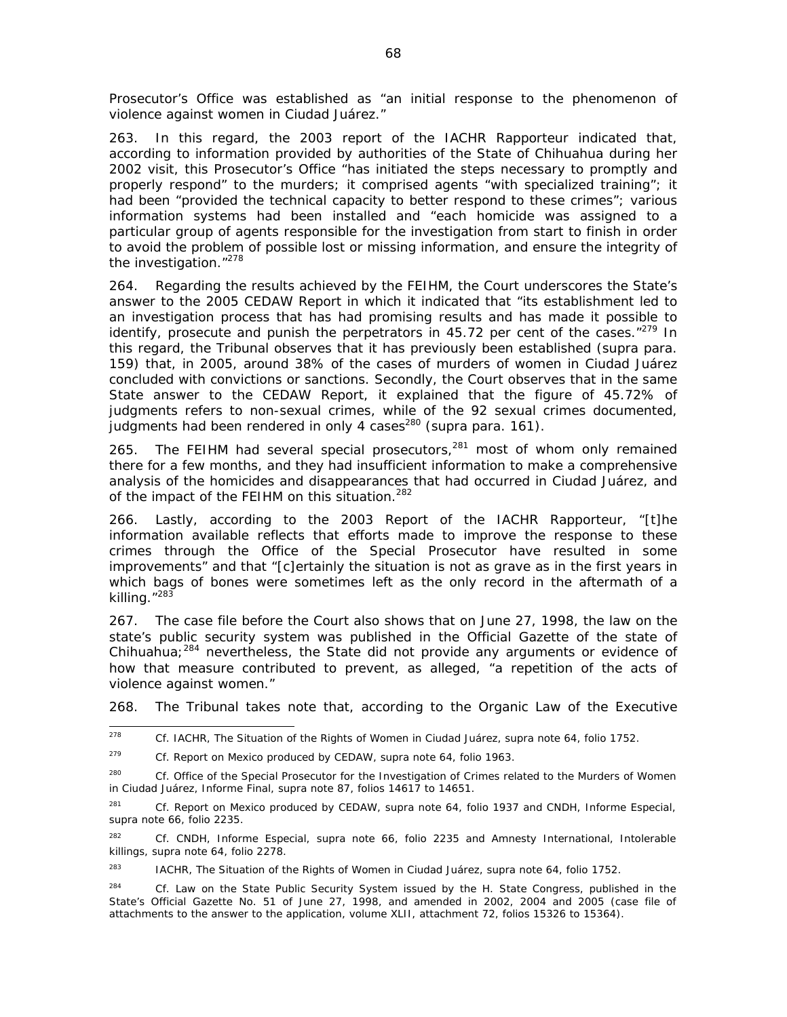Prosecutor's Office was established as "an initial response to the phenomenon of violence against women in Ciudad Juárez."

263. In this regard, the 2003 report of the IACHR Rapporteur indicated that, according to information provided by authorities of the State of Chihuahua during her 2002 visit, this Prosecutor's Office "has initiated the steps necessary to promptly and properly respond" to the murders; it comprised agents "with specialized training"; it had been "provided the technical capacity to better respond to these crimes"; various information systems had been installed and "each homicide was assigned to a particular group of agents responsible for the investigation from start to finish in order to avoid the problem of possible lost or missing information, and ensure the integrity of the investigation."<sup>278</sup>

264. Regarding the results achieved by the FEIHM, the Court underscores the State's answer to the 2005 CEDAW Report in which it indicated that "its establishment led to an investigation process that has had promising results and has made it possible to identify, prosecute and punish the perpetrators in 45.72 per cent of the cases. $"^{279}$  In this regard, the Tribunal observes that it has previously been established (*supra* para. 159) that, in 2005, around 38% of the cases of murders of women in Ciudad Juárez concluded with convictions or sanctions. Secondly, the Court observes that in the same State answer to the CEDAW Report, it explained that the figure of 45.72% of judgments refers to non-sexual crimes, while of the 92 sexual crimes documented, judgments had been rendered in only 4 cases<sup>280</sup> (*supra* para. 161).

265. The FEIHM had several special prosecutors, $^{281}$  most of whom only remained there for a few months, and they had insufficient information to make a comprehensive analysis of the homicides and disappearances that had occurred in Ciudad Juárez, and of the impact of the FEIHM on this situation.<sup>282</sup>

266. Lastly, according to the 2003 Report of the IACHR Rapporteur, "[t]he information available reflects that efforts made to improve the response to these crimes through the Office of the Special Prosecutor have resulted in some improvements" and that "[c]ertainly the situation is not as grave as in the first years in which bags of bones were sometimes left as the only record in the aftermath of a killing. $^{\prime\prime}$ <sup>283</sup>

267. The case file before the Court also shows that on June 27, 1998, the law on the state's public security system was published in the Official Gazette of the state of Chihuahua;284 nevertheless, the State did not provide any arguments or evidence of how that measure contributed to prevent, as alleged, "a repetition of the acts of violence against women."

268. The Tribunal takes note that, according to the Organic Law of the Executive

279 *Cf.* Report on Mexico produced by CEDAW, *supra* note 64, folio 1963*.*

<sup>280</sup> *Cf.* Office of the Special Prosecutor for the Investigation of Crimes related to the Murders of Women in Ciudad Juárez, *Informe Final*, *supra* note 87, folios 14617 to 14651.

281 *Cf.* Report on Mexico produced by CEDAW, *supra* note 64, folio 1937 and CNDH, *Informe Especial, supra* note 66, folio 2235.

282 *Cf.* CNDH, *Informe Especial, supra* note 66, folio 2235 and Amnesty International, *Intolerable killings, supra* note 64, folio 2278.

<sup>283</sup> IACHR, *The Situation of the Rights of Women in Ciudad Juárez, supra* note 64, folio 1752.

<sup>284</sup> *Cf.* Law on the State Public Security System issued by the H. State Congress, published in the State's Official Gazette No. 51 of June 27, 1998, and amended in 2002, 2004 and 2005 (case file of attachments to the answer to the application, volume XLII, attachment 72, folios 15326 to 15364).

<sup>278</sup> 278 *Cf.* IACHR, *The Situation of the Rights of Women in Ciudad Juárez, supra* note 64, folio 1752.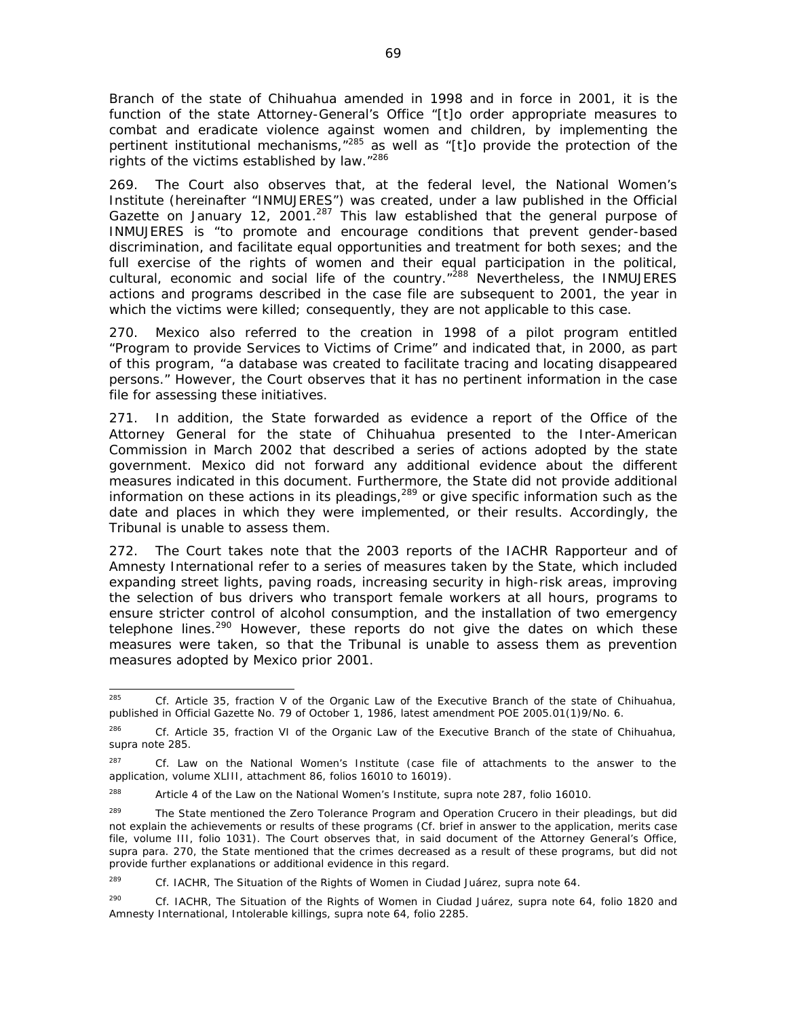Branch of the state of Chihuahua amended in 1998 and in force in 2001, it is the function of the state Attorney-General's Office "[t]o order appropriate measures to combat and eradicate violence against women and children, by implementing the pertinent institutional mechanisms, "285 as well as "[t]o provide the protection of the rights of the victims established by law."286

269. The Court also observes that, at the federal level, the National Women's Institute (hereinafter "INMUJERES") was created, under a law published in the Official Gazette on January 12, 2001.<sup>287</sup> This law established that the general purpose of INMUJERES is "to promote and encourage conditions that prevent gender-based discrimination, and facilitate equal opportunities and treatment for both sexes; and the full exercise of the rights of women and their equal participation in the political, cultural, economic and social life of the country."<sup>288</sup> Nevertheless, the INMUJERES actions and programs described in the case file are subsequent to 2001, the year in which the victims were killed; consequently, they are not applicable to this case.

270. Mexico also referred to the creation in 1998 of a pilot program entitled "Program to provide Services to Victims of Crime" and indicated that, in 2000, as part of this program, "a database was created to facilitate tracing and locating disappeared persons." However, the Court observes that it has no pertinent information in the case file for assessing these initiatives.

271. In addition, the State forwarded as evidence a report of the Office of the Attorney General for the state of Chihuahua presented to the Inter-American Commission in March 2002 that described a series of actions adopted by the state government. Mexico did not forward any additional evidence about the different measures indicated in this document. Furthermore, the State did not provide additional information on these actions in its pleadings, $289$  or give specific information such as the date and places in which they were implemented, or their results. Accordingly, the Tribunal is unable to assess them.

272. The Court takes note that the 2003 reports of the IACHR Rapporteur and of Amnesty International refer to a series of measures taken by the State, which included expanding street lights, paving roads, increasing security in high-risk areas, improving the selection of bus drivers who transport female workers at all hours, programs to ensure stricter control of alcohol consumption, and the installation of two emergency telephone lines.<sup>290</sup> However, these reports do not give the dates on which these measures were taken, so that the Tribunal is unable to assess them as prevention measures adopted by Mexico prior 2001.

<sup>285</sup> Cf. Article 35, fraction V of the Organic Law of the Executive Branch of the state of Chihuahua, published in Official Gazette No. 79 of October 1, 1986, latest amendment POE 2005.01(1)9/No. 6.

<sup>286</sup> *Cf.* Article 35, fraction VI of the Organic Law of the Executive Branch of the state of Chihuahua, *supra* note 285.

<sup>287</sup> *Cf.* Law on the National Women's Institute (case file of attachments to the answer to the application, volume XLIII, attachment 86, folios 16010 to 16019).

<sup>288</sup> Article 4 of the Law on the National Women's Institute, *supra* note 287, folio 16010.

<sup>289</sup> The State mentioned the Zero Tolerance Program and Operation *Crucero* in their pleadings, but did not explain the achievements or results of these programs (*Cf.* brief in answer to the application, merits case file, volume III, folio 1031). The Court observes that, in said document of the Attorney General's Office, *supra* para. 270, the State mentioned that the crimes decreased as a result of these programs, but did not provide further explanations or additional evidence in this regard.

<sup>289</sup> *Cf.* IACHR, *The Situation of the Rights of Women in Ciudad Juárez, supra* note 64.

<sup>&</sup>lt;sup>290</sup> *Cf.* IACHR, *The Situation of the Rights of Women in Ciudad Juárez, supra* note 64, folio 1820 and Amnesty International, *Intolerable killings*, *supra* note 64, folio 2285.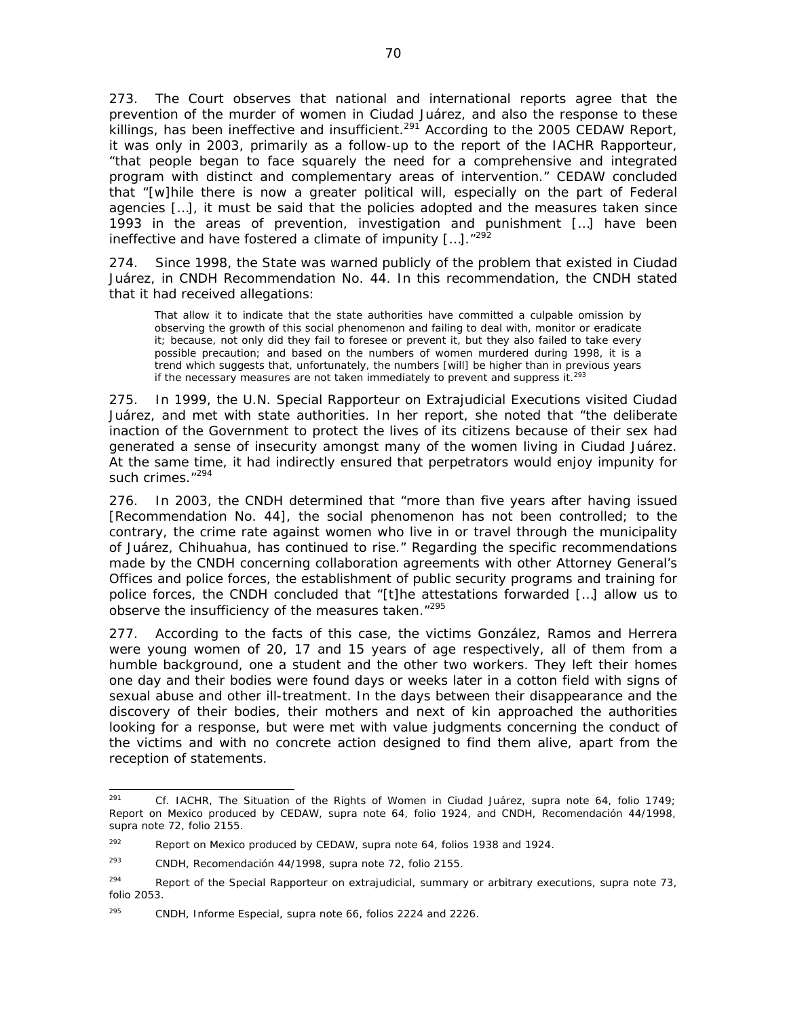273. The Court observes that national and international reports agree that the prevention of the murder of women in Ciudad Juárez, and also the response to these killings, has been ineffective and insufficient.<sup>291</sup> According to the 2005 CEDAW Report, it was only in 2003, primarily as a follow-up to the report of the IACHR Rapporteur, "that people began to face squarely the need for a comprehensive and integrated program with distinct and complementary areas of intervention." CEDAW concluded that "[w]hile there is now a greater political will, especially on the part of Federal agencies […], it must be said that the policies adopted and the measures taken since 1993 in the areas of prevention, investigation and punishment […] have been ineffective and have fostered a climate of impunity  $[...]$ .  $n^{292}$ 

274. Since 1998, the State was warned publicly of the problem that existed in Ciudad Juárez, in CNDH Recommendation No. 44. In this recommendation, the CNDH stated that it had received allegations:

That allow it to indicate that the state authorities have committed a culpable omission by observing the growth of this social phenomenon and failing to deal with, monitor or eradicate it; because, not only did they fail to foresee or prevent it, but they also failed to take every possible precaution; and based on the numbers of women murdered during 1998, it is a trend which suggests that, unfortunately, the numbers [will] be higher than in previous years if the necessary measures are not taken immediately to prevent and suppress it.<sup>293</sup>

275. In 1999, the U.N. Special Rapporteur on Extrajudicial Executions visited Ciudad Juárez, and met with state authorities. In her report, she noted that "the deliberate inaction of the Government to protect the lives of its citizens because of their sex had generated a sense of insecurity amongst many of the women living in Ciudad Juárez. At the same time, it had indirectly ensured that perpetrators would enjoy impunity for such crimes."<sup>294</sup>

276. In 2003, the CNDH determined that "more than five years after having issued [Recommendation No. 44], the social phenomenon has not been controlled; to the contrary, the crime rate against women who live in or travel through the municipality of Juárez, Chihuahua, has continued to rise." Regarding the specific recommendations made by the CNDH concerning collaboration agreements with other Attorney General's Offices and police forces, the establishment of public security programs and training for police forces, the CNDH concluded that "[t]he attestations forwarded […] allow us to observe the insufficiency of the measures taken."<sup>295</sup>

277. According to the facts of this case, the victims González, Ramos and Herrera were young women of 20, 17 and 15 years of age respectively, all of them from a humble background, one a student and the other two workers. They left their homes one day and their bodies were found days or weeks later in a cotton field with signs of sexual abuse and other ill-treatment. In the days between their disappearance and the discovery of their bodies, their mothers and next of kin approached the authorities looking for a response, but were met with value judgments concerning the conduct of the victims and with no concrete action designed to find them alive, apart from the reception of statements.

<sup>291</sup> 291 *Cf.* IACHR, *The Situation of the Rights of Women in Ciudad Juárez, supra* note 64, folio 1749; Report on Mexico produced by CEDAW, *supra* note 64, folio 1924, and CNDH, *Recomendación 44/1998*, *supra* note 72, folio 2155.

<sup>292</sup> Report on Mexico produced by CEDAW, *supra* note 64, folios 1938 and 1924.

<sup>293</sup> CNDH, *Recomendación 44/1998*, *supra* note 72, folio 2155.

<sup>294</sup> Report of the Special Rapporteur on extrajudicial, summary or arbitrary executions, *supra* note 73, folio 2053.

<sup>295</sup> CNDH, *Informe Especial*, *supra* note 66, folios 2224 and 2226.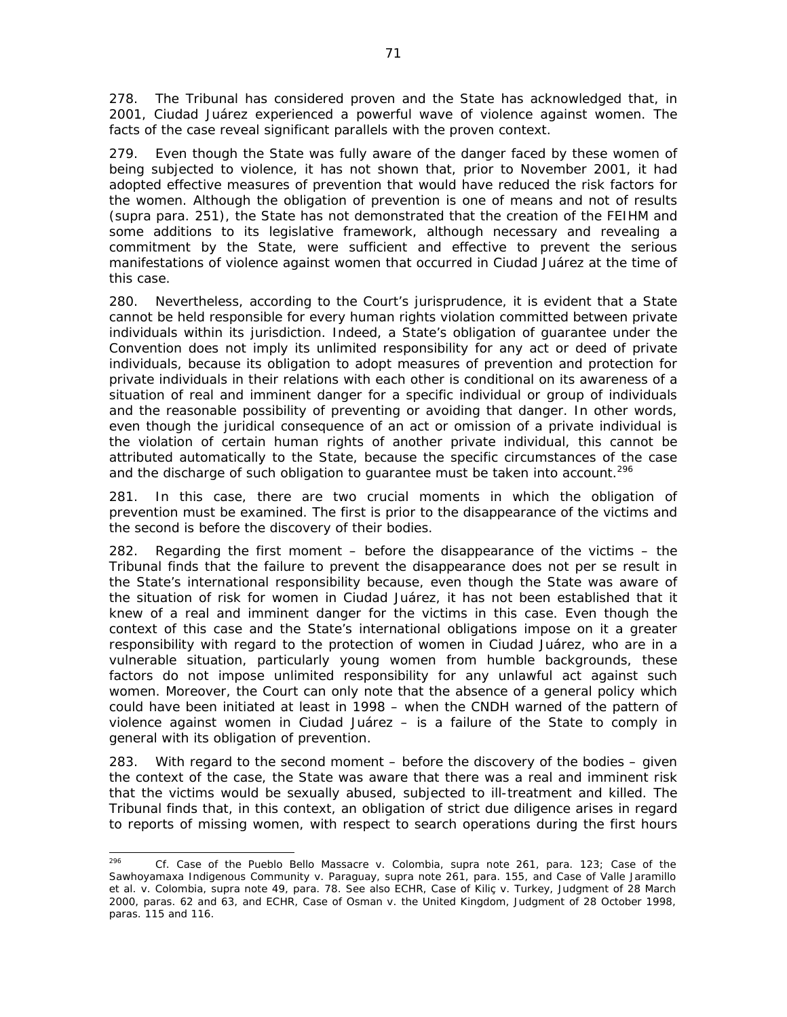278. The Tribunal has considered proven and the State has acknowledged that, in 2001, Ciudad Juárez experienced a powerful wave of violence against women. The facts of the case reveal significant parallels with the proven context.

279. Even though the State was fully aware of the danger faced by these women of being subjected to violence, it has not shown that, prior to November 2001, it had adopted effective measures of prevention that would have reduced the risk factors for the women. Although the obligation of prevention is one of means and not of results (*supra* para. 251), the State has not demonstrated that the creation of the FEIHM and some additions to its legislative framework, although necessary and revealing a commitment by the State, were sufficient and effective to prevent the serious manifestations of violence against women that occurred in Ciudad Juárez at the time of this case.

280. Nevertheless, according to the Court's jurisprudence, it is evident that a State cannot be held responsible for every human rights violation committed between private individuals within its jurisdiction. Indeed, a State's obligation of guarantee under the Convention does not imply its unlimited responsibility for any act or deed of private individuals, because its obligation to adopt measures of prevention and protection for private individuals in their relations with each other is conditional on its awareness of a situation of real and imminent danger for a specific individual or group of individuals and the reasonable possibility of preventing or avoiding that danger. In other words, even though the juridical consequence of an act or omission of a private individual is the violation of certain human rights of another private individual, this cannot be attributed automatically to the State, because the specific circumstances of the case and the discharge of such obligation to guarantee must be taken into account.<sup>296</sup>

281. In this case, there are two crucial moments in which the obligation of prevention must be examined. The first is prior to the disappearance of the victims and the second is before the discovery of their bodies.

282. Regarding the first moment – before the disappearance of the victims – the Tribunal finds that the failure to prevent the disappearance does not *per se* result in the State's international responsibility because, even though the State was aware of the situation of risk for women in Ciudad Juárez, it has not been established that it knew of a real and imminent danger for the victims in this case. Even though the context of this case and the State's international obligations impose on it a greater responsibility with regard to the protection of women in Ciudad Juárez, who are in a vulnerable situation, particularly young women from humble backgrounds, these factors do not impose unlimited responsibility for any unlawful act against such women. Moreover, the Court can only note that the absence of a general policy which could have been initiated at least in 1998 – when the CNDH warned of the pattern of violence against women in Ciudad Juárez – is a failure of the State to comply in general with its obligation of prevention.

283. With regard to the second moment – before the discovery of the bodies – given the context of the case, the State was aware that there was a real and imminent risk that the victims would be sexually abused, subjected to ill-treatment and killed. The Tribunal finds that, in this context, an obligation of strict due diligence arises in regard to reports of missing women, with respect to search operations during the first hours

<sup>296</sup> 296 *Cf. Case of the Pueblo Bello Massacre v. Colombia, supra* note 261*,* para. 123; *Case of the Sawhoyamaxa Indigenous Community v. Paraguay*, *supra* note 261, para. 155, and *Case of Valle Jaramillo et al. v. Colombia, supra* note 49, para. 78. See also ECHR, *Case of Kiliç v. Turkey,* Judgment of 28 March 2000, paras. 62 and 63, and ECHR, *Case of Osman v. the United Kingdom*, Judgment of 28 October 1998, paras. 115 and 116.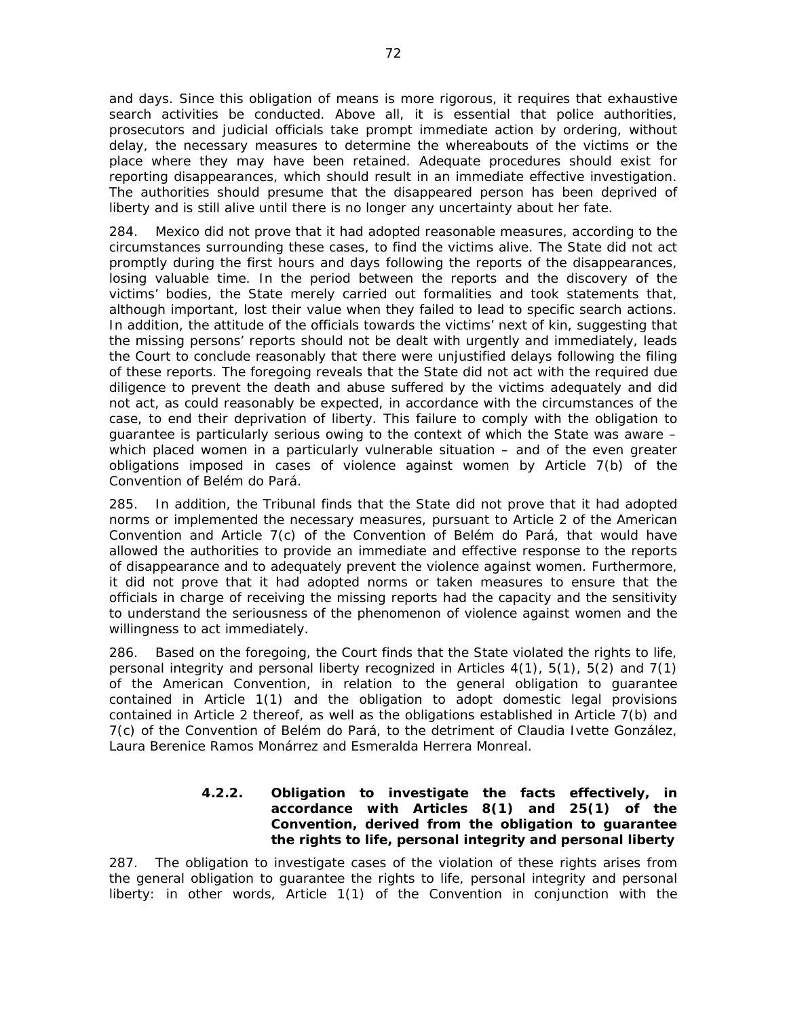and days. Since this obligation of means is more rigorous, it requires that exhaustive search activities be conducted. Above all, it is essential that police authorities, prosecutors and judicial officials take prompt immediate action by ordering, without delay, the necessary measures to determine the whereabouts of the victims or the place where they may have been retained. Adequate procedures should exist for reporting disappearances, which should result in an immediate effective investigation. The authorities should presume that the disappeared person has been deprived of liberty and is still alive until there is no longer any uncertainty about her fate.

284. Mexico did not prove that it had adopted reasonable measures, according to the circumstances surrounding these cases, to find the victims alive. The State did not act promptly during the first hours and days following the reports of the disappearances, losing valuable time. In the period between the reports and the discovery of the victims' bodies, the State merely carried out formalities and took statements that, although important, lost their value when they failed to lead to specific search actions. In addition, the attitude of the officials towards the victims' next of kin, suggesting that the missing persons' reports should not be dealt with urgently and immediately, leads the Court to conclude reasonably that there were unjustified delays following the filing of these reports. The foregoing reveals that the State did not act with the required due diligence to prevent the death and abuse suffered by the victims adequately and did not act, as could reasonably be expected, in accordance with the circumstances of the case, to end their deprivation of liberty. This failure to comply with the obligation to guarantee is particularly serious owing to the context of which the State was aware – which placed women in a particularly vulnerable situation – and of the even greater obligations imposed in cases of violence against women by Article 7(b) of the Convention of Belém do Pará.

285. In addition, the Tribunal finds that the State did not prove that it had adopted norms or implemented the necessary measures, pursuant to Article 2 of the American Convention and Article 7(c) of the Convention of Belém do Pará, that would have allowed the authorities to provide an immediate and effective response to the reports of disappearance and to adequately prevent the violence against women. Furthermore, it did not prove that it had adopted norms or taken measures to ensure that the officials in charge of receiving the missing reports had the capacity and the sensitivity to understand the seriousness of the phenomenon of violence against women and the willingness to act immediately.

286. Based on the foregoing, the Court finds that the State violated the rights to life, personal integrity and personal liberty recognized in Articles 4(1), 5(1), 5(2) and 7(1) of the American Convention, in relation to the general obligation to guarantee contained in Article 1(1) and the obligation to adopt domestic legal provisions contained in Article 2 thereof, as well as the obligations established in Article 7(b) and 7(c) of the Convention of Belém do Pará, to the detriment of Claudia Ivette González, Laura Berenice Ramos Monárrez and Esmeralda Herrera Monreal.

### *4.2.2. Obligation to investigate the facts effectively, in accordance with Articles 8(1) and 25(1) of the Convention, derived from the obligation to guarantee the rights to life, personal integrity and personal liberty*

287. The obligation to investigate cases of the violation of these rights arises from the general obligation to guarantee the rights to life, personal integrity and personal liberty: in other words, Article 1(1) of the Convention in conjunction with the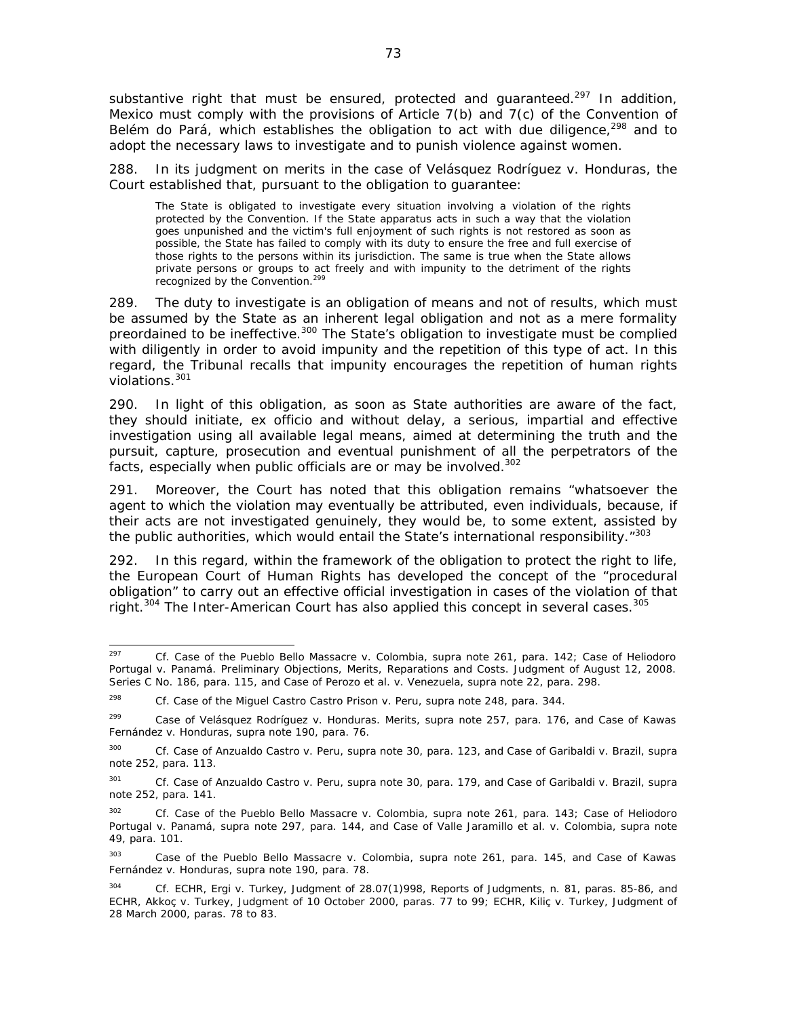substantive right that must be ensured, protected and guaranteed.<sup>297</sup> In addition, Mexico must comply with the provisions of Article 7(b) and 7(c) of the Convention of Belém do Pará, which establishes the obligation to act with due diligence, $298$  and to adopt the necessary laws to investigate and to punish violence against women.

288. In its judgment on merits in the case of *Velásquez Rodríguez v. Honduras*, the Court established that, pursuant to the obligation to guarantee:

The State is obligated to investigate every situation involving a violation of the rights protected by the Convention. If the State apparatus acts in such a way that the violation goes unpunished and the victim's full enjoyment of such rights is not restored as soon as possible, the State has failed to comply with its duty to ensure the free and full exercise of those rights to the persons within its jurisdiction. The same is true when the State allows private persons or groups to act freely and with impunity to the detriment of the rights recognized by the Convention.<sup>299</sup>

289. The duty to investigate is an obligation of means and not of results, which must be assumed by the State as an inherent legal obligation and not as a mere formality preordained to be ineffective.<sup>300</sup> The State's obligation to investigate must be complied with diligently in order to avoid impunity and the repetition of this type of act. In this regard, the Tribunal recalls that impunity encourages the repetition of human rights violations.<sup>301</sup>

290. In light of this obligation, as soon as State authorities are aware of the fact, they should initiate, *ex officio* and without delay, a serious, impartial and effective investigation using all available legal means, aimed at determining the truth and the pursuit, capture, prosecution and eventual punishment of all the perpetrators of the facts, especially when public officials are or may be involved.<sup>302</sup>

291. Moreover, the Court has noted that this obligation remains "whatsoever the agent to which the violation may eventually be attributed, even individuals, because, if their acts are not investigated genuinely, they would be, to some extent, assisted by the public authorities, which would entail the State's international responsibility."<sup>303</sup>

292. In this regard, within the framework of the obligation to protect the right to life, the European Court of Human Rights has developed the concept of the "procedural obligation" to carry out an effective official investigation in cases of the violation of that right.<sup>304</sup> The Inter-American Court has also applied this concept in several cases.<sup>305</sup>

<sup>297</sup> 297 *Cf. Case of the Pueblo Bello Massacre v. Colombia, supra* note 261*,* para. 142; *Case of Heliodoro*  Portugal v. Panamá. Preliminary Objections, Merits, Reparations and Costs. Judgment of August 12, 2008. Series C No. 186, para. 115, and *Case of Perozo et al. v. Venezuela*, *supra* note 22, para. 298.

<sup>&</sup>lt;sup>298</sup> *Cf. Case of the Miguel Castro Castro Prison v. Peru, supra* note 248, para. 344.

<sup>299</sup> *Case of Velásquez Rodríguez v. Honduras. Merits, supra* note 257, para. 176*, and Case of Kawas Fernández v. Honduras, supra* note 190, para. 76.

<sup>300</sup> *Cf. Case of Anzualdo Castro v. Peru, supra* note 30, para. 123, and *Case of Garibaldi v. Brazil, supra* note 252, para. 113.

<sup>301</sup> *Cf. Case of Anzualdo Castro v. Peru, supra* note 30, para. 179, and *Case of Garibaldi v. Brazil, supra* note 252, para. 141.

<sup>302</sup> *Cf. Case of the Pueblo Bello Massacre v. Colombia, supra* note 261*,* para. 143; *Case of Heliodoro Portugal v. Panamá, supra* note 297, para. 144, and *Case of Valle Jaramillo et al. v. Colombia, supra* note 49*,* para. 101.

<sup>303</sup> *Case of the Pueblo Bello Massacre v. Colombia, supra* note 261*,* para. 145, and *Case of Kawas Fernández v. Honduras, supra* note 190, para. 78.

<sup>304</sup> *Cf.* ECHR*, Ergi v. Turkey,* Judgment of 28.07(1)998, Reports of Judgments, n. 81, paras. 85-86, and ECHR, *Akkoç v. Turkey,* Judgment of 10 October 2000, paras. 77 to 99; ECHR, *Kiliç v. Turkey,* Judgment of 28 March 2000, paras. 78 to 83.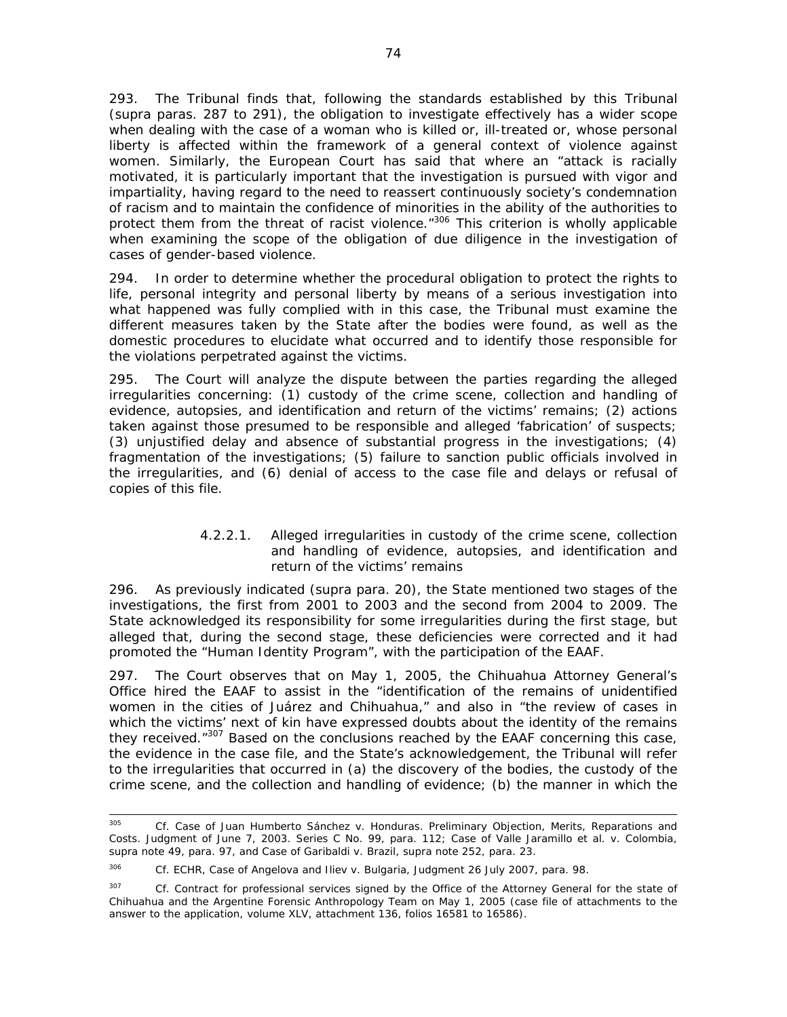293. The Tribunal finds that, following the standards established by this Tribunal (*supra* paras. 287 to 291), the obligation to investigate effectively has a wider scope when dealing with the case of a woman who is killed or, ill-treated or, whose personal liberty is affected within the framework of a general context of violence against women. Similarly, the European Court has said that where an "attack is racially motivated, it is particularly important that the investigation is pursued with vigor and impartiality, having regard to the need to reassert continuously society's condemnation of racism and to maintain the confidence of minorities in the ability of the authorities to protect them from the threat of racist violence."306 This criterion is wholly applicable when examining the scope of the obligation of due diligence in the investigation of cases of gender-based violence.

294. In order to determine whether the procedural obligation to protect the rights to life, personal integrity and personal liberty by means of a serious investigation into what happened was fully complied with in this case, the Tribunal must examine the different measures taken by the State after the bodies were found, as well as the domestic procedures to elucidate what occurred and to identify those responsible for the violations perpetrated against the victims.

295. The Court will analyze the dispute between the parties regarding the alleged irregularities concerning: (1) custody of the crime scene, collection and handling of evidence, autopsies, and identification and return of the victims' remains; (2) actions taken against those presumed to be responsible and alleged 'fabrication' of suspects; (3) unjustified delay and absence of substantial progress in the investigations; (4) fragmentation of the investigations; (5) failure to sanction public officials involved in the irregularities, and (6) denial of access to the case file and delays or refusal of copies of this file.

#### *4.2.2.1. Alleged irregularities in custody of the crime scene, collection and handling of evidence, autopsies, and identification and return of the victims' remains*

296. As previously indicated (*supra* para. 20), the State mentioned two stages of the investigations, the first from 2001 to 2003 and the second from 2004 to 2009. The State acknowledged its responsibility for some irregularities during the first stage, but alleged that, during the second stage, these deficiencies were corrected and it had promoted the "Human Identity Program", with the participation of the EAAF.

297. The Court observes that on May 1, 2005, the Chihuahua Attorney General's Office hired the EAAF to assist in the "identification of the remains of unidentified women in the cities of Juárez and Chihuahua," and also in "the review of cases in which the victims' next of kin have expressed doubts about the identity of the remains they received."307 Based on the conclusions reached by the EAAF concerning this case, the evidence in the case file, and the State's acknowledgement, the Tribunal will refer to the irregularities that occurred in (a) the discovery of the bodies, the custody of the crime scene, and the collection and handling of evidence; (b) the manner in which the

 <sup>305</sup> *Cf. Case of Juan Humberto Sánchez v. Honduras. Preliminary Objection, Merits, Reparations and Costs*. Judgment of June 7, 2003. Series C No. 99, para. 112; *Case of Valle Jaramillo et al. v. Colombia, supra* note 49*,* para. 97, and *Case of Garibaldi v. Brazil, supra* note 252, para. 23.

<sup>306</sup> *Cf.* ECHR, *Case of Angelova and Iliev* v. *Bulgaria,* Judgment 26 July 2007, para. 98.

<sup>&</sup>lt;sup>307</sup> *Cf.* Contract for professional services signed by the Office of the Attorney General for the state of Chihuahua and the Argentine Forensic Anthropology Team on May 1, 2005 (case file of attachments to the answer to the application, volume XLV, attachment 136, folios 16581 to 16586).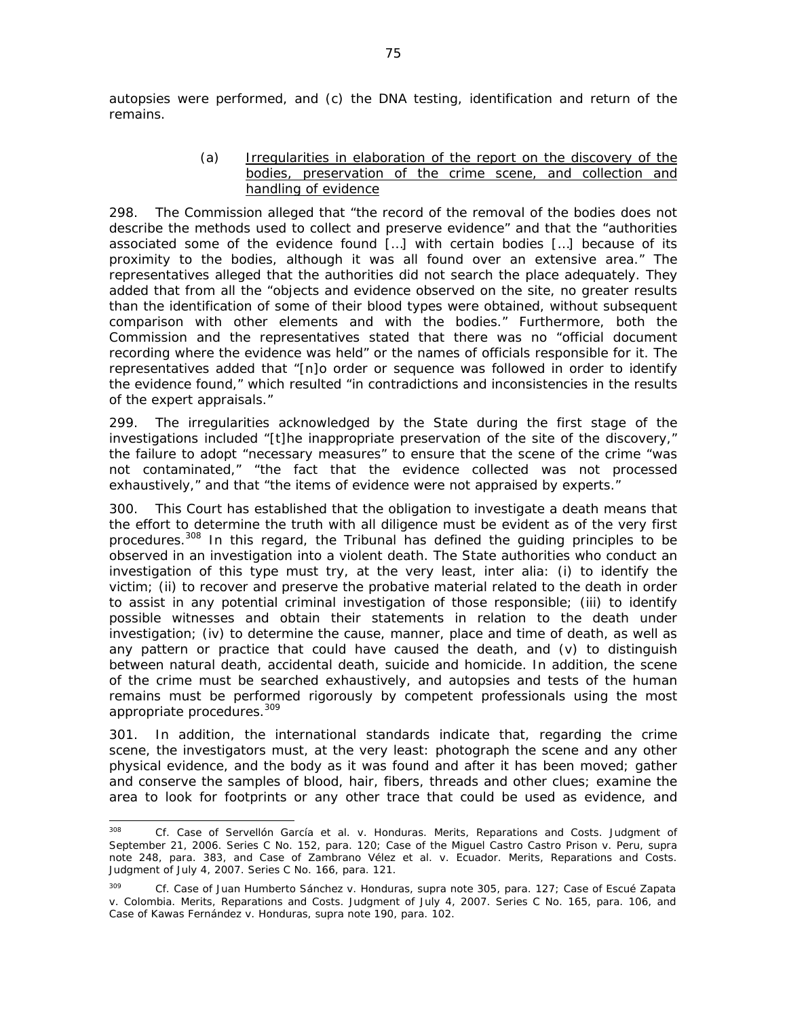autopsies were performed, and (c) the DNA testing, identification and return of the remains.

> (a) Irregularities in elaboration of the report on the discovery of the bodies, preservation of the crime scene, and collection and handling of evidence

298. The Commission alleged that "the record of the removal of the bodies does not describe the methods used to collect and preserve evidence" and that the "authorities associated some of the evidence found […] with certain bodies […] because of its proximity to the bodies, although it was all found over an extensive area." The representatives alleged that the authorities did not search the place adequately. They added that from all the "objects and evidence observed on the site, no greater results than the identification of some of their blood types were obtained, without subsequent comparison with other elements and with the bodies." Furthermore, both the Commission and the representatives stated that there was no "official document recording where the evidence was held" or the names of officials responsible for it. The representatives added that "[n]o order or sequence was followed in order to identify the evidence found," which resulted "in contradictions and inconsistencies in the results of the expert appraisals."

299. The irregularities acknowledged by the State during the first stage of the investigations included "[t]he inappropriate preservation of the site of the discovery," the failure to adopt "necessary measures" to ensure that the scene of the crime "was not contaminated," "the fact that the evidence collected was not processed exhaustively," and that "the items of evidence were not appraised by experts."

300. This Court has established that the obligation to investigate a death means that the effort to determine the truth with all diligence must be evident as of the very first procedures.308 In this regard, the Tribunal has defined the guiding principles to be observed in an investigation into a violent death. The State authorities who conduct an investigation of this type must try, at the very least, *inter alia*: (i) to identify the victim; (ii) to recover and preserve the probative material related to the death in order to assist in any potential criminal investigation of those responsible; (iii) to identify possible witnesses and obtain their statements in relation to the death under investigation; (iv) to determine the cause, manner, place and time of death, as well as any pattern or practice that could have caused the death, and (v) to distinguish between natural death, accidental death, suicide and homicide. In addition, the scene of the crime must be searched exhaustively, and autopsies and tests of the human remains must be performed rigorously by competent professionals using the most appropriate procedures.<sup>309</sup>

301. In addition, the international standards indicate that, regarding the crime scene, the investigators must, at the very least: photograph the scene and any other physical evidence, and the body as it was found and after it has been moved; gather and conserve the samples of blood, hair, fibers, threads and other clues; examine the area to look for footprints or any other trace that could be used as evidence, and

<sup>308</sup> 308 *Cf. Case of Servellón García et al. v. Honduras. Merits, Reparations and Costs*. Judgment of September 21, 2006. Series C No. 152, para. 120; *Case of the Miguel Castro Castro Prison v. Peru, supra*  note 248, para. 383, and *Case of Zambrano Vélez et al. v. Ecuador. Merits, Reparations and Costs.* Judgment of July 4, 2007. Series C No. 166, para. 121.

<sup>309</sup> *Cf. Case of Juan Humberto Sánchez v. Honduras*, *supra* note 305, para. 127; *Case of Escué Zapata v. Colombia. Merits, Reparations and Costs.* Judgment of July 4, 2007. Series C No. 165, para. 106, and *Case of Kawas Fernández v. Honduras*, *supra* note 190, para. 102.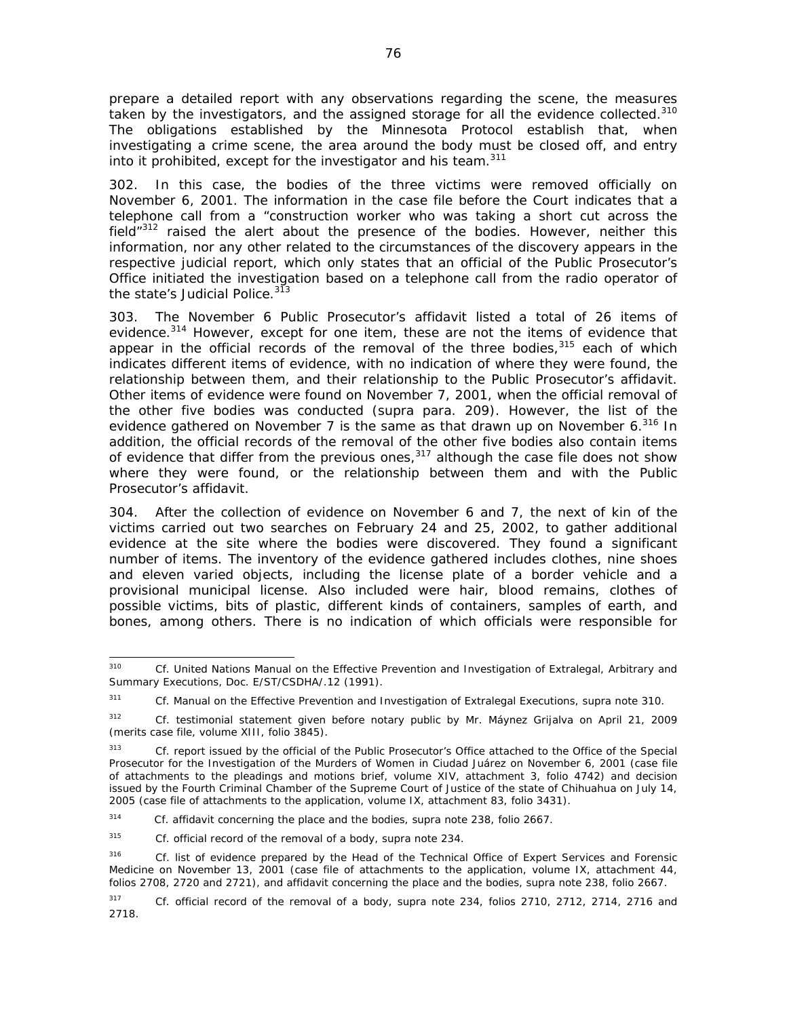prepare a detailed report with any observations regarding the scene, the measures taken by the investigators, and the assigned storage for all the evidence collected.<sup>310</sup> The obligations established by the Minnesota Protocol establish that, when investigating a crime scene, the area around the body must be closed off, and entry into it prohibited, except for the investigator and his team.<sup>311</sup>

302. In this case, the bodies of the three victims were removed officially on November 6, 2001. The information in the case file before the Court indicates that a telephone call from a "construction worker who was taking a short cut across the field $n^{312}$  raised the alert about the presence of the bodies. However, neither this information, nor any other related to the circumstances of the discovery appears in the respective judicial report, which only states that an official of the Public Prosecutor's Office initiated the investigation based on a telephone call from the radio operator of the state's Judicial Police.<sup>313</sup>

303. The November 6 Public Prosecutor's affidavit listed a total of 26 items of evidence.<sup>314</sup> However, except for one item, these are not the items of evidence that appear in the official records of the removal of the three bodies, $315$  each of which indicates different items of evidence, with no indication of where they were found, the relationship between them, and their relationship to the Public Prosecutor's affidavit. Other items of evidence were found on November 7, 2001, when the official removal of the other five bodies was conducted (*supra* para. 209). However, the list of the evidence gathered on November 7 is the same as that drawn up on November 6. $316$  In addition, the official records of the removal of the other five bodies also contain items of evidence that differ from the previous ones, $317$  although the case file does not show where they were found, or the relationship between them and with the Public Prosecutor's affidavit.

304. After the collection of evidence on November 6 and 7, the next of kin of the victims carried out two searches on February 24 and 25, 2002, to gather additional evidence at the site where the bodies were discovered. They found a significant number of items. The inventory of the evidence gathered includes clothes, nine shoes and eleven varied objects, including the license plate of a border vehicle and a provisional municipal license. Also included were hair, blood remains, clothes of possible victims, bits of plastic, different kinds of containers, samples of earth, and bones, among others. There is no indication of which officials were responsible for

 $310$ Cf. United Nations Manual on the Effective Prevention and Investigation of Extralegal, Arbitrary and Summary Executions, Doc. E/ST/CSDHA/.12 (1991).

<sup>311</sup> *Cf.* Manual on the Effective Prevention and Investigation of Extralegal Executions, *supra* note 310.

<sup>312</sup> *Cf.* testimonial statement given before notary public by Mr. Máynez Grijalva on April 21, 2009 (merits case file, volume XIII, folio 3845).

<sup>313</sup> *Cf.* report issued by the official of the Public Prosecutor's Office attached to the Office of the Special Prosecutor for the Investigation of the Murders of Women in Ciudad Juárez on November 6, 2001 (case file of attachments to the pleadings and motions brief, volume XIV, attachment 3, folio 4742) and decision issued by the Fourth Criminal Chamber of the Supreme Court of Justice of the state of Chihuahua on July 14, 2005 (case file of attachments to the application, volume IX, attachment 83, folio 3431).

<sup>314</sup> *Cf.* affidavit concerning the place and the bodies, *supra* note 238, folio 2667.

<sup>315</sup> *Cf.* official record of the removal of a body, *supra* note 234.

<sup>&</sup>lt;sup>316</sup> *Cf.* list of evidence prepared by the Head of the Technical Office of Expert Services and Forensic Medicine on November 13, 2001 (case file of attachments to the application, volume IX, attachment 44, folios 2708, 2720 and 2721), and affidavit concerning the place and the bodies, *supra* note 238, folio 2667.

<sup>317</sup> *Cf.* official record of the removal of a body, *supra* note 234, folios 2710, 2712, 2714, 2716 and 2718.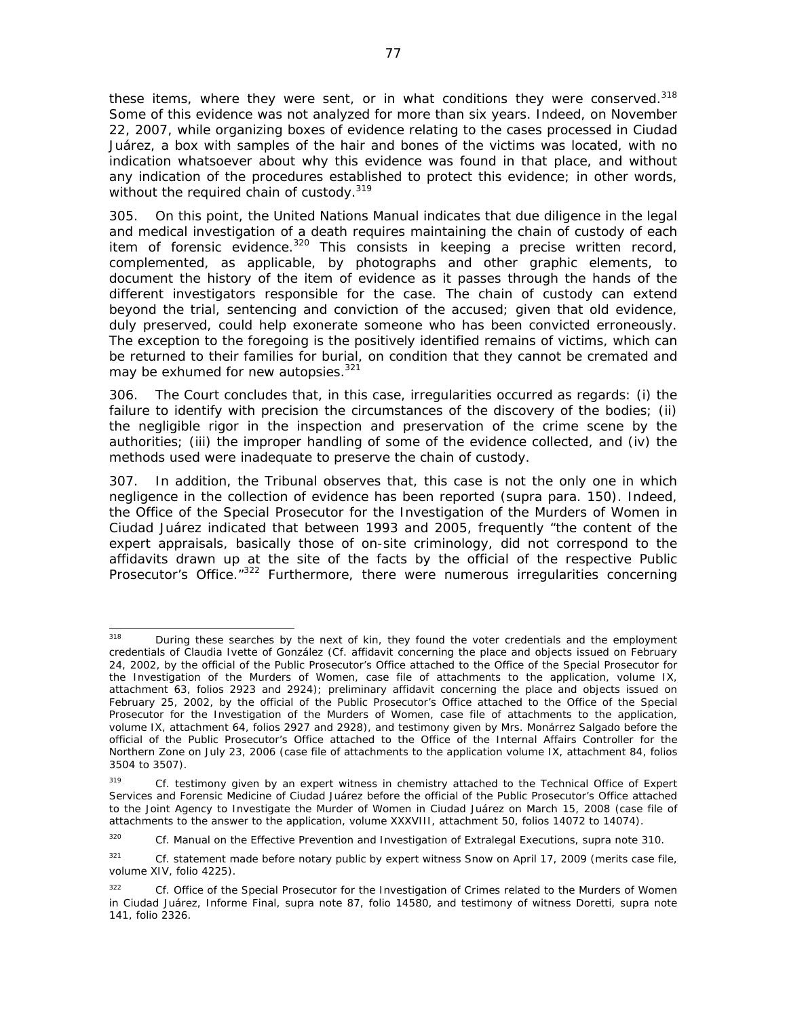these items, where they were sent, or in what conditions they were conserved.<sup>318</sup> Some of this evidence was not analyzed for more than six years. Indeed, on November 22, 2007, while organizing boxes of evidence relating to the cases processed in Ciudad Juárez, a box with samples of the hair and bones of the victims was located, with no indication whatsoever about why this evidence was found in that place, and without any indication of the procedures established to protect this evidence; in other words, without the required chain of custody.<sup>319</sup>

305. On this point, the United Nations Manual indicates that due diligence in the legal and medical investigation of a death requires maintaining the chain of custody of each item of forensic evidence.<sup>320</sup> This consists in keeping a precise written record, complemented, as applicable, by photographs and other graphic elements, to document the history of the item of evidence as it passes through the hands of the different investigators responsible for the case. The chain of custody can extend beyond the trial, sentencing and conviction of the accused; given that old evidence, duly preserved, could help exonerate someone who has been convicted erroneously. The exception to the foregoing is the positively identified remains of victims, which can be returned to their families for burial, on condition that they cannot be cremated and may be exhumed for new autopsies.<sup>321</sup>

306. The Court concludes that, in this case, irregularities occurred as regards: (i) the failure to identify with precision the circumstances of the discovery of the bodies; (ii) the negligible rigor in the inspection and preservation of the crime scene by the authorities; (iii) the improper handling of some of the evidence collected, and (iv) the methods used were inadequate to preserve the chain of custody.

307. In addition, the Tribunal observes that, this case is not the only one in which negligence in the collection of evidence has been reported (*supra* para. 150). Indeed, the Office of the Special Prosecutor for the Investigation of the Murders of Women in Ciudad Juárez indicated that between 1993 and 2005, frequently "the content of the expert appraisals, basically those of on-site criminology, did not correspond to the affidavits drawn up at the site of the facts by the official of the respective Public Prosecutor's Office."<sup>322</sup> Furthermore, there were numerous irregularities concerning

<sup>318</sup> During these searches by the next of kin, they found the voter credentials and the employment credentials of Claudia Ivette of González (*Cf.* affidavit concerning the place and objects issued on February 24, 2002, by the official of the Public Prosecutor's Office attached to the Office of the Special Prosecutor for the Investigation of the Murders of Women, case file of attachments to the application, volume IX, attachment 63, folios 2923 and 2924); preliminary affidavit concerning the place and objects issued on February 25, 2002, by the official of the Public Prosecutor's Office attached to the Office of the Special Prosecutor for the Investigation of the Murders of Women, case file of attachments to the application, volume IX, attachment 64, folios 2927 and 2928), and testimony given by Mrs. Monárrez Salgado before the official of the Public Prosecutor's Office attached to the Office of the Internal Affairs Controller for the Northern Zone on July 23, 2006 (case file of attachments to the application volume IX, attachment 84, folios 3504 to 3507).

<sup>&</sup>lt;sup>319</sup> *Cf.* testimony given by an expert witness in chemistry attached to the Technical Office of Expert Services and Forensic Medicine of Ciudad Juárez before the official of the Public Prosecutor's Office attached to the Joint Agency to Investigate the Murder of Women in Ciudad Juárez on March 15, 2008 (case file of attachments to the answer to the application, volume XXXVIII, attachment 50, folios 14072 to 14074).

<sup>320</sup> *Cf.* Manual on the Effective Prevention and Investigation of Extralegal Executions, *supra* note 310.

<sup>&</sup>lt;sup>321</sup> *Cf.* statement made before notary public by expert witness Snow on April 17, 2009 (merits case file, volume XIV, folio 4225).

<sup>&</sup>lt;sup>322</sup> *Cf.* Office of the Special Prosecutor for the Investigation of Crimes related to the Murders of Women in Ciudad Juárez, *Informe Final*, *supra* note 87, folio 14580, and testimony of witness Doretti*, supra* note 141, folio 2326.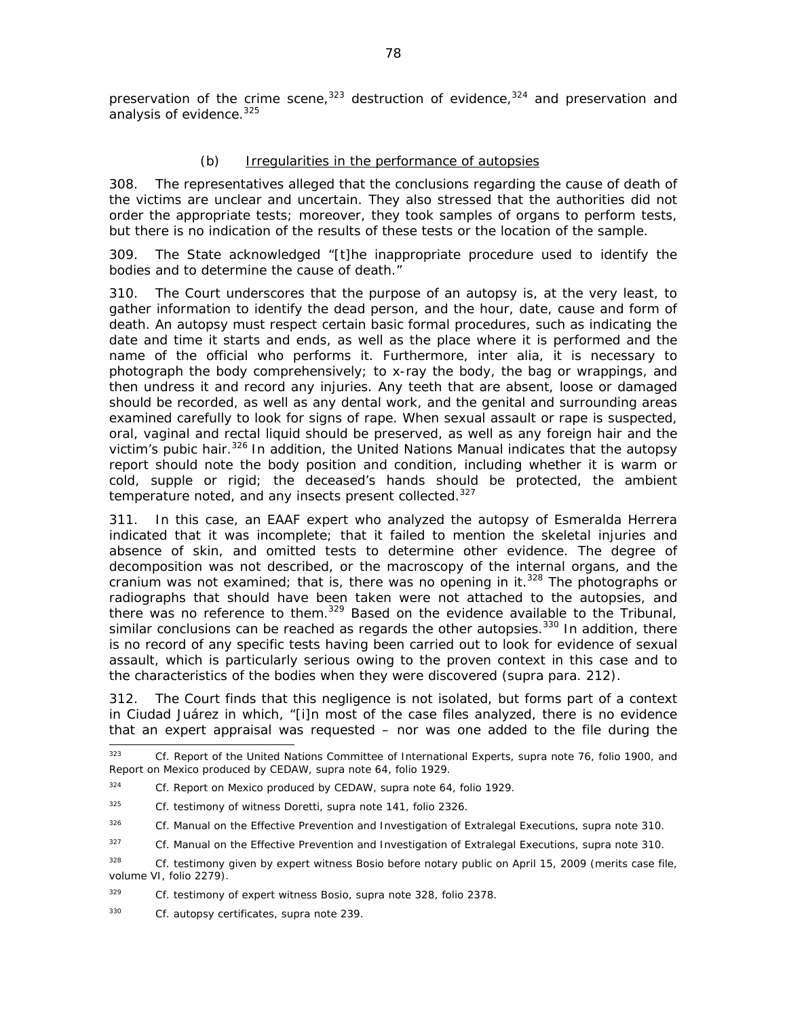preservation of the crime scene, $323$  destruction of evidence, $324$  and preservation and analysis of evidence.<sup>325</sup>

#### (b) Irregularities in the performance of autopsies

308. The representatives alleged that the conclusions regarding the cause of death of the victims are unclear and uncertain. They also stressed that the authorities did not order the appropriate tests; moreover, they took samples of organs to perform tests, but there is no indication of the results of these tests or the location of the sample.

309. The State acknowledged "[t]he inappropriate procedure used to identify the bodies and to determine the cause of death."

310. The Court underscores that the purpose of an autopsy is, at the very least, to gather information to identify the dead person, and the hour, date, cause and form of death. An autopsy must respect certain basic formal procedures, such as indicating the date and time it starts and ends, as well as the place where it is performed and the name of the official who performs it. Furthermore, *inter alia*, it is necessary to photograph the body comprehensively; to x-ray the body, the bag or wrappings, and then undress it and record any injuries. Any teeth that are absent, loose or damaged should be recorded, as well as any dental work, and the genital and surrounding areas examined carefully to look for signs of rape. When sexual assault or rape is suspected, oral, vaginal and rectal liquid should be preserved, as well as any foreign hair and the victim's pubic hair.<sup>326</sup> In addition, the United Nations Manual indicates that the autopsy report should note the body position and condition, including whether it is warm or cold, supple or rigid; the deceased's hands should be protected, the ambient temperature noted, and any insects present collected.<sup>327</sup>

311. In this case, an EAAF expert who analyzed the autopsy of Esmeralda Herrera indicated that it was incomplete; that it failed to mention the skeletal injuries and absence of skin, and omitted tests to determine other evidence. The degree of decomposition was not described, or the macroscopy of the internal organs, and the cranium was not examined; that is, there was no opening in it.<sup>328</sup> The photographs or radiographs that should have been taken were not attached to the autopsies, and there was no reference to them.<sup>329</sup> Based on the evidence available to the Tribunal, similar conclusions can be reached as regards the other autopsies. $330$  In addition, there is no record of any specific tests having been carried out to look for evidence of sexual assault, which is particularly serious owing to the proven context in this case and to the characteristics of the bodies when they were discovered (*supra* para. 212).

312. The Court finds that this negligence is not isolated, but forms part of a context in Ciudad Juárez in which, "[i]n most of the case files analyzed, there is no evidence that an expert appraisal was requested – nor was one added to the file during the

329 *Cf.* testimony of expert witness Bosio, *supra* note 328, folio 2378.

 $323$ 323 *Cf.* Report of the United Nations Committee of International Experts, *supra* note 76, folio 1900, and Report on Mexico produced by CEDAW, *supra* note 64, folio 1929.

<sup>324</sup> *Cf.* Report on Mexico produced by CEDAW, *supra* note 64, folio 1929.

<sup>325</sup> *Cf.* testimony of witness Doretti*, supra* note 141, folio 2326.

<sup>326</sup> *Cf.* Manual on the Effective Prevention and Investigation of Extralegal Executions, *supra* note 310.

<sup>327</sup> *Cf.* Manual on the Effective Prevention and Investigation of Extralegal Executions, *supra* note 310.

<sup>&</sup>lt;sup>328</sup> *Cf.* testimony given by expert witness Bosio before notary public on April 15, 2009 (merits case file, volume VI, folio 2279).

<sup>330</sup> *Cf.* autopsy certificates, *supra* note 239.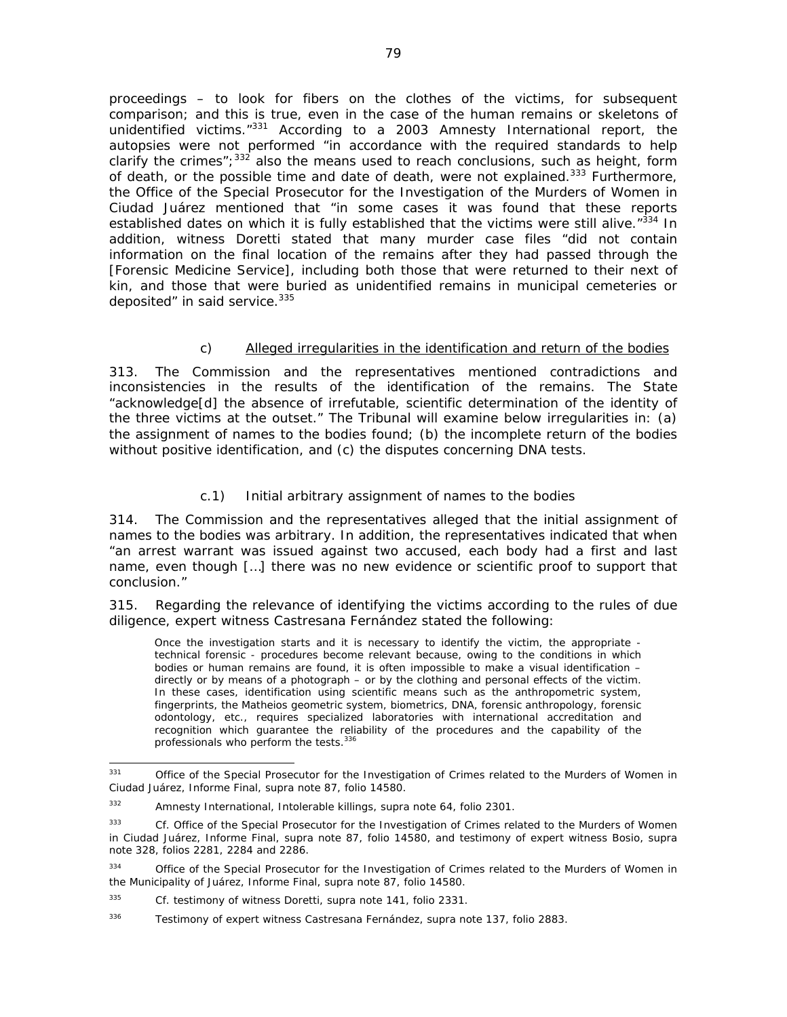proceedings – to look for fibers on the clothes of the victims, for subsequent comparison; and this is true, even in the case of the human remains or skeletons of unidentified victims.<sup>"331</sup> According to a 2003 Amnesty International report, the autopsies were not performed "in accordance with the required standards to help clarify the crimes";  $332$  also the means used to reach conclusions, such as height, form of death, or the possible time and date of death, were not explained.<sup>333</sup> Furthermore, the Office of the Special Prosecutor for the Investigation of the Murders of Women in Ciudad Juárez mentioned that "in some cases it was found that these reports established dates on which it is fully established that the victims were still alive."<sup>334</sup> In addition, witness Doretti stated that many murder case files "did not contain information on the final location of the remains after they had passed through the [Forensic Medicine Service], including both those that were returned to their next of kin, and those that were buried as unidentified remains in municipal cemeteries or deposited" in said service.<sup>335</sup>

### c) Alleged irregularities in the identification and return of the bodies

313. The Commission and the representatives mentioned contradictions and inconsistencies in the results of the identification of the remains. The State "acknowledge[d] the absence of irrefutable, scientific determination of the identity of the three victims at the outset." The Tribunal will examine below irregularities in: (a) the assignment of names to the bodies found; (b) the incomplete return of the bodies without positive identification, and (c) the disputes concerning DNA tests.

#### *c.1) Initial arbitrary assignment of names to the bodies*

314. The Commission and the representatives alleged that the initial assignment of names to the bodies was arbitrary. In addition, the representatives indicated that when "an arrest warrant was issued against two accused, each body had a first and last name, even though […] there was no new evidence or scientific proof to support that conclusion."

315. Regarding the relevance of identifying the victims according to the rules of due diligence, expert witness Castresana Fernández stated the following:

Once the investigation starts and it is necessary to identify the victim, the appropriate technical forensic - procedures become relevant because, owing to the conditions in which bodies or human remains are found, it is often impossible to make a visual identification – directly or by means of a photograph – or by the clothing and personal effects of the victim. In these cases, identification using scientific means such as the anthropometric system, fingerprints, the Matheios geometric system, biometrics, DNA, forensic anthropology, forensic odontology, etc., requires specialized laboratories with international accreditation and recognition which guarantee the reliability of the procedures and the capability of the professionals who perform the tests.<sup>336</sup>

<sup>331</sup> Office of the Special Prosecutor for the Investigation of Crimes related to the Murders of Women in Ciudad Juárez, *Informe Final*, *supra* note 87, folio 14580.

<sup>332</sup> Amnesty International, *Intolerable killings, supra* note 64, folio 2301.

<sup>&</sup>lt;sup>333</sup> *Cf.* Office of the Special Prosecutor for the Investigation of Crimes related to the Murders of Women in Ciudad Juárez, *Informe Final*, *supra* note 87, folio 14580, and testimony of expert witness Bosio, *supra* note 328, folios 2281, 2284 and 2286.

<sup>&</sup>lt;sup>334</sup> Office of the Special Prosecutor for the Investigation of Crimes related to the Murders of Women in the Municipality of Juárez, *Informe Final*, *supra* note 87, folio 14580.

<sup>335</sup> *Cf.* testimony of witness Doretti*, supra* note 141, folio 2331.

<sup>336</sup> Testimony of expert witness Castresana Fernández, *supra* note 137, folio 2883.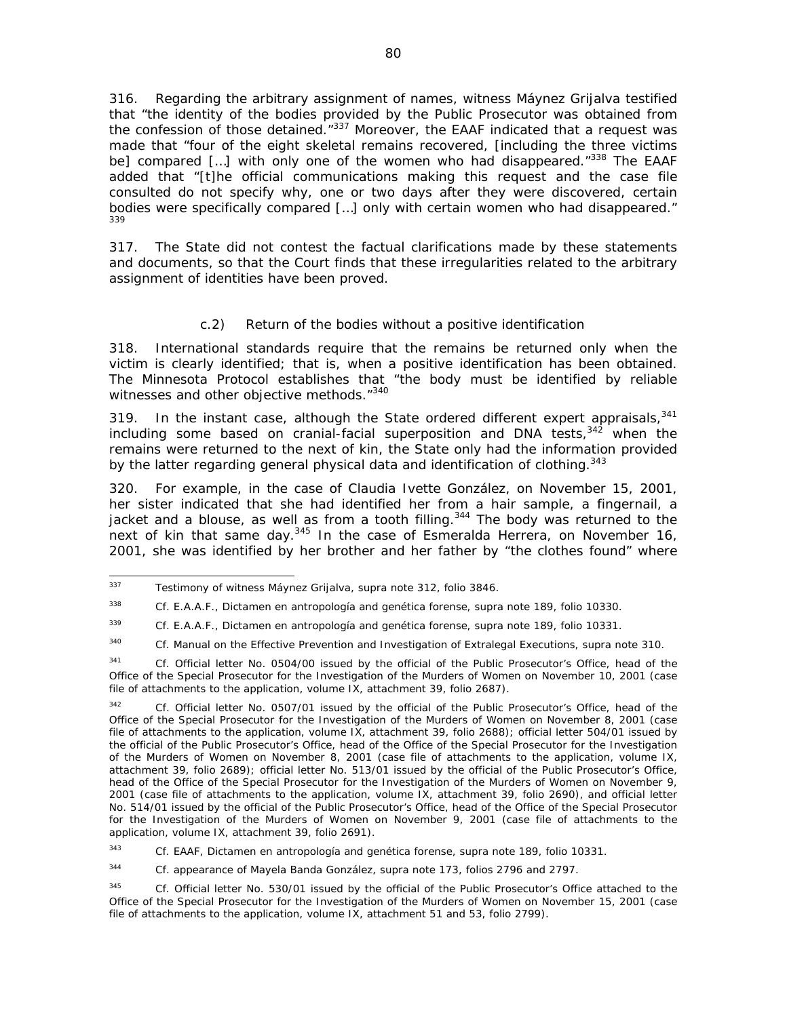316. Regarding the arbitrary assignment of names, witness Máynez Grijalva testified that "the identity of the bodies provided by the Public Prosecutor was obtained from the confession of those detained."<sup>337</sup> Moreover, the EAAF indicated that a request was made that "four of the eight skeletal remains recovered, [including the three victims be] compared [...] with only one of the women who had disappeared."<sup>338</sup> The EAAF added that "[t]he official communications making this request and the case file consulted do not specify why, one or two days after they were discovered, certain bodies were specifically compared [...] only with certain women who had disappeared." 339

317. The State did not contest the factual clarifications made by these statements and documents, so that the Court finds that these irregularities related to the arbitrary assignment of identities have been proved.

### *c.2) Return of the bodies without a positive identification*

318. International standards require that the remains be returned only when the victim is clearly identified; that is, when a positive identification has been obtained. The Minnesota Protocol establishes that "the body must be identified by reliable witnesses and other objective methods."<sup>340</sup>

319. In the instant case, although the State ordered different expert appraisals,  $341$ including some based on cranial-facial superposition and DNA tests,  $342$  when the remains were returned to the next of kin, the State only had the information provided by the latter regarding general physical data and identification of clothing.<sup>343</sup>

320. For example, in the case of Claudia Ivette González, on November 15, 2001, her sister indicated that she had identified her from a hair sample, a fingernail, a jacket and a blouse, as well as from a tooth filling.<sup>344</sup> The body was returned to the next of kin that same day.<sup>345</sup> In the case of Esmeralda Herrera, on November 16, 2001, she was identified by her brother and her father by "the clothes found" where

 $337$ 337 Testimony of witness Máynez Grijalva, *supra* note 312, folio 3846.

<sup>338</sup> *Cf.* E.A.A.F., *Dictamen en antropología and genética forense*, *supra* note 189, folio 10330.

<sup>339</sup> *Cf.* E.A.A.F., *Dictamen en antropología and genética forense*, *supra* note 189, folio 10331.

<sup>340</sup> *Cf.* Manual on the Effective Prevention and Investigation of Extralegal Executions, *supra* note 310.

<sup>&</sup>lt;sup>341</sup> *Cf.* Official letter No. 0504/00 issued by the official of the Public Prosecutor's Office, head of the Office of the Special Prosecutor for the Investigation of the Murders of Women on November 10, 2001 (case file of attachments to the application, volume IX, attachment 39, folio 2687).

<sup>&</sup>lt;sup>342</sup> *Cf.* Official letter No. 0507/01 issued by the official of the Public Prosecutor's Office, head of the Office of the Special Prosecutor for the Investigation of the Murders of Women on November 8, 2001 (case file of attachments to the application, volume IX, attachment 39, folio 2688); official letter 504/01 issued by the official of the Public Prosecutor's Office, head of the Office of the Special Prosecutor for the Investigation of the Murders of Women on November 8, 2001 (case file of attachments to the application, volume IX, attachment 39, folio 2689); official letter No. 513/01 issued by the official of the Public Prosecutor's Office, head of the Office of the Special Prosecutor for the Investigation of the Murders of Women on November 9, 2001 (case file of attachments to the application, volume IX, attachment 39, folio 2690), and official letter No. 514/01 issued by the official of the Public Prosecutor's Office, head of the Office of the Special Prosecutor for the Investigation of the Murders of Women on November 9, 2001 (case file of attachments to the application, volume IX, attachment 39, folio 2691).

<sup>343</sup> *Cf.* EAAF, *Dictamen en antropología and genética forense*, *supra* note 189, folio 10331.

<sup>344</sup> *Cf.* appearance of Mayela Banda González, *supra* note 173, folios 2796 and 2797.

<sup>345</sup> *Cf.* Official letter No. 530/01 issued by the official of the Public Prosecutor's Office attached to the Office of the Special Prosecutor for the Investigation of the Murders of Women on November 15, 2001 (case file of attachments to the application, volume IX, attachment 51 and 53, folio 2799).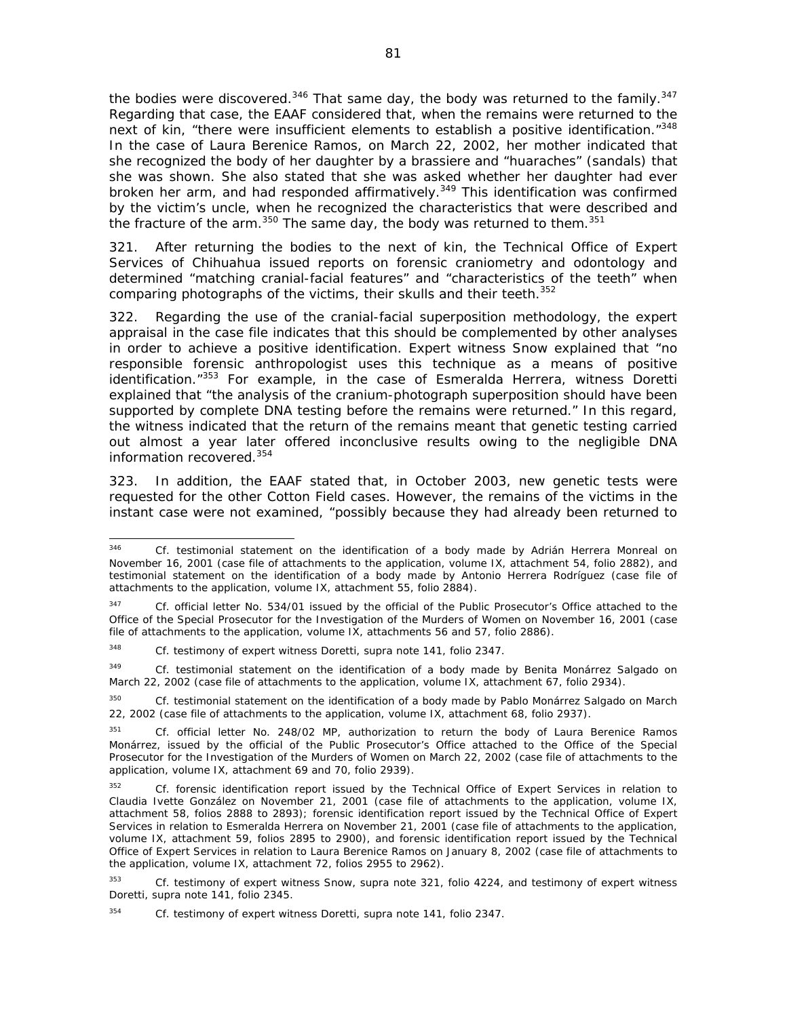the bodies were discovered.<sup>346</sup> That same day, the body was returned to the family.<sup>347</sup> Regarding that case, the EAAF considered that, when the remains were returned to the next of kin, "there were insufficient elements to establish a positive identification."<sup>348</sup> In the case of Laura Berenice Ramos, on March 22, 2002, her mother indicated that she recognized the body of her daughter by a brassiere and "huaraches" (sandals) that she was shown. She also stated that she was asked whether her daughter had ever broken her arm, and had responded affirmatively.<sup>349</sup> This identification was confirmed by the victim's uncle, when he recognized the characteristics that were described and the fracture of the arm.<sup>350</sup> The same day, the body was returned to them.<sup>351</sup>

321. After returning the bodies to the next of kin, the Technical Office of Expert Services of Chihuahua issued reports on forensic craniometry and odontology and determined "matching cranial-facial features" and "characteristics of the teeth" when comparing photographs of the victims, their skulls and their teeth.<sup>352</sup>

322. Regarding the use of the cranial-facial superposition methodology, the expert appraisal in the case file indicates that this should be complemented by other analyses in order to achieve a positive identification. Expert witness Snow explained that "no responsible forensic anthropologist uses this technique as a means of positive identification."353 For example, in the case of Esmeralda Herrera, witness Doretti explained that "the analysis of the cranium-photograph superposition should have been supported by complete DNA testing before the remains were returned." In this regard, the witness indicated that the return of the remains meant that genetic testing carried out almost a year later offered inconclusive results owing to the negligible DNA information recovered.354

323. In addition, the EAAF stated that, in October 2003, new genetic tests were requested for the other Cotton Field cases. However, the remains of the victims in the instant case were not examined, "possibly because they had already been returned to

<sup>346</sup> Cf. testimonial statement on the identification of a body made by Adrián Herrera Monreal on November 16, 2001 (case file of attachments to the application, volume IX, attachment 54, folio 2882), and testimonial statement on the identification of a body made by Antonio Herrera Rodríguez (case file of attachments to the application, volume IX, attachment 55, folio 2884).

<sup>&</sup>lt;sup>347</sup> *Cf.* official letter No. 534/01 issued by the official of the Public Prosecutor's Office attached to the Office of the Special Prosecutor for the Investigation of the Murders of Women on November 16, 2001 (case file of attachments to the application, volume IX, attachments 56 and 57, folio 2886).

<sup>348</sup> *Cf.* testimony of expert witness Doretti*, supra* note 141, folio 2347.

<sup>&</sup>lt;sup>349</sup> *Cf.* testimonial statement on the identification of a body made by Benita Monárrez Salgado on March 22, 2002 (case file of attachments to the application, volume IX, attachment 67, folio 2934).

<sup>350</sup> *Cf.* testimonial statement on the identification of a body made by Pablo Monárrez Salgado on March 22, 2002 (case file of attachments to the application, volume IX, attachment 68, folio 2937).

<sup>351</sup> *Cf.* official letter No. 248/02 MP, authorization to return the body of Laura Berenice Ramos Monárrez, issued by the official of the Public Prosecutor's Office attached to the Office of the Special Prosecutor for the Investigation of the Murders of Women on March 22, 2002 (case file of attachments to the application, volume IX, attachment 69 and 70, folio 2939).

<sup>&</sup>lt;sup>352</sup> *Cf.* forensic identification report issued by the Technical Office of Expert Services in relation to Claudia Ivette González on November 21, 2001 (case file of attachments to the application, volume IX, attachment 58, folios 2888 to 2893); forensic identification report issued by the Technical Office of Expert Services in relation to Esmeralda Herrera on November 21, 2001 (case file of attachments to the application, volume IX, attachment 59, folios 2895 to 2900), and forensic identification report issued by the Technical Office of Expert Services in relation to Laura Berenice Ramos on January 8, 2002 (case file of attachments to the application, volume IX, attachment 72, folios 2955 to 2962).

<sup>353</sup> *Cf.* testimony of expert witness Snow, *supra* note 321, folio 4224, and testimony of expert witness Doretti*, supra* note 141, folio 2345.

<sup>354</sup> *Cf.* testimony of expert witness Doretti*, supra* note 141, folio 2347.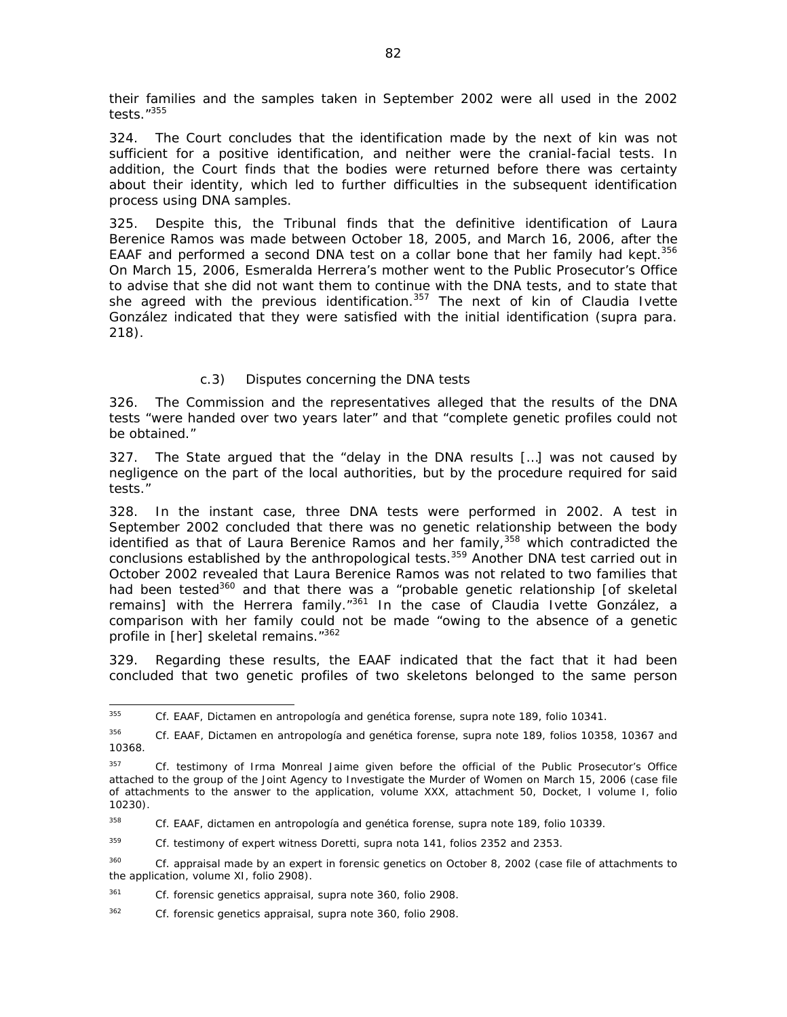their families and the samples taken in September 2002 were all used in the 2002 tests."355

324. The Court concludes that the identification made by the next of kin was not sufficient for a positive identification, and neither were the cranial-facial tests. In addition, the Court finds that the bodies were returned before there was certainty about their identity, which led to further difficulties in the subsequent identification process using DNA samples.

325. Despite this, the Tribunal finds that the definitive identification of Laura Berenice Ramos was made between October 18, 2005, and March 16, 2006, after the EAAF and performed a second DNA test on a collar bone that her family had kept.<sup>356</sup> On March 15, 2006, Esmeralda Herrera's mother went to the Public Prosecutor's Office to advise that she did not want them to continue with the DNA tests, and to state that she agreed with the previous identification. $357$  The next of kin of Claudia Ivette González indicated that they were satisfied with the initial identification (*supra* para. 218).

#### *c.3) Disputes concerning the DNA tests*

326. The Commission and the representatives alleged that the results of the DNA tests "were handed over two years later" and that "complete genetic profiles could not be obtained."

327. The State argued that the "delay in the DNA results […] was not caused by negligence on the part of the local authorities, but by the procedure required for said tests."

328. In the instant case, three DNA tests were performed in 2002. A test in September 2002 concluded that there was no genetic relationship between the body identified as that of Laura Berenice Ramos and her family,<sup>358</sup> which contradicted the conclusions established by the anthropological tests.<sup>359</sup> Another DNA test carried out in October 2002 revealed that Laura Berenice Ramos was not related to two families that had been tested<sup>360</sup> and that there was a "probable genetic relationship [of skeletal remains] with the Herrera family.<sup>"361</sup> In the case of Claudia Ivette González, a comparison with her family could not be made "owing to the absence of a genetic profile in [her] skeletal remains."<sup>362</sup>

329. Regarding these results, the EAAF indicated that the fact that it had been concluded that two genetic profiles of two skeletons belonged to the same person

-

<sup>355</sup> *Cf.* EAAF, *Dictamen en antropología and genética forense*, *supra* note 189, folio 10341.

<sup>356</sup> *Cf.* EAAF, *Dictamen en antropología and genética forense*, *supra* note 189, folios 10358, 10367 and 10368.

<sup>&</sup>lt;sup>357</sup> *Cf.* testimony of Irma Monreal Jaime given before the official of the Public Prosecutor's Office attached to the group of the Joint Agency to Investigate the Murder of Women on March 15, 2006 (case file of attachments to the answer to the application, volume XXX, attachment 50, Docket, I volume I, folio 10230).

<sup>358</sup> *Cf.* EAAF, *dictamen en antropología and genética forense*, *supra* note 189, folio 10339.

<sup>359</sup> *Cf.* testimony of expert witness Doretti*, supra* nota 141, folios 2352 and 2353.

<sup>360</sup> *Cf.* appraisal made by an expert in forensic genetics on October 8, 2002 (case file of attachments to the application, volume XI, folio 2908).

<sup>361</sup> *Cf.* forensic genetics appraisal, *supra* note 360, folio 2908.

<sup>362</sup> *Cf.* forensic genetics appraisal, *supra* note 360, folio 2908.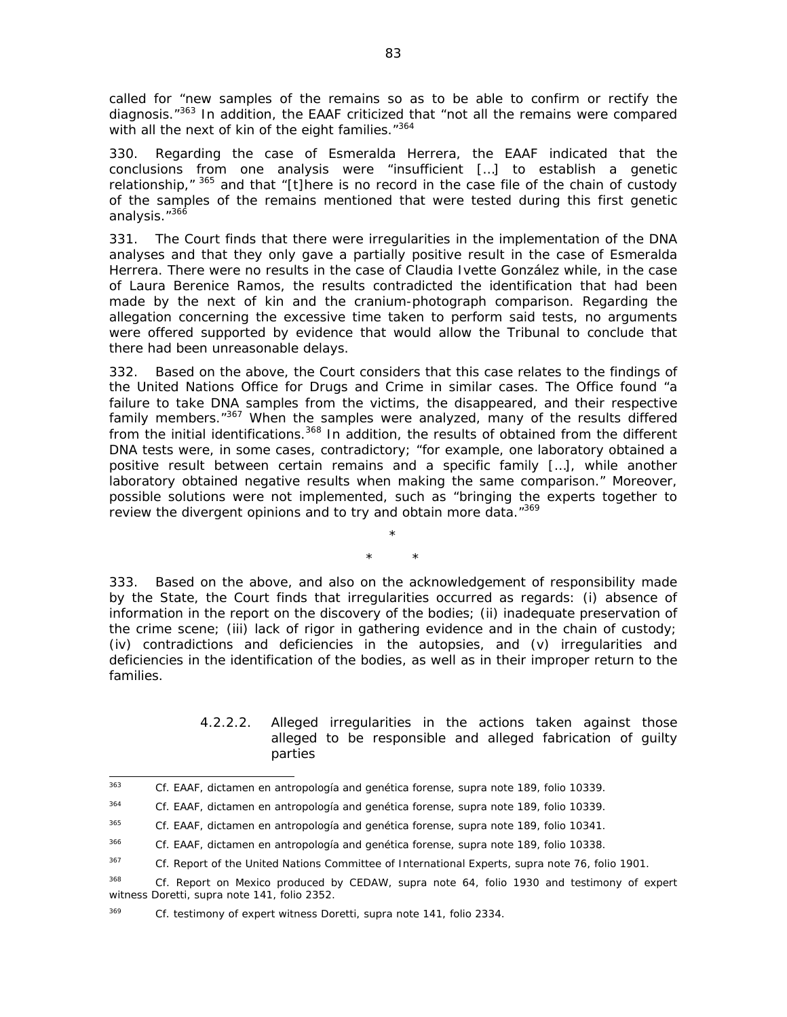called for "new samples of the remains so as to be able to confirm or rectify the diagnosis."363 In addition, the EAAF criticized that "not all the remains were compared with all the next of kin of the eight families."<sup>364</sup>

330. Regarding the case of Esmeralda Herrera, the EAAF indicated that the conclusions from one analysis were "insufficient […] to establish a genetic relationship,"  $365$  and that "[t]here is no record in the case file of the chain of custody of the samples of the remains mentioned that were tested during this first genetic analysis."<sup>366</sup>

331. The Court finds that there were irregularities in the implementation of the DNA analyses and that they only gave a partially positive result in the case of Esmeralda Herrera. There were no results in the case of Claudia Ivette González while, in the case of Laura Berenice Ramos, the results contradicted the identification that had been made by the next of kin and the cranium-photograph comparison. Regarding the allegation concerning the excessive time taken to perform said tests, no arguments were offered supported by evidence that would allow the Tribunal to conclude that there had been unreasonable delays.

332. Based on the above, the Court considers that this case relates to the findings of the United Nations Office for Drugs and Crime in similar cases. The Office found "a failure to take DNA samples from the victims, the disappeared, and their respective family members."367 When the samples were analyzed, many of the results differed from the initial identifications.<sup>368</sup> In addition, the results of obtained from the different DNA tests were, in some cases, contradictory; "for example, one laboratory obtained a positive result between certain remains and a specific family […], while another laboratory obtained negative results when making the same comparison." Moreover, possible solutions were not implemented, such as "bringing the experts together to review the divergent opinions and to try and obtain more data."<sup>369</sup>

333. Based on the above, and also on the acknowledgement of responsibility made by the State, the Court finds that irregularities occurred as regards: (i) absence of information in the report on the discovery of the bodies; (ii) inadequate preservation of the crime scene; (iii) lack of rigor in gathering evidence and in the chain of custody; (iv) contradictions and deficiencies in the autopsies, and (v) irregularities and deficiencies in the identification of the bodies, as well as in their improper return to the families.

\* \* \*

#### *4.2.2.2. Alleged irregularities in the actions taken against those alleged to be responsible and alleged fabrication of guilty parties*

<sup>363</sup> 363 *Cf.* EAAF, *dictamen en antropología and genética forense*, *supra* note 189, folio 10339.

<sup>364</sup> *Cf.* EAAF, *dictamen en antropología and genética forense*, *supra* note 189, folio 10339.

<sup>365</sup> *Cf.* EAAF, *dictamen en antropología and genética forense*, *supra* note 189, folio 10341.

<sup>366</sup> *Cf.* EAAF, *dictamen en antropología and genética forense*, *supra* note 189, folio 10338.

<sup>367</sup> *Cf.* Report of the United Nations Committee of International Experts, *supra* note 76, folio 1901.

<sup>368</sup> *Cf.* Report on Mexico produced by CEDAW, *supra* note 64, folio 1930 and testimony of expert witness Doretti*, supra* note 141, folio 2352.

<sup>369</sup> *Cf.* testimony of expert witness Doretti*, supra* note 141, folio 2334.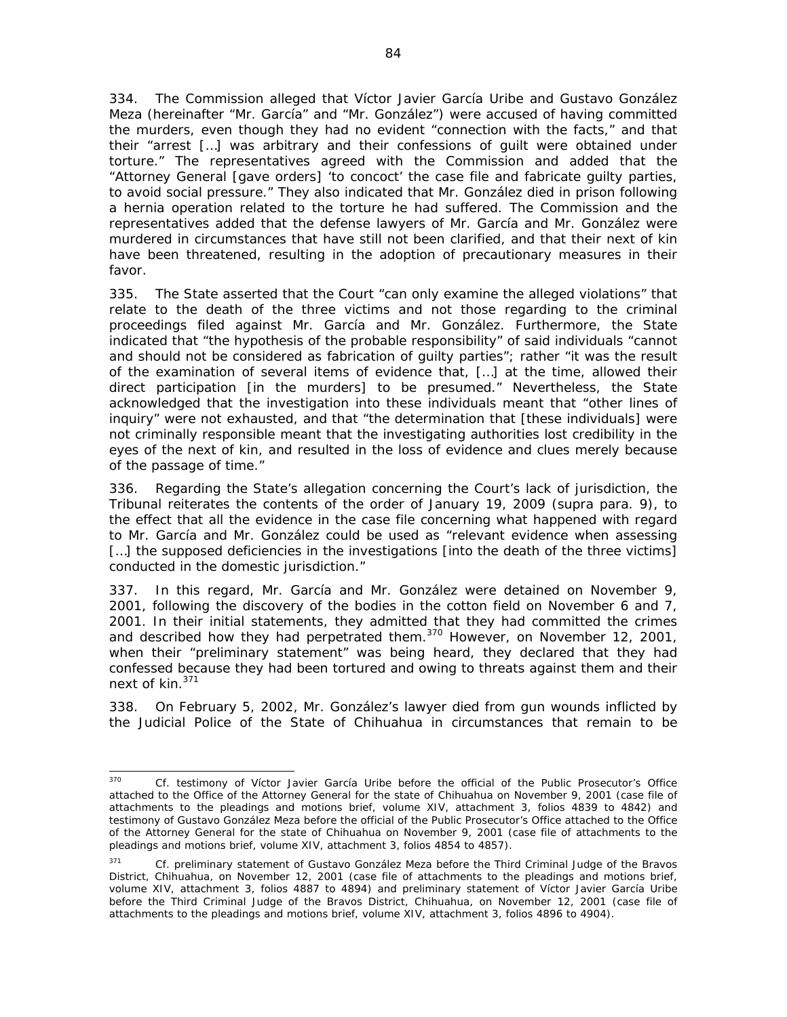334. The Commission alleged that Víctor Javier García Uribe and Gustavo González Meza (hereinafter "Mr. García" and "Mr. González") were accused of having committed the murders, even though they had no evident "connection with the facts," and that their "arrest […] was arbitrary and their confessions of guilt were obtained under torture." The representatives agreed with the Commission and added that the "Attorney General [gave orders] 'to concoct' the case file and fabricate guilty parties, to avoid social pressure." They also indicated that Mr. González died in prison following a hernia operation related to the torture he had suffered. The Commission and the representatives added that the defense lawyers of Mr. García and Mr. González were murdered in circumstances that have still not been clarified, and that their next of kin have been threatened, resulting in the adoption of precautionary measures in their favor.

335. The State asserted that the Court "can only examine the alleged violations" that relate to the death of the three victims and not those regarding to the criminal proceedings filed against Mr. García and Mr. González. Furthermore, the State indicated that "the hypothesis of the probable responsibility" of said individuals "cannot and should not be considered as fabrication of guilty parties"; rather "it was the result of the examination of several items of evidence that, […] at the time, allowed their direct participation [in the murders] to be presumed." Nevertheless, the State acknowledged that the investigation into these individuals meant that "other lines of inquiry" were not exhausted, and that "the determination that [these individuals] were not criminally responsible meant that the investigating authorities lost credibility in the eyes of the next of kin, and resulted in the loss of evidence and clues merely because of the passage of time."

336. Regarding the State's allegation concerning the Court's lack of jurisdiction, the Tribunal reiterates the contents of the order of January 19, 2009 (*supra* para. 9), to the effect that all the evidence in the case file concerning what happened with regard to Mr. García and Mr. González could be used as "relevant evidence when assessing [...] the supposed deficiencies in the investigations [into the death of the three victims] conducted in the domestic jurisdiction."

337. In this regard, Mr. García and Mr. González were detained on November 9, 2001, following the discovery of the bodies in the cotton field on November 6 and 7, 2001. In their initial statements, they admitted that they had committed the crimes and described how they had perpetrated them.<sup>370</sup> However, on November 12, 2001, when their "preliminary statement" was being heard, they declared that they had confessed because they had been tortured and owing to threats against them and their next of kin.371

338. On February 5, 2002, Mr. González's lawyer died from gun wounds inflicted by the Judicial Police of the State of Chihuahua in circumstances that remain to be

<sup>370</sup> Cf. testimony of Víctor Javier García Uribe before the official of the Public Prosecutor's Office attached to the Office of the Attorney General for the state of Chihuahua on November 9, 2001 (case file of attachments to the pleadings and motions brief, volume XIV, attachment 3, folios 4839 to 4842) and testimony of Gustavo González Meza before the official of the Public Prosecutor's Office attached to the Office of the Attorney General for the state of Chihuahua on November 9, 2001 (case file of attachments to the pleadings and motions brief, volume XIV, attachment 3, folios 4854 to 4857).

<sup>371</sup> *Cf.* preliminary statement of Gustavo González Meza before the Third Criminal Judge of the Bravos District, Chihuahua, on November 12, 2001 (case file of attachments to the pleadings and motions brief, volume XIV, attachment 3, folios 4887 to 4894) and preliminary statement of Víctor Javier García Uribe before the Third Criminal Judge of the Bravos District, Chihuahua, on November 12, 2001 (case file of attachments to the pleadings and motions brief, volume XIV, attachment 3, folios 4896 to 4904).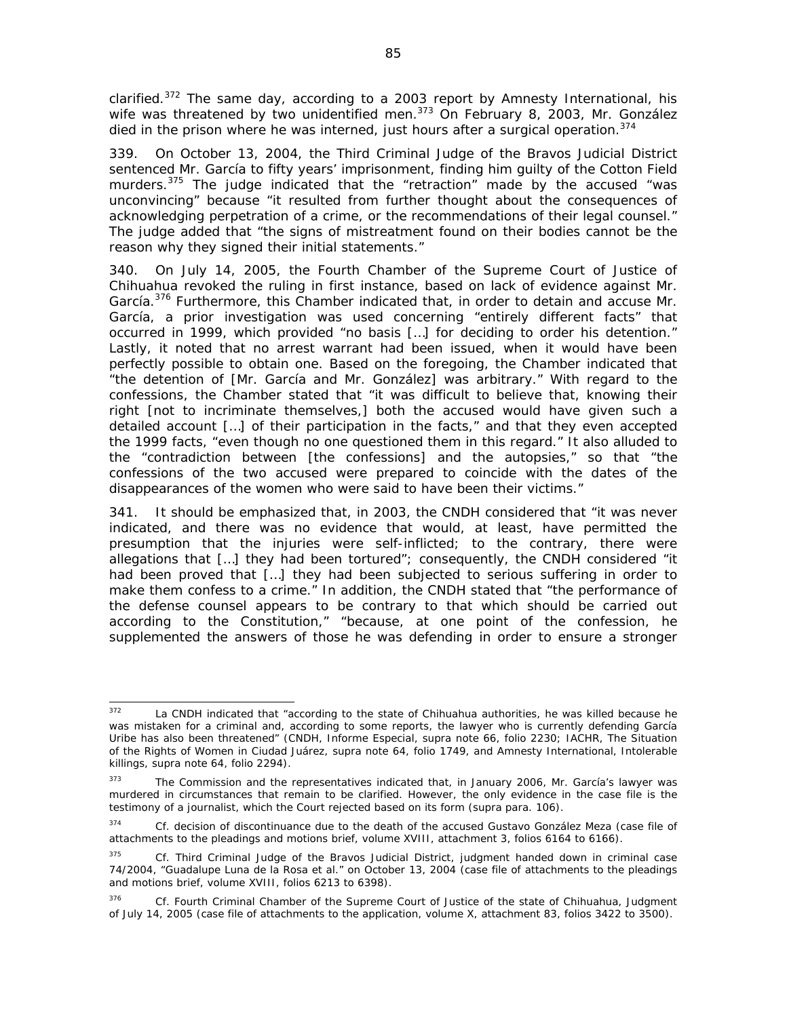clarified.372 The same day, according to a 2003 report by Amnesty International, his wife was threatened by two unidentified men.<sup>373</sup> On February 8, 2003, Mr. González died in the prison where he was interned, just hours after a surgical operation. $374$ 

339. On October 13, 2004, the Third Criminal Judge of the Bravos Judicial District sentenced Mr. García to fifty years' imprisonment, finding him guilty of the Cotton Field murders.<sup>375</sup> The judge indicated that the "retraction" made by the accused "was unconvincing" because "it resulted from further thought about the consequences of acknowledging perpetration of a crime, or the recommendations of their legal counsel." The judge added that "the signs of mistreatment found on their bodies cannot be the reason why they signed their initial statements."

340. On July 14, 2005, the Fourth Chamber of the Supreme Court of Justice of Chihuahua revoked the ruling in first instance, based on lack of evidence against Mr. García.<sup>376</sup> Furthermore, this Chamber indicated that, in order to detain and accuse Mr. García, a prior investigation was used concerning "entirely different facts" that occurred in 1999, which provided "no basis […] for deciding to order his detention." Lastly, it noted that no arrest warrant had been issued, when it would have been perfectly possible to obtain one. Based on the foregoing, the Chamber indicated that "the detention of [Mr. García and Mr. González] was arbitrary." With regard to the confessions, the Chamber stated that "it was difficult to believe that, knowing their right [not to incriminate themselves,] both the accused would have given such a detailed account […] of their participation in the facts," and that they even accepted the 1999 facts, "even though no one questioned them in this regard." It also alluded to the "contradiction between [the confessions] and the autopsies," so that "the confessions of the two accused were prepared to coincide with the dates of the disappearances of the women who were said to have been their victims."

341. It should be emphasized that, in 2003, the CNDH considered that "it was never indicated, and there was no evidence that would, at least, have permitted the presumption that the injuries were self-inflicted; to the contrary, there were allegations that […] they had been tortured"; consequently, the CNDH considered "it had been proved that […] they had been subjected to serious suffering in order to make them confess to a crime." In addition, the CNDH stated that "the performance of the defense counsel appears to be contrary to that which should be carried out according to the Constitution," "because, at one point of the confession, he supplemented the answers of those he was defending in order to ensure a stronger

<sup>372</sup> La CNDH indicated that "according to the state of Chihuahua authorities, he was killed because he was mistaken for a criminal and, according to some reports, the lawyer who is currently defending García Uribe has also been threatened" (CNDH, *Informe Especial*, *supra* note 66, folio 2230; IACHR, *The Situation of the Rights of Women in Ciudad Juárez, supra* note 64, folio 1749, and Amnesty International, *Intolerable killings, supra* note 64, folio 2294).

<sup>&</sup>lt;sup>373</sup> The Commission and the representatives indicated that, in January 2006, Mr. García's lawyer was murdered in circumstances that remain to be clarified. However, the only evidence in the case file is the testimony of a journalist, which the Court rejected based on its form (*supra* para. 106).

<sup>&</sup>lt;sup>374</sup> *Cf.* decision of discontinuance due to the death of the accused Gustavo González Meza (case file of attachments to the pleadings and motions brief, volume XVIII, attachment 3, folios 6164 to 6166).

<sup>375</sup> *Cf.* Third Criminal Judge of the Bravos Judicial District, judgment handed down in criminal case 74/2004, "Guadalupe Luna de la Rosa *et al*." on October 13, 2004 (case file of attachments to the pleadings and motions brief, volume XVIII, folios 6213 to 6398).

<sup>376</sup> *Cf.* Fourth Criminal Chamber of the Supreme Court of Justice of the state of Chihuahua, Judgment of July 14, 2005 (case file of attachments to the application, volume X, attachment 83, folios 3422 to 3500).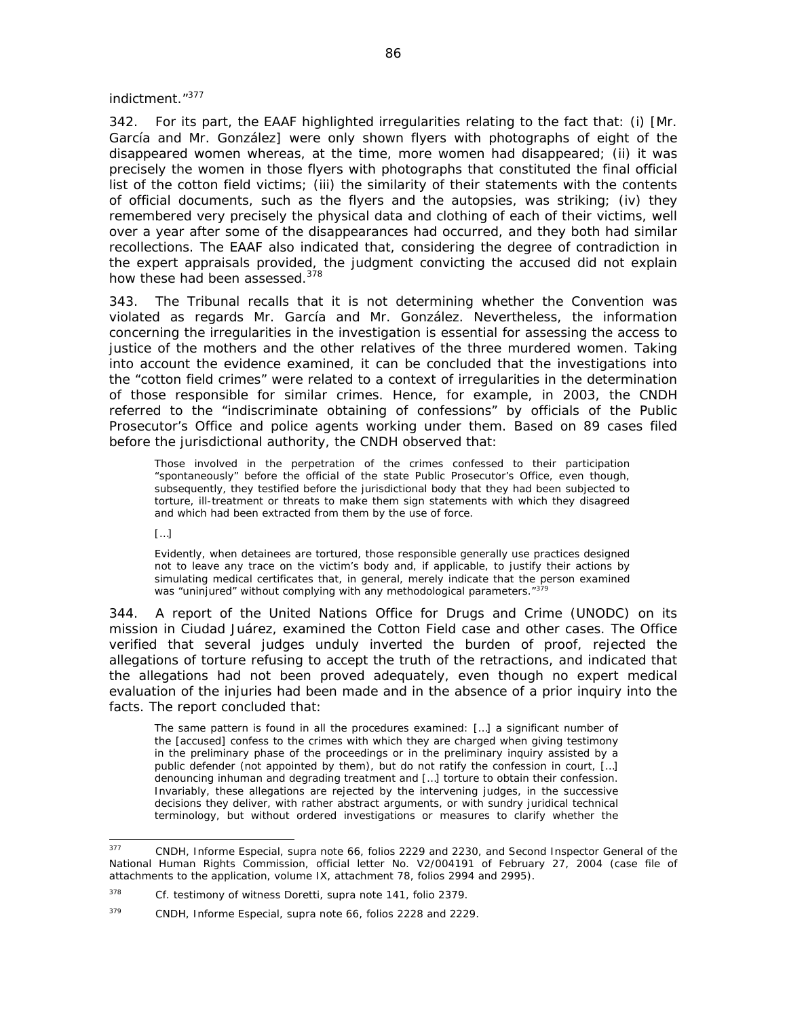indictment."377

342. For its part, the EAAF highlighted irregularities relating to the fact that: (i) [Mr. García and Mr. González] were only shown flyers with photographs of eight of the disappeared women whereas, at the time, more women had disappeared; (ii) it was precisely the women in those flyers with photographs that constituted the final official list of the cotton field victims; (iii) the similarity of their statements with the contents of official documents, such as the flyers and the autopsies, was striking; (iv) they remembered very precisely the physical data and clothing of each of their victims, well over a year after some of the disappearances had occurred, and they both had similar recollections. The EAAF also indicated that, considering the degree of contradiction in the expert appraisals provided, the judgment convicting the accused did not explain how these had been assessed.<sup>378</sup>

343. The Tribunal recalls that it is not determining whether the Convention was violated as regards Mr. García and Mr. González. Nevertheless, the information concerning the irregularities in the investigation is essential for assessing the access to justice of the mothers and the other relatives of the three murdered women. Taking into account the evidence examined, it can be concluded that the investigations into the "cotton field crimes" were related to a context of irregularities in the determination of those responsible for similar crimes. Hence, for example, in 2003, the CNDH referred to the "indiscriminate obtaining of confessions" by officials of the Public Prosecutor's Office and police agents working under them. Based on 89 cases filed before the jurisdictional authority, the CNDH observed that:

Those involved in the perpetration of the crimes confessed to their participation "spontaneously" before the official of the state Public Prosecutor's Office, even though, subsequently, they testified before the jurisdictional body that they had been subjected to torture, ill-treatment or threats to make them sign statements with which they disagreed and which had been extracted from them by the use of force.

[…]

Evidently, when detainees are tortured, those responsible generally use practices designed not to leave any trace on the victim's body and, if applicable, to justify their actions by simulating medical certificates that, in general, merely indicate that the person examined was "uninjured" without complying with any methodological parameters."

344. A report of the United Nations Office for Drugs and Crime (UNODC) on its mission in Ciudad Juárez, examined the Cotton Field case and other cases. The Office verified that several judges unduly inverted the burden of proof, rejected the allegations of torture refusing to accept the truth of the retractions, and indicated that the allegations had not been proved adequately, even though no expert medical evaluation of the injuries had been made and in the absence of a prior inquiry into the facts. The report concluded that:

The same pattern is found in all the procedures examined: […] a significant number of the [accused] confess to the crimes with which they are charged when giving testimony in the preliminary phase of the proceedings or in the preliminary inquiry assisted by a public defender (not appointed by them), but do not ratify the confession in court, […] denouncing inhuman and degrading treatment and […] torture to obtain their confession. Invariably, these allegations are rejected by the intervening judges, in the successive decisions they deliver, with rather abstract arguments, or with sundry juridical technical terminology, but without ordered investigations or measures to clarify whether the

<sup>377</sup> 377 CNDH, *Informe Especial*, *supra* note 66, folios 2229 and 2230, and Second Inspector General of the National Human Rights Commission, official letter No. V2/004191 of February 27, 2004 (case file of attachments to the application, volume IX, attachment 78, folios 2994 and 2995).

<sup>378</sup> *Cf.* testimony of witness Doretti, *supra* note 141, folio 2379.

<sup>379</sup> CNDH, *Informe Especial*, *supra* note 66, folios 2228 and 2229.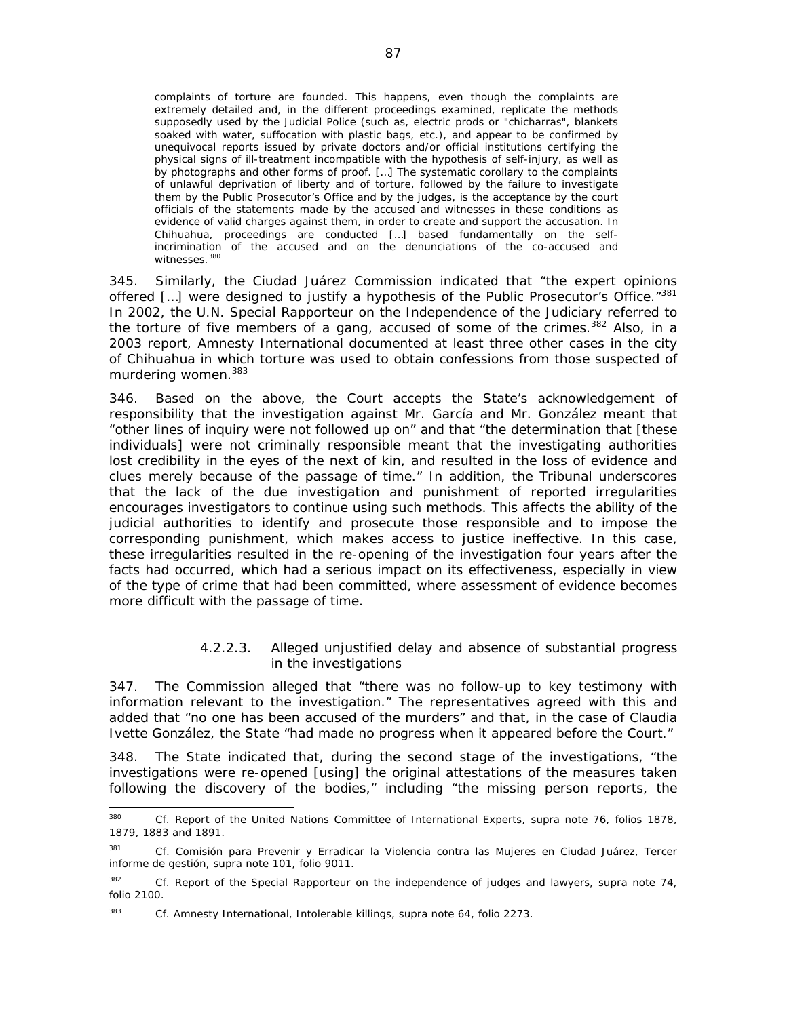complaints of torture are founded. This happens, even though the complaints are extremely detailed and, in the different proceedings examined, replicate the methods supposedly used by the Judicial Police (such as, electric prods or "chicharras", blankets soaked with water, suffocation with plastic bags, etc.), and appear to be confirmed by unequivocal reports issued by private doctors and/or official institutions certifying the physical signs of ill-treatment incompatible with the hypothesis of self-injury, as well as by photographs and other forms of proof. […] The systematic corollary to the complaints of unlawful deprivation of liberty and of torture, followed by the failure to investigate them by the Public Prosecutor's Office and by the judges, is the acceptance by the court officials of the statements made by the accused and witnesses in these conditions as evidence of valid charges against them, in order to create and support the accusation. In Chihuahua, proceedings are conducted […] based fundamentally on the selfincrimination of the accused and on the denunciations of the co-accused and witnesses.<sup>380</sup>

345. Similarly, the Ciudad Juárez Commission indicated that "the expert opinions offered [...] were designed to justify a hypothesis of the Public Prosecutor's Office."<sup>381</sup> In 2002, the U.N. Special Rapporteur on the Independence of the Judiciary referred to the torture of five members of a gang, accused of some of the crimes.<sup>382</sup> Also, in a 2003 report, Amnesty International documented at least three other cases in the city of Chihuahua in which torture was used to obtain confessions from those suspected of murdering women.<sup>383</sup>

346. Based on the above, the Court accepts the State's acknowledgement of responsibility that the investigation against Mr. García and Mr. González meant that "other lines of inquiry were not followed up on" and that "the determination that [these individuals] were not criminally responsible meant that the investigating authorities lost credibility in the eyes of the next of kin, and resulted in the loss of evidence and clues merely because of the passage of time." In addition, the Tribunal underscores that the lack of the due investigation and punishment of reported irregularities encourages investigators to continue using such methods. This affects the ability of the judicial authorities to identify and prosecute those responsible and to impose the corresponding punishment, which makes access to justice ineffective. In this case, these irregularities resulted in the re-opening of the investigation four years after the facts had occurred, which had a serious impact on its effectiveness, especially in view of the type of crime that had been committed, where assessment of evidence becomes more difficult with the passage of time.

### *4.2.2.3. Alleged unjustified delay and absence of substantial progress in the investigations*

347. The Commission alleged that "there was no follow-up to key testimony with information relevant to the investigation." The representatives agreed with this and added that "no one has been accused of the murders" and that, in the case of Claudia Ivette González, the State "had made no progress when it appeared before the Court."

348. The State indicated that, during the second stage of the investigations, "the investigations were re-opened [using] the original attestations of the measures taken following the discovery of the bodies," including "the missing person reports, the

<sup>380</sup> 380 *Cf.* Report of the United Nations Committee of International Experts*, supra* note 76, folios 1878, 1879, 1883 and 1891.

<sup>381</sup> *Cf. Comisión para Prevenir y Erradicar la Violencia contra las Mujeres en Ciudad Juárez, Tercer informe de gestión*, *supra* note 101, folio 9011.

<sup>382</sup> *Cf.* Report of the Special Rapporteur on the independence of judges and lawyers, *supra* note 74, folio 2100.

<sup>383</sup> *Cf.* Amnesty International, *Intolerable killings, supra* note 64, folio 2273.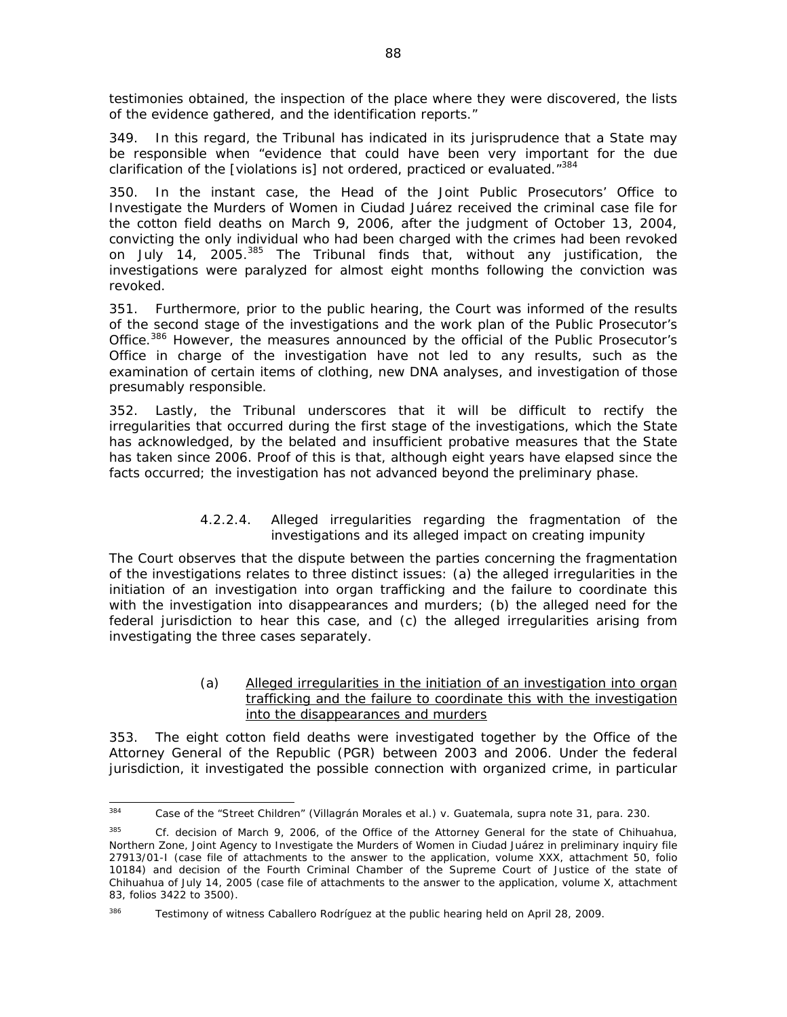testimonies obtained, the inspection of the place where they were discovered, the lists of the evidence gathered, and the identification reports."

349. In this regard, the Tribunal has indicated in its jurisprudence that a State may be responsible when "evidence that could have been very important for the due clarification of the [violations is] not ordered, practiced or evaluated."<sup>384</sup>

350. In the instant case, the Head of the Joint Public Prosecutors' Office to Investigate the Murders of Women in Ciudad Juárez received the criminal case file for the cotton field deaths on March 9, 2006, after the judgment of October 13, 2004, convicting the only individual who had been charged with the crimes had been revoked on July 14, 2005.<sup>385</sup> The Tribunal finds that, without any justification, the investigations were paralyzed for almost eight months following the conviction was revoked.

351. Furthermore, prior to the public hearing, the Court was informed of the results of the second stage of the investigations and the work plan of the Public Prosecutor's Office.<sup>386</sup> However, the measures announced by the official of the Public Prosecutor's Office in charge of the investigation have not led to any results, such as the examination of certain items of clothing, new DNA analyses, and investigation of those presumably responsible.

352. Lastly, the Tribunal underscores that it will be difficult to rectify the irregularities that occurred during the first stage of the investigations, which the State has acknowledged, by the belated and insufficient probative measures that the State has taken since 2006. Proof of this is that, although eight years have elapsed since the facts occurred; the investigation has not advanced beyond the preliminary phase.

#### *4.2.2.4. Alleged irregularities regarding the fragmentation of the investigations and its alleged impact on creating impunity*

The Court observes that the dispute between the parties concerning the fragmentation of the investigations relates to three distinct issues: (a) the alleged irregularities in the initiation of an investigation into organ trafficking and the failure to coordinate this with the investigation into disappearances and murders; (b) the alleged need for the federal jurisdiction to hear this case, and (c) the alleged irregularities arising from investigating the three cases separately.

> (a) Alleged irregularities in the initiation of an investigation into organ trafficking and the failure to coordinate this with the investigation into the disappearances and murders

353. The eight cotton field deaths were investigated together by the Office of the Attorney General of the Republic (PGR) between 2003 and 2006. Under the federal jurisdiction, it investigated the possible connection with organized crime, in particular

<sup>384</sup> 384 *Case of the "Street Children" (Villagrán Morales et al.) v. Guatemala, supra* note 31, para. 230.

<sup>385</sup> *Cf.* decision of March 9, 2006, of the Office of the Attorney General for the state of Chihuahua, Northern Zone, Joint Agency to Investigate the Murders of Women in Ciudad Juárez in preliminary inquiry file 27913/01-I (case file of attachments to the answer to the application, volume XXX, attachment 50, folio 10184) and decision of the Fourth Criminal Chamber of the Supreme Court of Justice of the state of Chihuahua of July 14, 2005 (case file of attachments to the answer to the application, volume X, attachment 83, folios 3422 to 3500).

<sup>&</sup>lt;sup>386</sup> Testimony of witness Caballero Rodríguez at the public hearing held on April 28, 2009.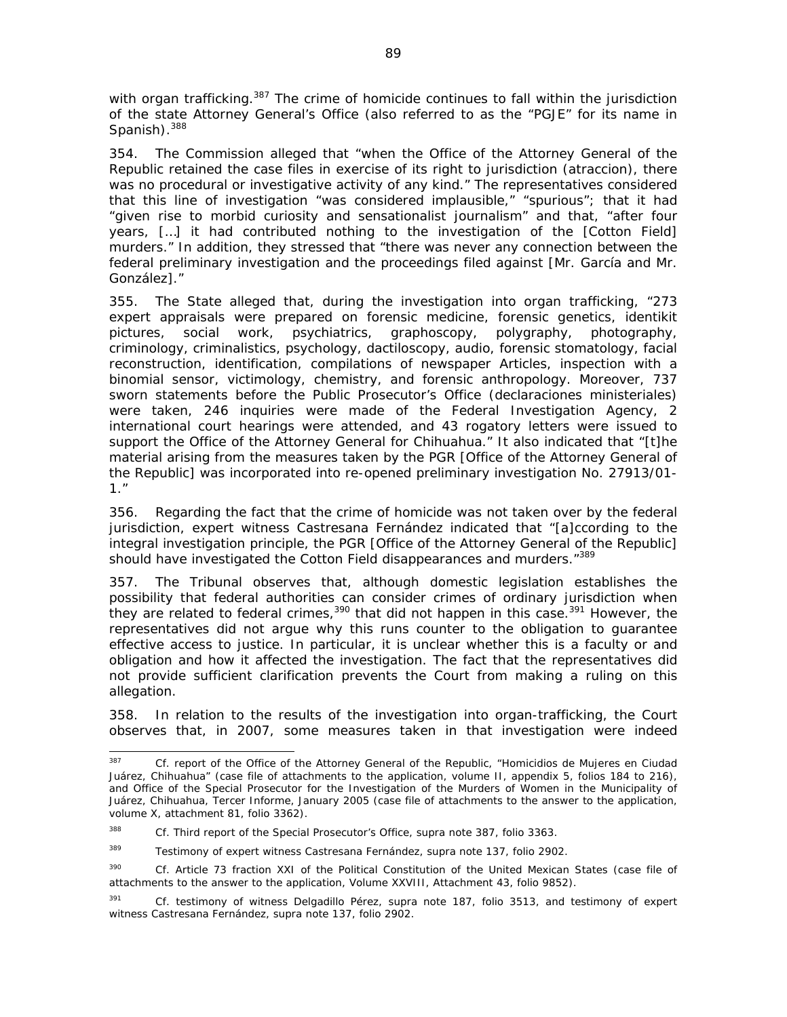with organ trafficking.<sup>387</sup> The crime of homicide continues to fall within the jurisdiction of the state Attorney General's Office (also referred to as the "PGJE" for its name in Spanish).<sup>388</sup>

354. The Commission alleged that "when the Office of the Attorney General of the Republic retained the case files in exercise of its right to jurisdiction (*atraccion*), there was no procedural or investigative activity of any kind." The representatives considered that this line of investigation "was considered implausible," "spurious"; that it had "given rise to morbid curiosity and sensationalist journalism" and that, "after four years, […] it had contributed nothing to the investigation of the [*Cotton Field*] murders." In addition, they stressed that "there was never any connection between the federal preliminary investigation and the proceedings filed against [Mr. García and Mr. González]."

355. The State alleged that, during the investigation into organ trafficking, "273 expert appraisals were prepared on forensic medicine, forensic genetics, identikit pictures, social work, psychiatrics, graphoscopy, polygraphy, photography, criminology, criminalistics, psychology, dactiloscopy, audio, forensic stomatology, facial reconstruction, identification, compilations of newspaper Articles, inspection with a binomial sensor, victimology, chemistry, and forensic anthropology. Moreover, 737 sworn statements before the Public Prosecutor's Office (*declaraciones ministeriales*) were taken, 246 inquiries were made of the Federal Investigation Agency, 2 international court hearings were attended, and 43 rogatory letters were issued to support the Office of the Attorney General for Chihuahua." It also indicated that "[t]he material arising from the measures taken by the PGR [Office of the Attorney General of the Republic] was incorporated into re-opened preliminary investigation No. 27913/01- 1."

356. Regarding the fact that the crime of homicide was not taken over by the federal jurisdiction, expert witness Castresana Fernández indicated that "[a]ccording to the integral investigation principle, the PGR [Office of the Attorney General of the Republic] should have investigated the Cotton Field disappearances and murders."<sup>389</sup>

357. The Tribunal observes that, although domestic legislation establishes the possibility that federal authorities can consider crimes of ordinary jurisdiction when they are related to federal crimes,  $390$  that did not happen in this case.  $391$  However, the representatives did not argue why this runs counter to the obligation to guarantee effective access to justice. In particular, it is unclear whether this is a faculty or and obligation and how it affected the investigation. The fact that the representatives did not provide sufficient clarification prevents the Court from making a ruling on this allegation.

358. In relation to the results of the investigation into organ-trafficking, the Court observes that, in 2007, some measures taken in that investigation were indeed

<sup>387</sup> 387 *Cf.* report of the Office of the Attorney General of the Republic, "*Homicidios de Mujeres en Ciudad Juárez, Chihuahua*" (case file of attachments to the application, volume II, appendix 5, folios 184 to 216), and Office of the Special Prosecutor for the Investigation of the Murders of Women in the Municipality of Juárez, Chihuahua, *Tercer Informe*, January 2005 (case file of attachments to the answer to the application, volume X, attachment 81, folio 3362).

<sup>388</sup> *Cf.* Third report of the Special Prosecutor's Office, *supra* note 387, folio 3363.

<sup>389</sup> Testimony of expert witness Castresana Fernández, *supra* note 137, folio 2902.

<sup>&</sup>lt;sup>390</sup> *Cf.* Article 73 fraction XXI of the Political Constitution of the United Mexican States (case file of attachments to the answer to the application, Volume XXVIII, Attachment 43, folio 9852).

<sup>391</sup> *Cf.* testimony of witness Delgadillo Pérez, *supra* note 187, folio 3513, and testimony of expert witness Castresana Fernández, *supra* note 137, folio 2902.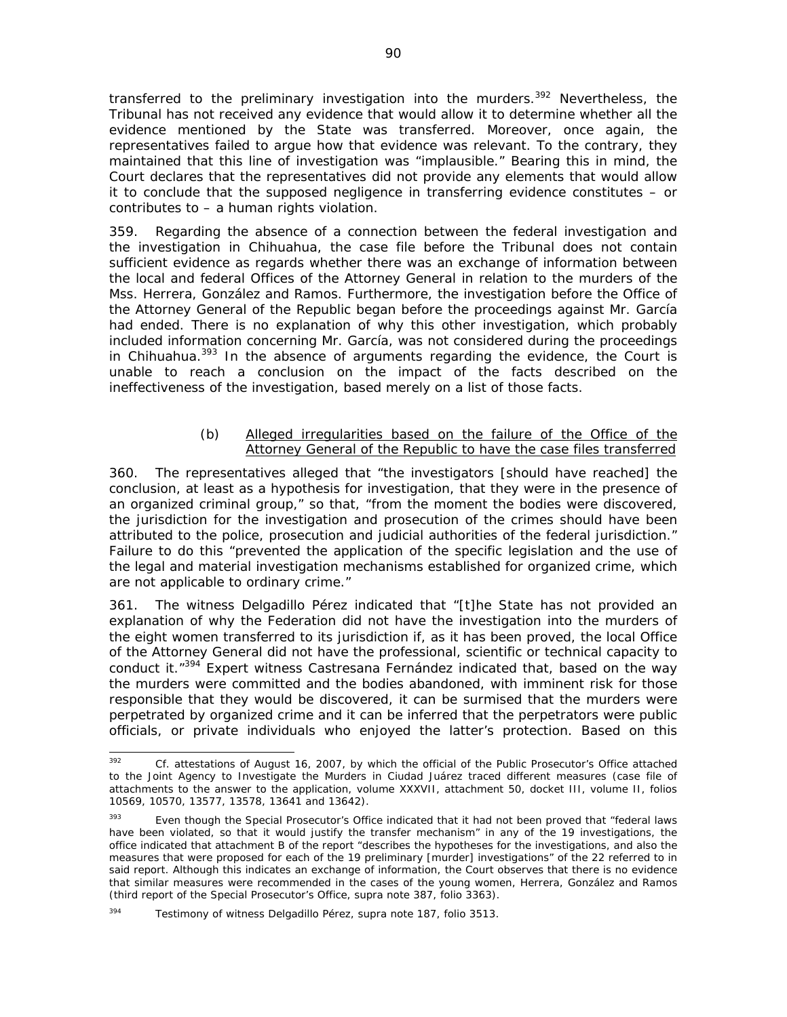transferred to the preliminary investigation into the murders. $392$  Nevertheless, the Tribunal has not received any evidence that would allow it to determine whether all the evidence mentioned by the State was transferred. Moreover, once again, the representatives failed to argue how that evidence was relevant. To the contrary, they maintained that this line of investigation was "implausible." Bearing this in mind, the Court declares that the representatives did not provide any elements that would allow it to conclude that the supposed negligence in transferring evidence constitutes – or contributes to – a human rights violation.

359. Regarding the absence of a connection between the federal investigation and the investigation in Chihuahua, the case file before the Tribunal does not contain sufficient evidence as regards whether there was an exchange of information between the local and federal Offices of the Attorney General in relation to the murders of the Mss. Herrera, González and Ramos. Furthermore, the investigation before the Office of the Attorney General of the Republic began before the proceedings against Mr. García had ended. There is no explanation of why this other investigation, which probably included information concerning Mr. García, was not considered during the proceedings in Chihuahua. $393$  In the absence of arguments regarding the evidence, the Court is unable to reach a conclusion on the impact of the facts described on the ineffectiveness of the investigation, based merely on a list of those facts.

## (b) Alleged irregularities based on the failure of the Office of the Attorney General of the Republic to have the case files transferred

360. The representatives alleged that "the investigators [should have reached] the conclusion, at least as a hypothesis for investigation, that they were in the presence of an organized criminal group," so that, "from the moment the bodies were discovered, the jurisdiction for the investigation and prosecution of the crimes should have been attributed to the police, prosecution and judicial authorities of the federal jurisdiction." Failure to do this "prevented the application of the specific legislation and the use of the legal and material investigation mechanisms established for organized crime, which are not applicable to ordinary crime."

361. The witness Delgadillo Pérez indicated that "[t]he State has not provided an explanation of why the Federation did not have the investigation into the murders of the eight women transferred to its jurisdiction if, as it has been proved, the local Office of the Attorney General did not have the professional, scientific or technical capacity to conduct it.<sup>"394</sup> Expert witness Castresana Fernández indicated that, based on the way the murders were committed and the bodies abandoned, with imminent risk for those responsible that they would be discovered, it can be surmised that the murders were perpetrated by organized crime and it can be inferred that the perpetrators were public officials, or private individuals who enjoyed the latter's protection. Based on this

<sup>392</sup> 392 *Cf.* attestations of August 16, 2007, by which the official of the Public Prosecutor's Office attached to the Joint Agency to Investigate the Murders in Ciudad Juárez traced different measures (case file of attachments to the answer to the application, volume XXXVII, attachment 50, docket III, volume II, folios 10569, 10570, 13577, 13578, 13641 and 13642).

<sup>&</sup>lt;sup>393</sup> Even though the Special Prosecutor's Office indicated that it had not been proved that "federal laws have been violated, so that it would justify the transfer mechanism" in any of the 19 investigations, the office indicated that attachment B of the report "describes the hypotheses for the investigations, and also the measures that were proposed for each of the 19 preliminary [murder] investigations" of the 22 referred to in said report. Although this indicates an exchange of information, the Court observes that there is no evidence that similar measures were recommended in the cases of the young women, Herrera, González and Ramos (third report of the Special Prosecutor's Office, *supra* note 387, folio 3363).

<sup>394</sup> Testimony of witness Delgadillo Pérez, *supra* note 187, folio 3513.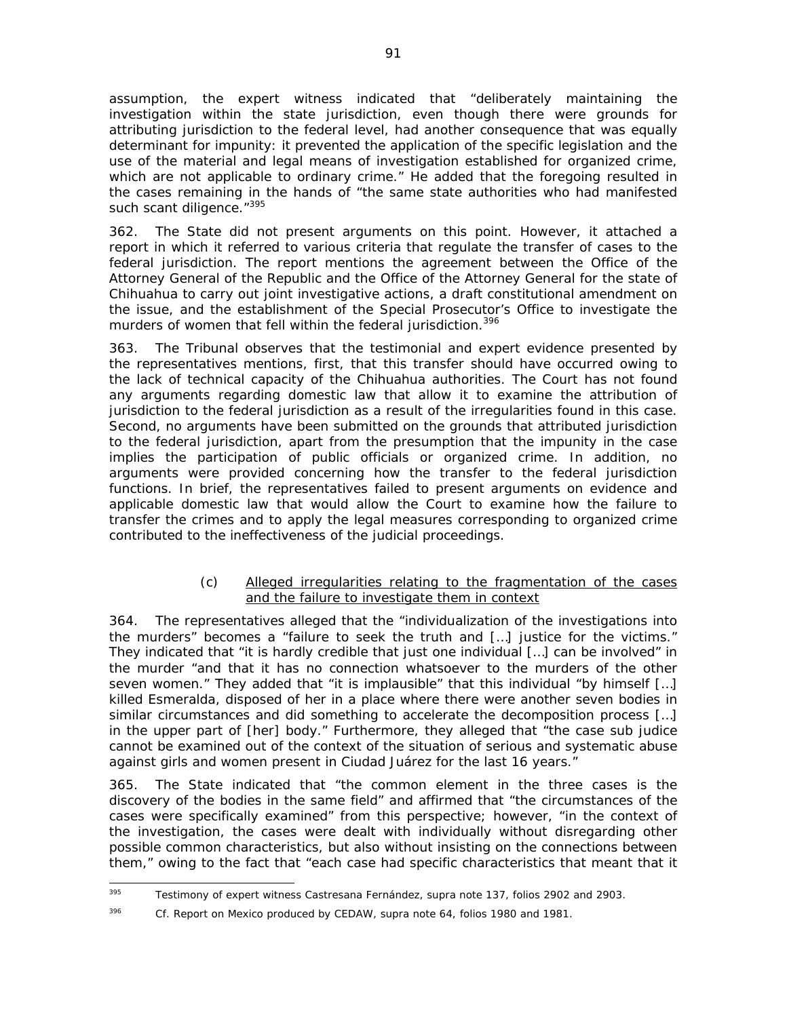assumption, the expert witness indicated that "deliberately maintaining the investigation within the state jurisdiction, even though there were grounds for attributing jurisdiction to the federal level, had another consequence that was equally determinant for impunity: it prevented the application of the specific legislation and the use of the material and legal means of investigation established for organized crime, which are not applicable to ordinary crime." He added that the foregoing resulted in the cases remaining in the hands of "the same state authorities who had manifested such scant diligence."<sup>395</sup>

362. The State did not present arguments on this point. However, it attached a report in which it referred to various criteria that regulate the transfer of cases to the federal jurisdiction. The report mentions the agreement between the Office of the Attorney General of the Republic and the Office of the Attorney General for the state of Chihuahua to carry out joint investigative actions, a draft constitutional amendment on the issue, and the establishment of the Special Prosecutor's Office to investigate the murders of women that fell within the federal jurisdiction.<sup>396</sup>

363. The Tribunal observes that the testimonial and expert evidence presented by the representatives mentions, first, that this transfer should have occurred owing to the lack of technical capacity of the Chihuahua authorities. The Court has not found any arguments regarding domestic law that allow it to examine the attribution of jurisdiction to the federal jurisdiction as a result of the irregularities found in this case. Second, no arguments have been submitted on the grounds that attributed jurisdiction to the federal jurisdiction, apart from the presumption that the impunity in the case implies the participation of public officials or organized crime. In addition, no arguments were provided concerning how the transfer to the federal jurisdiction functions. In brief, the representatives failed to present arguments on evidence and applicable domestic law that would allow the Court to examine how the failure to transfer the crimes and to apply the legal measures corresponding to organized crime contributed to the ineffectiveness of the judicial proceedings.

# (c) Alleged irregularities relating to the fragmentation of the cases and the failure to investigate them in context

364. The representatives alleged that the "individualization of the investigations into the murders" becomes a "failure to seek the truth and […] justice for the victims." They indicated that "it is hardly credible that just one individual […] can be involved" in the murder "and that it has no connection whatsoever to the murders of the other seven women." They added that "it is implausible" that this individual "by himself […] killed Esmeralda, disposed of her in a place where there were another seven bodies in similar circumstances and did something to accelerate the decomposition process […] in the upper part of [her] body." Furthermore, they alleged that "the case *sub judice*  cannot be examined out of the context of the situation of serious and systematic abuse against girls and women present in Ciudad Juárez for the last 16 years."

365. The State indicated that "the common element in the three cases is the discovery of the bodies in the same field" and affirmed that "the circumstances of the cases were specifically examined" from this perspective; however, "in the context of the investigation, the cases were dealt with individually without disregarding other possible common characteristics, but also without insisting on the connections between them," owing to the fact that "each case had specific characteristics that meant that it

<sup>395</sup> 395 Testimony of expert witness Castresana Fernández, *supra* note 137, folios 2902 and 2903.

<sup>396</sup> *Cf.* Report on Mexico produced by CEDAW, *supra* note 64, folios 1980 and 1981.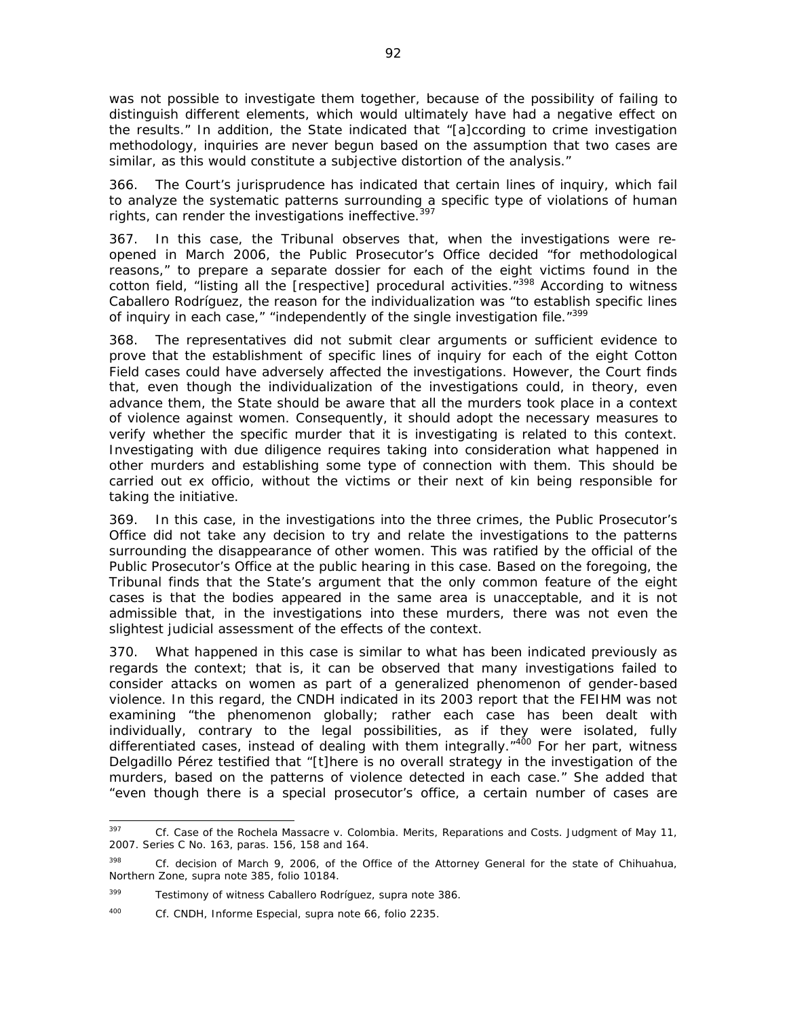was not possible to investigate them together, because of the possibility of failing to distinguish different elements, which would ultimately have had a negative effect on the results." In addition, the State indicated that "[a]ccording to crime investigation methodology, inquiries are never begun based on the assumption that two cases are similar, as this would constitute a subjective distortion of the analysis."

366. The Court's jurisprudence has indicated that certain lines of inquiry, which fail to analyze the systematic patterns surrounding a specific type of violations of human rights, can render the investigations ineffective.<sup>397</sup>

367. In this case, the Tribunal observes that, when the investigations were reopened in March 2006, the Public Prosecutor's Office decided "for methodological reasons," to prepare a separate dossier for each of the eight victims found in the cotton field, "listing all the [respective] procedural activities.<sup>"398</sup> According to witness Caballero Rodríguez, the reason for the individualization was "to establish specific lines of inquiry in each case," "independently of the single investigation file."<sup>399</sup>

368. The representatives did not submit clear arguments or sufficient evidence to prove that the establishment of specific lines of inquiry for each of the eight Cotton Field cases could have adversely affected the investigations. However, the Court finds that, even though the individualization of the investigations could, in theory, even advance them, the State should be aware that all the murders took place in a context of violence against women. Consequently, it should adopt the necessary measures to verify whether the specific murder that it is investigating is related to this context. Investigating with due diligence requires taking into consideration what happened in other murders and establishing some type of connection with them. This should be carried out *ex officio*, without the victims or their next of kin being responsible for taking the initiative.

369. In this case, in the investigations into the three crimes, the Public Prosecutor's Office did not take any decision to try and relate the investigations to the patterns surrounding the disappearance of other women. This was ratified by the official of the Public Prosecutor's Office at the public hearing in this case. Based on the foregoing, the Tribunal finds that the State's argument that the only common feature of the eight cases is that the bodies appeared in the same area is unacceptable, and it is not admissible that, in the investigations into these murders, there was not even the slightest judicial assessment of the effects of the context.

370. What happened in this case is similar to what has been indicated previously as regards the context; that is, it can be observed that many investigations failed to consider attacks on women as part of a generalized phenomenon of gender-based violence. In this regard, the CNDH indicated in its 2003 report that the FEIHM was not examining "the phenomenon globally; rather each case has been dealt with individually, contrary to the legal possibilities, as if they were isolated, fully differentiated cases, instead of dealing with them integrally."<sup>400</sup> For her part, witness Delgadillo Pérez testified that "[t]here is no overall strategy in the investigation of the murders, based on the patterns of violence detected in each case." She added that "even though there is a special prosecutor's office, a certain number of cases are

<sup>397</sup> 397 *Cf. Case of the Rochela Massacre v. Colombia. Merits, Reparations and Costs*. Judgment of May 11, 2007. Series C No. 163, paras. 156, 158 and 164.

<sup>398</sup> *Cf.* decision of March 9, 2006, of the Office of the Attorney General for the state of Chihuahua, Northern Zone, *supra* note 385, folio 10184.

<sup>399</sup> Testimony of witness Caballero Rodríguez, *supra* note 386.

<sup>400</sup> *Cf.* CNDH, *Informe Especial*, *supra* note 66, folio 2235.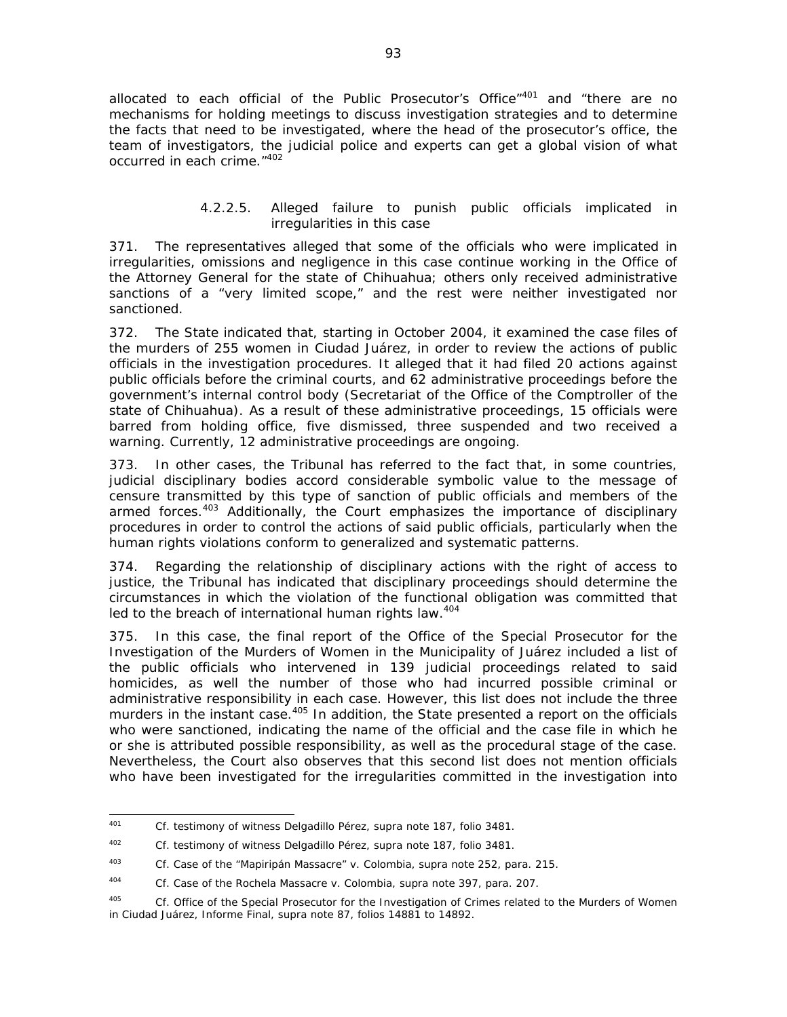allocated to each official of the Public Prosecutor's Office"<sup>401</sup> and "there are no mechanisms for holding meetings to discuss investigation strategies and to determine the facts that need to be investigated, where the head of the prosecutor's office, the team of investigators, the judicial police and experts can get a global vision of what occurred in each crime."402

#### *4.2.2.5. Alleged failure to punish public officials implicated in irregularities in this case*

371. The representatives alleged that some of the officials who were implicated in irregularities, omissions and negligence in this case continue working in the Office of the Attorney General for the state of Chihuahua; others only received administrative sanctions of a "very limited scope," and the rest were neither investigated nor sanctioned.

372. The State indicated that, starting in October 2004, it examined the case files of the murders of 255 women in Ciudad Juárez, in order to review the actions of public officials in the investigation procedures. It alleged that it had filed 20 actions against public officials before the criminal courts, and 62 administrative proceedings before the government's internal control body (Secretariat of the Office of the Comptroller of the state of Chihuahua). As a result of these administrative proceedings, 15 officials were barred from holding office, five dismissed, three suspended and two received a warning. Currently, 12 administrative proceedings are ongoing.

373. In other cases, the Tribunal has referred to the fact that, in some countries, judicial disciplinary bodies accord considerable symbolic value to the message of censure transmitted by this type of sanction of public officials and members of the armed forces.<sup>403</sup> Additionally, the Court emphasizes the importance of disciplinary procedures in order to control the actions of said public officials, particularly when the human rights violations conform to generalized and systematic patterns.

374. Regarding the relationship of disciplinary actions with the right of access to justice, the Tribunal has indicated that disciplinary proceedings should determine the circumstances in which the violation of the functional obligation was committed that led to the breach of international human rights law.<sup>404</sup>

375. In this case, the final report of the Office of the Special Prosecutor for the Investigation of the Murders of Women in the Municipality of Juárez included a list of the public officials who intervened in 139 judicial proceedings related to said homicides, as well the number of those who had incurred possible criminal or administrative responsibility in each case. However, this list does not include the three murders in the instant case.<sup>405</sup> In addition, the State presented a report on the officials who were sanctioned, indicating the name of the official and the case file in which he or she is attributed possible responsibility, as well as the procedural stage of the case. Nevertheless, the Court also observes that this second list does not mention officials who have been investigated for the irregularities committed in the investigation into

<sup>401</sup> 401 *Cf.* testimony of witness Delgadillo Pérez, *supra* note 187, folio 3481.

<sup>402</sup> *Cf.* testimony of witness Delgadillo Pérez, *supra* note 187, folio 3481.

<sup>403</sup> *Cf. Case of the "Mapiripán Massacre" v. Colombia*, *supra* note 252, para. 215.

<sup>404</sup> *Cf. Case of the Rochela Massacre v. Colombia, supra* note 397, para. 207.

<sup>&</sup>lt;sup>405</sup> *Cf.* Office of the Special Prosecutor for the Investigation of Crimes related to the Murders of Women in Ciudad Juárez, *Informe Final*, *supra* note 87, folios 14881 to 14892.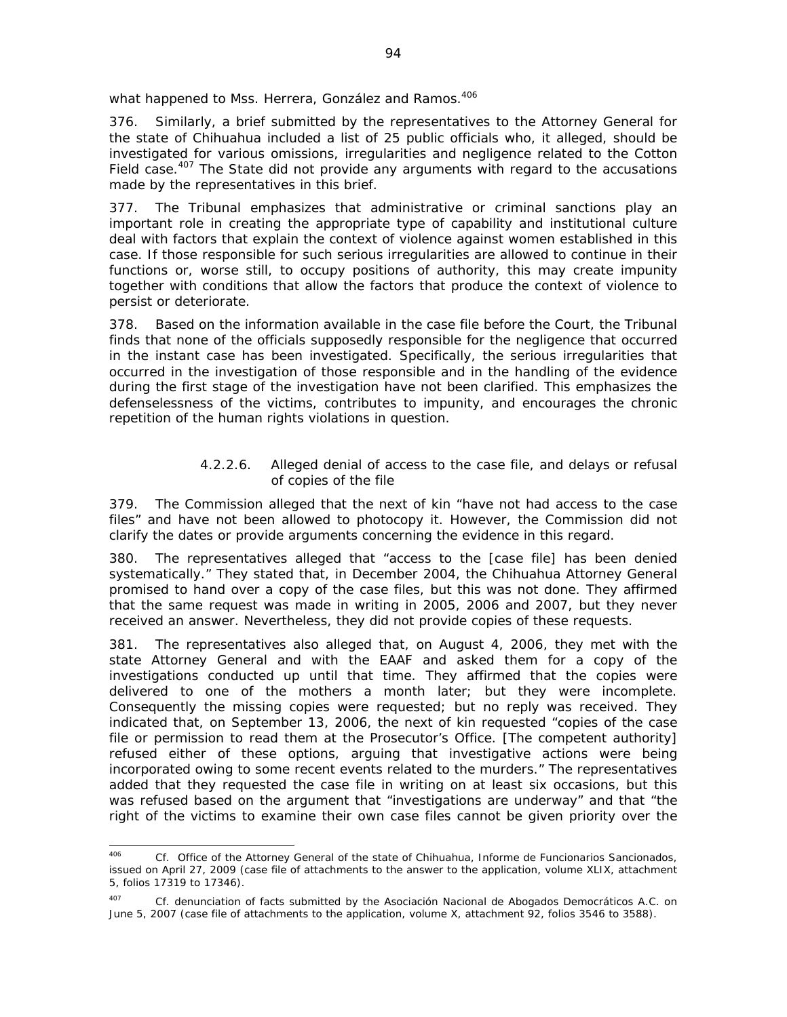what happened to Mss. Herrera, González and Ramos.<sup>406</sup>

376. Similarly, a brief submitted by the representatives to the Attorney General for the state of Chihuahua included a list of 25 public officials who, it alleged, should be investigated for various omissions, irregularities and negligence related to the Cotton Field case.<sup>407</sup> The State did not provide any arguments with regard to the accusations made by the representatives in this brief.

377. The Tribunal emphasizes that administrative or criminal sanctions play an important role in creating the appropriate type of capability and institutional culture deal with factors that explain the context of violence against women established in this case. If those responsible for such serious irregularities are allowed to continue in their functions or, worse still, to occupy positions of authority, this may create impunity together with conditions that allow the factors that produce the context of violence to persist or deteriorate.

378. Based on the information available in the case file before the Court, the Tribunal finds that none of the officials supposedly responsible for the negligence that occurred in the instant case has been investigated. Specifically, the serious irregularities that occurred in the investigation of those responsible and in the handling of the evidence during the first stage of the investigation have not been clarified. This emphasizes the defenselessness of the victims, contributes to impunity, and encourages the chronic repetition of the human rights violations in question.

#### *4.2.2.6. Alleged denial of access to the case file, and delays or refusal of copies of the file*

379. The Commission alleged that the next of kin "have not had access to the case files" and have not been allowed to photocopy it. However, the Commission did not clarify the dates or provide arguments concerning the evidence in this regard.

380. The representatives alleged that "access to the [case file] has been denied systematically." They stated that, in December 2004, the Chihuahua Attorney General promised to hand over a copy of the case files, but this was not done. They affirmed that the same request was made in writing in 2005, 2006 and 2007, but they never received an answer. Nevertheless, they did not provide copies of these requests.

381. The representatives also alleged that, on August 4, 2006, they met with the state Attorney General and with the EAAF and asked them for a copy of the investigations conducted up until that time. They affirmed that the copies were delivered to one of the mothers a month later; but they were incomplete. Consequently the missing copies were requested; but no reply was received. They indicated that, on September 13, 2006, the next of kin requested "copies of the case file or permission to read them at the Prosecutor's Office. [The competent authority] refused either of these options, arguing that investigative actions were being incorporated owing to some recent events related to the murders." The representatives added that they requested the case file in writing on at least six occasions, but this was refused based on the argument that "investigations are underway" and that "the right of the victims to examine their own case files cannot be given priority over the

<sup>406</sup> 406 *Cf.* Office of the Attorney General of the state of Chihuahua, *Informe de Funcionarios Sancionados*, issued on April 27, 2009 (case file of attachments to the answer to the application, volume XLIX, attachment 5, folios 17319 to 17346).

<sup>407</sup> *Cf.* denunciation of facts submitted by the *Asociación Nacional de Abogados Democráticos A.C*. on June 5, 2007 (case file of attachments to the application, volume X, attachment 92, folios 3546 to 3588).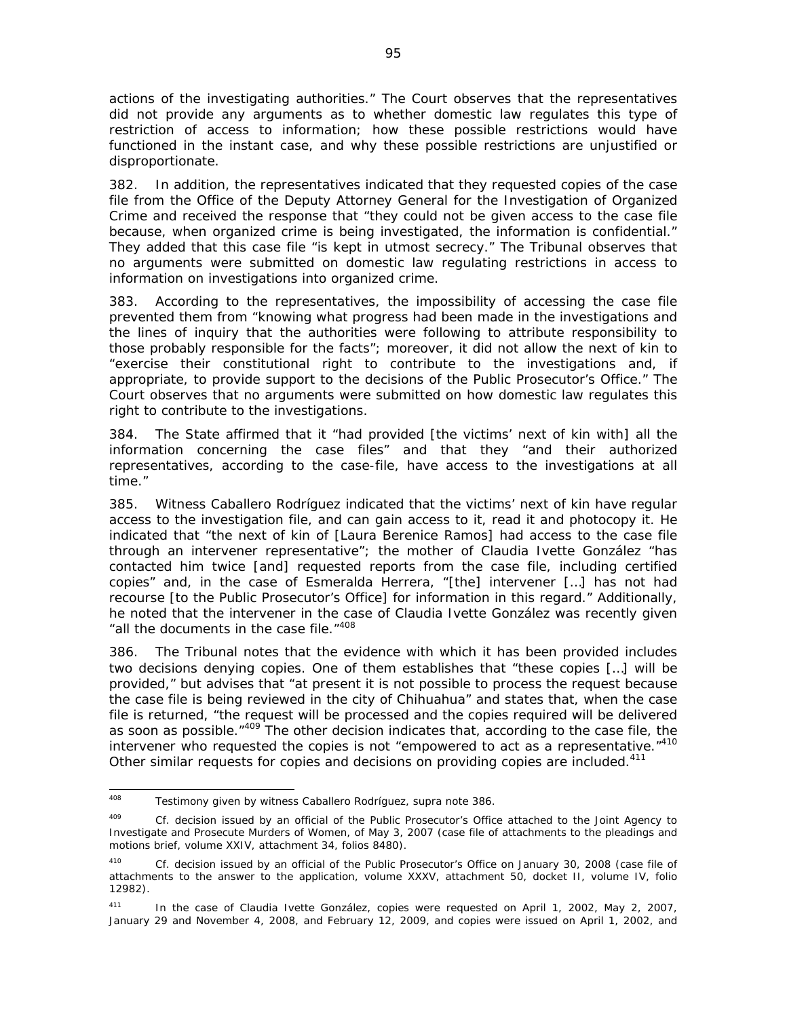actions of the investigating authorities." The Court observes that the representatives did not provide any arguments as to whether domestic law regulates this type of restriction of access to information; how these possible restrictions would have functioned in the instant case, and why these possible restrictions are unjustified or disproportionate.

382. In addition, the representatives indicated that they requested copies of the case file from the Office of the Deputy Attorney General for the Investigation of Organized Crime and received the response that "they could not be given access to the case file because, when organized crime is being investigated, the information is confidential." They added that this case file "is kept in utmost secrecy." The Tribunal observes that no arguments were submitted on domestic law regulating restrictions in access to information on investigations into organized crime.

383. According to the representatives, the impossibility of accessing the case file prevented them from "knowing what progress had been made in the investigations and the lines of inquiry that the authorities were following to attribute responsibility to those probably responsible for the facts"; moreover, it did not allow the next of kin to "exercise their constitutional right to contribute to the investigations and, if appropriate, to provide support to the decisions of the Public Prosecutor's Office." The Court observes that no arguments were submitted on how domestic law regulates this right to contribute to the investigations.

384. The State affirmed that it "had provided [the victims' next of kin with] all the information concerning the case files" and that they "and their authorized representatives, according to the case-file, have access to the investigations at all time."

385. Witness Caballero Rodríguez indicated that the victims' next of kin have regular access to the investigation file, and can gain access to it, read it and photocopy it. He indicated that "the next of kin of [Laura Berenice Ramos] had access to the case file through an intervener representative"; the mother of Claudia Ivette González "has contacted him twice [and] requested reports from the case file, including certified copies" and, in the case of Esmeralda Herrera, "[the] intervener […] has not had recourse [to the Public Prosecutor's Office] for information in this regard." Additionally, he noted that the intervener in the case of Claudia Ivette González was recently given "all the documents in the case file."<sup>408</sup>

386. The Tribunal notes that the evidence with which it has been provided includes two decisions denying copies. One of them establishes that "these copies […] will be provided," but advises that "at present it is not possible to process the request because the case file is being reviewed in the city of Chihuahua" and states that, when the case file is returned, "the request will be processed and the copies required will be delivered as soon as possible.<sup>"409</sup> The other decision indicates that, according to the case file, the intervener who requested the copies is not "empowered to act as a representative."410 Other similar requests for copies and decisions on providing copies are included.<sup>411</sup>

<sup>408</sup> 408 Testimony given by witness Caballero Rodríguez, *supra* note 386.

<sup>&</sup>lt;sup>409</sup> *Cf.* decision issued by an official of the Public Prosecutor's Office attached to the Joint Agency to Investigate and Prosecute Murders of Women, of May 3, 2007 (case file of attachments to the pleadings and motions brief, volume XXIV, attachment 34, folios 8480).

<sup>410</sup> *Cf.* decision issued by an official of the Public Prosecutor's Office on January 30, 2008 (case file of attachments to the answer to the application, volume XXXV, attachment 50, docket II, volume IV, folio 12982).

<sup>&</sup>lt;sup>411</sup> In the case of Claudia Ivette González, copies were requested on April 1, 2002, May 2, 2007, January 29 and November 4, 2008, and February 12, 2009, and copies were issued on April 1, 2002, and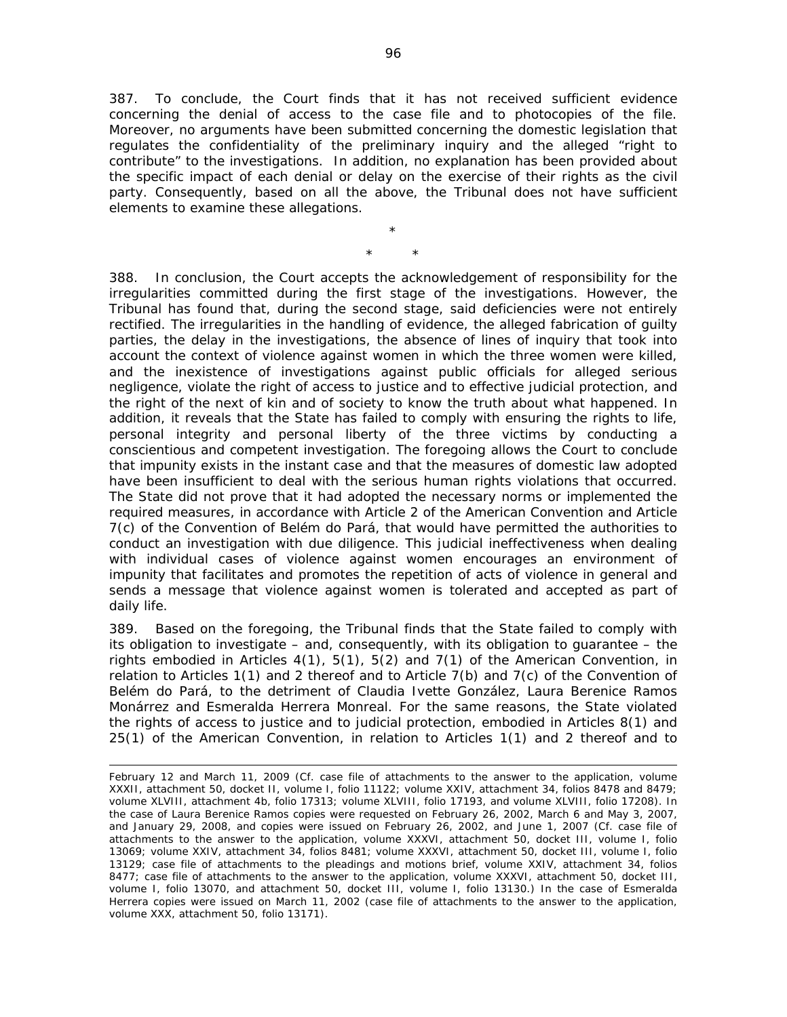387. To conclude, the Court finds that it has not received sufficient evidence concerning the denial of access to the case file and to photocopies of the file. Moreover, no arguments have been submitted concerning the domestic legislation that regulates the confidentiality of the preliminary inquiry and the alleged "right to contribute" to the investigations. In addition, no explanation has been provided about the specific impact of each denial or delay on the exercise of their rights as the civil party. Consequently, based on all the above, the Tribunal does not have sufficient elements to examine these allegations.

> \* \* \*

388. In conclusion, the Court accepts the acknowledgement of responsibility for the irregularities committed during the first stage of the investigations. However, the Tribunal has found that, during the second stage, said deficiencies were not entirely rectified. The irregularities in the handling of evidence, the alleged fabrication of guilty parties, the delay in the investigations, the absence of lines of inquiry that took into account the context of violence against women in which the three women were killed, and the inexistence of investigations against public officials for alleged serious negligence, violate the right of access to justice and to effective judicial protection, and the right of the next of kin and of society to know the truth about what happened. In addition, it reveals that the State has failed to comply with ensuring the rights to life, personal integrity and personal liberty of the three victims by conducting a conscientious and competent investigation. The foregoing allows the Court to conclude that impunity exists in the instant case and that the measures of domestic law adopted have been insufficient to deal with the serious human rights violations that occurred. The State did not prove that it had adopted the necessary norms or implemented the required measures, in accordance with Article 2 of the American Convention and Article 7(c) of the Convention of Belém do Pará, that would have permitted the authorities to conduct an investigation with due diligence. This judicial ineffectiveness when dealing with individual cases of violence against women encourages an environment of impunity that facilitates and promotes the repetition of acts of violence in general and sends a message that violence against women is tolerated and accepted as part of daily life.

389. Based on the foregoing, the Tribunal finds that the State failed to comply with its obligation to investigate – and, consequently, with its obligation to guarantee – the rights embodied in Articles  $4(1)$ ,  $5(1)$ ,  $5(2)$  and  $7(1)$  of the American Convention, in relation to Articles 1(1) and 2 thereof and to Article 7(b) and 7(c) of the Convention of Belém do Pará, to the detriment of Claudia Ivette González, Laura Berenice Ramos Monárrez and Esmeralda Herrera Monreal. For the same reasons, the State violated the rights of access to justice and to judicial protection, embodied in Articles 8(1) and 25(1) of the American Convention, in relation to Articles 1(1) and 2 thereof and to

j

February 12 and March 11, 2009 (*Cf.* case file of attachments to the answer to the application, volume XXXII, attachment 50, docket II, volume I, folio 11122; volume XXIV, attachment 34, folios 8478 and 8479; volume XLVIII, attachment 4b, folio 17313; volume XLVIII, folio 17193, and volume XLVIII, folio 17208). In the case of Laura Berenice Ramos copies were requested on February 26, 2002, March 6 and May 3, 2007, and January 29, 2008, and copies were issued on February 26, 2002, and June 1, 2007 (*Cf.* case file of attachments to the answer to the application, volume XXXVI, attachment 50, docket III, volume I, folio 13069; volume XXIV, attachment 34, folios 8481; volume XXXVI, attachment 50, docket III, volume I, folio 13129; case file of attachments to the pleadings and motions brief, volume XXIV, attachment 34, folios 8477; case file of attachments to the answer to the application, volume XXXVI, attachment 50, docket III, volume I, folio 13070, and attachment 50, docket III, volume I, folio 13130.) In the case of Esmeralda Herrera copies were issued on March 11, 2002 (case file of attachments to the answer to the application, volume XXX, attachment 50, folio 13171).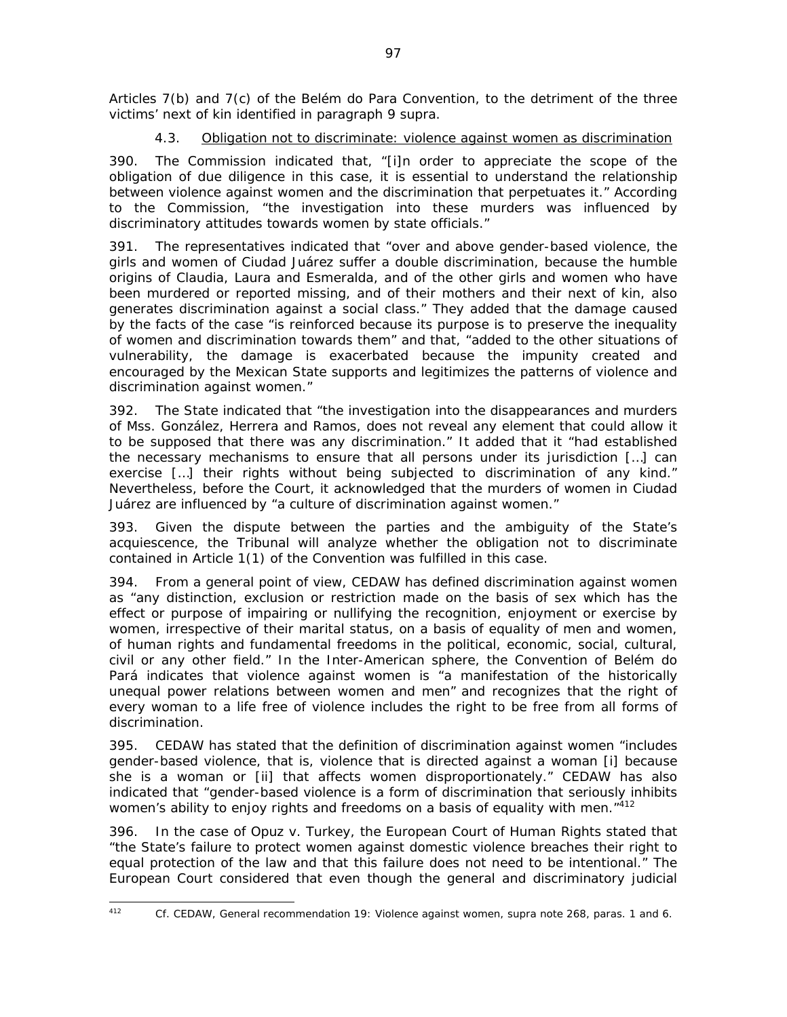Articles 7(b) and 7(c) of the Belém do Para Convention, to the detriment of the three victims' next of kin identified in paragraph 9 *supra.*

# *4.3. Obligation not to discriminate: violence against women as discrimination*

390. The Commission indicated that, "[i]n order to appreciate the scope of the obligation of due diligence in this case, it is essential to understand the relationship between violence against women and the discrimination that perpetuates it." According to the Commission, "the investigation into these murders was influenced by discriminatory attitudes towards women by state officials."

391. The representatives indicated that "over and above gender-based violence, the girls and women of Ciudad Juárez suffer a double discrimination, because the humble origins of Claudia, Laura and Esmeralda, and of the other girls and women who have been murdered or reported missing, and of their mothers and their next of kin, also generates discrimination against a social class." They added that the damage caused by the facts of the case "is reinforced because its purpose is to preserve the inequality of women and discrimination towards them" and that, "added to the other situations of vulnerability, the damage is exacerbated because the impunity created and encouraged by the Mexican State supports and legitimizes the patterns of violence and discrimination against women."

392. The State indicated that "the investigation into the disappearances and murders of Mss. González, Herrera and Ramos, does not reveal any element that could allow it to be supposed that there was any discrimination." It added that it "had established the necessary mechanisms to ensure that all persons under its jurisdiction […] can exercise […] their rights without being subjected to discrimination of any kind." Nevertheless, before the Court, it acknowledged that the murders of women in Ciudad Juárez are influenced by "a culture of discrimination against women."

393. Given the dispute between the parties and the ambiguity of the State's acquiescence, the Tribunal will analyze whether the obligation not to discriminate contained in Article 1(1) of the Convention was fulfilled in this case.

394. From a general point of view, CEDAW has defined discrimination against women as "any distinction, exclusion or restriction made on the basis of sex which has the effect or purpose of impairing or nullifying the recognition, enjoyment or exercise by women, irrespective of their marital status, on a basis of equality of men and women, of human rights and fundamental freedoms in the political, economic, social, cultural, civil or any other field." In the Inter-American sphere, the Convention of Belém do Pará indicates that violence against women is "a manifestation of the historically unequal power relations between women and men" and recognizes that the right of every woman to a life free of violence includes the right to be free from all forms of discrimination.

395. CEDAW has stated that the definition of discrimination against women "includes gender-based violence, that is, violence that is directed against a woman [i] because she is a woman or [ii] that affects women disproportionately." CEDAW has also indicated that "gender-based violence is a form of discrimination that seriously inhibits women's ability to enjoy rights and freedoms on a basis of equality with men."<sup>412</sup>

396. In the case of *Opuz v. Turkey,* the European Court of Human Rights stated that "the State's failure to protect women against domestic violence breaches their right to equal protection of the law and that this failure does not need to be intentional." The European Court considered that even though the general and discriminatory judicial

 $412$ <sup>412</sup> *Cf.* CEDAW, General recommendation 19: Violence against women, *supra* note 268, paras. 1 and 6.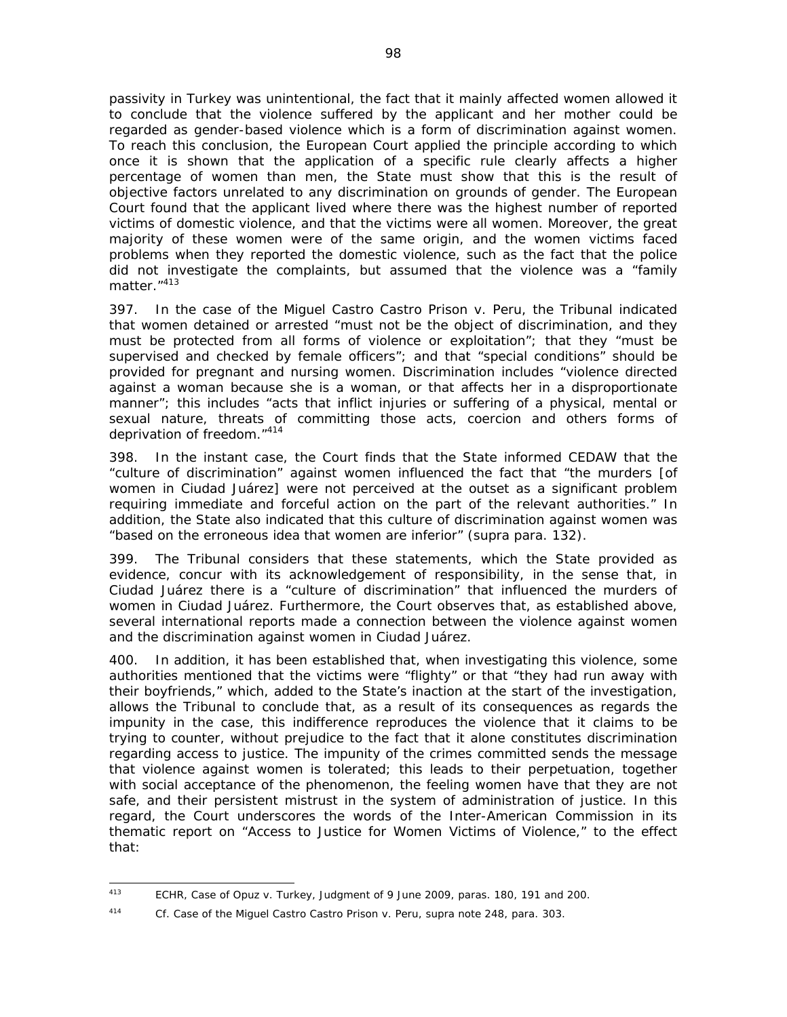passivity in Turkey was unintentional, the fact that it mainly affected women allowed it to conclude that the violence suffered by the applicant and her mother could be regarded as gender-based violence which is a form of discrimination against women. To reach this conclusion, the European Court applied the principle according to which once it is shown that the application of a specific rule clearly affects a higher percentage of women than men, the State must show that this is the result of objective factors unrelated to any discrimination on grounds of gender. The European Court found that the applicant lived where there was the highest number of reported victims of domestic violence, and that the victims were all women. Moreover, the great majority of these women were of the same origin, and the women victims faced problems when they reported the domestic violence, such as the fact that the police did not investigate the complaints, but assumed that the violence was a "family matter.<sup>"413</sup>

397. In the case of the *Miguel Castro Castro Prison v. Peru*, the Tribunal indicated that women detained or arrested "must not be the object of discrimination, and they must be protected from all forms of violence or exploitation"; that they "must be supervised and checked by female officers"; and that "special conditions" should be provided for pregnant and nursing women. Discrimination includes "violence directed against a woman because she is a woman, or that affects her in a disproportionate manner"; this includes "acts that inflict injuries or suffering of a physical, mental or sexual nature, threats of committing those acts, coercion and others forms of deprivation of freedom."414

398. In the instant case, the Court finds that the State informed CEDAW that the "culture of discrimination" against women influenced the fact that "the murders [of women in Ciudad Juárez] were not perceived at the outset as a significant problem requiring immediate and forceful action on the part of the relevant authorities." In addition, the State also indicated that this culture of discrimination against women was "based on the erroneous idea that women are inferior" (*supra* para. 132).

399. The Tribunal considers that these statements, which the State provided as evidence, concur with its acknowledgement of responsibility, in the sense that, in Ciudad Juárez there is a "culture of discrimination" that influenced the murders of women in Ciudad Juárez. Furthermore, the Court observes that, as established above, several international reports made a connection between the violence against women and the discrimination against women in Ciudad Juárez.

400. In addition, it has been established that, when investigating this violence, some authorities mentioned that the victims were "flighty" or that "they had run away with their boyfriends," which, added to the State's inaction at the start of the investigation, allows the Tribunal to conclude that, as a result of its consequences as regards the impunity in the case, this indifference reproduces the violence that it claims to be trying to counter, without prejudice to the fact that it alone constitutes discrimination regarding access to justice. The impunity of the crimes committed sends the message that violence against women is tolerated; this leads to their perpetuation, together with social acceptance of the phenomenon, the feeling women have that they are not safe, and their persistent mistrust in the system of administration of justice. In this regard, the Court underscores the words of the Inter-American Commission in its thematic report on "Access to Justice for Women Victims of Violence," to the effect that:

<sup>413</sup> 413 ECHR, *Case of Opuz v. Turkey*, Judgment of 9 June 2009, paras. 180, 191 and 200.

<sup>414</sup> *Cf. Case of the Miguel Castro Castro Prison v. Peru, supra* note 248, para. 303.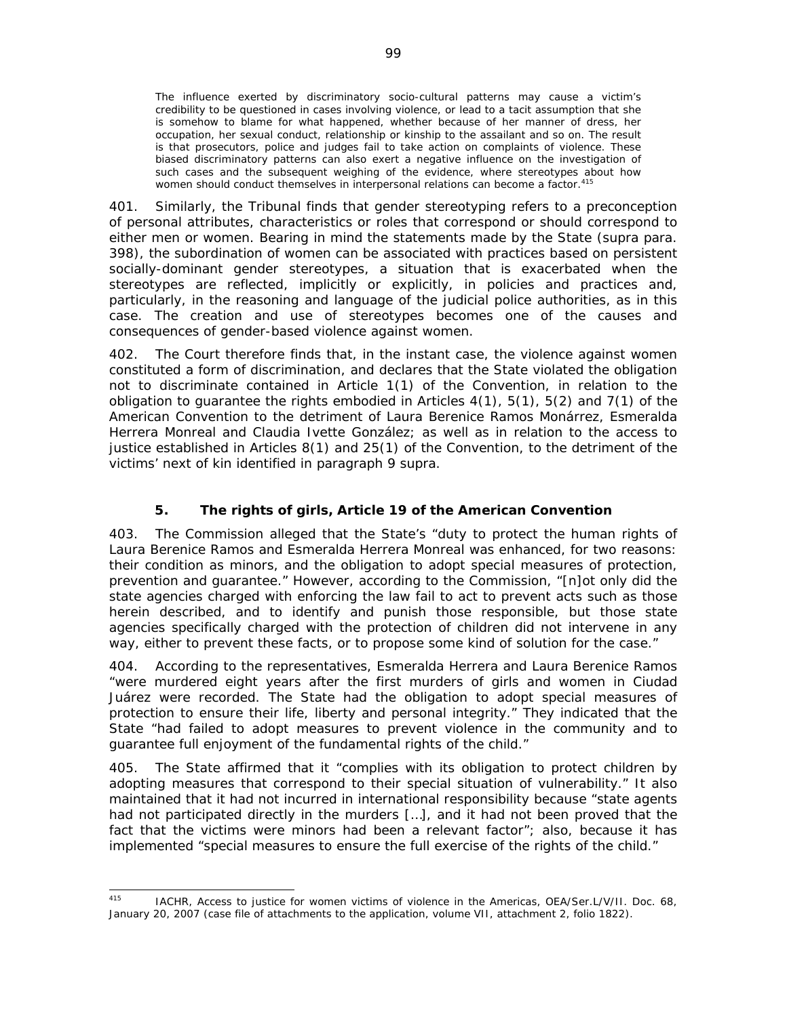The influence exerted by discriminatory socio-cultural patterns may cause a victim's credibility to be questioned in cases involving violence, or lead to a tacit assumption that she is somehow to blame for what happened, whether because of her manner of dress, her occupation, her sexual conduct, relationship or kinship to the assailant and so on. The result is that prosecutors, police and judges fail to take action on complaints of violence. These biased discriminatory patterns can also exert a negative influence on the investigation of such cases and the subsequent weighing of the evidence, where stereotypes about how women should conduct themselves in interpersonal relations can become a factor.<sup>4</sup>

401. Similarly, the Tribunal finds that gender stereotyping refers to a preconception of personal attributes, characteristics or roles that correspond or should correspond to either men or women. Bearing in mind the statements made by the State (*supra* para. 398), the subordination of women can be associated with practices based on persistent socially-dominant gender stereotypes, a situation that is exacerbated when the stereotypes are reflected, implicitly or explicitly, in policies and practices and, particularly, in the reasoning and language of the judicial police authorities, as in this case. The creation and use of stereotypes becomes one of the causes and consequences of gender-based violence against women.

402. The Court therefore finds that, in the instant case, the violence against women constituted a form of discrimination, and declares that the State violated the obligation not to discriminate contained in Article 1(1) of the Convention, in relation to the obligation to guarantee the rights embodied in Articles  $4(1)$ ,  $5(1)$ ,  $5(2)$  and  $7(1)$  of the American Convention to the detriment of Laura Berenice Ramos Monárrez, Esmeralda Herrera Monreal and Claudia Ivette González; as well as in relation to the access to justice established in Articles 8(1) and 25(1) of the Convention, to the detriment of the victims' next of kin identified in paragraph 9 *supra*.

# *5. The rights of girls, Article 19 of the American Convention*

403. The Commission alleged that the State's "duty to protect the human rights of Laura Berenice Ramos and Esmeralda Herrera Monreal was enhanced, for two reasons: their condition as minors, and the obligation to adopt special measures of protection, prevention and guarantee." However, according to the Commission, "[n]ot only did the state agencies charged with enforcing the law fail to act to prevent acts such as those herein described, and to identify and punish those responsible, but those state agencies specifically charged with the protection of children did not intervene in any way, either to prevent these facts, or to propose some kind of solution for the case."

404. According to the representatives, Esmeralda Herrera and Laura Berenice Ramos "were murdered eight years after the first murders of girls and women in Ciudad Juárez were recorded. The State had the obligation to adopt special measures of protection to ensure their life, liberty and personal integrity." They indicated that the State "had failed to adopt measures to prevent violence in the community and to guarantee full enjoyment of the fundamental rights of the child."

405. The State affirmed that it "complies with its obligation to protect children by adopting measures that correspond to their special situation of vulnerability." It also maintained that it had not incurred in international responsibility because "state agents had not participated directly in the murders […], and it had not been proved that the fact that the victims were minors had been a relevant factor"; also, because it has implemented "special measures to ensure the full exercise of the rights of the child."

<sup>415</sup> 415 IACHR, *Access to justice for women victims of violence in the Americas,* OEA/Ser.L/V/II. Doc. 68, January 20, 2007 (case file of attachments to the application, volume VII, attachment 2, folio 1822).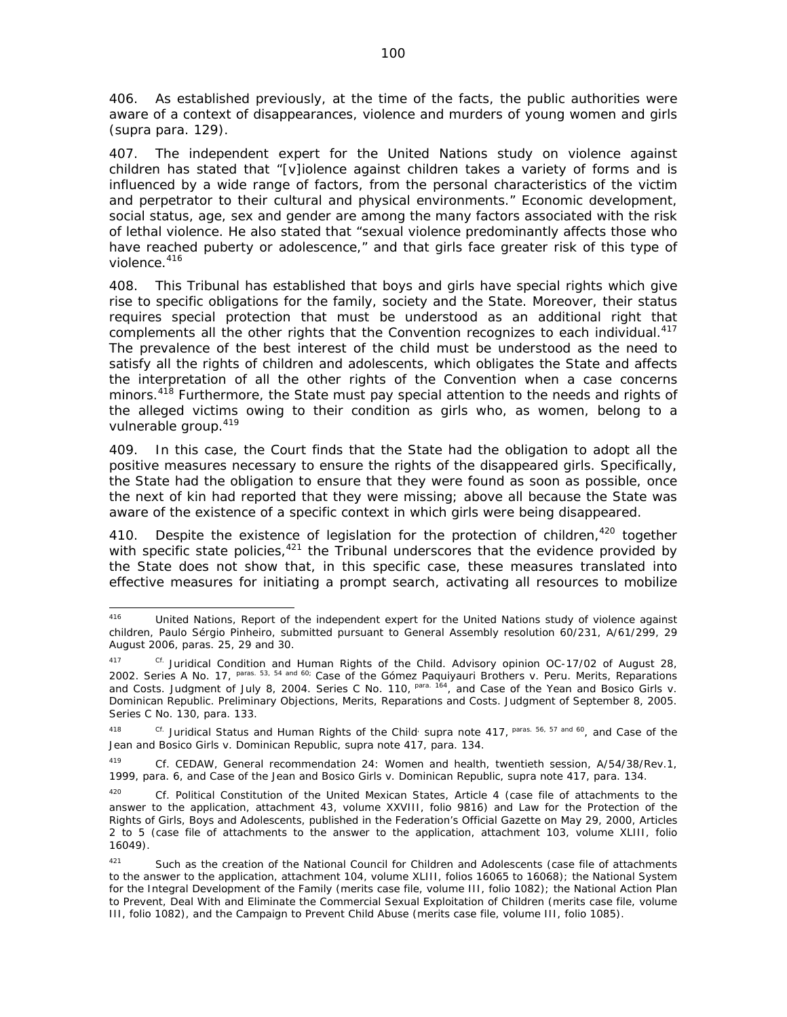406. As established previously, at the time of the facts, the public authorities were aware of a context of disappearances, violence and murders of young women and girls (*supra* para. 129).

407. The independent expert for the United Nations study on violence against children has stated that "[v]iolence against children takes a variety of forms and is influenced by a wide range of factors, from the personal characteristics of the victim and perpetrator to their cultural and physical environments." Economic development, social status, age, sex and gender are among the many factors associated with the risk of lethal violence. He also stated that "sexual violence predominantly affects those who have reached puberty or adolescence," and that girls face greater risk of this type of violence.<sup>416</sup>

408. This Tribunal has established that boys and girls have special rights which give rise to specific obligations for the family, society and the State. Moreover, their status requires special protection that must be understood as an additional right that complements all the other rights that the Convention recognizes to each individual.<sup>417</sup> The prevalence of the best interest of the child must be understood as the need to satisfy all the rights of children and adolescents, which obligates the State and affects the interpretation of all the other rights of the Convention when a case concerns minors.<sup>418</sup> Furthermore, the State must pay special attention to the needs and rights of the alleged victims owing to their condition as girls who, as women, belong to a vulnerable group.<sup>419</sup>

409. In this case, the Court finds that the State had the obligation to adopt all the positive measures necessary to ensure the rights of the disappeared girls. Specifically, the State had the obligation to ensure that they were found as soon as possible, once the next of kin had reported that they were missing; above all because the State was aware of the existence of a specific context in which girls were being disappeared.

410. Despite the existence of legislation for the protection of children,<sup>420</sup> together with specific state policies, $421$  the Tribunal underscores that the evidence provided by the State does not show that, in this specific case, these measures translated into effective measures for initiating a prompt search, activating all resources to mobilize

<sup>416</sup> United Nations, Report of the independent expert for the United Nations study of violence against children, Paulo Sérgio Pinheiro, submitted pursuant to General Assembly resolution 60/231, A/61/299, 29 August 2006, paras. 25, 29 and 30.

<sup>417</sup> *Cf*. *Juridical Condition and Human Rights of the Child.* Advisory opinion OC-17/02 of August 28, 2002. Series A No. 17, paras. 53, 54 and 60; *Case of the Gómez Paquiyauri Brothers v. Peru. Merits, Reparations and Costs*. Judgment of July 8, 2004. Series C No. 110, para. 164, and *Case of the Yean and Bosico Girls v. Dominican Republic. Preliminary Objections, Merits, Reparations and Costs*. Judgment of September 8, 2005. Series C No. 130, para. 133.

<sup>418</sup>*Cf. Juridical Status and Human Rights of the Child*, *supra* note 417, paras. 56, 57 and 60, and *Case of the Jean and Bosico Girls v. Dominican Republic*, *supra* note 417, para. 134.

<sup>419</sup> *Cf.* CEDAW, General recommendation 24: Women and health, twentieth session, A/54/38/Rev.1, 1999, para. 6, and *Case of the Jean and Bosico Girls v. Dominican Republic*, *supra* note 417, para. 134.

<sup>&</sup>lt;sup>420</sup> Cf. Political Constitution of the United Mexican States, Article 4 (case file of attachments to the answer to the application, attachment 43, volume XXVIII, folio 9816) and Law for the Protection of the Rights of Girls, Boys and Adolescents, published in the Federation's Official Gazette on May 29, 2000, Articles 2 to 5 (case file of attachments to the answer to the application, attachment 103, volume XLIII, folio 16049).

<sup>421</sup> Such as the creation of the National Council for Children and Adolescents (case file of attachments to the answer to the application, attachment 104, volume XLIII, folios 16065 to 16068); the National System for the Integral Development of the Family (merits case file, volume III, folio 1082); the National Action Plan to Prevent, Deal With and Eliminate the Commercial Sexual Exploitation of Children (merits case file, volume III, folio 1082), and the Campaign to Prevent Child Abuse (merits case file, volume III, folio 1085).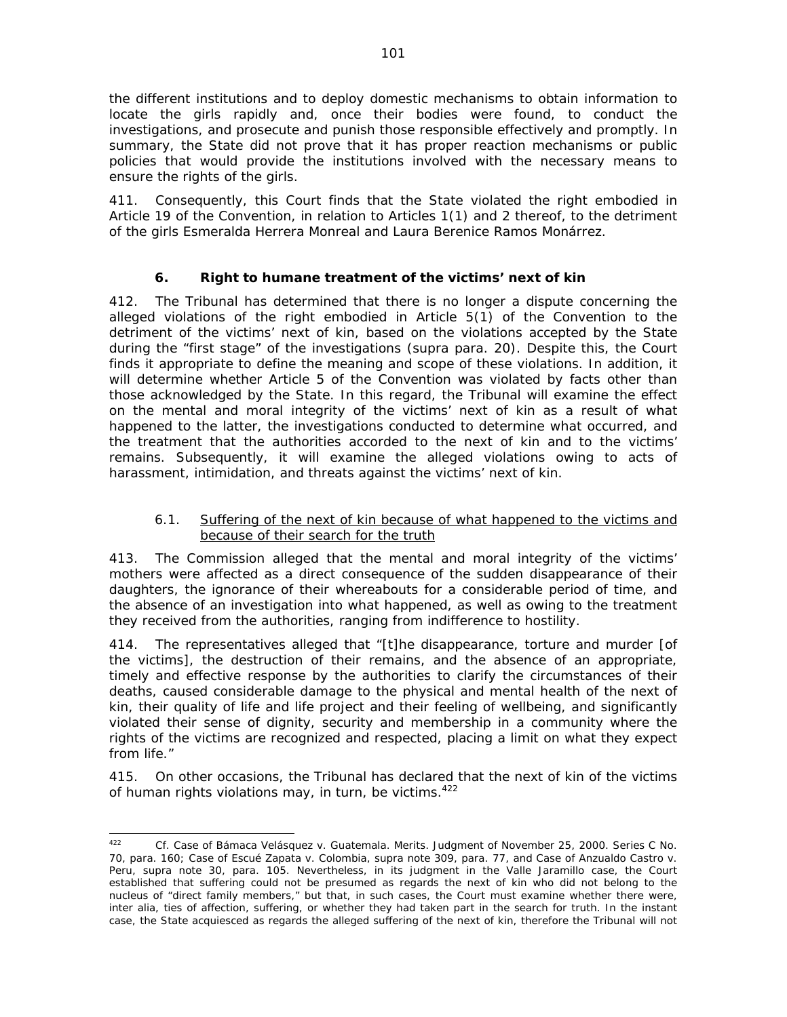the different institutions and to deploy domestic mechanisms to obtain information to locate the girls rapidly and, once their bodies were found, to conduct the investigations, and prosecute and punish those responsible effectively and promptly. In summary, the State did not prove that it has proper reaction mechanisms or public policies that would provide the institutions involved with the necessary means to ensure the rights of the girls.

411. Consequently, this Court finds that the State violated the right embodied in Article 19 of the Convention, in relation to Articles 1(1) and 2 thereof, to the detriment of the girls Esmeralda Herrera Monreal and Laura Berenice Ramos Monárrez.

# *6. Right to humane treatment of the victims' next of kin*

412. The Tribunal has determined that there is no longer a dispute concerning the alleged violations of the right embodied in Article 5(1) of the Convention to the detriment of the victims' next of kin, based on the violations accepted by the State during the "first stage" of the investigations (*supra* para. 20). Despite this, the Court finds it appropriate to define the meaning and scope of these violations. In addition, it will determine whether Article 5 of the Convention was violated by facts other than those acknowledged by the State. In this regard, the Tribunal will examine the effect on the mental and moral integrity of the victims' next of kin as a result of what happened to the latter, the investigations conducted to determine what occurred, and the treatment that the authorities accorded to the next of kin and to the victims' remains. Subsequently, it will examine the alleged violations owing to acts of harassment, intimidation, and threats against the victims' next of kin.

# *6.1. Suffering of the next of kin because of what happened to the victims and because of their search for the truth*

413. The Commission alleged that the mental and moral integrity of the victims' mothers were affected as a direct consequence of the sudden disappearance of their daughters, the ignorance of their whereabouts for a considerable period of time, and the absence of an investigation into what happened, as well as owing to the treatment they received from the authorities, ranging from indifference to hostility.

414. The representatives alleged that "[t]he disappearance, torture and murder [of the victims], the destruction of their remains, and the absence of an appropriate, timely and effective response by the authorities to clarify the circumstances of their deaths, caused considerable damage to the physical and mental health of the next of kin, their quality of life and life project and their feeling of wellbeing, and significantly violated their sense of dignity, security and membership in a community where the rights of the victims are recognized and respected, placing a limit on what they expect from life."

415. On other occasions, the Tribunal has declared that the next of kin of the victims of human rights violations may, in turn, be victims. $422$ 

 $422$ 422 *Cf. Case of Bámaca Velásquez v. Guatemala*. *Merits.* Judgment of November 25, 2000. Series C No. 70, para. 160*; Case of Escué Zapata v. Colombia, supra* note 309, para. 77, and *Case of Anzualdo Castro v. Peru*, *supra* note 30, para. 105. Nevertheless, in its judgment in the Valle Jaramillo case, the Court established that suffering could not be presumed as regards the next of kin who did not belong to the nucleus of "direct family members," but that, in such cases, the Court must examine whether there were, *inter alia*, ties of affection, suffering, or whether they had taken part in the search for truth. In the instant case, the State acquiesced as regards the alleged suffering of the next of kin, therefore the Tribunal will not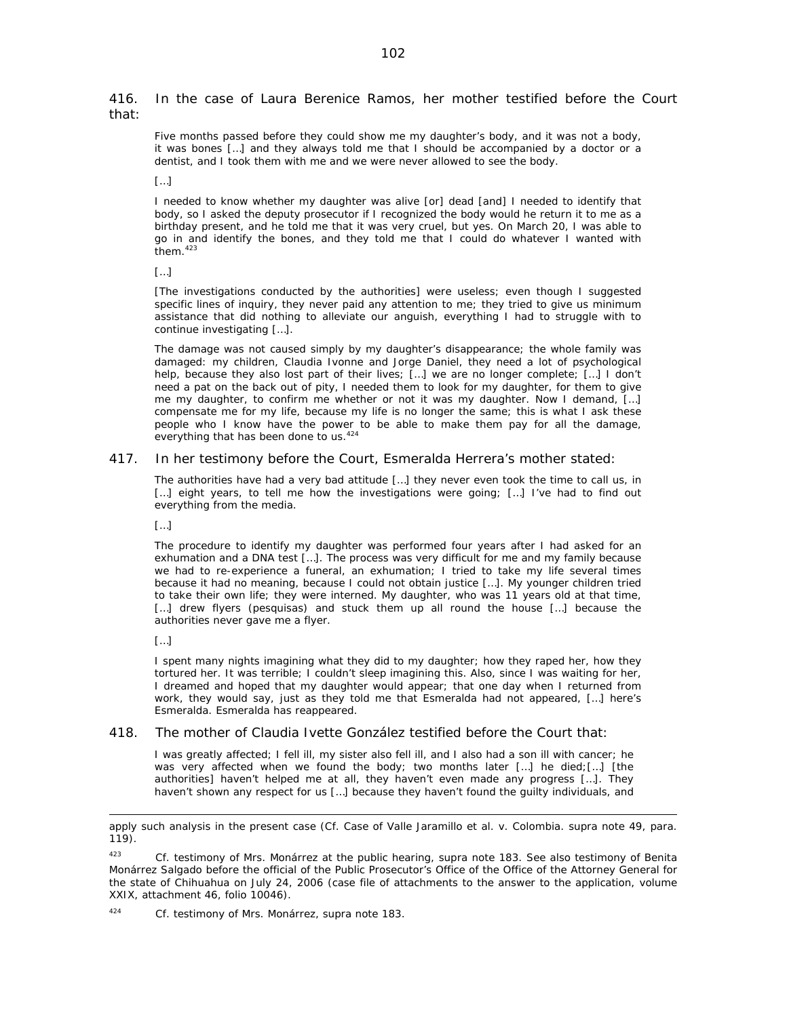416. In the case of Laura Berenice Ramos, her mother testified before the Court that:

Five months passed before they could show me my daughter's body, and it was not a body, it was bones […] and they always told me that I should be accompanied by a doctor or a dentist, and I took them with me and we were never allowed to see the body.

 $\lceil \dots \rceil$ 

I needed to know whether my daughter was alive [or] dead [and] I needed to identify that body, so I asked the deputy prosecutor if I recognized the body would he return it to me as a birthday present, and he told me that it was very cruel, but yes. On March 20, I was able to go in and identify the bones, and they told me that I could do whatever I wanted with them.<sup>423</sup>

 $\lceil \dots \rceil$ 

[The investigations conducted by the authorities] were useless; even though I suggested specific lines of inquiry, they never paid any attention to me; they tried to give us minimum assistance that did nothing to alleviate our anguish, everything I had to struggle with to continue investigating […].

The damage was not caused simply by my daughter's disappearance; the whole family was damaged: my children, Claudia Ivonne and Jorge Daniel, they need a lot of psychological help, because they also lost part of their lives; […] we are no longer complete; […] I don't need a pat on the back out of pity, I needed them to look for my daughter, for them to give me my daughter, to confirm me whether or not it was my daughter. Now I demand, […] compensate me for my life, because my life is no longer the same; this is what I ask these people who I know have the power to be able to make them pay for all the damage, everything that has been done to us.424

#### 417. In her testimony before the Court, Esmeralda Herrera's mother stated:

The authorities have had a very bad attitude […] they never even took the time to call us, in [...] eight years, to tell me how the investigations were going; [...] I've had to find out everything from the media.

[…]

The procedure to identify my daughter was performed four years after I had asked for an exhumation and a DNA test […]. The process was very difficult for me and my family because we had to re-experience a funeral, an exhumation; I tried to take my life several times because it had no meaning, because I could not obtain justice […]. My younger children tried to take their own life; they were interned. My daughter, who was 11 years old at that time, [...] drew flyers (*pesquisas*) and stuck them up all round the house [...] because the authorities never gave me a flyer.

 $\lceil \dots \rceil$ 

-

I spent many nights imagining what they did to my daughter; how they raped her, how they tortured her. It was terrible; I couldn't sleep imagining this. Also, since I was waiting for her, I dreamed and hoped that my daughter would appear; that one day when I returned from work, they would say, just as they told me that Esmeralda had not appeared, […] here's Esmeralda. Esmeralda has reappeared.

#### 418. The mother of Claudia Ivette González testified before the Court that:

I was greatly affected; I fell ill, my sister also fell ill, and I also had a son ill with cancer; he was very affected when we found the body; two months later […] he died;[…] [the authorities] haven't helped me at all, they haven't even made any progress […]. They haven't shown any respect for us […] because they haven't found the guilty individuals, and

424 *Cf.* testimony of Mrs. Monárrez, *supra* note 183.

apply such analysis in the present case (*Cf. Case of Valle Jaramillo et al. v. Colombia. supra* note 49, para. 119).

*<sup>423</sup> Cf.* testimony of Mrs. Monárrez at the public hearing, *supra* note 183. See also testimony of Benita Monárrez Salgado before the official of the Public Prosecutor's Office of the Office of the Attorney General for the state of Chihuahua on July 24, 2006 (case file of attachments to the answer to the application, volume XXIX, attachment 46, folio 10046).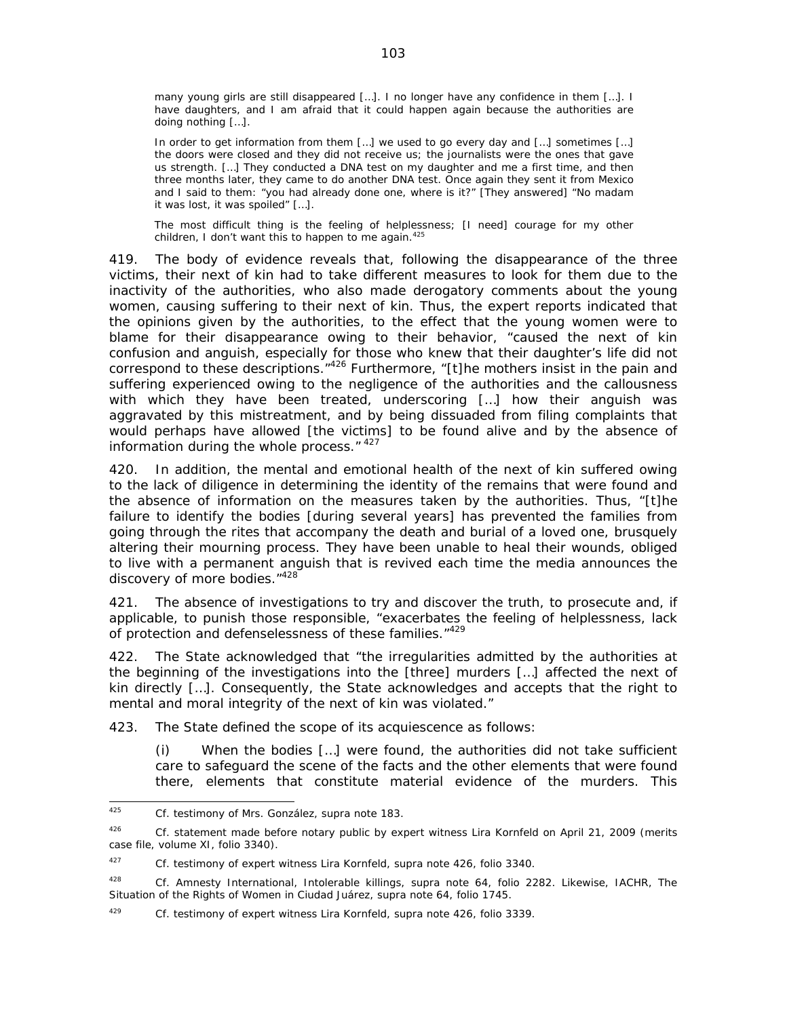many young girls are still disappeared […]. I no longer have any confidence in them […]. I have daughters, and I am afraid that it could happen again because the authorities are doing nothing […].

In order to get information from them […] we used to go every day and […] sometimes […] the doors were closed and they did not receive us; the journalists were the ones that gave us strength. […] They conducted a DNA test on my daughter and me a first time, and then three months later, they came to do another DNA test. Once again they sent it from Mexico and I said to them: "you had already done one, where is it?" [They answered] "No madam it was lost, it was spoiled" […].

The most difficult thing is the feeling of helplessness; [I need] courage for my other children, I don't want this to happen to me again.  $425$ 

419. The body of evidence reveals that, following the disappearance of the three victims, their next of kin had to take different measures to look for them due to the inactivity of the authorities, who also made derogatory comments about the young women, causing suffering to their next of kin. Thus, the expert reports indicated that the opinions given by the authorities, to the effect that the young women were to blame for their disappearance owing to their behavior, "caused the next of kin confusion and anguish, especially for those who knew that their daughter's life did not correspond to these descriptions."426 Furthermore, "[t]he mothers insist in the pain and suffering experienced owing to the negligence of the authorities and the callousness with which they have been treated, underscoring […] how their anguish was aggravated by this mistreatment, and by being dissuaded from filing complaints that would perhaps have allowed [the victims] to be found alive and by the absence of information during the whole process."  $427$ 

420. In addition, the mental and emotional health of the next of kin suffered owing to the lack of diligence in determining the identity of the remains that were found and the absence of information on the measures taken by the authorities. Thus, "[t]he failure to identify the bodies [during several years] has prevented the families from going through the rites that accompany the death and burial of a loved one, brusquely altering their mourning process. They have been unable to heal their wounds, obliged to live with a permanent anguish that is revived each time the media announces the discovery of more bodies."<sup>428</sup>

421. The absence of investigations to try and discover the truth, to prosecute and, if applicable, to punish those responsible, "exacerbates the feeling of helplessness, lack of protection and defenselessness of these families."<sup>429</sup>

422. The State acknowledged that "the irregularities admitted by the authorities at the beginning of the investigations into the [three] murders […] affected the next of kin directly […]. Consequently, the State acknowledges and accepts that the right to mental and moral integrity of the next of kin was violated."

423. The State defined the scope of its acquiescence as follows:

(i) When the bodies […] were found, the authorities did not take sufficient care to safeguard the scene of the facts and the other elements that were found there, elements that constitute material evidence of the murders. This

<sup>425</sup> 425 *Cf.* testimony of Mrs. González, *supra* note 183.

<sup>426</sup> *Cf.* statement made before notary public by expert witness Lira Kornfeld on April 21, 2009 (merits case file, volume XI, folio 3340).

<sup>427</sup> *Cf.* testimony of expert witness Lira Kornfeld, *supra* note 426, folio 3340.

<sup>428</sup> *Cf.* Amnesty International, *Intolerable killings, supra* note 64, folio 2282. Likewise, IACHR, *The Situation of the Rights of Women in Ciudad Juárez, supra* note 64, folio 1745.

<sup>429</sup> *Cf.* testimony of expert witness Lira Kornfeld, *supra* note 426, folio 3339.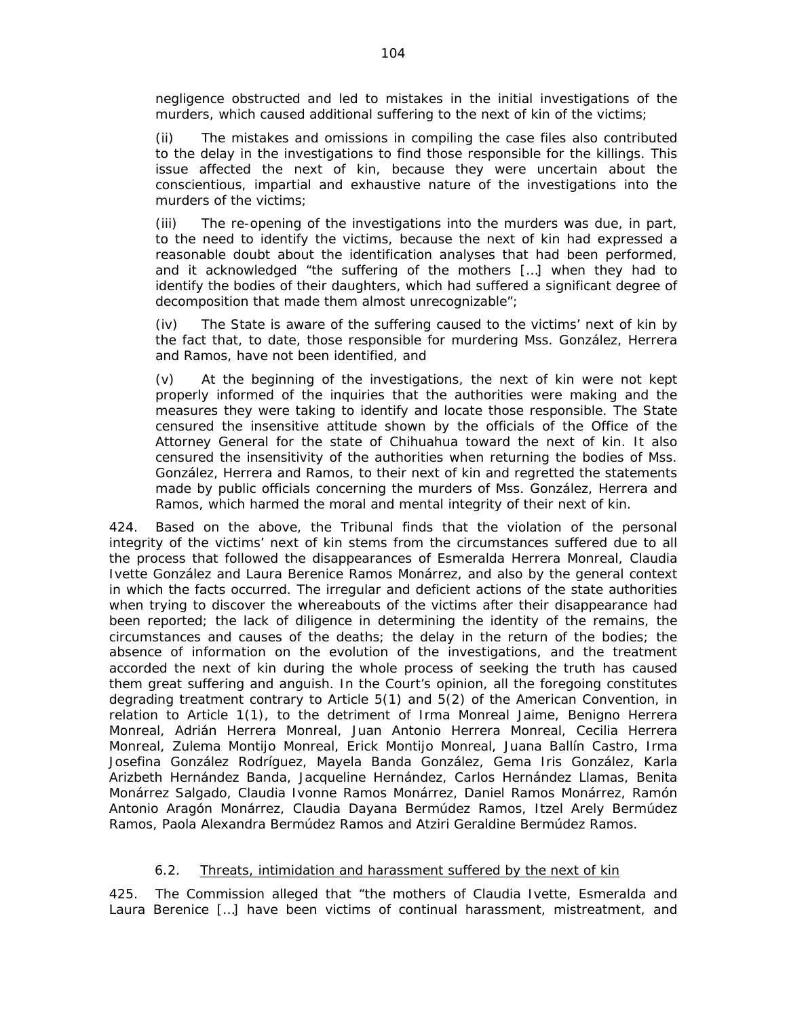negligence obstructed and led to mistakes in the initial investigations of the murders, which caused additional suffering to the next of kin of the victims;

(ii) The mistakes and omissions in compiling the case files also contributed to the delay in the investigations to find those responsible for the killings. This issue affected the next of kin, because they were uncertain about the conscientious, impartial and exhaustive nature of the investigations into the murders of the victims;

(iii) The re-opening of the investigations into the murders was due, in part, to the need to identify the victims, because the next of kin had expressed a reasonable doubt about the identification analyses that had been performed, and it acknowledged "the suffering of the mothers […] when they had to identify the bodies of their daughters, which had suffered a significant degree of decomposition that made them almost unrecognizable";

(iv) The State is aware of the suffering caused to the victims' next of kin by the fact that, to date, those responsible for murdering Mss. González, Herrera and Ramos, have not been identified, and

(v) At the beginning of the investigations, the next of kin were not kept properly informed of the inquiries that the authorities were making and the measures they were taking to identify and locate those responsible. The State censured the insensitive attitude shown by the officials of the Office of the Attorney General for the state of Chihuahua toward the next of kin. It also censured the insensitivity of the authorities when returning the bodies of Mss. González, Herrera and Ramos, to their next of kin and regretted the statements made by public officials concerning the murders of Mss. González, Herrera and Ramos, which harmed the moral and mental integrity of their next of kin.

424. Based on the above, the Tribunal finds that the violation of the personal integrity of the victims' next of kin stems from the circumstances suffered due to all the process that followed the disappearances of Esmeralda Herrera Monreal, Claudia Ivette González and Laura Berenice Ramos Monárrez, and also by the general context in which the facts occurred. The irregular and deficient actions of the state authorities when trying to discover the whereabouts of the victims after their disappearance had been reported; the lack of diligence in determining the identity of the remains, the circumstances and causes of the deaths; the delay in the return of the bodies; the absence of information on the evolution of the investigations, and the treatment accorded the next of kin during the whole process of seeking the truth has caused them great suffering and anguish. In the Court's opinion, all the foregoing constitutes degrading treatment contrary to Article 5(1) and 5(2) of the American Convention, in relation to Article 1(1), to the detriment of Irma Monreal Jaime, Benigno Herrera Monreal, Adrián Herrera Monreal, Juan Antonio Herrera Monreal, Cecilia Herrera Monreal, Zulema Montijo Monreal, Erick Montijo Monreal, Juana Ballín Castro, Irma Josefina González Rodríguez, Mayela Banda González, Gema Iris González, Karla Arizbeth Hernández Banda, Jacqueline Hernández, Carlos Hernández Llamas, Benita Monárrez Salgado, Claudia Ivonne Ramos Monárrez, Daniel Ramos Monárrez, Ramón Antonio Aragón Monárrez, Claudia Dayana Bermúdez Ramos, Itzel Arely Bermúdez Ramos, Paola Alexandra Bermúdez Ramos and Atziri Geraldine Bermúdez Ramos.

### *6.2. Threats, intimidation and harassment suffered by the next of kin*

425. The Commission alleged that "the mothers of Claudia Ivette, Esmeralda and Laura Berenice […] have been victims of continual harassment, mistreatment, and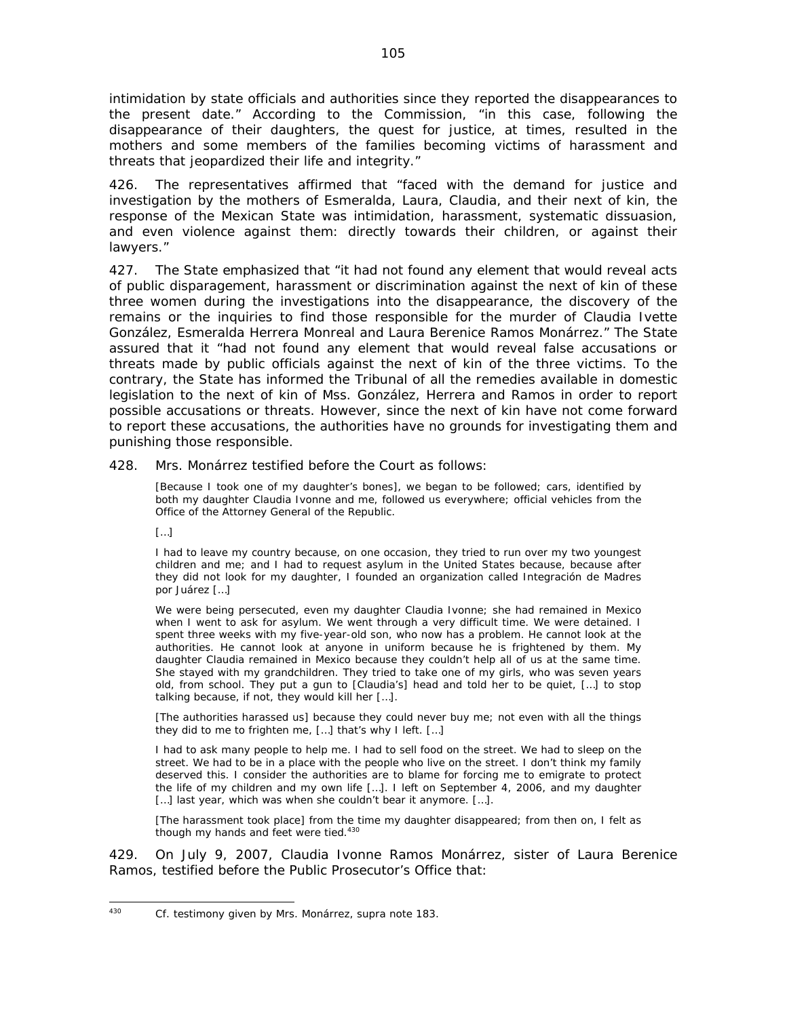intimidation by state officials and authorities since they reported the disappearances to the present date." According to the Commission, "in this case, following the disappearance of their daughters, the quest for justice, at times, resulted in the mothers and some members of the families becoming victims of harassment and threats that jeopardized their life and integrity."

426. The representatives affirmed that "faced with the demand for justice and investigation by the mothers of Esmeralda, Laura, Claudia, and their next of kin, the response of the Mexican State was intimidation, harassment, systematic dissuasion, and even violence against them: directly towards their children, or against their lawyers."

427. The State emphasized that "it had not found any element that would reveal acts of public disparagement, harassment or discrimination against the next of kin of these three women during the investigations into the disappearance, the discovery of the remains or the inquiries to find those responsible for the murder of Claudia Ivette González, Esmeralda Herrera Monreal and Laura Berenice Ramos Monárrez." The State assured that it "had not found any element that would reveal false accusations or threats made by public officials against the next of kin of the three victims. To the contrary, the State has informed the Tribunal of all the remedies available in domestic legislation to the next of kin of Mss. González, Herrera and Ramos in order to report possible accusations or threats. However, since the next of kin have not come forward to report these accusations, the authorities have no grounds for investigating them and punishing those responsible.

428. Mrs. Monárrez testified before the Court as follows:

[Because I took one of my daughter's bones], we began to be followed; cars, identified by both my daughter Claudia Ivonne and me, followed us everywhere; official vehicles from the Office of the Attorney General of the Republic.

[…]

I had to leave my country because, on one occasion, they tried to run over my two youngest children and me; and I had to request asylum in the United States because, because after they did not look for my daughter, I founded an organization called *Integración de Madres por Juárez* […]

We were being persecuted, even my daughter Claudia Ivonne; she had remained in Mexico when I went to ask for asylum. We went through a very difficult time. We were detained. I spent three weeks with my five-year-old son, who now has a problem. He cannot look at the authorities. He cannot look at anyone in uniform because he is frightened by them. My daughter Claudia remained in Mexico because they couldn't help all of us at the same time. She stayed with my grandchildren. They tried to take one of my girls, who was seven years old, from school. They put a gun to [Claudia's] head and told her to be quiet, […] to stop talking because, if not, they would kill her […].

[The authorities harassed us] because they could never buy me; not even with all the things they did to me to frighten me, […] that's why I left. […]

I had to ask many people to help me. I had to sell food on the street. We had to sleep on the street. We had to be in a place with the people who live on the street. I don't think my family deserved this. I consider the authorities are to blame for forcing me to emigrate to protect the life of my children and my own life […]. I left on September 4, 2006, and my daughter [...] last year, which was when she couldn't bear it anymore. [...].

[The harassment took place] from the time my daughter disappeared; from then on, I felt as though my hands and feet were tied.<sup>430</sup>

429. On July 9, 2007, Claudia Ivonne Ramos Monárrez, sister of Laura Berenice Ramos, testified before the Public Prosecutor's Office that:

 $430$ <sup>430</sup> *Cf.* testimony given by Mrs. Monárrez, *supra* note 183.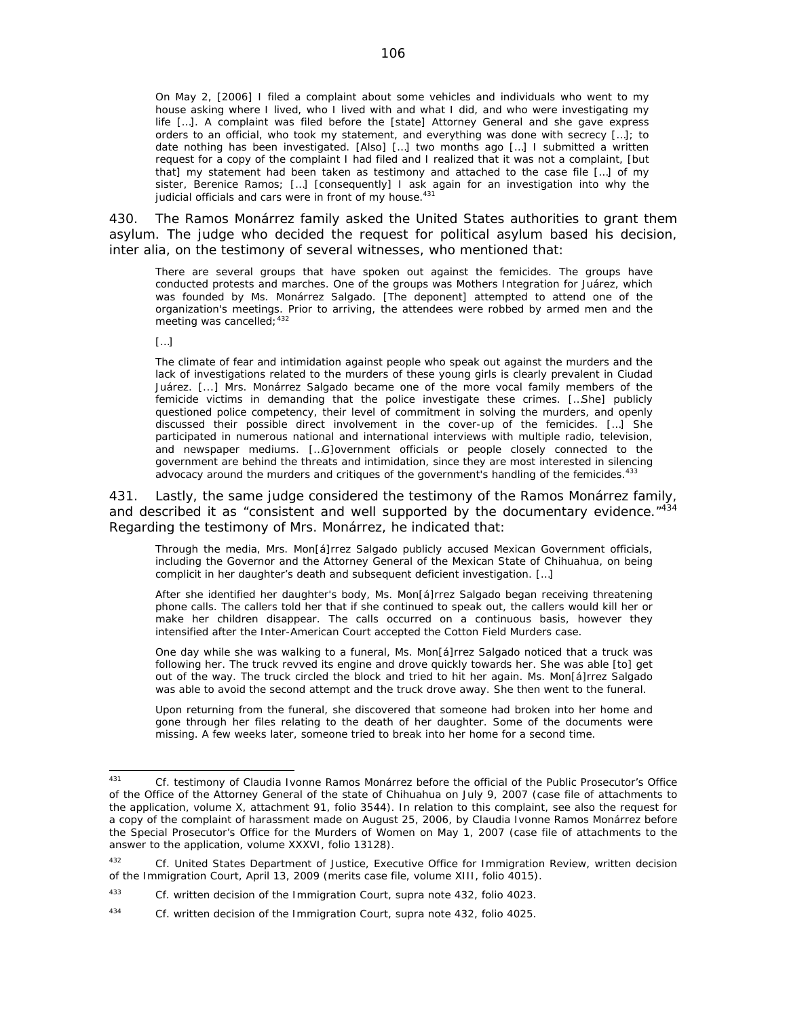On May 2, [2006] I filed a complaint about some vehicles and individuals who went to my house asking where I lived, who I lived with and what I did, and who were investigating my life […]. A complaint was filed before the [state] Attorney General and she gave express orders to an official, who took my statement, and everything was done with secrecy […]; to date nothing has been investigated. [Also] […] two months ago […] I submitted a written request for a copy of the complaint I had filed and I realized that it was not a complaint, [but that] my statement had been taken as testimony and attached to the case file […] of my sister, Berenice Ramos; […] [consequently] I ask again for an investigation into why the judicial officials and cars were in front of my house.<sup>431</sup>

430. The Ramos Monárrez family asked the United States authorities to grant them asylum. The judge who decided the request for political asylum based his decision, *inter alia*, on the testimony of several witnesses, who mentioned that:

There are several groups that have spoken out against the femicides. The groups have conducted protests and marches. One of the groups was Mothers Integration for Juárez, which was founded by Ms. Monárrez Salgado. [The deponent] attempted to attend one of the organization's meetings. Prior to arriving, the attendees were robbed by armed men and the meeting was cancelled; 432

 $\lceil \dots \rceil$ 

The climate of fear and intimidation against people who speak out against the murders and the lack of investigations related to the murders of these young girls is clearly prevalent in Ciudad Juárez. [...] Mrs. Monárrez Salgado became one of the more vocal family members of the femicide victims in demanding that the police investigate these crimes. […She] publicly questioned police competency, their level of commitment in solving the murders, and openly discussed their possible direct involvement in the cover-up of the femicides. […] She participated in numerous national and international interviews with multiple radio, television, and newspaper mediums. […G]overnment officials or people closely connected to the government are behind the threats and intimidation, since they are most interested in silencing advocacy around the murders and critiques of the government's handling of the femicides.<sup>433</sup>

431. Lastly, the same judge considered the testimony of the Ramos Monárrez family, and described it as "consistent and well supported by the documentary evidence."434 Regarding the testimony of Mrs. Monárrez, he indicated that:

Through the media, Mrs. Mon[á]rrez Salgado publicly accused Mexican Government officials, including the Governor and the Attorney General of the Mexican State of Chihuahua, on being complicit in her daughter's death and subsequent deficient investigation. […]

After she identified her daughter's body, Ms. Mon[á]rrez Salgado began receiving threatening phone calls. The callers told her that if she continued to speak out, the callers would kill her or make her children disappear. The calls occurred on a continuous basis, however they intensified after the Inter-American Court accepted the Cotton Field Murders case.

One day while she was walking to a funeral, Ms. Mon[á]rrez Salgado noticed that a truck was following her. The truck revved its engine and drove quickly towards her. She was able [to] get out of the way. The truck circled the block and tried to hit her again. Ms. Mon[á]rrez Salgado was able to avoid the second attempt and the truck drove away. She then went to the funeral.

Upon returning from the funeral, she discovered that someone had broken into her home and gone through her files relating to the death of her daughter. Some of the documents were missing. A few weeks later, someone tried to break into her home for a second time.

<sup>431</sup> Cf. testimony of Claudia Ivonne Ramos Monárrez before the official of the Public Prosecutor's Office of the Office of the Attorney General of the state of Chihuahua on July 9, 2007 (case file of attachments to the application, volume X, attachment 91, folio 3544). In relation to this complaint, see also the request for a copy of the complaint of harassment made on August 25, 2006, by Claudia Ivonne Ramos Monárrez before the Special Prosecutor's Office for the Murders of Women on May 1, 2007 (case file of attachments to the answer to the application, volume XXXVI, folio 13128).

<sup>432</sup> *Cf.* United States Department of Justice, Executive Office for Immigration Review, written decision of the Immigration Court, April 13, 2009 (merits case file, volume XIII, folio 4015).

<sup>433</sup> *Cf.* written decision of the Immigration Court, *supra* note 432, folio 4023.

<sup>434</sup> *Cf.* written decision of the Immigration Court, *supra* note 432, folio 4025.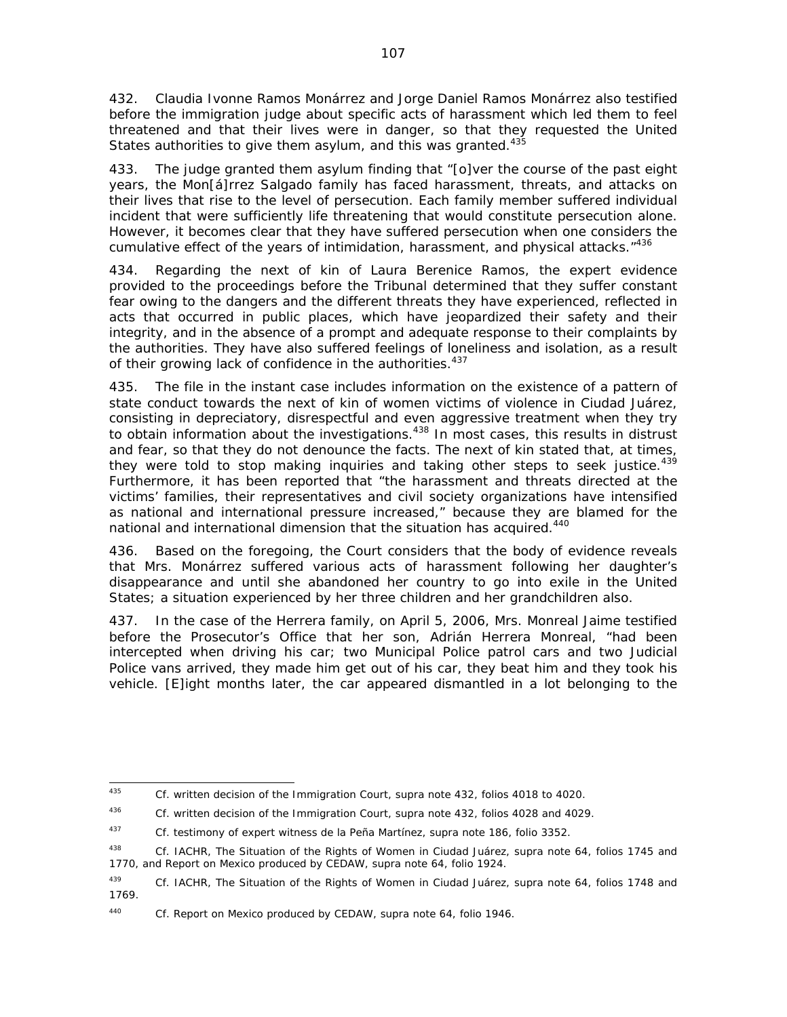432. Claudia Ivonne Ramos Monárrez and Jorge Daniel Ramos Monárrez also testified before the immigration judge about specific acts of harassment which led them to feel threatened and that their lives were in danger, so that they requested the United States authorities to give them asylum, and this was granted.<sup>435</sup>

433. The judge granted them asylum finding that "[o]ver the course of the past eight years, the Mon[á]rrez Salgado family has faced harassment, threats, and attacks on their lives that rise to the level of persecution. Each family member suffered individual incident that were sufficiently life threatening that would constitute persecution alone. However, it becomes clear that they have suffered persecution when one considers the cumulative effect of the years of intimidation, harassment, and physical attacks."436

434. Regarding the next of kin of Laura Berenice Ramos, the expert evidence provided to the proceedings before the Tribunal determined that they suffer constant fear owing to the dangers and the different threats they have experienced, reflected in acts that occurred in public places, which have jeopardized their safety and their integrity, and in the absence of a prompt and adequate response to their complaints by the authorities. They have also suffered feelings of loneliness and isolation, as a result of their growing lack of confidence in the authorities.<sup>437</sup>

435. The file in the instant case includes information on the existence of a pattern of state conduct towards the next of kin of women victims of violence in Ciudad Juárez, consisting in depreciatory, disrespectful and even aggressive treatment when they try to obtain information about the investigations.<sup>438</sup> In most cases, this results in distrust and fear, so that they do not denounce the facts. The next of kin stated that, at times, they were told to stop making inquiries and taking other steps to seek justice.<sup>439</sup> Furthermore, it has been reported that "the harassment and threats directed at the victims' families, their representatives and civil society organizations have intensified as national and international pressure increased," because they are blamed for the national and international dimension that the situation has acquired.<sup>440</sup>

436. Based on the foregoing, the Court considers that the body of evidence reveals that Mrs. Monárrez suffered various acts of harassment following her daughter's disappearance and until she abandoned her country to go into exile in the United States; a situation experienced by her three children and her grandchildren also.

437. In the case of the Herrera family, on April 5, 2006, Mrs. Monreal Jaime testified before the Prosecutor's Office that her son, Adrián Herrera Monreal, "had been intercepted when driving his car; two Municipal Police patrol cars and two Judicial Police vans arrived, they made him get out of his car, they beat him and they took his vehicle. [E]ight months later, the car appeared dismantled in a lot belonging to the

<sup>435</sup> 435 *Cf.* written decision of the Immigration Court, *supra* note 432, folios 4018 to 4020.

<sup>436</sup> *Cf.* written decision of the Immigration Court, *supra* note 432, folios 4028 and 4029.

<sup>437</sup> *Cf.* testimony of expert witness de la Peña Martínez, *supra* note 186, folio 3352.

<sup>438</sup> *Cf.* IACHR, *The Situation of the Rights of Women in Ciudad Juárez, supra* note 64, folios 1745 and 1770, and Report on Mexico produced by CEDAW, *supra* note 64, folio 1924.

<sup>439</sup> *Cf.* IACHR, *The Situation of the Rights of Women in Ciudad Juárez, supra* note 64, folios 1748 and 1769.

<sup>440</sup> *Cf.* Report on Mexico produced by CEDAW, *supra* note 64, folio 1946.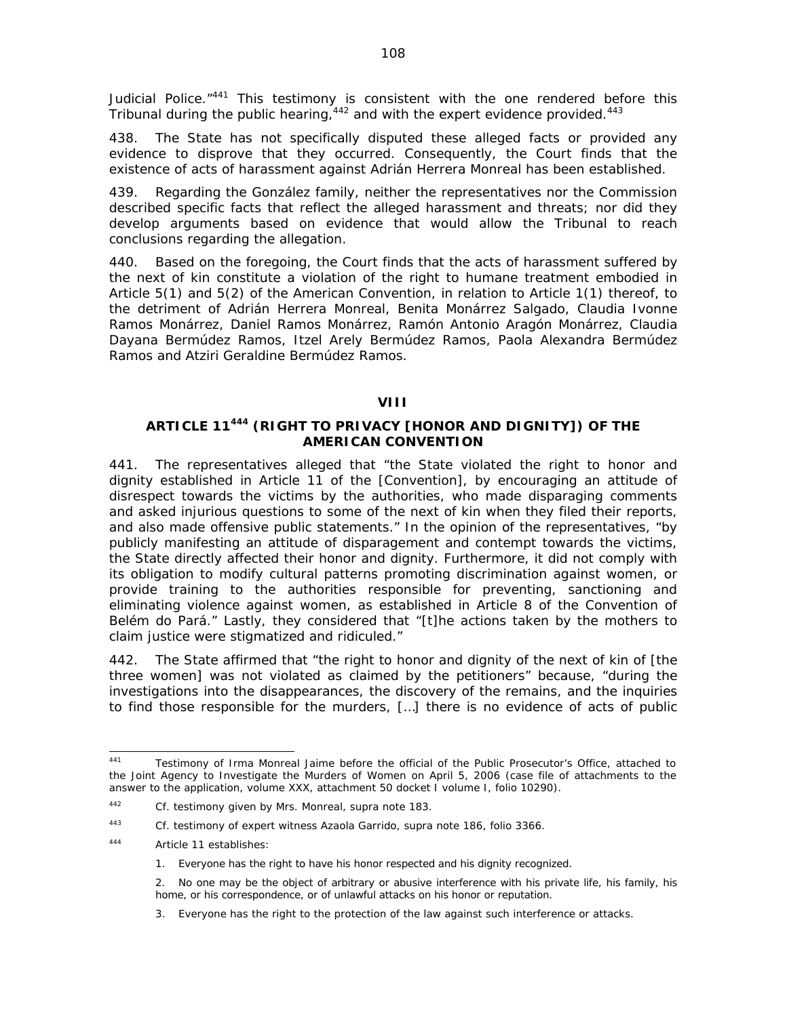Judicial Police.<sup>"441</sup> This testimony is consistent with the one rendered before this Tribunal during the public hearing,  $442$  and with the expert evidence provided.  $443$ 

438. The State has not specifically disputed these alleged facts or provided any evidence to disprove that they occurred. Consequently, the Court finds that the existence of acts of harassment against Adrián Herrera Monreal has been established.

439. Regarding the González family, neither the representatives nor the Commission described specific facts that reflect the alleged harassment and threats; nor did they develop arguments based on evidence that would allow the Tribunal to reach conclusions regarding the allegation.

440. Based on the foregoing, the Court finds that the acts of harassment suffered by the next of kin constitute a violation of the right to humane treatment embodied in Article 5(1) and 5(2) of the American Convention, in relation to Article 1(1) thereof, to the detriment of Adrián Herrera Monreal, Benita Monárrez Salgado, Claudia Ivonne Ramos Monárrez, Daniel Ramos Monárrez, Ramón Antonio Aragón Monárrez, Claudia Dayana Bermúdez Ramos, Itzel Arely Bermúdez Ramos, Paola Alexandra Bermúdez Ramos and Atziri Geraldine Bermúdez Ramos.

#### **VIII**

### **ARTICLE 11444 (RIGHT TO PRIVACY [HONOR AND DIGNITY]) OF THE AMERICAN CONVENTION**

441. The representatives alleged that "the State violated the right to honor and dignity established in Article 11 of the [Convention], by encouraging an attitude of disrespect towards the victims by the authorities, who made disparaging comments and asked injurious questions to some of the next of kin when they filed their reports, and also made offensive public statements." In the opinion of the representatives, "by publicly manifesting an attitude of disparagement and contempt towards the victims, the State directly affected their honor and dignity. Furthermore, it did not comply with its obligation to modify cultural patterns promoting discrimination against women, or provide training to the authorities responsible for preventing, sanctioning and eliminating violence against women, as established in Article 8 of the Convention of Belém do Pará." Lastly, they considered that "[t]he actions taken by the mothers to claim justice were stigmatized and ridiculed."

442. The State affirmed that "the right to honor and dignity of the next of kin of [the three women] was not violated as claimed by the petitioners" because, "during the investigations into the disappearances, the discovery of the remains, and the inquiries to find those responsible for the murders, […] there is no evidence of acts of public

<sup>441</sup> Testimony of Irma Monreal Jaime before the official of the Public Prosecutor's Office, attached to the Joint Agency to Investigate the Murders of Women on April 5, 2006 (case file of attachments to the answer to the application, volume XXX, attachment 50 docket I volume I, folio 10290).

<sup>442</sup> *Cf.* testimony given by Mrs. Monreal, *supra* note 183.

<sup>443</sup> *Cf.* testimony of expert witness Azaola Garrido, *supra* note 186, folio 3366.

<sup>444</sup> Article 11 establishes:

<sup>1.</sup> Everyone has the right to have his honor respected and his dignity recognized.

<sup>2.</sup> No one may be the object of arbitrary or abusive interference with his private life, his family, his home, or his correspondence, or of unlawful attacks on his honor or reputation.

<sup>3.</sup> Everyone has the right to the protection of the law against such interference or attacks.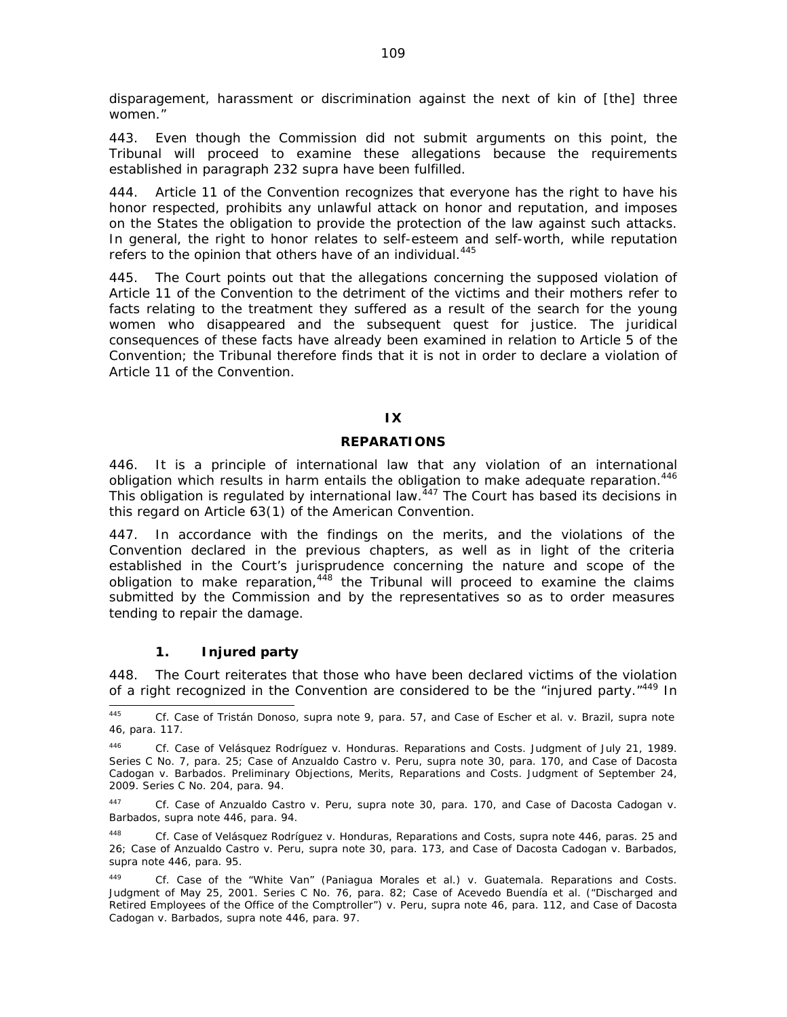disparagement, harassment or discrimination against the next of kin of [the] three women."

443. Even though the Commission did not submit arguments on this point, the Tribunal will proceed to examine these allegations because the requirements established in paragraph 232 *supra* have been fulfilled*.*

444. Article 11 of the Convention recognizes that everyone has the right to have his honor respected, prohibits any unlawful attack on honor and reputation, and imposes on the States the obligation to provide the protection of the law against such attacks. In general, the right to honor relates to self-esteem and self-worth, while reputation refers to the opinion that others have of an individual.<sup>445</sup>

445. The Court points out that the allegations concerning the supposed violation of Article 11 of the Convention to the detriment of the victims and their mothers refer to facts relating to the treatment they suffered as a result of the search for the young women who disappeared and the subsequent quest for justice. The juridical consequences of these facts have already been examined in relation to Article 5 of the Convention; the Tribunal therefore finds that it is not in order to declare a violation of Article 11 of the Convention.

#### **IX**

#### **REPARATIONS**

446. It is a principle of international law that any violation of an international obligation which results in harm entails the obligation to make adequate reparation.<sup>446</sup> This obligation is regulated by international law.<sup>447</sup> The Court has based its decisions in this regard on Article 63(1) of the American Convention.

447. In accordance with the findings on the merits, and the violations of the Convention declared in the previous chapters, as well as in light of the criteria established in the Court's jurisprudence concerning the nature and scope of the obligation to make reparation,  $448$  the Tribunal will proceed to examine the claims submitted by the Commission and by the representatives so as to order measures tending to repair the damage.

#### *1. Injured party*

448. The Court reiterates that those who have been declared victims of the violation of a right recognized in the Convention are considered to be the "injured party."<sup>449</sup> In

 $445$ 445 *Cf. Case of Tristán Donoso, supra* note 9, para. 57, and *Case of Escher et al. v. Brazil, supra* note 46, para. 117.

<sup>446</sup> *Cf. Case of Velásquez Rodríguez v. Honduras. Reparations and Costs*. Judgment of July 21, 1989. Series C No. 7, para. 25; *Case of Anzualdo Castro v. Peru, supra* note 30, para. 170, and *Case of Dacosta Cadogan v. Barbados. Preliminary Objections, Merits, Reparations and Costs.* Judgment of September 24, 2009. Series C No. 204*,* para. 94.

<sup>447</sup> *Cf. Case of Anzualdo Castro v. Peru, supra* note 30, para. 170, and *Case of Dacosta Cadogan v. Barbados, supra* note 446, para. 94.

<sup>448</sup> *Cf. Case of Velásquez Rodríguez v. Honduras, Reparations and Costs, supra* note 446, paras. 25 and 26; *Case of Anzualdo Castro v. Peru, supra* note 30, para. 173, and *Case of Dacosta Cadogan v. Barbados*, supra note 446, para. 95.

<sup>449</sup> *Cf. Case of the "White Van" (Paniagua Morales et al.) v. Guatemala*. *Reparations and Costs*. Judgment of May 25, 2001. Series C No. 76, para. 82; *Case of Acevedo Buendía et al. ("Discharged and Retired Employees of the Office of the Comptroller") v. Peru, supra* note 46, para. 112, and *Case of Dacosta Cadogan v. Barbados, supra* note 446, para. 97.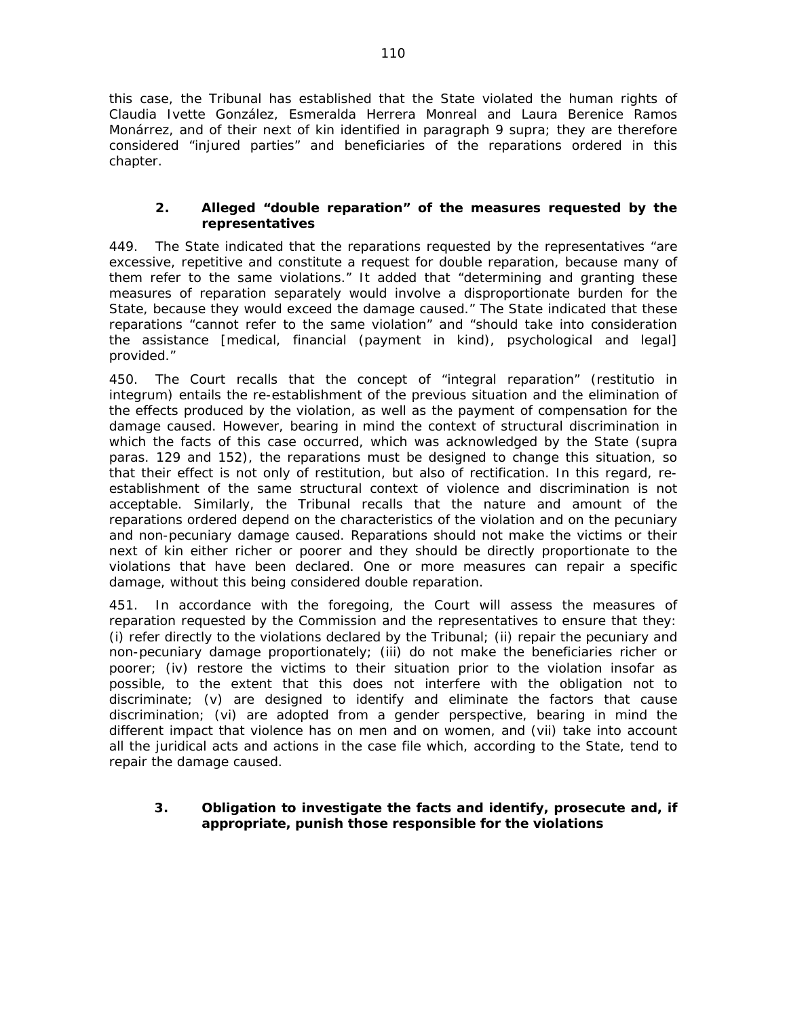this case, the Tribunal has established that the State violated the human rights of Claudia Ivette González, Esmeralda Herrera Monreal and Laura Berenice Ramos Monárrez, and of their next of kin identified in paragraph 9 *supra;* they are therefore considered "injured parties" and beneficiaries of the reparations ordered in this chapter.

### *2. Alleged "double reparation" of the measures requested by the representatives*

449. The State indicated that the reparations requested by the representatives "are excessive, repetitive and constitute a request for double reparation, because many of them refer to the same violations." It added that "determining and granting these measures of reparation separately would involve a disproportionate burden for the State, because they would exceed the damage caused." The State indicated that these reparations "cannot refer to the same violation" and "should take into consideration the assistance [medical, financial (payment in kind), psychological and legal] provided."

450. The Court recalls that the concept of "integral reparation" (*restitutio in integrum*) entails the re-establishment of the previous situation and the elimination of the effects produced by the violation, as well as the payment of compensation for the damage caused. However, bearing in mind the context of structural discrimination in which the facts of this case occurred, which was acknowledged by the State (*supra* paras. 129 and 152), the reparations must be designed to change this situation, so that their effect is not only of restitution, but also of rectification. In this regard, reestablishment of the same structural context of violence and discrimination is not acceptable. Similarly, the Tribunal recalls that the nature and amount of the reparations ordered depend on the characteristics of the violation and on the pecuniary and non-pecuniary damage caused. Reparations should not make the victims or their next of kin either richer or poorer and they should be directly proportionate to the violations that have been declared. One or more measures can repair a specific damage, without this being considered double reparation.

451. In accordance with the foregoing, the Court will assess the measures of reparation requested by the Commission and the representatives to ensure that they: (i) refer directly to the violations declared by the Tribunal; (ii) repair the pecuniary and non-pecuniary damage proportionately; (iii) do not make the beneficiaries richer or poorer; (iv) restore the victims to their situation prior to the violation insofar as possible, to the extent that this does not interfere with the obligation not to discriminate; (v) are designed to identify and eliminate the factors that cause discrimination; (vi) are adopted from a gender perspective, bearing in mind the different impact that violence has on men and on women, and (vii) take into account all the juridical acts and actions in the case file which, according to the State, tend to repair the damage caused.

### *3. Obligation to investigate the facts and identify, prosecute and, if appropriate, punish those responsible for the violations*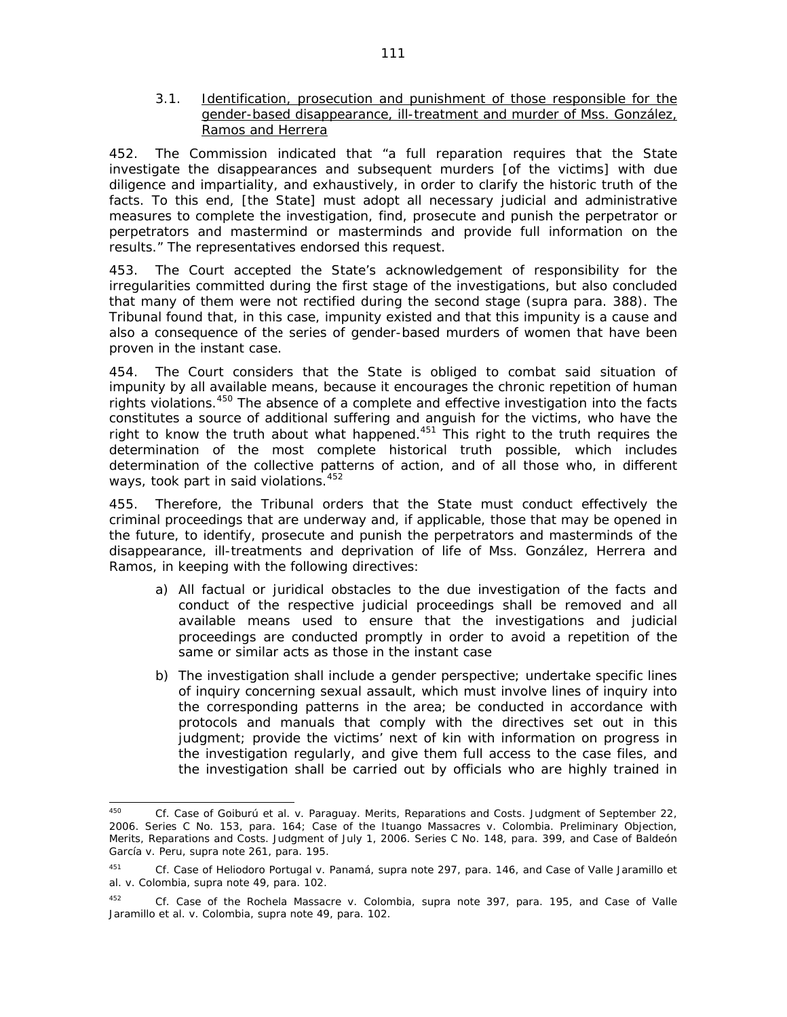*3.1. Identification, prosecution and punishment of those responsible for the gender-based disappearance, ill-treatment and murder of Mss. González, Ramos and Herrera*

452. The Commission indicated that "a full reparation requires that the State investigate the disappearances and subsequent murders [of the victims] with due diligence and impartiality, and exhaustively, in order to clarify the historic truth of the facts. To this end, [the State] must adopt all necessary judicial and administrative measures to complete the investigation, find, prosecute and punish the perpetrator or perpetrators and mastermind or masterminds and provide full information on the results." The representatives endorsed this request.

453. The Court accepted the State's acknowledgement of responsibility for the irregularities committed during the first stage of the investigations, but also concluded that many of them were not rectified during the second stage (*supra* para. 388). The Tribunal found that, in this case, impunity existed and that this impunity is a cause and also a consequence of the series of gender-based murders of women that have been proven in the instant case.

454. The Court considers that the State is obliged to combat said situation of impunity by all available means, because it encourages the chronic repetition of human rights violations.450 The absence of a complete and effective investigation into the facts constitutes a source of additional suffering and anguish for the victims, who have the right to know the truth about what happened. $451$  This right to the truth requires the determination of the most complete historical truth possible, which includes determination of the collective patterns of action, and of all those who, in different ways, took part in said violations. 452

455. Therefore, the Tribunal orders that the State must conduct effectively the criminal proceedings that are underway and, if applicable, those that may be opened in the future, to identify, prosecute and punish the perpetrators and masterminds of the disappearance, ill-treatments and deprivation of life of Mss. González, Herrera and Ramos, in keeping with the following directives:

- a) All factual or juridical obstacles to the due investigation of the facts and conduct of the respective judicial proceedings shall be removed and all available means used to ensure that the investigations and judicial proceedings are conducted promptly in order to avoid a repetition of the same or similar acts as those in the instant case
- b) The investigation shall include a gender perspective*;* undertake specific lines of inquiry concerning sexual assault, which must involve lines of inquiry into the corresponding patterns in the area; be conducted in accordance with protocols and manuals that comply with the directives set out in this judgment; provide the victims' next of kin with information on progress in the investigation regularly, and give them full access to the case files, and the investigation shall be carried out by officials who are highly trained in

<sup>450</sup> 450 *Cf. Case of Goiburú et al. v. Paraguay. Merits, Reparations and Costs.* Judgment of September 22, 2006. Series C No. 153, para. 164; *Case of the Ituango Massacres v. Colombia. Preliminary Objection, Merits, Reparations and Costs*. Judgment of July 1, 2006. Series C No. 148, para. 399, and *Case of Baldeón García v. Peru, supra* note 261, para. 195.

<sup>451</sup> *Cf. Case of Heliodoro Portugal v. Panamá, supra* note 297, para. 146, and *Case of Valle Jaramillo et al. v. Colombia, supra* note 49*,* para. 102.

<sup>452</sup> *Cf. Case of the Rochela Massacre v. Colombia, supra* note 397, para. 195, and *Case of Valle Jaramillo et al. v. Colombia, supra* note 49*,* para. 102.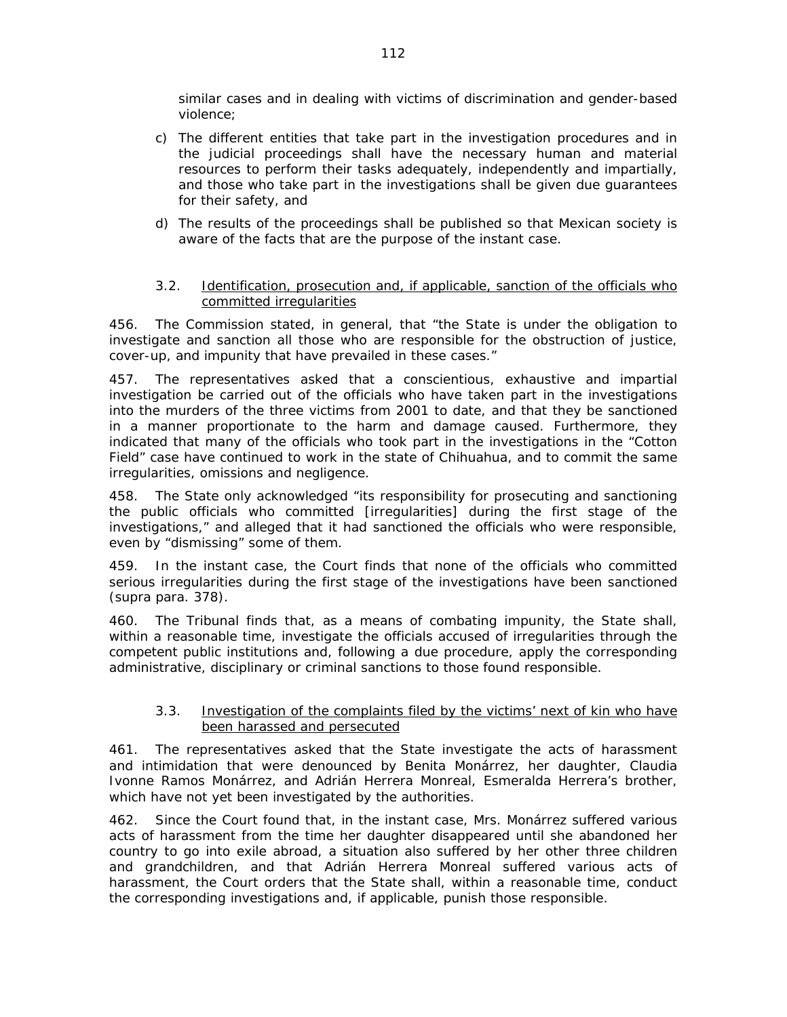similar cases and in dealing with victims of discrimination and gender-based violence;

- c) The different entities that take part in the investigation procedures and in the judicial proceedings shall have the necessary human and material resources to perform their tasks adequately, independently and impartially, and those who take part in the investigations shall be given due guarantees for their safety, and
- d) The results of the proceedings shall be published so that Mexican society is aware of the facts that are the purpose of the instant case.

### *3.2. Identification, prosecution and, if applicable, sanction of the officials who committed irregularities*

456. The Commission stated, in general, that "the State is under the obligation to investigate and sanction all those who are responsible for the obstruction of justice, cover-up, and impunity that have prevailed in these cases."

457. The representatives asked that a conscientious, exhaustive and impartial investigation be carried out of the officials who have taken part in the investigations into the murders of the three victims from 2001 to date, and that they be sanctioned in a manner proportionate to the harm and damage caused. Furthermore, they indicated that many of the officials who took part in the investigations in the "Cotton Field" case have continued to work in the state of Chihuahua, and to commit the same irregularities, omissions and negligence.

458. The State only acknowledged "its responsibility for prosecuting and sanctioning the public officials who committed [irregularities] during the first stage of the investigations," and alleged that it had sanctioned the officials who were responsible, even by "dismissing" some of them.

459. In the instant case, the Court finds that none of the officials who committed serious irregularities during the first stage of the investigations have been sanctioned (*supra* para. 378).

460. The Tribunal finds that, as a means of combating impunity, the State shall, within a reasonable time, investigate the officials accused of irregularities through the competent public institutions and, following a due procedure, apply the corresponding administrative, disciplinary or criminal sanctions to those found responsible.

#### *3.3. Investigation of the complaints filed by the victims' next of kin who have been harassed and persecuted*

461. The representatives asked that the State investigate the acts of harassment and intimidation that were denounced by Benita Monárrez, her daughter, Claudia Ivonne Ramos Monárrez, and Adrián Herrera Monreal, Esmeralda Herrera's brother, which have not yet been investigated by the authorities.

462. Since the Court found that, in the instant case, Mrs. Monárrez suffered various acts of harassment from the time her daughter disappeared until she abandoned her country to go into exile abroad, a situation also suffered by her other three children and grandchildren, and that Adrián Herrera Monreal suffered various acts of harassment, the Court orders that the State shall, within a reasonable time, conduct the corresponding investigations and, if applicable, punish those responsible.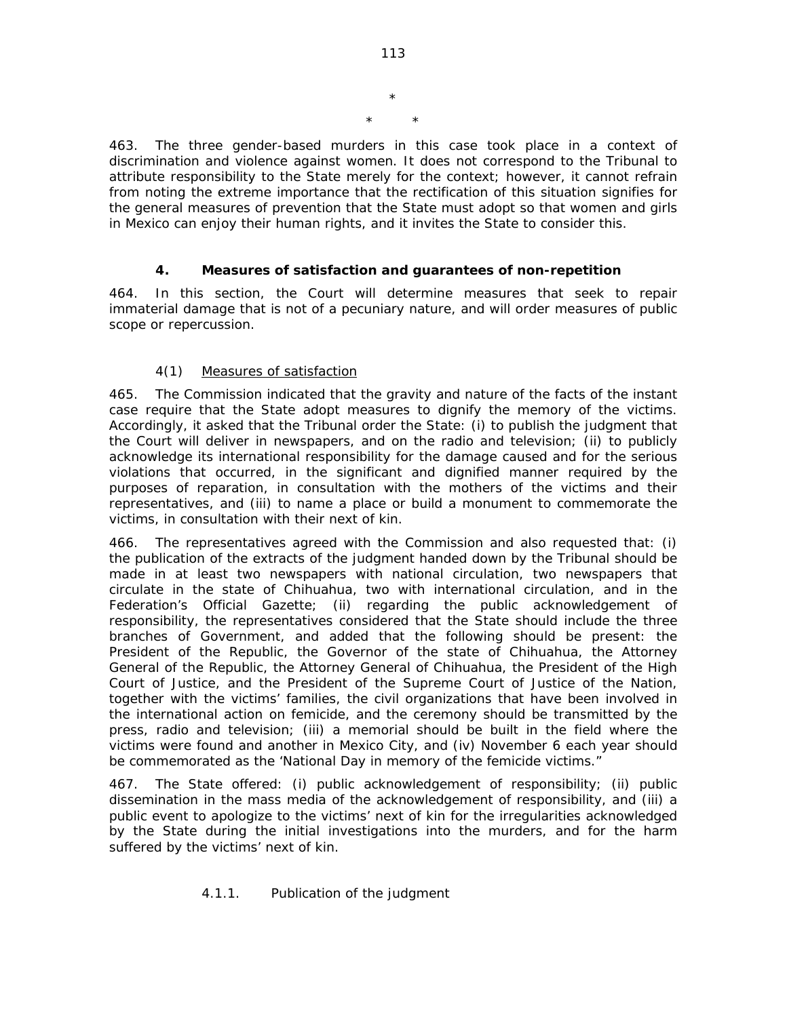463. The three gender-based murders in this case took place in a context of discrimination and violence against women. It does not correspond to the Tribunal to attribute responsibility to the State merely for the context; however, it cannot refrain from noting the extreme importance that the rectification of this situation signifies for the general measures of prevention that the State must adopt so that women and girls in Mexico can enjoy their human rights, and it invites the State to consider this.

### *4. Measures of satisfaction and guarantees of non-repetition*

464. In this section, the Court will determine measures that seek to repair immaterial damage that is not of a pecuniary nature, and will order measures of public scope or repercussion.

# *4(1) Measures of satisfaction*

465. The Commission indicated that the gravity and nature of the facts of the instant case require that the State adopt measures to dignify the memory of the victims. Accordingly, it asked that the Tribunal order the State: (i) to publish the judgment that the Court will deliver in newspapers, and on the radio and television; (ii) to publicly acknowledge its international responsibility for the damage caused and for the serious violations that occurred, in the significant and dignified manner required by the purposes of reparation, in consultation with the mothers of the victims and their representatives, and (iii) to name a place or build a monument to commemorate the victims, in consultation with their next of kin.

466. The representatives agreed with the Commission and also requested that: (i) the publication of the extracts of the judgment handed down by the Tribunal should be made in at least two newspapers with national circulation, two newspapers that circulate in the state of Chihuahua, two with international circulation, and in the Federation's Official Gazette; (ii) regarding the public acknowledgement of responsibility, the representatives considered that the State should include the three branches of Government, and added that the following should be present: the President of the Republic, the Governor of the state of Chihuahua, the Attorney General of the Republic, the Attorney General of Chihuahua, the President of the High Court of Justice, and the President of the Supreme Court of Justice of the Nation, together with the victims' families, the civil organizations that have been involved in the international action on femicide, and the ceremony should be transmitted by the press, radio and television; (iii) a memorial should be built in the field where the victims were found and another in Mexico City, and (iv) November 6 each year should be commemorated as the 'National Day in memory of the femicide victims."

467. The State offered: (i) public acknowledgement of responsibility; (ii) public dissemination in the mass media of the acknowledgement of responsibility, and (iii) a public event to apologize to the victims' next of kin for the irregularities acknowledged by the State during the initial investigations into the murders, and for the harm suffered by the victims' next of kin.

### *4.1.1. Publication of the judgment*

\* \* \*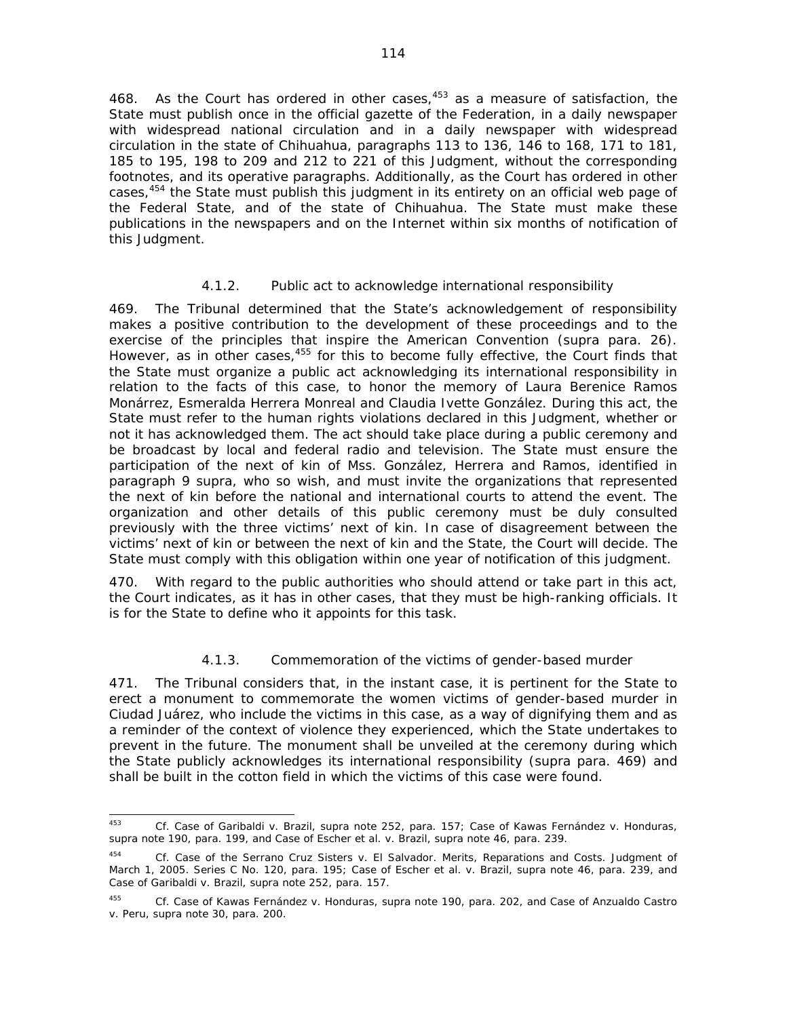468. As the Court has ordered in other cases, $453$  as a measure of satisfaction, the State must publish once in the official gazette of the Federation, in a daily newspaper with widespread national circulation and in a daily newspaper with widespread circulation in the state of Chihuahua, paragraphs 113 to 136, 146 to 168, 171 to 181, 185 to 195, 198 to 209 and 212 to 221 of this Judgment, without the corresponding footnotes, and its operative paragraphs. Additionally, as the Court has ordered in other cases, $454$  the State must publish this judgment in its entirety on an official web page of the Federal State, and of the state of Chihuahua. The State must make these publications in the newspapers and on the Internet within six months of notification of this Judgment.

### *4.1.2. Public act to acknowledge international responsibility*

469. The Tribunal determined that the State's acknowledgement of responsibility makes a positive contribution to the development of these proceedings and to the exercise of the principles that inspire the American Convention (*supra* para. 26). However, as in other cases, <sup>455</sup> for this to become fully effective, the Court finds that the State must organize a public act acknowledging its international responsibility in relation to the facts of this case, to honor the memory of Laura Berenice Ramos Monárrez, Esmeralda Herrera Monreal and Claudia Ivette González. During this act, the State must refer to the human rights violations declared in this Judgment, whether or not it has acknowledged them. The act should take place during a public ceremony and be broadcast by local and federal radio and television. The State must ensure the participation of the next of kin of Mss. González, Herrera and Ramos, identified in paragraph 9 *supra,* who so wish, and must invite the organizations that represented the next of kin before the national and international courts to attend the event. The organization and other details of this public ceremony must be duly consulted previously with the three victims' next of kin. In case of disagreement between the victims' next of kin or between the next of kin and the State, the Court will decide. The State must comply with this obligation within one year of notification of this judgment.

470. With regard to the public authorities who should attend or take part in this act, the Court indicates, as it has in other cases, that they must be high-ranking officials. It is for the State to define who it appoints for this task.

# *4.1.3. Commemoration of the victims of gender-based murder*

471. The Tribunal considers that, in the instant case, it is pertinent for the State to erect a monument to commemorate the women victims of gender-based murder in Ciudad Juárez, who include the victims in this case, as a way of dignifying them and as a reminder of the context of violence they experienced, which the State undertakes to prevent in the future. The monument shall be unveiled at the ceremony during which the State publicly acknowledges its international responsibility (*supra* para. 469) and shall be built in the cotton field in which the victims of this case were found.

<sup>453</sup> 453 *Cf. Case of Garibaldi v. Brazil, supra* note 252, para. 157; *Case of Kawas Fernández v. Honduras, supra* note 190*,* para. 199, and *Case of Escher et al. v. Brazil, supra* note 46, para. 239.

<sup>454</sup> *Cf. Case of the Serrano Cruz Sisters v. El Salvador*. *Merits, Reparations and Costs*. Judgment of March 1, 2005. Series C No. 120, para. 195; *Case of Escher et al. v. Brazil, supra* note 46, para. 239, and *Case of Garibaldi v. Brazil, supra* note 252, para. 157.

<sup>455</sup> *Cf. Case of Kawas Fernández v. Honduras, supra* note 190, para. 202, and *Case of Anzualdo Castro v. Peru, supra* note 30, para. 200.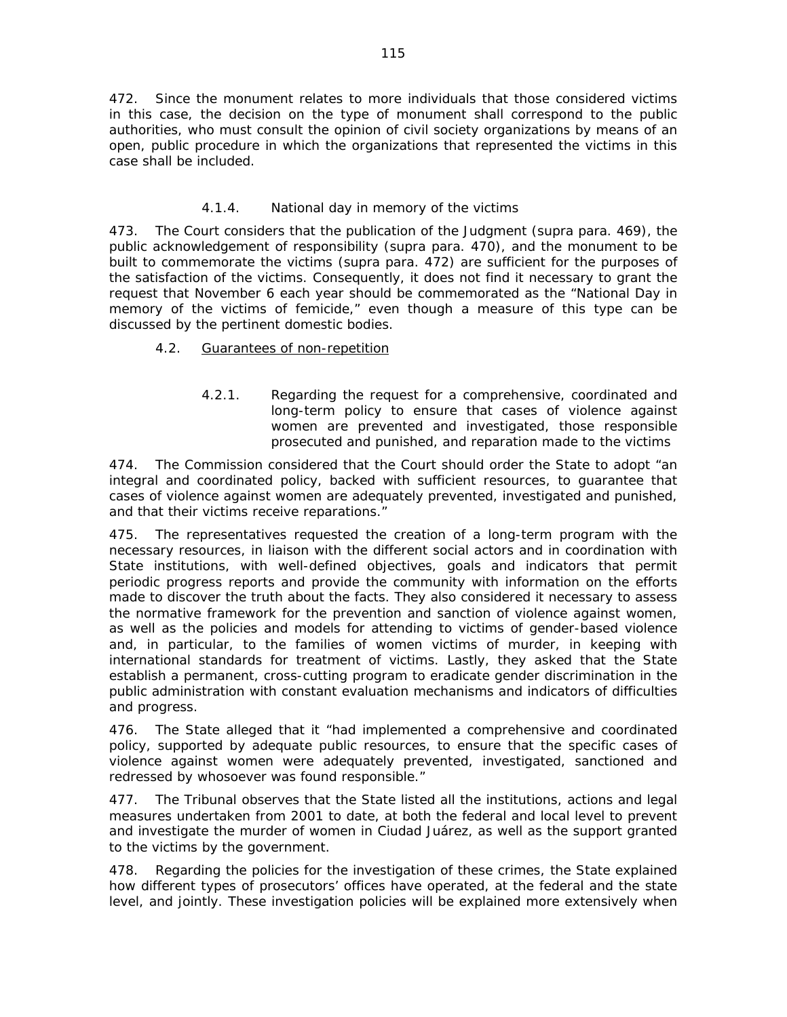472. Since the monument relates to more individuals that those considered victims in this case, the decision on the type of monument shall correspond to the public authorities, who must consult the opinion of civil society organizations by means of an open, public procedure in which the organizations that represented the victims in this case shall be included.

# *4.1.4. National day in memory of the victims*

473. The Court considers that the publication of the Judgment (*supra* para. 469), the public acknowledgement of responsibility (*supra* para. 470), and the monument to be built to commemorate the victims (*supra* para. 472) are sufficient for the purposes of the satisfaction of the victims. Consequently, it does not find it necessary to grant the request that November 6 each year should be commemorated as the "National Day in memory of the victims of femicide," even though a measure of this type can be discussed by the pertinent domestic bodies.

# *4.2. Guarantees of non-repetition*

*4.2.1. Regarding the request for a comprehensive, coordinated and long-term policy to ensure that cases of violence against women are prevented and investigated, those responsible prosecuted and punished, and reparation made to the victims* 

474. The Commission considered that the Court should order the State to adopt "an integral and coordinated policy, backed with sufficient resources, to guarantee that cases of violence against women are adequately prevented, investigated and punished, and that their victims receive reparations."

475. The representatives requested the creation of a long-term program with the necessary resources, in liaison with the different social actors and in coordination with State institutions, with well-defined objectives, goals and indicators that permit periodic progress reports and provide the community with information on the efforts made to discover the truth about the facts. They also considered it necessary to assess the normative framework for the prevention and sanction of violence against women, as well as the policies and models for attending to victims of gender-based violence and, in particular, to the families of women victims of murder, in keeping with international standards for treatment of victims. Lastly, they asked that the State establish a permanent, cross-cutting program to eradicate gender discrimination in the public administration with constant evaluation mechanisms and indicators of difficulties and progress.

476. The State alleged that it "had implemented a comprehensive and coordinated policy, supported by adequate public resources, to ensure that the specific cases of violence against women were adequately prevented, investigated, sanctioned and redressed by whosoever was found responsible."

477. The Tribunal observes that the State listed all the institutions, actions and legal measures undertaken from 2001 to date, at both the federal and local level to prevent and investigate the murder of women in Ciudad Juárez, as well as the support granted to the victims by the government.

478. Regarding the policies for the investigation of these crimes, the State explained how different types of prosecutors' offices have operated, at the federal and the state level, and jointly. These investigation policies will be explained more extensively when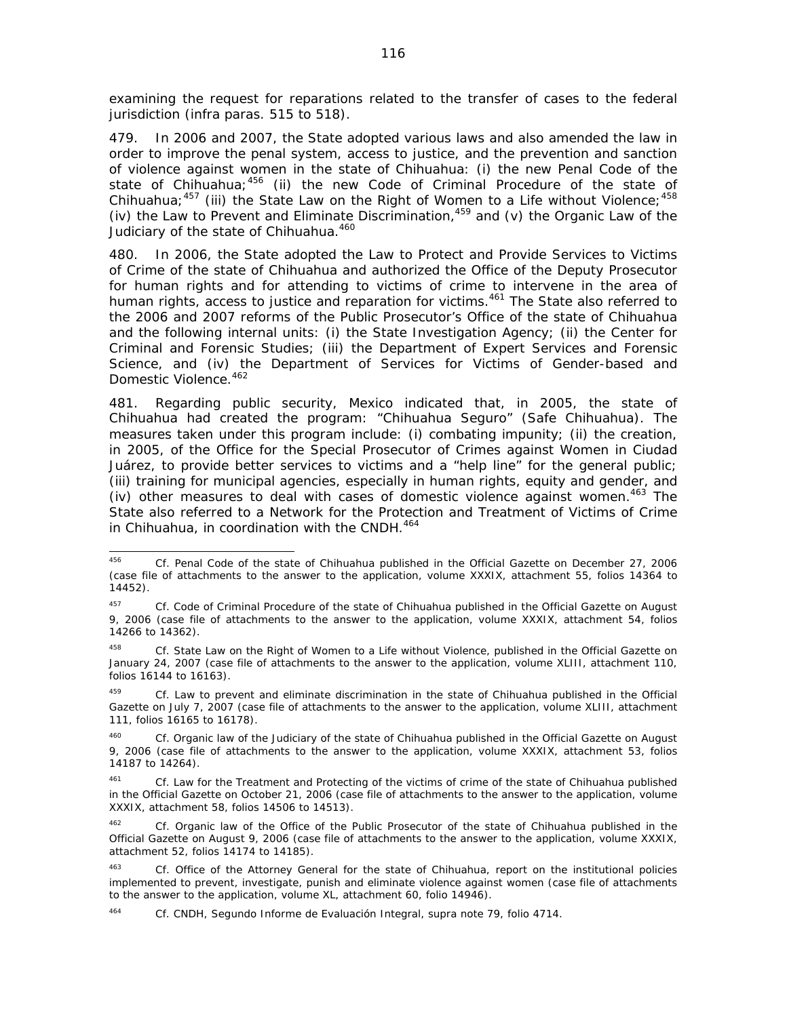examining the request for reparations related to the transfer of cases to the federal jurisdiction (*infra* paras. 515 to 518).

479. In 2006 and 2007, the State adopted various laws and also amended the law in order to improve the penal system, access to justice, and the prevention and sanction of violence against women in the state of Chihuahua: (i) the new Penal Code of the state of Chihuahua;  $456$  (ii) the new Code of Criminal Procedure of the state of Chihuahua;<sup>457</sup> (iii) the State Law on the Right of Women to a Life without Violence;<sup>458</sup> (iv) the Law to Prevent and Eliminate Discrimination,  $459$  and (v) the Organic Law of the Judiciary of the state of Chihuahua. 460

480. In 2006, the State adopted the Law to Protect and Provide Services to Victims of Crime of the state of Chihuahua and authorized the Office of the Deputy Prosecutor for human rights and for attending to victims of crime to intervene in the area of human rights, access to justice and reparation for victims.<sup>461</sup> The State also referred to the 2006 and 2007 reforms of the Public Prosecutor's Office of the state of Chihuahua and the following internal units: (i) the State Investigation Agency; (ii) the Center for Criminal and Forensic Studies; (iii) the Department of Expert Services and Forensic Science, and (iv) the Department of Services for Victims of Gender-based and Domestic Violence.462

481. Regarding public security, Mexico indicated that, in 2005, the state of Chihuahua had created the program: "*Chihuahua Seguro"* (Safe Chihuahua). The measures taken under this program include: (i) combating impunity; (ii) the creation, in 2005, of the Office for the Special Prosecutor of Crimes against Women in Ciudad Juárez, to provide better services to victims and a "help line" for the general public; (iii) training for municipal agencies, especially in human rights, equity and gender, and (iv) other measures to deal with cases of domestic violence against women.<sup>463</sup> The State also referred to a Network for the Protection and Treatment of Victims of Crime in Chihuahua, in coordination with the CNDH.<sup>464</sup>

464 *Cf.* CNDH, *Segundo Informe de Evaluación Integral, supra* note 79, folio 4714.

<sup>456</sup> 456 *Cf.* Penal Code of the state of Chihuahua published in the Official Gazette on December 27, 2006 (case file of attachments to the answer to the application, volume XXXIX, attachment 55, folios 14364 to 14452).

<sup>457</sup> *Cf.* Code of Criminal Procedure of the state of Chihuahua published in the Official Gazette on August 9, 2006 (case file of attachments to the answer to the application, volume XXXIX, attachment 54, folios 14266 to 14362).

Cf. State Law on the Right of Women to a Life without Violence, published in the Official Gazette on January 24, 2007 (case file of attachments to the answer to the application, volume XLIII, attachment 110, folios 16144 to 16163).

<sup>459</sup> *Cf.* Law to prevent and eliminate discrimination in the state of Chihuahua published in the Official Gazette on July 7, 2007 (case file of attachments to the answer to the application, volume XLIII, attachment 111, folios 16165 to 16178).

<sup>460</sup> *Cf.* Organic law of the Judiciary of the state of Chihuahua published in the Official Gazette on August 9, 2006 (case file of attachments to the answer to the application, volume XXXIX, attachment 53, folios 14187 to 14264).

Cf. Law for the Treatment and Protecting of the victims of crime of the state of Chihuahua published in the Official Gazette on October 21, 2006 (case file of attachments to the answer to the application, volume XXXIX, attachment 58, folios 14506 to 14513).

<sup>462</sup> *Cf.* Organic law of the Office of the Public Prosecutor of the state of Chihuahua published in the Official Gazette on August 9, 2006 (case file of attachments to the answer to the application, volume XXXIX, attachment 52, folios 14174 to 14185).

Cf. Office of the Attorney General for the state of Chihuahua, report on the institutional policies implemented to prevent, investigate, punish and eliminate violence against women (case file of attachments to the answer to the application, volume XL, attachment 60, folio 14946).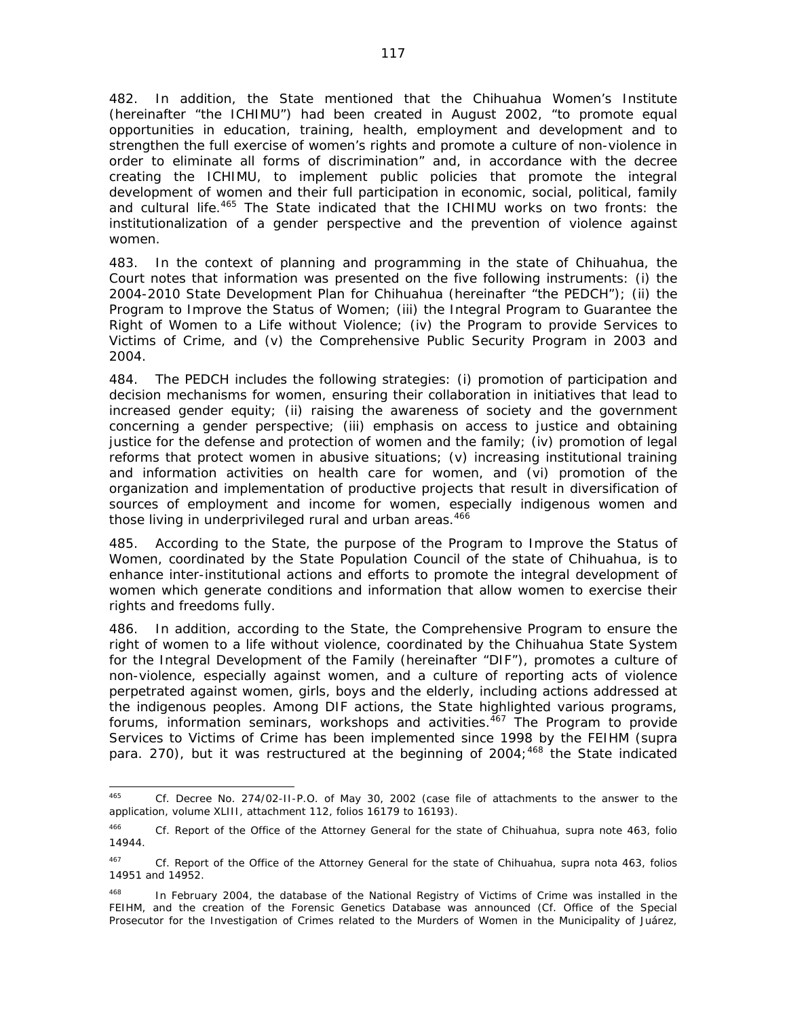482. In addition, the State mentioned that the Chihuahua Women's Institute (hereinafter "the ICHIMU") had been created in August 2002, "to promote equal opportunities in education, training, health, employment and development and to strengthen the full exercise of women's rights and promote a culture of non-violence in order to eliminate all forms of discrimination" and, in accordance with the decree creating the ICHIMU, to implement public policies that promote the integral development of women and their full participation in economic, social, political, family and cultural life.465 The State indicated that the ICHIMU works on two fronts: the institutionalization of a gender perspective and the prevention of violence against women.

483. In the context of planning and programming in the state of Chihuahua, the Court notes that information was presented on the five following instruments: (i) the 2004-2010 State Development Plan for Chihuahua (hereinafter "the PEDCH"); (ii) the Program to Improve the Status of Women; (iii) the Integral Program to Guarantee the Right of Women to a Life without Violence; (iv) the Program to provide Services to Victims of Crime, and (v) the Comprehensive Public Security Program in 2003 and 2004.

484. The PEDCH includes the following strategies: (i) promotion of participation and decision mechanisms for women, ensuring their collaboration in initiatives that lead to increased gender equity; (ii) raising the awareness of society and the government concerning a gender perspective; (iii) emphasis on access to justice and obtaining justice for the defense and protection of women and the family; (iv) promotion of legal reforms that protect women in abusive situations; (v) increasing institutional training and information activities on health care for women, and (vi) promotion of the organization and implementation of productive projects that result in diversification of sources of employment and income for women, especially indigenous women and those living in underprivileged rural and urban areas.<sup>466</sup>

485. According to the State, the purpose of the Program to Improve the Status of Women, coordinated by the State Population Council of the state of Chihuahua, is to enhance inter-institutional actions and efforts to promote the integral development of women which generate conditions and information that allow women to exercise their rights and freedoms fully.

486. In addition, according to the State, the Comprehensive Program to ensure the right of women to a life without violence, coordinated by the Chihuahua State System for the Integral Development of the Family (hereinafter "DIF"), promotes a culture of non-violence, especially against women, and a culture of reporting acts of violence perpetrated against women, girls, boys and the elderly, including actions addressed at the indigenous peoples. Among DIF actions, the State highlighted various programs, forums, information seminars, workshops and activities. $467$  The Program to provide Services to Victims of Crime has been implemented since 1998 by the FEIHM (*supra* para. 270), but it was restructured at the beginning of 2004;<sup>468</sup> the State indicated

<sup>465</sup> 465 *Cf.* Decree No. 274/02-II-P.O. of May 30, 2002 (case file of attachments to the answer to the application, volume XLIII, attachment 112, folios 16179 to 16193).

<sup>466</sup> *Cf.* Report of the Office of the Attorney General for the state of Chihuahua, *supra* note 463, folio 14944.

<sup>467</sup> *Cf.* Report of the Office of the Attorney General for the state of Chihuahua, *supra* nota 463, folios 14951 and 14952.

<sup>&</sup>lt;sup>468</sup> In February 2004, the database of the National Registry of Victims of Crime was installed in the FEIHM, and the creation of the Forensic Genetics Database was announced (*Cf.* Office of the Special Prosecutor for the Investigation of Crimes related to the Murders of Women in the Municipality of Juárez,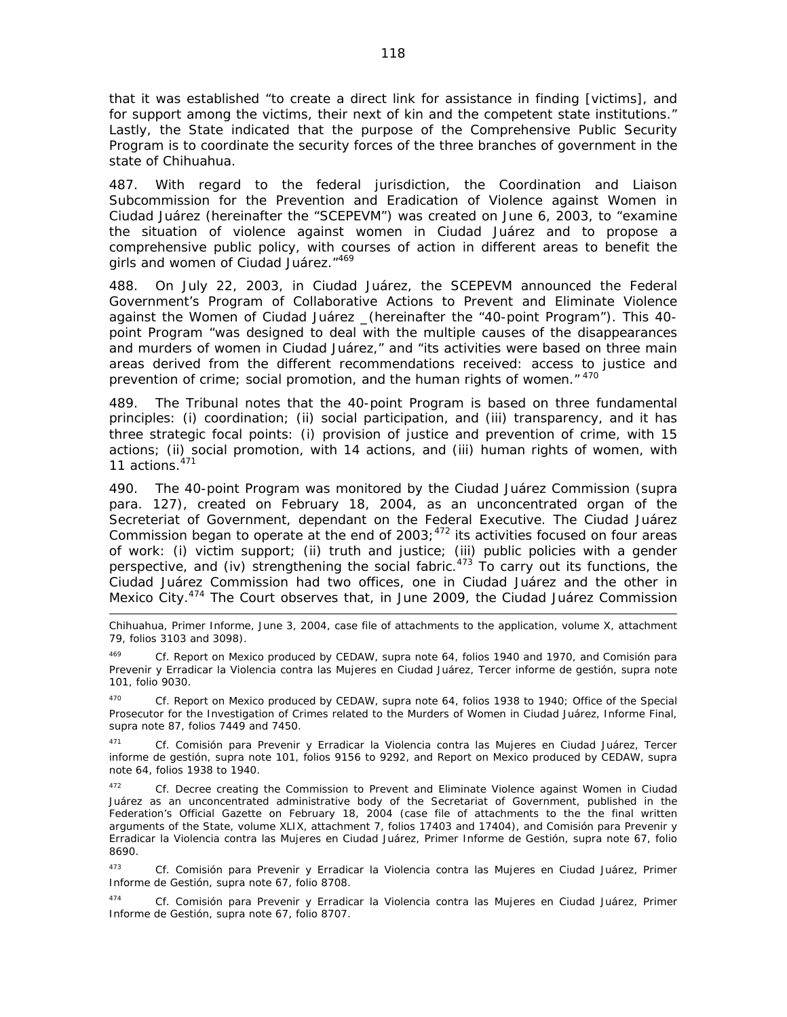that it was established "to create a direct link for assistance in finding [victims], and for support among the victims, their next of kin and the competent state institutions." Lastly, the State indicated that the purpose of the Comprehensive Public Security Program is to coordinate the security forces of the three branches of government in the state of Chihuahua.

487. With regard to the federal jurisdiction, the Coordination and Liaison Subcommission for the Prevention and Eradication of Violence against Women in Ciudad Juárez (hereinafter the "SCEPEVM") was created on June 6, 2003, to "examine the situation of violence against women in Ciudad Juárez and to propose a comprehensive public policy, with courses of action in different areas to benefit the girls and women of Ciudad Juárez."<sup>469</sup>

488. On July 22, 2003, in Ciudad Juárez, the SCEPEVM announced the Federal Government's Program of Collaborative Actions to Prevent and Eliminate Violence against the Women of Ciudad Juárez \_(hereinafter the "40-point Program"). This 40 point Program "was designed to deal with the multiple causes of the disappearances and murders of women in Ciudad Juárez," and "its activities were based on three main areas derived from the different recommendations received: access to justice and prevention of crime; social promotion, and the human rights of women." 470

489. The Tribunal notes that the 40-point Program is based on three fundamental principles: (i) coordination; (ii) social participation, and (iii) transparency, and it has three strategic focal points: (i) provision of justice and prevention of crime, with 15 actions; (ii) social promotion, with 14 actions, and (iii) human rights of women, with 11 actions.<sup>471</sup>

490. The 40-point Program was monitored by the Ciudad Juárez Commission (*supra* para. 127)*,* created on February 18, 2004, as an unconcentrated organ of the Secreteriat of Government, dependant on the Federal Executive. The Ciudad Juárez Commission began to operate at the end of  $2003$ ;  $472$  its activities focused on four areas of work: (i) victim support; (ii) truth and justice; (iii) public policies with a gender perspective, and (iv) strengthening the social fabric.<sup>473</sup> To carry out its functions, the Ciudad Juárez Commission had two offices, one in Ciudad Juárez and the other in Mexico City.<sup>474</sup> The Court observes that, in June 2009, the Ciudad Juárez Commission

ł Chihuahua, *Primer Informe*, June 3, 2004, case file of attachments to the application, volume X, attachment 79, folios 3103 and 3098).

469 *Cf.* Report on Mexico produced by CEDAW, *supra* note 64, folios 1940 and 1970, and *Comisión para Prevenir y Erradicar la Violencia contra las Mujeres en Ciudad Juárez, Tercer informe de gestión*, *supra* note 101, folio 9030.

470 *Cf.* Report on Mexico produced by CEDAW, *supra* note 64, folios 1938 to 1940; Office of the Special Prosecutor for the Investigation of Crimes related to the Murders of Women in Ciudad Juárez, *Informe Final*, *supra* note 87, folios 7449 and 7450.

471 *Cf. Comisión para Prevenir y Erradicar la Violencia contra las Mujeres en Ciudad Juárez, Tercer informe de gestión*, *supra* note 101, folios 9156 to 9292, and Report on Mexico produced by CEDAW, *supra* note 64, folios 1938 to 1940.

<sup>472</sup> *Cf.* Decree creating the Commission to Prevent and Eliminate Violence against Women in Ciudad Juárez as an unconcentrated administrative body of the Secretariat of Government, published in the Federation's Official Gazette on February 18, 2004 (case file of attachments to the the final written arguments of the State, volume XLIX, attachment 7, folios 17403 and 17404), and *Comisión para Prevenir y Erradicar la Violencia contra las Mujeres en Ciudad Juárez, Primer Informe de Gestión*, *supra* note 67, folio 8690.

473 *Cf. Comisión para Prevenir y Erradicar la Violencia contra las Mujeres en Ciudad Juárez, Primer Informe de Gestión*, *supra* note 67, folio 8708.

474 *Cf. Comisión para Prevenir y Erradicar la Violencia contra las Mujeres en Ciudad Juárez, Primer Informe de Gestión*, *supra* note 67, folio 8707.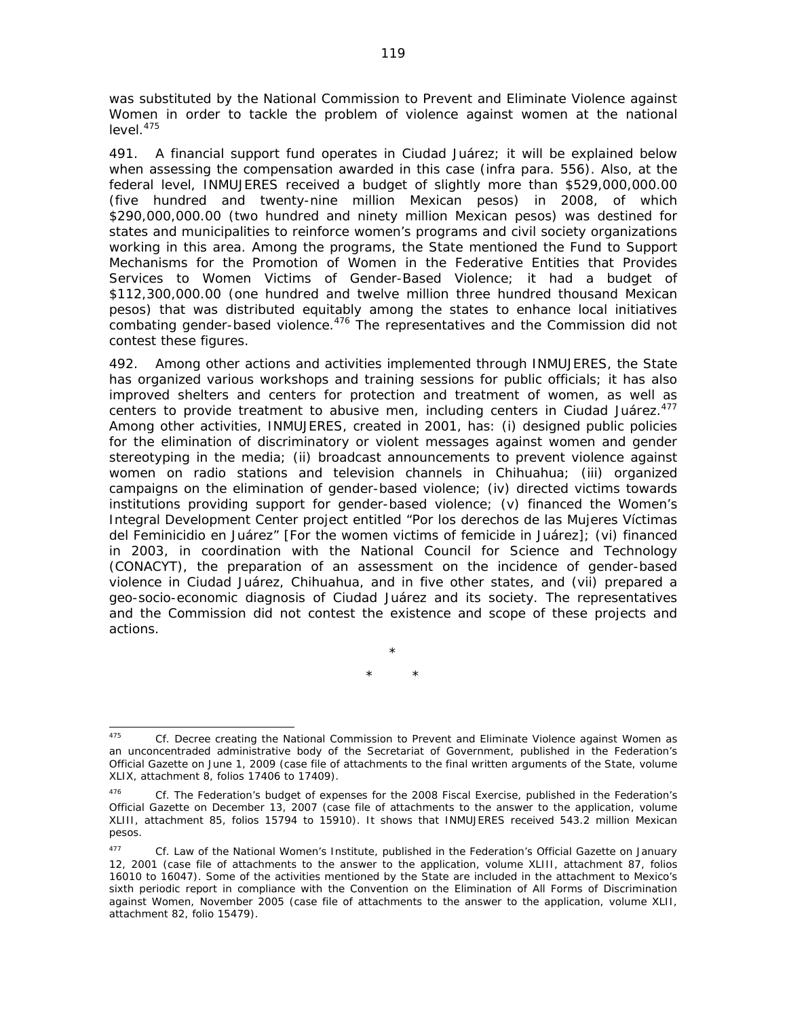was substituted by the National Commission to Prevent and Eliminate Violence against Women in order to tackle the problem of violence against women at the national  $level.<sup>475</sup>$ 

491. A financial support fund operates in Ciudad Juárez; it will be explained below when assessing the compensation awarded in this case (*infra* para. 556). Also, at the federal level, INMUJERES received a budget of slightly more than \$529,000,000.00 (five hundred and twenty-nine million Mexican pesos) in 2008, of which \$290,000,000.00 (two hundred and ninety million Mexican pesos) was destined for states and municipalities to reinforce women's programs and civil society organizations working in this area. Among the programs, the State mentioned the Fund to Support Mechanisms for the Promotion of Women in the Federative Entities that Provides Services to Women Victims of Gender-Based Violence; it had a budget of \$112,300,000.00 (one hundred and twelve million three hundred thousand Mexican pesos) that was distributed equitably among the states to enhance local initiatives combating gender-based violence.<sup>476</sup> The representatives and the Commission did not contest these figures.

492. Among other actions and activities implemented through INMUJERES, the State has organized various workshops and training sessions for public officials; it has also improved shelters and centers for protection and treatment of women, as well as centers to provide treatment to abusive men, including centers in Ciudad Juárez.<sup>477</sup> Among other activities, INMUJERES, created in 2001, has: (i) designed public policies for the elimination of discriminatory or violent messages against women and gender stereotyping in the media; (ii) broadcast announcements to prevent violence against women on radio stations and television channels in Chihuahua; (iii) organized campaigns on the elimination of gender-based violence; (iv) directed victims towards institutions providing support for gender-based violence; (v) financed the Women's Integral Development Center project entitled "*Por los derechos de las Mujeres Víctimas del Feminicidio en Juárez*" [For the women victims of femicide in Juárez]; (vi) financed in 2003, in coordination with the National Council for Science and Technology (CONACYT), the preparation of an assessment on the incidence of gender-based violence in Ciudad Juárez, Chihuahua, and in five other states, and (vii) prepared a geo-socio-economic diagnosis of Ciudad Juárez and its society. The representatives and the Commission did not contest the existence and scope of these projects and actions.

> \* \* \*

<sup>475</sup> Cf. Decree creating the National Commission to Prevent and Eliminate Violence against Women as an unconcentraded administrative body of the Secretariat of Government, published in the Federation's Official Gazette on June 1, 2009 (case file of attachments to the final written arguments of the State, volume XLIX, attachment 8, folios 17406 to 17409).

<sup>&</sup>lt;sup>476</sup> *Cf.* The Federation's budget of expenses for the 2008 Fiscal Exercise, published in the Federation's Official Gazette on December 13, 2007 (case file of attachments to the answer to the application, volume XLIII, attachment 85, folios 15794 to 15910). It shows that INMUJERES received 543.2 million Mexican pesos.

<sup>&</sup>lt;sup>477</sup> *Cf.* Law of the National Women's Institute, published in the Federation's Official Gazette on January 12, 2001 (case file of attachments to the answer to the application, volume XLIII, attachment 87, folios 16010 to 16047). Some of the activities mentioned by the State are included in the attachment to Mexico's sixth periodic report in compliance with the Convention on the Elimination of All Forms of Discrimination against Women, November 2005 (case file of attachments to the answer to the application, volume XLII, attachment 82, folio 15479).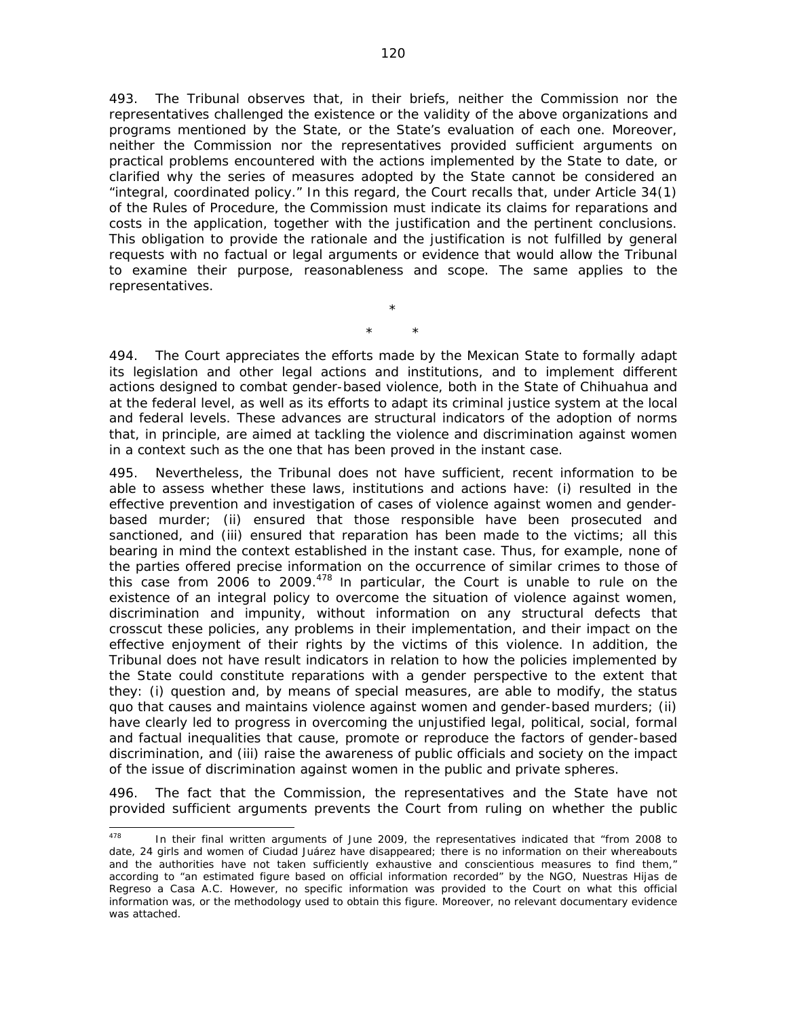493. The Tribunal observes that, in their briefs, neither the Commission nor the representatives challenged the existence or the validity of the above organizations and programs mentioned by the State, or the State's evaluation of each one. Moreover, neither the Commission nor the representatives provided sufficient arguments on practical problems encountered with the actions implemented by the State to date, or clarified why the series of measures adopted by the State cannot be considered an "integral, coordinated policy." In this regard, the Court recalls that, under Article 34(1) of the Rules of Procedure, the Commission must indicate its claims for reparations and costs in the application, together with the justification and the pertinent conclusions. This obligation to provide the rationale and the justification is not fulfilled by general requests with no factual or legal arguments or evidence that would allow the Tribunal to examine their purpose, reasonableness and scope. The same applies to the representatives.

494. The Court appreciates the efforts made by the Mexican State to formally adapt its legislation and other legal actions and institutions, and to implement different actions designed to combat gender-based violence, both in the State of Chihuahua and at the federal level, as well as its efforts to adapt its criminal justice system at the local and federal levels. These advances are structural indicators of the adoption of norms that, in principle, are aimed at tackling the violence and discrimination against women in a context such as the one that has been proved in the instant case.

\*

\* \*

495. Nevertheless, the Tribunal does not have sufficient, recent information to be able to assess whether these laws, institutions and actions have: (i) resulted in the effective prevention and investigation of cases of violence against women and genderbased murder; (ii) ensured that those responsible have been prosecuted and sanctioned, and (iii) ensured that reparation has been made to the victims; all this bearing in mind the context established in the instant case. Thus, for example, none of the parties offered precise information on the occurrence of similar crimes to those of this case from 2006 to 2009.<sup>478</sup> In particular, the Court is unable to rule on the existence of an integral policy to overcome the situation of violence against women, discrimination and impunity, without information on any structural defects that crosscut these policies, any problems in their implementation, and their impact on the effective enjoyment of their rights by the victims of this violence. In addition, the Tribunal does not have result indicators in relation to how the policies implemented by the State could constitute reparations with a gender perspective to the extent that they: (i) question and, by means of special measures, are able to modify, the *status quo* that causes and maintains violence against women and gender-based murders; (ii) have clearly led to progress in overcoming the unjustified legal, political, social, formal and factual inequalities that cause, promote or reproduce the factors of gender-based discrimination, and (iii) raise the awareness of public officials and society on the impact of the issue of discrimination against women in the public and private spheres.

496. The fact that the Commission, the representatives and the State have not provided sufficient arguments prevents the Court from ruling on whether the public

<sup>478</sup> In their final written arguments of June 2009, the representatives indicated that "from 2008 to date, 24 girls and women of Ciudad Juárez have disappeared; there is no information on their whereabouts and the authorities have not taken sufficiently exhaustive and conscientious measures to find them," according to "an estimated figure based on official information recorded" by the NGO, *Nuestras Hijas de Regreso a Casa A.C*. However, no specific information was provided to the Court on what this official information was, or the methodology used to obtain this figure. Moreover, no relevant documentary evidence was attached.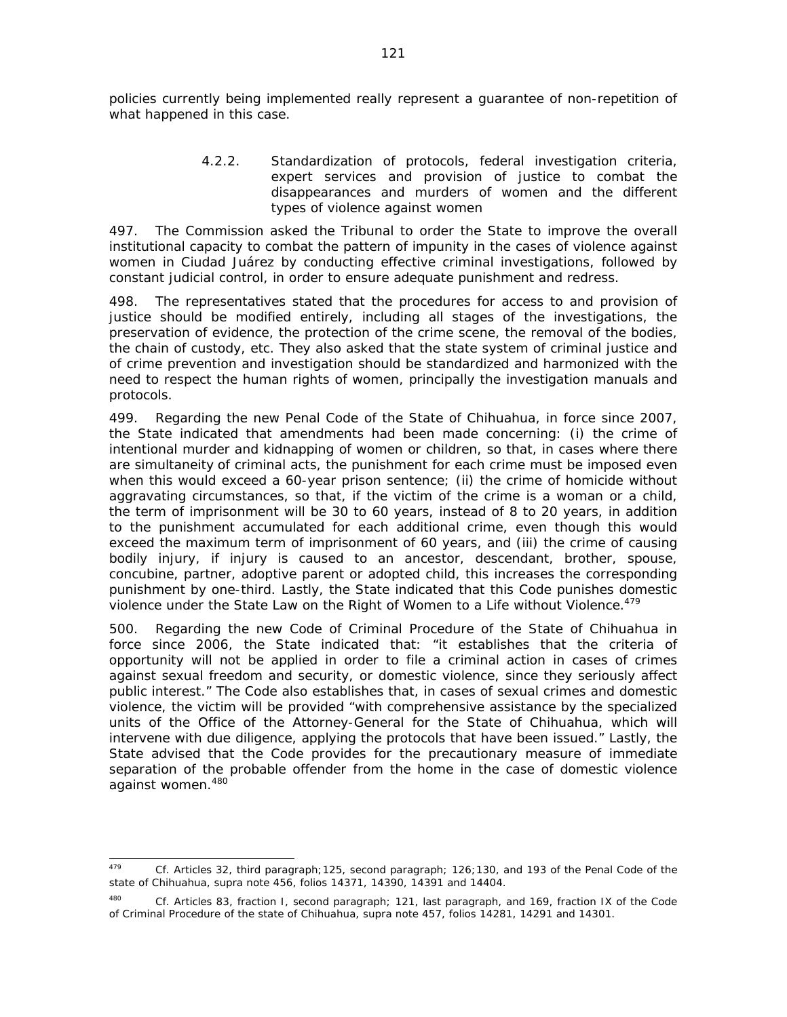policies currently being implemented really represent a guarantee of non-repetition of what happened in this case.

#### *4.2.2. Standardization of protocols, federal investigation criteria, expert services and provision of justice to combat the disappearances and murders of women and the different types of violence against women*

497. The Commission asked the Tribunal to order the State to improve the overall institutional capacity to combat the pattern of impunity in the cases of violence against women in Ciudad Juárez by conducting effective criminal investigations, followed by constant judicial control, in order to ensure adequate punishment and redress.

498. The representatives stated that the procedures for access to and provision of justice should be modified entirely, including all stages of the investigations, the preservation of evidence, the protection of the crime scene, the removal of the bodies, the chain of custody, etc. They also asked that the state system of criminal justice and of crime prevention and investigation should be standardized and harmonized with the need to respect the human rights of women, principally the investigation manuals and protocols.

499. Regarding the new Penal Code of the State of Chihuahua, in force since 2007, the State indicated that amendments had been made concerning: (i) the crime of intentional murder and kidnapping of women or children, so that, in cases where there are simultaneity of criminal acts, the punishment for each crime must be imposed even when this would exceed a 60-year prison sentence; (ii) the crime of homicide without aggravating circumstances, so that, if the victim of the crime is a woman or a child, the term of imprisonment will be 30 to 60 years, instead of 8 to 20 years, in addition to the punishment accumulated for each additional crime, even though this would exceed the maximum term of imprisonment of 60 years, and (iii) the crime of causing bodily injury, if injury is caused to an ancestor, descendant, brother, spouse, concubine, partner, adoptive parent or adopted child, this increases the corresponding punishment by one-third. Lastly, the State indicated that this Code punishes domestic violence under the State Law on the Right of Women to a Life without Violence.<sup>479</sup>

500. Regarding the new Code of Criminal Procedure of the State of Chihuahua in force since 2006, the State indicated that: "it establishes that the criteria of opportunity will not be applied in order to file a criminal action in cases of crimes against sexual freedom and security, or domestic violence, since they seriously affect public interest." The Code also establishes that, in cases of sexual crimes and domestic violence, the victim will be provided "with comprehensive assistance by the specialized units of the Office of the Attorney-General for the State of Chihuahua, which will intervene with due diligence, applying the protocols that have been issued." Lastly, the State advised that the Code provides for the precautionary measure of immediate separation of the probable offender from the home in the case of domestic violence against women.<sup>480</sup>

<sup>479</sup> 479 *Cf.* Articles 32, third paragraph;125, second paragraph; 126;130, and 193 of the Penal Code of the state of Chihuahua, *supra* note 456, folios 14371, 14390, 14391 and 14404.

<sup>480</sup> *Cf.* Articles 83, fraction I, second paragraph; 121, last paragraph, and 169, fraction IX of the Code of Criminal Procedure of the state of Chihuahua, *supra* note 457, folios 14281, 14291 and 14301.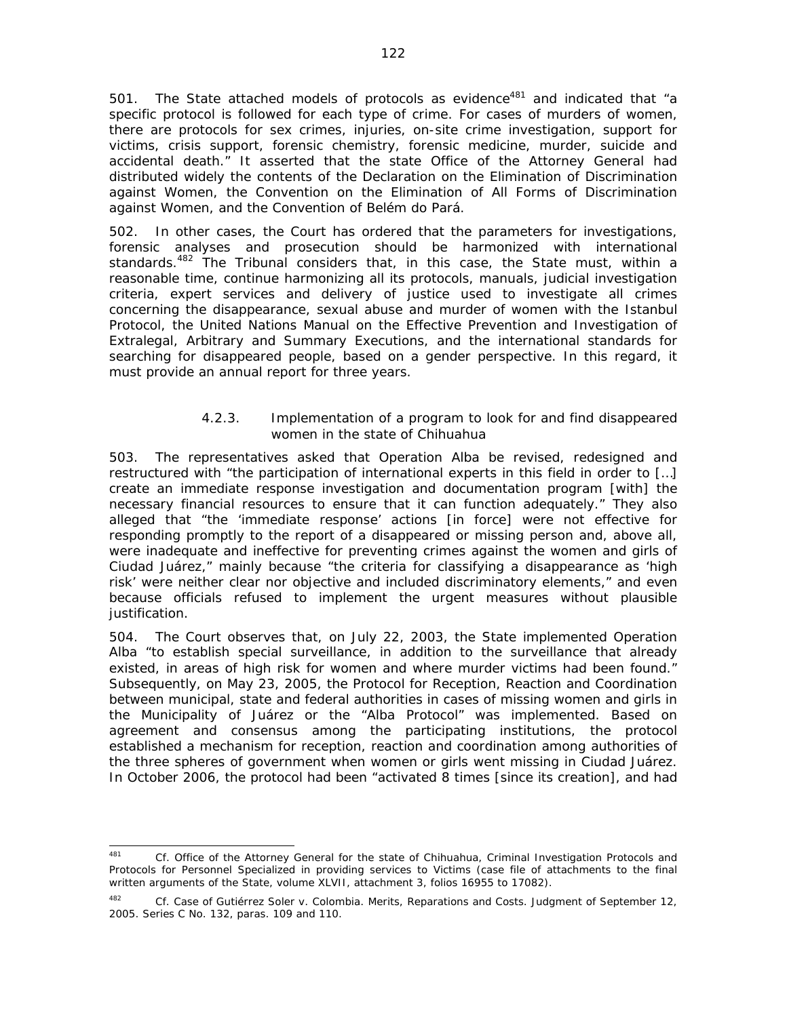501. The State attached models of protocols as evidence<sup>481</sup> and indicated that "a specific protocol is followed for each type of crime. For cases of murders of women, there are protocols for sex crimes, injuries, on-site crime investigation, support for victims, crisis support, forensic chemistry, forensic medicine, murder, suicide and accidental death." It asserted that the state Office of the Attorney General had distributed widely the contents of the Declaration on the Elimination of Discrimination against Women, the Convention on the Elimination of All Forms of Discrimination against Women, and the Convention of Belém do Pará.

502. In other cases, the Court has ordered that the parameters for investigations, forensic analyses and prosecution should be harmonized with international standards.<sup>482</sup> The Tribunal considers that, in this case, the State must, within a reasonable time, continue harmonizing all its protocols, manuals, judicial investigation criteria, expert services and delivery of justice used to investigate all crimes concerning the disappearance, sexual abuse and murder of women with the Istanbul Protocol, the United Nations Manual on the Effective Prevention and Investigation of Extralegal, Arbitrary and Summary Executions, and the international standards for searching for disappeared people, based on a gender perspective. In this regard, it must provide an annual report for three years.

### *4.2.3. Implementation of a program to look for and find disappeared women in the state of Chihuahua*

503. The representatives asked that Operation Alba be revised, redesigned and restructured with "the participation of international experts in this field in order to […] create an immediate response investigation and documentation program [with] the necessary financial resources to ensure that it can function adequately." They also alleged that "the 'immediate response' actions [in force] were not effective for responding promptly to the report of a disappeared or missing person and, above all, were inadequate and ineffective for preventing crimes against the women and girls of Ciudad Juárez," mainly because "the criteria for classifying a disappearance as 'high risk' were neither clear nor objective and included discriminatory elements," and even because officials refused to implement the urgent measures without plausible justification.

504. The Court observes that, on July 22, 2003, the State implemented Operation Alba "to establish special surveillance, in addition to the surveillance that already existed, in areas of high risk for women and where murder victims had been found." Subsequently, on May 23, 2005, the Protocol for Reception, Reaction and Coordination between municipal, state and federal authorities in cases of missing women and girls in the Municipality of Juárez or the "Alba Protocol" was implemented. Based on agreement and consensus among the participating institutions, the protocol established a mechanism for reception, reaction and coordination among authorities of the three spheres of government when women or girls went missing in Ciudad Juárez. In October 2006, the protocol had been "activated 8 times [since its creation], and had

<sup>-</sup>481 *Cf.* Office of the Attorney General for the state of Chihuahua, Criminal Investigation Protocols and Protocols for Personnel Specialized in providing services to Victims (case file of attachments to the final written arguments of the State, volume XLVII, attachment 3, folios 16955 to 17082).

<sup>482</sup> *Cf. Case of Gutiérrez Soler v. Colombia. Merits, Reparations and Costs*. Judgment of September 12, 2005. Series C No. 132, paras. 109 and 110.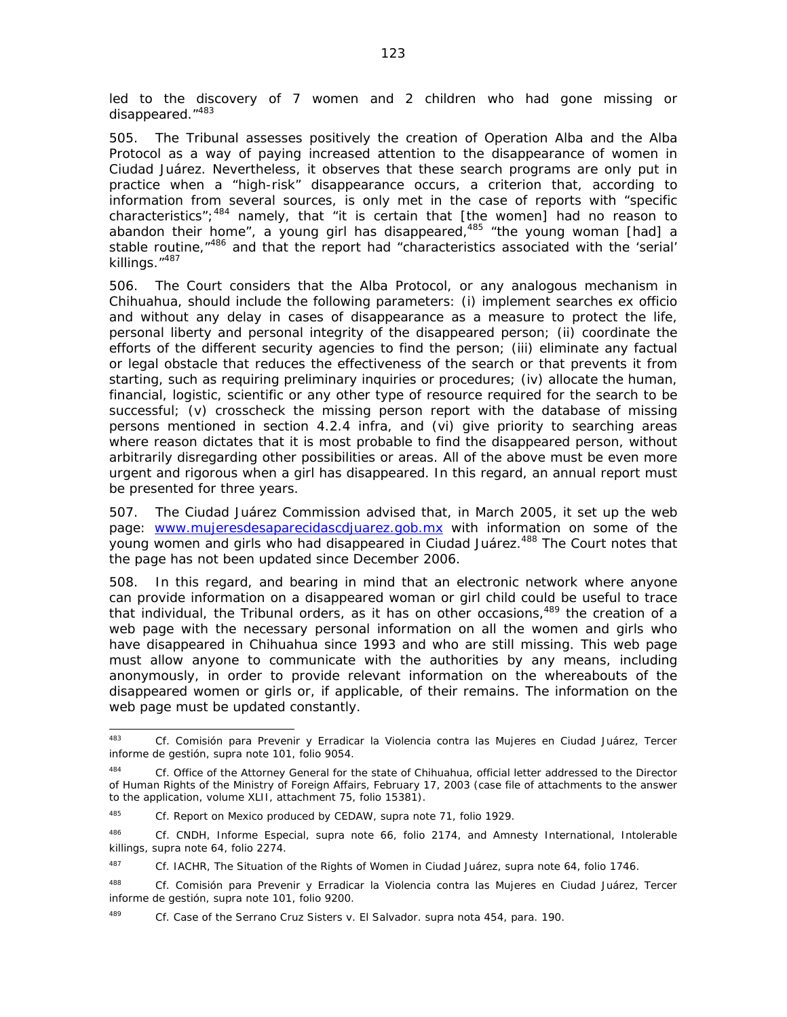led to the discovery of 7 women and 2 children who had gone missing or disappeared."483

505. The Tribunal assesses positively the creation of Operation Alba and the Alba Protocol as a way of paying increased attention to the disappearance of women in Ciudad Juárez. Nevertheless, it observes that these search programs are only put in practice when a "high-risk" disappearance occurs, a criterion that, according to information from several sources, is only met in the case of reports with "specific characteristics";<sup>484</sup> namely, that "it is certain that [the women] had no reason to abandon their home", a young girl has disappeared,<sup>485</sup> "the young woman [had] a stable routine,<sup>"486</sup> and that the report had "characteristics associated with the 'serial' killings."487

506. The Court considers that the Alba Protocol, or any analogous mechanism in Chihuahua, should include the following parameters: (i) implement searches *ex officio* and without any delay in cases of disappearance as a measure to protect the life, personal liberty and personal integrity of the disappeared person; (ii) coordinate the efforts of the different security agencies to find the person; (iii) eliminate any factual or legal obstacle that reduces the effectiveness of the search or that prevents it from starting, such as requiring preliminary inquiries or procedures; (iv) allocate the human, financial, logistic, scientific or any other type of resource required for the search to be successful; (v) crosscheck the missing person report with the database of missing persons mentioned in section 4.2.4 *infra*, and (vi) give priority to searching areas where reason dictates that it is most probable to find the disappeared person, without arbitrarily disregarding other possibilities or areas. All of the above must be even more urgent and rigorous when a girl has disappeared. In this regard, an annual report must be presented for three years.

507. The Ciudad Juárez Commission advised that, in March 2005, it set up the web page: www.mujeresdesaparecidascdjuarez.gob.mx with information on some of the young women and girls who had disappeared in Ciudad Juárez.<sup>488</sup> The Court notes that the page has not been updated since December 2006.

508. In this regard, and bearing in mind that an electronic network where anyone can provide information on a disappeared woman or girl child could be useful to trace that individual, the Tribunal orders, as it has on other occasions, $489$  the creation of a web page with the necessary personal information on all the women and girls who have disappeared in Chihuahua since 1993 and who are still missing. This web page must allow anyone to communicate with the authorities by any means, including anonymously, in order to provide relevant information on the whereabouts of the disappeared women or girls or, if applicable, of their remains. The information on the web page must be updated constantly.

<sup>483</sup> 483 *Cf. Comisión para Prevenir y Erradicar la Violencia contra las Mujeres en Ciudad Juárez, Tercer informe de gestión, supra* note 101, folio 9054.

<sup>484</sup> *Cf.* Office of the Attorney General for the state of Chihuahua, official letter addressed to the Director of Human Rights of the Ministry of Foreign Affairs, February 17, 2003 (case file of attachments to the answer to the application, volume XLII, attachment 75, folio 15381).

<sup>485</sup> *Cf.* Report on Mexico produced by CEDAW, *supra* note 71, folio 1929.

<sup>486</sup> *Cf.* CNDH, *Informe Especial*, *supra* note 66, folio 2174, and Amnesty International, *Intolerable killings, supra* note 64, folio 2274.

<sup>&</sup>lt;sup>487</sup> *Cf.* IACHR, *The Situation of the Rights of Women in Ciudad Juárez, supra note 64, folio 1746*.

<sup>488</sup> *Cf. Comisión para Prevenir y Erradicar la Violencia contra las Mujeres en Ciudad Juárez, Tercer informe de gestión*, *supra* note 101, folio 9200.

<sup>489</sup> *Cf. Case of the Serrano Cruz Sisters v. El Salvador. supra* nota 454, para. 190.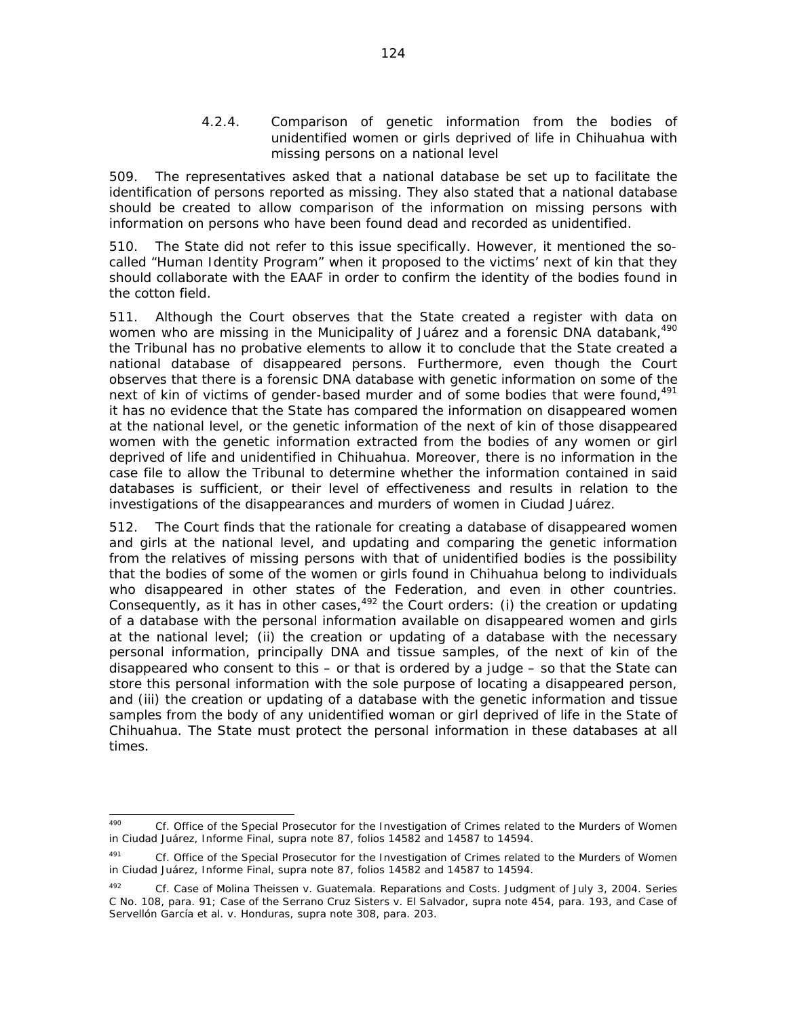#### *4.2.4. Comparison of genetic information from the bodies of unidentified women or girls deprived of life in Chihuahua with missing persons on a national level*

509. The representatives asked that a national database be set up to facilitate the identification of persons reported as missing. They also stated that a national database should be created to allow comparison of the information on missing persons with information on persons who have been found dead and recorded as unidentified.

510. The State did not refer to this issue specifically. However, it mentioned the socalled "Human Identity Program" when it proposed to the victims' next of kin that they should collaborate with the EAAF in order to confirm the identity of the bodies found in the cotton field.

511. Although the Court observes that the State created a register with data on women who are missing in the Municipality of Juárez and a forensic DNA databank,<sup>490</sup> the Tribunal has no probative elements to allow it to conclude that the State created a national database of disappeared persons. Furthermore, even though the Court observes that there is a forensic DNA database with genetic information on some of the next of kin of victims of gender-based murder and of some bodies that were found,<sup>491</sup> it has no evidence that the State has compared the information on disappeared women at the national level, or the genetic information of the next of kin of those disappeared women with the genetic information extracted from the bodies of any women or girl deprived of life and unidentified in Chihuahua. Moreover, there is no information in the case file to allow the Tribunal to determine whether the information contained in said databases is sufficient, or their level of effectiveness and results in relation to the investigations of the disappearances and murders of women in Ciudad Juárez.

512. The Court finds that the rationale for creating a database of disappeared women and girls at the national level, and updating and comparing the genetic information from the relatives of missing persons with that of unidentified bodies is the possibility that the bodies of some of the women or girls found in Chihuahua belong to individuals who disappeared in other states of the Federation, and even in other countries. Consequently, as it has in other cases,  $492$  the Court orders: (i) the creation or updating of a database with the personal information available on disappeared women and girls at the national level; (ii) the creation or updating of a database with the necessary personal information, principally DNA and tissue samples, of the next of kin of the disappeared who consent to this – or that is ordered by a judge – so that the State can store this personal information with the sole purpose of locating a disappeared person, and (iii) the creation or updating of a database with the genetic information and tissue samples from the body of any unidentified woman or girl deprived of life in the State of Chihuahua. The State must protect the personal information in these databases at all times.

<sup>490</sup> Cf. Office of the Special Prosecutor for the Investigation of Crimes related to the Murders of Women in Ciudad Juárez, *Informe Final*, *supra* note 87, folios 14582 and 14587 to 14594.

<sup>491</sup> *Cf.* Office of the Special Prosecutor for the Investigation of Crimes related to the Murders of Women in Ciudad Juárez, *Informe Final*, *supra* note 87, folios 14582 and 14587 to 14594.

<sup>492</sup> *Cf. Case of Molina Theissen v. Guatemala*. *Reparations and Costs*. Judgment of July 3, 2004. Series C No. 108, para. 91; *Case of the Serrano Cruz Sisters v. El Salvador, supra* note 454, para. 193, and *Case of Servellón García et al. v. Honduras, supra* note 308, para. 203.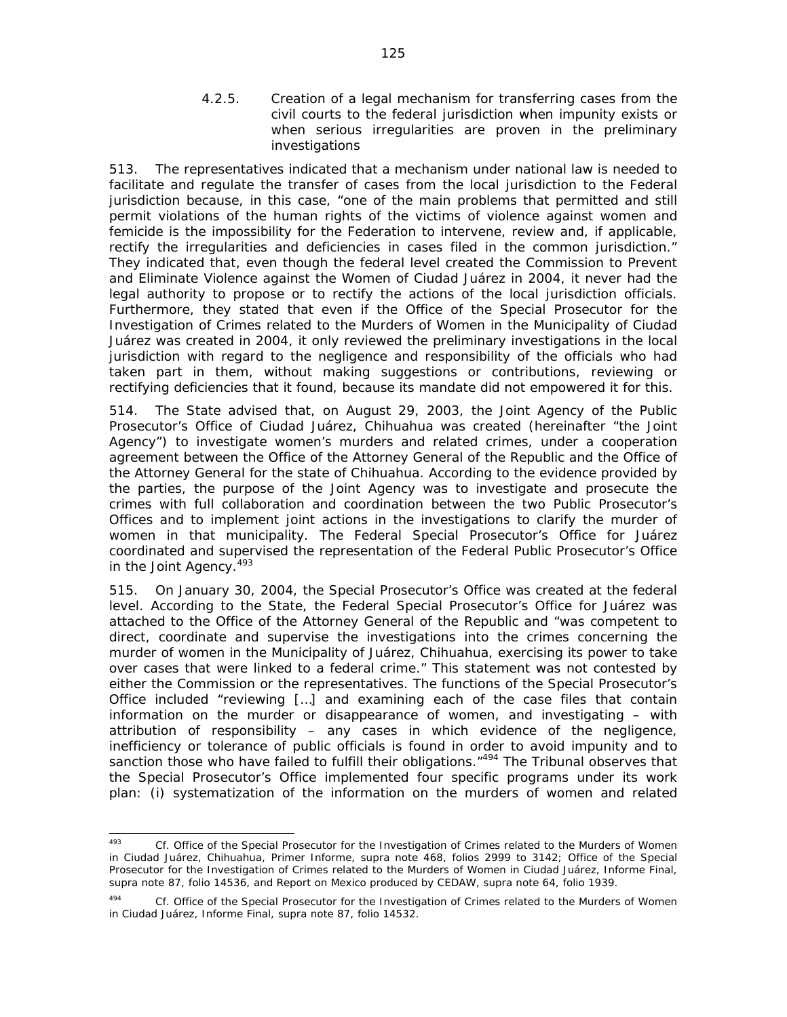*4.2.5. Creation of a legal mechanism for transferring cases from the civil courts to the federal jurisdiction when impunity exists or when serious irregularities are proven in the preliminary investigations* 

513. The representatives indicated that a mechanism under national law is needed to facilitate and regulate the transfer of cases from the local jurisdiction to the Federal jurisdiction because, in this case, "one of the main problems that permitted and still permit violations of the human rights of the victims of violence against women and femicide is the impossibility for the Federation to intervene, review and, if applicable, rectify the irregularities and deficiencies in cases filed in the common jurisdiction." They indicated that, even though the federal level created the Commission to Prevent and Eliminate Violence against the Women of Ciudad Juárez in 2004, it never had the legal authority to propose or to rectify the actions of the local jurisdiction officials. Furthermore, they stated that even if the Office of the Special Prosecutor for the Investigation of Crimes related to the Murders of Women in the Municipality of Ciudad Juárez was created in 2004, it only reviewed the preliminary investigations in the local jurisdiction with regard to the negligence and responsibility of the officials who had taken part in them, without making suggestions or contributions, reviewing or rectifying deficiencies that it found, because its mandate did not empowered it for this.

514. The State advised that, on August 29, 2003, the Joint Agency of the Public Prosecutor's Office of Ciudad Juárez, Chihuahua was created (hereinafter "the Joint Agency") to investigate women's murders and related crimes, under a cooperation agreement between the Office of the Attorney General of the Republic and the Office of the Attorney General for the state of Chihuahua. According to the evidence provided by the parties, the purpose of the Joint Agency was to investigate and prosecute the crimes with full collaboration and coordination between the two Public Prosecutor's Offices and to implement joint actions in the investigations to clarify the murder of women in that municipality. The Federal Special Prosecutor's Office for Juárez coordinated and supervised the representation of the Federal Public Prosecutor's Office in the Joint Agency.  $493$ 

515. On January 30, 2004, the Special Prosecutor's Office was created at the federal level. According to the State, the Federal Special Prosecutor's Office for Juárez was attached to the Office of the Attorney General of the Republic and "was competent to direct, coordinate and supervise the investigations into the crimes concerning the murder of women in the Municipality of Juárez, Chihuahua, exercising its power to take over cases that were linked to a federal crime." This statement was not contested by either the Commission or the representatives. The functions of the Special Prosecutor's Office included "reviewing […] and examining each of the case files that contain information on the murder or disappearance of women, and investigating – with attribution of responsibility – any cases in which evidence of the negligence, inefficiency or tolerance of public officials is found in order to avoid impunity and to sanction those who have failed to fulfill their obligations.<sup>"494</sup> The Tribunal observes that the Special Prosecutor's Office implemented four specific programs under its work plan: (i) systematization of the information on the murders of women and related

<sup>493</sup> Cf. Office of the Special Prosecutor for the Investigation of Crimes related to the Murders of Women in Ciudad Juárez, Chihuahua, *Primer Informe*, *supra* note 468, folios 2999 to 3142; Office of the Special Prosecutor for the Investigation of Crimes related to the Murders of Women in Ciudad Juárez, *Informe Final*, *supra* note 87, folio 14536, and Report on Mexico produced by CEDAW, *supra* note 64, folio 1939.

<sup>494</sup> *Cf.* Office of the Special Prosecutor for the Investigation of Crimes related to the Murders of Women in Ciudad Juárez, *Informe Final*, *supra* note 87, folio 14532.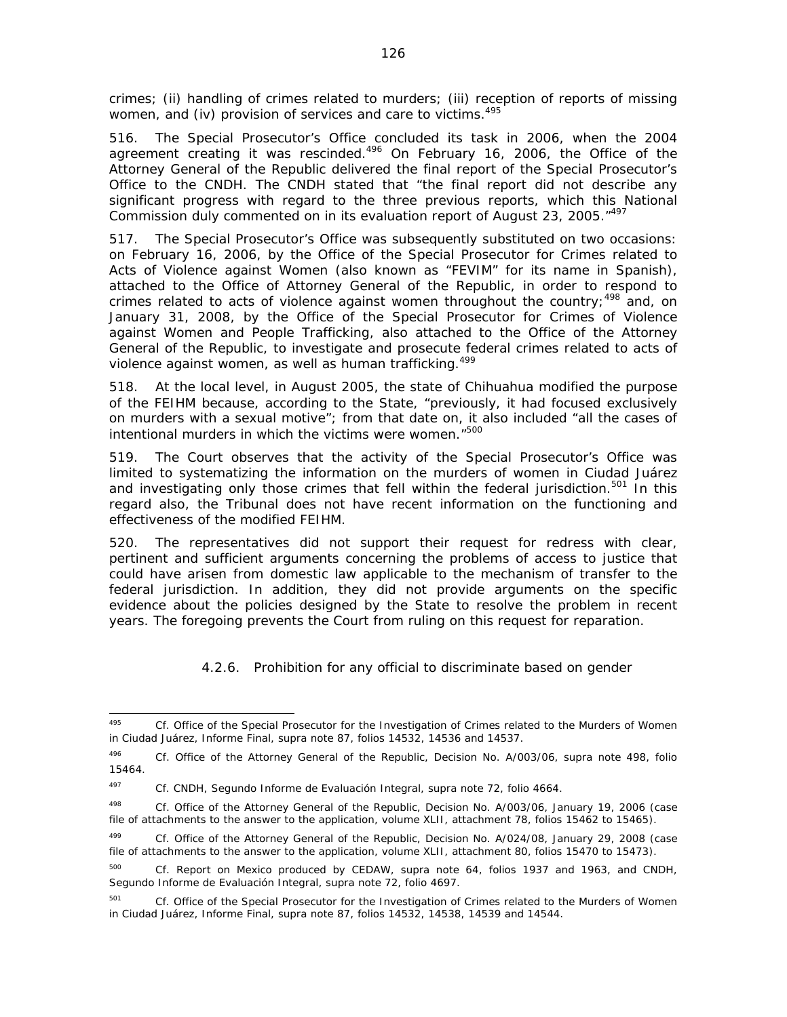crimes; (ii) handling of crimes related to murders; (iii) reception of reports of missing women, and (iv) provision of services and care to victims.<sup>495</sup>

516. The Special Prosecutor's Office concluded its task in 2006, when the 2004 agreement creating it was rescinded.<sup>496</sup> On February 16, 2006, the Office of the Attorney General of the Republic delivered the final report of the Special Prosecutor's Office to the CNDH. The CNDH stated that "the final report did not describe any significant progress with regard to the three previous reports, which this National Commission duly commented on in its evaluation report of August 23, 2005."497

517. The Special Prosecutor's Office was subsequently substituted on two occasions: on February 16, 2006, by the Office of the Special Prosecutor for Crimes related to Acts of Violence against Women (also known as "FEVIM" for its name in Spanish), attached to the Office of Attorney General of the Republic, in order to respond to crimes related to acts of violence against women throughout the country;<sup>498</sup> and, on January 31, 2008, by the Office of the Special Prosecutor for Crimes of Violence against Women and People Trafficking, also attached to the Office of the Attorney General of the Republic, to investigate and prosecute federal crimes related to acts of violence against women, as well as human trafficking.<sup>499</sup>

518. At the local level, in August 2005, the state of Chihuahua modified the purpose of the FEIHM because, according to the State, "previously, it had focused exclusively on murders with a sexual motive"; from that date on, it also included "all the cases of intentional murders in which the victims were women."<sup>500</sup>

519. The Court observes that the activity of the Special Prosecutor's Office was limited to systematizing the information on the murders of women in Ciudad Juárez and investigating only those crimes that fell within the federal jurisdiction.<sup>501</sup> In this regard also, the Tribunal does not have recent information on the functioning and effectiveness of the modified FEIHM.

520. The representatives did not support their request for redress with clear, pertinent and sufficient arguments concerning the problems of access to justice that could have arisen from domestic law applicable to the mechanism of transfer to the federal jurisdiction. In addition, they did not provide arguments on the specific evidence about the policies designed by the State to resolve the problem in recent years. The foregoing prevents the Court from ruling on this request for reparation.

### *4.2.6. Prohibition for any official to discriminate based on gender*

498 *Cf.* Office of the Attorney General of the Republic, Decision No. A/003/06, January 19, 2006 (case file of attachments to the answer to the application, volume XLII, attachment 78, folios 15462 to 15465).

<sup>495</sup> Cf. Office of the Special Prosecutor for the Investigation of Crimes related to the Murders of Women in Ciudad Juárez, *Informe Final*, *supra* note 87, folios 14532, 14536 and 14537.

<sup>496</sup> *Cf.* Office of the Attorney General of the Republic, Decision No. A/003/06, *supra* note 498, folio 15464.

*<sup>497</sup> Cf.* CNDH, *Segundo Informe de Evaluación Integral*, *supra* note 72, folio 4664.

<sup>499</sup> *Cf.* Office of the Attorney General of the Republic, Decision No. A/024/08, January 29, 2008 (case file of attachments to the answer to the application, volume XLII, attachment 80, folios 15470 to 15473).

<sup>500</sup> *Cf.* Report on Mexico produced by CEDAW, *supra* note 64, folios 1937 and 1963, and CNDH, *Segundo Informe de Evaluación Integral, supra* note 72, folio 4697.

<sup>&</sup>lt;sup>501</sup> *Cf.* Office of the Special Prosecutor for the Investigation of Crimes related to the Murders of Women in Ciudad Juárez, *Informe Final*, *supra* note 87, folios 14532, 14538, 14539 and 14544.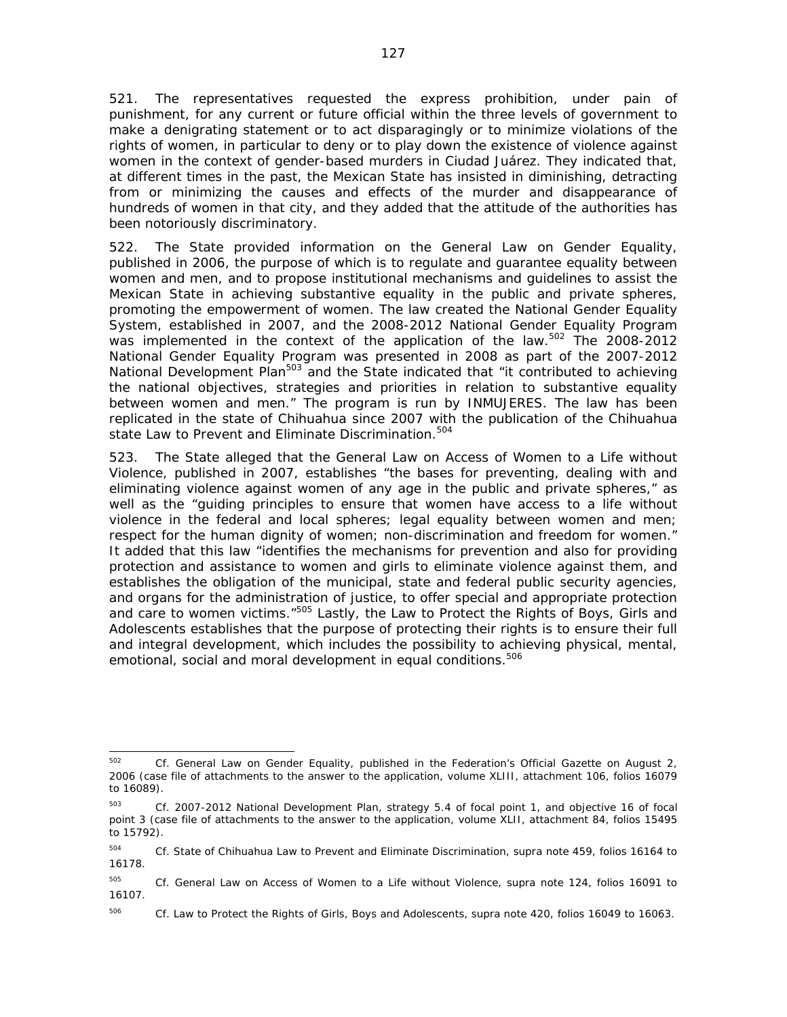521. The representatives requested the express prohibition, under pain of punishment, for any current or future official within the three levels of government to make a denigrating statement or to act disparagingly or to minimize violations of the rights of women, in particular to deny or to play down the existence of violence against women in the context of gender-based murders in Ciudad Juárez. They indicated that, at different times in the past, the Mexican State has insisted in diminishing, detracting from or minimizing the causes and effects of the murder and disappearance of hundreds of women in that city, and they added that the attitude of the authorities has been notoriously discriminatory.

522. The State provided information on the General Law on Gender Equality, published in 2006, the purpose of which is to regulate and guarantee equality between women and men, and to propose institutional mechanisms and guidelines to assist the Mexican State in achieving substantive equality in the public and private spheres, promoting the empowerment of women. The law created the National Gender Equality System, established in 2007, and the 2008-2012 National Gender Equality Program was implemented in the context of the application of the law.<sup>502</sup> The 2008-2012 National Gender Equality Program was presented in 2008 as part of the 2007-2012 National Development Plan<sup>503</sup> and the State indicated that "it contributed to achieving the national objectives, strategies and priorities in relation to substantive equality between women and men." The program is run by INMUJERES. The law has been replicated in the state of Chihuahua since 2007 with the publication of the Chihuahua state Law to Prevent and Eliminate Discrimination.<sup>504</sup>

523. The State alleged that the General Law on Access of Women to a Life without Violence*,* published in 2007, establishes "the bases for preventing, dealing with and eliminating violence against women of any age in the public and private spheres," as well as the "guiding principles to ensure that women have access to a life without violence in the federal and local spheres; legal equality between women and men; respect for the human dignity of women; non-discrimination and freedom for women." It added that this law "identifies the mechanisms for prevention and also for providing protection and assistance to women and girls to eliminate violence against them, and establishes the obligation of the municipal, state and federal public security agencies, and organs for the administration of justice, to offer special and appropriate protection and care to women victims."<sup>505</sup> Lastly, the Law to Protect the Rights of Boys, Girls and Adolescents establishes that the purpose of protecting their rights is to ensure their full and integral development, which includes the possibility to achieving physical, mental, emotional, social and moral development in equal conditions.<sup>506</sup>

-

<sup>502</sup> *Cf.* General Law on Gender Equality, published in the Federation's Official Gazette on August 2, 2006 (case file of attachments to the answer to the application, volume XLIII, attachment 106, folios 16079 to 16089).

<sup>503</sup> *Cf.* 2007-2012 National Development Plan, strategy 5.4 of focal point 1, and objective 16 of focal point 3 (case file of attachments to the answer to the application, volume XLII, attachment 84, folios 15495 to 15792).

<sup>504</sup> *Cf.* State of Chihuahua Law to Prevent and Eliminate Discrimination, *supra* note 459, folios 16164 to 16178.

<sup>505</sup> *Cf.* General Law on Access of Women to a Life without Violence, *supra* note 124, folios 16091 to 16107.

<sup>506</sup> *Cf.* Law to Protect the Rights of Girls, Boys and Adolescents, *supra* note 420, folios 16049 to 16063.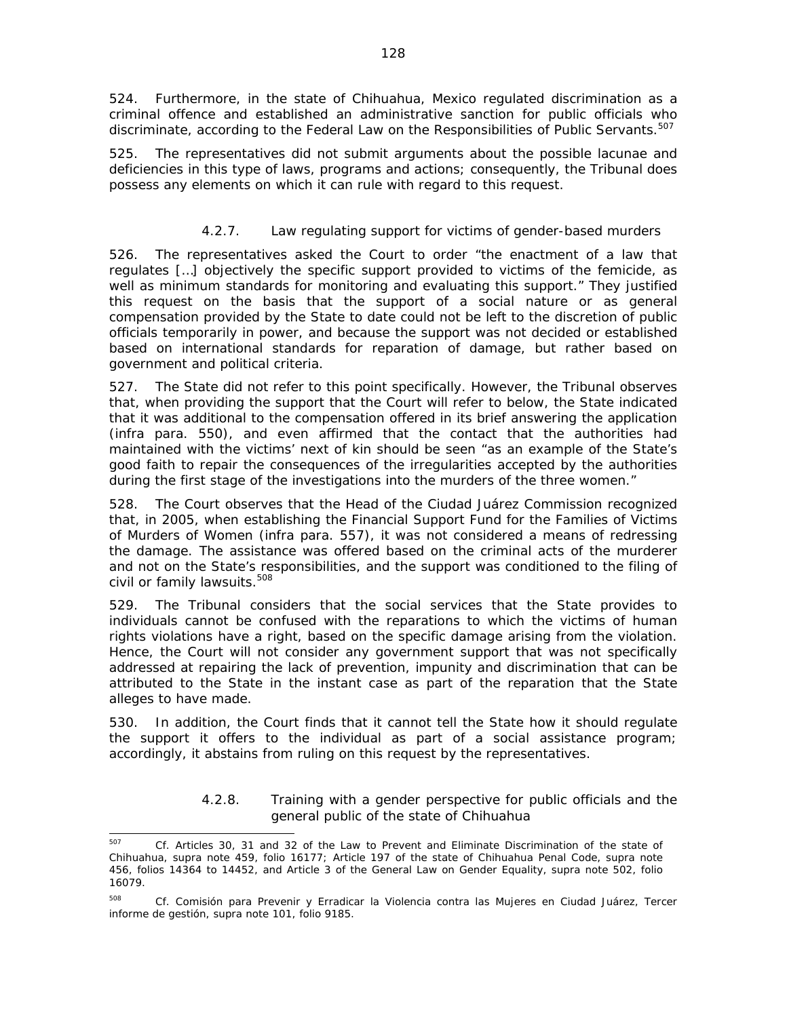524. Furthermore, in the state of Chihuahua, Mexico regulated discrimination as a criminal offence and established an administrative sanction for public officials who discriminate, according to the Federal Law on the Responsibilities of Public Servants.<sup>507</sup>

525. The representatives did not submit arguments about the possible lacunae and deficiencies in this type of laws, programs and actions; consequently, the Tribunal does possess any elements on which it can rule with regard to this request.

# *4.2.7. Law regulating support for victims of gender-based murders*

526. The representatives asked the Court to order "the enactment of a law that regulates […] objectively the specific support provided to victims of the femicide, as well as minimum standards for monitoring and evaluating this support." They justified this request on the basis that the support of a social nature or as general compensation provided by the State to date could not be left to the discretion of public officials temporarily in power, and because the support was not decided or established based on international standards for reparation of damage, but rather based on government and political criteria.

527. The State did not refer to this point specifically. However, the Tribunal observes that, when providing the support that the Court will refer to below, the State indicated that it was additional to the compensation offered in its brief answering the application (*infra* para. 550), and even affirmed that the contact that the authorities had maintained with the victims' next of kin should be seen "as an example of the State's good faith to repair the consequences of the irregularities accepted by the authorities during the first stage of the investigations into the murders of the three women."

528. The Court observes that the Head of the Ciudad Juárez Commission recognized that, in 2005, when establishing the Financial Support Fund for the Families of Victims of Murders of Women (*infra* para. 557), it was not considered a means of redressing the damage. The assistance was offered based on the criminal acts of the murderer and not on the State's responsibilities, and the support was conditioned to the filing of civil or family lawsuits.<sup>508</sup>

529. The Tribunal considers that the social services that the State provides to individuals cannot be confused with the reparations to which the victims of human rights violations have a right, based on the specific damage arising from the violation. Hence, the Court will not consider any government support that was not specifically addressed at repairing the lack of prevention, impunity and discrimination that can be attributed to the State in the instant case as part of the reparation that the State alleges to have made*.* 

530. In addition, the Court finds that it cannot tell the State how it should regulate the support it offers to the individual as part of a social assistance program; accordingly, it abstains from ruling on this request by the representatives.

#### *4.2.8. Training with a gender perspective for public officials and the general public of the state of Chihuahua*

<sup>-</sup>507 *Cf.* Articles 30, 31 and 32 of the Law to Prevent and Eliminate Discrimination of the state of Chihuahua, *supra* note 459, folio 16177; Article 197 of the state of Chihuahua Penal Code, *supra* note 456, folios 14364 to 14452, and Article 3 of the General Law on Gender Equality, *supra* note 502, folio 16079.

<sup>508</sup> *Cf. Comisión para Prevenir y Erradicar la Violencia contra las Mujeres en Ciudad Juárez, Tercer informe de gestión*, *supra* note 101, folio 9185.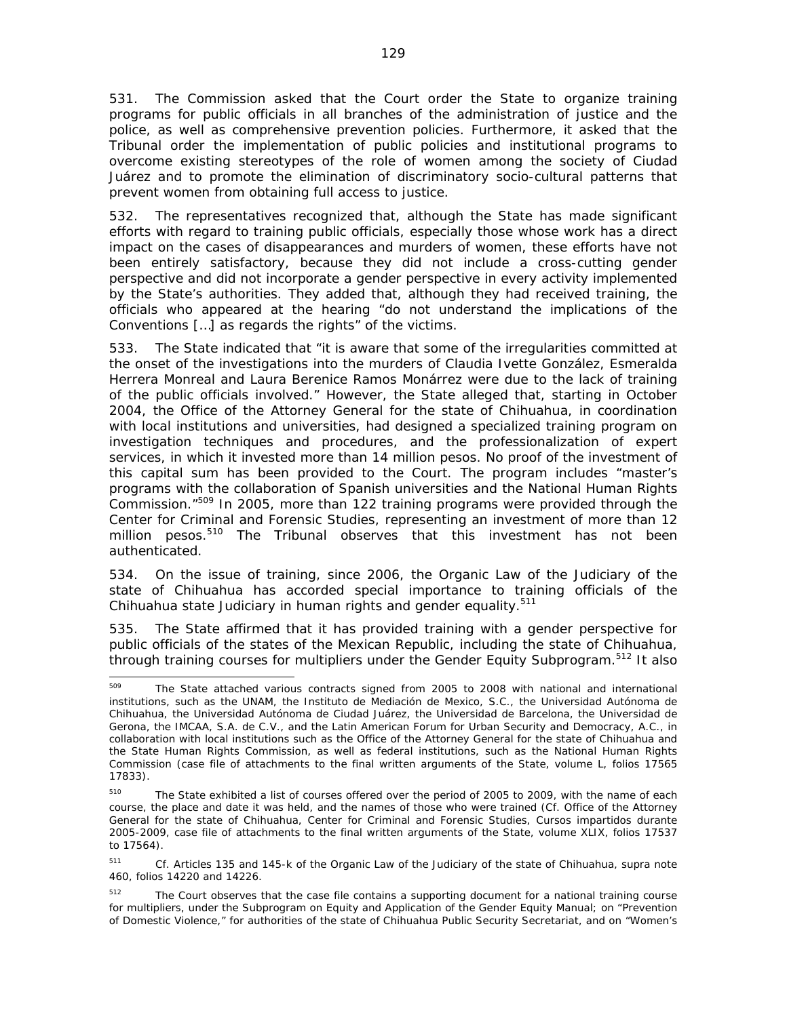531. The Commission asked that the Court order the State to organize training programs for public officials in all branches of the administration of justice and the police, as well as comprehensive prevention policies. Furthermore, it asked that the Tribunal order the implementation of public policies and institutional programs to overcome existing stereotypes of the role of women among the society of Ciudad Juárez and to promote the elimination of discriminatory socio-cultural patterns that prevent women from obtaining full access to justice.

532. The representatives recognized that, although the State has made significant efforts with regard to training public officials, especially those whose work has a direct impact on the cases of disappearances and murders of women, these efforts have not been entirely satisfactory, because they did not include a cross-cutting gender perspective and did not incorporate a gender perspective in every activity implemented by the State's authorities. They added that, although they had received training, the officials who appeared at the hearing "do not understand the implications of the Conventions […] as regards the rights" of the victims.

533. The State indicated that "it is aware that some of the irregularities committed at the onset of the investigations into the murders of Claudia Ivette González, Esmeralda Herrera Monreal and Laura Berenice Ramos Monárrez were due to the lack of training of the public officials involved." However, the State alleged that, starting in October 2004, the Office of the Attorney General for the state of Chihuahua, in coordination with local institutions and universities, had designed a specialized training program on investigation techniques and procedures, and the professionalization of expert services, in which it invested more than 14 million pesos. No proof of the investment of this capital sum has been provided to the Court. The program includes "master's programs with the collaboration of Spanish universities and the National Human Rights Commission."509 In 2005, more than 122 training programs were provided through the Center for Criminal and Forensic Studies, representing an investment of more than 12 million pesos.<sup>510</sup> The Tribunal observes that this investment has not been authenticated.

534. On the issue of training, since 2006, the Organic Law of the Judiciary of the state of Chihuahua has accorded special importance to training officials of the Chihuahua state Judiciary in human rights and gender equality.<sup>511</sup>

535. The State affirmed that it has provided training with a gender perspective for public officials of the states of the Mexican Republic, including the state of Chihuahua, through training courses for multipliers under the Gender Equity Subprogram.<sup>512</sup> It also

<sup>509</sup> The State attached various contracts signed from 2005 to 2008 with national and international institutions, such as the UNAM, the Instituto de Mediación de Mexico, S.C., the Universidad Autónoma de Chihuahua, the Universidad Autónoma de Ciudad Juárez, the Universidad de Barcelona, the Universidad de Gerona, the IMCAA, S.A. de C.V., and the Latin American Forum for Urban Security and Democracy, A.C., in collaboration with local institutions such as the Office of the Attorney General for the state of Chihuahua and the State Human Rights Commission, as well as federal institutions, such as the National Human Rights Commission (case file of attachments to the final written arguments of the State, volume L, folios 17565 17833).

<sup>&</sup>lt;sup>510</sup> The State exhibited a list of courses offered over the period of 2005 to 2009, with the name of each course, the place and date it was held, and the names of those who were trained (*Cf.* Office of the Attorney General for the state of Chihuahua, Center for Criminal and Forensic Studies, *Cursos impartidos durante 2005-2009*, case file of attachments to the final written arguments of the State, volume XLIX, folios 17537 to 17564).

<sup>511</sup> *Cf.* Articles 135 and 145-k of the Organic Law of the Judiciary of the state of Chihuahua, *supra* note 460, folios 14220 and 14226.

<sup>&</sup>lt;sup>512</sup> The Court observes that the case file contains a supporting document for a national training course for multipliers, under the Subprogram on Equity and Application of the Gender Equity Manual; on "Prevention of Domestic Violence," for authorities of the state of Chihuahua Public Security Secretariat, and on "Women's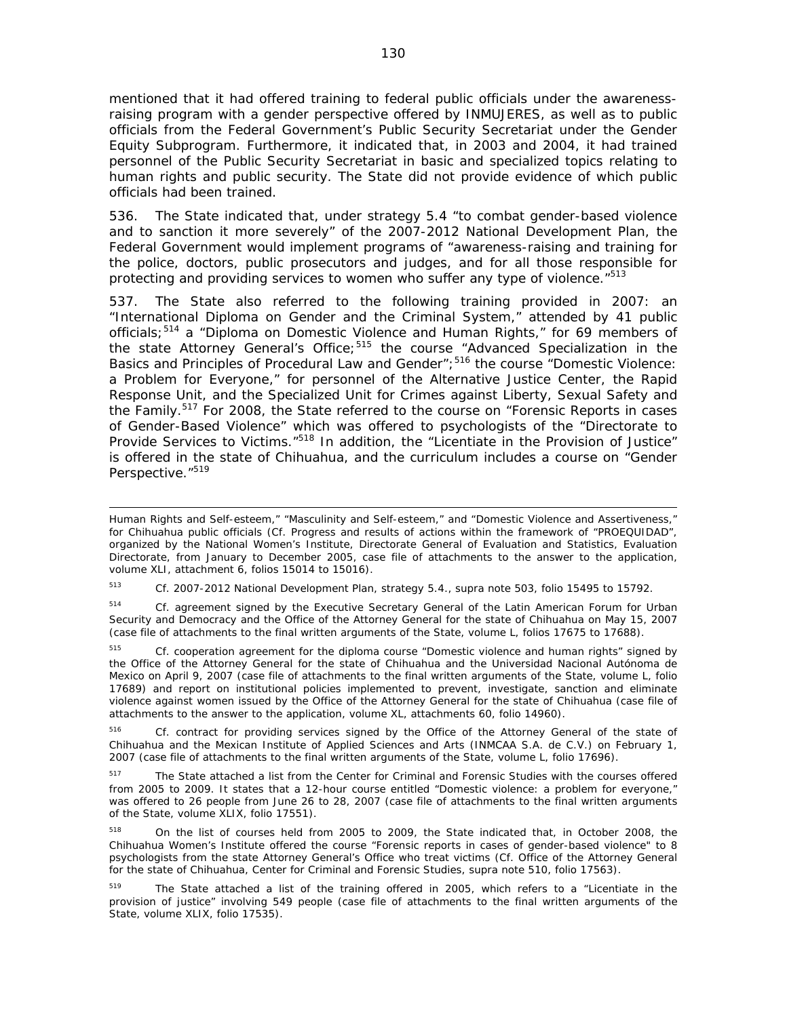mentioned that it had offered training to federal public officials under the awarenessraising program with a gender perspective offered by INMUJERES, as well as to public officials from the Federal Government's Public Security Secretariat under the Gender Equity Subprogram. Furthermore, it indicated that, in 2003 and 2004, it had trained personnel of the Public Security Secretariat in basic and specialized topics relating to human rights and public security. The State did not provide evidence of which public officials had been trained.

536. The State indicated that, under strategy 5.4 "to combat gender-based violence and to sanction it more severely" of the 2007-2012 National Development Plan, the Federal Government would implement programs of "awareness-raising and training for the police, doctors, public prosecutors and judges, and for all those responsible for protecting and providing services to women who suffer any type of violence."<sup>513</sup>

537. The State also referred to the following training provided in 2007: an "International Diploma on Gender and the Criminal System," attended by 41 public officials;514 a "Diploma on Domestic Violence and Human Rights," for 69 members of the state Attorney General's Office;<sup>515</sup> the course "Advanced Specialization in the Basics and Principles of Procedural Law and Gender";<sup>516</sup> the course "Domestic Violence: a Problem for Everyone," for personnel of the Alternative Justice Center, the Rapid Response Unit, and the Specialized Unit for Crimes against Liberty, Sexual Safety and the Family.517 For 2008, the State referred to the course on "Forensic Reports in cases of Gender-Based Violence" which was offered to psychologists of the "Directorate to Provide Services to Victims."<sup>518</sup> In addition, the "Licentiate in the Provision of Justice" is offered in the state of Chihuahua, and the curriculum includes a course on "Gender Perspective."<sup>519</sup>

513 *Cf.* 2007-2012 National Development Plan, strategy 5.4., *supra* note 503, folio 15495 to 15792.

j

<sup>514</sup> *Cf.* agreement signed by the Executive Secretary General of the Latin American Forum for Urban Security and Democracy and the Office of the Attorney General for the state of Chihuahua on May 15, 2007 (case file of attachments to the final written arguments of the State, volume L, folios 17675 to 17688).

515 *Cf.* cooperation agreement for the diploma course "Domestic violence and human rights" signed by the Office of the Attorney General for the state of Chihuahua and the Universidad Nacional Autónoma de Mexico on April 9, 2007 (case file of attachments to the final written arguments of the State, volume L, folio 17689) and report on institutional policies implemented to prevent, investigate, sanction and eliminate violence against women issued by the Office of the Attorney General for the state of Chihuahua (case file of attachments to the answer to the application, volume XL, attachments 60, folio 14960).

516 *Cf.* contract for providing services signed by the Office of the Attorney General of the state of Chihuahua and the Mexican Institute of Applied Sciences and Arts (INMCAA S.A. de C.V.) on February 1, 2007 (case file of attachments to the final written arguments of the State, volume L, folio 17696).

The State attached a list from the Center for Criminal and Forensic Studies with the courses offered from 2005 to 2009. It states that a 12-hour course entitled "Domestic violence: a problem for everyone," was offered to 26 people from June 26 to 28, 2007 (case file of attachments to the final written arguments of the State, volume XLIX, folio 17551).

518 On the list of courses held from 2005 to 2009, the State indicated that, in October 2008, the Chihuahua Women's Institute offered the course "Forensic reports in cases of gender-based violence" to 8 psychologists from the state Attorney General's Office who treat victims (*Cf.* Office of the Attorney General for the state of Chihuahua, Center for Criminal and Forensic Studies, *supra* note 510, folio 17563).

The State attached a list of the training offered in 2005, which refers to a "Licentiate in the provision of justice" involving 549 people (case file of attachments to the final written arguments of the State, volume XLIX, folio 17535).

Human Rights and Self-esteem," "Masculinity and Self-esteem," and "Domestic Violence and Assertiveness," for Chihuahua public officials (*Cf.* Progress and results of actions within the framework of "PROEQUIDAD", organized by the National Women's Institute, Directorate General of Evaluation and Statistics, Evaluation Directorate, from January to December 2005, case file of attachments to the answer to the application, volume XLI, attachment 6, folios 15014 to 15016).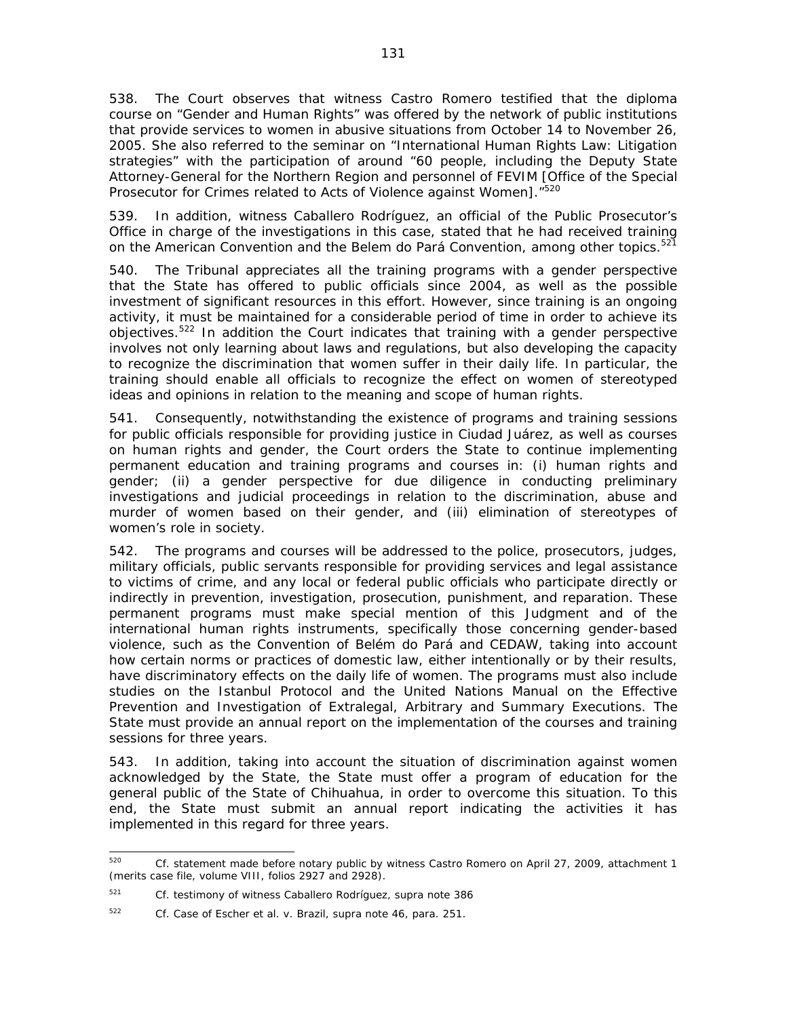538. The Court observes that witness Castro Romero testified that the diploma course on "Gender and Human Rights" was offered by the network of public institutions that provide services to women in abusive situations from October 14 to November 26, 2005. She also referred to the seminar on "International Human Rights Law: Litigation strategies" with the participation of around "60 people, including the Deputy State Attorney-General for the Northern Region and personnel of FEVIM [Office of the Special Prosecutor for Crimes related to Acts of Violence against Women]."<sup>520</sup>

539. In addition, witness Caballero Rodríguez, an official of the Public Prosecutor's Office in charge of the investigations in this case, stated that he had received training on the American Convention and the Belem do Pará Convention, among other topics.<sup>521</sup>

540. The Tribunal appreciates all the training programs with a gender perspective that the State has offered to public officials since 2004, as well as the possible investment of significant resources in this effort. However, since training is an ongoing activity, it must be maintained for a considerable period of time in order to achieve its objectives.522 In addition the Court indicates that training with a gender perspective involves not only learning about laws and regulations, but also developing the capacity to recognize the discrimination that women suffer in their daily life. In particular, the training should enable all officials to recognize the effect on women of stereotyped ideas and opinions in relation to the meaning and scope of human rights.

541. Consequently, notwithstanding the existence of programs and training sessions for public officials responsible for providing justice in Ciudad Juárez, as well as courses on human rights and gender, the Court orders the State to continue implementing permanent education and training programs and courses in: (i) human rights and gender; (ii) a gender perspective for due diligence in conducting preliminary investigations and judicial proceedings in relation to the discrimination, abuse and murder of women based on their gender, and (iii) elimination of stereotypes of women's role in society.

542. The programs and courses will be addressed to the police, prosecutors, judges, military officials, public servants responsible for providing services and legal assistance to victims of crime, and any local or federal public officials who participate directly or indirectly in prevention, investigation, prosecution, punishment, and reparation. These permanent programs must make special mention of this Judgment and of the international human rights instruments, specifically those concerning gender-based violence, such as the Convention of Belém do Pará and CEDAW, taking into account how certain norms or practices of domestic law, either intentionally or by their results, have discriminatory effects on the daily life of women. The programs must also include studies on the Istanbul Protocol and the United Nations Manual on the Effective Prevention and Investigation of Extralegal, Arbitrary and Summary Executions. The State must provide an annual report on the implementation of the courses and training sessions for three years.

543. In addition, taking into account the situation of discrimination against women acknowledged by the State, the State must offer a program of education for the general public of the State of Chihuahua, in order to overcome this situation. To this end, the State must submit an annual report indicating the activities it has implemented in this regard for three years.

<sup>520</sup> Cf. statement made before notary public by witness Castro Romero on April 27, 2009, attachment 1 (merits case file, volume VIII, folios 2927 and 2928).

<sup>521</sup> *Cf.* testimony of witness Caballero Rodríguez, *supra* note 386

<sup>522</sup> *Cf. Case of Escher et al. v. Brazil, supra* note 46, para. 251.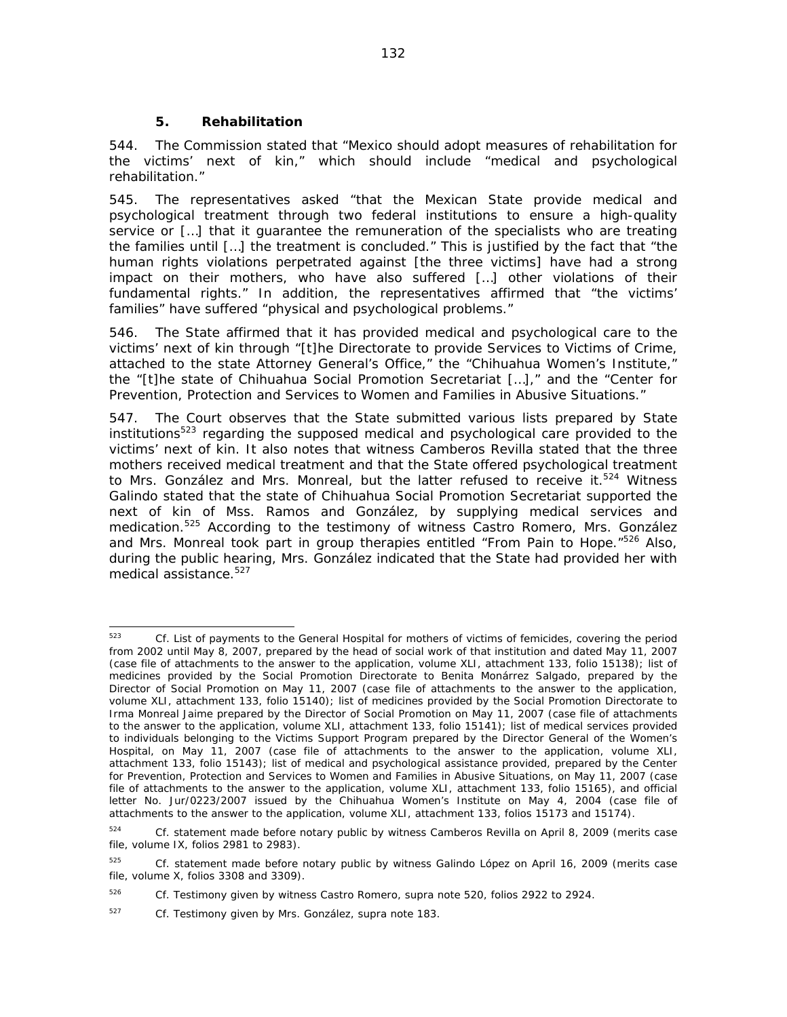#### *5. Rehabilitation*

544. The Commission stated that "Mexico should adopt measures of rehabilitation for the victims' next of kin," which should include "medical and psychological rehabilitation."

545. The representatives asked "that the Mexican State provide medical and psychological treatment through two federal institutions to ensure a high-quality service or […] that it guarantee the remuneration of the specialists who are treating the families until […] the treatment is concluded." This is justified by the fact that "the human rights violations perpetrated against [the three victims] have had a strong impact on their mothers, who have also suffered […] other violations of their fundamental rights." In addition, the representatives affirmed that "the victims' families" have suffered "physical and psychological problems."

546. The State affirmed that it has provided medical and psychological care to the victims' next of kin through "[t]he Directorate to provide Services to Victims of Crime, attached to the state Attorney General's Office," the "Chihuahua Women's Institute," the "[t]he state of Chihuahua Social Promotion Secretariat […]," and the "Center for Prevention, Protection and Services to Women and Families in Abusive Situations."

547. The Court observes that the State submitted various lists prepared by State institutions<sup>523</sup> regarding the supposed medical and psychological care provided to the victims' next of kin. It also notes that witness Camberos Revilla stated that the three mothers received medical treatment and that the State offered psychological treatment to Mrs. González and Mrs. Monreal, but the latter refused to receive it.<sup>524</sup> Witness Galindo stated that the state of Chihuahua Social Promotion Secretariat supported the next of kin of Mss. Ramos and González, by supplying medical services and medication.525 According to the testimony of witness Castro Romero, Mrs. González and Mrs. Monreal took part in group therapies entitled "From Pain to Hope."<sup>526</sup> Also, during the public hearing, Mrs. González indicated that the State had provided her with medical assistance.<sup>527</sup>

 $522$ Cf. List of payments to the General Hospital for mothers of victims of femicides, covering the period from 2002 until May 8, 2007, prepared by the head of social work of that institution and dated May 11, 2007 (case file of attachments to the answer to the application, volume XLI, attachment 133, folio 15138); list of medicines provided by the Social Promotion Directorate to Benita Monárrez Salgado, prepared by the Director of Social Promotion on May 11, 2007 (case file of attachments to the answer to the application, volume XLI, attachment 133, folio 15140); list of medicines provided by the Social Promotion Directorate to Irma Monreal Jaime prepared by the Director of Social Promotion on May 11, 2007 (case file of attachments to the answer to the application, volume XLI, attachment 133, folio 15141); list of medical services provided to individuals belonging to the Victims Support Program prepared by the Director General of the Women's Hospital, on May 11, 2007 (case file of attachments to the answer to the application, volume XLI, attachment 133, folio 15143); list of medical and psychological assistance provided, prepared by the Center for Prevention, Protection and Services to Women and Families in Abusive Situations, on May 11, 2007 (case file of attachments to the answer to the application, volume XLI, attachment 133, folio 15165), and official letter No. Jur/0223/2007 issued by the Chihuahua Women's Institute on May 4, 2004 (case file of attachments to the answer to the application, volume XLI, attachment 133, folios 15173 and 15174).

<sup>524</sup> *Cf.* statement made before notary public by witness Camberos Revilla on April 8, 2009 (merits case file, volume IX, folios 2981 to 2983).

<sup>525</sup> *Cf.* statement made before notary public by witness Galindo López on April 16, 2009 (merits case file, volume X, folios 3308 and 3309).

<sup>526</sup> *Cf.* Testimony given by witness Castro Romero, *supra* note 520, folios 2922 to 2924.

<sup>527</sup> *Cf.* Testimony given by Mrs. González, *supra* note 183.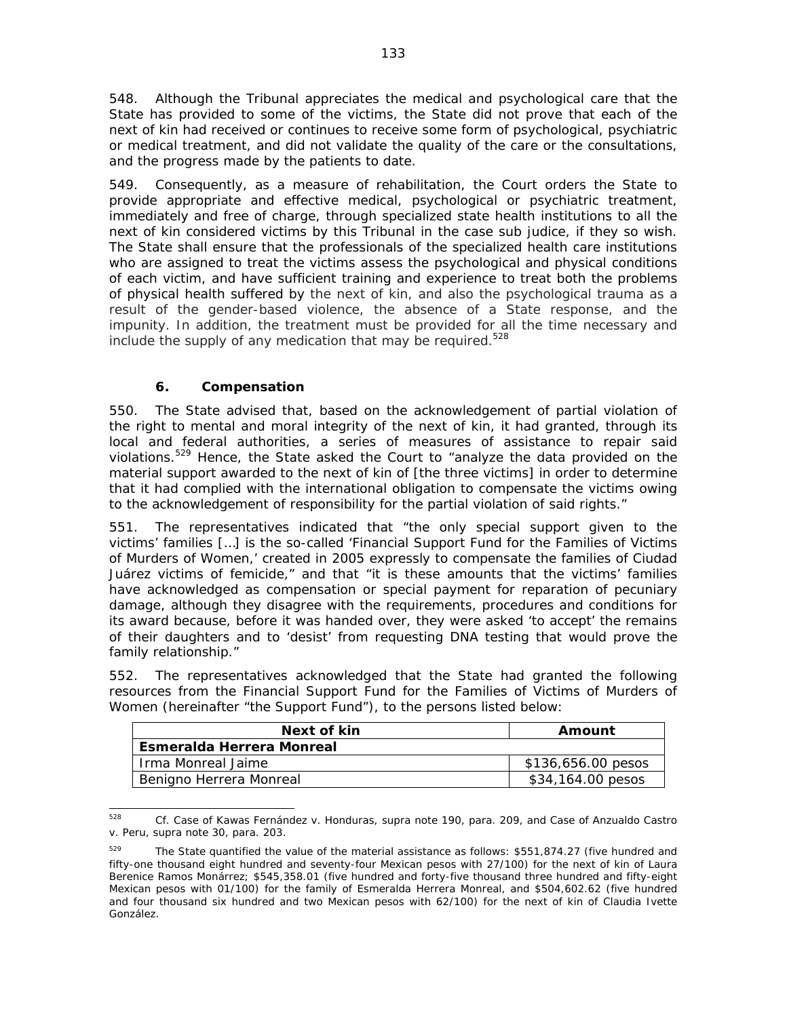548. Although the Tribunal appreciates the medical and psychological care that the State has provided to some of the victims, the State did not prove that each of the next of kin had received or continues to receive some form of psychological, psychiatric or medical treatment, and did not validate the quality of the care or the consultations, and the progress made by the patients to date.

549. Consequently, as a measure of rehabilitation, the Court orders the State to provide appropriate and effective medical, psychological or psychiatric treatment, immediately and free of charge, through specialized state health institutions to all the next of kin considered victims by this Tribunal in the case *sub judice,* if they so wish. The State shall ensure that the professionals of the specialized health care institutions who are assigned to treat the victims assess the psychological and physical conditions of each victim, and have sufficient training and experience to treat both the problems of physical health suffered by the next of kin, and also the psychological trauma as a result of the gender-based violence, the absence of a State response, and the impunity. In addition, the treatment must be provided for all the time necessary and include the supply of any medication that may be required.<sup>528</sup>

# *6. Compensation*

550. The State advised that, based on the acknowledgement of partial violation of the right to mental and moral integrity of the next of kin, it had granted, through its local and federal authorities, a series of measures of assistance to repair said violations.529 Hence, the State asked the Court to "analyze the data provided on the material support awarded to the next of kin of [the three victims] in order to determine that it had complied with the international obligation to compensate the victims owing to the acknowledgement of responsibility for the partial violation of said rights."

551. The representatives indicated that "the only special support given to the victims' families […] is the so-called 'Financial Support Fund for the Families of Victims of Murders of Women,' created in 2005 expressly to compensate the families of Ciudad Juárez victims of femicide," and that "it is these amounts that the victims' families have acknowledged as compensation or special payment for reparation of pecuniary damage, although they disagree with the requirements, procedures and conditions for its award because, before it was handed over, they were asked 'to accept' the remains of their daughters and to 'desist' from requesting DNA testing that would prove the family relationship."

552. The representatives acknowledged that the State had granted the following resources from the Financial Support Fund for the Families of Victims of Murders of Women (hereinafter "the Support Fund"), to the persons listed below:

| Next of kin               | Amount             |  |
|---------------------------|--------------------|--|
| Esmeralda Herrera Monreal |                    |  |
| Irma Monreal Jaime        | \$136,656.00 pesos |  |
| Benigno Herrera Monreal   | \$34,164.00 pesos  |  |

<sup>528</sup> 528 *Cf. Case of Kawas Fernández v. Honduras, supra* note 190, para. 209, and *Case of Anzualdo Castro v. Peru, supra* note 30, para. 203.

 $529$  The State quantified the value of the material assistance as follows: \$551,874.27 (five hundred and fifty-one thousand eight hundred and seventy-four Mexican pesos with 27/100) for the next of kin of Laura Berenice Ramos Monárrez; \$545,358.01 (five hundred and forty-five thousand three hundred and fifty-eight Mexican pesos with 01/100) for the family of Esmeralda Herrera Monreal, and \$504,602.62 (five hundred and four thousand six hundred and two Mexican pesos with 62/100) for the next of kin of Claudia Ivette González.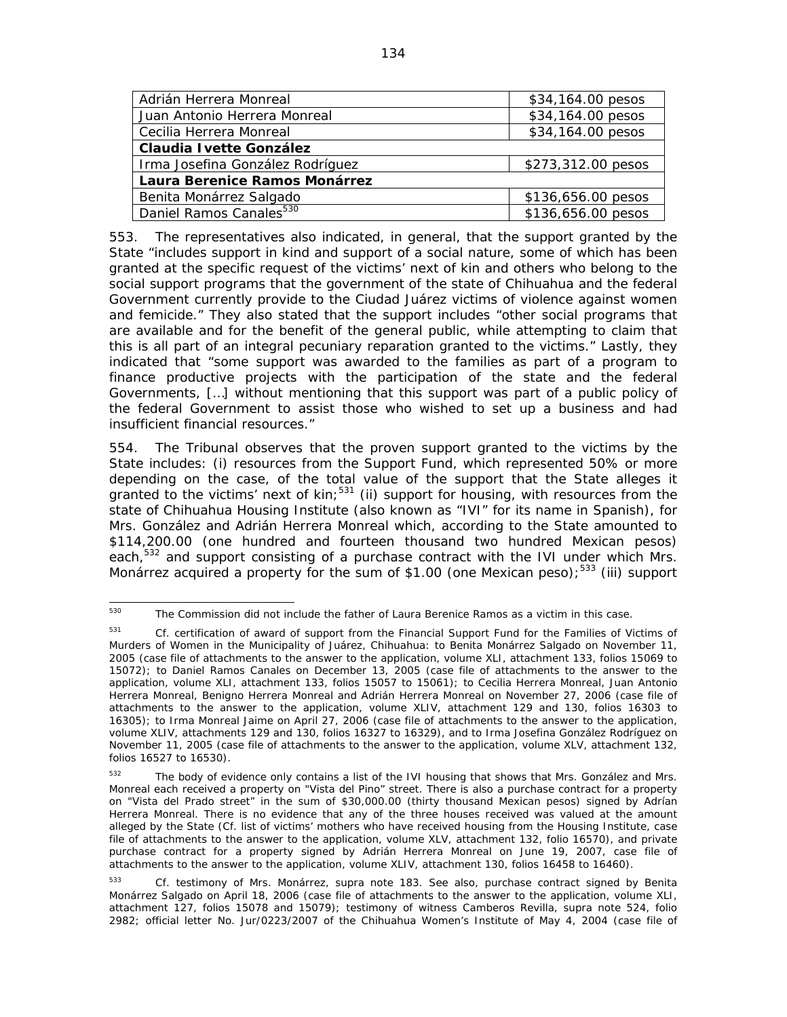| Adrián Herrera Monreal              | \$34,164.00 pesos  |  |
|-------------------------------------|--------------------|--|
| Juan Antonio Herrera Monreal        | \$34,164.00 pesos  |  |
| Cecilia Herrera Monreal             | \$34,164.00 pesos  |  |
| Claudia I vette González            |                    |  |
| Irma Josefina González Rodríguez    | \$273,312.00 pesos |  |
| Laura Berenice Ramos Monárrez       |                    |  |
| Benita Monárrez Salgado             | \$136,656.00 pesos |  |
| Daniel Ramos Canales <sup>530</sup> | \$136,656.00 pesos |  |

553. The representatives also indicated, in general, that the support granted by the State "includes support in kind and support of a social nature, some of which has been granted at the specific request of the victims' next of kin and others who belong to the social support programs that the government of the state of Chihuahua and the federal Government currently provide to the Ciudad Juárez victims of violence against women and femicide." They also stated that the support includes "other social programs that are available and for the benefit of the general public, while attempting to claim that this is all part of an integral pecuniary reparation granted to the victims." Lastly, they indicated that "some support was awarded to the families as part of a program to finance productive projects with the participation of the state and the federal Governments, […] without mentioning that this support was part of a public policy of the federal Government to assist those who wished to set up a business and had insufficient financial resources."

554. The Tribunal observes that the proven support granted to the victims by the State includes: (i) resources from the Support Fund, which represented 50% or more depending on the case, of the total value of the support that the State alleges it granted to the victims' next of kin;<sup>531</sup> (ii) support for housing, with resources from the state of Chihuahua Housing Institute (also known as "IVI" for its name in Spanish), for Mrs. González and Adrián Herrera Monreal which, according to the State amounted to \$114,200.00 (one hundred and fourteen thousand two hundred Mexican pesos) each,<sup>532</sup> and support consisting of a purchase contract with the IVI under which Mrs. Monárrez acquired a property for the sum of \$1.00 (one Mexican peso); $533$  (iii) support

<sup>530</sup> The Commission did not include the father of Laura Berenice Ramos as a victim in this case.

<sup>&</sup>lt;sup>531</sup> *Cf.* certification of award of support from the Financial Support Fund for the Families of Victims of Murders of Women in the Municipality of Juárez, Chihuahua: to Benita Monárrez Salgado on November 11, 2005 (case file of attachments to the answer to the application, volume XLI, attachment 133, folios 15069 to 15072); to Daniel Ramos Canales on December 13, 2005 (case file of attachments to the answer to the application, volume XLI, attachment 133, folios 15057 to 15061); to Cecilia Herrera Monreal, Juan Antonio Herrera Monreal, Benigno Herrera Monreal and Adrián Herrera Monreal on November 27, 2006 (case file of attachments to the answer to the application, volume XLIV, attachment 129 and 130, folios 16303 to 16305); to Irma Monreal Jaime on April 27, 2006 (case file of attachments to the answer to the application, volume XLIV, attachments 129 and 130, folios 16327 to 16329), and to Irma Josefina González Rodríguez on November 11, 2005 (case file of attachments to the answer to the application, volume XLV, attachment 132, folios 16527 to 16530).

The body of evidence only contains a list of the IVI housing that shows that Mrs. González and Mrs. Monreal each received a property on "Vista del Pino" street. There is also a purchase contract for a property on "Vista del Prado street" in the sum of \$30,000.00 (thirty thousand Mexican pesos) signed by Adrían Herrera Monreal. There is no evidence that any of the three houses received was valued at the amount alleged by the State (*Cf.* list of victims' mothers who have received housing from the Housing Institute, case file of attachments to the answer to the application, volume XLV, attachment 132, folio 16570), and private purchase contract for a property signed by Adrián Herrera Monreal on June 19, 2007, case file of attachments to the answer to the application, volume XLIV, attachment 130, folios 16458 to 16460).

<sup>533</sup> *Cf.* testimony of Mrs. Monárrez, *supra* note 183. See also, purchase contract signed by Benita Monárrez Salgado on April 18, 2006 (case file of attachments to the answer to the application, volume XLI, attachment 127, folios 15078 and 15079); testimony of witness Camberos Revilla, *supra* note 524, folio 2982; official letter No. Jur/0223/2007 of the Chihuahua Women's Institute of May 4, 2004 (case file of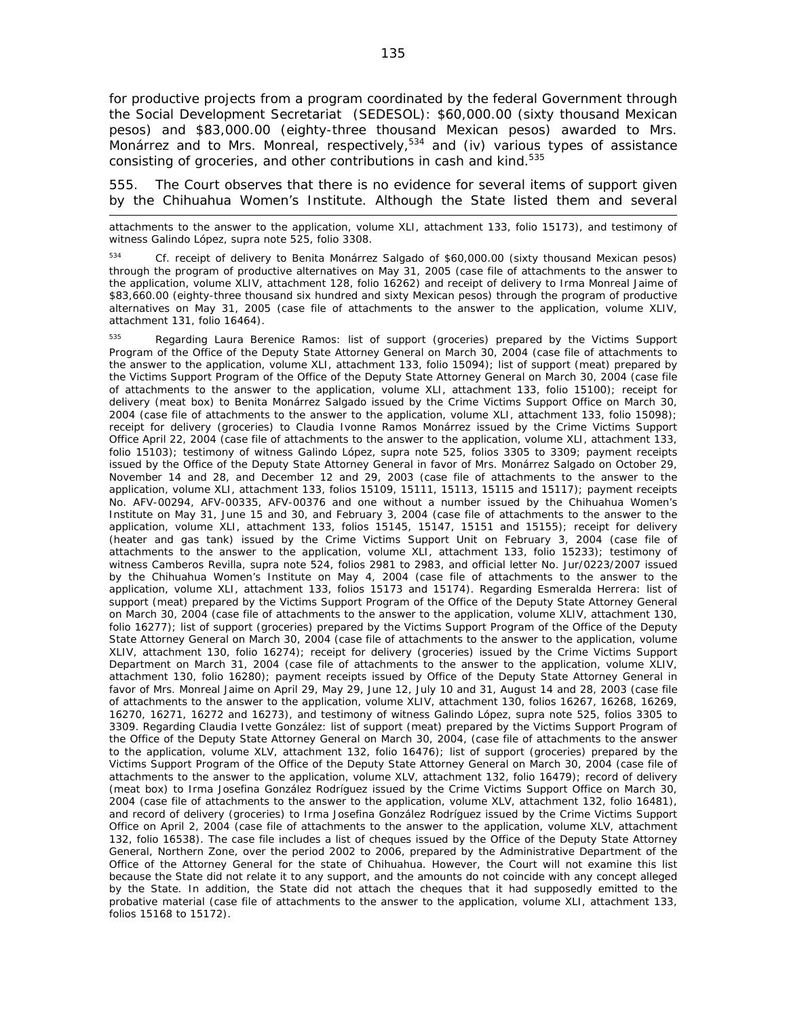for productive projects from a program coordinated by the federal Government through the Social Development Secretariat (SEDESOL): \$60,000.00 (sixty thousand Mexican pesos) and \$83,000.00 (eighty-three thousand Mexican pesos) awarded to Mrs. Monárrez and to Mrs. Monreal, respectively,534 and (iv) various types of assistance consisting of groceries, and other contributions in cash and kind.<sup>535</sup>

555. The Court observes that there is no evidence for several items of support given by the Chihuahua Women's Institute. Although the State listed them and several

attachments to the answer to the application, volume XLI, attachment 133, folio 15173), and testimony of witness Galindo López, *supra* note 525, folio 3308.

ł

534 *Cf.* receipt of delivery to Benita Monárrez Salgado of \$60,000.00 (sixty thousand Mexican pesos) through the program of productive alternatives on May 31, 2005 (case file of attachments to the answer to the application, volume XLIV, attachment 128, folio 16262) and receipt of delivery to Irma Monreal Jaime of \$83,660.00 (eighty-three thousand six hundred and sixty Mexican pesos) through the program of productive alternatives on May 31, 2005 (case file of attachments to the answer to the application, volume XLIV, attachment 131, folio 16464).

535 *Regarding Laura Berenice Ramos*: list of support (groceries) prepared by the Victims Support Program of the Office of the Deputy State Attorney General on March 30, 2004 (case file of attachments to the answer to the application, volume XLI, attachment 133, folio 15094); list of support (meat) prepared by the Victims Support Program of the Office of the Deputy State Attorney General on March 30, 2004 (case file of attachments to the answer to the application, volume XLI, attachment 133, folio 15100); receipt for delivery (meat box) to Benita Monárrez Salgado issued by the Crime Victims Support Office on March 30, 2004 (case file of attachments to the answer to the application, volume XLI, attachment 133, folio 15098); receipt for delivery (groceries) to Claudia Ivonne Ramos Monárrez issued by the Crime Victims Support Office April 22, 2004 (case file of attachments to the answer to the application, volume XLI, attachment 133, folio 15103); testimony of witness Galindo López, *supra* note 525, folios 3305 to 3309; payment receipts issued by the Office of the Deputy State Attorney General in favor of Mrs. Monárrez Salgado on October 29, November 14 and 28, and December 12 and 29, 2003 (case file of attachments to the answer to the application, volume XLI, attachment 133, folios 15109, 15111, 15113, 15115 and 15117); payment receipts No. AFV-00294, AFV-00335, AFV-00376 and one without a number issued by the Chihuahua Women's Institute on May 31, June 15 and 30, and February 3, 2004 (case file of attachments to the answer to the application, volume XLI, attachment 133, folios 15145, 15147, 15151 and 15155); receipt for delivery (heater and gas tank) issued by the Crime Victims Support Unit on February 3, 2004 (case file of attachments to the answer to the application, volume XLI, attachment 133, folio 15233); testimony of witness Camberos Revilla, *supra* note 524, folios 2981 to 2983, and official letter No. Jur/0223/2007 issued by the Chihuahua Women's Institute on May 4, 2004 (case file of attachments to the answer to the application, volume XLI, attachment 133, folios 15173 and 15174). *Regarding Esmeralda Herrera*: list of support (meat) prepared by the Victims Support Program of the Office of the Deputy State Attorney General on March 30, 2004 (case file of attachments to the answer to the application, volume XLIV, attachment 130, folio 16277); list of support (groceries) prepared by the Victims Support Program of the Office of the Deputy State Attorney General on March 30, 2004 (case file of attachments to the answer to the application, volume XLIV, attachment 130, folio 16274); receipt for delivery (groceries) issued by the Crime Victims Support Department on March 31, 2004 (case file of attachments to the answer to the application, volume XLIV, attachment 130, folio 16280); payment receipts issued by Office of the Deputy State Attorney General in favor of Mrs. Monreal Jaime on April 29, May 29, June 12, July 10 and 31, August 14 and 28, 2003 (case file of attachments to the answer to the application, volume XLIV, attachment 130, folios 16267, 16268, 16269, 16270, 16271, 16272 and 16273), and testimony of witness Galindo López, *supra* note 525, folios 3305 to 3309. *Regarding Claudia Ivette González*: list of support (meat) prepared by the Victims Support Program of the Office of the Deputy State Attorney General on March 30, 2004, (case file of attachments to the answer to the application, volume XLV, attachment 132, folio 16476); list of support (groceries) prepared by the Victims Support Program of the Office of the Deputy State Attorney General on March 30, 2004 (case file of attachments to the answer to the application, volume XLV, attachment 132, folio 16479); record of delivery (meat box) to Irma Josefina González Rodríguez issued by the Crime Victims Support Office on March 30, 2004 (case file of attachments to the answer to the application, volume XLV, attachment 132, folio 16481), and record of delivery (groceries) to Irma Josefina González Rodríguez issued by the Crime Victims Support Office on April 2, 2004 (case file of attachments to the answer to the application, volume XLV, attachment 132, folio 16538). The case file includes a list of cheques issued by the Office of the Deputy State Attorney General, Northern Zone, over the period 2002 to 2006, prepared by the Administrative Department of the Office of the Attorney General for the state of Chihuahua. However, the Court will not examine this list because the State did not relate it to any support, and the amounts do not coincide with any concept alleged by the State. In addition, the State did not attach the cheques that it had supposedly emitted to the probative material (case file of attachments to the answer to the application, volume XLI, attachment 133, folios 15168 to 15172).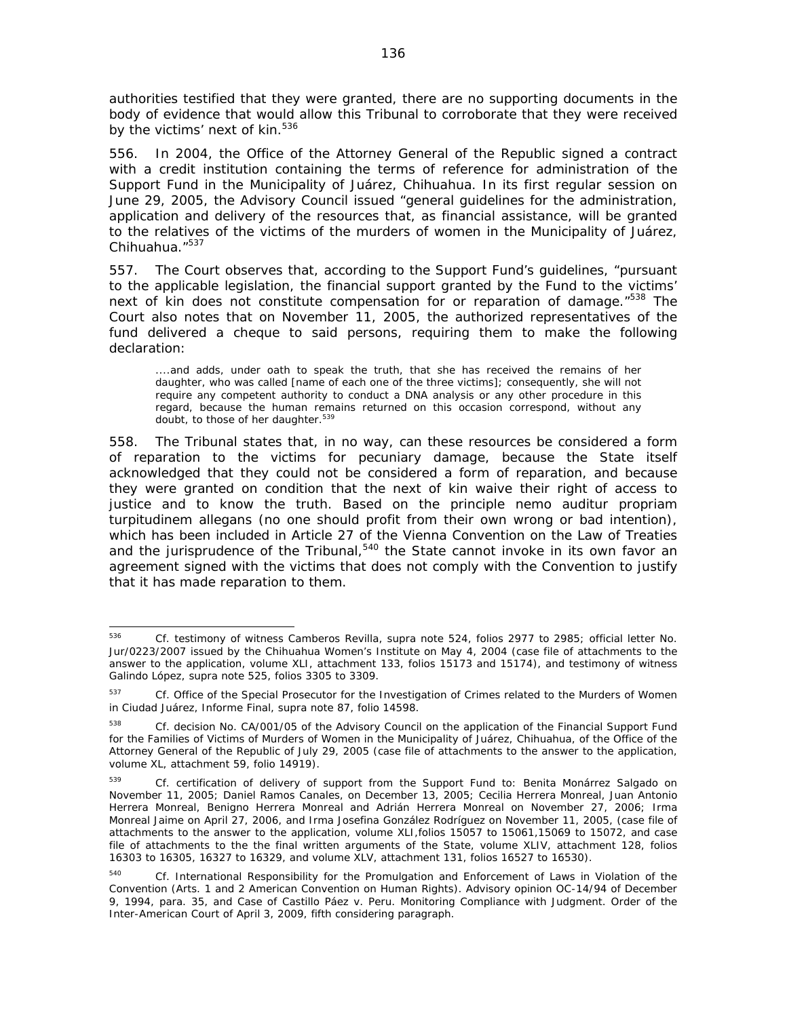authorities testified that they were granted, there are no supporting documents in the body of evidence that would allow this Tribunal to corroborate that they were received by the victims' next of kin.<sup>536</sup>

556. In 2004, the Office of the Attorney General of the Republic signed a contract with a credit institution containing the terms of reference for administration of the Support Fund in the Municipality of Juárez, Chihuahua. In its first regular session on June 29, 2005, the Advisory Council issued "general guidelines for the administration, application and delivery of the resources that, as financial assistance, will be granted to the relatives of the victims of the murders of women in the Municipality of Juárez, Chihuahua."537

557. The Court observes that, according to the Support Fund's guidelines, "pursuant to the applicable legislation, the financial support granted by the Fund to the victims' next of kin does not constitute compensation for or reparation of damage."<sup>538</sup> The Court also notes that on November 11, 2005, the authorized representatives of the fund delivered a cheque to said persons, requiring them to make the following declaration:

....and adds, under oath to speak the truth, that she has received the remains of her daughter, who was called [name of each one of the three victims]; consequently, she will not require any competent authority to conduct a DNA analysis or any other procedure in this regard, because the human remains returned on this occasion correspond, without any doubt, to those of her daughter.<sup>539</sup>

558. The Tribunal states that, in no way, can these resources be considered a form of reparation to the victims for pecuniary damage, because the State itself acknowledged that they could not be considered a form of reparation, and because they were granted on condition that the next of kin waive their right of access to justice and to know the truth. Based on the principle *nemo auditur propriam turpitudinem allegans* (no one should profit from their own wrong or bad intention), which has been included in Article 27 of the Vienna Convention on the Law of Treaties and the jurisprudence of the Tribunal,<sup>540</sup> the State cannot invoke in its own favor an agreement signed with the victims that does not comply with the Convention to justify that it has made reparation to them.

<sup>536</sup> 536 *Cf.* testimony of witness Camberos Revilla, *supra* note 524, folios 2977 to 2985; official letter No. Jur/0223/2007 issued by the Chihuahua Women's Institute on May 4, 2004 (case file of attachments to the answer to the application, volume XLI, attachment 133, folios 15173 and 15174), and testimony of witness Galindo López, *supra* note 525, folios 3305 to 3309.

<sup>&</sup>lt;sup>537</sup> *Cf.* Office of the Special Prosecutor for the Investigation of Crimes related to the Murders of Women in Ciudad Juárez, *Informe Final*, *supra* note 87, folio 14598.

<sup>538</sup> *Cf.* decision No. CA/001/05 of the Advisory Council on the application of the Financial Support Fund for the Families of Victims of Murders of Women in the Municipality of Juárez, Chihuahua, of the Office of the Attorney General of the Republic of July 29, 2005 (case file of attachments to the answer to the application, volume XL, attachment 59, folio 14919).

Cf. certification of delivery of support from the Support Fund to: Benita Monárrez Salgado on November 11, 2005; Daniel Ramos Canales, on December 13, 2005; Cecilia Herrera Monreal, Juan Antonio Herrera Monreal, Benigno Herrera Monreal and Adrián Herrera Monreal on November 27, 2006; Irma Monreal Jaime on April 27, 2006, and Irma Josefina González Rodríguez on November 11, 2005, (case file of attachments to the answer to the application, volume XLI,folios 15057 to 15061,15069 to 15072, and case file of attachments to the the final written arguments of the State, volume XLIV, attachment 128, folios 16303 to 16305, 16327 to 16329, and volume XLV, attachment 131, folios 16527 to 16530).

<sup>540</sup> *Cf. International Responsibility for the Promulgation and Enforcement of Laws in Violation of the Convention (Arts. 1 and 2 American Convention on Human Rights).* Advisory opinion OC-14/94 of December 9, 1994, para. 35, and *Case of Castillo Páez v. Peru. Monitoring Compliance with Judgment.* Order of the Inter-American Court of April 3, 2009, fifth considering paragraph.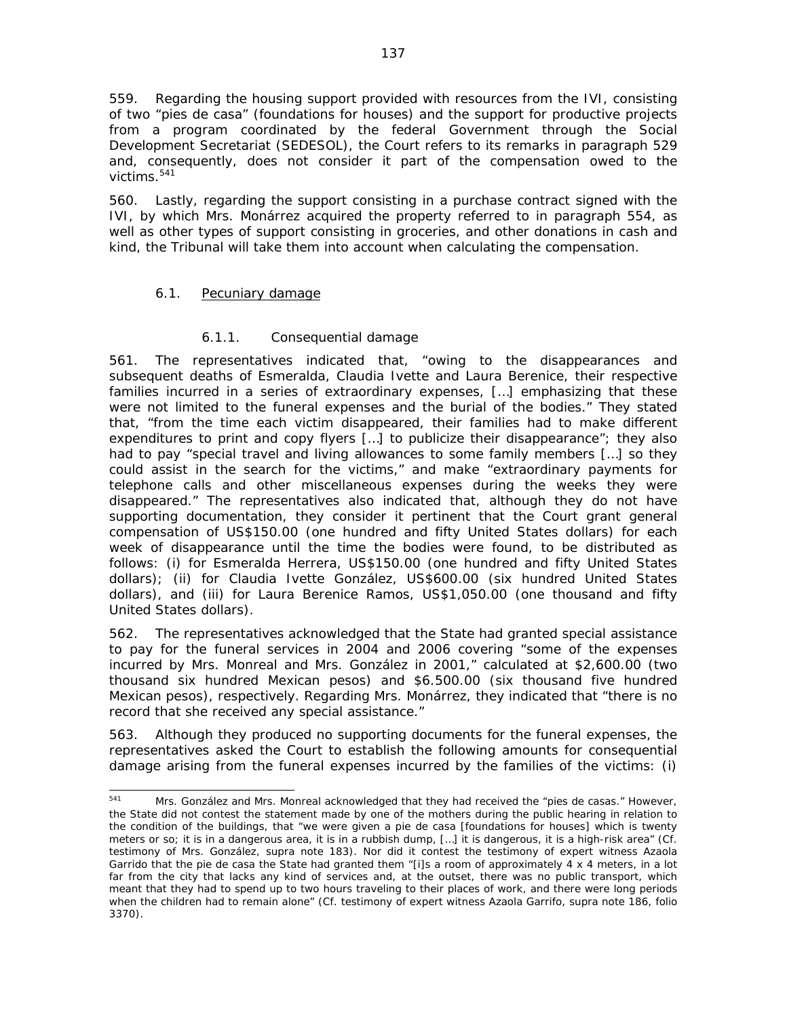559. Regarding the housing support provided with resources from the IVI, consisting of two "*pies de casa*" (foundations for houses) and the support for productive projects from a program coordinated by the federal Government through the Social Development Secretariat (SEDESOL), the Court refers to its remarks in paragraph 529 and, consequently, does not consider it part of the compensation owed to the victims.<sup>541</sup>

560. Lastly, regarding the support consisting in a purchase contract signed with the IVI, by which Mrs. Monárrez acquired the property referred to in paragraph 554, as well as other types of support consisting in groceries, and other donations in cash and kind, the Tribunal will take them into account when calculating the compensation.

# *6.1. Pecuniary damage*

# *6.1.1. Consequential damage*

561. The representatives indicated that, "owing to the disappearances and subsequent deaths of Esmeralda, Claudia Ivette and Laura Berenice, their respective families incurred in a series of extraordinary expenses, […] emphasizing that these were not limited to the funeral expenses and the burial of the bodies." They stated that, "from the time each victim disappeared, their families had to make different expenditures to print and copy flyers […] to publicize their disappearance"; they also had to pay "special travel and living allowances to some family members […] so they could assist in the search for the victims," and make "extraordinary payments for telephone calls and other miscellaneous expenses during the weeks they were disappeared." The representatives also indicated that, although they do not have supporting documentation, they consider it pertinent that the Court grant general compensation of US\$150.00 (one hundred and fifty United States dollars) for each week of disappearance until the time the bodies were found, to be distributed as follows: (i) for Esmeralda Herrera, US\$150.00 (one hundred and fifty United States dollars); (ii) for Claudia Ivette González, US\$600.00 (six hundred United States dollars), and (iii) for Laura Berenice Ramos, US\$1,050.00 (one thousand and fifty United States dollars).

562. The representatives acknowledged that the State had granted special assistance to pay for the funeral services in 2004 and 2006 covering "some of the expenses incurred by Mrs. Monreal and Mrs. González in 2001," calculated at \$2,600.00 (two thousand six hundred Mexican pesos) and \$6.500.00 (six thousand five hundred Mexican pesos), respectively. Regarding Mrs. Monárrez, they indicated that "there is no record that she received any special assistance."

563. Although they produced no supporting documents for the funeral expenses, the representatives asked the Court to establish the following amounts for consequential damage arising from the funeral expenses incurred by the families of the victims: (i)

<sup>541</sup> 541 Mrs. González and Mrs. Monreal acknowledged that they had received the "*pies de casas*." However, the State did not contest the statement made by one of the mothers during the public hearing in relation to the condition of the buildings, that "we were given a *pie de casa* [foundations for houses] which is twenty meters or so; it is in a dangerous area, it is in a rubbish dump, […] it is dangerous, it is a high-risk area" (*Cf.* testimony of Mrs. González, *supra* note 183). Nor did it contest the testimony of expert witness Azaola Garrido that the *pie de casa* the State had granted them "[i]s a room of approximately 4 x 4 meters, in a lot far from the city that lacks any kind of services and, at the outset, there was no public transport, which meant that they had to spend up to two hours traveling to their places of work, and there were long periods when the children had to remain alone" (*Cf.* testimony of expert witness Azaola Garrifo, *supra* note 186, folio 3370).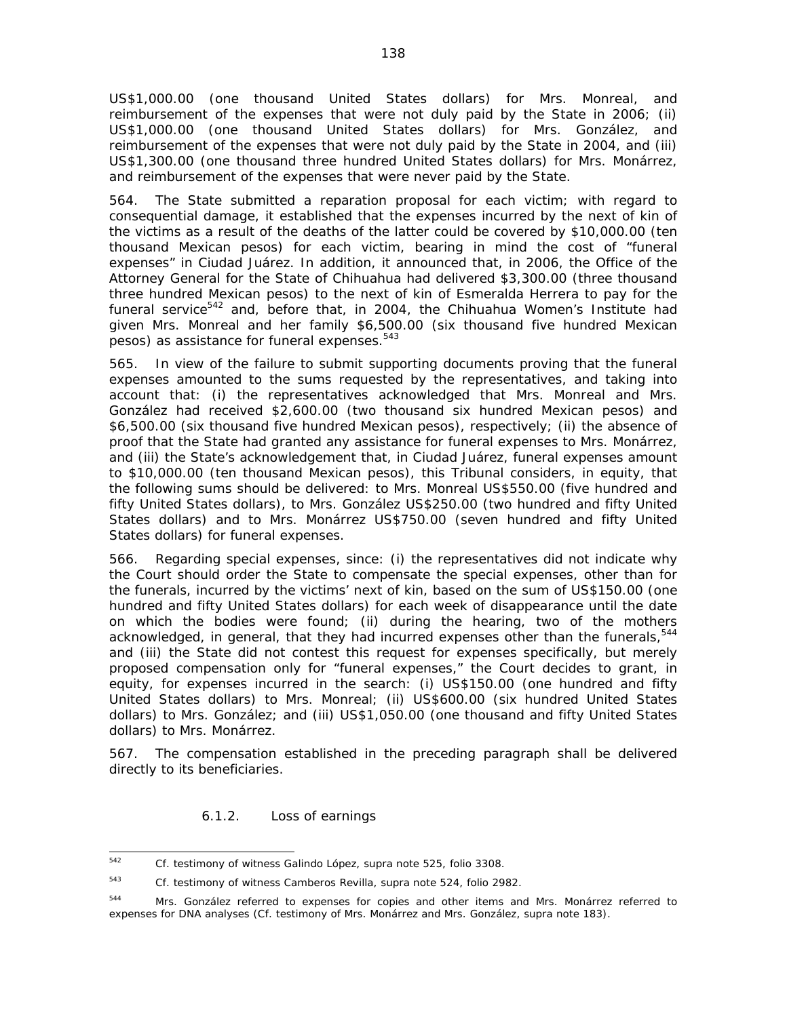US\$1,000.00 (one thousand United States dollars) for Mrs. Monreal, and reimbursement of the expenses that were not duly paid by the State in 2006; (ii) US\$1,000.00 (one thousand United States dollars) for Mrs. González, and reimbursement of the expenses that were not duly paid by the State in 2004, and (iii) US\$1,300.00 (one thousand three hundred United States dollars) for Mrs. Monárrez, and reimbursement of the expenses that were never paid by the State.

564. The State submitted a reparation proposal for each victim; with regard to consequential damage, it established that the expenses incurred by the next of kin of the victims as a result of the deaths of the latter could be covered by \$10,000.00 (ten thousand Mexican pesos) for each victim, bearing in mind the cost of "funeral expenses" in Ciudad Juárez. In addition, it announced that, in 2006, the Office of the Attorney General for the State of Chihuahua had delivered \$3,300.00 (three thousand three hundred Mexican pesos) to the next of kin of Esmeralda Herrera to pay for the funeral service<sup>542</sup> and, before that, in 2004, the Chihuahua Women's Institute had given Mrs. Monreal and her family \$6,500.00 (six thousand five hundred Mexican pesos) as assistance for funeral expenses.<sup>543</sup>

565. In view of the failure to submit supporting documents proving that the funeral expenses amounted to the sums requested by the representatives, and taking into account that: (i) the representatives acknowledged that Mrs. Monreal and Mrs. González had received \$2,600.00 (two thousand six hundred Mexican pesos) and \$6,500.00 (six thousand five hundred Mexican pesos), respectively; (ii) the absence of proof that the State had granted any assistance for funeral expenses to Mrs. Monárrez, and (iii) the State's acknowledgement that, in Ciudad Juárez, funeral expenses amount to \$10,000.00 (ten thousand Mexican pesos), this Tribunal considers, in equity, that the following sums should be delivered: to Mrs. Monreal US\$550.00 (five hundred and fifty United States dollars), to Mrs. González US\$250.00 (two hundred and fifty United States dollars) and to Mrs. Monárrez US\$750.00 (seven hundred and fifty United States dollars) for funeral expenses.

566. Regarding special expenses, since: (i) the representatives did not indicate why the Court should order the State to compensate the special expenses, other than for the funerals, incurred by the victims' next of kin, based on the sum of US\$150.00 (one hundred and fifty United States dollars) for each week of disappearance until the date on which the bodies were found; (ii) during the hearing, two of the mothers acknowledged, in general, that they had incurred expenses other than the funerals, <sup>544</sup> and (iii) the State did not contest this request for expenses specifically, but merely proposed compensation only for "funeral expenses," the Court decides to grant, in equity, for expenses incurred in the search: (i) US\$150.00 (one hundred and fifty United States dollars) to Mrs. Monreal; (ii) US\$600.00 (six hundred United States dollars) to Mrs. González; and (iii) US\$1,050.00 (one thousand and fifty United States dollars) to Mrs. Monárrez.

567. The compensation established in the preceding paragraph shall be delivered directly to its beneficiaries.

### *6.1.2. Loss of earnings*

<sup>542</sup> 542 *Cf.* testimony of witness Galindo López, *supra* note 525, folio 3308.

<sup>543</sup> *Cf.* testimony of witness Camberos Revilla, *supra* note 524, folio 2982.

<sup>&</sup>lt;sup>544</sup> Mrs. González referred to expenses for copies and other items and Mrs. Monárrez referred to expenses for DNA analyses (*Cf.* testimony of Mrs. Monárrez and Mrs. González, *supra* note 183).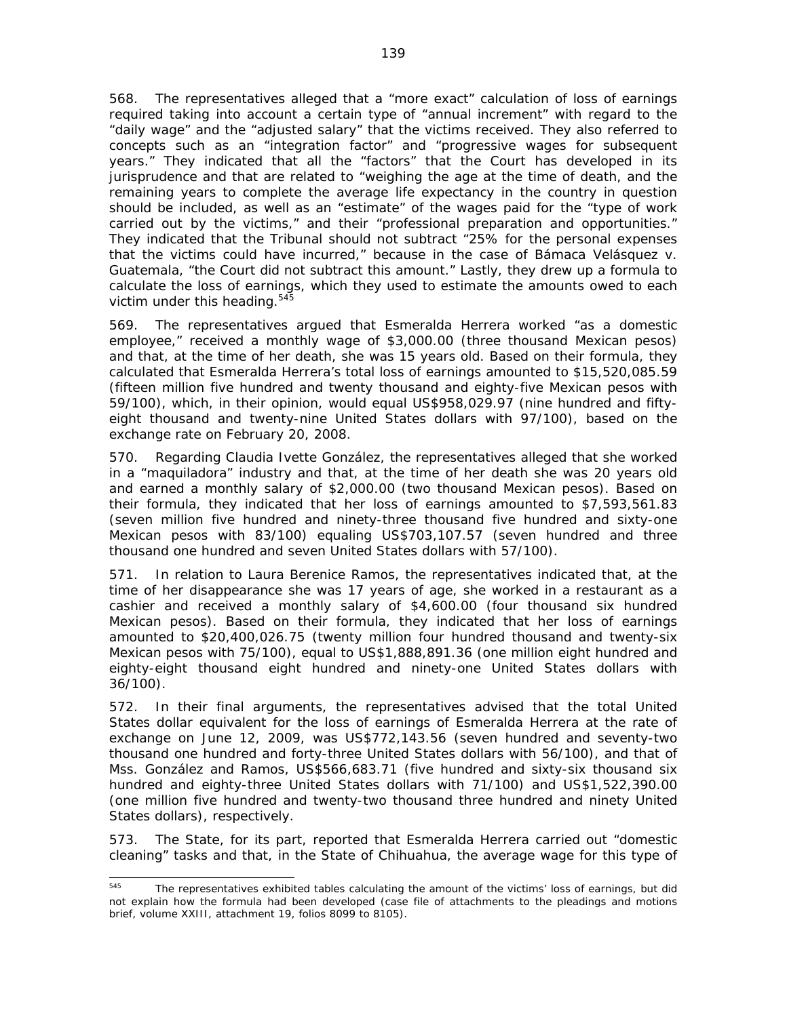568. The representatives alleged that a "more exact" calculation of loss of earnings required taking into account a certain type of "annual increment" with regard to the "daily wage" and the "adjusted salary" that the victims received. They also referred to concepts such as an "integration factor" and "progressive wages for subsequent years." They indicated that all the "factors" that the Court has developed in its jurisprudence and that are related to "weighing the age at the time of death, and the remaining years to complete the average life expectancy in the country in question should be included, as well as an "estimate" of the wages paid for the "type of work carried out by the victims," and their "professional preparation and opportunities." They indicated that the Tribunal should not subtract "25% for the personal expenses that the victims could have incurred," because in the case of *Bámaca Velásquez v. Guatemala*, "the Court did not subtract this amount." Lastly, they drew up a formula to calculate the loss of earnings, which they used to estimate the amounts owed to each victim under this heading.<sup>545</sup>

569. The representatives argued that Esmeralda Herrera worked "as a domestic employee," received a monthly wage of \$3,000.00 (three thousand Mexican pesos) and that, at the time of her death, she was 15 years old. Based on their formula, they calculated that Esmeralda Herrera's total loss of earnings amounted to \$15,520,085.59 (fifteen million five hundred and twenty thousand and eighty-five Mexican pesos with 59/100), which, in their opinion, would equal US\$958,029.97 (nine hundred and fiftyeight thousand and twenty-nine United States dollars with 97/100), based on the exchange rate on February 20, 2008.

570. Regarding Claudia Ivette González, the representatives alleged that she worked in a "*maquiladora*" industry and that, at the time of her death she was 20 years old and earned a monthly salary of \$2,000.00 (two thousand Mexican pesos). Based on their formula, they indicated that her loss of earnings amounted to \$7,593,561.83 (seven million five hundred and ninety-three thousand five hundred and sixty-one Mexican pesos with 83/100) equaling US\$703,107.57 (seven hundred and three thousand one hundred and seven United States dollars with 57/100).

571. In relation to Laura Berenice Ramos, the representatives indicated that, at the time of her disappearance she was 17 years of age, she worked in a restaurant as a cashier and received a monthly salary of \$4,600.00 (four thousand six hundred Mexican pesos). Based on their formula, they indicated that her loss of earnings amounted to \$20,400,026.75 (twenty million four hundred thousand and twenty-six Mexican pesos with 75/100), equal to US\$1,888,891.36 (one million eight hundred and eighty-eight thousand eight hundred and ninety-one United States dollars with 36/100).

572. In their final arguments, the representatives advised that the total United States dollar equivalent for the loss of earnings of Esmeralda Herrera at the rate of exchange on June 12, 2009, was US\$772,143.56 (seven hundred and seventy-two thousand one hundred and forty-three United States dollars with 56/100), and that of Mss. González and Ramos, US\$566,683.71 (five hundred and sixty-six thousand six hundred and eighty-three United States dollars with 71/100) and US\$1,522,390.00 (one million five hundred and twenty-two thousand three hundred and ninety United States dollars), respectively.

573. The State, for its part, reported that Esmeralda Herrera carried out "domestic cleaning" tasks and that, in the State of Chihuahua, the average wage for this type of

<sup>545</sup> The representatives exhibited tables calculating the amount of the victims' loss of earnings, but did not explain how the formula had been developed (case file of attachments to the pleadings and motions brief, volume XXIII, attachment 19, folios 8099 to 8105).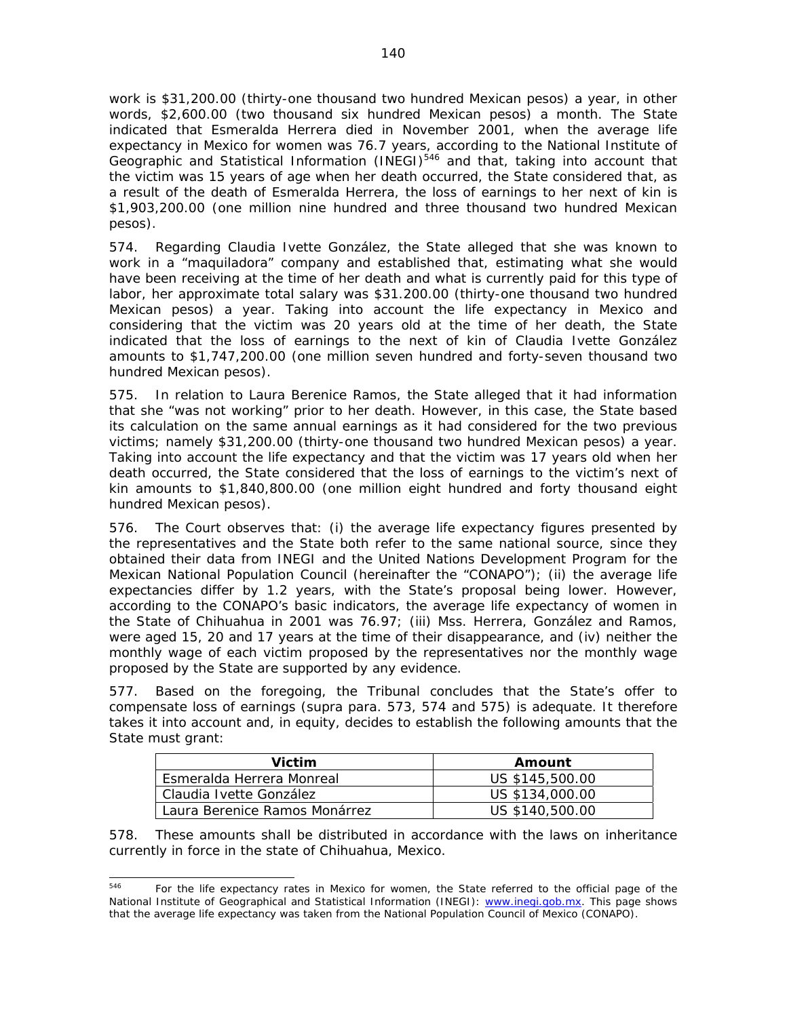work is \$31,200.00 (thirty-one thousand two hundred Mexican pesos) a year, in other words, \$2,600.00 (two thousand six hundred Mexican pesos) a month. The State indicated that Esmeralda Herrera died in November 2001, when the average life expectancy in Mexico for women was 76.7 years, according to the National Institute of Geographic and Statistical Information (INEGI)<sup>546</sup> and that, taking into account that the victim was 15 years of age when her death occurred, the State considered that, as a result of the death of Esmeralda Herrera, the loss of earnings to her next of kin is \$1,903,200.00 (one million nine hundred and three thousand two hundred Mexican pesos).

574. Regarding Claudia Ivette González, the State alleged that she was known to work in a "*maquiladora"* company and established that, estimating what she would have been receiving at the time of her death and what is currently paid for this type of labor, her approximate total salary was \$31.200.00 (thirty-one thousand two hundred Mexican pesos) a year. Taking into account the life expectancy in Mexico and considering that the victim was 20 years old at the time of her death, the State indicated that the loss of earnings to the next of kin of Claudia Ivette González amounts to \$1,747,200.00 (one million seven hundred and forty-seven thousand two hundred Mexican pesos).

575. In relation to Laura Berenice Ramos, the State alleged that it had information that she "was not working" prior to her death. However, in this case, the State based its calculation on the same annual earnings as it had considered for the two previous victims; namely \$31,200.00 (thirty-one thousand two hundred Mexican pesos) a year. Taking into account the life expectancy and that the victim was 17 years old when her death occurred, the State considered that the loss of earnings to the victim's next of kin amounts to \$1,840,800.00 (one million eight hundred and forty thousand eight hundred Mexican pesos).

576. The Court observes that: (i) the average life expectancy figures presented by the representatives and the State both refer to the same national source, since they obtained their data from INEGI and the United Nations Development Program for the Mexican National Population Council (hereinafter the "CONAPO"); (ii) the average life expectancies differ by 1.2 years, with the State's proposal being lower. However, according to the CONAPO's basic indicators, the average life expectancy of women in the State of Chihuahua in 2001 was 76.97; (iii) Mss. Herrera, González and Ramos, were aged 15, 20 and 17 years at the time of their disappearance, and (iv) neither the monthly wage of each victim proposed by the representatives nor the monthly wage proposed by the State are supported by any evidence.

577. Based on the foregoing, the Tribunal concludes that the State's offer to compensate loss of earnings (*supra* para. 573, 574 and 575) is adequate. It therefore takes it into account and, in equity, decides to establish the following amounts that the State must grant:

| <b>Victim</b>                 | Amount          |  |
|-------------------------------|-----------------|--|
| Esmeralda Herrera Monreal     | US \$145,500.00 |  |
| Claudia Ivette González       | US \$134,000.00 |  |
| Laura Berenice Ramos Monárrez | US \$140,500.00 |  |

578. These amounts shall be distributed in accordance with the laws on inheritance currently in force in the state of Chihuahua, Mexico.

<sup>546</sup> For the life expectancy rates in Mexico for women, the State referred to the official page of the National Institute of Geographical and Statistical Information (INEGI): www.inegi.gob.mx. This page shows that the average life expectancy was taken from the National Population Council of Mexico (CONAPO).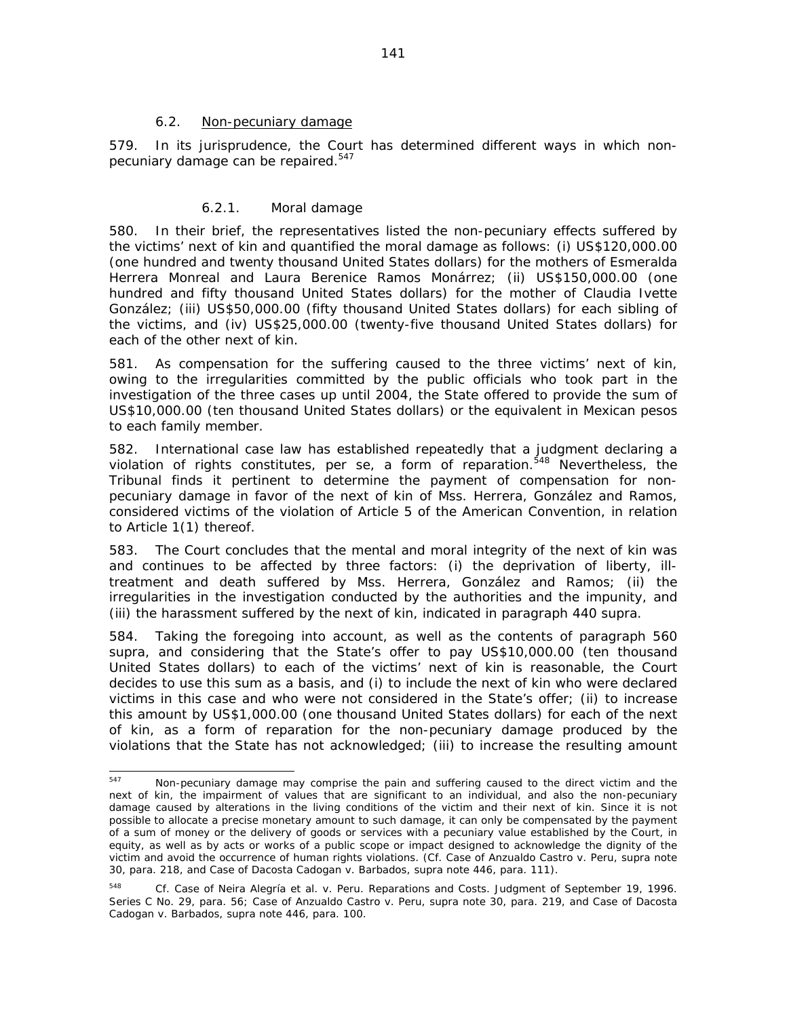#### *6.2. Non-pecuniary damage*

579. In its jurisprudence, the Court has determined different ways in which nonpecuniary damage can be repaired.<sup>547</sup>

#### *6.2.1. Moral damage*

580. In their brief, the representatives listed the non-pecuniary effects suffered by the victims' next of kin and quantified the moral damage as follows: (i) US\$120,000.00 (one hundred and twenty thousand United States dollars) for the mothers of Esmeralda Herrera Monreal and Laura Berenice Ramos Monárrez; (ii) US\$150,000.00 (one hundred and fifty thousand United States dollars) for the mother of Claudia Ivette González; (iii) US\$50,000.00 (fifty thousand United States dollars) for each sibling of the victims, and (iv) US\$25,000.00 (twenty-five thousand United States dollars) for each of the other next of kin.

581. As compensation for the suffering caused to the three victims' next of kin, owing to the irregularities committed by the public officials who took part in the investigation of the three cases up until 2004, the State offered to provide the sum of US\$10,000.00 (ten thousand United States dollars) or the equivalent in Mexican pesos to each family member.

582. International case law has established repeatedly that a judgment declaring a violation of rights constitutes, *per se*, a form of reparation.<sup>548</sup> Nevertheless, the Tribunal finds it pertinent to determine the payment of compensation for nonpecuniary damage in favor of the next of kin of Mss. Herrera, González and Ramos, considered victims of the violation of Article 5 of the American Convention, in relation to Article 1(1) thereof.

583. The Court concludes that the mental and moral integrity of the next of kin was and continues to be affected by three factors: (i) the deprivation of liberty, illtreatment and death suffered by Mss. Herrera, González and Ramos; (ii) the irregularities in the investigation conducted by the authorities and the impunity, and (iii) the harassment suffered by the next of kin, indicated in paragraph 440 *supra.*

584. Taking the foregoing into account, as well as the contents of paragraph 560 *supra,* and considering that the State's offer to pay US\$10,000.00 (ten thousand United States dollars) to each of the victims' next of kin is reasonable, the Court decides to use this sum as a basis, and (i) to include the next of kin who were declared victims in this case and who were not considered in the State's offer; (ii) to increase this amount by US\$1,000.00 (one thousand United States dollars) for each of the next of kin, as a form of reparation for the non-pecuniary damage produced by the violations that the State has not acknowledged; (iii) to increase the resulting amount

<sup>547</sup> Non-pecuniary damage may comprise the pain and suffering caused to the direct victim and the next of kin, the impairment of values that are significant to an individual, and also the non-pecuniary damage caused by alterations in the living conditions of the victim and their next of kin. Since it is not possible to allocate a precise monetary amount to such damage, it can only be compensated by the payment of a sum of money or the delivery of goods or services with a pecuniary value established by the Court, in equity, as well as by acts or works of a public scope or impact designed to acknowledge the dignity of the victim and avoid the occurrence of human rights violations. (*Cf. Case of Anzualdo Castro v. Peru, supra* note 30, para. 218, and *Case of Dacosta Cadogan v. Barbados, supra* note 446, para. 111).

<sup>548</sup> *Cf. Case of Neira Alegría et al. v. Peru. Reparations and Costs.* Judgment of September 19, 1996. Series C No. 29, para. 56; *Case of Anzualdo Castro v. Peru, supra* note 30, para. 219, and *Case of Dacosta Cadogan v. Barbados, supra* note 446, para. 100.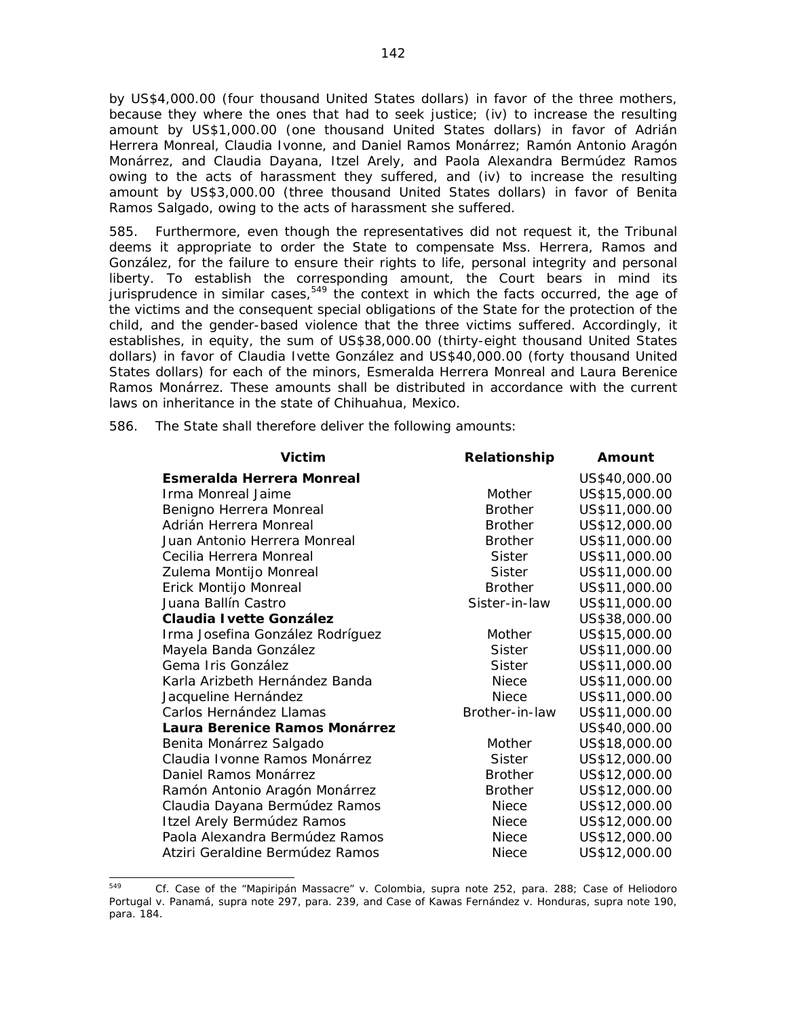by US\$4,000.00 (four thousand United States dollars) in favor of the three mothers, because they where the ones that had to seek justice; (iv) to increase the resulting amount by US\$1,000.00 (one thousand United States dollars) in favor of Adrián Herrera Monreal, Claudia Ivonne, and Daniel Ramos Monárrez; Ramón Antonio Aragón Monárrez, and Claudia Dayana, Itzel Arely, and Paola Alexandra Bermúdez Ramos owing to the acts of harassment they suffered, and (iv) to increase the resulting amount by US\$3,000.00 (three thousand United States dollars) in favor of Benita Ramos Salgado, owing to the acts of harassment she suffered.

585. Furthermore, even though the representatives did not request it, the Tribunal deems it appropriate to order the State to compensate Mss. Herrera, Ramos and González, for the failure to ensure their rights to life, personal integrity and personal liberty. To establish the corresponding amount, the Court bears in mind its jurisprudence in similar cases,  $549$  the context in which the facts occurred, the age of the victims and the consequent special obligations of the State for the protection of the child, and the gender-based violence that the three victims suffered. Accordingly, it establishes, in equity, the sum of US\$38,000.00 (thirty-eight thousand United States dollars) in favor of Claudia Ivette González and US\$40,000.00 (forty thousand United States dollars) for each of the minors, Esmeralda Herrera Monreal and Laura Berenice Ramos Monárrez. These amounts shall be distributed in accordance with the current laws on inheritance in the state of Chihuahua, Mexico.

586. The State shall therefore deliver the following amounts:

| Victim                           | Relationship   | Amount        |
|----------------------------------|----------------|---------------|
| Esmeralda Herrera Monreal        |                | US\$40,000.00 |
| Irma Monreal Jaime               | Mother         | US\$15,000.00 |
| Benigno Herrera Monreal          | <b>Brother</b> | US\$11,000.00 |
| Adrián Herrera Monreal           | <b>Brother</b> | US\$12,000.00 |
| Juan Antonio Herrera Monreal     | <b>Brother</b> | US\$11,000.00 |
| Cecilia Herrera Monreal          | <b>Sister</b>  | US\$11,000.00 |
| Zulema Montijo Monreal           | <b>Sister</b>  | US\$11,000.00 |
| Erick Montijo Monreal            | <b>Brother</b> | US\$11,000.00 |
| Juana Ballín Castro              | Sister-in-law  | US\$11,000.00 |
| <b>Claudia I vette González</b>  |                | US\$38,000.00 |
| Irma Josefina González Rodríguez | Mother         | US\$15,000.00 |
| Mayela Banda González            | <b>Sister</b>  | US\$11,000.00 |
| Gema Iris González               | <b>Sister</b>  | US\$11,000.00 |
| Karla Arizbeth Hernández Banda   | <b>Niece</b>   | US\$11,000.00 |
| Jacqueline Hernández             | <b>Niece</b>   | US\$11,000.00 |
| Carlos Hernández Llamas          | Brother-in-law | US\$11,000.00 |
| Laura Berenice Ramos Monárrez    |                | US\$40,000.00 |
| Benita Monárrez Salgado          | Mother         | US\$18,000.00 |
| Claudia Ivonne Ramos Monárrez    | <b>Sister</b>  | US\$12,000.00 |
| Daniel Ramos Monárrez            | <b>Brother</b> | US\$12,000.00 |
| Ramón Antonio Aragón Monárrez    | <b>Brother</b> | US\$12,000.00 |
| Claudia Dayana Bermúdez Ramos    | <b>Niece</b>   | US\$12,000.00 |
| Itzel Arely Bermúdez Ramos       | Niece          | US\$12,000.00 |
| Paola Alexandra Bermúdez Ramos   | <b>Niece</b>   | US\$12,000.00 |
| Atziri Geraldine Bermúdez Ramos  | Niece          | US\$12,000.00 |

<sup>549</sup> 549 *Cf. Case of the "Mapiripán Massacre" v. Colombia, supra* note 252, para. 288; *Case of Heliodoro Portugal v. Panamá, supra* note 297, para. 239, and *Case of Kawas Fernández v. Honduras, supra* note 190, para. 184.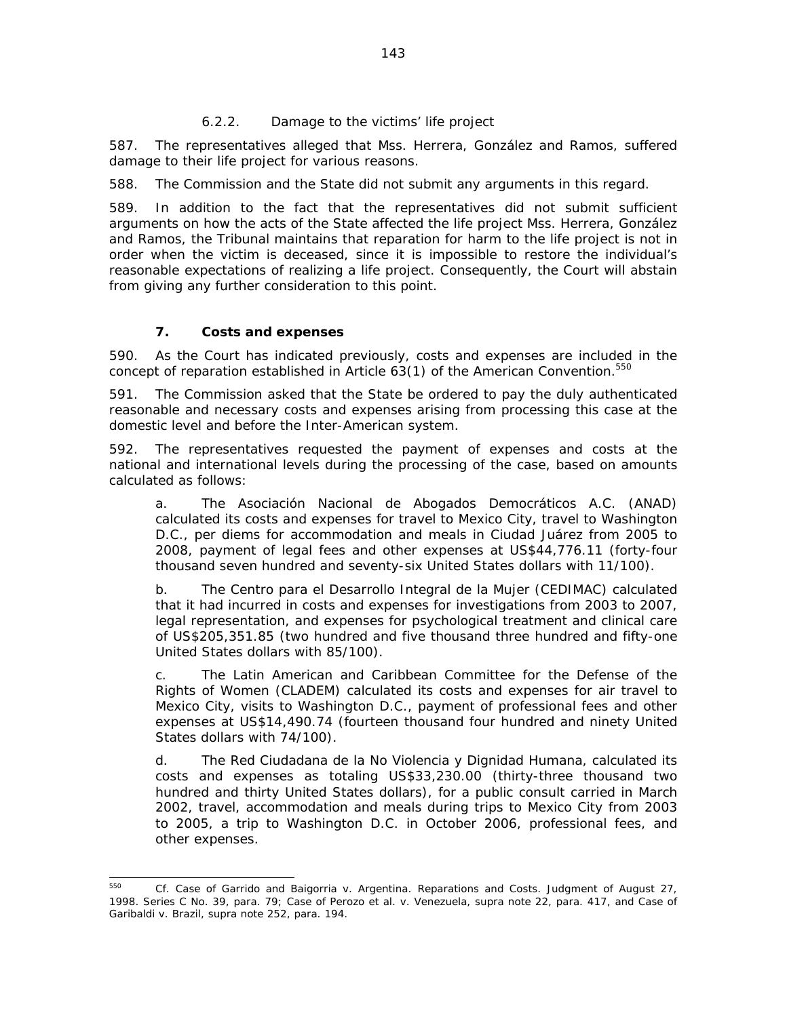### *6.2.2. Damage to the victims' life project*

587. The representatives alleged that Mss. Herrera, González and Ramos, suffered damage to their life project for various reasons.

588. The Commission and the State did not submit any arguments in this regard.

589. In addition to the fact that the representatives did not submit sufficient arguments on how the acts of the State affected the life project Mss. Herrera, González and Ramos, the Tribunal maintains that reparation for harm to the life project is not in order when the victim is deceased, since it is impossible to restore the individual's reasonable expectations of realizing a life project. Consequently, the Court will abstain from giving any further consideration to this point.

# *7. Costs and expenses*

590. As the Court has indicated previously, costs and expenses are included in the concept of reparation established in Article  $63(1)$  of the American Convention.<sup>550</sup>

591. The Commission asked that the State be ordered to pay the duly authenticated reasonable and necessary costs and expenses arising from processing this case at the domestic level and before the Inter-American system.

592. The representatives requested the payment of expenses and costs at the national and international levels during the processing of the case, based on amounts calculated as follows:

a. The *Asociación Nacional de Abogados Democráticos A.C*. (ANAD) calculated its costs and expenses for travel to Mexico City, travel to Washington D.C., per diems for accommodation and meals in Ciudad Juárez from 2005 to 2008, payment of legal fees and other expenses at US\$44,776.11 (forty-four thousand seven hundred and seventy-six United States dollars with 11/100).

b. The *Centro para el Desarrollo Integral de la Mujer* (CEDIMAC) calculated that it had incurred in costs and expenses for investigations from 2003 to 2007, legal representation, and expenses for psychological treatment and clinical care of US\$205,351.85 (two hundred and five thousand three hundred and fifty-one United States dollars with 85/100).

c. The Latin American and Caribbean Committee for the Defense of the Rights of Women (CLADEM) calculated its costs and expenses for air travel to Mexico City, visits to Washington D.C., payment of professional fees and other expenses at US\$14,490.74 (fourteen thousand four hundred and ninety United States dollars with 74/100).

d. The *Red Ciudadana de la No Violencia y Dignidad Humana*, calculated its costs and expenses as totaling US\$33,230.00 (thirty-three thousand two hundred and thirty United States dollars), for a public consult carried in March 2002, travel, accommodation and meals during trips to Mexico City from 2003 to 2005, a trip to Washington D.C. in October 2006, professional fees, and other expenses.

<sup>550</sup> 550 *Cf. Case of Garrido and Baigorria v. Argentina. Reparations and Costs*. Judgment of August 27, 1998. Series C No. 39, para. 79; *Case of Perozo et al. v. Venezuela*, *supra* note 22, para. 417, and *Case of Garibaldi v. Brazil, supra* note 252, para. 194.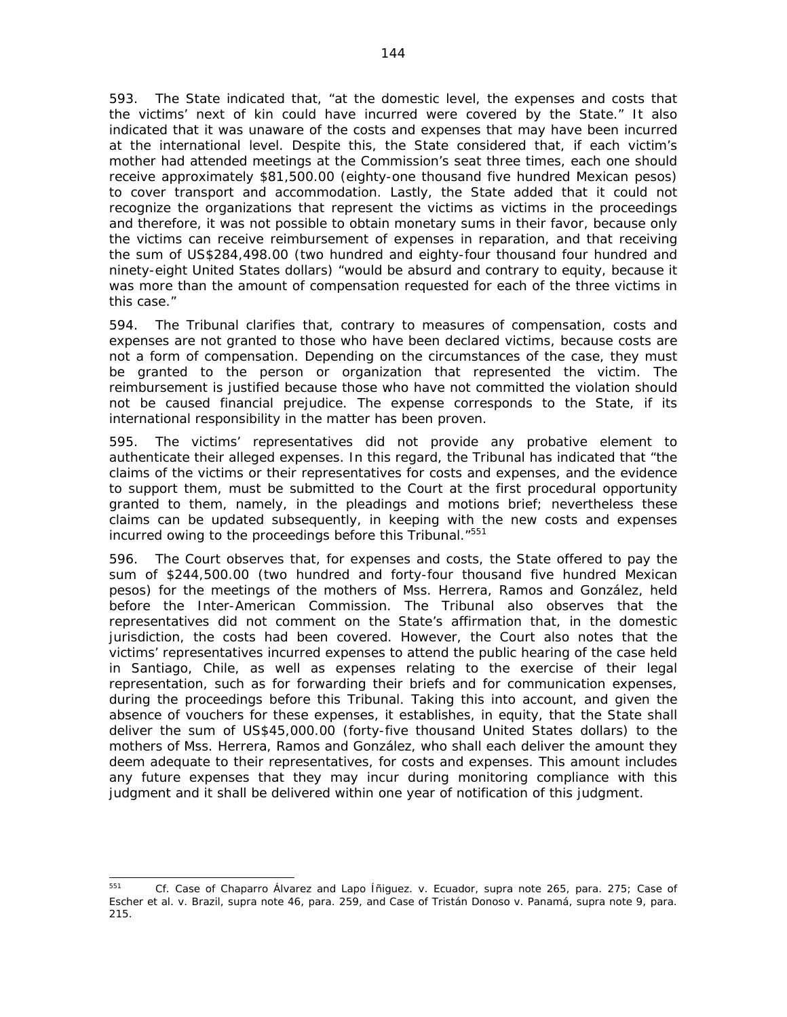593. The State indicated that, "at the domestic level, the expenses and costs that the victims' next of kin could have incurred were covered by the State." It also indicated that it was unaware of the costs and expenses that may have been incurred at the international level. Despite this, the State considered that, if each victim's mother had attended meetings at the Commission's seat three times, each one should receive approximately \$81,500.00 (eighty-one thousand five hundred Mexican pesos) to cover transport and accommodation. Lastly, the State added that it could not recognize the organizations that represent the victims as victims in the proceedings and therefore, it was not possible to obtain monetary sums in their favor, because only the victims can receive reimbursement of expenses in reparation, and that receiving the sum of US\$284,498.00 (two hundred and eighty-four thousand four hundred and ninety-eight United States dollars) "would be absurd and contrary to equity, because it was more than the amount of compensation requested for each of the three victims in this case."

594. The Tribunal clarifies that, contrary to measures of compensation, costs and expenses are not granted to those who have been declared victims, because costs are not a form of compensation. Depending on the circumstances of the case, they must be granted to the person or organization that represented the victim. The reimbursement is justified because those who have not committed the violation should not be caused financial prejudice. The expense corresponds to the State, if its international responsibility in the matter has been proven.

595. The victims' representatives did not provide any probative element to authenticate their alleged expenses. In this regard, the Tribunal has indicated that "the claims of the victims or their representatives for costs and expenses, and the evidence to support them, must be submitted to the Court at the first procedural opportunity granted to them, namely, in the pleadings and motions brief; nevertheless these claims can be updated subsequently, in keeping with the new costs and expenses incurred owing to the proceedings before this Tribunal."<sup>551</sup>

596. The Court observes that, for expenses and costs, the State offered to pay the sum of \$244,500.00 (two hundred and forty-four thousand five hundred Mexican pesos) for the meetings of the mothers of Mss. Herrera, Ramos and González, held before the Inter-American Commission. The Tribunal also observes that the representatives did not comment on the State's affirmation that, in the domestic jurisdiction, the costs had been covered. However, the Court also notes that the victims' representatives incurred expenses to attend the public hearing of the case held in Santiago, Chile, as well as expenses relating to the exercise of their legal representation, such as for forwarding their briefs and for communication expenses, during the proceedings before this Tribunal. Taking this into account, and given the absence of vouchers for these expenses, it establishes, in equity, that the State shall deliver the sum of US\$45,000.00 (forty-five thousand United States dollars) to the mothers of Mss. Herrera, Ramos and González, who shall each deliver the amount they deem adequate to their representatives, for costs and expenses. This amount includes any future expenses that they may incur during monitoring compliance with this judgment and it shall be delivered within one year of notification of this judgment.

<sup>551</sup> 551 *Cf. Case of Chaparro Álvarez and Lapo Íñiguez. v. Ecuador, supra* note 265, para. 275; *Case of Escher et al. v. Brazil, supra* note 46, para. 259, and *Case of Tristán Donoso v. Panamá, supra* note 9, para. 215.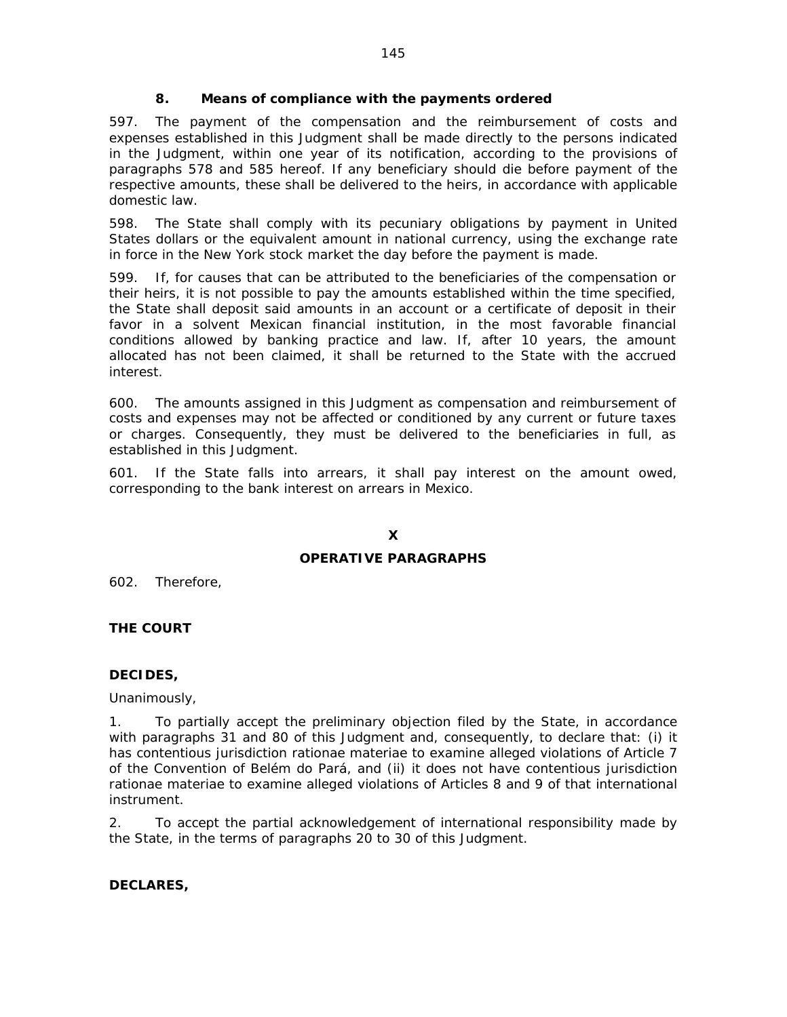# *8. Means of compliance with the payments ordered*

597. The payment of the compensation and the reimbursement of costs and expenses established in this Judgment shall be made directly to the persons indicated in the Judgment, within one year of its notification, according to the provisions of paragraphs 578 and 585 hereof. If any beneficiary should die before payment of the respective amounts, these shall be delivered to the heirs, in accordance with applicable domestic law.

598. The State shall comply with its pecuniary obligations by payment in United States dollars or the equivalent amount in national currency, using the exchange rate in force in the New York stock market the day before the payment is made.

599. If, for causes that can be attributed to the beneficiaries of the compensation or their heirs, it is not possible to pay the amounts established within the time specified, the State shall deposit said amounts in an account or a certificate of deposit in their favor in a solvent Mexican financial institution, in the most favorable financial conditions allowed by banking practice and law. If, after 10 years, the amount allocated has not been claimed, it shall be returned to the State with the accrued interest.

600. The amounts assigned in this Judgment as compensation and reimbursement of costs and expenses may not be affected or conditioned by any current or future taxes or charges. Consequently, they must be delivered to the beneficiaries in full, as established in this Judgment.

601. If the State falls into arrears, it shall pay interest on the amount owed, corresponding to the bank interest on arrears in Mexico.

## **X**

## **OPERATIVE PARAGRAPHS**

602. Therefore,

**THE COURT** 

## **DECIDES,**

Unanimously,

1. To partially accept the preliminary objection filed by the State, in accordance with paragraphs 31 and 80 of this Judgment and, consequently, to declare that: (i) it has contentious jurisdiction *rationae materiae* to examine alleged violations of Article 7 of the Convention of Belém do Pará, and (ii) it does not have contentious jurisdiction *rationae materiae* to examine alleged violations of Articles 8 and 9 of that international instrument.

2. To accept the partial acknowledgement of international responsibility made by the State, in the terms of paragraphs 20 to 30 of this Judgment.

**DECLARES,**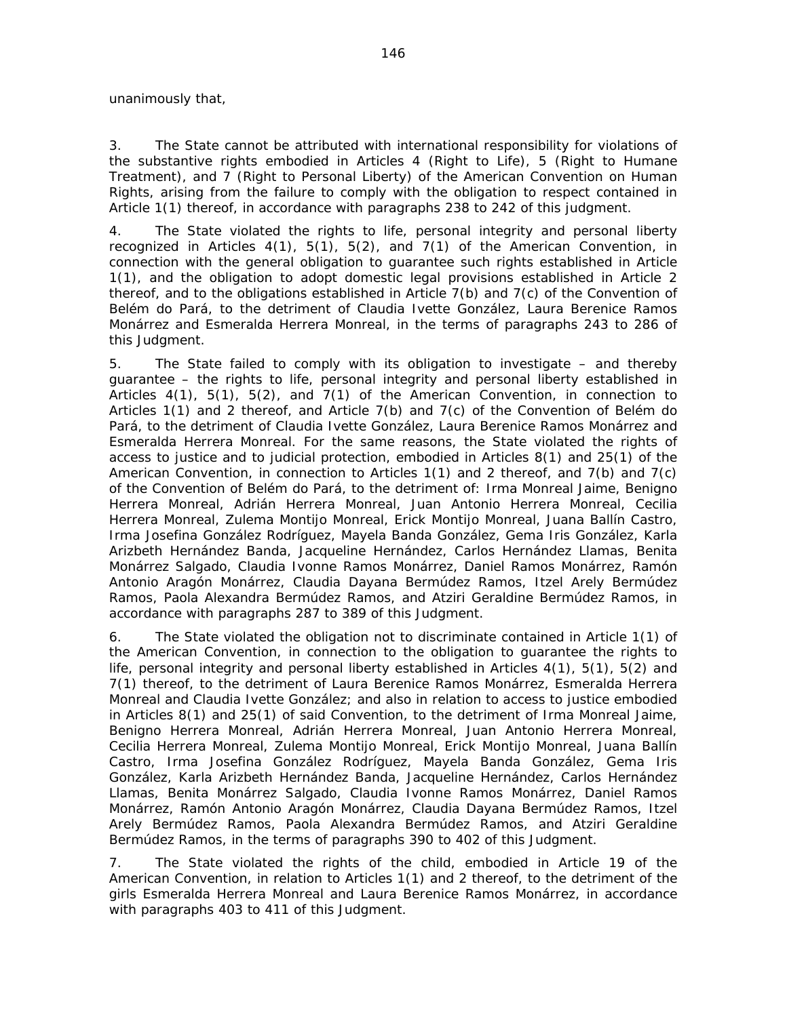#### unanimously that,

3. The State cannot be attributed with international responsibility for violations of the substantive rights embodied in Articles 4 (Right to Life), 5 (Right to Humane Treatment), and 7 (Right to Personal Liberty) of the American Convention on Human Rights, arising from the failure to comply with the obligation to respect contained in Article 1(1) thereof, in accordance with paragraphs 238 to 242 of this judgment.

4. The State violated the rights to life, personal integrity and personal liberty recognized in Articles  $4(1)$ ,  $5(1)$ ,  $5(2)$ , and  $7(1)$  of the American Convention, in connection with the general obligation to guarantee such rights established in Article 1(1), and the obligation to adopt domestic legal provisions established in Article 2 thereof, and to the obligations established in Article  $7(b)$  and  $7(c)$  of the Convention of Belém do Pará, to the detriment of Claudia Ivette González, Laura Berenice Ramos Monárrez and Esmeralda Herrera Monreal, in the terms of paragraphs 243 to 286 of this Judgment.

5. The State failed to comply with its obligation to investigate – and thereby guarantee – the rights to life, personal integrity and personal liberty established in Articles 4(1), 5(1), 5(2), and 7(1) of the American Convention, in connection to Articles 1(1) and 2 thereof, and Article 7(b) and 7(c) of the Convention of Belém do Pará, to the detriment of Claudia Ivette González, Laura Berenice Ramos Monárrez and Esmeralda Herrera Monreal. For the same reasons, the State violated the rights of access to justice and to judicial protection, embodied in Articles 8(1) and 25(1) of the American Convention, in connection to Articles  $1(1)$  and 2 thereof, and  $7(b)$  and  $7(c)$ of the Convention of Belém do Pará, to the detriment of: Irma Monreal Jaime, Benigno Herrera Monreal, Adrián Herrera Monreal, Juan Antonio Herrera Monreal, Cecilia Herrera Monreal, Zulema Montijo Monreal, Erick Montijo Monreal, Juana Ballín Castro, Irma Josefina González Rodríguez, Mayela Banda González, Gema Iris González, Karla Arizbeth Hernández Banda, Jacqueline Hernández, Carlos Hernández Llamas, Benita Monárrez Salgado, Claudia Ivonne Ramos Monárrez, Daniel Ramos Monárrez, Ramón Antonio Aragón Monárrez, Claudia Dayana Bermúdez Ramos, Itzel Arely Bermúdez Ramos, Paola Alexandra Bermúdez Ramos, and Atziri Geraldine Bermúdez Ramos, in accordance with paragraphs 287 to 389 of this Judgment.

6. The State violated the obligation not to discriminate contained in Article 1(1) of the American Convention, in connection to the obligation to guarantee the rights to life, personal integrity and personal liberty established in Articles 4(1), 5(1), 5(2) and 7(1) thereof, to the detriment of Laura Berenice Ramos Monárrez, Esmeralda Herrera Monreal and Claudia Ivette González; and also in relation to access to justice embodied in Articles 8(1) and 25(1) of said Convention, to the detriment of Irma Monreal Jaime, Benigno Herrera Monreal, Adrián Herrera Monreal, Juan Antonio Herrera Monreal, Cecilia Herrera Monreal, Zulema Montijo Monreal, Erick Montijo Monreal, Juana Ballín Castro, Irma Josefina González Rodríguez, Mayela Banda González, Gema Iris González, Karla Arizbeth Hernández Banda, Jacqueline Hernández, Carlos Hernández Llamas, Benita Monárrez Salgado, Claudia Ivonne Ramos Monárrez, Daniel Ramos Monárrez, Ramón Antonio Aragón Monárrez, Claudia Dayana Bermúdez Ramos, Itzel Arely Bermúdez Ramos, Paola Alexandra Bermúdez Ramos, and Atziri Geraldine Bermúdez Ramos, in the terms of paragraphs 390 to 402 of this Judgment.

7. The State violated the rights of the child, embodied in Article 19 of the American Convention, in relation to Articles 1(1) and 2 thereof, to the detriment of the girls Esmeralda Herrera Monreal and Laura Berenice Ramos Monárrez, in accordance with paragraphs 403 to 411 of this Judgment.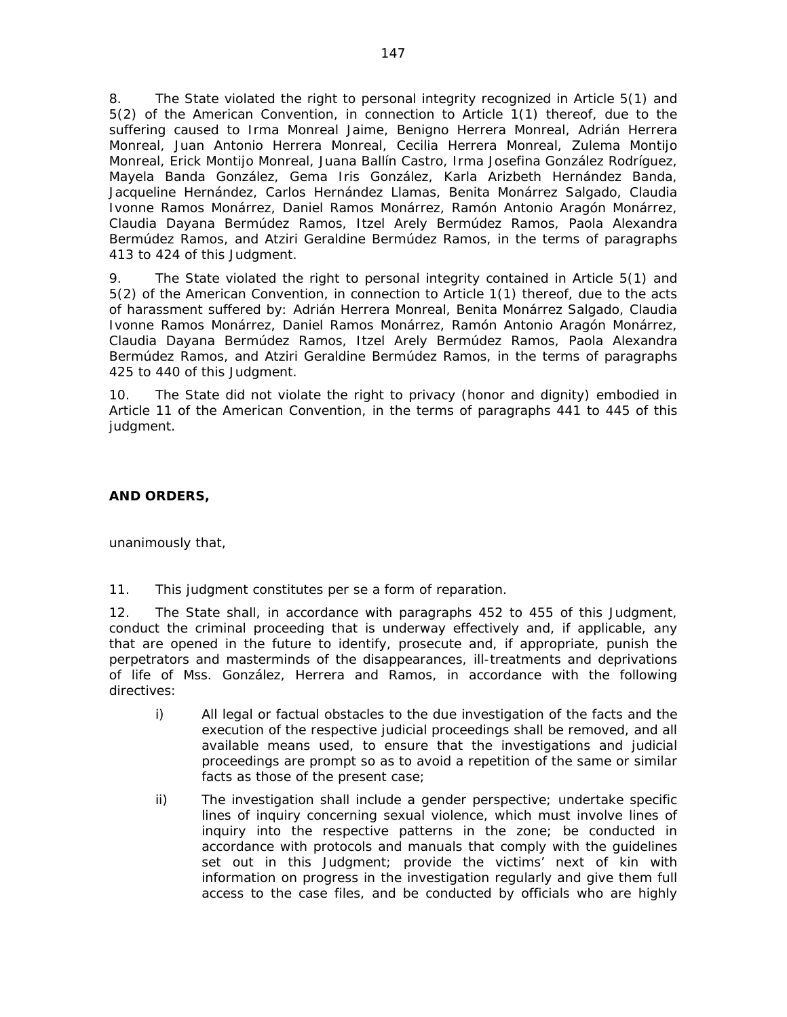8. The State violated the right to personal integrity recognized in Article 5(1) and 5(2) of the American Convention, in connection to Article 1(1) thereof, due to the suffering caused to Irma Monreal Jaime, Benigno Herrera Monreal, Adrián Herrera Monreal, Juan Antonio Herrera Monreal, Cecilia Herrera Monreal, Zulema Montijo Monreal, Erick Montijo Monreal, Juana Ballín Castro, Irma Josefina González Rodríguez, Mayela Banda González, Gema Iris González, Karla Arizbeth Hernández Banda, Jacqueline Hernández, Carlos Hernández Llamas, Benita Monárrez Salgado, Claudia Ivonne Ramos Monárrez, Daniel Ramos Monárrez, Ramón Antonio Aragón Monárrez, Claudia Dayana Bermúdez Ramos, Itzel Arely Bermúdez Ramos, Paola Alexandra Bermúdez Ramos, and Atziri Geraldine Bermúdez Ramos, in the terms of paragraphs 413 to 424 of this Judgment.

9. The State violated the right to personal integrity contained in Article 5(1) and 5(2) of the American Convention, in connection to Article 1(1) thereof, due to the acts of harassment suffered by: Adrián Herrera Monreal, Benita Monárrez Salgado, Claudia Ivonne Ramos Monárrez, Daniel Ramos Monárrez, Ramón Antonio Aragón Monárrez, Claudia Dayana Bermúdez Ramos, Itzel Arely Bermúdez Ramos, Paola Alexandra Bermúdez Ramos, and Atziri Geraldine Bermúdez Ramos, in the terms of paragraphs 425 to 440 of this Judgment.

10. The State did not violate the right to privacy (honor and dignity) embodied in Article 11 of the American Convention, in the terms of paragraphs 441 to 445 of this judgment.

## **AND ORDERS,**

unanimously that,

11. This judgment constitutes *per se* a form of reparation.

12. The State shall, in accordance with paragraphs 452 to 455 of this Judgment, conduct the criminal proceeding that is underway effectively and, if applicable, any that are opened in the future to identify, prosecute and, if appropriate, punish the perpetrators and masterminds of the disappearances, ill-treatments and deprivations of life of Mss. González, Herrera and Ramos, in accordance with the following directives:

- i) All legal or factual obstacles to the due investigation of the facts and the execution of the respective judicial proceedings shall be removed, and all available means used, to ensure that the investigations and judicial proceedings are prompt so as to avoid a repetition of the same or similar facts as those of the present case;
- ii) The investigation shall include a gender perspective*;* undertake specific lines of inquiry concerning sexual violence, which must involve lines of inquiry into the respective patterns in the zone; be conducted in accordance with protocols and manuals that comply with the guidelines set out in this Judgment; provide the victims' next of kin with information on progress in the investigation regularly and give them full access to the case files, and be conducted by officials who are highly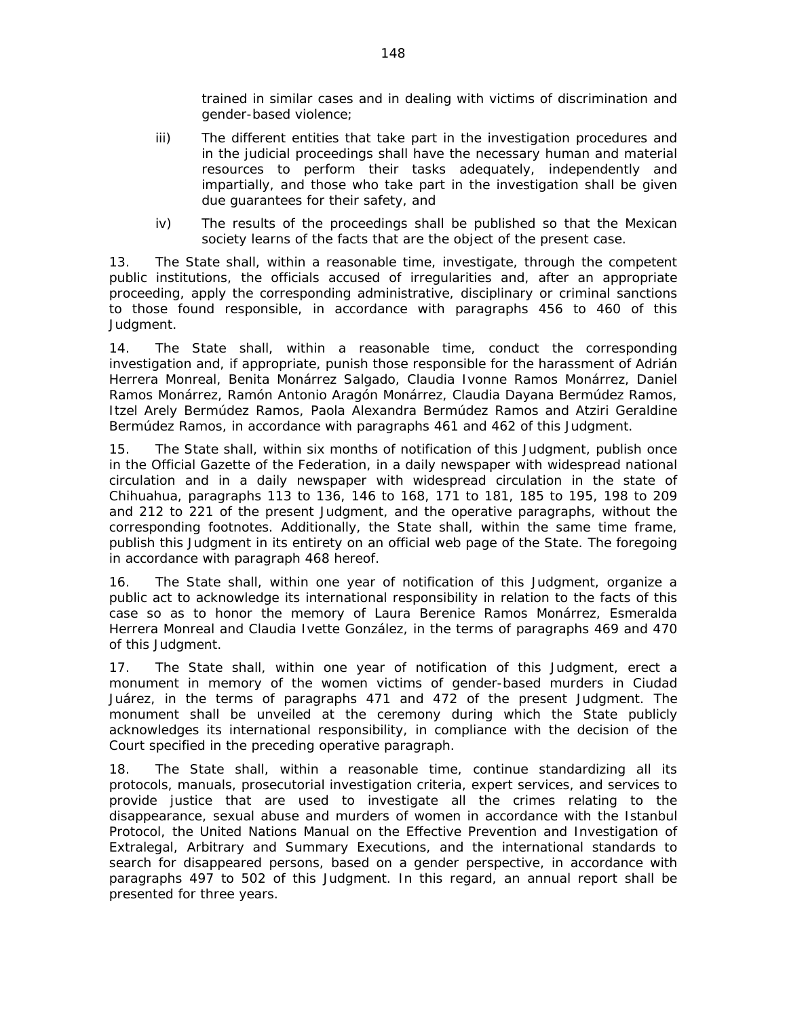trained in similar cases and in dealing with victims of discrimination and gender-based violence;

- iii) The different entities that take part in the investigation procedures and in the judicial proceedings shall have the necessary human and material resources to perform their tasks adequately, independently and impartially, and those who take part in the investigation shall be given due guarantees for their safety, and
- iv) The results of the proceedings shall be published so that the Mexican society learns of the facts that are the object of the present case.

13. The State shall, within a reasonable time, investigate, through the competent public institutions, the officials accused of irregularities and, after an appropriate proceeding, apply the corresponding administrative, disciplinary or criminal sanctions to those found responsible, in accordance with paragraphs 456 to 460 of this Judgment.

14. The State shall, within a reasonable time, conduct the corresponding investigation and, if appropriate, punish those responsible for the harassment of Adrián Herrera Monreal, Benita Monárrez Salgado, Claudia Ivonne Ramos Monárrez, Daniel Ramos Monárrez, Ramón Antonio Aragón Monárrez, Claudia Dayana Bermúdez Ramos, Itzel Arely Bermúdez Ramos, Paola Alexandra Bermúdez Ramos and Atziri Geraldine Bermúdez Ramos, in accordance with paragraphs 461 and 462 of this Judgment.

15. The State shall, within six months of notification of this Judgment, publish once in the Official Gazette of the Federation, in a daily newspaper with widespread national circulation and in a daily newspaper with widespread circulation in the state of Chihuahua, paragraphs 113 to 136, 146 to 168, 171 to 181, 185 to 195, 198 to 209 and 212 to 221 of the present Judgment, and the operative paragraphs, without the corresponding footnotes. Additionally, the State shall, within the same time frame, publish this Judgment in its entirety on an official web page of the State. The foregoing in accordance with paragraph 468 hereof.

16. The State shall, within one year of notification of this Judgment, organize a public act to acknowledge its international responsibility in relation to the facts of this case so as to honor the memory of Laura Berenice Ramos Monárrez, Esmeralda Herrera Monreal and Claudia Ivette González, in the terms of paragraphs 469 and 470 of this Judgment.

17. The State shall, within one year of notification of this Judgment, erect a monument in memory of the women victims of gender-based murders in Ciudad Juárez, in the terms of paragraphs 471 and 472 of the present Judgment. The monument shall be unveiled at the ceremony during which the State publicly acknowledges its international responsibility, in compliance with the decision of the Court specified in the preceding operative paragraph.

18. The State shall, within a reasonable time, continue standardizing all its protocols, manuals, prosecutorial investigation criteria, expert services, and services to provide justice that are used to investigate all the crimes relating to the disappearance, sexual abuse and murders of women in accordance with the Istanbul Protocol, the United Nations Manual on the Effective Prevention and Investigation of Extralegal, Arbitrary and Summary Executions, and the international standards to search for disappeared persons, based on a gender perspective, in accordance with paragraphs 497 to 502 of this Judgment. In this regard, an annual report shall be presented for three years.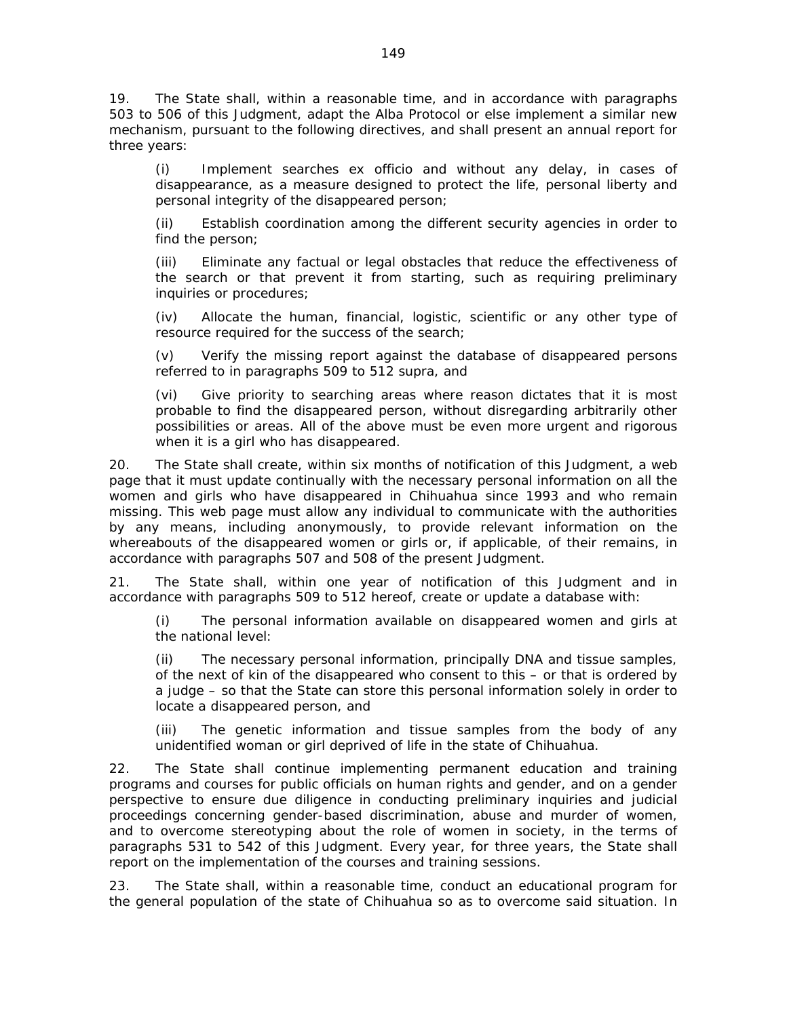19. The State shall, within a reasonable time, and in accordance with paragraphs 503 to 506 of this Judgment, adapt the Alba Protocol or else implement a similar new mechanism, pursuant to the following directives, and shall present an annual report for three years:

(i) Implement searches *ex officio* and without any delay, in cases of disappearance, as a measure designed to protect the life, personal liberty and personal integrity of the disappeared person;

(ii) Establish coordination among the different security agencies in order to find the person;

(iii) Eliminate any factual or legal obstacles that reduce the effectiveness of the search or that prevent it from starting, such as requiring preliminary inquiries or procedures;

(iv) Allocate the human, financial, logistic, scientific or any other type of resource required for the success of the search;

(v) Verify the missing report against the database of disappeared persons referred to in paragraphs 509 to 512 s*upra*, and

(vi) Give priority to searching areas where reason dictates that it is most probable to find the disappeared person, without disregarding arbitrarily other possibilities or areas. All of the above must be even more urgent and rigorous when it is a girl who has disappeared.

20. The State shall create, within six months of notification of this Judgment, a web page that it must update continually with the necessary personal information on all the women and girls who have disappeared in Chihuahua since 1993 and who remain missing. This web page must allow any individual to communicate with the authorities by any means, including anonymously, to provide relevant information on the whereabouts of the disappeared women or girls or, if applicable, of their remains, in accordance with paragraphs 507 and 508 of the present Judgment.

21. The State shall, within one year of notification of this Judgment and in accordance with paragraphs 509 to 512 hereof, create or update a database with:

(i) The personal information available on disappeared women and girls at the national level:

(ii) The necessary personal information, principally DNA and tissue samples, of the next of kin of the disappeared who consent to this – or that is ordered by a judge – so that the State can store this personal information solely in order to locate a disappeared person, and

(iii) The genetic information and tissue samples from the body of any unidentified woman or girl deprived of life in the state of Chihuahua.

22. The State shall continue implementing permanent education and training programs and courses for public officials on human rights and gender, and on a gender perspective to ensure due diligence in conducting preliminary inquiries and judicial proceedings concerning gender-based discrimination, abuse and murder of women, and to overcome stereotyping about the role of women in society, in the terms of paragraphs 531 to 542 of this Judgment. Every year, for three years, the State shall report on the implementation of the courses and training sessions.

23. The State shall, within a reasonable time, conduct an educational program for the general population of the state of Chihuahua so as to overcome said situation. In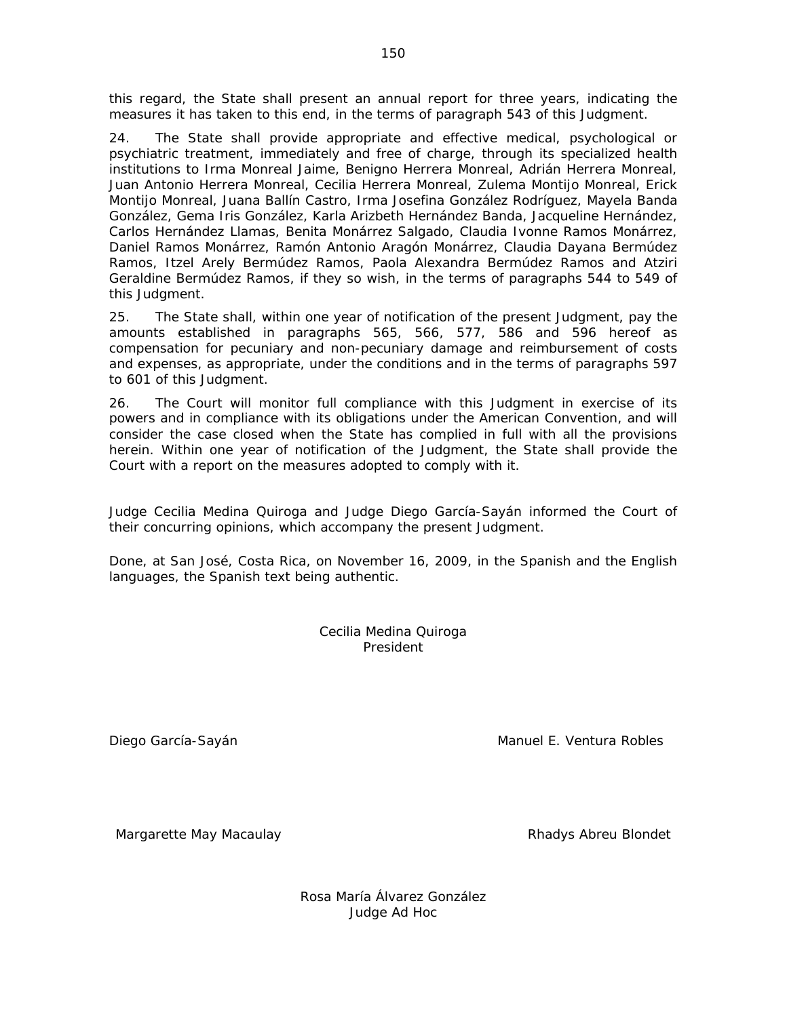this regard, the State shall present an annual report for three years, indicating the measures it has taken to this end, in the terms of paragraph 543 of this Judgment.

24. The State shall provide appropriate and effective medical, psychological or psychiatric treatment, immediately and free of charge, through its specialized health institutions to Irma Monreal Jaime, Benigno Herrera Monreal, Adrián Herrera Monreal, Juan Antonio Herrera Monreal, Cecilia Herrera Monreal, Zulema Montijo Monreal, Erick Montijo Monreal, Juana Ballín Castro, Irma Josefina González Rodríguez, Mayela Banda González, Gema Iris González, Karla Arizbeth Hernández Banda, Jacqueline Hernández, Carlos Hernández Llamas, Benita Monárrez Salgado, Claudia Ivonne Ramos Monárrez, Daniel Ramos Monárrez, Ramón Antonio Aragón Monárrez, Claudia Dayana Bermúdez Ramos, Itzel Arely Bermúdez Ramos, Paola Alexandra Bermúdez Ramos and Atziri Geraldine Bermúdez Ramos, if they so wish, in the terms of paragraphs 544 to 549 of this Judgment.

25. The State shall, within one year of notification of the present Judgment, pay the amounts established in paragraphs 565, 566, 577, 586 and 596 hereof as compensation for pecuniary and non-pecuniary damage and reimbursement of costs and expenses, as appropriate, under the conditions and in the terms of paragraphs 597 to 601 of this Judgment.

26. The Court will monitor full compliance with this Judgment in exercise of its powers and in compliance with its obligations under the American Convention, and will consider the case closed when the State has complied in full with all the provisions herein. Within one year of notification of the Judgment, the State shall provide the Court with a report on the measures adopted to comply with it.

Judge Cecilia Medina Quiroga and Judge Diego García-Sayán informed the Court of their concurring opinions, which accompany the present Judgment.

Done, at San José, Costa Rica, on November 16, 2009, in the Spanish and the English languages, the Spanish text being authentic.

> Cecilia Medina Quiroga President

Diego García-Sayán **Manuel E. Ventura Robles** 

Margarette May Macaulay **Rhadys Abreu Blondet** Rhadys Abreu Blondet

Rosa María Álvarez González Judge *Ad Hoc*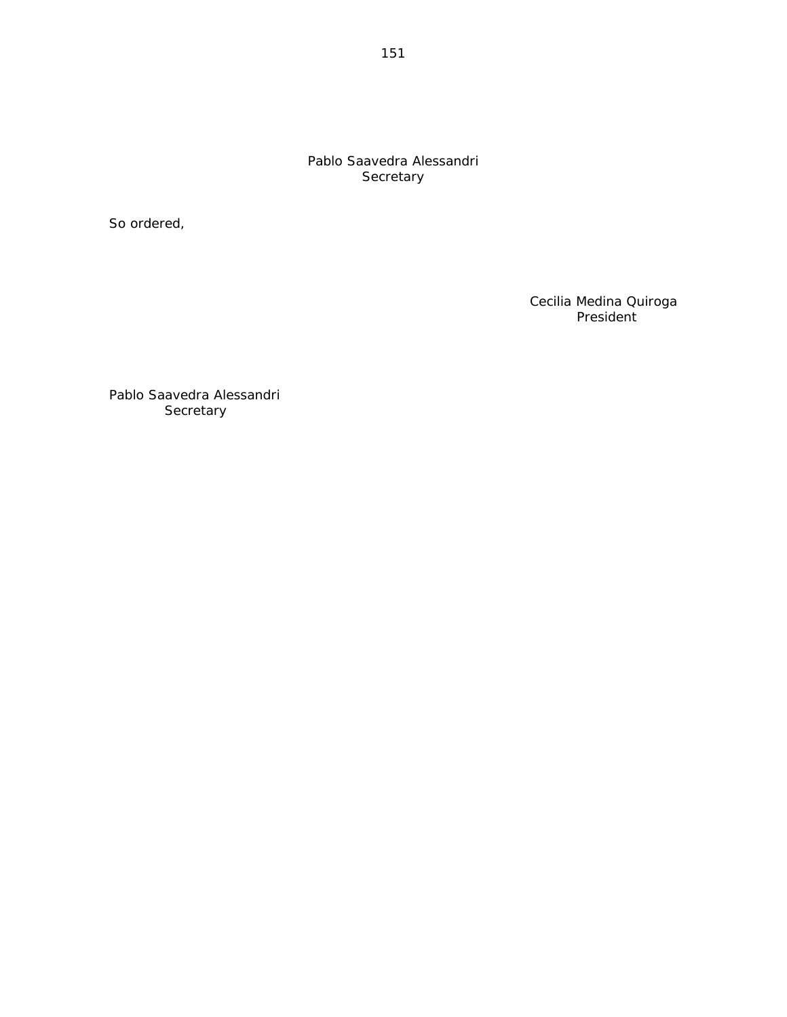Pablo Saavedra Alessandri **Secretary** 

So ordered,

Cecilia Medina Quiroga President

Pablo Saavedra Alessandri **Secretary**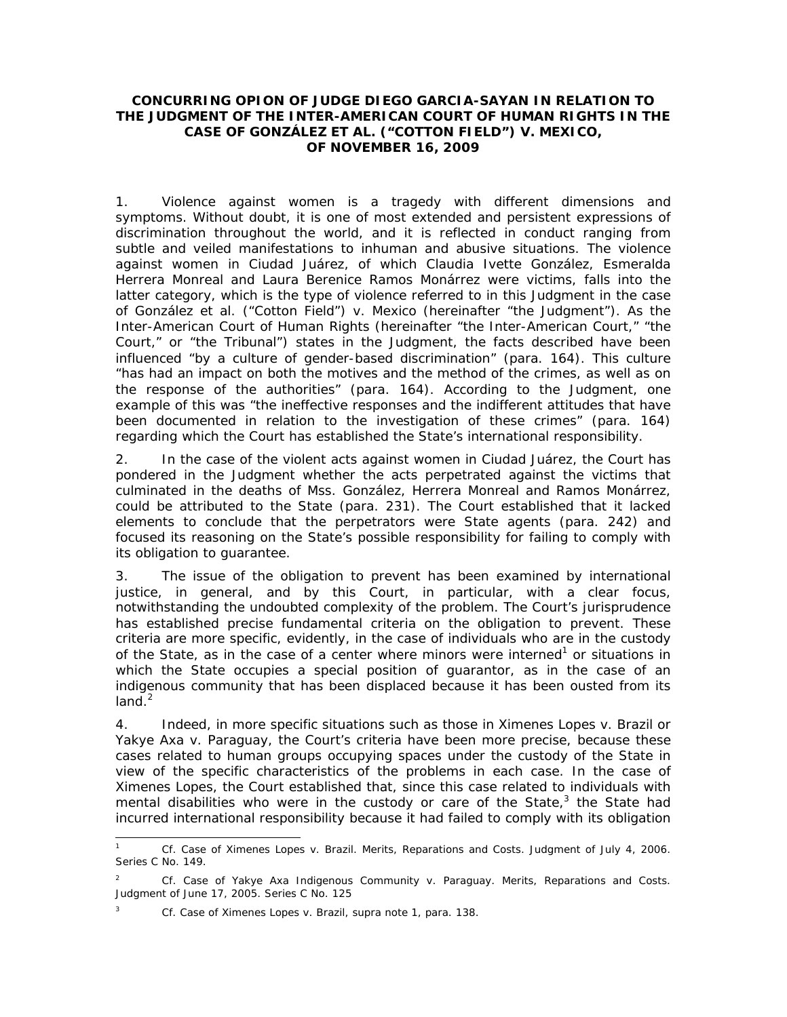### **CONCURRING OPION OF JUDGE DIEGO GARCIA-SAYAN IN RELATION TO THE JUDGMENT OF THE INTER-AMERICAN COURT OF HUMAN RIGHTS IN THE**  *CASE OF GONZÁLEZ ET AL. ("COTTON FIELD") V. MEXICO***, OF NOVEMBER 16, 2009**

1. Violence against women is a tragedy with different dimensions and symptoms. Without doubt, it is one of most extended and persistent expressions of discrimination throughout the world, and it is reflected in conduct ranging from subtle and veiled manifestations to inhuman and abusive situations. The violence against women in Ciudad Juárez, of which Claudia Ivette González, Esmeralda Herrera Monreal and Laura Berenice Ramos Monárrez were victims, falls into the latter category, which is the type of violence referred to in this Judgment in the case of *González et al. ("Cotton Field") v. Mexico* (hereinafter "the Judgment"). As the Inter-American Court of Human Rights (hereinafter "the Inter-American Court," "the Court," or "the Tribunal") states in the Judgment, the facts described have been influenced "by a culture of gender-based discrimination" (para. 164). This culture "has had an impact on both the motives and the method of the crimes, as well as on the response of the authorities" (para. 164). According to the Judgment, one example of this was "the ineffective responses and the indifferent attitudes that have been documented in relation to the investigation of these crimes" (para. 164) regarding which the Court has established the State's international responsibility.

2. In the case of the violent acts against women in Ciudad Juárez, the Court has pondered in the Judgment whether the acts perpetrated against the victims that culminated in the deaths of Mss. González, Herrera Monreal and Ramos Monárrez, could be attributed to the State (para. 231). The Court established that it lacked elements to conclude that the perpetrators were State agents (para. 242) and focused its reasoning on the State's possible responsibility for failing to comply with its obligation to guarantee.

3. The issue of the obligation to prevent has been examined by international justice, in general, and by this Court, in particular, with a clear focus, notwithstanding the undoubted complexity of the problem. The Court's jurisprudence has established precise fundamental criteria on the obligation to prevent. These criteria are more specific, evidently, in the case of individuals who are in the custody of the State, as in the case of a center where minors were interned<sup>1</sup> or situations in which the State occupies a special position of guarantor, as in the case of an indigenous community that has been displaced because it has been ousted from its land. $<sup>2</sup>$ </sup>

4. Indeed, in more specific situations such as those in *Ximenes Lopes v. Brazil* or *Yakye Axa v. Paraguay*, the Court's criteria have been more precise, because these cases related to human groups occupying spaces under the custody of the State in view of the specific characteristics of the problems in each case. In the case of *Ximenes Lopes,* the Court established that, since this case related to individuals with mental disabilities who were in the custody or care of the State, $3$  the State had incurred international responsibility because it had failed to comply with its obligation

 $\overline{\phantom{0}}$ 

<sup>1</sup> *Cf. Case of Ximenes Lopes v. Brazil. Merits, Reparations and Costs*. Judgment of July 4, 2006. Series C No. 149.

<sup>2</sup> *Cf. Case of Yakye Axa Indigenous Community v. Paraguay. Merits, Reparations and Costs*. Judgment of June 17, 2005. Series C No. 125

<sup>3</sup> *Cf. Case of Ximenes Lopes v. Brazil, supra* note 1, para. 138.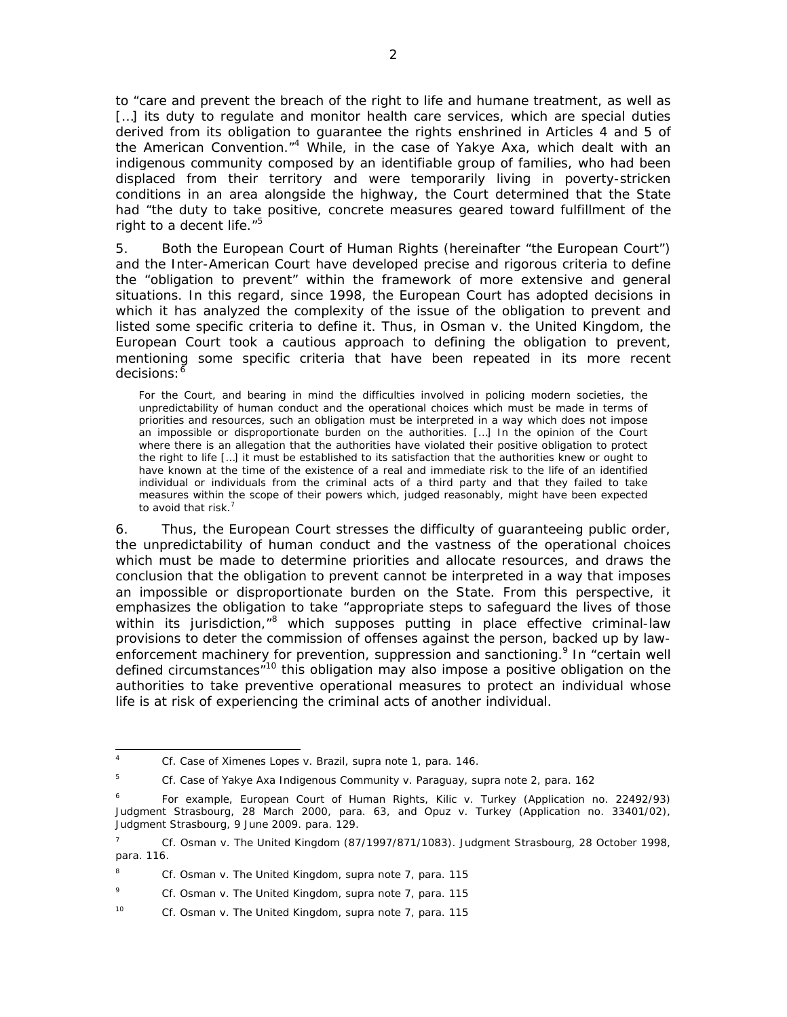to "care and prevent the breach of the right to life and humane treatment, as well as [...] its duty to regulate and monitor health care services, which are special duties derived from its obligation to guarantee the rights enshrined in Articles 4 and 5 of the American Convention."4 While, in the case of *Yakye Axa*, which dealt with an indigenous community composed by an identifiable group of families, who had been displaced from their territory and were temporarily living in poverty-stricken conditions in an area alongside the highway, the Court determined that the State had "the duty to take positive, concrete measures geared toward fulfillment of the right to a decent life."<sup>5</sup>

5. Both the European Court of Human Rights (hereinafter "the European Court") and the Inter-American Court have developed precise and rigorous criteria to define the "obligation to prevent" within the framework of more extensive and general situations. In this regard, since 1998, the European Court has adopted decisions in which it has analyzed the complexity of the issue of the obligation to prevent and listed some specific criteria to define it. Thus, in *Osman v. the United Kingdom,* the European Court took a cautious approach to defining the obligation to prevent, mentioning some specific criteria that have been repeated in its more recent decisions: $^6$ 

For the Court, and bearing in mind the difficulties involved in policing modern societies, the unpredictability of human conduct and the operational choices which must be made in terms of priorities and resources, such an obligation must be interpreted in a way which does not impose an impossible or disproportionate burden on the authorities. […] In the opinion of the Court where there is an allegation that the authorities have violated their positive obligation to protect the right to life […] it must be established to its satisfaction that the authorities knew or ought to have known at the time of the existence of a real and immediate risk to the life of an identified individual or individuals from the criminal acts of a third party and that they failed to take measures within the scope of their powers which, judged reasonably, might have been expected to avoid that risk.<sup>7</sup>

6. Thus, the European Court stresses the difficulty of guaranteeing public order, the unpredictability of human conduct and the vastness of the operational choices which must be made to determine priorities and allocate resources, and draws the conclusion that the obligation to prevent cannot be interpreted in a way that imposes an impossible or disproportionate burden on the State. From this perspective, it emphasizes the obligation to take "appropriate steps to safeguard the lives of those within its jurisdiction,<sup>"8</sup> which supposes putting in place effective criminal-law provisions to deter the commission of offenses against the person, backed up by lawenforcement machinery for prevention, suppression and sanctioning.<sup>9</sup> In "certain well defined circumstances<sup>"10</sup> this obligation may also impose a positive obligation on the authorities to take preventive operational measures to protect an individual whose life is at risk of experiencing the criminal acts of another individual.

 4 *Cf. Case of Ximenes Lopes v. Brazil, supra* note 1, para. 146.

<sup>5</sup> *Cf. Case of Yakye Axa Indigenous Community v. Paraguay, supra* note 2, para. 162

<sup>6</sup> For example, European Court of Human Rights, *Kilic v. Turkey (Application no. 22492/93)*  Judgment Strasbourg, 28 March 2000, para. 63, and *Opuz v. Turkey (Application no. 33401/02)*, Judgment Strasbourg, 9 June 2009. para. 129.

<sup>7</sup> *Cf. Osman v. The United Kingdom (87/1997/871/1083)*. Judgment Strasbourg, 28 October 1998, para. 116.

<sup>8</sup> *Cf. Osman v. The United Kingdom, supra* note 7, para. 115

<sup>9</sup> *Cf. Osman v. The United Kingdom*, *supra* note 7, para. 115

<sup>10</sup> *Cf. Osman v. The United Kingdom*, *supra* note 7, para. 115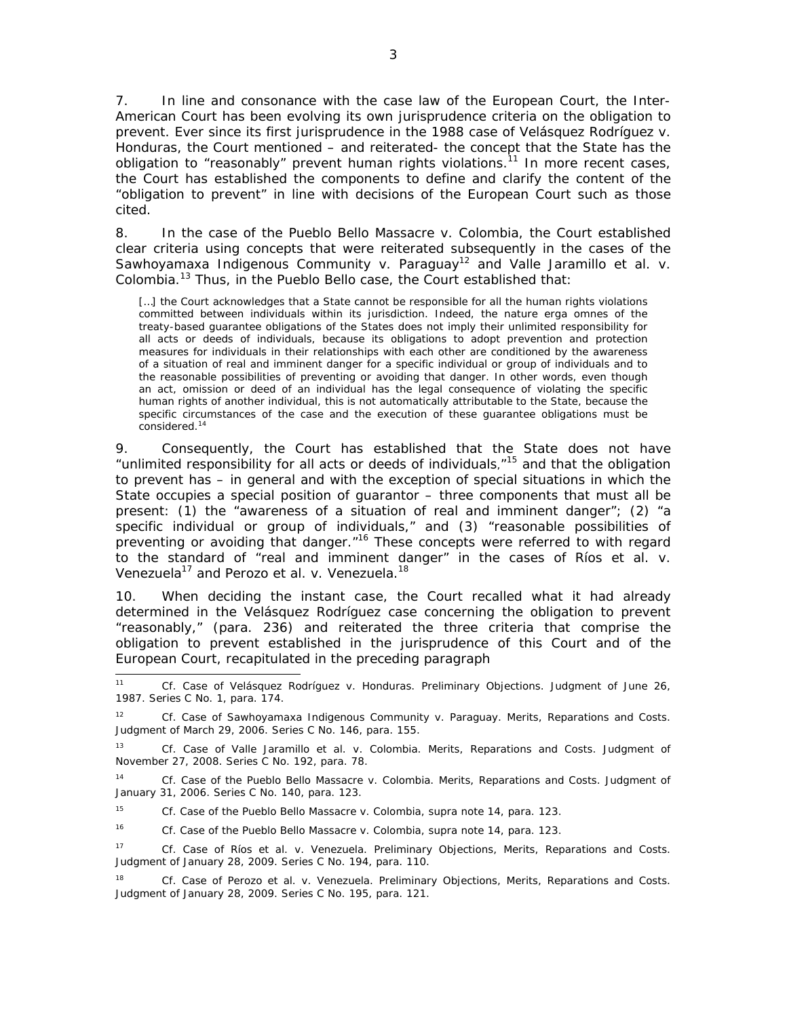7. In line and consonance with the case law of the European Court, the Inter-American Court has been evolving its own jurisprudence criteria on the obligation to prevent. Ever since its first jurisprudence in the 1988 case of *Velásquez Rodríguez v. Honduras*, the Court mentioned – and reiterated- the concept that the State has the obligation to "reasonably" prevent human rights violations.<sup>11</sup> In more recent cases, the Court has established the components to define and clarify the content of the "obligation to prevent" in line with decisions of the European Court such as those cited.

8. In the case of the *Pueblo Bello Massacre v. Colombia,* the Court established clear criteria using concepts that were reiterated subsequently in the cases of the *Sawhoyamaxa Indigenous Community v. Paraguay12* and *Valle Jaramillo et al. v. Colombia.13* Thus, in the *Pueblo Bello* case, the Court established that:

[...] the Court acknowledges that a State cannot be responsible for all the human rights violations committed between individuals within its jurisdiction. Indeed, the nature *erga omnes* of the treaty-based guarantee obligations of the States does not imply their unlimited responsibility for all acts or deeds of individuals, because its obligations to adopt prevention and protection measures for individuals in their relationships with each other are conditioned by the awareness of a situation of real and imminent danger for a specific individual or group of individuals and to the reasonable possibilities of preventing or avoiding that danger. In other words, even though an act, omission or deed of an individual has the legal consequence of violating the specific human rights of another individual, this is not automatically attributable to the State, because the specific circumstances of the case and the execution of these guarantee obligations must be considered.<sup>14</sup>

9. Consequently, the Court has established that the State does not have "unlimited responsibility for all acts or deeds of individuals,"15 and that the obligation to prevent has – in general and with the exception of special situations in which the State occupies a special position of guarantor – three components that must all be present: (1) the "awareness of a situation of real and imminent danger"; (2) "a specific individual or group of individuals," and (3) "reasonable possibilities of preventing or avoiding that danger."<sup>16</sup> These concepts were referred to with regard to the standard of "real and imminent danger" in the cases of *Ríos et al. v. Venezuela*17 and *Perozo et al. v. Venezuela.*<sup>18</sup>

10. When deciding the instant case, the Court recalled what it had already determined in the *Velásquez Rodríguez* case concerning the obligation to prevent "reasonably," (para. 236) and reiterated the three criteria that comprise the obligation to prevent established in the jurisprudence of this Court and of the European Court, recapitulated in the preceding paragraph

15 *Cf. Case of the Pueblo Bello Massacre v. Colombia*, *supra* note 14, para. 123.

16 *Cf. Case of the Pueblo Bello Massacre v. Colombia*, *supra* note 14, para. 123.

17 *Cf. Case of Ríos et al. v. Venezuela. Preliminary Objections, Merits, Reparations and Costs.* Judgment of January 28, 2009. Series C No. 194, para. 110.

<sup>18</sup> *Cf. Case of Perozo et al. v. Venezuela. Preliminary Objections, Merits, Reparations and Costs.*  Judgment of January 28, 2009. Series C No. 195, para. 121.

 $11$ <sup>11</sup> *Cf. Case of Velásquez Rodríguez v. Honduras. Preliminary Objections.* Judgment of June 26, 1987. Series C No. 1, para. 174.

<sup>12</sup> *Cf. Case of Sawhoyamaxa Indigenous Community v. Paraguay. Merits, Reparations and Costs*. Judgment of March 29, 2006. Series C No. 146, para. 155.

<sup>13</sup> *Cf. Case of Valle Jaramillo et al. v. Colombia. Merits, Reparations and Costs*. Judgment of November 27, 2008. Series C No. 192, para. 78.

<sup>14</sup> *Cf. Case of* t*he Pueblo Bello Massacre v. Colombia. Merits, Reparations and Costs*. Judgment of January 31, 2006. Series C No. 140, para. 123.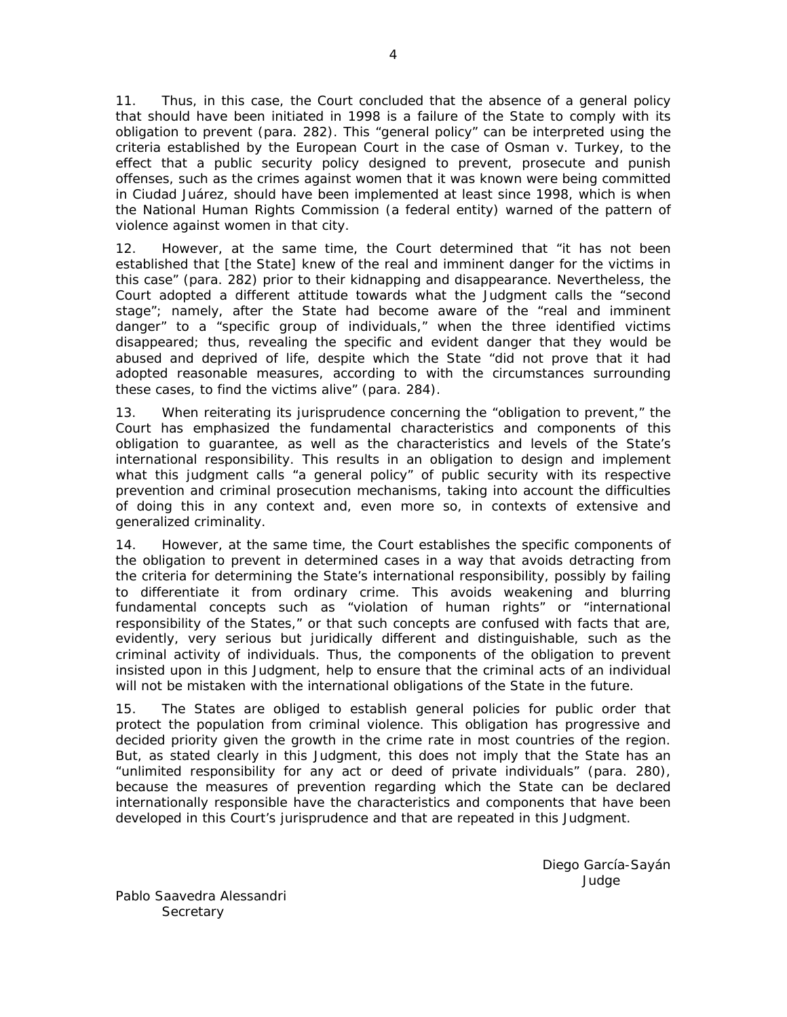11. Thus, in this case, the Court concluded that the absence of a general policy that should have been initiated in 1998 is a failure of the State to comply with its obligation to prevent (para. 282). This "general policy" can be interpreted using the criteria established by the European Court in the case of *Osman v. Turkey,* to the effect that a public security policy designed to prevent, prosecute and punish offenses, such as the crimes against women that it was known were being committed in Ciudad Juárez, should have been implemented at least since 1998, which is when the National Human Rights Commission (a federal entity) warned of the pattern of violence against women in that city.

12. However, at the same time, the Court determined that "it has not been established that [the State] knew of the real and imminent danger for the victims in this case" (para. 282) prior to their kidnapping and disappearance. Nevertheless, the Court adopted a different attitude towards what the Judgment calls the "second stage"; namely, after the State had become aware of the "real and imminent danger" to a "specific group of individuals," when the three identified victims disappeared; thus, revealing the specific and evident danger that they would be abused and deprived of life, despite which the State "did not prove that it had adopted reasonable measures, according to with the circumstances surrounding these cases, to find the victims alive" (para. 284).

13. When reiterating its jurisprudence concerning the "obligation to prevent," the Court has emphasized the fundamental characteristics and components of this obligation to guarantee, as well as the characteristics and levels of the State's international responsibility. This results in an obligation to design and implement what this judgment calls "a general policy" of public security with its respective prevention and criminal prosecution mechanisms, taking into account the difficulties of doing this in any context and, even more so, in contexts of extensive and generalized criminality.

14. However, at the same time, the Court establishes the specific components of the obligation to prevent in determined cases in a way that avoids detracting from the criteria for determining the State's international responsibility, possibly by failing to differentiate it from ordinary crime. This avoids weakening and blurring fundamental concepts such as "violation of human rights" or "international responsibility of the States," or that such concepts are confused with facts that are, evidently, very serious but juridically different and distinguishable, such as the criminal activity of individuals. Thus, the components of the obligation to prevent insisted upon in this Judgment, help to ensure that the criminal acts of an individual will not be mistaken with the international obligations of the State in the future.

15. The States are obliged to establish general policies for public order that protect the population from criminal violence. This obligation has progressive and decided priority given the growth in the crime rate in most countries of the region. But, as stated clearly in this Judgment, this does not imply that the State has an "unlimited responsibility for any act or deed of private individuals" (para. 280), because the measures of prevention regarding which the State can be declared internationally responsible have the characteristics and components that have been developed in this Court's jurisprudence and that are repeated in this Judgment.

> Diego García-Sayán Judge

Pablo Saavedra Alessandri **Secretary**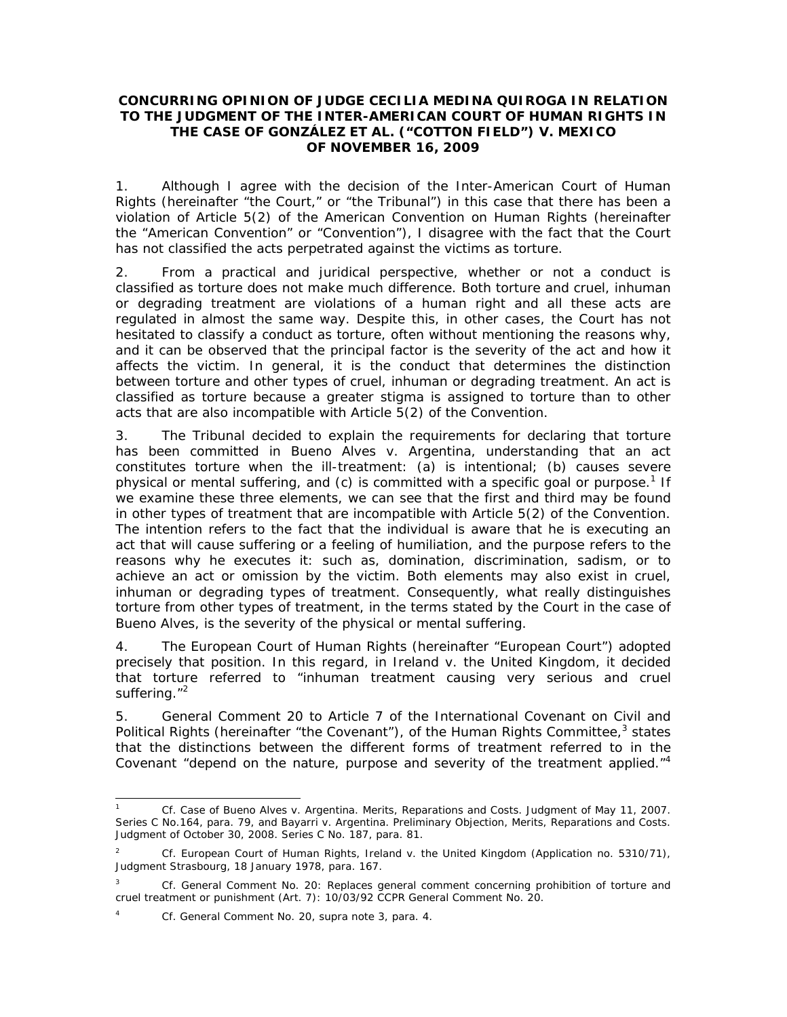### **CONCURRING OPINION OF JUDGE CECILIA MEDINA QUIROGA IN RELATION TO THE JUDGMENT OF THE INTER-AMERICAN COURT OF HUMAN RIGHTS IN THE** *CASE OF GONZÁLEZ ET AL. ("COTTON FIELD") V. MEXICO* **OF NOVEMBER 16, 2009**

1. Although I agree with the decision of the Inter-American Court of Human Rights (hereinafter "the Court," or "the Tribunal") in this case that there has been a violation of Article 5(2) of the American Convention on Human Rights (hereinafter the "American Convention" or "Convention"), I disagree with the fact that the Court has not classified the acts perpetrated against the victims as torture.

2. From a practical and juridical perspective, whether or not a conduct is classified as torture does not make much difference. Both torture and cruel, inhuman or degrading treatment are violations of a human right and all these acts are regulated in almost the same way. Despite this, in other cases, the Court has not hesitated to classify a conduct as torture, often without mentioning the reasons why, and it can be observed that the principal factor is the severity of the act and how it affects the victim. In general, it is the conduct that determines the distinction between torture and other types of cruel, inhuman or degrading treatment. An act is classified as torture because a greater stigma is assigned to torture than to other acts that are also incompatible with Article 5(2) of the Convention.

3. The Tribunal decided to explain the requirements for declaring that torture has been committed in *Bueno Alves v. Argentina*, understanding that an act constitutes torture when the ill-treatment: (a) is intentional; (b) causes severe physical or mental suffering, and (c) is committed with a specific goal or purpose.<sup>1</sup> If we examine these three elements, we can see that the first and third may be found in other types of treatment that are incompatible with Article 5(2) of the Convention. The intention refers to the fact that the individual is aware that he is executing an act that will cause suffering or a feeling of humiliation, and the purpose refers to the reasons why he executes it: such as, domination, discrimination, sadism, or to achieve an act or omission by the victim. Both elements may also exist in cruel, inhuman or degrading types of treatment. Consequently, what really distinguishes torture from other types of treatment, in the terms stated by the Court in the case of *Bueno Alves*, is the severity of the physical or mental suffering.

4. The European Court of Human Rights (hereinafter "European Court") adopted precisely that position. In this regard, in *Ireland v. the United Kingdom,* it decided that torture referred to "inhuman treatment causing very serious and cruel suffering."<sup>2</sup>

5. General Comment 20 to Article 7 of the International Covenant on Civil and Political Rights (hereinafter "the Covenant"), of the Human Rights Committee,<sup>3</sup> states that the distinctions between the different forms of treatment referred to in the Covenant "depend on the nature, purpose and severity of the treatment applied."<sup>4</sup>

ī 1 *Cf. Case of Bueno Alves v. Argentina. Merits, Reparations and Costs.* Judgment of May 11, 2007. Series C No.164, para. 79, and *Bayarri v. Argentina. Preliminary Objection, Merits, Reparations and Costs.* Judgment of October 30, 2008. Series C No. 187, para. 81.

<sup>2</sup> *Cf.* European Court of Human Rights, *Ireland v. the United Kingdom (Application no. 5310/71)*, Judgment Strasbourg, 18 January 1978, para. 167.

<sup>3</sup> *Cf.* General Comment No. 20: Replaces general comment concerning prohibition of torture and cruel treatment or punishment (Art. 7): 10/03/92 CCPR General Comment No. 20.

<sup>4</sup> *Cf.* General Comment No. 20, *supra* note 3, para. 4.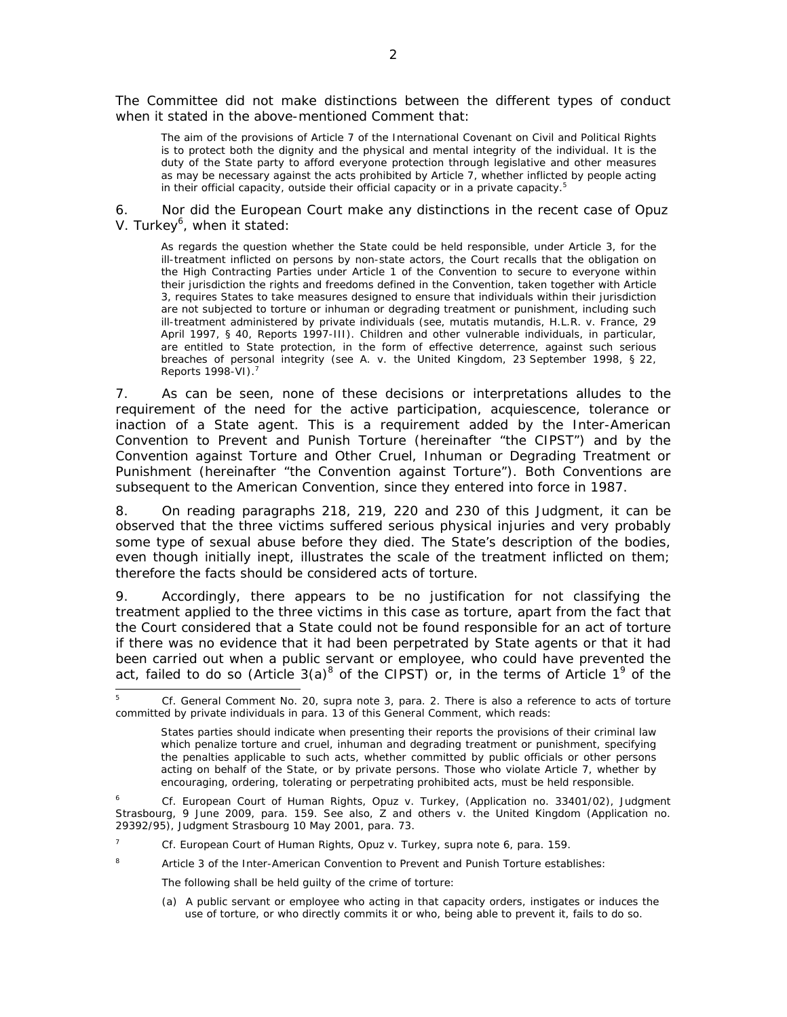The Committee did not make distinctions between the different types of conduct when it stated in the above-mentioned Comment that:

The aim of the provisions of Article 7 of the International Covenant on Civil and Political Rights is to protect both the dignity and the physical and mental integrity of the individual. It is the duty of the State party to afford everyone protection through legislative and other measures as may be necessary against the acts prohibited by Article 7, whether inflicted by people acting in their official capacity, outside their official capacity or in a private capacity.<sup>5</sup>

6. Nor did the European Court make any distinctions in the recent case of *Opuz*  V. Turkey<sup>6</sup>, when it stated:

As regards the question whether the State could be held responsible, under Article 3, for the ill-treatment inflicted on persons by non-state actors, the Court recalls that the obligation on the High Contracting Parties under Article 1 of the Convention to secure to everyone within their jurisdiction the rights and freedoms defined in the Convention, taken together with Article 3, requires States to take measures designed to ensure that individuals within their jurisdiction are not subjected to torture or inhuman or degrading treatment or punishment, including such ill-treatment administered by private individuals (see, *mutatis mutandis*, *H.L.R. v. France*, 29 April 1997, § 40, *Reports* 1997-III). Children and other vulnerable individuals, in particular, are entitled to State protection, in the form of effective deterrence, against such serious breaches of personal integrity (see *A. v. the United Kingdom*, 23 September 1998, § 22, *Reports* 1998-VI).<sup>7</sup>

7. As can be seen, none of these decisions or interpretations alludes to the requirement of the need for the active participation, acquiescence, tolerance or inaction of a State agent. This is a requirement added by the Inter-American Convention to Prevent and Punish Torture (hereinafter "the CIPST") and by the Convention against Torture and Other Cruel, Inhuman or Degrading Treatment or Punishment (hereinafter "the Convention against Torture"). Both Conventions are subsequent to the American Convention, since they entered into force in 1987.

8. On reading paragraphs 218, 219, 220 and 230 of this Judgment, it can be observed that the three victims suffered serious physical injuries and very probably some type of sexual abuse before they died. The State's description of the bodies, even though initially inept, illustrates the scale of the treatment inflicted on them; therefore the facts should be considered acts of torture.

9. Accordingly, there appears to be no justification for not classifying the treatment applied to the three victims in this case as torture, apart from the fact that the Court considered that a State could not be found responsible for an act of torture if there was no evidence that it had been perpetrated by State agents or that it had been carried out when a public servant or employee, who could have prevented the act, failed to do so (Article 3(a)<sup>8</sup> of the CIPST) or, in the terms of Article 1<sup>9</sup> of the

6 *Cf.* European Court of Human Rights, *Opuz v. Turkey*, *(Application no. 33401/02)*, Judgment Strasbourg, 9 June 2009, para. 159. See also, *Z and others v. the United Kingdom (Application no. 29392/95)*, Judgment Strasbourg 10 May 2001, para. 73.

7 *Cf.* European Court of Human Rights, *Opuz v. Turkey, supra* note 6, para. 159.

Article 3 of the Inter-American Convention to Prevent and Punish Torture establishes:

The following shall be held guilty of the crime of torture:

 $\overline{\phantom{0}}$ 

8

(a) A public servant or employee who acting in that capacity orders, instigates or induces the use of torture, or who directly commits it or who, being able to prevent it, fails to do so.

<sup>5</sup> *Cf.* General Comment No. 20, *supra* note 3, para. 2. There is also a reference to acts of torture committed by private individuals in para. 13 of this General Comment, which reads:

States parties should indicate when presenting their reports the provisions of their criminal law which penalize torture and cruel, inhuman and degrading treatment or punishment, specifying the penalties applicable to such acts, whether committed by public officials or other persons acting on behalf of the State, or by private persons. Those who violate Article 7, whether by encouraging, ordering, tolerating or perpetrating prohibited acts, must be held responsible.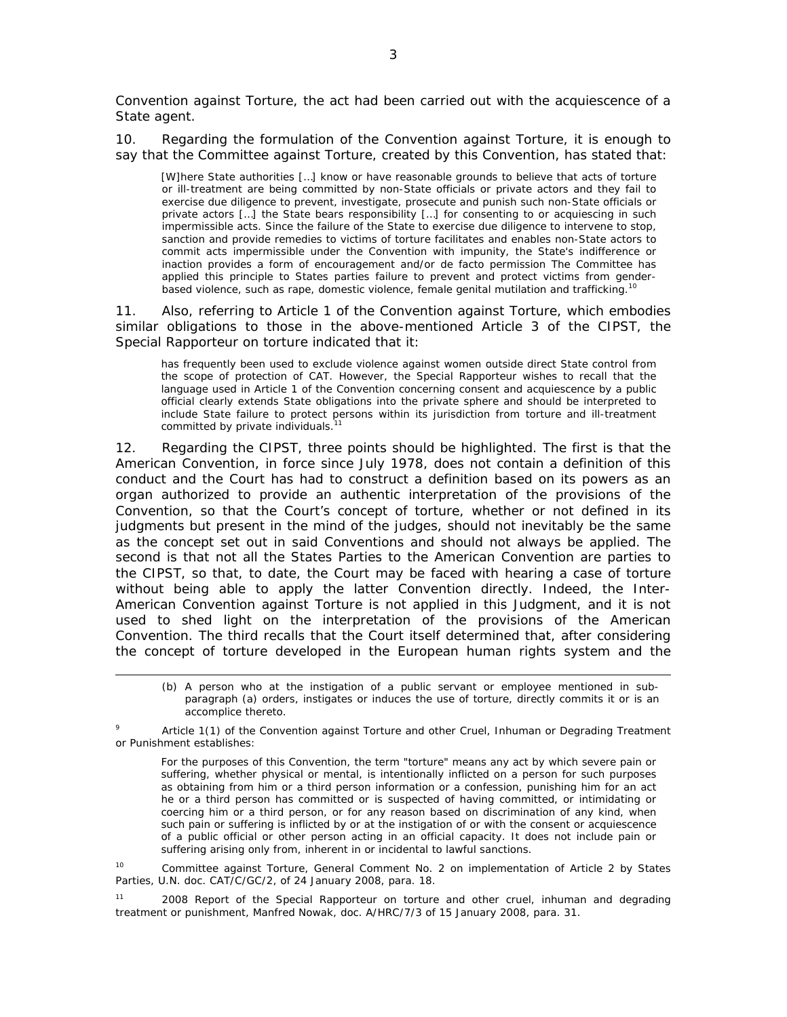Convention against Torture, the act had been carried out with the acquiescence of a State agent.

10. Regarding the formulation of the Convention against Torture, it is enough to say that the Committee against Torture, created by this Convention, has stated that:

[W]here State authorities […] know or have reasonable grounds to believe that acts of torture or ill-treatment are being committed by non-State officials or private actors and they fail to exercise due diligence to prevent, investigate, prosecute and punish such non-State officials or private actors […] the State bears responsibility […] for consenting to or acquiescing in such impermissible acts. Since the failure of the State to exercise due diligence to intervene to stop, sanction and provide remedies to victims of torture facilitates and enables non-State actors to commit acts impermissible under the Convention with impunity, the State's indifference or inaction provides a form of encouragement and/or *de facto* permission The Committee has applied this principle to States parties failure to prevent and protect victims from genderbased violence, such as rape, domestic violence, female genital mutilation and trafficking.<sup>10</sup>

11. Also, referring to Article 1 of the Convention against Torture, which embodies similar obligations to those in the above-mentioned Article 3 of the CIPST, the Special Rapporteur on torture indicated that it:

has frequently been used to exclude violence against women outside direct State control from the scope of protection of CAT. However, the Special Rapporteur wishes to recall that the language used in Article 1 of the Convention concerning consent and acquiescence by a public official clearly extends State obligations into the private sphere and should be interpreted to include State failure to protect persons within its jurisdiction from torture and ill-treatment committed by private individuals.<sup>11</sup>

12. Regarding the CIPST, three points should be highlighted. The first is that the American Convention, in force since July 1978, does not contain a definition of this conduct and the Court has had to construct a definition based on its powers as an organ authorized to provide an authentic interpretation of the provisions of the Convention, so that the Court's concept of torture, whether or not defined in its judgments but present in the mind of the judges, should not inevitably be the same as the concept set out in said Conventions and should not always be applied. The second is that not all the States Parties to the American Convention are parties to the CIPST, so that, to date, the Court may be faced with hearing a case of torture without being able to apply the latter Convention directly. Indeed, the Inter-American Convention against Torture is not applied in this Judgment, and it is not used to shed light on the interpretation of the provisions of the American Convention. The third recalls that the Court itself determined that, after considering the concept of torture developed in the European human rights system and the

(b) A person who at the instigation of a public servant or employee mentioned in subparagraph (a) orders, instigates or induces the use of torture, directly commits it or is an accomplice thereto.

9 Article 1(1) of the Convention against Torture and other Cruel, Inhuman or Degrading Treatment or Punishment establishes:

 $\overline{\phantom{0}}$ 

For the purposes of this Convention, the term "torture" means any act by which severe pain or suffering, whether physical or mental, is intentionally inflicted on a person for such purposes as obtaining from him or a third person information or a confession, punishing him for an act he or a third person has committed or is suspected of having committed, or intimidating or coercing him or a third person, or for any reason based on discrimination of any kind, when such pain or suffering is inflicted by or at the instigation of or with the consent or acquiescence of a public official or other person acting in an official capacity. It does not include pain or suffering arising only from, inherent in or incidental to lawful sanctions.

<sup>10</sup> Committee against Torture, General Comment No. 2 on implementation of Article 2 by States Parties, U.N. doc. CAT/C/GC/2, of 24 January 2008, para. 18.

<sup>11</sup> *2008 Report of the Special Rapporteur on torture and other cruel, inhuman and degrading treatment or punishment*, Manfred Nowak, doc. A/HRC/7/3 of 15 January 2008, para. 31.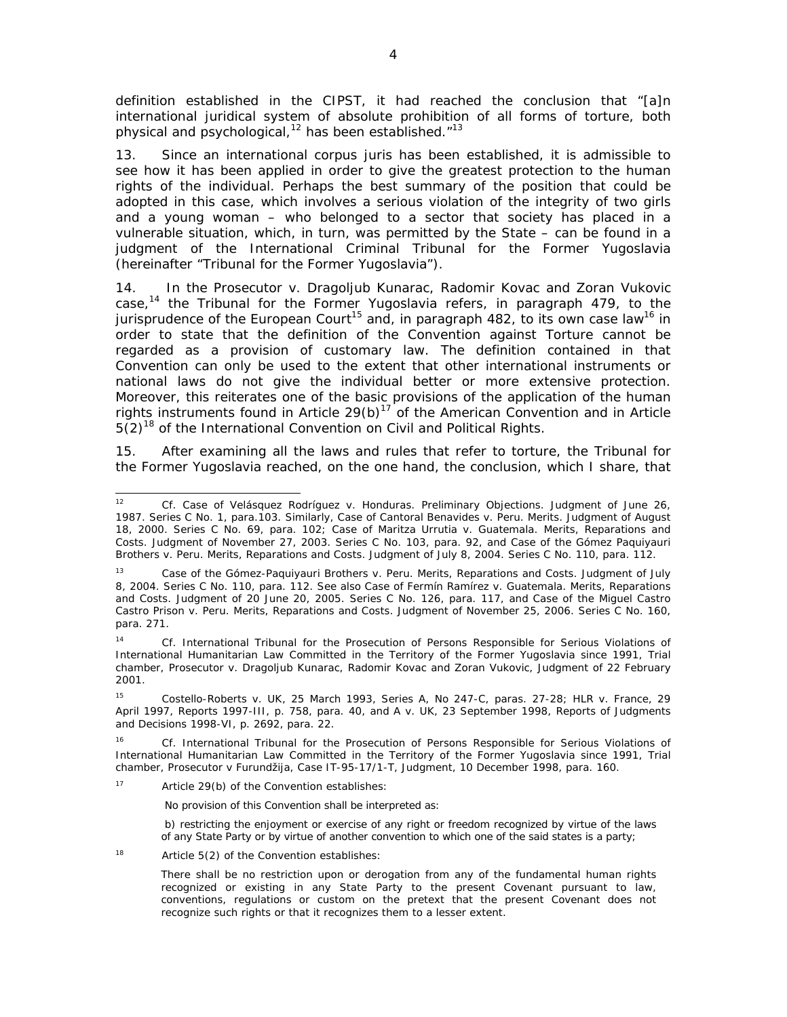definition established in the CIPST, it had reached the conclusion that "[a]n international juridical system of absolute prohibition of all forms of torture, both physical and psychological,<sup>12</sup> has been established. $n^{13}$ 

13. Since an international *corpus juris* has been established, it is admissible to see how it has been applied in order to give the greatest protection to the human rights of the individual. Perhaps the best summary of the position that could be adopted in this case, which involves a serious violation of the integrity of two girls and a young woman – who belonged to a sector that society has placed in a vulnerable situation, which, in turn, was permitted by the State – can be found in a judgment of the International Criminal Tribunal for the Former Yugoslavia (hereinafter "Tribunal for the Former Yugoslavia").

14. In the *Prosecutor v. Dragoljub Kunarac, Radomir Kovac and Zoran Vukovic*  case,<sup>14</sup> the Tribunal for the Former Yugoslavia refers, in paragraph 479, to the jurisprudence of the European Court<sup>15</sup> and, in paragraph 482, to its own case law<sup>16</sup> in order to state that the definition of the Convention against Torture cannot be regarded as a provision of customary law. The definition contained in that Convention can only be used to the extent that other international instruments or national laws do not give the individual better or more extensive protection. Moreover, this reiterates one of the basic provisions of the application of the human rights instruments found in Article  $29(b)^{17}$  of the American Convention and in Article  $5(2)^{18}$  of the International Convention on Civil and Political Rights.

15. After examining all the laws and rules that refer to torture, the Tribunal for the Former Yugoslavia reached, on the one hand, the conclusion, which I share, that

No provision of this Convention shall be interpreted as:

 b) restricting the enjoyment or exercise of any right or freedom recognized by virtue of the laws of any State Party or by virtue of another convention to which one of the said states is a party;

 $18$  Article 5(2) of the Convention establishes:

 $12<sup>12</sup>$ <sup>12</sup> *Cf. Case of Velásquez Rodríguez v. Honduras. Preliminary Objections.* Judgment of June 26, 1987. Series C No. 1, para.103. Similarly, *Case of Cantoral Benavides v. Peru. Merits*. Judgment of August 18, 2000. Series C No. 69, para. 102; *Case of Maritza Urrutia v. Guatemala. Merits, Reparations and Costs*. Judgment of November 27, 2003. Series C No. 103, para. 92, and *Case of the Gómez Paquiyauri Brothers v. Peru. Merits, Reparations and Costs*. Judgment of July 8, 2004. Series C No. 110, para. 112.

<sup>&</sup>lt;sup>13</sup> *Case of the Gómez-Paquiyauri Brothers v. Peru. Merits, Reparations and Costs. Judgment of July* 8, 2004. Series C No. 110, para. 112. See also *Case of Fermín Ramírez v. Guatemala. Merits, Reparations and Costs.* Judgment of 20 June 20, 2005. Series C No. 126, para. 117, and *Case of the Miguel Castro Castro Prison v. Peru. Merits, Reparations and Costs*. Judgment of November 25, 2006. Series C No. 160, para. 271.

<sup>14</sup> *Cf.* International Tribunal for the Prosecution of Persons Responsible for Serious Violations of International Humanitarian Law Committed in the Territory of the Former Yugoslavia since 1991, Trial chamber, *Prosecutor v. Dragoljub Kunarac, Radomir Kovac and Zoran Vukovic*, Judgment of 22 February 2001.

<sup>15</sup> C*ostello-Roberts v. UK*, 25 March 1993, Series A, No 247-C, paras. 27-28; *HLR v. France*, 29 April 1997, Reports 1997-III, p. 758, para. 40, and *A v. UK*, 23 September 1998, Reports of Judgments and Decisions 1998-VI, p. 2692, para. 22.

<sup>16</sup> *Cf.* International Tribunal for the Prosecution of Persons Responsible for Serious Violations of International Humanitarian Law Committed in the Territory of the Former Yugoslavia since 1991, Trial chamber, *Prosecutor v Furundžija*, Case IT-95-17/1-T, Judgment, 10 December 1998, para. 160.

<sup>17</sup> Article 29(b) of the Convention establishes:

There shall be no restriction upon or derogation from any of the fundamental human rights recognized or existing in any State Party to the present Covenant pursuant to law, conventions, regulations or custom on the pretext that the present Covenant does not recognize such rights or that it recognizes them to a lesser extent.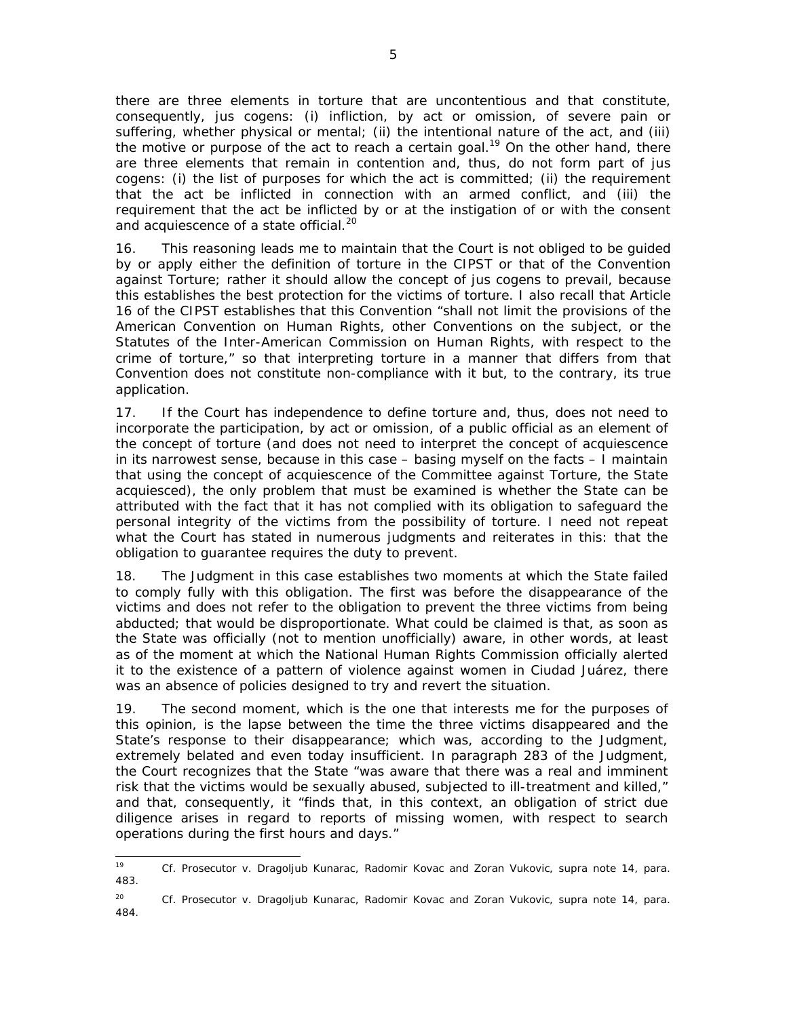there are three elements in torture that are uncontentious and that constitute, consequently, *jus cogens*: (i) infliction, by act or omission, of severe pain or suffering, whether physical or mental; (ii) the intentional nature of the act, and (iii) the motive or purpose of the act to reach a certain goal.<sup>19</sup> On the other hand, there are three elements that remain in contention and, thus, do not form part of *jus cogens*: (i) the list of purposes for which the act is committed; (ii) the requirement that the act be inflicted in connection with an armed conflict, and (iii) the requirement that the act be inflicted by or at the instigation of or with the consent and acquiescence of a state official.<sup>20</sup>

16. This reasoning leads me to maintain that the Court is not obliged to be guided by or apply either the definition of torture in the CIPST or that of the Convention against Torture; rather it should allow the concept of *jus cogens* to prevail, because this establishes the best protection for the victims of torture. I also recall that Article 16 of the CIPST establishes that this Convention "shall not limit the provisions of the American Convention on Human Rights, other Conventions on the subject, or the Statutes of the Inter-American Commission on Human Rights, with respect to the crime of torture," so that interpreting torture in a manner that differs from that Convention does not constitute non-compliance with it but, to the contrary, its true application.

17. If the Court has independence to define torture and, thus, does not need to incorporate the participation, by act or omission, of a public official as an element of the concept of torture (and does not need to interpret the concept of acquiescence in its narrowest sense, because in this case – basing myself on the facts – I maintain that using the concept of acquiescence of the Committee against Torture, the State acquiesced), the only problem that must be examined is whether the State can be attributed with the fact that it has not complied with its obligation to safeguard the personal integrity of the victims from the possibility of torture. I need not repeat what the Court has stated in numerous judgments and reiterates in this: that the obligation to guarantee requires the duty to prevent.

18. The Judgment in this case establishes two moments at which the State failed to comply fully with this obligation. The first was before the disappearance of the victims and does not refer to the obligation to prevent the three victims from being abducted; that would be disproportionate. What could be claimed is that, as soon as the State was officially (not to mention unofficially) aware, in other words, at least as of the moment at which the National Human Rights Commission officially alerted it to the existence of a pattern of violence against women in Ciudad Juárez, there was an absence of policies designed to try and revert the situation.

19. The second moment, which is the one that interests me for the purposes of this opinion, is the lapse between the time the three victims disappeared and the State's response to their disappearance; which was, according to the Judgment, extremely belated and even today insufficient. In paragraph 283 of the Judgment, the Court recognizes that the State "was aware that there was a real and imminent risk that the victims would be sexually abused, subjected to ill-treatment and killed," and that, consequently, it "finds that, in this context, an obligation of strict due diligence arises in regard to reports of missing women, with respect to search operations during the first hours and days."

 $19$ 19 *Cf. Prosecutor v. Dragoljub Kunarac, Radomir Kovac and Zoran Vukovic*, *supra* note 14, para. 483.

<sup>20</sup> *Cf. Prosecutor v. Dragoljub Kunarac, Radomir Kovac and Zoran Vukovic*, *supra* note 14, para. 484.